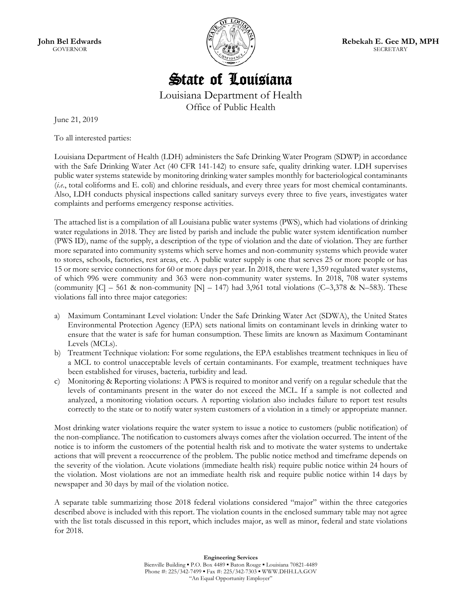**John Bel Edwards**  GOVERNOR



**Rebekah E. Gee MD, MPH**  SECRETARY

# State of Louisiana

Louisiana Department of Health Office of Public Health

June 21, 2019

To all interested parties:

Louisiana Department of Health (LDH) administers the Safe Drinking Water Program (SDWP) in accordance with the Safe Drinking Water Act (40 CFR 141-142) to ensure safe, quality drinking water. LDH supervises public water systems statewide by monitoring drinking water samples monthly for bacteriological contaminants (*i.e*., total coliforms and E. coli) and chlorine residuals, and every three years for most chemical contaminants. Also, LDH conducts physical inspections called sanitary surveys every three to five years, investigates water complaints and performs emergency response activities.

The attached list is a compilation of all Louisiana public water systems (PWS), which had violations of drinking water regulations in 2018. They are listed by parish and include the public water system identification number (PWS ID), name of the supply, a description of the type of violation and the date of violation. They are further more separated into community systems which serve homes and non-community systems which provide water to stores, schools, factories, rest areas, etc. A public water supply is one that serves 25 or more people or has 15 or more service connections for 60 or more days per year. In 2018, there were 1,359 regulated water systems, of which 996 were community and 363 were non-community water systems. In 2018, 708 water systems (community  $|C|$  – 561 & non-community  $|N|$  – 147) had 3,961 total violations (C–3,378 & N–583). These violations fall into three major categories:

- a) Maximum Contaminant Level violation: Under the Safe Drinking Water Act (SDWA), the United States Environmental Protection Agency (EPA) sets national limits on contaminant levels in drinking water to ensure that the water is safe for human consumption. These limits are known as Maximum Contaminant Levels (MCLs).
- b) Treatment Technique violation: For some regulations, the EPA establishes treatment techniques in lieu of a MCL to control unacceptable levels of certain contaminants. For example, treatment techniques have been established for viruses, bacteria, turbidity and lead.
- c) Monitoring & Reporting violations: A PWS is required to monitor and verify on a regular schedule that the levels of contaminants present in the water do not exceed the MCL. If a sample is not collected and analyzed, a monitoring violation occurs. A reporting violation also includes failure to report test results correctly to the state or to notify water system customers of a violation in a timely or appropriate manner.

Most drinking water violations require the water system to issue a notice to customers (public notification) of the non-compliance. The notification to customers always comes after the violation occurred. The intent of the notice is to inform the customers of the potential health risk and to motivate the water systems to undertake actions that will prevent a reoccurrence of the problem. The public notice method and timeframe depends on the severity of the violation. Acute violations (immediate health risk) require public notice within 24 hours of the violation. Most violations are not an immediate health risk and require public notice within 14 days by newspaper and 30 days by mail of the violation notice.

A separate table summarizing those 2018 federal violations considered "major" within the three categories described above is included with this report. The violation counts in the enclosed summary table may not agree with the list totals discussed in this report, which includes major, as well as minor, federal and state violations for 2018.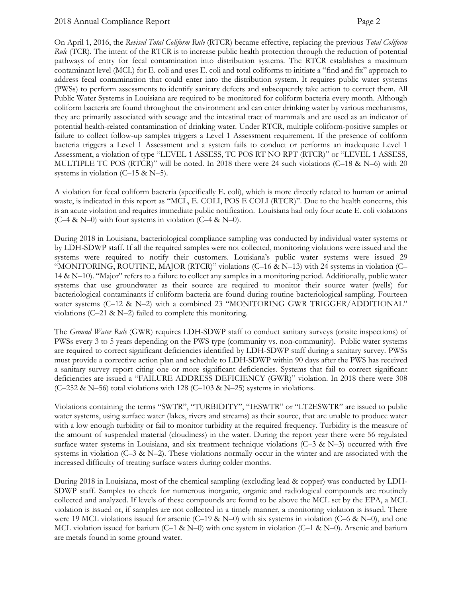On April 1, 2016, the *Revised Total Coliform Rule* (RTCR) became effective, replacing the previous *Total Coliform Rule* (TCR). The intent of the RTCR is to increase public health protection through the reduction of potential pathways of entry for fecal contamination into distribution systems. The RTCR establishes a maximum contaminant level (MCL) for E. coli and uses E. coli and total coliforms to initiate a "find and fix" approach to address fecal contamination that could enter into the distribution system. It requires public water systems (PWSs) to perform assessments to identify sanitary defects and subsequently take action to correct them. All Public Water Systems in Louisiana are required to be monitored for coliform bacteria every month. Although coliform bacteria are found throughout the environment and can enter drinking water by various mechanisms, they are primarily associated with sewage and the intestinal tract of mammals and are used as an indicator of potential health-related contamination of drinking water. Under RTCR, multiple coliform-positive samples or failure to collect follow-up samples triggers a Level 1 Assessment requirement. If the presence of coliform bacteria triggers a Level 1 Assessment and a system fails to conduct or performs an inadequate Level 1 Assessment, a violation of type "LEVEL 1 ASSESS, TC POS RT NO RPT (RTCR)" or "LEVEL 1 ASSESS, MULTIPLE TC POS (RTCR)" will be noted. In 2018 there were 24 such violations (C–18 & N–6) with 20 systems in violation  $(C-15 \& N-5)$ .

A violation for fecal coliform bacteria (specifically E. coli), which is more directly related to human or animal waste, is indicated in this report as "MCL, E. COLI, POS E COLI (RTCR)". Due to the health concerns, this is an acute violation and requires immediate public notification. Louisiana had only four acute E. coli violations  $(C-4 & N-0)$  with four systems in violation  $(C-4 & N-0)$ .

During 2018 in Louisiana, bacteriological compliance sampling was conducted by individual water systems or by LDH-SDWP staff. If all the required samples were not collected, monitoring violations were issued and the systems were required to notify their customers. Louisiana's public water systems were issued 29 "MONITORING, ROUTINE, MAJOR (RTCR)" violations (C–16 & N–13) with 24 systems in violation (C– 14 & N–10). "Major" refers to a failure to collect any samples in a monitoring period. Additionally, public water systems that use groundwater as their source are required to monitor their source water (wells) for bacteriological contaminants if coliform bacteria are found during routine bacteriological sampling. Fourteen water systems (C–12 & N–2) with a combined 23 "MONITORING GWR TRIGGER/ADDITIONAL" violations (C–21 & N–2) failed to complete this monitoring.

The *Ground Water Rule* (GWR) requires LDH-SDWP staff to conduct sanitary surveys (onsite inspections) of PWSs every 3 to 5 years depending on the PWS type (community vs. non-community). Public water systems are required to correct significant deficiencies identified by LDH-SDWP staff during a sanitary survey. PWSs must provide a corrective action plan and schedule to LDH-SDWP within 90 days after the PWS has received a sanitary survey report citing one or more significant deficiencies. Systems that fail to correct significant deficiencies are issued a "FAILURE ADDRESS DEFICIENCY (GWR)" violation. In 2018 there were 308 (C–252 & N–56) total violations with 128 (C–103 & N–25) systems in violations.

Violations containing the terms "SWTR", "TURBIDITY", "IESWTR" or "LT2ESWTR" are issued to public water systems, using surface water (lakes, rivers and streams) as their source, that are unable to produce water with a low enough turbidity or fail to monitor turbidity at the required frequency. Turbidity is the measure of the amount of suspended material (cloudiness) in the water. During the report year there were 56 regulated surface water systems in Louisiana, and six treatment technique violations ( $C-3 \& N-3$ ) occurred with five systems in violation ( $C$ –3 & N–2). These violations normally occur in the winter and are associated with the increased difficulty of treating surface waters during colder months.

During 2018 in Louisiana, most of the chemical sampling (excluding lead & copper) was conducted by LDH-SDWP staff. Samples to check for numerous inorganic, organic and radiological compounds are routinely collected and analyzed. If levels of these compounds are found to be above the MCL set by the EPA, a MCL violation is issued or, if samples are not collected in a timely manner, a monitoring violation is issued. There were 19 MCL violations issued for arsenic (C–19 & N–0) with six systems in violation (C–6 & N–0), and one MCL violation issued for barium (C–1 & N–0) with one system in violation (C–1 & N–0). Arsenic and barium are metals found in some ground water.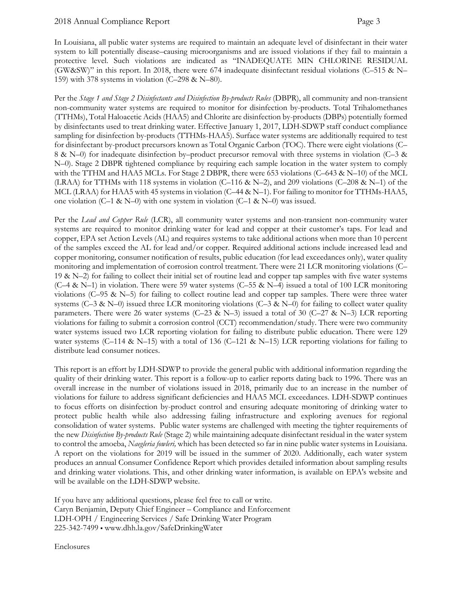In Louisiana, all public water systems are required to maintain an adequate level of disinfectant in their water system to kill potentially disease–causing microorganisms and are issued violations if they fail to maintain a protective level. Such violations are indicated as "INADEQUATE MIN CHLORINE RESIDUAL (GW&SW)" in this report. In 2018, there were 674 inadequate disinfectant residual violations (C–515 & N– 159) with 378 systems in violation (C–298 & N–80).

Per the *Stage 1 and Stage 2 Disinfectants and Disinfection By-products Rules* (DBPR), all community and non-transient non-community water systems are required to monitor for disinfection by-products. Total Trihalomethanes (TTHMs), Total Haloacetic Acids (HAA5) and Chlorite are disinfection by-products (DBPs) potentially formed by disinfectants used to treat drinking water. Effective January 1, 2017, LDH-SDWP staff conduct compliance sampling for disinfection by-products (TTHMs-HAA5). Surface water systems are additionally required to test for disinfectant by-product precursors known as Total Organic Carbon (TOC). There were eight violations (C– 8 & N–0) for inadequate disinfection by–product precursor removal with three systems in violation (C–3 & N–0). Stage 2 DBPR tightened compliance by requiring each sample location in the water system to comply with the TTHM and HAA5 MCLs. For Stage 2 DBPR, there were 653 violations (C–643 & N–10) of the MCL (LRAA) for TTHMs with 118 systems in violation (C–116 & N–2), and 209 violations (C–208 & N–1) of the MCL (LRAA) for HAA5 with 45 systems in violation (C–44 & N–1). For failing to monitor for TTHMs-HAA5, one violation (C–1 & N–0) with one system in violation (C–1 & N–0) was issued.

Per the *Lead and Copper Rule* (LCR), all community water systems and non-transient non-community water systems are required to monitor drinking water for lead and copper at their customer's taps. For lead and copper, EPA set Action Levels (AL) and requires systems to take additional actions when more than 10 percent of the samples exceed the AL for lead and/or copper. Required additional actions include increased lead and copper monitoring, consumer notification of results, public education (for lead exceedances only), water quality monitoring and implementation of corrosion control treatment. There were 21 LCR monitoring violations (C– 19  $\&$  N–2) for failing to collect their initial set of routine lead and copper tap samples with five water systems (C–4 & N–1) in violation. There were 59 water systems (C–55 & N–4) issued a total of 100 LCR monitoring violations (C–95 & N–5) for failing to collect routine lead and copper tap samples. There were three water systems (C–3 & N–0) issued three LCR monitoring violations (C–3 & N–0) for failing to collect water quality parameters. There were 26 water systems (C–23 & N–3) issued a total of 30 (C–27 & N–3) LCR reporting violations for failing to submit a corrosion control (CCT) recommendation/study. There were two community water systems issued two LCR reporting violation for failing to distribute public education. There were 129 water systems (C–114 & N–15) with a total of 136 (C–121 & N–15) LCR reporting violations for failing to distribute lead consumer notices.

This report is an effort by LDH-SDWP to provide the general public with additional information regarding the quality of their drinking water. This report is a follow-up to earlier reports dating back to 1996. There was an overall increase in the number of violations issued in 2018, primarily due to an increase in the number of violations for failure to address significant deficiencies and HAA5 MCL exceedances. LDH-SDWP continues to focus efforts on disinfection by-product control and ensuring adequate monitoring of drinking water to protect public health while also addressing failing infrastructure and exploring avenues for regional consolidation of water systems. Public water systems are challenged with meeting the tighter requirements of the new *Disinfection By-products Rule* (Stage 2) while maintaining adequate disinfectant residual in the water system to control the amoeba, *Naegleria fowleri,* which has been detected so far in nine public water systems in Louisiana. A report on the violations for 2019 will be issued in the summer of 2020. Additionally, each water system produces an annual Consumer Confidence Report which provides detailed information about sampling results and drinking water violations. This, and other drinking water information, is available on EPA's website and will be available on the LDH-SDWP website.

If you have any additional questions, please feel free to call or write. Caryn Benjamin, Deputy Chief Engineer – Compliance and Enforcement LDH-OPH / Engineering Services / Safe Drinking Water Program 225-342-7499 ▪ www.dhh.la.gov/SafeDrinkingWater

Enclosures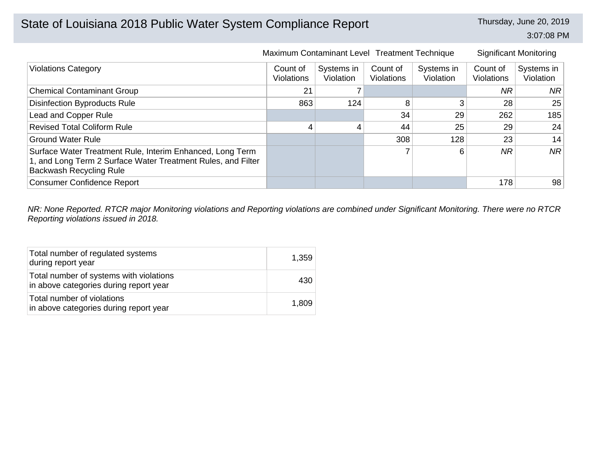3:07:08 PM

|                                                                                                                                                      |                               | Maximum Contaminant Level Treatment Technique |                               |                         |                               | <b>Significant Monitoring</b>  |
|------------------------------------------------------------------------------------------------------------------------------------------------------|-------------------------------|-----------------------------------------------|-------------------------------|-------------------------|-------------------------------|--------------------------------|
| <b>Violations Category</b>                                                                                                                           | Count of<br><b>Violations</b> | Systems in<br>Violation                       | Count of<br><b>Violations</b> | Systems in<br>Violation | Count of<br><b>Violations</b> | Systems in<br><b>Violation</b> |
| <b>Chemical Contaminant Group</b>                                                                                                                    | 21                            |                                               |                               |                         | NR.                           | NR.                            |
| <b>Disinfection Byproducts Rule</b>                                                                                                                  | 863                           | 124                                           | 8                             | 3                       | 28                            | 25                             |
| Lead and Copper Rule                                                                                                                                 |                               |                                               | 34                            | 29                      | 262                           | 185                            |
| <b>Revised Total Coliform Rule</b>                                                                                                                   | 4                             |                                               | 44                            | 25                      | 29                            | 24                             |
| <b>Ground Water Rule</b>                                                                                                                             |                               |                                               | 308                           | 128                     | 23                            | 14                             |
| Surface Water Treatment Rule, Interim Enhanced, Long Term<br>1, and Long Term 2 Surface Water Treatment Rules, and Filter<br>Backwash Recycling Rule |                               |                                               |                               | 6                       | <b>NR</b>                     | <b>NR</b>                      |
| <b>Consumer Confidence Report</b>                                                                                                                    |                               |                                               |                               |                         | 178                           | 98                             |

*NR: None Reported. RTCR major Monitoring violations and Reporting violations are combined under Significant Monitoring. There were no RTCR Reporting violations issued in 2018.*

| Total number of regulated systems<br>during report year                           | 1,359 |
|-----------------------------------------------------------------------------------|-------|
| Total number of systems with violations<br>in above categories during report year | 430   |
| Total number of violations<br>in above categories during report year              | 1,809 |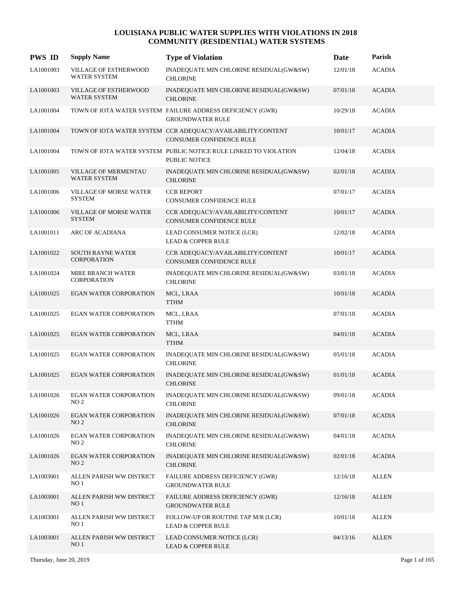| <b>PWS ID</b> | <b>Supply Name</b>                               | <b>Type of Violation</b>                                                                       | Date     | Parish        |
|---------------|--------------------------------------------------|------------------------------------------------------------------------------------------------|----------|---------------|
| LA1001003     | VILLAGE OF ESTHERWOOD<br><b>WATER SYSTEM</b>     | INADEQUATE MIN CHLORINE RESIDUAL(GW&SW)<br><b>CHLORINE</b>                                     | 12/01/18 | <b>ACADIA</b> |
| LA1001003     | VILLAGE OF ESTHERWOOD<br><b>WATER SYSTEM</b>     | INADEQUATE MIN CHLORINE RESIDUAL(GW&SW)<br><b>CHLORINE</b>                                     | 07/01/18 | <b>ACADIA</b> |
| LA1001004     |                                                  | TOWN OF IOTA WATER SYSTEM FAILURE ADDRESS DEFICIENCY (GWR)<br><b>GROUNDWATER RULE</b>          | 10/29/18 | <b>ACADIA</b> |
| LA1001004     |                                                  | TOWN OF IOTA WATER SYSTEM CCR ADEQUACY/AVAILABILITY/CONTENT<br><b>CONSUMER CONFIDENCE RULE</b> | 10/01/17 | <b>ACADIA</b> |
| LA1001004     |                                                  | TOWN OF IOTA WATER SYSTEM PUBLIC NOTICE RULE LINKED TO VIOLATION<br><b>PUBLIC NOTICE</b>       | 12/04/18 | <b>ACADIA</b> |
| LA1001005     | VILLAGE OF MERMENTAU<br><b>WATER SYSTEM</b>      | INADEQUATE MIN CHLORINE RESIDUAL(GW&SW)<br><b>CHLORINE</b>                                     | 02/01/18 | <b>ACADIA</b> |
| LA1001006     | <b>VILLAGE OF MORSE WATER</b><br><b>SYSTEM</b>   | <b>CCR REPORT</b><br>CONSUMER CONFIDENCE RULE                                                  | 07/01/17 | <b>ACADIA</b> |
| LA1001006     | <b>VILLAGE OF MORSE WATER</b><br><b>SYSTEM</b>   | CCR ADEQUACY/AVAILABILITY/CONTENT<br><b>CONSUMER CONFIDENCE RULE</b>                           | 10/01/17 | <b>ACADIA</b> |
| LA1001011     | ARC OF ACADIANA                                  | LEAD CONSUMER NOTICE (LCR)<br><b>LEAD &amp; COPPER RULE</b>                                    | 12/02/18 | <b>ACADIA</b> |
| LA1001022     | <b>SOUTH RAYNE WATER</b><br><b>CORPORATION</b>   | CCR ADEQUACY/AVAILABILITY/CONTENT<br><b>CONSUMER CONFIDENCE RULE</b>                           | 10/01/17 | <b>ACADIA</b> |
| LA1001024     | MIRE BRANCH WATER<br><b>CORPORATION</b>          | INADEQUATE MIN CHLORINE RESIDUAL(GW&SW)<br><b>CHLORINE</b>                                     | 03/01/18 | <b>ACADIA</b> |
| LA1001025     | <b>EGAN WATER CORPORATION</b>                    | MCL, LRAA<br><b>TTHM</b>                                                                       | 10/01/18 | <b>ACADIA</b> |
| LA1001025     | <b>EGAN WATER CORPORATION</b>                    | MCL, LRAA<br><b>TTHM</b>                                                                       | 07/01/18 | <b>ACADIA</b> |
| LA1001025     | <b>EGAN WATER CORPORATION</b>                    | MCL, LRAA<br><b>TTHM</b>                                                                       | 04/01/18 | <b>ACADIA</b> |
| LA1001025     | <b>EGAN WATER CORPORATION</b>                    | INADEQUATE MIN CHLORINE RESIDUAL(GW&SW)<br><b>CHLORINE</b>                                     | 05/01/18 | <b>ACADIA</b> |
| LA1001025     | <b>EGAN WATER CORPORATION</b>                    | INADEQUATE MIN CHLORINE RESIDUAL(GW&SW)<br><b>CHLORINE</b>                                     | 01/01/18 | <b>ACADIA</b> |
| LA1001026     | EGAN WATER CORPORATION<br>NO <sub>2</sub>        | INADEQUATE MIN CHLORINE RESIDUAL(GW&SW)<br><b>CHLORINE</b>                                     | 09/01/18 | <b>ACADIA</b> |
| LA1001026     | <b>EGAN WATER CORPORATION</b><br>NO <sub>2</sub> | INADEQUATE MIN CHLORINE RESIDUAL(GW&SW)<br><b>CHLORINE</b>                                     | 07/01/18 | <b>ACADIA</b> |
| LA1001026     | EGAN WATER CORPORATION<br>NO <sub>2</sub>        | INADEQUATE MIN CHLORINE RESIDUAL(GW&SW)<br><b>CHLORINE</b>                                     | 04/01/18 | $\bf ACADIA$  |
| LA1001026     | <b>EGAN WATER CORPORATION</b><br>NO <sub>2</sub> | INADEQUATE MIN CHLORINE RESIDUAL(GW&SW)<br><b>CHLORINE</b>                                     | 02/01/18 | <b>ACADIA</b> |
| LA1003001     | ALLEN PARISH WW DISTRICT<br>NO <sub>1</sub>      | FAILURE ADDRESS DEFICIENCY (GWR)<br><b>GROUNDWATER RULE</b>                                    | 12/16/18 | <b>ALLEN</b>  |
| LA1003001     | ALLEN PARISH WW DISTRICT<br>NO <sub>1</sub>      | FAILURE ADDRESS DEFICIENCY (GWR)<br><b>GROUNDWATER RULE</b>                                    | 12/16/18 | <b>ALLEN</b>  |
| LA1003001     | ALLEN PARISH WW DISTRICT<br>NO <sub>1</sub>      | FOLLOW-UP OR ROUTINE TAP M/R (LCR)<br><b>LEAD &amp; COPPER RULE</b>                            | 10/01/18 | <b>ALLEN</b>  |
| LA1003001     | ALLEN PARISH WW DISTRICT<br>NO <sub>1</sub>      | LEAD CONSUMER NOTICE (LCR)<br><b>LEAD &amp; COPPER RULE</b>                                    | 04/13/16 | <b>ALLEN</b>  |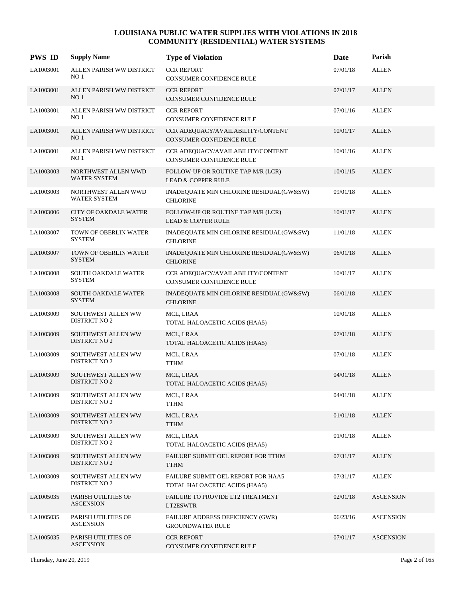| <b>PWS ID</b> | <b>Supply Name</b>                          | <b>Type of Violation</b>                                            | Date     | Parish           |
|---------------|---------------------------------------------|---------------------------------------------------------------------|----------|------------------|
| LA1003001     | ALLEN PARISH WW DISTRICT<br>NO <sub>1</sub> | <b>CCR REPORT</b><br>CONSUMER CONFIDENCE RULE                       | 07/01/18 | <b>ALLEN</b>     |
| LA1003001     | ALLEN PARISH WW DISTRICT<br>NO <sub>1</sub> | <b>CCR REPORT</b><br>CONSUMER CONFIDENCE RULE                       | 07/01/17 | <b>ALLEN</b>     |
| LA1003001     | ALLEN PARISH WW DISTRICT<br>NO <sub>1</sub> | <b>CCR REPORT</b><br>CONSUMER CONFIDENCE RULE                       | 07/01/16 | <b>ALLEN</b>     |
| LA1003001     | ALLEN PARISH WW DISTRICT<br>NO <sub>1</sub> | CCR ADEQUACY/AVAILABILITY/CONTENT<br>CONSUMER CONFIDENCE RULE       | 10/01/17 | <b>ALLEN</b>     |
| LA1003001     | ALLEN PARISH WW DISTRICT<br>NO 1            | CCR ADEQUACY/AVAILABILITY/CONTENT<br>CONSUMER CONFIDENCE RULE       | 10/01/16 | <b>ALLEN</b>     |
| LA1003003     | NORTHWEST ALLEN WWD<br>WATER SYSTEM         | FOLLOW-UP OR ROUTINE TAP M/R (LCR)<br><b>LEAD &amp; COPPER RULE</b> | 10/01/15 | <b>ALLEN</b>     |
| LA1003003     | NORTHWEST ALLEN WWD<br>WATER SYSTEM         | INADEQUATE MIN CHLORINE RESIDUAL(GW&SW)<br><b>CHLORINE</b>          | 09/01/18 | <b>ALLEN</b>     |
| LA1003006     | CITY OF OAKDALE WATER<br><b>SYSTEM</b>      | FOLLOW-UP OR ROUTINE TAP M/R (LCR)<br><b>LEAD &amp; COPPER RULE</b> | 10/01/17 | <b>ALLEN</b>     |
| LA1003007     | TOWN OF OBERLIN WATER<br><b>SYSTEM</b>      | INADEQUATE MIN CHLORINE RESIDUAL(GW&SW)<br><b>CHLORINE</b>          | 11/01/18 | <b>ALLEN</b>     |
| LA1003007     | TOWN OF OBERLIN WATER<br><b>SYSTEM</b>      | INADEQUATE MIN CHLORINE RESIDUAL(GW&SW)<br><b>CHLORINE</b>          | 06/01/18 | <b>ALLEN</b>     |
| LA1003008     | SOUTH OAKDALE WATER<br><b>SYSTEM</b>        | CCR ADEQUACY/AVAILABILITY/CONTENT<br>CONSUMER CONFIDENCE RULE       | 10/01/17 | <b>ALLEN</b>     |
| LA1003008     | <b>SOUTH OAKDALE WATER</b><br><b>SYSTEM</b> | INADEQUATE MIN CHLORINE RESIDUAL(GW&SW)<br><b>CHLORINE</b>          | 06/01/18 | <b>ALLEN</b>     |
| LA1003009     | SOUTHWEST ALLEN WW<br><b>DISTRICT NO 2</b>  | MCL, LRAA<br>TOTAL HALOACETIC ACIDS (HAA5)                          | 10/01/18 | <b>ALLEN</b>     |
| LA1003009     | SOUTHWEST ALLEN WW<br><b>DISTRICT NO 2</b>  | MCL, LRAA<br>TOTAL HALOACETIC ACIDS (HAA5)                          | 07/01/18 | <b>ALLEN</b>     |
| LA1003009     | SOUTHWEST ALLEN WW<br><b>DISTRICT NO 2</b>  | MCL, LRAA<br><b>TTHM</b>                                            | 07/01/18 | <b>ALLEN</b>     |
| LA1003009     | SOUTHWEST ALLEN WW<br><b>DISTRICT NO 2</b>  | MCL, LRAA<br>TOTAL HALOACETIC ACIDS (HAA5)                          | 04/01/18 | <b>ALLEN</b>     |
| LA1003009     | SOUTHWEST ALLEN WW<br><b>DISTRICT NO 2</b>  | MCL, LRAA<br><b>TTHM</b>                                            | 04/01/18 | <b>ALLEN</b>     |
| LA1003009     | SOUTHWEST ALLEN WW<br><b>DISTRICT NO 2</b>  | MCL, LRAA<br><b>TTHM</b>                                            | 01/01/18 | <b>ALLEN</b>     |
| LA1003009     | SOUTHWEST ALLEN WW<br><b>DISTRICT NO 2</b>  | MCL, LRAA<br>TOTAL HALOACETIC ACIDS (HAA5)                          | 01/01/18 | <b>ALLEN</b>     |
| LA1003009     | SOUTHWEST ALLEN WW<br><b>DISTRICT NO 2</b>  | FAILURE SUBMIT OEL REPORT FOR TTHM<br><b>TTHM</b>                   | 07/31/17 | <b>ALLEN</b>     |
| LA1003009     | SOUTHWEST ALLEN WW<br><b>DISTRICT NO 2</b>  | FAILURE SUBMIT OEL REPORT FOR HAA5<br>TOTAL HALOACETIC ACIDS (HAA5) | 07/31/17 | <b>ALLEN</b>     |
| LA1005035     | PARISH UTILITIES OF<br><b>ASCENSION</b>     | FAILURE TO PROVIDE LT2 TREATMENT<br>LT2ESWTR                        | 02/01/18 | <b>ASCENSION</b> |
| LA1005035     | PARISH UTILITIES OF<br><b>ASCENSION</b>     | FAILURE ADDRESS DEFICIENCY (GWR)<br><b>GROUNDWATER RULE</b>         | 06/23/16 | <b>ASCENSION</b> |
| LA1005035     | PARISH UTILITIES OF<br><b>ASCENSION</b>     | <b>CCR REPORT</b><br>CONSUMER CONFIDENCE RULE                       | 07/01/17 | <b>ASCENSION</b> |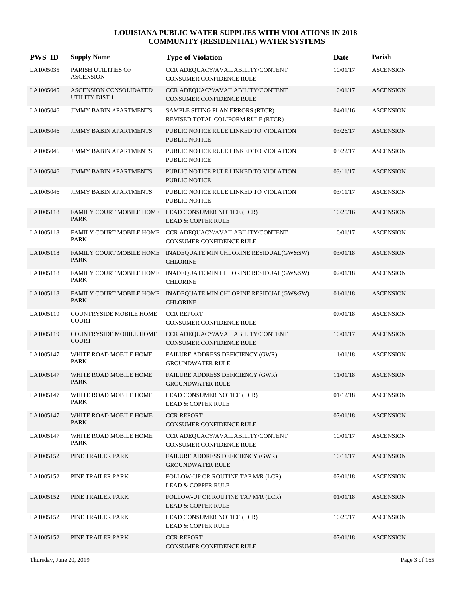| <b>PWS ID</b> | <b>Supply Name</b>                             | <b>Type of Violation</b>                                                               | Date     | Parish           |
|---------------|------------------------------------------------|----------------------------------------------------------------------------------------|----------|------------------|
| LA1005035     | PARISH UTILITIES OF<br><b>ASCENSION</b>        | CCR ADEQUACY/AVAILABILITY/CONTENT<br><b>CONSUMER CONFIDENCE RULE</b>                   | 10/01/17 | <b>ASCENSION</b> |
| LA1005045     | ASCENSION CONSOLIDATED<br>UTILITY DIST 1       | CCR ADEQUACY/AVAILABILITY/CONTENT<br><b>CONSUMER CONFIDENCE RULE</b>                   | 10/01/17 | <b>ASCENSION</b> |
| LA1005046     | <b>JIMMY BABIN APARTMENTS</b>                  | SAMPLE SITING PLAN ERRORS (RTCR)<br>REVISED TOTAL COLIFORM RULE (RTCR)                 | 04/01/16 | <b>ASCENSION</b> |
| LA1005046     | <b>JIMMY BABIN APARTMENTS</b>                  | PUBLIC NOTICE RULE LINKED TO VIOLATION<br><b>PUBLIC NOTICE</b>                         | 03/26/17 | <b>ASCENSION</b> |
| LA1005046     | <b>JIMMY BABIN APARTMENTS</b>                  | PUBLIC NOTICE RULE LINKED TO VIOLATION<br><b>PUBLIC NOTICE</b>                         | 03/22/17 | <b>ASCENSION</b> |
| LA1005046     | <b>JIMMY BABIN APARTMENTS</b>                  | PUBLIC NOTICE RULE LINKED TO VIOLATION<br><b>PUBLIC NOTICE</b>                         | 03/11/17 | <b>ASCENSION</b> |
| LA1005046     | <b>JIMMY BABIN APARTMENTS</b>                  | PUBLIC NOTICE RULE LINKED TO VIOLATION<br><b>PUBLIC NOTICE</b>                         | 03/11/17 | <b>ASCENSION</b> |
| LA1005118     | <b>PARK</b>                                    | FAMILY COURT MOBILE HOME LEAD CONSUMER NOTICE (LCR)<br><b>LEAD &amp; COPPER RULE</b>   | 10/25/16 | <b>ASCENSION</b> |
| LA1005118     | <b>PARK</b>                                    | FAMILY COURT MOBILE HOME CCR ADEQUACY/AVAILABILITY/CONTENT<br>CONSUMER CONFIDENCE RULE | 10/01/17 | <b>ASCENSION</b> |
| LA1005118     | <b>PARK</b>                                    | FAMILY COURT MOBILE HOME INADEQUATE MIN CHLORINE RESIDUAL(GW&SW)<br><b>CHLORINE</b>    | 03/01/18 | <b>ASCENSION</b> |
| LA1005118     | PARK                                           | FAMILY COURT MOBILE HOME INADEQUATE MIN CHLORINE RESIDUAL(GW&SW)<br><b>CHLORINE</b>    | 02/01/18 | <b>ASCENSION</b> |
| LA1005118     | FAMILY COURT MOBILE HOME<br><b>PARK</b>        | INADEQUATE MIN CHLORINE RESIDUAL(GW&SW)<br><b>CHLORINE</b>                             | 01/01/18 | <b>ASCENSION</b> |
| LA1005119     | COUNTRYSIDE MOBILE HOME<br><b>COURT</b>        | <b>CCR REPORT</b><br>CONSUMER CONFIDENCE RULE                                          | 07/01/18 | <b>ASCENSION</b> |
| LA1005119     | <b>COUNTRYSIDE MOBILE HOME</b><br><b>COURT</b> | CCR ADEQUACY/AVAILABILITY/CONTENT<br>CONSUMER CONFIDENCE RULE                          | 10/01/17 | <b>ASCENSION</b> |
| LA1005147     | WHITE ROAD MOBILE HOME<br>PARK                 | FAILURE ADDRESS DEFICIENCY (GWR)<br><b>GROUNDWATER RULE</b>                            | 11/01/18 | <b>ASCENSION</b> |
| LA1005147     | WHITE ROAD MOBILE HOME<br>PARK                 | FAILURE ADDRESS DEFICIENCY (GWR)<br><b>GROUNDWATER RULE</b>                            | 11/01/18 | <b>ASCENSION</b> |
| LA1005147     | WHITE ROAD MOBILE HOME<br>PARK                 | LEAD CONSUMER NOTICE (LCR)<br><b>LEAD &amp; COPPER RULE</b>                            | 01/12/18 | <b>ASCENSION</b> |
| LA1005147     | WHITE ROAD MOBILE HOME<br>PARK                 | <b>CCR REPORT</b><br>CONSUMER CONFIDENCE RULE                                          | 07/01/18 | <b>ASCENSION</b> |
| LA1005147     | WHITE ROAD MOBILE HOME<br>PARK                 | CCR ADEOUACY/AVAILABILITY/CONTENT<br>CONSUMER CONFIDENCE RULE                          | 10/01/17 | <b>ASCENSION</b> |
| LA1005152     | PINE TRAILER PARK                              | FAILURE ADDRESS DEFICIENCY (GWR)<br><b>GROUNDWATER RULE</b>                            | 10/11/17 | <b>ASCENSION</b> |
| LA1005152     | PINE TRAILER PARK                              | FOLLOW-UP OR ROUTINE TAP M/R (LCR)<br><b>LEAD &amp; COPPER RULE</b>                    | 07/01/18 | <b>ASCENSION</b> |
| LA1005152     | PINE TRAILER PARK                              | FOLLOW-UP OR ROUTINE TAP M/R (LCR)<br><b>LEAD &amp; COPPER RULE</b>                    | 01/01/18 | <b>ASCENSION</b> |
| LA1005152     | PINE TRAILER PARK                              | LEAD CONSUMER NOTICE (LCR)<br><b>LEAD &amp; COPPER RULE</b>                            | 10/25/17 | <b>ASCENSION</b> |
| LA1005152     | PINE TRAILER PARK                              | <b>CCR REPORT</b><br>CONSUMER CONFIDENCE RULE                                          | 07/01/18 | <b>ASCENSION</b> |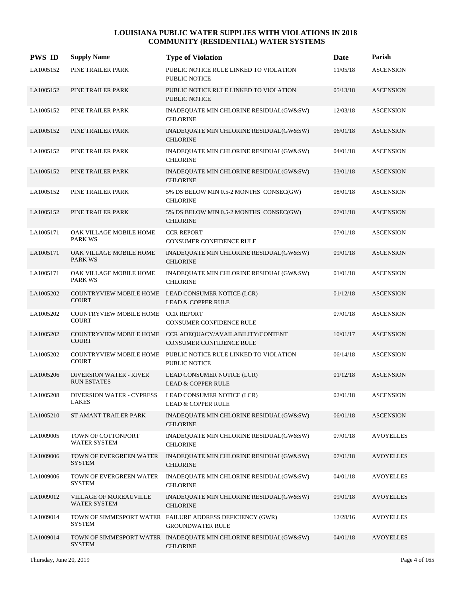| <b>PWS ID</b> | <b>Supply Name</b>                                   | <b>Type of Violation</b>                                                             | Date     | Parish           |
|---------------|------------------------------------------------------|--------------------------------------------------------------------------------------|----------|------------------|
| LA1005152     | PINE TRAILER PARK                                    | PUBLIC NOTICE RULE LINKED TO VIOLATION<br><b>PUBLIC NOTICE</b>                       | 11/05/18 | <b>ASCENSION</b> |
| LA1005152     | PINE TRAILER PARK                                    | PUBLIC NOTICE RULE LINKED TO VIOLATION<br><b>PUBLIC NOTICE</b>                       | 05/13/18 | <b>ASCENSION</b> |
| LA1005152     | PINE TRAILER PARK                                    | INADEQUATE MIN CHLORINE RESIDUAL(GW&SW)<br><b>CHLORINE</b>                           | 12/03/18 | <b>ASCENSION</b> |
| LA1005152     | PINE TRAILER PARK                                    | INADEQUATE MIN CHLORINE RESIDUAL(GW&SW)<br><b>CHLORINE</b>                           | 06/01/18 | <b>ASCENSION</b> |
| LA1005152     | PINE TRAILER PARK                                    | INADEQUATE MIN CHLORINE RESIDUAL(GW&SW)<br><b>CHLORINE</b>                           | 04/01/18 | <b>ASCENSION</b> |
| LA1005152     | PINE TRAILER PARK                                    | INADEQUATE MIN CHLORINE RESIDUAL(GW&SW)<br><b>CHLORINE</b>                           | 03/01/18 | <b>ASCENSION</b> |
| LA1005152     | PINE TRAILER PARK                                    | 5% DS BELOW MIN 0.5-2 MONTHS CONSEC(GW)<br><b>CHLORINE</b>                           | 08/01/18 | <b>ASCENSION</b> |
| LA1005152     | PINE TRAILER PARK                                    | 5% DS BELOW MIN 0.5-2 MONTHS CONSEC(GW)<br><b>CHLORINE</b>                           | 07/01/18 | <b>ASCENSION</b> |
| LA1005171     | OAK VILLAGE MOBILE HOME<br><b>PARK WS</b>            | <b>CCR REPORT</b><br>CONSUMER CONFIDENCE RULE                                        | 07/01/18 | <b>ASCENSION</b> |
| LA1005171     | OAK VILLAGE MOBILE HOME<br><b>PARK WS</b>            | INADEQUATE MIN CHLORINE RESIDUAL(GW&SW)<br><b>CHLORINE</b>                           | 09/01/18 | <b>ASCENSION</b> |
| LA1005171     | OAK VILLAGE MOBILE HOME<br><b>PARK WS</b>            | INADEQUATE MIN CHLORINE RESIDUAL(GW&SW)<br><b>CHLORINE</b>                           | 01/01/18 | <b>ASCENSION</b> |
| LA1005202     | <b>COURT</b>                                         | COUNTRYVIEW MOBILE HOME LEAD CONSUMER NOTICE (LCR)<br><b>LEAD &amp; COPPER RULE</b>  | 01/12/18 | <b>ASCENSION</b> |
| LA1005202     | COUNTRYVIEW MOBILE HOME CCR REPORT<br><b>COURT</b>   | <b>CONSUMER CONFIDENCE RULE</b>                                                      | 07/01/18 | <b>ASCENSION</b> |
| LA1005202     | <b>COUNTRYVIEW MOBILE HOME</b><br><b>COURT</b>       | CCR ADEQUACY/AVAILABILITY/CONTENT<br><b>CONSUMER CONFIDENCE RULE</b>                 | 10/01/17 | <b>ASCENSION</b> |
| LA1005202     | <b>COUNTRYVIEW MOBILE HOME</b><br><b>COURT</b>       | PUBLIC NOTICE RULE LINKED TO VIOLATION<br><b>PUBLIC NOTICE</b>                       | 06/14/18 | <b>ASCENSION</b> |
| LA1005206     | <b>DIVERSION WATER - RIVER</b><br><b>RUN ESTATES</b> | LEAD CONSUMER NOTICE (LCR)<br><b>LEAD &amp; COPPER RULE</b>                          | 01/12/18 | <b>ASCENSION</b> |
| LA1005208     | DIVERSION WATER - CYPRESS<br>LAKES                   | LEAD CONSUMER NOTICE (LCR)<br><b>LEAD &amp; COPPER RULE</b>                          | 02/01/18 | <b>ASCENSION</b> |
| LA1005210     | ST AMANT TRAILER PARK                                | INADEQUATE MIN CHLORINE RESIDUAL(GW&SW)<br><b>CHLORINE</b>                           | 06/01/18 | <b>ASCENSION</b> |
| LA1009005     | TOWN OF COTTONPORT<br>WATER SYSTEM                   | INADEQUATE MIN CHLORINE RESIDUAL(GW&SW)<br><b>CHLORINE</b>                           | 07/01/18 | <b>AVOYELLES</b> |
| LA1009006     | TOWN OF EVERGREEN WATER<br><b>SYSTEM</b>             | INADEQUATE MIN CHLORINE RESIDUAL(GW&SW)<br><b>CHLORINE</b>                           | 07/01/18 | <b>AVOYELLES</b> |
| LA1009006     | TOWN OF EVERGREEN WATER<br><b>SYSTEM</b>             | INADEQUATE MIN CHLORINE RESIDUAL(GW&SW)<br><b>CHLORINE</b>                           | 04/01/18 | <b>AVOYELLES</b> |
| LA1009012     | VILLAGE OF MOREAUVILLE<br>WATER SYSTEM               | INADEQUATE MIN CHLORINE RESIDUAL(GW&SW)<br><b>CHLORINE</b>                           | 09/01/18 | <b>AVOYELLES</b> |
| LA1009014     | <b>SYSTEM</b>                                        | TOWN OF SIMMESPORT WATER FAILURE ADDRESS DEFICIENCY (GWR)<br><b>GROUNDWATER RULE</b> | 12/28/16 | <b>AVOYELLES</b> |
| LA1009014     | <b>SYSTEM</b>                                        | TOWN OF SIMMESPORT WATER INADEQUATE MIN CHLORINE RESIDUAL(GW&SW)<br><b>CHLORINE</b>  | 04/01/18 | <b>AVOYELLES</b> |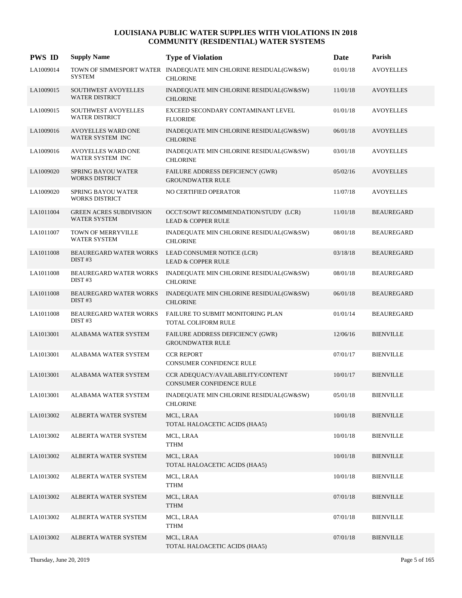| <b>PWS ID</b> | <b>Supply Name</b>                                    | <b>Type of Violation</b>                                                            | Date     | Parish            |
|---------------|-------------------------------------------------------|-------------------------------------------------------------------------------------|----------|-------------------|
| LA1009014     | <b>SYSTEM</b>                                         | TOWN OF SIMMESPORT WATER INADEQUATE MIN CHLORINE RESIDUAL(GW&SW)<br><b>CHLORINE</b> | 01/01/18 | <b>AVOYELLES</b>  |
| LA1009015     | SOUTHWEST AVOYELLES<br><b>WATER DISTRICT</b>          | INADEQUATE MIN CHLORINE RESIDUAL(GW&SW)<br><b>CHLORINE</b>                          | 11/01/18 | <b>AVOYELLES</b>  |
| LA1009015     | SOUTHWEST AVOYELLES<br><b>WATER DISTRICT</b>          | EXCEED SECONDARY CONTAMINANT LEVEL<br><b>FLUORIDE</b>                               | 01/01/18 | <b>AVOYELLES</b>  |
| LA1009016     | <b>AVOYELLES WARD ONE</b><br>WATER SYSTEM INC         | INADEQUATE MIN CHLORINE RESIDUAL(GW&SW)<br><b>CHLORINE</b>                          | 06/01/18 | <b>AVOYELLES</b>  |
| LA1009016     | AVOYELLES WARD ONE<br>WATER SYSTEM INC                | INADEQUATE MIN CHLORINE RESIDUAL(GW&SW)<br><b>CHLORINE</b>                          | 03/01/18 | <b>AVOYELLES</b>  |
| LA1009020     | <b>SPRING BAYOU WATER</b><br><b>WORKS DISTRICT</b>    | FAILURE ADDRESS DEFICIENCY (GWR)<br><b>GROUNDWATER RULE</b>                         | 05/02/16 | <b>AVOYELLES</b>  |
| LA1009020     | <b>SPRING BAYOU WATER</b><br><b>WORKS DISTRICT</b>    | NO CERTIFIED OPERATOR                                                               | 11/07/18 | <b>AVOYELLES</b>  |
| LA1011004     | <b>GREEN ACRES SUBDIVISION</b><br><b>WATER SYSTEM</b> | OCCT/SOWT RECOMMENDATION/STUDY (LCR)<br><b>LEAD &amp; COPPER RULE</b>               | 11/01/18 | <b>BEAUREGARD</b> |
| LA1011007     | TOWN OF MERRYVILLE<br><b>WATER SYSTEM</b>             | INADEQUATE MIN CHLORINE RESIDUAL(GW&SW)<br><b>CHLORINE</b>                          | 08/01/18 | <b>BEAUREGARD</b> |
| LA1011008     | <b>BEAUREGARD WATER WORKS</b><br>DIST#3               | LEAD CONSUMER NOTICE (LCR)<br><b>LEAD &amp; COPPER RULE</b>                         | 03/18/18 | <b>BEAUREGARD</b> |
| LA1011008     | <b>BEAUREGARD WATER WORKS</b><br>DIST#3               | INADEQUATE MIN CHLORINE RESIDUAL(GW&SW)<br><b>CHLORINE</b>                          | 08/01/18 | <b>BEAUREGARD</b> |
| LA1011008     | <b>BEAUREGARD WATER WORKS</b><br>DIST#3               | INADEQUATE MIN CHLORINE RESIDUAL(GW&SW)<br><b>CHLORINE</b>                          | 06/01/18 | <b>BEAUREGARD</b> |
| LA1011008     | <b>BEAUREGARD WATER WORKS</b><br>DIST#3               | FAILURE TO SUBMIT MONITORING PLAN<br>TOTAL COLIFORM RULE                            | 01/01/14 | <b>BEAUREGARD</b> |
| LA1013001     | ALABAMA WATER SYSTEM                                  | FAILURE ADDRESS DEFICIENCY (GWR)<br><b>GROUNDWATER RULE</b>                         | 12/06/16 | <b>BIENVILLE</b>  |
| LA1013001     | ALABAMA WATER SYSTEM                                  | <b>CCR REPORT</b><br>CONSUMER CONFIDENCE RULE                                       | 07/01/17 | <b>BIENVILLE</b>  |
| LA1013001     | ALABAMA WATER SYSTEM                                  | CCR ADEQUACY/AVAILABILITY/CONTENT<br><b>CONSUMER CONFIDENCE RULE</b>                | 10/01/17 | <b>BIENVILLE</b>  |
| LA1013001     | ALABAMA WATER SYSTEM                                  | INADEQUATE MIN CHLORINE RESIDUAL(GW&SW)<br><b>CHLORINE</b>                          | 05/01/18 | <b>BIENVILLE</b>  |
| LA1013002     | ALBERTA WATER SYSTEM                                  | MCL, LRAA<br>TOTAL HALOACETIC ACIDS (HAA5)                                          | 10/01/18 | <b>BIENVILLE</b>  |
| LA1013002     | ALBERTA WATER SYSTEM                                  | MCL, LRAA<br><b>TTHM</b>                                                            | 10/01/18 | <b>BIENVILLE</b>  |
| LA1013002     | ALBERTA WATER SYSTEM                                  | MCL, LRAA<br>TOTAL HALOACETIC ACIDS (HAA5)                                          | 10/01/18 | <b>BIENVILLE</b>  |
| LA1013002     | ALBERTA WATER SYSTEM                                  | MCL, LRAA<br><b>TTHM</b>                                                            | 10/01/18 | <b>BIENVILLE</b>  |
| LA1013002     | ALBERTA WATER SYSTEM                                  | MCL, LRAA<br><b>TTHM</b>                                                            | 07/01/18 | <b>BIENVILLE</b>  |
| LA1013002     | ALBERTA WATER SYSTEM                                  | MCL, LRAA<br><b>TTHM</b>                                                            | 07/01/18 | <b>BIENVILLE</b>  |
| LA1013002     | ALBERTA WATER SYSTEM                                  | MCL, LRAA<br>TOTAL HALOACETIC ACIDS (HAA5)                                          | 07/01/18 | <b>BIENVILLE</b>  |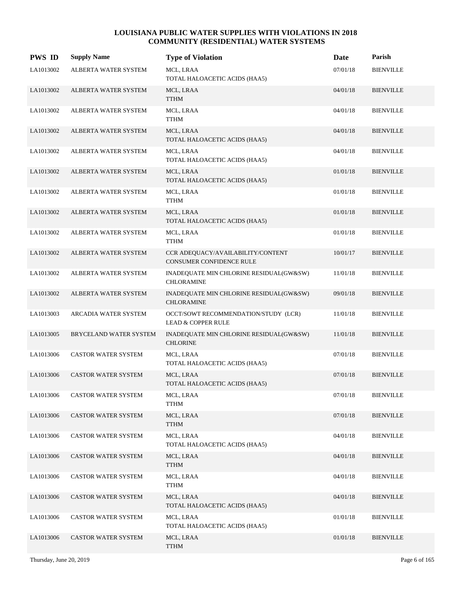| <b>PWS ID</b> | <b>Supply Name</b>          | <b>Type of Violation</b>                                              | Date     | Parish           |
|---------------|-----------------------------|-----------------------------------------------------------------------|----------|------------------|
| LA1013002     | ALBERTA WATER SYSTEM        | MCL, LRAA<br>TOTAL HALOACETIC ACIDS (HAA5)                            | 07/01/18 | <b>BIENVILLE</b> |
| LA1013002     | ALBERTA WATER SYSTEM        | MCL, LRAA<br><b>TTHM</b>                                              | 04/01/18 | <b>BIENVILLE</b> |
| LA1013002     | ALBERTA WATER SYSTEM        | MCL, LRAA<br><b>TTHM</b>                                              | 04/01/18 | <b>BIENVILLE</b> |
| LA1013002     | <b>ALBERTA WATER SYSTEM</b> | MCL, LRAA<br>TOTAL HALOACETIC ACIDS (HAA5)                            | 04/01/18 | <b>BIENVILLE</b> |
| LA1013002     | ALBERTA WATER SYSTEM        | MCL, LRAA<br>TOTAL HALOACETIC ACIDS (HAA5)                            | 04/01/18 | <b>BIENVILLE</b> |
| LA1013002     | ALBERTA WATER SYSTEM        | MCL, LRAA<br>TOTAL HALOACETIC ACIDS (HAA5)                            | 01/01/18 | <b>BIENVILLE</b> |
| LA1013002     | ALBERTA WATER SYSTEM        | MCL, LRAA<br><b>TTHM</b>                                              | 01/01/18 | <b>BIENVILLE</b> |
| LA1013002     | ALBERTA WATER SYSTEM        | MCL, LRAA<br>TOTAL HALOACETIC ACIDS (HAA5)                            | 01/01/18 | <b>BIENVILLE</b> |
| LA1013002     | ALBERTA WATER SYSTEM        | MCL, LRAA<br><b>TTHM</b>                                              | 01/01/18 | <b>BIENVILLE</b> |
| LA1013002     | ALBERTA WATER SYSTEM        | CCR ADEQUACY/AVAILABILITY/CONTENT<br><b>CONSUMER CONFIDENCE RULE</b>  | 10/01/17 | <b>BIENVILLE</b> |
| LA1013002     | ALBERTA WATER SYSTEM        | INADEQUATE MIN CHLORINE RESIDUAL(GW&SW)<br><b>CHLORAMINE</b>          | 11/01/18 | <b>BIENVILLE</b> |
| LA1013002     | ALBERTA WATER SYSTEM        | INADEQUATE MIN CHLORINE RESIDUAL(GW&SW)<br><b>CHLORAMINE</b>          | 09/01/18 | <b>BIENVILLE</b> |
| LA1013003     | ARCADIA WATER SYSTEM        | OCCT/SOWT RECOMMENDATION/STUDY (LCR)<br><b>LEAD &amp; COPPER RULE</b> | 11/01/18 | <b>BIENVILLE</b> |
| LA1013005     | BRYCELAND WATER SYSTEM      | INADEQUATE MIN CHLORINE RESIDUAL(GW&SW)<br><b>CHLORINE</b>            | 11/01/18 | <b>BIENVILLE</b> |
| LA1013006     | <b>CASTOR WATER SYSTEM</b>  | MCL, LRAA<br>TOTAL HALOACETIC ACIDS (HAA5)                            | 07/01/18 | <b>BIENVILLE</b> |
| LA1013006     | <b>CASTOR WATER SYSTEM</b>  | MCL, LRAA<br>TOTAL HALOACETIC ACIDS (HAA5)                            | 07/01/18 | <b>BIENVILLE</b> |
| LA1013006     | CASTOR WATER SYSTEM         | MCL, LRAA<br><b>TTHM</b>                                              | 07/01/18 | <b>BIENVILLE</b> |
| LA1013006     | CASTOR WATER SYSTEM         | MCL, LRAA<br><b>TTHM</b>                                              | 07/01/18 | <b>BIENVILLE</b> |
| LA1013006     | CASTOR WATER SYSTEM         | MCL, LRAA<br>TOTAL HALOACETIC ACIDS (HAA5)                            | 04/01/18 | <b>BIENVILLE</b> |
| LA1013006     | CASTOR WATER SYSTEM         | MCL, LRAA<br><b>TTHM</b>                                              | 04/01/18 | <b>BIENVILLE</b> |
| LA1013006     | CASTOR WATER SYSTEM         | MCL, LRAA<br><b>TTHM</b>                                              | 04/01/18 | <b>BIENVILLE</b> |
| LA1013006     | <b>CASTOR WATER SYSTEM</b>  | MCL, LRAA<br>TOTAL HALOACETIC ACIDS (HAA5)                            | 04/01/18 | <b>BIENVILLE</b> |
| LA1013006     | CASTOR WATER SYSTEM         | MCL, LRAA<br>TOTAL HALOACETIC ACIDS (HAA5)                            | 01/01/18 | <b>BIENVILLE</b> |
| LA1013006     | CASTOR WATER SYSTEM         | MCL, LRAA<br><b>TTHM</b>                                              | 01/01/18 | <b>BIENVILLE</b> |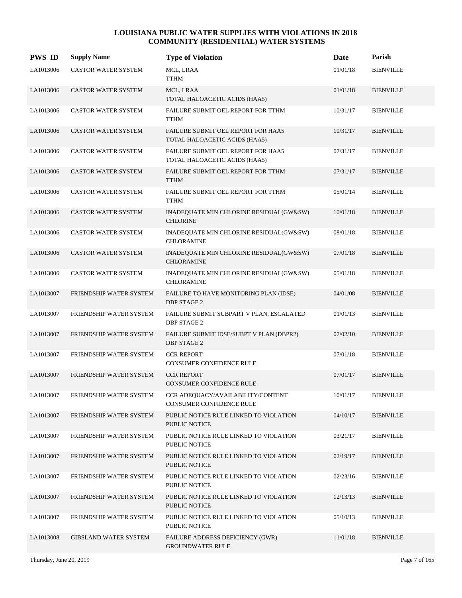| <b>PWS ID</b> | <b>Supply Name</b>           | <b>Type of Violation</b>                                            | Date     | Parish           |
|---------------|------------------------------|---------------------------------------------------------------------|----------|------------------|
| LA1013006     | CASTOR WATER SYSTEM          | MCL, LRAA<br><b>TTHM</b>                                            | 01/01/18 | <b>BIENVILLE</b> |
| LA1013006     | <b>CASTOR WATER SYSTEM</b>   | MCL, LRAA<br>TOTAL HALOACETIC ACIDS (HAA5)                          | 01/01/18 | <b>BIENVILLE</b> |
| LA1013006     | CASTOR WATER SYSTEM          | FAILURE SUBMIT OEL REPORT FOR TTHM<br>TTHM                          | 10/31/17 | <b>BIENVILLE</b> |
| LA1013006     | <b>CASTOR WATER SYSTEM</b>   | FAILURE SUBMIT OEL REPORT FOR HAA5<br>TOTAL HALOACETIC ACIDS (HAA5) | 10/31/17 | <b>BIENVILLE</b> |
| LA1013006     | CASTOR WATER SYSTEM          | FAILURE SUBMIT OEL REPORT FOR HAA5<br>TOTAL HALOACETIC ACIDS (HAA5) | 07/31/17 | <b>BIENVILLE</b> |
| LA1013006     | <b>CASTOR WATER SYSTEM</b>   | FAILURE SUBMIT OEL REPORT FOR TTHM<br><b>TTHM</b>                   | 07/31/17 | <b>BIENVILLE</b> |
| LA1013006     | CASTOR WATER SYSTEM          | FAILURE SUBMIT OEL REPORT FOR TTHM<br><b>TTHM</b>                   | 05/01/14 | <b>BIENVILLE</b> |
| LA1013006     | <b>CASTOR WATER SYSTEM</b>   | INADEQUATE MIN CHLORINE RESIDUAL(GW&SW)<br><b>CHLORINE</b>          | 10/01/18 | <b>BIENVILLE</b> |
| LA1013006     | CASTOR WATER SYSTEM          | INADEQUATE MIN CHLORINE RESIDUAL(GW&SW)<br><b>CHLORAMINE</b>        | 08/01/18 | <b>BIENVILLE</b> |
| LA1013006     | <b>CASTOR WATER SYSTEM</b>   | INADEQUATE MIN CHLORINE RESIDUAL(GW&SW)<br><b>CHLORAMINE</b>        | 07/01/18 | <b>BIENVILLE</b> |
| LA1013006     | <b>CASTOR WATER SYSTEM</b>   | INADEQUATE MIN CHLORINE RESIDUAL(GW&SW)<br><b>CHLORAMINE</b>        | 05/01/18 | <b>BIENVILLE</b> |
| LA1013007     | FRIENDSHIP WATER SYSTEM      | FAILURE TO HAVE MONITORING PLAN (IDSE)<br><b>DBP STAGE 2</b>        | 04/01/08 | <b>BIENVILLE</b> |
| LA1013007     | FRIENDSHIP WATER SYSTEM      | FAILURE SUBMIT SUBPART V PLAN, ESCALATED<br><b>DBP STAGE 2</b>      | 01/01/13 | <b>BIENVILLE</b> |
| LA1013007     | FRIENDSHIP WATER SYSTEM      | FAILURE SUBMIT IDSE/SUBPT V PLAN (DBPR2)<br><b>DBP STAGE 2</b>      | 07/02/10 | <b>BIENVILLE</b> |
| LA1013007     | FRIENDSHIP WATER SYSTEM      | <b>CCR REPORT</b><br>CONSUMER CONFIDENCE RULE                       | 07/01/18 | <b>BIENVILLE</b> |
| LA1013007     | FRIENDSHIP WATER SYSTEM      | <b>CCR REPORT</b><br><b>CONSUMER CONFIDENCE RULE</b>                | 07/01/17 | <b>BIENVILLE</b> |
| LA1013007     | FRIENDSHIP WATER SYSTEM      | CCR ADEQUACY/AVAILABILITY/CONTENT<br>CONSUMER CONFIDENCE RULE       | 10/01/17 | <b>BIENVILLE</b> |
| LA1013007     | FRIENDSHIP WATER SYSTEM      | PUBLIC NOTICE RULE LINKED TO VIOLATION<br><b>PUBLIC NOTICE</b>      | 04/10/17 | <b>BIENVILLE</b> |
| LA1013007     | FRIENDSHIP WATER SYSTEM      | PUBLIC NOTICE RULE LINKED TO VIOLATION<br>PUBLIC NOTICE             | 03/21/17 | <b>BIENVILLE</b> |
| LA1013007     | FRIENDSHIP WATER SYSTEM      | PUBLIC NOTICE RULE LINKED TO VIOLATION<br>PUBLIC NOTICE             | 02/19/17 | <b>BIENVILLE</b> |
| LA1013007     | FRIENDSHIP WATER SYSTEM      | PUBLIC NOTICE RULE LINKED TO VIOLATION<br>PUBLIC NOTICE             | 02/23/16 | <b>BIENVILLE</b> |
| LA1013007     | FRIENDSHIP WATER SYSTEM      | PUBLIC NOTICE RULE LINKED TO VIOLATION<br>PUBLIC NOTICE             | 12/13/13 | <b>BIENVILLE</b> |
| LA1013007     | FRIENDSHIP WATER SYSTEM      | PUBLIC NOTICE RULE LINKED TO VIOLATION<br>PUBLIC NOTICE             | 05/10/13 | <b>BIENVILLE</b> |
| LA1013008     | <b>GIBSLAND WATER SYSTEM</b> | FAILURE ADDRESS DEFICIENCY (GWR)<br><b>GROUNDWATER RULE</b>         | 11/01/18 | <b>BIENVILLE</b> |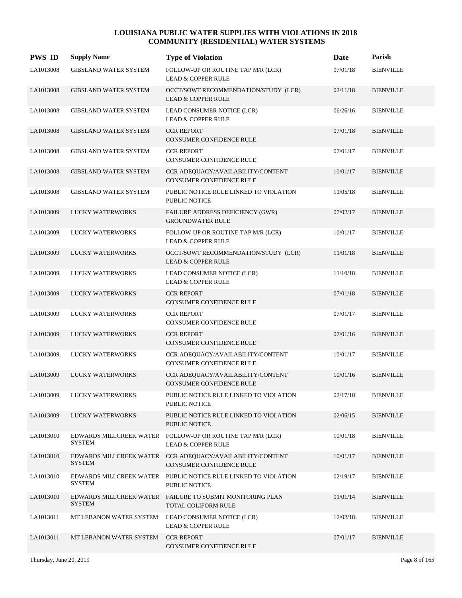| <b>PWS ID</b> | <b>Supply Name</b>                       | <b>Type of Violation</b>                                                                    | Date     | Parish           |
|---------------|------------------------------------------|---------------------------------------------------------------------------------------------|----------|------------------|
| LA1013008     | <b>GIBSLAND WATER SYSTEM</b>             | FOLLOW-UP OR ROUTINE TAP M/R (LCR)<br><b>LEAD &amp; COPPER RULE</b>                         | 07/01/18 | <b>BIENVILLE</b> |
| LA1013008     | <b>GIBSLAND WATER SYSTEM</b>             | OCCT/SOWT RECOMMENDATION/STUDY (LCR)<br><b>LEAD &amp; COPPER RULE</b>                       | 02/11/18 | <b>BIENVILLE</b> |
| LA1013008     | <b>GIBSLAND WATER SYSTEM</b>             | LEAD CONSUMER NOTICE (LCR)<br><b>LEAD &amp; COPPER RULE</b>                                 | 06/26/16 | <b>BIENVILLE</b> |
| LA1013008     | <b>GIBSLAND WATER SYSTEM</b>             | <b>CCR REPORT</b><br><b>CONSUMER CONFIDENCE RULE</b>                                        | 07/01/18 | <b>BIENVILLE</b> |
| LA1013008     | GIBSLAND WATER SYSTEM                    | <b>CCR REPORT</b><br>CONSUMER CONFIDENCE RULE                                               | 07/01/17 | <b>BIENVILLE</b> |
| LA1013008     | <b>GIBSLAND WATER SYSTEM</b>             | CCR ADEQUACY/AVAILABILITY/CONTENT<br>CONSUMER CONFIDENCE RULE                               | 10/01/17 | <b>BIENVILLE</b> |
| LA1013008     | <b>GIBSLAND WATER SYSTEM</b>             | PUBLIC NOTICE RULE LINKED TO VIOLATION<br><b>PUBLIC NOTICE</b>                              | 11/05/18 | <b>BIENVILLE</b> |
| LA1013009     | <b>LUCKY WATERWORKS</b>                  | FAILURE ADDRESS DEFICIENCY (GWR)<br><b>GROUNDWATER RULE</b>                                 | 07/02/17 | <b>BIENVILLE</b> |
| LA1013009     | LUCKY WATERWORKS                         | FOLLOW-UP OR ROUTINE TAP M/R (LCR)<br><b>LEAD &amp; COPPER RULE</b>                         | 10/01/17 | <b>BIENVILLE</b> |
| LA1013009     | <b>LUCKY WATERWORKS</b>                  | OCCT/SOWT RECOMMENDATION/STUDY (LCR)<br><b>LEAD &amp; COPPER RULE</b>                       | 11/01/18 | <b>BIENVILLE</b> |
| LA1013009     | LUCKY WATERWORKS                         | LEAD CONSUMER NOTICE (LCR)<br><b>LEAD &amp; COPPER RULE</b>                                 | 11/10/18 | <b>BIENVILLE</b> |
| LA1013009     | LUCKY WATERWORKS                         | <b>CCR REPORT</b><br>CONSUMER CONFIDENCE RULE                                               | 07/01/18 | <b>BIENVILLE</b> |
| LA1013009     | LUCKY WATERWORKS                         | <b>CCR REPORT</b><br>CONSUMER CONFIDENCE RULE                                               | 07/01/17 | <b>BIENVILLE</b> |
| LA1013009     | <b>LUCKY WATERWORKS</b>                  | <b>CCR REPORT</b><br>CONSUMER CONFIDENCE RULE                                               | 07/01/16 | <b>BIENVILLE</b> |
| LA1013009     | LUCKY WATERWORKS                         | CCR ADEQUACY/AVAILABILITY/CONTENT<br>CONSUMER CONFIDENCE RULE                               | 10/01/17 | <b>BIENVILLE</b> |
| LA1013009     | LUCKY WATERWORKS                         | CCR ADEQUACY/AVAILABILITY/CONTENT<br><b>CONSUMER CONFIDENCE RULE</b>                        | 10/01/16 | <b>BIENVILLE</b> |
| LA1013009     | <b>LUCKY WATERWORKS</b>                  | PUBLIC NOTICE RULE LINKED TO VIOLATION<br>PUBLIC NOTICE                                     | 02/17/18 | <b>BIENVILLE</b> |
| LA1013009     | LUCKY WATERWORKS                         | PUBLIC NOTICE RULE LINKED TO VIOLATION<br><b>PUBLIC NOTICE</b>                              | 02/06/15 | <b>BIENVILLE</b> |
| LA1013010     | SYSTEM                                   | EDWARDS MILLCREEK WATER FOLLOW-UP OR ROUTINE TAP M/R (LCR)<br><b>LEAD &amp; COPPER RULE</b> | 10/01/18 | <b>BIENVILLE</b> |
| LA1013010     | EDWARDS MILLCREEK WATER<br><b>SYSTEM</b> | CCR ADEQUACY/AVAILABILITY/CONTENT<br>CONSUMER CONFIDENCE RULE                               | 10/01/17 | <b>BIENVILLE</b> |
| LA1013010     | <b>SYSTEM</b>                            | EDWARDS MILLCREEK WATER PUBLIC NOTICE RULE LINKED TO VIOLATION<br>PUBLIC NOTICE             | 02/19/17 | <b>BIENVILLE</b> |
| LA1013010     | <b>SYSTEM</b>                            | EDWARDS MILLCREEK WATER FAILURE TO SUBMIT MONITORING PLAN<br>TOTAL COLIFORM RULE            | 01/01/14 | <b>BIENVILLE</b> |
| LA1013011     | MT LEBANON WATER SYSTEM                  | LEAD CONSUMER NOTICE (LCR)<br><b>LEAD &amp; COPPER RULE</b>                                 | 12/02/18 | <b>BIENVILLE</b> |
| LA1013011     | MT LEBANON WATER SYSTEM                  | <b>CCR REPORT</b><br>CONSUMER CONFIDENCE RULE                                               | 07/01/17 | <b>BIENVILLE</b> |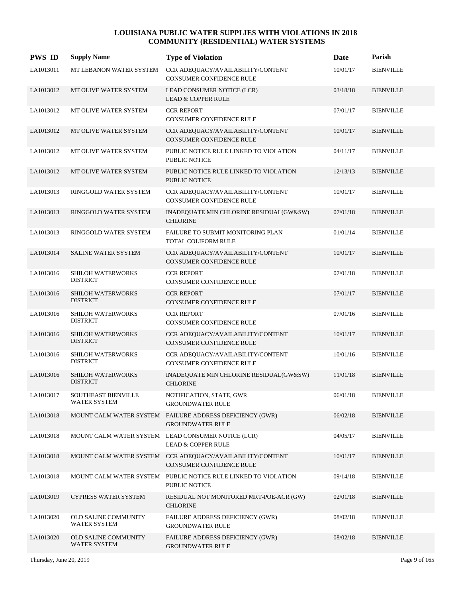| <b>PWS ID</b> | <b>Supply Name</b>                          | <b>Type of Violation</b>                                                                     | Date     | Parish           |
|---------------|---------------------------------------------|----------------------------------------------------------------------------------------------|----------|------------------|
| LA1013011     | MT LEBANON WATER SYSTEM                     | CCR ADEQUACY/AVAILABILITY/CONTENT<br><b>CONSUMER CONFIDENCE RULE</b>                         | 10/01/17 | <b>BIENVILLE</b> |
| LA1013012     | MT OLIVE WATER SYSTEM                       | LEAD CONSUMER NOTICE (LCR)<br><b>LEAD &amp; COPPER RULE</b>                                  | 03/18/18 | <b>BIENVILLE</b> |
| LA1013012     | MT OLIVE WATER SYSTEM                       | <b>CCR REPORT</b><br>CONSUMER CONFIDENCE RULE                                                | 07/01/17 | <b>BIENVILLE</b> |
| LA1013012     | MT OLIVE WATER SYSTEM                       | CCR ADEQUACY/AVAILABILITY/CONTENT<br>CONSUMER CONFIDENCE RULE                                | 10/01/17 | <b>BIENVILLE</b> |
| LA1013012     | MT OLIVE WATER SYSTEM                       | PUBLIC NOTICE RULE LINKED TO VIOLATION<br>PUBLIC NOTICE                                      | 04/11/17 | <b>BIENVILLE</b> |
| LA1013012     | MT OLIVE WATER SYSTEM                       | PUBLIC NOTICE RULE LINKED TO VIOLATION<br><b>PUBLIC NOTICE</b>                               | 12/13/13 | <b>BIENVILLE</b> |
| LA1013013     | RINGGOLD WATER SYSTEM                       | CCR ADEQUACY/AVAILABILITY/CONTENT<br>CONSUMER CONFIDENCE RULE                                | 10/01/17 | <b>BIENVILLE</b> |
| LA1013013     | RINGGOLD WATER SYSTEM                       | INADEQUATE MIN CHLORINE RESIDUAL(GW&SW)<br><b>CHLORINE</b>                                   | 07/01/18 | <b>BIENVILLE</b> |
| LA1013013     | RINGGOLD WATER SYSTEM                       | FAILURE TO SUBMIT MONITORING PLAN<br>TOTAL COLIFORM RULE                                     | 01/01/14 | <b>BIENVILLE</b> |
| LA1013014     | SALINE WATER SYSTEM                         | CCR ADEQUACY/AVAILABILITY/CONTENT<br>CONSUMER CONFIDENCE RULE                                | 10/01/17 | <b>BIENVILLE</b> |
| LA1013016     | <b>SHILOH WATERWORKS</b><br><b>DISTRICT</b> | <b>CCR REPORT</b><br>CONSUMER CONFIDENCE RULE                                                | 07/01/18 | <b>BIENVILLE</b> |
| LA1013016     | SHILOH WATERWORKS<br><b>DISTRICT</b>        | <b>CCR REPORT</b><br>CONSUMER CONFIDENCE RULE                                                | 07/01/17 | <b>BIENVILLE</b> |
| LA1013016     | SHILOH WATERWORKS<br><b>DISTRICT</b>        | <b>CCR REPORT</b><br>CONSUMER CONFIDENCE RULE                                                | 07/01/16 | <b>BIENVILLE</b> |
| LA1013016     | SHILOH WATERWORKS<br><b>DISTRICT</b>        | CCR ADEQUACY/AVAILABILITY/CONTENT<br><b>CONSUMER CONFIDENCE RULE</b>                         | 10/01/17 | <b>BIENVILLE</b> |
| LA1013016     | SHILOH WATERWORKS<br><b>DISTRICT</b>        | CCR ADEQUACY/AVAILABILITY/CONTENT<br><b>CONSUMER CONFIDENCE RULE</b>                         | 10/01/16 | <b>BIENVILLE</b> |
| LA1013016     | <b>SHILOH WATERWORKS</b><br><b>DISTRICT</b> | INADEQUATE MIN CHLORINE RESIDUAL(GW&SW)<br><b>CHLORINE</b>                                   | 11/01/18 | <b>BIENVILLE</b> |
| LA1013017     | <b>SOUTHEAST BIENVILLE</b><br>WATER SYSTEM  | NOTIFICATION, STATE, GWR<br><b>GROUNDWATER RULE</b>                                          | 06/01/18 | <b>BIENVILLE</b> |
| LA1013018     |                                             | MOUNT CALM WATER SYSTEM FAILURE ADDRESS DEFICIENCY (GWR)<br><b>GROUNDWATER RULE</b>          | 06/02/18 | <b>BIENVILLE</b> |
| LA1013018     |                                             | MOUNT CALM WATER SYSTEM LEAD CONSUMER NOTICE (LCR)<br><b>LEAD &amp; COPPER RULE</b>          | 04/05/17 | <b>BIENVILLE</b> |
| LA1013018     |                                             | MOUNT CALM WATER SYSTEM CCR ADEQUACY/AVAILABILITY/CONTENT<br><b>CONSUMER CONFIDENCE RULE</b> | 10/01/17 | <b>BIENVILLE</b> |
| LA1013018     |                                             | MOUNT CALM WATER SYSTEM PUBLIC NOTICE RULE LINKED TO VIOLATION<br>PUBLIC NOTICE              | 09/14/18 | <b>BIENVILLE</b> |
| LA1013019     | <b>CYPRESS WATER SYSTEM</b>                 | RESIDUAL NOT MONITORED MRT-POE-ACR (GW)<br><b>CHLORINE</b>                                   | 02/01/18 | <b>BIENVILLE</b> |
| LA1013020     | <b>OLD SALINE COMMUNITY</b><br>WATER SYSTEM | FAILURE ADDRESS DEFICIENCY (GWR)<br><b>GROUNDWATER RULE</b>                                  | 08/02/18 | <b>BIENVILLE</b> |
| LA1013020     | <b>OLD SALINE COMMUNITY</b><br>WATER SYSTEM | FAILURE ADDRESS DEFICIENCY (GWR)<br><b>GROUNDWATER RULE</b>                                  | 08/02/18 | <b>BIENVILLE</b> |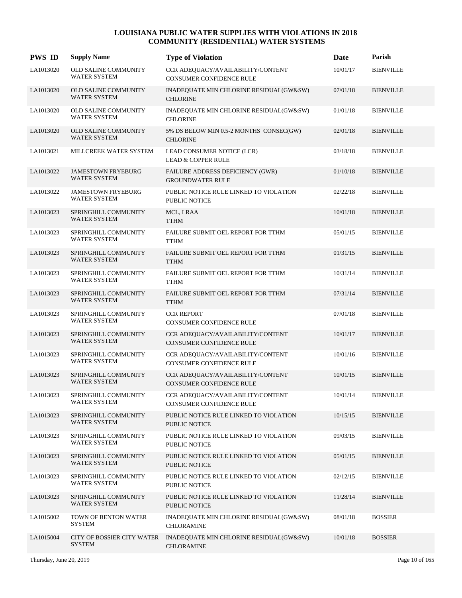| <b>PWS ID</b> | <b>Supply Name</b>                                 | <b>Type of Violation</b>                                             | Date     | Parish           |
|---------------|----------------------------------------------------|----------------------------------------------------------------------|----------|------------------|
| LA1013020     | OLD SALINE COMMUNITY<br><b>WATER SYSTEM</b>        | CCR ADEQUACY/AVAILABILITY/CONTENT<br>CONSUMER CONFIDENCE RULE        | 10/01/17 | <b>BIENVILLE</b> |
| LA1013020     | <b>OLD SALINE COMMUNITY</b><br><b>WATER SYSTEM</b> | INADEQUATE MIN CHLORINE RESIDUAL(GW&SW)<br><b>CHLORINE</b>           | 07/01/18 | <b>BIENVILLE</b> |
| LA1013020     | OLD SALINE COMMUNITY<br><b>WATER SYSTEM</b>        | INADEQUATE MIN CHLORINE RESIDUAL(GW&SW)<br><b>CHLORINE</b>           | 01/01/18 | <b>BIENVILLE</b> |
| LA1013020     | OLD SALINE COMMUNITY<br><b>WATER SYSTEM</b>        | 5% DS BELOW MIN 0.5-2 MONTHS CONSEC(GW)<br><b>CHLORINE</b>           | 02/01/18 | <b>BIENVILLE</b> |
| LA1013021     | MILLCREEK WATER SYSTEM                             | LEAD CONSUMER NOTICE (LCR)<br><b>LEAD &amp; COPPER RULE</b>          | 03/18/18 | <b>BIENVILLE</b> |
| LA1013022     | <b>JAMESTOWN FRYEBURG</b><br><b>WATER SYSTEM</b>   | FAILURE ADDRESS DEFICIENCY (GWR)<br><b>GROUNDWATER RULE</b>          | 01/10/18 | <b>BIENVILLE</b> |
| LA1013022     | <b>JAMESTOWN FRYEBURG</b><br><b>WATER SYSTEM</b>   | PUBLIC NOTICE RULE LINKED TO VIOLATION<br>PUBLIC NOTICE              | 02/22/18 | <b>BIENVILLE</b> |
| LA1013023     | SPRINGHILL COMMUNITY<br><b>WATER SYSTEM</b>        | MCL, LRAA<br><b>TTHM</b>                                             | 10/01/18 | <b>BIENVILLE</b> |
| LA1013023     | SPRINGHILL COMMUNITY<br><b>WATER SYSTEM</b>        | FAILURE SUBMIT OEL REPORT FOR TTHM<br><b>TTHM</b>                    | 05/01/15 | <b>BIENVILLE</b> |
| LA1013023     | SPRINGHILL COMMUNITY<br><b>WATER SYSTEM</b>        | FAILURE SUBMIT OEL REPORT FOR TTHM<br><b>TTHM</b>                    | 01/31/15 | <b>BIENVILLE</b> |
| LA1013023     | SPRINGHILL COMMUNITY<br><b>WATER SYSTEM</b>        | FAILURE SUBMIT OEL REPORT FOR TTHM<br><b>TTHM</b>                    | 10/31/14 | <b>BIENVILLE</b> |
| LA1013023     | SPRINGHILL COMMUNITY<br>WATER SYSTEM               | FAILURE SUBMIT OEL REPORT FOR TTHM<br><b>TTHM</b>                    | 07/31/14 | <b>BIENVILLE</b> |
| LA1013023     | SPRINGHILL COMMUNITY<br><b>WATER SYSTEM</b>        | <b>CCR REPORT</b><br>CONSUMER CONFIDENCE RULE                        | 07/01/18 | <b>BIENVILLE</b> |
| LA1013023     | SPRINGHILL COMMUNITY<br><b>WATER SYSTEM</b>        | CCR ADEQUACY/AVAILABILITY/CONTENT<br>CONSUMER CONFIDENCE RULE        | 10/01/17 | <b>BIENVILLE</b> |
| LA1013023     | SPRINGHILL COMMUNITY<br><b>WATER SYSTEM</b>        | CCR ADEQUACY/AVAILABILITY/CONTENT<br><b>CONSUMER CONFIDENCE RULE</b> | 10/01/16 | <b>BIENVILLE</b> |
| LA1013023     | SPRINGHILL COMMUNITY<br><b>WATER SYSTEM</b>        | CCR ADEQUACY/AVAILABILITY/CONTENT<br>CONSUMER CONFIDENCE RULE        | 10/01/15 | <b>BIENVILLE</b> |
| LA1013023     | SPRINGHILL COMMUNITY<br><b>WATER SYSTEM</b>        | CCR ADEQUACY/AVAILABILITY/CONTENT<br>CONSUMER CONFIDENCE RULE        | 10/01/14 | <b>BIENVILLE</b> |
| LA1013023     | SPRINGHILL COMMUNITY<br>WATER SYSTEM               | PUBLIC NOTICE RULE LINKED TO VIOLATION<br><b>PUBLIC NOTICE</b>       | 10/15/15 | <b>BIENVILLE</b> |
| LA1013023     | SPRINGHILL COMMUNITY<br><b>WATER SYSTEM</b>        | PUBLIC NOTICE RULE LINKED TO VIOLATION<br>PUBLIC NOTICE              | 09/03/15 | <b>BIENVILLE</b> |
| LA1013023     | SPRINGHILL COMMUNITY<br><b>WATER SYSTEM</b>        | PUBLIC NOTICE RULE LINKED TO VIOLATION<br>PUBLIC NOTICE              | 05/01/15 | <b>BIENVILLE</b> |
| LA1013023     | SPRINGHILL COMMUNITY<br><b>WATER SYSTEM</b>        | PUBLIC NOTICE RULE LINKED TO VIOLATION<br>PUBLIC NOTICE              | 02/12/15 | <b>BIENVILLE</b> |
| LA1013023     | SPRINGHILL COMMUNITY<br>WATER SYSTEM               | PUBLIC NOTICE RULE LINKED TO VIOLATION<br>PUBLIC NOTICE              | 11/28/14 | <b>BIENVILLE</b> |
| LA1015002     | TOWN OF BENTON WATER<br><b>SYSTEM</b>              | INADEQUATE MIN CHLORINE RESIDUAL(GW&SW)<br><b>CHLORAMINE</b>         | 08/01/18 | <b>BOSSIER</b>   |
| LA1015004     | CITY OF BOSSIER CITY WATER<br>SYSTEM               | INADEQUATE MIN CHLORINE RESIDUAL(GW&SW)<br><b>CHLORAMINE</b>         | 10/01/18 | <b>BOSSIER</b>   |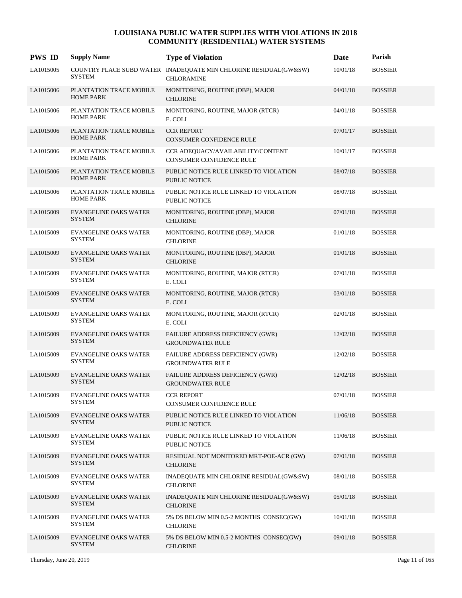| <b>PWS ID</b> | <b>Supply Name</b>                            | <b>Type of Violation</b>                                                              | Date     | Parish         |
|---------------|-----------------------------------------------|---------------------------------------------------------------------------------------|----------|----------------|
| LA1015005     | <b>SYSTEM</b>                                 | COUNTRY PLACE SUBD WATER INADEQUATE MIN CHLORINE RESIDUAL(GW&SW)<br><b>CHLORAMINE</b> | 10/01/18 | <b>BOSSIER</b> |
| LA1015006     | PLANTATION TRACE MOBILE<br><b>HOME PARK</b>   | MONITORING, ROUTINE (DBP), MAJOR<br><b>CHLORINE</b>                                   | 04/01/18 | <b>BOSSIER</b> |
| LA1015006     | PLANTATION TRACE MOBILE<br><b>HOME PARK</b>   | MONITORING, ROUTINE, MAJOR (RTCR)<br>E. COLI                                          | 04/01/18 | <b>BOSSIER</b> |
| LA1015006     | PLANTATION TRACE MOBILE<br><b>HOME PARK</b>   | <b>CCR REPORT</b><br><b>CONSUMER CONFIDENCE RULE</b>                                  | 07/01/17 | <b>BOSSIER</b> |
| LA1015006     | PLANTATION TRACE MOBILE<br><b>HOME PARK</b>   | CCR ADEQUACY/AVAILABILITY/CONTENT<br><b>CONSUMER CONFIDENCE RULE</b>                  | 10/01/17 | <b>BOSSIER</b> |
| LA1015006     | PLANTATION TRACE MOBILE<br><b>HOME PARK</b>   | PUBLIC NOTICE RULE LINKED TO VIOLATION<br><b>PUBLIC NOTICE</b>                        | 08/07/18 | <b>BOSSIER</b> |
| LA1015006     | PLANTATION TRACE MOBILE<br><b>HOME PARK</b>   | PUBLIC NOTICE RULE LINKED TO VIOLATION<br><b>PUBLIC NOTICE</b>                        | 08/07/18 | <b>BOSSIER</b> |
| LA1015009     | <b>EVANGELINE OAKS WATER</b><br><b>SYSTEM</b> | MONITORING, ROUTINE (DBP), MAJOR<br><b>CHLORINE</b>                                   | 07/01/18 | <b>BOSSIER</b> |
| LA1015009     | <b>EVANGELINE OAKS WATER</b><br>SYSTEM        | MONITORING, ROUTINE (DBP), MAJOR<br><b>CHLORINE</b>                                   | 01/01/18 | <b>BOSSIER</b> |
| LA1015009     | <b>EVANGELINE OAKS WATER</b><br><b>SYSTEM</b> | MONITORING, ROUTINE (DBP), MAJOR<br><b>CHLORINE</b>                                   | 01/01/18 | <b>BOSSIER</b> |
| LA1015009     | <b>EVANGELINE OAKS WATER</b><br><b>SYSTEM</b> | MONITORING, ROUTINE, MAJOR (RTCR)<br>E. COLI                                          | 07/01/18 | <b>BOSSIER</b> |
| LA1015009     | <b>EVANGELINE OAKS WATER</b><br><b>SYSTEM</b> | MONITORING, ROUTINE, MAJOR (RTCR)<br>E. COLI                                          | 03/01/18 | <b>BOSSIER</b> |
| LA1015009     | <b>EVANGELINE OAKS WATER</b><br><b>SYSTEM</b> | MONITORING, ROUTINE, MAJOR (RTCR)<br>E. COLI                                          | 02/01/18 | <b>BOSSIER</b> |
| LA1015009     | <b>EVANGELINE OAKS WATER</b><br><b>SYSTEM</b> | FAILURE ADDRESS DEFICIENCY (GWR)<br><b>GROUNDWATER RULE</b>                           | 12/02/18 | <b>BOSSIER</b> |
| LA1015009     | <b>EVANGELINE OAKS WATER</b><br><b>SYSTEM</b> | FAILURE ADDRESS DEFICIENCY (GWR)<br><b>GROUNDWATER RULE</b>                           | 12/02/18 | <b>BOSSIER</b> |
| LA1015009     | <b>EVANGELINE OAKS WATER</b><br><b>SYSTEM</b> | FAILURE ADDRESS DEFICIENCY (GWR)<br><b>GROUNDWATER RULE</b>                           | 12/02/18 | <b>BOSSIER</b> |
| LA1015009     | <b>EVANGELINE OAKS WATER</b><br><b>SYSTEM</b> | <b>CCR REPORT</b><br>CONSUMER CONFIDENCE RULE                                         | 07/01/18 | <b>BOSSIER</b> |
| LA1015009     | <b>EVANGELINE OAKS WATER</b><br><b>SYSTEM</b> | PUBLIC NOTICE RULE LINKED TO VIOLATION<br><b>PUBLIC NOTICE</b>                        | 11/06/18 | <b>BOSSIER</b> |
| LA1015009     | <b>EVANGELINE OAKS WATER</b><br>SYSTEM        | PUBLIC NOTICE RULE LINKED TO VIOLATION<br>PUBLIC NOTICE                               | 11/06/18 | <b>BOSSIER</b> |
| LA1015009     | <b>EVANGELINE OAKS WATER</b><br><b>SYSTEM</b> | RESIDUAL NOT MONITORED MRT-POE-ACR (GW)<br><b>CHLORINE</b>                            | 07/01/18 | <b>BOSSIER</b> |
| LA1015009     | <b>EVANGELINE OAKS WATER</b><br><b>SYSTEM</b> | INADEQUATE MIN CHLORINE RESIDUAL(GW&SW)<br><b>CHLORINE</b>                            | 08/01/18 | <b>BOSSIER</b> |
| LA1015009     | <b>EVANGELINE OAKS WATER</b><br><b>SYSTEM</b> | INADEQUATE MIN CHLORINE RESIDUAL(GW&SW)<br><b>CHLORINE</b>                            | 05/01/18 | <b>BOSSIER</b> |
| LA1015009     | <b>EVANGELINE OAKS WATER</b><br><b>SYSTEM</b> | 5% DS BELOW MIN 0.5-2 MONTHS CONSEC(GW)<br><b>CHLORINE</b>                            | 10/01/18 | <b>BOSSIER</b> |
| LA1015009     | <b>EVANGELINE OAKS WATER</b><br><b>SYSTEM</b> | 5% DS BELOW MIN 0.5-2 MONTHS CONSEC(GW)<br><b>CHLORINE</b>                            | 09/01/18 | <b>BOSSIER</b> |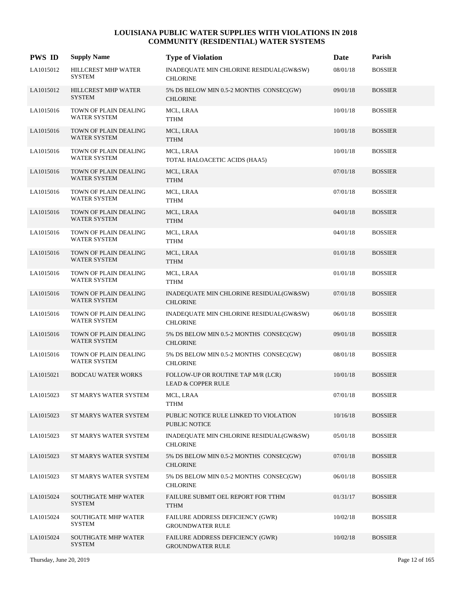| <b>PWS ID</b> | <b>Supply Name</b>                           | <b>Type of Violation</b>                                            | Date     | Parish         |
|---------------|----------------------------------------------|---------------------------------------------------------------------|----------|----------------|
| LA1015012     | HILLCREST MHP WATER<br><b>SYSTEM</b>         | INADEQUATE MIN CHLORINE RESIDUAL(GW&SW)<br><b>CHLORINE</b>          | 08/01/18 | <b>BOSSIER</b> |
| LA1015012     | HILLCREST MHP WATER<br><b>SYSTEM</b>         | 5% DS BELOW MIN 0.5-2 MONTHS CONSEC(GW)<br><b>CHLORINE</b>          | 09/01/18 | <b>BOSSIER</b> |
| LA1015016     | TOWN OF PLAIN DEALING<br><b>WATER SYSTEM</b> | MCL, LRAA<br><b>TTHM</b>                                            | 10/01/18 | <b>BOSSIER</b> |
| LA1015016     | TOWN OF PLAIN DEALING<br><b>WATER SYSTEM</b> | MCL, LRAA<br><b>TTHM</b>                                            | 10/01/18 | <b>BOSSIER</b> |
| LA1015016     | TOWN OF PLAIN DEALING<br><b>WATER SYSTEM</b> | MCL, LRAA<br>TOTAL HALOACETIC ACIDS (HAA5)                          | 10/01/18 | <b>BOSSIER</b> |
| LA1015016     | TOWN OF PLAIN DEALING<br><b>WATER SYSTEM</b> | MCL, LRAA<br><b>TTHM</b>                                            | 07/01/18 | <b>BOSSIER</b> |
| LA1015016     | TOWN OF PLAIN DEALING<br><b>WATER SYSTEM</b> | MCL, LRAA<br><b>TTHM</b>                                            | 07/01/18 | <b>BOSSIER</b> |
| LA1015016     | TOWN OF PLAIN DEALING<br><b>WATER SYSTEM</b> | MCL, LRAA<br><b>TTHM</b>                                            | 04/01/18 | <b>BOSSIER</b> |
| LA1015016     | TOWN OF PLAIN DEALING<br><b>WATER SYSTEM</b> | MCL, LRAA<br><b>TTHM</b>                                            | 04/01/18 | <b>BOSSIER</b> |
| LA1015016     | TOWN OF PLAIN DEALING<br><b>WATER SYSTEM</b> | MCL, LRAA<br><b>TTHM</b>                                            | 01/01/18 | <b>BOSSIER</b> |
| LA1015016     | TOWN OF PLAIN DEALING<br><b>WATER SYSTEM</b> | MCL, LRAA<br><b>TTHM</b>                                            | 01/01/18 | <b>BOSSIER</b> |
| LA1015016     | TOWN OF PLAIN DEALING<br><b>WATER SYSTEM</b> | INADEQUATE MIN CHLORINE RESIDUAL(GW&SW)<br><b>CHLORINE</b>          | 07/01/18 | <b>BOSSIER</b> |
| LA1015016     | TOWN OF PLAIN DEALING<br><b>WATER SYSTEM</b> | INADEQUATE MIN CHLORINE RESIDUAL(GW&SW)<br><b>CHLORINE</b>          | 06/01/18 | <b>BOSSIER</b> |
| LA1015016     | TOWN OF PLAIN DEALING<br><b>WATER SYSTEM</b> | 5% DS BELOW MIN 0.5-2 MONTHS CONSEC(GW)<br><b>CHLORINE</b>          | 09/01/18 | <b>BOSSIER</b> |
| LA1015016     | TOWN OF PLAIN DEALING<br><b>WATER SYSTEM</b> | 5% DS BELOW MIN 0.5-2 MONTHS CONSEC(GW)<br><b>CHLORINE</b>          | 08/01/18 | <b>BOSSIER</b> |
| LA1015021     | <b>BODCAU WATER WORKS</b>                    | FOLLOW-UP OR ROUTINE TAP M/R (LCR)<br><b>LEAD &amp; COPPER RULE</b> | 10/01/18 | <b>BOSSIER</b> |
| LA1015023     | ST MARYS WATER SYSTEM                        | MCL, LRAA<br><b>TTHM</b>                                            | 07/01/18 | <b>BOSSIER</b> |
| LA1015023     | ST MARYS WATER SYSTEM                        | PUBLIC NOTICE RULE LINKED TO VIOLATION<br>PUBLIC NOTICE             | 10/16/18 | <b>BOSSIER</b> |
| LA1015023     | ST MARYS WATER SYSTEM                        | INADEQUATE MIN CHLORINE RESIDUAL(GW&SW)<br><b>CHLORINE</b>          | 05/01/18 | <b>BOSSIER</b> |
| LA1015023     | ST MARYS WATER SYSTEM                        | 5% DS BELOW MIN 0.5-2 MONTHS CONSEC(GW)<br><b>CHLORINE</b>          | 07/01/18 | <b>BOSSIER</b> |
| LA1015023     | ST MARYS WATER SYSTEM                        | 5% DS BELOW MIN 0.5-2 MONTHS CONSEC(GW)<br><b>CHLORINE</b>          | 06/01/18 | <b>BOSSIER</b> |
| LA1015024     | <b>SOUTHGATE MHP WATER</b><br><b>SYSTEM</b>  | FAILURE SUBMIT OEL REPORT FOR TTHM<br><b>TTHM</b>                   | 01/31/17 | <b>BOSSIER</b> |
| LA1015024     | <b>SOUTHGATE MHP WATER</b><br><b>SYSTEM</b>  | FAILURE ADDRESS DEFICIENCY (GWR)<br><b>GROUNDWATER RULE</b>         | 10/02/18 | <b>BOSSIER</b> |
| LA1015024     | <b>SOUTHGATE MHP WATER</b><br><b>SYSTEM</b>  | FAILURE ADDRESS DEFICIENCY (GWR)<br><b>GROUNDWATER RULE</b>         | 10/02/18 | <b>BOSSIER</b> |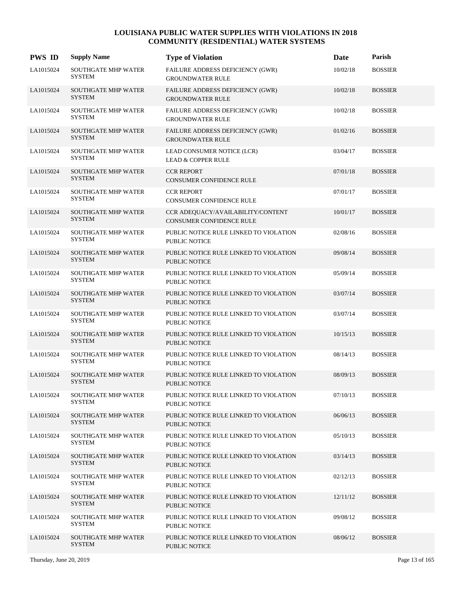| <b>PWS ID</b> | <b>Supply Name</b>                          | <b>Type of Violation</b>                                       | Date     | Parish         |
|---------------|---------------------------------------------|----------------------------------------------------------------|----------|----------------|
| LA1015024     | <b>SOUTHGATE MHP WATER</b><br><b>SYSTEM</b> | FAILURE ADDRESS DEFICIENCY (GWR)<br><b>GROUNDWATER RULE</b>    | 10/02/18 | <b>BOSSIER</b> |
| LA1015024     | <b>SOUTHGATE MHP WATER</b><br><b>SYSTEM</b> | FAILURE ADDRESS DEFICIENCY (GWR)<br><b>GROUNDWATER RULE</b>    | 10/02/18 | <b>BOSSIER</b> |
| LA1015024     | <b>SOUTHGATE MHP WATER</b><br><b>SYSTEM</b> | FAILURE ADDRESS DEFICIENCY (GWR)<br><b>GROUNDWATER RULE</b>    | 10/02/18 | <b>BOSSIER</b> |
| LA1015024     | <b>SOUTHGATE MHP WATER</b><br><b>SYSTEM</b> | FAILURE ADDRESS DEFICIENCY (GWR)<br><b>GROUNDWATER RULE</b>    | 01/02/16 | <b>BOSSIER</b> |
| LA1015024     | <b>SOUTHGATE MHP WATER</b><br><b>SYSTEM</b> | LEAD CONSUMER NOTICE (LCR)<br><b>LEAD &amp; COPPER RULE</b>    | 03/04/17 | <b>BOSSIER</b> |
| LA1015024     | <b>SOUTHGATE MHP WATER</b><br><b>SYSTEM</b> | <b>CCR REPORT</b><br>CONSUMER CONFIDENCE RULE                  | 07/01/18 | <b>BOSSIER</b> |
| LA1015024     | <b>SOUTHGATE MHP WATER</b><br><b>SYSTEM</b> | <b>CCR REPORT</b><br>CONSUMER CONFIDENCE RULE                  | 07/01/17 | <b>BOSSIER</b> |
| LA1015024     | SOUTHGATE MHP WATER<br><b>SYSTEM</b>        | CCR ADEQUACY/AVAILABILITY/CONTENT<br>CONSUMER CONFIDENCE RULE  | 10/01/17 | <b>BOSSIER</b> |
| LA1015024     | <b>SOUTHGATE MHP WATER</b><br><b>SYSTEM</b> | PUBLIC NOTICE RULE LINKED TO VIOLATION<br>PUBLIC NOTICE        | 02/08/16 | <b>BOSSIER</b> |
| LA1015024     | <b>SOUTHGATE MHP WATER</b><br><b>SYSTEM</b> | PUBLIC NOTICE RULE LINKED TO VIOLATION<br><b>PUBLIC NOTICE</b> | 09/08/14 | <b>BOSSIER</b> |
| LA1015024     | SOUTHGATE MHP WATER<br><b>SYSTEM</b>        | PUBLIC NOTICE RULE LINKED TO VIOLATION<br><b>PUBLIC NOTICE</b> | 05/09/14 | <b>BOSSIER</b> |
| LA1015024     | SOUTHGATE MHP WATER<br><b>SYSTEM</b>        | PUBLIC NOTICE RULE LINKED TO VIOLATION<br>PUBLIC NOTICE        | 03/07/14 | <b>BOSSIER</b> |
| LA1015024     | SOUTHGATE MHP WATER<br><b>SYSTEM</b>        | PUBLIC NOTICE RULE LINKED TO VIOLATION<br><b>PUBLIC NOTICE</b> | 03/07/14 | <b>BOSSIER</b> |
| LA1015024     | <b>SOUTHGATE MHP WATER</b><br><b>SYSTEM</b> | PUBLIC NOTICE RULE LINKED TO VIOLATION<br><b>PUBLIC NOTICE</b> | 10/15/13 | <b>BOSSIER</b> |
| LA1015024     | SOUTHGATE MHP WATER<br><b>SYSTEM</b>        | PUBLIC NOTICE RULE LINKED TO VIOLATION<br><b>PUBLIC NOTICE</b> | 08/14/13 | <b>BOSSIER</b> |
| LA1015024     | <b>SOUTHGATE MHP WATER</b><br><b>SYSTEM</b> | PUBLIC NOTICE RULE LINKED TO VIOLATION<br><b>PUBLIC NOTICE</b> | 08/09/13 | <b>BOSSIER</b> |
| LA1015024     | <b>SOUTHGATE MHP WATER</b><br><b>SYSTEM</b> | PUBLIC NOTICE RULE LINKED TO VIOLATION<br><b>PUBLIC NOTICE</b> | 07/10/13 | <b>BOSSIER</b> |
| LA1015024     | <b>SOUTHGATE MHP WATER</b><br><b>SYSTEM</b> | PUBLIC NOTICE RULE LINKED TO VIOLATION<br><b>PUBLIC NOTICE</b> | 06/06/13 | <b>BOSSIER</b> |
| LA1015024     | <b>SOUTHGATE MHP WATER</b><br><b>SYSTEM</b> | PUBLIC NOTICE RULE LINKED TO VIOLATION<br><b>PUBLIC NOTICE</b> | 05/10/13 | <b>BOSSIER</b> |
| LA1015024     | <b>SOUTHGATE MHP WATER</b><br><b>SYSTEM</b> | PUBLIC NOTICE RULE LINKED TO VIOLATION<br><b>PUBLIC NOTICE</b> | 03/14/13 | <b>BOSSIER</b> |
| LA1015024     | <b>SOUTHGATE MHP WATER</b><br><b>SYSTEM</b> | PUBLIC NOTICE RULE LINKED TO VIOLATION<br><b>PUBLIC NOTICE</b> | 02/12/13 | <b>BOSSIER</b> |
| LA1015024     | <b>SOUTHGATE MHP WATER</b><br><b>SYSTEM</b> | PUBLIC NOTICE RULE LINKED TO VIOLATION<br>PUBLIC NOTICE        | 12/11/12 | <b>BOSSIER</b> |
| LA1015024     | SOUTHGATE MHP WATER<br>SYSTEM               | PUBLIC NOTICE RULE LINKED TO VIOLATION<br>PUBLIC NOTICE        | 09/08/12 | <b>BOSSIER</b> |
| LA1015024     | <b>SOUTHGATE MHP WATER</b><br><b>SYSTEM</b> | PUBLIC NOTICE RULE LINKED TO VIOLATION<br><b>PUBLIC NOTICE</b> | 08/06/12 | <b>BOSSIER</b> |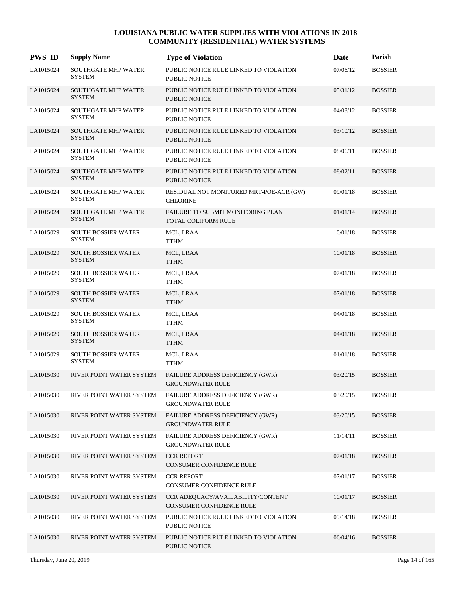| <b>PWS ID</b> | <b>Supply Name</b>                          | <b>Type of Violation</b>                                       | <b>Date</b> | Parish         |
|---------------|---------------------------------------------|----------------------------------------------------------------|-------------|----------------|
| LA1015024     | SOUTHGATE MHP WATER<br><b>SYSTEM</b>        | PUBLIC NOTICE RULE LINKED TO VIOLATION<br><b>PUBLIC NOTICE</b> | 07/06/12    | <b>BOSSIER</b> |
| LA1015024     | SOUTHGATE MHP WATER<br><b>SYSTEM</b>        | PUBLIC NOTICE RULE LINKED TO VIOLATION<br><b>PUBLIC NOTICE</b> | 05/31/12    | <b>BOSSIER</b> |
| LA1015024     | <b>SOUTHGATE MHP WATER</b><br><b>SYSTEM</b> | PUBLIC NOTICE RULE LINKED TO VIOLATION<br><b>PUBLIC NOTICE</b> | 04/08/12    | <b>BOSSIER</b> |
| LA1015024     | <b>SOUTHGATE MHP WATER</b><br><b>SYSTEM</b> | PUBLIC NOTICE RULE LINKED TO VIOLATION<br><b>PUBLIC NOTICE</b> | 03/10/12    | <b>BOSSIER</b> |
| LA1015024     | SOUTHGATE MHP WATER<br><b>SYSTEM</b>        | PUBLIC NOTICE RULE LINKED TO VIOLATION<br><b>PUBLIC NOTICE</b> | 08/06/11    | <b>BOSSIER</b> |
| LA1015024     | SOUTHGATE MHP WATER<br><b>SYSTEM</b>        | PUBLIC NOTICE RULE LINKED TO VIOLATION<br><b>PUBLIC NOTICE</b> | 08/02/11    | <b>BOSSIER</b> |
| LA1015024     | SOUTHGATE MHP WATER<br><b>SYSTEM</b>        | RESIDUAL NOT MONITORED MRT-POE-ACR (GW)<br><b>CHLORINE</b>     | 09/01/18    | <b>BOSSIER</b> |
| LA1015024     | <b>SOUTHGATE MHP WATER</b><br><b>SYSTEM</b> | FAILURE TO SUBMIT MONITORING PLAN<br>TOTAL COLIFORM RULE       | 01/01/14    | <b>BOSSIER</b> |
| LA1015029     | <b>SOUTH BOSSIER WATER</b><br><b>SYSTEM</b> | MCL, LRAA<br>TTHM                                              | 10/01/18    | <b>BOSSIER</b> |
| LA1015029     | SOUTH BOSSIER WATER<br><b>SYSTEM</b>        | MCL, LRAA<br><b>TTHM</b>                                       | 10/01/18    | <b>BOSSIER</b> |
| LA1015029     | SOUTH BOSSIER WATER<br><b>SYSTEM</b>        | MCL, LRAA<br><b>TTHM</b>                                       | 07/01/18    | <b>BOSSIER</b> |
| LA1015029     | <b>SOUTH BOSSIER WATER</b><br><b>SYSTEM</b> | MCL, LRAA<br><b>TTHM</b>                                       | 07/01/18    | <b>BOSSIER</b> |
| LA1015029     | <b>SOUTH BOSSIER WATER</b><br><b>SYSTEM</b> | MCL, LRAA<br>TTHM                                              | 04/01/18    | <b>BOSSIER</b> |
| LA1015029     | SOUTH BOSSIER WATER<br><b>SYSTEM</b>        | MCL, LRAA<br><b>TTHM</b>                                       | 04/01/18    | <b>BOSSIER</b> |
| LA1015029     | <b>SOUTH BOSSIER WATER</b><br><b>SYSTEM</b> | MCL, LRAA<br><b>TTHM</b>                                       | 01/01/18    | <b>BOSSIER</b> |
| LA1015030     | RIVER POINT WATER SYSTEM                    | FAILURE ADDRESS DEFICIENCY (GWR)<br><b>GROUNDWATER RULE</b>    | 03/20/15    | <b>BOSSIER</b> |
| LA1015030     | RIVER POINT WATER SYSTEM                    | FAILURE ADDRESS DEFICIENCY (GWR)<br><b>GROUNDWATER RULE</b>    | 03/20/15    | <b>BOSSIER</b> |
| LA1015030     | RIVER POINT WATER SYSTEM                    | FAILURE ADDRESS DEFICIENCY (GWR)<br><b>GROUNDWATER RULE</b>    | 03/20/15    | <b>BOSSIER</b> |
| LA1015030     | RIVER POINT WATER SYSTEM                    | FAILURE ADDRESS DEFICIENCY (GWR)<br><b>GROUNDWATER RULE</b>    | 11/14/11    | <b>BOSSIER</b> |
| LA1015030     | RIVER POINT WATER SYSTEM                    | <b>CCR REPORT</b><br>CONSUMER CONFIDENCE RULE                  | 07/01/18    | <b>BOSSIER</b> |
| LA1015030     | RIVER POINT WATER SYSTEM                    | <b>CCR REPORT</b><br>CONSUMER CONFIDENCE RULE                  | 07/01/17    | <b>BOSSIER</b> |
| LA1015030     | RIVER POINT WATER SYSTEM                    | CCR ADEQUACY/AVAILABILITY/CONTENT<br>CONSUMER CONFIDENCE RULE  | 10/01/17    | <b>BOSSIER</b> |
| LA1015030     | RIVER POINT WATER SYSTEM                    | PUBLIC NOTICE RULE LINKED TO VIOLATION<br><b>PUBLIC NOTICE</b> | 09/14/18    | <b>BOSSIER</b> |
| LA1015030     | RIVER POINT WATER SYSTEM                    | PUBLIC NOTICE RULE LINKED TO VIOLATION<br><b>PUBLIC NOTICE</b> | 06/04/16    | <b>BOSSIER</b> |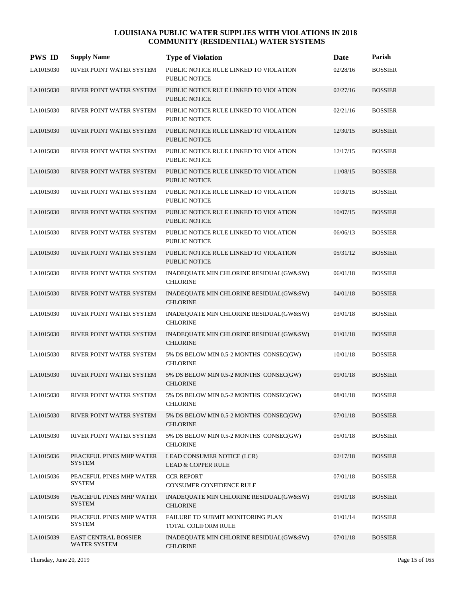| <b>PWS ID</b> | <b>Supply Name</b>                                 | <b>Type of Violation</b>                                       | <b>Date</b> | Parish         |
|---------------|----------------------------------------------------|----------------------------------------------------------------|-------------|----------------|
| LA1015030     | RIVER POINT WATER SYSTEM                           | PUBLIC NOTICE RULE LINKED TO VIOLATION<br>PUBLIC NOTICE        | 02/28/16    | <b>BOSSIER</b> |
| LA1015030     | RIVER POINT WATER SYSTEM                           | PUBLIC NOTICE RULE LINKED TO VIOLATION<br><b>PUBLIC NOTICE</b> | 02/27/16    | <b>BOSSIER</b> |
| LA1015030     | RIVER POINT WATER SYSTEM                           | PUBLIC NOTICE RULE LINKED TO VIOLATION<br>PUBLIC NOTICE        | 02/21/16    | <b>BOSSIER</b> |
| LA1015030     | RIVER POINT WATER SYSTEM                           | PUBLIC NOTICE RULE LINKED TO VIOLATION<br><b>PUBLIC NOTICE</b> | 12/30/15    | <b>BOSSIER</b> |
| LA1015030     | RIVER POINT WATER SYSTEM                           | PUBLIC NOTICE RULE LINKED TO VIOLATION<br>PUBLIC NOTICE        | 12/17/15    | <b>BOSSIER</b> |
| LA1015030     | RIVER POINT WATER SYSTEM                           | PUBLIC NOTICE RULE LINKED TO VIOLATION<br><b>PUBLIC NOTICE</b> | 11/08/15    | <b>BOSSIER</b> |
| LA1015030     | RIVER POINT WATER SYSTEM                           | PUBLIC NOTICE RULE LINKED TO VIOLATION<br><b>PUBLIC NOTICE</b> | 10/30/15    | <b>BOSSIER</b> |
| LA1015030     | RIVER POINT WATER SYSTEM                           | PUBLIC NOTICE RULE LINKED TO VIOLATION<br><b>PUBLIC NOTICE</b> | 10/07/15    | <b>BOSSIER</b> |
| LA1015030     | RIVER POINT WATER SYSTEM                           | PUBLIC NOTICE RULE LINKED TO VIOLATION<br>PUBLIC NOTICE        | 06/06/13    | <b>BOSSIER</b> |
| LA1015030     | RIVER POINT WATER SYSTEM                           | PUBLIC NOTICE RULE LINKED TO VIOLATION<br><b>PUBLIC NOTICE</b> | 05/31/12    | <b>BOSSIER</b> |
| LA1015030     | RIVER POINT WATER SYSTEM                           | INADEQUATE MIN CHLORINE RESIDUAL(GW&SW)<br><b>CHLORINE</b>     | 06/01/18    | <b>BOSSIER</b> |
| LA1015030     | RIVER POINT WATER SYSTEM                           | INADEQUATE MIN CHLORINE RESIDUAL(GW&SW)<br><b>CHLORINE</b>     | 04/01/18    | <b>BOSSIER</b> |
| LA1015030     | RIVER POINT WATER SYSTEM                           | INADEQUATE MIN CHLORINE RESIDUAL(GW&SW)<br><b>CHLORINE</b>     | 03/01/18    | <b>BOSSIER</b> |
| LA1015030     | RIVER POINT WATER SYSTEM                           | INADEQUATE MIN CHLORINE RESIDUAL(GW&SW)<br><b>CHLORINE</b>     | 01/01/18    | <b>BOSSIER</b> |
| LA1015030     | RIVER POINT WATER SYSTEM                           | 5% DS BELOW MIN 0.5-2 MONTHS CONSEC(GW)<br><b>CHLORINE</b>     | 10/01/18    | <b>BOSSIER</b> |
| LA1015030     | RIVER POINT WATER SYSTEM                           | 5% DS BELOW MIN 0.5-2 MONTHS CONSEC(GW)<br><b>CHLORINE</b>     | 09/01/18    | <b>BOSSIER</b> |
| LA1015030     | RIVER POINT WATER SYSTEM                           | 5% DS BELOW MIN 0.5-2 MONTHS CONSEC(GW)<br><b>CHLORINE</b>     | 08/01/18    | <b>BOSSIER</b> |
| LA1015030     | RIVER POINT WATER SYSTEM                           | 5% DS BELOW MIN 0.5-2 MONTHS CONSEC(GW)<br><b>CHLORINE</b>     | 07/01/18    | <b>BOSSIER</b> |
| LA1015030     | RIVER POINT WATER SYSTEM                           | 5% DS BELOW MIN 0.5-2 MONTHS CONSEC(GW)<br><b>CHLORINE</b>     | 05/01/18    | <b>BOSSIER</b> |
| LA1015036     | PEACEFUL PINES MHP WATER<br><b>SYSTEM</b>          | LEAD CONSUMER NOTICE (LCR)<br><b>LEAD &amp; COPPER RULE</b>    | 02/17/18    | <b>BOSSIER</b> |
| LA1015036     | PEACEFUL PINES MHP WATER<br><b>SYSTEM</b>          | <b>CCR REPORT</b><br>CONSUMER CONFIDENCE RULE                  | 07/01/18    | <b>BOSSIER</b> |
| LA1015036     | PEACEFUL PINES MHP WATER<br><b>SYSTEM</b>          | INADEQUATE MIN CHLORINE RESIDUAL(GW&SW)<br><b>CHLORINE</b>     | 09/01/18    | <b>BOSSIER</b> |
| LA1015036     | PEACEFUL PINES MHP WATER<br><b>SYSTEM</b>          | FAILURE TO SUBMIT MONITORING PLAN<br>TOTAL COLIFORM RULE       | 01/01/14    | <b>BOSSIER</b> |
| LA1015039     | <b>EAST CENTRAL BOSSIER</b><br><b>WATER SYSTEM</b> | INADEQUATE MIN CHLORINE RESIDUAL(GW&SW)<br><b>CHLORINE</b>     | 07/01/18    | <b>BOSSIER</b> |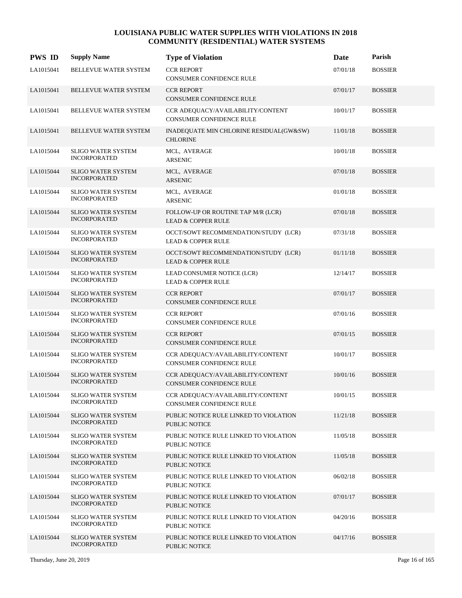| <b>PWS ID</b> | <b>Supply Name</b>                               | <b>Type of Violation</b>                                              | Date     | Parish         |
|---------------|--------------------------------------------------|-----------------------------------------------------------------------|----------|----------------|
| LA1015041     | BELLEVUE WATER SYSTEM                            | <b>CCR REPORT</b><br>CONSUMER CONFIDENCE RULE                         | 07/01/18 | <b>BOSSIER</b> |
| LA1015041     | BELLEVUE WATER SYSTEM                            | <b>CCR REPORT</b><br><b>CONSUMER CONFIDENCE RULE</b>                  | 07/01/17 | <b>BOSSIER</b> |
| LA1015041     | BELLEVUE WATER SYSTEM                            | CCR ADEQUACY/AVAILABILITY/CONTENT<br><b>CONSUMER CONFIDENCE RULE</b>  | 10/01/17 | <b>BOSSIER</b> |
| LA1015041     | BELLEVUE WATER SYSTEM                            | INADEQUATE MIN CHLORINE RESIDUAL(GW&SW)<br><b>CHLORINE</b>            | 11/01/18 | <b>BOSSIER</b> |
| LA1015044     | <b>SLIGO WATER SYSTEM</b><br><b>INCORPORATED</b> | MCL, AVERAGE<br><b>ARSENIC</b>                                        | 10/01/18 | <b>BOSSIER</b> |
| LA1015044     | SLIGO WATER SYSTEM<br><b>INCORPORATED</b>        | MCL, AVERAGE<br><b>ARSENIC</b>                                        | 07/01/18 | <b>BOSSIER</b> |
| LA1015044     | <b>SLIGO WATER SYSTEM</b><br><b>INCORPORATED</b> | MCL, AVERAGE<br><b>ARSENIC</b>                                        | 01/01/18 | <b>BOSSIER</b> |
| LA1015044     | <b>SLIGO WATER SYSTEM</b><br><b>INCORPORATED</b> | FOLLOW-UP OR ROUTINE TAP M/R (LCR)<br><b>LEAD &amp; COPPER RULE</b>   | 07/01/18 | <b>BOSSIER</b> |
| LA1015044     | <b>SLIGO WATER SYSTEM</b><br><b>INCORPORATED</b> | OCCT/SOWT RECOMMENDATION/STUDY (LCR)<br><b>LEAD &amp; COPPER RULE</b> | 07/31/18 | <b>BOSSIER</b> |
| LA1015044     | <b>SLIGO WATER SYSTEM</b><br><b>INCORPORATED</b> | OCCT/SOWT RECOMMENDATION/STUDY (LCR)<br><b>LEAD &amp; COPPER RULE</b> | 01/11/18 | <b>BOSSIER</b> |
| LA1015044     | <b>SLIGO WATER SYSTEM</b><br><b>INCORPORATED</b> | LEAD CONSUMER NOTICE (LCR)<br><b>LEAD &amp; COPPER RULE</b>           | 12/14/17 | <b>BOSSIER</b> |
| LA1015044     | <b>SLIGO WATER SYSTEM</b><br><b>INCORPORATED</b> | <b>CCR REPORT</b><br>CONSUMER CONFIDENCE RULE                         | 07/01/17 | <b>BOSSIER</b> |
| LA1015044     | <b>SLIGO WATER SYSTEM</b><br><b>INCORPORATED</b> | <b>CCR REPORT</b><br>CONSUMER CONFIDENCE RULE                         | 07/01/16 | <b>BOSSIER</b> |
| LA1015044     | <b>SLIGO WATER SYSTEM</b><br><b>INCORPORATED</b> | <b>CCR REPORT</b><br>CONSUMER CONFIDENCE RULE                         | 07/01/15 | <b>BOSSIER</b> |
| LA1015044     | <b>SLIGO WATER SYSTEM</b><br><b>INCORPORATED</b> | CCR ADEQUACY/AVAILABILITY/CONTENT<br><b>CONSUMER CONFIDENCE RULE</b>  | 10/01/17 | <b>BOSSIER</b> |
| LA1015044     | <b>SLIGO WATER SYSTEM</b><br><b>INCORPORATED</b> | CCR ADEQUACY/AVAILABILITY/CONTENT<br>CONSUMER CONFIDENCE RULE         | 10/01/16 | <b>BOSSIER</b> |
| LA1015044     | <b>SLIGO WATER SYSTEM</b><br><b>INCORPORATED</b> | CCR ADEQUACY/AVAILABILITY/CONTENT<br>CONSUMER CONFIDENCE RULE         | 10/01/15 | <b>BOSSIER</b> |
| LA1015044     | <b>SLIGO WATER SYSTEM</b><br><b>INCORPORATED</b> | PUBLIC NOTICE RULE LINKED TO VIOLATION<br><b>PUBLIC NOTICE</b>        | 11/21/18 | <b>BOSSIER</b> |
| LA1015044     | <b>SLIGO WATER SYSTEM</b><br><b>INCORPORATED</b> | PUBLIC NOTICE RULE LINKED TO VIOLATION<br><b>PUBLIC NOTICE</b>        | 11/05/18 | <b>BOSSIER</b> |
| LA1015044     | <b>SLIGO WATER SYSTEM</b><br><b>INCORPORATED</b> | PUBLIC NOTICE RULE LINKED TO VIOLATION<br>PUBLIC NOTICE               | 11/05/18 | <b>BOSSIER</b> |
| LA1015044     | <b>SLIGO WATER SYSTEM</b><br><b>INCORPORATED</b> | PUBLIC NOTICE RULE LINKED TO VIOLATION<br>PUBLIC NOTICE               | 06/02/18 | <b>BOSSIER</b> |
| LA1015044     | <b>SLIGO WATER SYSTEM</b><br><b>INCORPORATED</b> | PUBLIC NOTICE RULE LINKED TO VIOLATION<br>PUBLIC NOTICE               | 07/01/17 | <b>BOSSIER</b> |
| LA1015044     | <b>SLIGO WATER SYSTEM</b><br><b>INCORPORATED</b> | PUBLIC NOTICE RULE LINKED TO VIOLATION<br><b>PUBLIC NOTICE</b>        | 04/20/16 | <b>BOSSIER</b> |
| LA1015044     | <b>SLIGO WATER SYSTEM</b><br><b>INCORPORATED</b> | PUBLIC NOTICE RULE LINKED TO VIOLATION<br><b>PUBLIC NOTICE</b>        | 04/17/16 | <b>BOSSIER</b> |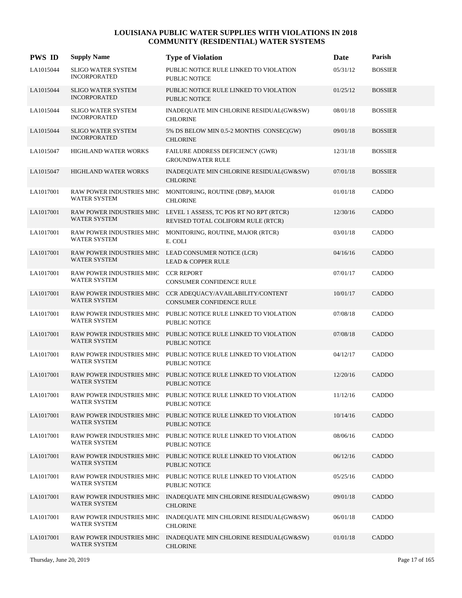| <b>PWS ID</b> | <b>Supply Name</b>                                         | <b>Type of Violation</b>                                                                               | Date     | Parish         |
|---------------|------------------------------------------------------------|--------------------------------------------------------------------------------------------------------|----------|----------------|
| LA1015044     | <b>SLIGO WATER SYSTEM</b><br><b>INCORPORATED</b>           | PUBLIC NOTICE RULE LINKED TO VIOLATION<br><b>PUBLIC NOTICE</b>                                         | 05/31/12 | <b>BOSSIER</b> |
| LA1015044     | <b>SLIGO WATER SYSTEM</b><br><b>INCORPORATED</b>           | PUBLIC NOTICE RULE LINKED TO VIOLATION<br><b>PUBLIC NOTICE</b>                                         | 01/25/12 | <b>BOSSIER</b> |
| LA1015044     | <b>SLIGO WATER SYSTEM</b><br><b>INCORPORATED</b>           | INADEQUATE MIN CHLORINE RESIDUAL(GW&SW)<br><b>CHLORINE</b>                                             | 08/01/18 | <b>BOSSIER</b> |
| LA1015044     | <b>SLIGO WATER SYSTEM</b><br><b>INCORPORATED</b>           | 5% DS BELOW MIN 0.5-2 MONTHS CONSEC(GW)<br><b>CHLORINE</b>                                             | 09/01/18 | <b>BOSSIER</b> |
| LA1015047     | HIGHLAND WATER WORKS                                       | FAILURE ADDRESS DEFICIENCY (GWR)<br><b>GROUNDWATER RULE</b>                                            | 12/31/18 | <b>BOSSIER</b> |
| LA1015047     | HIGHLAND WATER WORKS                                       | INADEQUATE MIN CHLORINE RESIDUAL(GW&SW)<br><b>CHLORINE</b>                                             | 07/01/18 | <b>BOSSIER</b> |
| LA1017001     | RAW POWER INDUSTRIES MHC<br><b>WATER SYSTEM</b>            | MONITORING, ROUTINE (DBP), MAJOR<br><b>CHLORINE</b>                                                    | 01/01/18 | CADDO          |
| LA1017001     | WATER SYSTEM                                               | RAW POWER INDUSTRIES MHC LEVEL 1 ASSESS, TC POS RT NO RPT (RTCR)<br>REVISED TOTAL COLIFORM RULE (RTCR) | 12/30/16 | <b>CADDO</b>   |
| LA1017001     | RAW POWER INDUSTRIES MHC<br><b>WATER SYSTEM</b>            | MONITORING, ROUTINE, MAJOR (RTCR)<br>E. COLI                                                           | 03/01/18 | CADDO          |
| LA1017001     | <b>WATER SYSTEM</b>                                        | RAW POWER INDUSTRIES MHC LEAD CONSUMER NOTICE (LCR)<br><b>LEAD &amp; COPPER RULE</b>                   | 04/16/16 | CADDO          |
| LA1017001     | RAW POWER INDUSTRIES MHC CCR REPORT<br><b>WATER SYSTEM</b> | CONSUMER CONFIDENCE RULE                                                                               | 07/01/17 | CADDO          |
| LA1017001     | RAW POWER INDUSTRIES MHC<br>WATER SYSTEM                   | CCR ADEQUACY/AVAILABILITY/CONTENT<br>CONSUMER CONFIDENCE RULE                                          | 10/01/17 | CADDO          |
| LA1017001     | RAW POWER INDUSTRIES MHC<br>WATER SYSTEM                   | PUBLIC NOTICE RULE LINKED TO VIOLATION<br>PUBLIC NOTICE                                                | 07/08/18 | CADDO          |
| LA1017001     | <b>WATER SYSTEM</b>                                        | RAW POWER INDUSTRIES MHC PUBLIC NOTICE RULE LINKED TO VIOLATION<br><b>PUBLIC NOTICE</b>                | 07/08/18 | CADDO          |
| LA1017001     | RAW POWER INDUSTRIES MHC<br>WATER SYSTEM                   | PUBLIC NOTICE RULE LINKED TO VIOLATION<br>PUBLIC NOTICE                                                | 04/12/17 | CADDO          |
| LA1017001     | RAW POWER INDUSTRIES MHC<br>WATER SYSTEM                   | PUBLIC NOTICE RULE LINKED TO VIOLATION<br>PUBLIC NOTICE                                                | 12/20/16 | CADDO          |
| LA1017001     | WATER SYSTEM                                               | RAW POWER INDUSTRIES MHC PUBLIC NOTICE RULE LINKED TO VIOLATION<br>PUBLIC NOTICE                       | 11/12/16 | CADDO          |
| LA1017001     | RAW POWER INDUSTRIES MHC<br>WATER SYSTEM                   | PUBLIC NOTICE RULE LINKED TO VIOLATION<br>PUBLIC NOTICE                                                | 10/14/16 | CADDO          |
| LA1017001     | RAW POWER INDUSTRIES MHC<br>WATER SYSTEM                   | PUBLIC NOTICE RULE LINKED TO VIOLATION<br>PUBLIC NOTICE                                                | 08/06/16 | CADDO          |
| LA1017001     | RAW POWER INDUSTRIES MHC<br>WATER SYSTEM                   | PUBLIC NOTICE RULE LINKED TO VIOLATION<br>PUBLIC NOTICE                                                | 06/12/16 | CADDO          |
| LA1017001     | <b>WATER SYSTEM</b>                                        | RAW POWER INDUSTRIES MHC PUBLIC NOTICE RULE LINKED TO VIOLATION<br>PUBLIC NOTICE                       | 05/25/16 | CADDO          |
| LA1017001     | RAW POWER INDUSTRIES MHC<br><b>WATER SYSTEM</b>            | INADEQUATE MIN CHLORINE RESIDUAL(GW&SW)<br><b>CHLORINE</b>                                             | 09/01/18 | CADDO          |
| LA1017001     | WATER SYSTEM                                               | RAW POWER INDUSTRIES MHC INADEQUATE MIN CHLORINE RESIDUAL(GW&SW)<br><b>CHLORINE</b>                    | 06/01/18 | CADDO          |
| LA1017001     | RAW POWER INDUSTRIES MHC<br><b>WATER SYSTEM</b>            | INADEQUATE MIN CHLORINE RESIDUAL(GW&SW)<br><b>CHLORINE</b>                                             | 01/01/18 | CADDO          |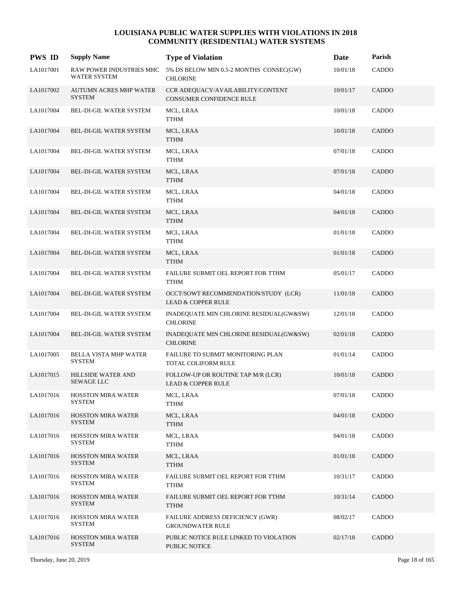| <b>PWS ID</b> | <b>Supply Name</b>                             | <b>Type of Violation</b>                                              | Date     | Parish |
|---------------|------------------------------------------------|-----------------------------------------------------------------------|----------|--------|
| LA1017001     | RAW POWER INDUSTRIES MHC<br>WATER SYSTEM       | 5% DS BELOW MIN 0.5-2 MONTHS CONSEC(GW)<br><b>CHLORINE</b>            | 10/01/18 | CADDO  |
| LA1017002     | <b>AUTUMN ACRES MHP WATER</b><br><b>SYSTEM</b> | CCR ADEQUACY/AVAILABILITY/CONTENT<br><b>CONSUMER CONFIDENCE RULE</b>  | 10/01/17 | CADDO  |
| LA1017004     | BEL-DI-GIL WATER SYSTEM                        | MCL, LRAA<br>${\sf TTHM}$                                             | 10/01/18 | CADDO  |
| LA1017004     | BEL-DI-GIL WATER SYSTEM                        | MCL, LRAA<br><b>TTHM</b>                                              | 10/01/18 | CADDO  |
| LA1017004     | BEL-DI-GIL WATER SYSTEM                        | MCL, LRAA<br><b>TTHM</b>                                              | 07/01/18 | CADDO  |
| LA1017004     | BEL-DI-GIL WATER SYSTEM                        | MCL, LRAA<br><b>TTHM</b>                                              | 07/01/18 | CADDO  |
| LA1017004     | BEL-DI-GIL WATER SYSTEM                        | MCL, LRAA<br>TTHM                                                     | 04/01/18 | CADDO  |
| LA1017004     | <b>BEL-DI-GIL WATER SYSTEM</b>                 | MCL, LRAA<br><b>TTHM</b>                                              | 04/01/18 | CADDO  |
| LA1017004     | BEL-DI-GIL WATER SYSTEM                        | MCL, LRAA<br><b>TTHM</b>                                              | 01/01/18 | CADDO  |
| LA1017004     | BEL-DI-GIL WATER SYSTEM                        | MCL, LRAA<br><b>TTHM</b>                                              | 01/01/18 | CADDO  |
| LA1017004     | BEL-DI-GIL WATER SYSTEM                        | FAILURE SUBMIT OEL REPORT FOR TTHM<br><b>TTHM</b>                     | 05/01/17 | CADDO  |
| LA1017004     | <b>BEL-DI-GIL WATER SYSTEM</b>                 | OCCT/SOWT RECOMMENDATION/STUDY (LCR)<br><b>LEAD &amp; COPPER RULE</b> | 11/01/18 | CADDO  |
| LA1017004     | BEL-DI-GIL WATER SYSTEM                        | INADEQUATE MIN CHLORINE RESIDUAL(GW&SW)<br><b>CHLORINE</b>            | 12/01/18 | CADDO  |
| LA1017004     | BEL-DI-GIL WATER SYSTEM                        | INADEQUATE MIN CHLORINE RESIDUAL(GW&SW)<br><b>CHLORINE</b>            | 02/01/18 | CADDO  |
| LA1017005     | BELLA VISTA MHP WATER<br><b>SYSTEM</b>         | FAILURE TO SUBMIT MONITORING PLAN<br>TOTAL COLIFORM RULE              | 01/01/14 | CADDO  |
| LA1017015     | HILLSIDE WATER AND<br><b>SEWAGE LLC</b>        | FOLLOW-UP OR ROUTINE TAP M/R (LCR)<br><b>LEAD &amp; COPPER RULE</b>   | 10/01/18 | CADDO  |
| LA1017016     | <b>HOSSTON MIRA WATER</b><br><b>SYSTEM</b>     | MCL, LRAA<br><b>TTHM</b>                                              | 07/01/18 | CADDO  |
| LA1017016     | <b>HOSSTON MIRA WATER</b><br><b>SYSTEM</b>     | MCL, LRAA<br><b>TTHM</b>                                              | 04/01/18 | CADDO  |
| LA1017016     | <b>HOSSTON MIRA WATER</b><br><b>SYSTEM</b>     | MCL, LRAA<br>TTHM                                                     | 04/01/18 | CADDO  |
| LA1017016     | <b>HOSSTON MIRA WATER</b><br><b>SYSTEM</b>     | MCL, LRAA<br><b>TTHM</b>                                              | 01/01/18 | CADDO  |
| LA1017016     | <b>HOSSTON MIRA WATER</b><br><b>SYSTEM</b>     | FAILURE SUBMIT OEL REPORT FOR TTHM<br><b>TTHM</b>                     | 10/31/17 | CADDO  |
| LA1017016     | <b>HOSSTON MIRA WATER</b><br><b>SYSTEM</b>     | FAILURE SUBMIT OEL REPORT FOR TTHM<br><b>TTHM</b>                     | 10/31/14 | CADDO  |
| LA1017016     | <b>HOSSTON MIRA WATER</b><br><b>SYSTEM</b>     | FAILURE ADDRESS DEFICIENCY (GWR)<br><b>GROUNDWATER RULE</b>           | 08/02/17 | CADDO  |
| LA1017016     | <b>HOSSTON MIRA WATER</b><br><b>SYSTEM</b>     | PUBLIC NOTICE RULE LINKED TO VIOLATION<br><b>PUBLIC NOTICE</b>        | 02/17/18 | CADDO  |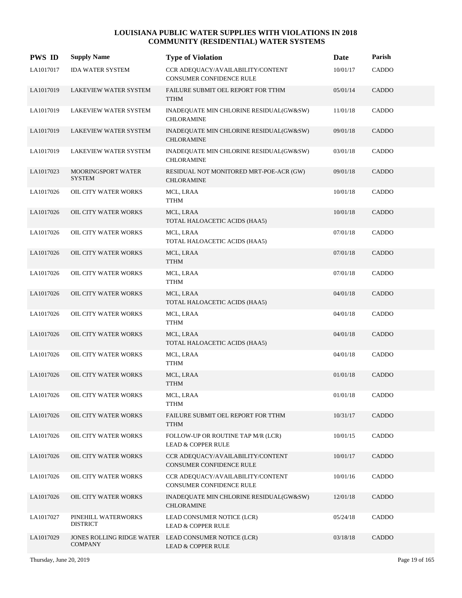| <b>PWS ID</b> | <b>Supply Name</b>                     | <b>Type of Violation</b>                                                              | Date     | Parish       |
|---------------|----------------------------------------|---------------------------------------------------------------------------------------|----------|--------------|
| LA1017017     | <b>IDA WATER SYSTEM</b>                | CCR ADEQUACY/AVAILABILITY/CONTENT<br><b>CONSUMER CONFIDENCE RULE</b>                  | 10/01/17 | CADDO        |
| LA1017019     | LAKEVIEW WATER SYSTEM                  | FAILURE SUBMIT OEL REPORT FOR TTHM<br><b>TTHM</b>                                     | 05/01/14 | <b>CADDO</b> |
| LA1017019     | LAKEVIEW WATER SYSTEM                  | INADEQUATE MIN CHLORINE RESIDUAL(GW&SW)<br><b>CHLORAMINE</b>                          | 11/01/18 | CADDO        |
| LA1017019     | LAKEVIEW WATER SYSTEM                  | INADEQUATE MIN CHLORINE RESIDUAL(GW&SW)<br><b>CHLORAMINE</b>                          | 09/01/18 | CADDO        |
| LA1017019     | <b>LAKEVIEW WATER SYSTEM</b>           | INADEQUATE MIN CHLORINE RESIDUAL(GW&SW)<br><b>CHLORAMINE</b>                          | 03/01/18 | CADDO        |
| LA1017023     | MOORINGSPORT WATER<br><b>SYSTEM</b>    | RESIDUAL NOT MONITORED MRT-POE-ACR (GW)<br><b>CHLORAMINE</b>                          | 09/01/18 | CADDO        |
| LA1017026     | OIL CITY WATER WORKS                   | MCL, LRAA<br><b>TTHM</b>                                                              | 10/01/18 | CADDO        |
| LA1017026     | OIL CITY WATER WORKS                   | MCL, LRAA<br>TOTAL HALOACETIC ACIDS (HAA5)                                            | 10/01/18 | CADDO        |
| LA1017026     | OIL CITY WATER WORKS                   | MCL, LRAA<br>TOTAL HALOACETIC ACIDS (HAA5)                                            | 07/01/18 | CADDO        |
| LA1017026     | OIL CITY WATER WORKS                   | MCL, LRAA<br><b>TTHM</b>                                                              | 07/01/18 | CADDO        |
| LA1017026     | OIL CITY WATER WORKS                   | MCL, LRAA<br><b>TTHM</b>                                                              | 07/01/18 | CADDO        |
| LA1017026     | <b>OIL CITY WATER WORKS</b>            | MCL, LRAA<br>TOTAL HALOACETIC ACIDS (HAA5)                                            | 04/01/18 | CADDO        |
| LA1017026     | OIL CITY WATER WORKS                   | MCL, LRAA<br><b>TTHM</b>                                                              | 04/01/18 | CADDO        |
| LA1017026     | OIL CITY WATER WORKS                   | MCL, LRAA<br>TOTAL HALOACETIC ACIDS (HAA5)                                            | 04/01/18 | CADDO        |
| LA1017026     | OIL CITY WATER WORKS                   | MCL, LRAA<br><b>TTHM</b>                                                              | 04/01/18 | CADDO        |
| LA1017026     | <b>OIL CITY WATER WORKS</b>            | MCL, LRAA<br><b>TTHM</b>                                                              | 01/01/18 | CADDO        |
| LA1017026     | OIL CITY WATER WORKS                   | MCL, LRAA<br><b>TTHM</b>                                                              | 01/01/18 | CADDO        |
| LA1017026     | OIL CITY WATER WORKS                   | FAILURE SUBMIT OEL REPORT FOR TTHM<br><b>TTHM</b>                                     | 10/31/17 | CADDO        |
| LA1017026     | OIL CITY WATER WORKS                   | FOLLOW-UP OR ROUTINE TAP M/R (LCR)<br><b>LEAD &amp; COPPER RULE</b>                   | 10/01/15 | CADDO        |
| LA1017026     | OIL CITY WATER WORKS                   | CCR ADEQUACY/AVAILABILITY/CONTENT<br>CONSUMER CONFIDENCE RULE                         | 10/01/17 | CADDO        |
| LA1017026     | OIL CITY WATER WORKS                   | CCR ADEQUACY/AVAILABILITY/CONTENT<br>CONSUMER CONFIDENCE RULE                         | 10/01/16 | CADDO        |
| LA1017026     | OIL CITY WATER WORKS                   | INADEQUATE MIN CHLORINE RESIDUAL(GW&SW)<br><b>CHLORAMINE</b>                          | 12/01/18 | CADDO        |
| LA1017027     | PINEHILL WATERWORKS<br><b>DISTRICT</b> | LEAD CONSUMER NOTICE (LCR)<br><b>LEAD &amp; COPPER RULE</b>                           | 05/24/18 | CADDO        |
| LA1017029     | <b>COMPANY</b>                         | JONES ROLLING RIDGE WATER LEAD CONSUMER NOTICE (LCR)<br><b>LEAD &amp; COPPER RULE</b> | 03/18/18 | CADDO        |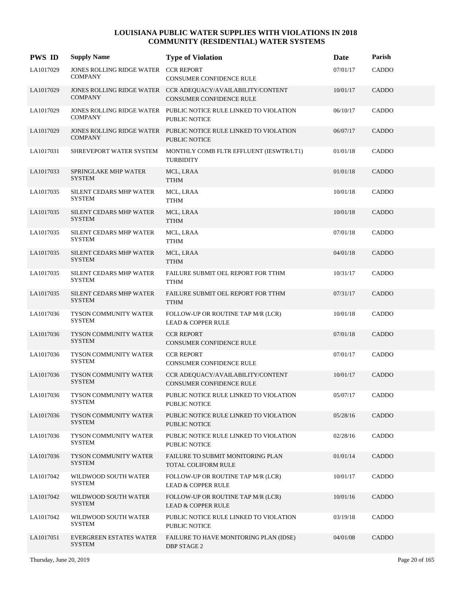| <b>PWS ID</b> | <b>Supply Name</b>                                     | <b>Type of Violation</b>                                                                        | Date     | Parish       |
|---------------|--------------------------------------------------------|-------------------------------------------------------------------------------------------------|----------|--------------|
| LA1017029     | JONES ROLLING RIDGE WATER CCR REPORT<br><b>COMPANY</b> | <b>CONSUMER CONFIDENCE RULE</b>                                                                 | 07/01/17 | CADDO        |
| LA1017029     | <b>COMPANY</b>                                         | JONES ROLLING RIDGE WATER  CCR ADEQUACY/AVAILABILITY/CONTENT<br><b>CONSUMER CONFIDENCE RULE</b> | 10/01/17 | CADDO        |
| LA1017029     | <b>COMPANY</b>                                         | JONES ROLLING RIDGE WATER PUBLIC NOTICE RULE LINKED TO VIOLATION<br><b>PUBLIC NOTICE</b>        | 06/10/17 | CADDO        |
| LA1017029     | <b>COMPANY</b>                                         | JONES ROLLING RIDGE WATER PUBLIC NOTICE RULE LINKED TO VIOLATION<br><b>PUBLIC NOTICE</b>        | 06/07/17 | CADDO        |
| LA1017031     | SHREVEPORT WATER SYSTEM                                | MONTHLY COMB FLTR EFFLUENT (IESWTR/LT1)<br><b>TURBIDITY</b>                                     | 01/01/18 | CADDO        |
| LA1017033     | SPRINGLAKE MHP WATER<br><b>SYSTEM</b>                  | MCL, LRAA<br><b>TTHM</b>                                                                        | 01/01/18 | CADDO        |
| LA1017035     | <b>SILENT CEDARS MHP WATER</b><br><b>SYSTEM</b>        | MCL, LRAA<br><b>TTHM</b>                                                                        | 10/01/18 | CADDO        |
| LA1017035     | <b>SILENT CEDARS MHP WATER</b><br><b>SYSTEM</b>        | MCL, LRAA<br><b>TTHM</b>                                                                        | 10/01/18 | <b>CADDO</b> |
| LA1017035     | SILENT CEDARS MHP WATER<br><b>SYSTEM</b>               | MCL, LRAA<br><b>TTHM</b>                                                                        | 07/01/18 | CADDO        |
| LA1017035     | <b>SILENT CEDARS MHP WATER</b><br><b>SYSTEM</b>        | MCL, LRAA<br><b>TTHM</b>                                                                        | 04/01/18 | CADDO        |
| LA1017035     | SILENT CEDARS MHP WATER<br><b>SYSTEM</b>               | FAILURE SUBMIT OEL REPORT FOR TTHM<br><b>TTHM</b>                                               | 10/31/17 | CADDO        |
| LA1017035     | <b>SILENT CEDARS MHP WATER</b><br><b>SYSTEM</b>        | FAILURE SUBMIT OEL REPORT FOR TTHM<br><b>TTHM</b>                                               | 07/31/17 | <b>CADDO</b> |
| LA1017036     | TYSON COMMUNITY WATER<br><b>SYSTEM</b>                 | FOLLOW-UP OR ROUTINE TAP M/R (LCR)<br><b>LEAD &amp; COPPER RULE</b>                             | 10/01/18 | CADDO        |
| LA1017036     | TYSON COMMUNITY WATER<br><b>SYSTEM</b>                 | <b>CCR REPORT</b><br>CONSUMER CONFIDENCE RULE                                                   | 07/01/18 | CADDO        |
| LA1017036     | TYSON COMMUNITY WATER<br><b>SYSTEM</b>                 | <b>CCR REPORT</b><br><b>CONSUMER CONFIDENCE RULE</b>                                            | 07/01/17 | CADDO        |
| LA1017036     | <b>TYSON COMMUNITY WATER</b><br><b>SYSTEM</b>          | CCR ADEQUACY/AVAILABILITY/CONTENT<br><b>CONSUMER CONFIDENCE RULE</b>                            | 10/01/17 | CADDO        |
| LA1017036     | TYSON COMMUNITY WATER<br><b>SYSTEM</b>                 | PUBLIC NOTICE RULE LINKED TO VIOLATION<br><b>PUBLIC NOTICE</b>                                  | 05/07/17 | CADDO        |
| LA1017036     | TYSON COMMUNITY WATER<br><b>SYSTEM</b>                 | PUBLIC NOTICE RULE LINKED TO VIOLATION<br><b>PUBLIC NOTICE</b>                                  | 05/28/16 | <b>CADDO</b> |
| LA1017036     | TYSON COMMUNITY WATER<br><b>SYSTEM</b>                 | PUBLIC NOTICE RULE LINKED TO VIOLATION<br><b>PUBLIC NOTICE</b>                                  | 02/28/16 | CADDO        |
| LA1017036     | <b>TYSON COMMUNITY WATER</b><br><b>SYSTEM</b>          | FAILURE TO SUBMIT MONITORING PLAN<br>TOTAL COLIFORM RULE                                        | 01/01/14 | CADDO        |
| LA1017042     | WILDWOOD SOUTH WATER<br><b>SYSTEM</b>                  | FOLLOW-UP OR ROUTINE TAP M/R (LCR)<br><b>LEAD &amp; COPPER RULE</b>                             | 10/01/17 | CADDO        |
| LA1017042     | WILDWOOD SOUTH WATER<br><b>SYSTEM</b>                  | FOLLOW-UP OR ROUTINE TAP M/R (LCR)<br><b>LEAD &amp; COPPER RULE</b>                             | 10/01/16 | CADDO        |
| LA1017042     | WILDWOOD SOUTH WATER<br><b>SYSTEM</b>                  | PUBLIC NOTICE RULE LINKED TO VIOLATION<br><b>PUBLIC NOTICE</b>                                  | 03/19/18 | CADDO        |
| LA1017051     | <b>EVERGREEN ESTATES WATER</b><br><b>SYSTEM</b>        | FAILURE TO HAVE MONITORING PLAN (IDSE)<br><b>DBP STAGE 2</b>                                    | 04/01/08 | CADDO        |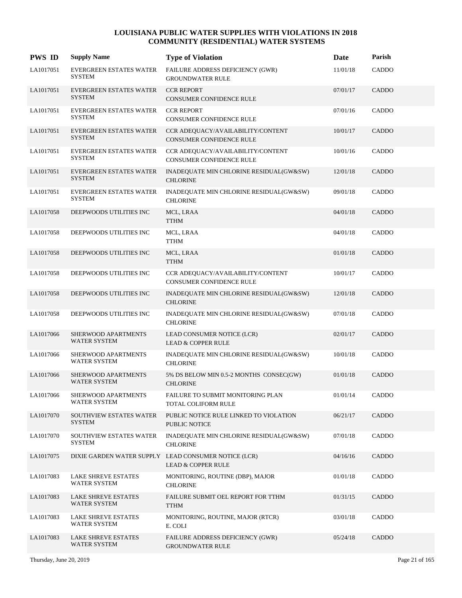| <b>PWS ID</b> | <b>Supply Name</b>                              | <b>Type of Violation</b>                                                              | Date     | Parish |
|---------------|-------------------------------------------------|---------------------------------------------------------------------------------------|----------|--------|
| LA1017051     | EVERGREEN ESTATES WATER<br><b>SYSTEM</b>        | FAILURE ADDRESS DEFICIENCY (GWR)<br><b>GROUNDWATER RULE</b>                           | 11/01/18 | CADDO  |
| LA1017051     | <b>EVERGREEN ESTATES WATER</b><br><b>SYSTEM</b> | <b>CCR REPORT</b><br>CONSUMER CONFIDENCE RULE                                         | 07/01/17 | CADDO  |
| LA1017051     | EVERGREEN ESTATES WATER<br><b>SYSTEM</b>        | <b>CCR REPORT</b><br>CONSUMER CONFIDENCE RULE                                         | 07/01/16 | CADDO  |
| LA1017051     | <b>EVERGREEN ESTATES WATER</b><br><b>SYSTEM</b> | CCR ADEQUACY/AVAILABILITY/CONTENT<br><b>CONSUMER CONFIDENCE RULE</b>                  | 10/01/17 | CADDO  |
| LA1017051     | <b>EVERGREEN ESTATES WATER</b><br><b>SYSTEM</b> | CCR ADEQUACY/AVAILABILITY/CONTENT<br>CONSUMER CONFIDENCE RULE                         | 10/01/16 | CADDO  |
| LA1017051     | EVERGREEN ESTATES WATER<br><b>SYSTEM</b>        | INADEQUATE MIN CHLORINE RESIDUAL(GW&SW)<br><b>CHLORINE</b>                            | 12/01/18 | CADDO  |
| LA1017051     | EVERGREEN ESTATES WATER<br><b>SYSTEM</b>        | INADEQUATE MIN CHLORINE RESIDUAL(GW&SW)<br><b>CHLORINE</b>                            | 09/01/18 | CADDO  |
| LA1017058     | DEEPWOODS UTILITIES INC                         | MCL, LRAA<br><b>TTHM</b>                                                              | 04/01/18 | CADDO  |
| LA1017058     | DEEPWOODS UTILITIES INC                         | MCL, LRAA<br><b>TTHM</b>                                                              | 04/01/18 | CADDO  |
| LA1017058     | DEEPWOODS UTILITIES INC                         | MCL, LRAA<br><b>TTHM</b>                                                              | 01/01/18 | CADDO  |
| LA1017058     | DEEPWOODS UTILITIES INC                         | CCR ADEQUACY/AVAILABILITY/CONTENT<br>CONSUMER CONFIDENCE RULE                         | 10/01/17 | CADDO  |
| LA1017058     | DEEPWOODS UTILITIES INC                         | INADEQUATE MIN CHLORINE RESIDUAL(GW&SW)<br><b>CHLORINE</b>                            | 12/01/18 | CADDO  |
| LA1017058     | DEEPWOODS UTILITIES INC                         | INADEQUATE MIN CHLORINE RESIDUAL(GW&SW)<br><b>CHLORINE</b>                            | 07/01/18 | CADDO  |
| LA1017066     | SHERWOOD APARTMENTS<br><b>WATER SYSTEM</b>      | LEAD CONSUMER NOTICE (LCR)<br><b>LEAD &amp; COPPER RULE</b>                           | 02/01/17 | CADDO  |
| LA1017066     | SHERWOOD APARTMENTS<br><b>WATER SYSTEM</b>      | INADEQUATE MIN CHLORINE RESIDUAL(GW&SW)<br><b>CHLORINE</b>                            | 10/01/18 | CADDO  |
| LA1017066     | SHERWOOD APARTMENTS<br>WATER SYSTEM             | 5% DS BELOW MIN 0.5-2 MONTHS CONSEC(GW)<br><b>CHLORINE</b>                            | 01/01/18 | CADDO  |
| LA1017066     | SHERWOOD APARTMENTS<br><b>WATER SYSTEM</b>      | FAILURE TO SUBMIT MONITORING PLAN<br>TOTAL COLIFORM RULE                              | 01/01/14 | CADDO  |
| LA1017070     | SOUTHVIEW ESTATES WATER<br><b>SYSTEM</b>        | PUBLIC NOTICE RULE LINKED TO VIOLATION<br>PUBLIC NOTICE                               | 06/21/17 | CADDO  |
| LA1017070     | SOUTHVIEW ESTATES WATER<br><b>SYSTEM</b>        | INADEQUATE MIN CHLORINE RESIDUAL(GW&SW)<br><b>CHLORINE</b>                            | 07/01/18 | CADDO  |
| LA1017075     |                                                 | DIXIE GARDEN WATER SUPPLY LEAD CONSUMER NOTICE (LCR)<br><b>LEAD &amp; COPPER RULE</b> | 04/16/16 | CADDO  |
| LA1017083     | <b>LAKE SHREVE ESTATES</b><br>WATER SYSTEM      | MONITORING, ROUTINE (DBP), MAJOR<br><b>CHLORINE</b>                                   | 01/01/18 | CADDO  |
| LA1017083     | <b>LAKE SHREVE ESTATES</b><br>WATER SYSTEM      | FAILURE SUBMIT OEL REPORT FOR TTHM<br><b>TTHM</b>                                     | 01/31/15 | CADDO  |
| LA1017083     | <b>LAKE SHREVE ESTATES</b><br>WATER SYSTEM      | MONITORING, ROUTINE, MAJOR (RTCR)<br>E. COLI                                          | 03/01/18 | CADDO  |
| LA1017083     | <b>LAKE SHREVE ESTATES</b><br>WATER SYSTEM      | FAILURE ADDRESS DEFICIENCY (GWR)<br><b>GROUNDWATER RULE</b>                           | 05/24/18 | CADDO  |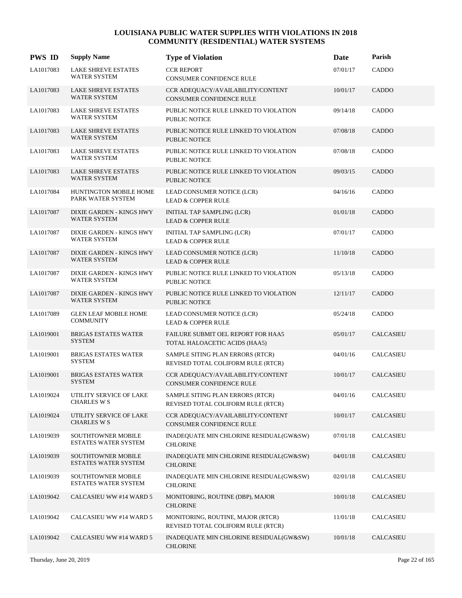| <b>PWS ID</b> | <b>Supply Name</b>                                       | <b>Type of Violation</b>                                                | Date     | Parish           |
|---------------|----------------------------------------------------------|-------------------------------------------------------------------------|----------|------------------|
| LA1017083     | <b>LAKE SHREVE ESTATES</b><br><b>WATER SYSTEM</b>        | <b>CCR REPORT</b><br>CONSUMER CONFIDENCE RULE                           | 07/01/17 | CADDO            |
| LA1017083     | <b>LAKE SHREVE ESTATES</b><br>WATER SYSTEM               | CCR ADEQUACY/AVAILABILITY/CONTENT<br><b>CONSUMER CONFIDENCE RULE</b>    | 10/01/17 | <b>CADDO</b>     |
| LA1017083     | <b>LAKE SHREVE ESTATES</b><br><b>WATER SYSTEM</b>        | PUBLIC NOTICE RULE LINKED TO VIOLATION<br>PUBLIC NOTICE                 | 09/14/18 | CADDO            |
| LA1017083     | <b>LAKE SHREVE ESTATES</b><br><b>WATER SYSTEM</b>        | PUBLIC NOTICE RULE LINKED TO VIOLATION<br><b>PUBLIC NOTICE</b>          | 07/08/18 | CADDO            |
| LA1017083     | <b>LAKE SHREVE ESTATES</b><br>WATER SYSTEM               | PUBLIC NOTICE RULE LINKED TO VIOLATION<br><b>PUBLIC NOTICE</b>          | 07/08/18 | CADDO            |
| LA1017083     | <b>LAKE SHREVE ESTATES</b><br><b>WATER SYSTEM</b>        | PUBLIC NOTICE RULE LINKED TO VIOLATION<br><b>PUBLIC NOTICE</b>          | 09/03/15 | CADDO            |
| LA1017084     | HUNTINGTON MOBILE HOME<br>PARK WATER SYSTEM              | LEAD CONSUMER NOTICE (LCR)<br><b>LEAD &amp; COPPER RULE</b>             | 04/16/16 | CADDO            |
| LA1017087     | DIXIE GARDEN - KINGS HWY<br><b>WATER SYSTEM</b>          | INITIAL TAP SAMPLING (LCR)<br><b>LEAD &amp; COPPER RULE</b>             | 01/01/18 | CADDO            |
| LA1017087     | DIXIE GARDEN - KINGS HWY<br><b>WATER SYSTEM</b>          | INITIAL TAP SAMPLING (LCR)<br><b>LEAD &amp; COPPER RULE</b>             | 07/01/17 | CADDO            |
| LA1017087     | DIXIE GARDEN - KINGS HWY<br>WATER SYSTEM                 | LEAD CONSUMER NOTICE (LCR)<br><b>LEAD &amp; COPPER RULE</b>             | 11/10/18 | CADDO            |
| LA1017087     | DIXIE GARDEN - KINGS HWY<br>WATER SYSTEM                 | PUBLIC NOTICE RULE LINKED TO VIOLATION<br>PUBLIC NOTICE                 | 05/13/18 | CADDO            |
| LA1017087     | DIXIE GARDEN - KINGS HWY<br>WATER SYSTEM                 | PUBLIC NOTICE RULE LINKED TO VIOLATION<br>PUBLIC NOTICE                 | 12/11/17 | CADDO            |
| LA1017089     | <b>GLEN LEAF MOBILE HOME</b><br><b>COMMUNITY</b>         | LEAD CONSUMER NOTICE (LCR)<br><b>LEAD &amp; COPPER RULE</b>             | 05/24/18 | CADDO            |
| LA1019001     | <b>BRIGAS ESTATES WATER</b><br><b>SYSTEM</b>             | FAILURE SUBMIT OEL REPORT FOR HAA5<br>TOTAL HALOACETIC ACIDS (HAA5)     | 05/01/17 | CALCASIEU        |
| LA1019001     | <b>BRIGAS ESTATES WATER</b><br><b>SYSTEM</b>             | SAMPLE SITING PLAN ERRORS (RTCR)<br>REVISED TOTAL COLIFORM RULE (RTCR)  | 04/01/16 | CALCASIEU        |
| LA1019001     | <b>BRIGAS ESTATES WATER</b><br><b>SYSTEM</b>             | CCR ADEQUACY/AVAILABILITY/CONTENT<br><b>CONSUMER CONFIDENCE RULE</b>    | 10/01/17 | <b>CALCASIEU</b> |
| LA1019024     | UTILITY SERVICE OF LAKE<br><b>CHARLES W S</b>            | SAMPLE SITING PLAN ERRORS (RTCR)<br>REVISED TOTAL COLIFORM RULE (RTCR)  | 04/01/16 | CALCASIEU        |
| LA1019024     | UTILITY SERVICE OF LAKE<br><b>CHARLES W S</b>            | CCR ADEQUACY/AVAILABILITY/CONTENT<br>CONSUMER CONFIDENCE RULE           | 10/01/17 | CALCASIEU        |
| LA1019039     | <b>SOUTHTOWNER MOBILE</b><br>ESTATES WATER SYSTEM        | INADEQUATE MIN CHLORINE RESIDUAL(GW&SW)<br><b>CHLORINE</b>              | 07/01/18 | CALCASIEU        |
| LA1019039     | <b>SOUTHTOWNER MOBILE</b><br><b>ESTATES WATER SYSTEM</b> | INADEQUATE MIN CHLORINE RESIDUAL(GW&SW)<br><b>CHLORINE</b>              | 04/01/18 | CALCASIEU        |
| LA1019039     | <b>SOUTHTOWNER MOBILE</b><br><b>ESTATES WATER SYSTEM</b> | INADEQUATE MIN CHLORINE RESIDUAL(GW&SW)<br><b>CHLORINE</b>              | 02/01/18 | CALCASIEU        |
| LA1019042     | CALCASIEU WW #14 WARD 5                                  | MONITORING, ROUTINE (DBP), MAJOR<br><b>CHLORINE</b>                     | 10/01/18 | <b>CALCASIEU</b> |
| LA1019042     | CALCASIEU WW #14 WARD 5                                  | MONITORING, ROUTINE, MAJOR (RTCR)<br>REVISED TOTAL COLIFORM RULE (RTCR) | 11/01/18 | CALCASIEU        |
| LA1019042     | CALCASIEU WW #14 WARD 5                                  | INADEQUATE MIN CHLORINE RESIDUAL(GW&SW)<br><b>CHLORINE</b>              | 10/01/18 | CALCASIEU        |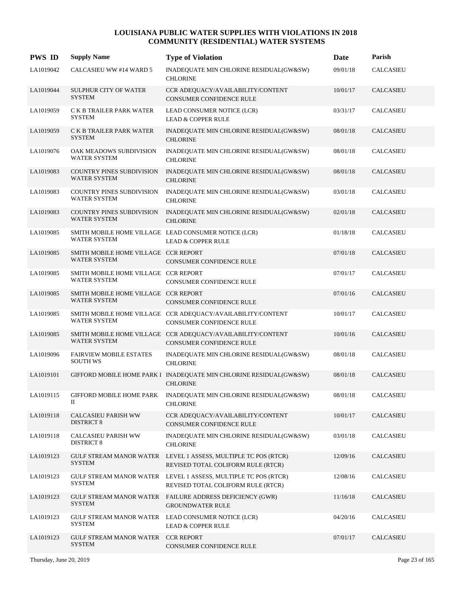| <b>PWS ID</b> | <b>Supply Name</b>                                          | <b>Type of Violation</b>                                                                             | Date     | Parish           |
|---------------|-------------------------------------------------------------|------------------------------------------------------------------------------------------------------|----------|------------------|
| LA1019042     | CALCASIEU WW #14 WARD 5                                     | INADEQUATE MIN CHLORINE RESIDUAL(GW&SW)<br><b>CHLORINE</b>                                           | 09/01/18 | CALCASIEU        |
| LA1019044     | SULPHUR CITY OF WATER<br><b>SYSTEM</b>                      | CCR ADEQUACY/AVAILABILITY/CONTENT<br>CONSUMER CONFIDENCE RULE                                        | 10/01/17 | CALCASIEU        |
| LA1019059     | C K B TRAILER PARK WATER<br><b>SYSTEM</b>                   | LEAD CONSUMER NOTICE (LCR)<br><b>LEAD &amp; COPPER RULE</b>                                          | 03/31/17 | CALCASIEU        |
| LA1019059     | C K B TRAILER PARK WATER<br><b>SYSTEM</b>                   | INADEQUATE MIN CHLORINE RESIDUAL(GW&SW)<br><b>CHLORINE</b>                                           | 08/01/18 | CALCASIEU        |
| LA1019076     | OAK MEADOWS SUBDIVISION<br><b>WATER SYSTEM</b>              | INADEQUATE MIN CHLORINE RESIDUAL(GW&SW)<br><b>CHLORINE</b>                                           | 08/01/18 | CALCASIEU        |
| LA1019083     | <b>COUNTRY PINES SUBDIVISION</b><br><b>WATER SYSTEM</b>     | INADEQUATE MIN CHLORINE RESIDUAL(GW&SW)<br><b>CHLORINE</b>                                           | 08/01/18 | CALCASIEU        |
| LA1019083     | COUNTRY PINES SUBDIVISION<br><b>WATER SYSTEM</b>            | INADEQUATE MIN CHLORINE RESIDUAL(GW&SW)<br><b>CHLORINE</b>                                           | 03/01/18 | <b>CALCASIEU</b> |
| LA1019083     | <b>COUNTRY PINES SUBDIVISION</b><br><b>WATER SYSTEM</b>     | INADEQUATE MIN CHLORINE RESIDUAL(GW&SW)<br><b>CHLORINE</b>                                           | 02/01/18 | CALCASIEU        |
| LA1019085     | <b>WATER SYSTEM</b>                                         | SMITH MOBILE HOME VILLAGE LEAD CONSUMER NOTICE (LCR)<br><b>LEAD &amp; COPPER RULE</b>                | 01/18/18 | CALCASIEU        |
| LA1019085     | SMITH MOBILE HOME VILLAGE CCR REPORT<br><b>WATER SYSTEM</b> | CONSUMER CONFIDENCE RULE                                                                             | 07/01/18 | CALCASIEU        |
| LA1019085     | SMITH MOBILE HOME VILLAGE CCR REPORT<br><b>WATER SYSTEM</b> | CONSUMER CONFIDENCE RULE                                                                             | 07/01/17 | CALCASIEU        |
| LA1019085     | SMITH MOBILE HOME VILLAGE CCR REPORT<br><b>WATER SYSTEM</b> | <b>CONSUMER CONFIDENCE RULE</b>                                                                      | 07/01/16 | CALCASIEU        |
| LA1019085     | <b>WATER SYSTEM</b>                                         | SMITH MOBILE HOME VILLAGE CCR ADEQUACY/AVAILABILITY/CONTENT<br><b>CONSUMER CONFIDENCE RULE</b>       | 10/01/17 | CALCASIEU        |
| LA1019085     | <b>WATER SYSTEM</b>                                         | SMITH MOBILE HOME VILLAGE CCR ADEQUACY/AVAILABILITY/CONTENT<br>CONSUMER CONFIDENCE RULE              | 10/01/16 | CALCASIEU        |
| LA1019096     | <b>FAIRVIEW MOBILE ESTATES</b><br><b>SOUTH WS</b>           | INADEQUATE MIN CHLORINE RESIDUAL(GW&SW)<br><b>CHLORINE</b>                                           | 08/01/18 | CALCASIEU        |
| LA1019101     |                                                             | GIFFORD MOBILE HOME PARK I INADEQUATE MIN CHLORINE RESIDUAL(GW&SW)<br><b>CHLORINE</b>                | 08/01/18 | CALCASIEU        |
| LA1019115     | GIFFORD MOBILE HOME PARK<br>П                               | INADEQUATE MIN CHLORINE RESIDUAL(GW&SW)<br><b>CHLORINE</b>                                           | 08/01/18 | <b>CALCASIEU</b> |
| LA1019118     | <b>CALCASIEU PARISH WW</b><br><b>DISTRICT 8</b>             | CCR ADEQUACY/AVAILABILITY/CONTENT<br>CONSUMER CONFIDENCE RULE                                        | 10/01/17 | <b>CALCASIEU</b> |
| LA1019118     | <b>CALCASIEU PARISH WW</b><br><b>DISTRICT 8</b>             | INADEQUATE MIN CHLORINE RESIDUAL(GW&SW)<br><b>CHLORINE</b>                                           | 03/01/18 | <b>CALCASIEU</b> |
| LA1019123     | <b>SYSTEM</b>                                               | GULF STREAM MANOR WATER LEVEL 1 ASSESS, MULTIPLE TC POS (RTCR)<br>REVISED TOTAL COLIFORM RULE (RTCR) | 12/09/16 | <b>CALCASIEU</b> |
| LA1019123     | <b>SYSTEM</b>                                               | GULF STREAM MANOR WATER LEVEL 1 ASSESS, MULTIPLE TC POS (RTCR)<br>REVISED TOTAL COLIFORM RULE (RTCR) | 12/08/16 | <b>CALCASIEU</b> |
| LA1019123     | <b>GULF STREAM MANOR WATER</b><br><b>SYSTEM</b>             | FAILURE ADDRESS DEFICIENCY (GWR)<br><b>GROUNDWATER RULE</b>                                          | 11/16/18 | CALCASIEU        |
| LA1019123     | GULF STREAM MANOR WATER<br><b>SYSTEM</b>                    | LEAD CONSUMER NOTICE (LCR)<br><b>LEAD &amp; COPPER RULE</b>                                          | 04/20/16 | CALCASIEU        |
| LA1019123     | <b>GULF STREAM MANOR WATER</b><br><b>SYSTEM</b>             | <b>CCR REPORT</b><br>CONSUMER CONFIDENCE RULE                                                        | 07/01/17 | CALCASIEU        |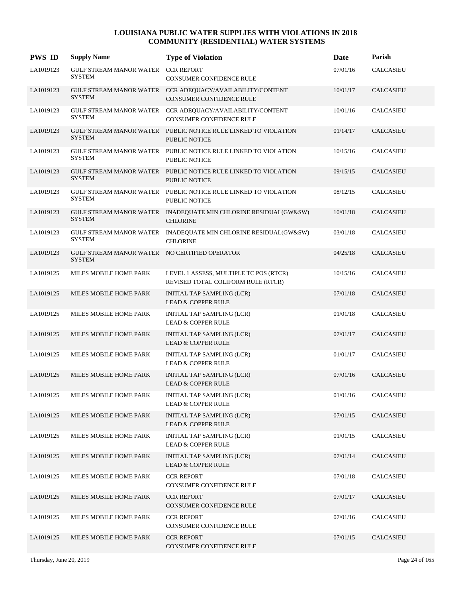| <b>PWS ID</b> | <b>Supply Name</b>                                             | <b>Type of Violation</b>                                                               | Date     | Parish           |
|---------------|----------------------------------------------------------------|----------------------------------------------------------------------------------------|----------|------------------|
| LA1019123     | GULF STREAM MANOR WATER<br><b>SYSTEM</b>                       | <b>CCR REPORT</b><br>CONSUMER CONFIDENCE RULE                                          | 07/01/16 | <b>CALCASIEU</b> |
| LA1019123     | <b>SYSTEM</b>                                                  | GULF STREAM MANOR WATER  CCR ADEQUACY/AVAILABILITY/CONTENT<br>CONSUMER CONFIDENCE RULE | 10/01/17 | <b>CALCASIEU</b> |
| LA1019123     | GULF STREAM MANOR WATER<br><b>SYSTEM</b>                       | CCR ADEQUACY/AVAILABILITY/CONTENT<br>CONSUMER CONFIDENCE RULE                          | 10/01/16 | CALCASIEU        |
| LA1019123     | <b>SYSTEM</b>                                                  | GULF STREAM MANOR WATER PUBLIC NOTICE RULE LINKED TO VIOLATION<br>PUBLIC NOTICE        | 01/14/17 | <b>CALCASIEU</b> |
| LA1019123     | <b>SYSTEM</b>                                                  | GULF STREAM MANOR WATER PUBLIC NOTICE RULE LINKED TO VIOLATION<br>PUBLIC NOTICE        | 10/15/16 | <b>CALCASIEU</b> |
| LA1019123     | <b>SYSTEM</b>                                                  | GULF STREAM MANOR WATER PUBLIC NOTICE RULE LINKED TO VIOLATION<br><b>PUBLIC NOTICE</b> | 09/15/15 | <b>CALCASIEU</b> |
| LA1019123     | <b>SYSTEM</b>                                                  | GULF STREAM MANOR WATER PUBLIC NOTICE RULE LINKED TO VIOLATION<br><b>PUBLIC NOTICE</b> | 08/12/15 | <b>CALCASIEU</b> |
| LA1019123     | GULF STREAM MANOR WATER<br><b>SYSTEM</b>                       | INADEQUATE MIN CHLORINE RESIDUAL(GW&SW)<br><b>CHLORINE</b>                             | 10/01/18 | <b>CALCASIEU</b> |
| LA1019123     | <b>GULF STREAM MANOR WATER</b><br><b>SYSTEM</b>                | INADEQUATE MIN CHLORINE RESIDUAL(GW&SW)<br><b>CHLORINE</b>                             | 03/01/18 | CALCASIEU        |
| LA1019123     | GULF STREAM MANOR WATER NO CERTIFIED OPERATOR<br><b>SYSTEM</b> |                                                                                        | 04/25/18 | <b>CALCASIEU</b> |
| LA1019125     | MILES MOBILE HOME PARK                                         | LEVEL 1 ASSESS, MULTIPLE TC POS (RTCR)<br>REVISED TOTAL COLIFORM RULE (RTCR)           | 10/15/16 | <b>CALCASIEU</b> |
| LA1019125     | MILES MOBILE HOME PARK                                         | INITIAL TAP SAMPLING (LCR)<br><b>LEAD &amp; COPPER RULE</b>                            | 07/01/18 | <b>CALCASIEU</b> |
| LA1019125     | MILES MOBILE HOME PARK                                         | INITIAL TAP SAMPLING (LCR)<br><b>LEAD &amp; COPPER RULE</b>                            | 01/01/18 | <b>CALCASIEU</b> |
| LA1019125     | MILES MOBILE HOME PARK                                         | INITIAL TAP SAMPLING (LCR)<br><b>LEAD &amp; COPPER RULE</b>                            | 07/01/17 | <b>CALCASIEU</b> |
| LA1019125     | MILES MOBILE HOME PARK                                         | INITIAL TAP SAMPLING (LCR)<br><b>LEAD &amp; COPPER RULE</b>                            | 01/01/17 | <b>CALCASIEU</b> |
| LA1019125     | MILES MOBILE HOME PARK                                         | INITIAL TAP SAMPLING (LCR)<br><b>LEAD &amp; COPPER RULE</b>                            | 07/01/16 | <b>CALCASIEU</b> |
| LA1019125     | MILES MOBILE HOME PARK                                         | INITIAL TAP SAMPLING (LCR)<br><b>LEAD &amp; COPPER RULE</b>                            | 01/01/16 | CALCASIEU        |
| LA1019125     | MILES MOBILE HOME PARK                                         | INITIAL TAP SAMPLING (LCR)<br><b>LEAD &amp; COPPER RULE</b>                            | 07/01/15 | CALCASIEU        |
| LA1019125     | MILES MOBILE HOME PARK                                         | INITIAL TAP SAMPLING (LCR)<br><b>LEAD &amp; COPPER RULE</b>                            | 01/01/15 | CALCASIEU        |
| LA1019125     | MILES MOBILE HOME PARK                                         | INITIAL TAP SAMPLING (LCR)<br><b>LEAD &amp; COPPER RULE</b>                            | 07/01/14 | <b>CALCASIEU</b> |
| LA1019125     | MILES MOBILE HOME PARK                                         | <b>CCR REPORT</b><br>CONSUMER CONFIDENCE RULE                                          | 07/01/18 | CALCASIEU        |
| LA1019125     | MILES MOBILE HOME PARK                                         | <b>CCR REPORT</b><br>CONSUMER CONFIDENCE RULE                                          | 07/01/17 | CALCASIEU        |
| LA1019125     | MILES MOBILE HOME PARK                                         | <b>CCR REPORT</b><br>CONSUMER CONFIDENCE RULE                                          | 07/01/16 | CALCASIEU        |
| LA1019125     | MILES MOBILE HOME PARK                                         | <b>CCR REPORT</b><br>CONSUMER CONFIDENCE RULE                                          | 07/01/15 | CALCASIEU        |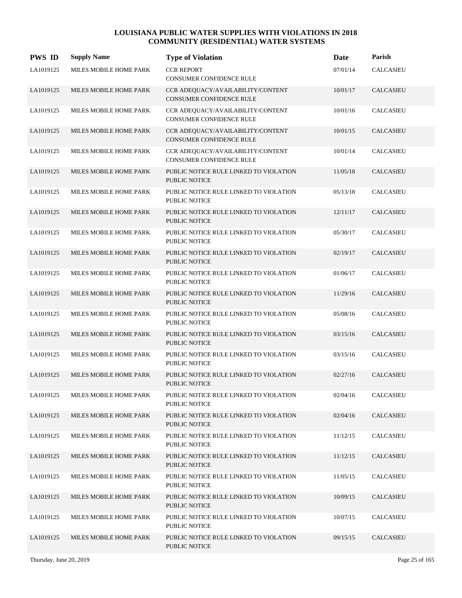| <b>PWS ID</b> | <b>Supply Name</b>     | <b>Type of Violation</b>                                       | <b>Date</b> | Parish           |
|---------------|------------------------|----------------------------------------------------------------|-------------|------------------|
| LA1019125     | MILES MOBILE HOME PARK | <b>CCR REPORT</b><br>CONSUMER CONFIDENCE RULE                  | 07/01/14    | CALCASIEU        |
| LA1019125     | MILES MOBILE HOME PARK | CCR ADEQUACY/AVAILABILITY/CONTENT<br>CONSUMER CONFIDENCE RULE  | 10/01/17    | <b>CALCASIEU</b> |
| LA1019125     | MILES MOBILE HOME PARK | CCR ADEQUACY/AVAILABILITY/CONTENT<br>CONSUMER CONFIDENCE RULE  | 10/01/16    | <b>CALCASIEU</b> |
| LA1019125     | MILES MOBILE HOME PARK | CCR ADEQUACY/AVAILABILITY/CONTENT<br>CONSUMER CONFIDENCE RULE  | 10/01/15    | <b>CALCASIEU</b> |
| LA1019125     | MILES MOBILE HOME PARK | CCR ADEQUACY/AVAILABILITY/CONTENT<br>CONSUMER CONFIDENCE RULE  | 10/01/14    | CALCASIEU        |
| LA1019125     | MILES MOBILE HOME PARK | PUBLIC NOTICE RULE LINKED TO VIOLATION<br><b>PUBLIC NOTICE</b> | 11/05/18    | <b>CALCASIEU</b> |
| LA1019125     | MILES MOBILE HOME PARK | PUBLIC NOTICE RULE LINKED TO VIOLATION<br>PUBLIC NOTICE        | 05/13/18    | CALCASIEU        |
| LA1019125     | MILES MOBILE HOME PARK | PUBLIC NOTICE RULE LINKED TO VIOLATION<br><b>PUBLIC NOTICE</b> | 12/11/17    | <b>CALCASIEU</b> |
| LA1019125     | MILES MOBILE HOME PARK | PUBLIC NOTICE RULE LINKED TO VIOLATION<br><b>PUBLIC NOTICE</b> | 05/30/17    | CALCASIEU        |
| LA1019125     | MILES MOBILE HOME PARK | PUBLIC NOTICE RULE LINKED TO VIOLATION<br><b>PUBLIC NOTICE</b> | 02/19/17    | CALCASIEU        |
| LA1019125     | MILES MOBILE HOME PARK | PUBLIC NOTICE RULE LINKED TO VIOLATION<br><b>PUBLIC NOTICE</b> | 01/06/17    | <b>CALCASIEU</b> |
| LA1019125     | MILES MOBILE HOME PARK | PUBLIC NOTICE RULE LINKED TO VIOLATION<br><b>PUBLIC NOTICE</b> | 11/29/16    | <b>CALCASIEU</b> |
| LA1019125     | MILES MOBILE HOME PARK | PUBLIC NOTICE RULE LINKED TO VIOLATION<br><b>PUBLIC NOTICE</b> | 05/08/16    | <b>CALCASIEU</b> |
| LA1019125     | MILES MOBILE HOME PARK | PUBLIC NOTICE RULE LINKED TO VIOLATION<br><b>PUBLIC NOTICE</b> | 03/15/16    | <b>CALCASIEU</b> |
| LA1019125     | MILES MOBILE HOME PARK | PUBLIC NOTICE RULE LINKED TO VIOLATION<br><b>PUBLIC NOTICE</b> | 03/15/16    | <b>CALCASIEU</b> |
| LA1019125     | MILES MOBILE HOME PARK | PUBLIC NOTICE RULE LINKED TO VIOLATION<br>PUBLIC NOTICE        | 02/27/16    | <b>CALCASIEU</b> |
| LA1019125     | MILES MOBILE HOME PARK | PUBLIC NOTICE RULE LINKED TO VIOLATION<br>PUBLIC NOTICE        | 02/04/16    | CALCASIEU        |
| LA1019125     | MILES MOBILE HOME PARK | PUBLIC NOTICE RULE LINKED TO VIOLATION<br><b>PUBLIC NOTICE</b> | 02/04/16    | <b>CALCASIEU</b> |
| LA1019125     | MILES MOBILE HOME PARK | PUBLIC NOTICE RULE LINKED TO VIOLATION<br>PUBLIC NOTICE        | 11/12/15    | <b>CALCASIEU</b> |
| LA1019125     | MILES MOBILE HOME PARK | PUBLIC NOTICE RULE LINKED TO VIOLATION<br>PUBLIC NOTICE        | 11/12/15    | <b>CALCASIEU</b> |
| LA1019125     | MILES MOBILE HOME PARK | PUBLIC NOTICE RULE LINKED TO VIOLATION<br><b>PUBLIC NOTICE</b> | 11/05/15    | CALCASIEU        |
| LA1019125     | MILES MOBILE HOME PARK | PUBLIC NOTICE RULE LINKED TO VIOLATION<br>PUBLIC NOTICE        | 10/09/15    | <b>CALCASIEU</b> |
| LA1019125     | MILES MOBILE HOME PARK | PUBLIC NOTICE RULE LINKED TO VIOLATION<br>PUBLIC NOTICE        | 10/07/15    | <b>CALCASIEU</b> |
| LA1019125     | MILES MOBILE HOME PARK | PUBLIC NOTICE RULE LINKED TO VIOLATION<br><b>PUBLIC NOTICE</b> | 09/15/15    | <b>CALCASIEU</b> |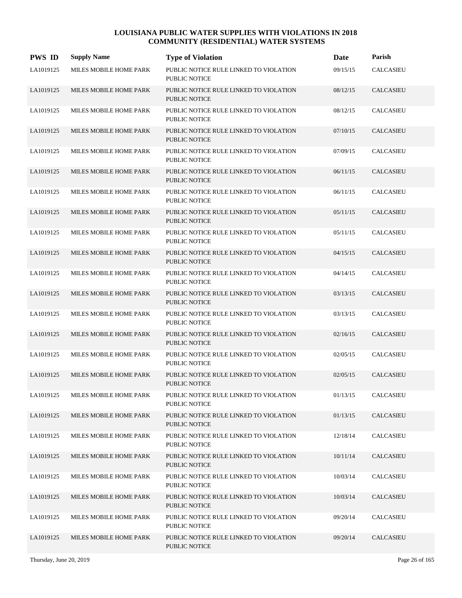| <b>PWS ID</b> | <b>Supply Name</b>     | <b>Type of Violation</b>                                       | Date     | Parish           |
|---------------|------------------------|----------------------------------------------------------------|----------|------------------|
| LA1019125     | MILES MOBILE HOME PARK | PUBLIC NOTICE RULE LINKED TO VIOLATION<br>PUBLIC NOTICE        | 09/15/15 | <b>CALCASIEU</b> |
| LA1019125     | MILES MOBILE HOME PARK | PUBLIC NOTICE RULE LINKED TO VIOLATION<br><b>PUBLIC NOTICE</b> | 08/12/15 | <b>CALCASIEU</b> |
| LA1019125     | MILES MOBILE HOME PARK | PUBLIC NOTICE RULE LINKED TO VIOLATION<br><b>PUBLIC NOTICE</b> | 08/12/15 | <b>CALCASIEU</b> |
| LA1019125     | MILES MOBILE HOME PARK | PUBLIC NOTICE RULE LINKED TO VIOLATION<br><b>PUBLIC NOTICE</b> | 07/10/15 | <b>CALCASIEU</b> |
| LA1019125     | MILES MOBILE HOME PARK | PUBLIC NOTICE RULE LINKED TO VIOLATION<br><b>PUBLIC NOTICE</b> | 07/09/15 | <b>CALCASIEU</b> |
| LA1019125     | MILES MOBILE HOME PARK | PUBLIC NOTICE RULE LINKED TO VIOLATION<br><b>PUBLIC NOTICE</b> | 06/11/15 | <b>CALCASIEU</b> |
| LA1019125     | MILES MOBILE HOME PARK | PUBLIC NOTICE RULE LINKED TO VIOLATION<br><b>PUBLIC NOTICE</b> | 06/11/15 | CALCASIEU        |
| LA1019125     | MILES MOBILE HOME PARK | PUBLIC NOTICE RULE LINKED TO VIOLATION<br><b>PUBLIC NOTICE</b> | 05/11/15 | <b>CALCASIEU</b> |
| LA1019125     | MILES MOBILE HOME PARK | PUBLIC NOTICE RULE LINKED TO VIOLATION<br><b>PUBLIC NOTICE</b> | 05/11/15 | <b>CALCASIEU</b> |
| LA1019125     | MILES MOBILE HOME PARK | PUBLIC NOTICE RULE LINKED TO VIOLATION<br><b>PUBLIC NOTICE</b> | 04/15/15 | <b>CALCASIEU</b> |
| LA1019125     | MILES MOBILE HOME PARK | PUBLIC NOTICE RULE LINKED TO VIOLATION<br><b>PUBLIC NOTICE</b> | 04/14/15 | <b>CALCASIEU</b> |
| LA1019125     | MILES MOBILE HOME PARK | PUBLIC NOTICE RULE LINKED TO VIOLATION<br><b>PUBLIC NOTICE</b> | 03/13/15 | <b>CALCASIEU</b> |
| LA1019125     | MILES MOBILE HOME PARK | PUBLIC NOTICE RULE LINKED TO VIOLATION<br><b>PUBLIC NOTICE</b> | 03/13/15 | <b>CALCASIEU</b> |
| LA1019125     | MILES MOBILE HOME PARK | PUBLIC NOTICE RULE LINKED TO VIOLATION<br><b>PUBLIC NOTICE</b> | 02/16/15 | <b>CALCASIEU</b> |
| LA1019125     | MILES MOBILE HOME PARK | PUBLIC NOTICE RULE LINKED TO VIOLATION<br><b>PUBLIC NOTICE</b> | 02/05/15 | <b>CALCASIEU</b> |
| LA1019125     | MILES MOBILE HOME PARK | PUBLIC NOTICE RULE LINKED TO VIOLATION<br>PUBLIC NOTICE        | 02/05/15 | <b>CALCASIEU</b> |
| LA1019125     | MILES MOBILE HOME PARK | PUBLIC NOTICE RULE LINKED TO VIOLATION<br>PUBLIC NOTICE        | 01/13/15 | <b>CALCASIEU</b> |
| LA1019125     | MILES MOBILE HOME PARK | PUBLIC NOTICE RULE LINKED TO VIOLATION<br><b>PUBLIC NOTICE</b> | 01/13/15 | <b>CALCASIEU</b> |
| LA1019125     | MILES MOBILE HOME PARK | PUBLIC NOTICE RULE LINKED TO VIOLATION<br>PUBLIC NOTICE        | 12/18/14 | <b>CALCASIEU</b> |
| LA1019125     | MILES MOBILE HOME PARK | PUBLIC NOTICE RULE LINKED TO VIOLATION<br>PUBLIC NOTICE        | 10/11/14 | <b>CALCASIEU</b> |
| LA1019125     | MILES MOBILE HOME PARK | PUBLIC NOTICE RULE LINKED TO VIOLATION<br>PUBLIC NOTICE        | 10/03/14 | <b>CALCASIEU</b> |
| LA1019125     | MILES MOBILE HOME PARK | PUBLIC NOTICE RULE LINKED TO VIOLATION<br>PUBLIC NOTICE        | 10/03/14 | <b>CALCASIEU</b> |
| LA1019125     | MILES MOBILE HOME PARK | PUBLIC NOTICE RULE LINKED TO VIOLATION<br>PUBLIC NOTICE        | 09/20/14 | CALCASIEU        |
| LA1019125     | MILES MOBILE HOME PARK | PUBLIC NOTICE RULE LINKED TO VIOLATION<br>PUBLIC NOTICE        | 09/20/14 | <b>CALCASIEU</b> |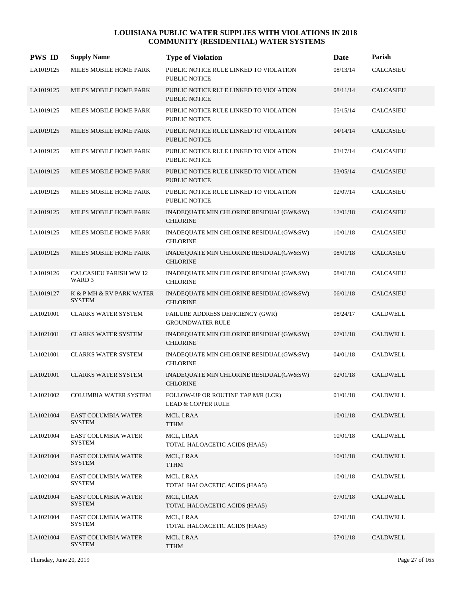| <b>PWS ID</b> | <b>Supply Name</b>                          | <b>Type of Violation</b>                                            | Date     | Parish           |
|---------------|---------------------------------------------|---------------------------------------------------------------------|----------|------------------|
| LA1019125     | MILES MOBILE HOME PARK                      | PUBLIC NOTICE RULE LINKED TO VIOLATION<br><b>PUBLIC NOTICE</b>      | 08/13/14 | <b>CALCASIEU</b> |
| LA1019125     | MILES MOBILE HOME PARK                      | PUBLIC NOTICE RULE LINKED TO VIOLATION<br><b>PUBLIC NOTICE</b>      | 08/11/14 | <b>CALCASIEU</b> |
| LA1019125     | MILES MOBILE HOME PARK                      | PUBLIC NOTICE RULE LINKED TO VIOLATION<br><b>PUBLIC NOTICE</b>      | 05/15/14 | CALCASIEU        |
| LA1019125     | MILES MOBILE HOME PARK                      | PUBLIC NOTICE RULE LINKED TO VIOLATION<br><b>PUBLIC NOTICE</b>      | 04/14/14 | <b>CALCASIEU</b> |
| LA1019125     | MILES MOBILE HOME PARK                      | PUBLIC NOTICE RULE LINKED TO VIOLATION<br><b>PUBLIC NOTICE</b>      | 03/17/14 | <b>CALCASIEU</b> |
| LA1019125     | MILES MOBILE HOME PARK                      | PUBLIC NOTICE RULE LINKED TO VIOLATION<br><b>PUBLIC NOTICE</b>      | 03/05/14 | <b>CALCASIEU</b> |
| LA1019125     | MILES MOBILE HOME PARK                      | PUBLIC NOTICE RULE LINKED TO VIOLATION<br>PUBLIC NOTICE             | 02/07/14 | <b>CALCASIEU</b> |
| LA1019125     | MILES MOBILE HOME PARK                      | INADEQUATE MIN CHLORINE RESIDUAL(GW&SW)<br><b>CHLORINE</b>          | 12/01/18 | <b>CALCASIEU</b> |
| LA1019125     | MILES MOBILE HOME PARK                      | INADEQUATE MIN CHLORINE RESIDUAL(GW&SW)<br><b>CHLORINE</b>          | 10/01/18 | <b>CALCASIEU</b> |
| LA1019125     | MILES MOBILE HOME PARK                      | INADEQUATE MIN CHLORINE RESIDUAL(GW&SW)<br><b>CHLORINE</b>          | 08/01/18 | <b>CALCASIEU</b> |
| LA1019126     | <b>CALCASIEU PARISH WW12</b><br>WARD 3      | INADEQUATE MIN CHLORINE RESIDUAL(GW&SW)<br><b>CHLORINE</b>          | 08/01/18 | <b>CALCASIEU</b> |
| LA1019127     | K & P MH & RV PARK WATER<br><b>SYSTEM</b>   | INADEQUATE MIN CHLORINE RESIDUAL(GW&SW)<br><b>CHLORINE</b>          | 06/01/18 | <b>CALCASIEU</b> |
| LA1021001     | <b>CLARKS WATER SYSTEM</b>                  | FAILURE ADDRESS DEFICIENCY (GWR)<br><b>GROUNDWATER RULE</b>         | 08/24/17 | <b>CALDWELL</b>  |
| LA1021001     | <b>CLARKS WATER SYSTEM</b>                  | INADEQUATE MIN CHLORINE RESIDUAL(GW&SW)<br><b>CHLORINE</b>          | 07/01/18 | <b>CALDWELL</b>  |
| LA1021001     | <b>CLARKS WATER SYSTEM</b>                  | INADEQUATE MIN CHLORINE RESIDUAL(GW&SW)<br><b>CHLORINE</b>          | 04/01/18 | <b>CALDWELL</b>  |
| LA1021001     | <b>CLARKS WATER SYSTEM</b>                  | INADEQUATE MIN CHLORINE RESIDUAL(GW&SW)<br><b>CHLORINE</b>          | 02/01/18 | <b>CALDWELL</b>  |
| LA1021002     | COLUMBIA WATER SYSTEM                       | FOLLOW-UP OR ROUTINE TAP M/R (LCR)<br><b>LEAD &amp; COPPER RULE</b> | 01/01/18 | CALDWELL         |
| LA1021004     | <b>EAST COLUMBIA WATER</b><br><b>SYSTEM</b> | MCL, LRAA<br><b>TTHM</b>                                            | 10/01/18 | CALDWELL         |
| LA1021004     | <b>EAST COLUMBIA WATER</b><br>SYSTEM        | MCL, LRAA<br>TOTAL HALOACETIC ACIDS (HAA5)                          | 10/01/18 | CALDWELL         |
| LA1021004     | EAST COLUMBIA WATER<br><b>SYSTEM</b>        | MCL, LRAA<br><b>TTHM</b>                                            | 10/01/18 | <b>CALDWELL</b>  |
| LA1021004     | EAST COLUMBIA WATER<br>SYSTEM               | MCL, LRAA<br>TOTAL HALOACETIC ACIDS (HAA5)                          | 10/01/18 | CALDWELL         |
| LA1021004     | <b>EAST COLUMBIA WATER</b><br><b>SYSTEM</b> | MCL, LRAA<br>TOTAL HALOACETIC ACIDS (HAA5)                          | 07/01/18 | CALDWELL         |
| LA1021004     | EAST COLUMBIA WATER<br><b>SYSTEM</b>        | MCL, LRAA<br>TOTAL HALOACETIC ACIDS (HAA5)                          | 07/01/18 | CALDWELL         |
| LA1021004     | EAST COLUMBIA WATER<br><b>SYSTEM</b>        | MCL, LRAA<br><b>TTHM</b>                                            | 07/01/18 | CALDWELL         |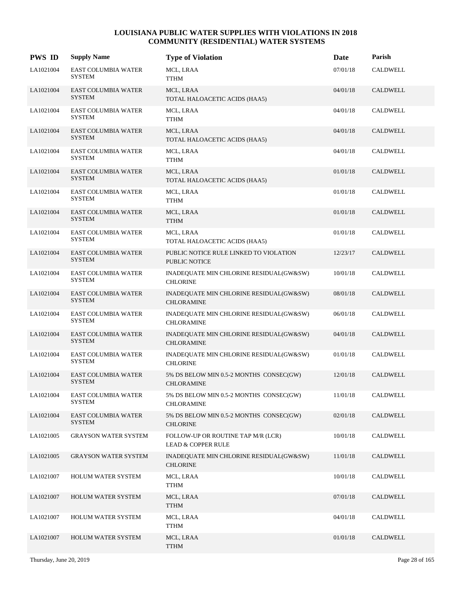| <b>PWS ID</b> | <b>Supply Name</b>                          | <b>Type of Violation</b>                                            | Date     | Parish          |
|---------------|---------------------------------------------|---------------------------------------------------------------------|----------|-----------------|
| LA1021004     | <b>EAST COLUMBIA WATER</b><br><b>SYSTEM</b> | MCL, LRAA<br>TTHM                                                   | 07/01/18 | <b>CALDWELL</b> |
| LA1021004     | <b>EAST COLUMBIA WATER</b><br><b>SYSTEM</b> | MCL, LRAA<br>TOTAL HALOACETIC ACIDS (HAA5)                          | 04/01/18 | CALDWELL        |
| LA1021004     | EAST COLUMBIA WATER<br><b>SYSTEM</b>        | MCL, LRAA<br><b>TTHM</b>                                            | 04/01/18 | CALDWELL        |
| LA1021004     | EAST COLUMBIA WATER<br><b>SYSTEM</b>        | MCL, LRAA<br>TOTAL HALOACETIC ACIDS (HAA5)                          | 04/01/18 | <b>CALDWELL</b> |
| LA1021004     | <b>EAST COLUMBIA WATER</b><br><b>SYSTEM</b> | MCL, LRAA<br><b>TTHM</b>                                            | 04/01/18 | <b>CALDWELL</b> |
| LA1021004     | <b>EAST COLUMBIA WATER</b><br><b>SYSTEM</b> | MCL, LRAA<br>TOTAL HALOACETIC ACIDS (HAA5)                          | 01/01/18 | <b>CALDWELL</b> |
| LA1021004     | EAST COLUMBIA WATER<br><b>SYSTEM</b>        | MCL, LRAA<br><b>TTHM</b>                                            | 01/01/18 | CALDWELL        |
| LA1021004     | <b>EAST COLUMBIA WATER</b><br><b>SYSTEM</b> | MCL, LRAA<br><b>TTHM</b>                                            | 01/01/18 | <b>CALDWELL</b> |
| LA1021004     | <b>EAST COLUMBIA WATER</b><br>SYSTEM        | MCL, LRAA<br>TOTAL HALOACETIC ACIDS (HAA5)                          | 01/01/18 | CALDWELL        |
| LA1021004     | <b>EAST COLUMBIA WATER</b><br><b>SYSTEM</b> | PUBLIC NOTICE RULE LINKED TO VIOLATION<br><b>PUBLIC NOTICE</b>      | 12/23/17 | CALDWELL        |
| LA1021004     | EAST COLUMBIA WATER<br><b>SYSTEM</b>        | INADEQUATE MIN CHLORINE RESIDUAL(GW&SW)<br><b>CHLORINE</b>          | 10/01/18 | CALDWELL        |
| LA1021004     | <b>EAST COLUMBIA WATER</b><br><b>SYSTEM</b> | INADEQUATE MIN CHLORINE RESIDUAL(GW&SW)<br><b>CHLORAMINE</b>        | 08/01/18 | <b>CALDWELL</b> |
| LA1021004     | EAST COLUMBIA WATER<br>SYSTEM               | INADEQUATE MIN CHLORINE RESIDUAL(GW&SW)<br><b>CHLORAMINE</b>        | 06/01/18 | <b>CALDWELL</b> |
| LA1021004     | <b>EAST COLUMBIA WATER</b><br><b>SYSTEM</b> | INADEQUATE MIN CHLORINE RESIDUAL(GW&SW)<br><b>CHLORAMINE</b>        | 04/01/18 | <b>CALDWELL</b> |
| LA1021004     | EAST COLUMBIA WATER<br><b>SYSTEM</b>        | INADEQUATE MIN CHLORINE RESIDUAL(GW&SW)<br><b>CHLORINE</b>          | 01/01/18 | <b>CALDWELL</b> |
| LA1021004     | <b>EAST COLUMBIA WATER</b><br><b>SYSTEM</b> | 5% DS BELOW MIN 0.5-2 MONTHS CONSEC(GW)<br><b>CHLORAMINE</b>        | 12/01/18 | <b>CALDWELL</b> |
| LA1021004     | EAST COLUMBIA WATER<br><b>SYSTEM</b>        | 5% DS BELOW MIN 0.5-2 MONTHS CONSEC(GW)<br><b>CHLORAMINE</b>        | 11/01/18 | CALDWELL        |
| LA1021004     | <b>EAST COLUMBIA WATER</b><br><b>SYSTEM</b> | 5% DS BELOW MIN 0.5-2 MONTHS CONSEC(GW)<br><b>CHLORINE</b>          | 02/01/18 | CALDWELL        |
| LA1021005     | <b>GRAYSON WATER SYSTEM</b>                 | FOLLOW-UP OR ROUTINE TAP M/R (LCR)<br><b>LEAD &amp; COPPER RULE</b> | 10/01/18 | <b>CALDWELL</b> |
| LA1021005     | <b>GRAYSON WATER SYSTEM</b>                 | INADEQUATE MIN CHLORINE RESIDUAL(GW&SW)<br><b>CHLORINE</b>          | 11/01/18 | CALDWELL        |
| LA1021007     | <b>HOLUM WATER SYSTEM</b>                   | MCL, LRAA<br>TTHM                                                   | 10/01/18 | CALDWELL        |
| LA1021007     | <b>HOLUM WATER SYSTEM</b>                   | MCL, LRAA<br>TTHM                                                   | 07/01/18 | CALDWELL        |
| LA1021007     | HOLUM WATER SYSTEM                          | MCL, LRAA<br>TTHM                                                   | 04/01/18 | CALDWELL        |
| LA1021007     | <b>HOLUM WATER SYSTEM</b>                   | MCL, LRAA<br><b>TTHM</b>                                            | 01/01/18 | CALDWELL        |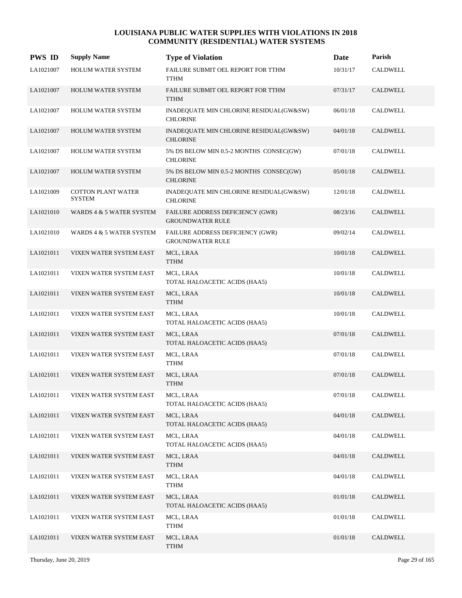| <b>PWS ID</b> | <b>Supply Name</b>                         | <b>Type of Violation</b>                                    | Date     | Parish          |
|---------------|--------------------------------------------|-------------------------------------------------------------|----------|-----------------|
| LA1021007     | HOLUM WATER SYSTEM                         | FAILURE SUBMIT OEL REPORT FOR TTHM<br><b>TTHM</b>           | 10/31/17 | CALDWELL        |
| LA1021007     | <b>HOLUM WATER SYSTEM</b>                  | FAILURE SUBMIT OEL REPORT FOR TTHM<br><b>TTHM</b>           | 07/31/17 | CALDWELL        |
| LA1021007     | HOLUM WATER SYSTEM                         | INADEQUATE MIN CHLORINE RESIDUAL(GW&SW)<br><b>CHLORINE</b>  | 06/01/18 | CALDWELL        |
| LA1021007     | <b>HOLUM WATER SYSTEM</b>                  | INADEQUATE MIN CHLORINE RESIDUAL(GW&SW)<br><b>CHLORINE</b>  | 04/01/18 | <b>CALDWELL</b> |
| LA1021007     | HOLUM WATER SYSTEM                         | 5% DS BELOW MIN 0.5-2 MONTHS CONSEC(GW)<br><b>CHLORINE</b>  | 07/01/18 | CALDWELL        |
| LA1021007     | HOLUM WATER SYSTEM                         | 5% DS BELOW MIN 0.5-2 MONTHS CONSEC(GW)<br><b>CHLORINE</b>  | 05/01/18 | <b>CALDWELL</b> |
| LA1021009     | <b>COTTON PLANT WATER</b><br><b>SYSTEM</b> | INADEQUATE MIN CHLORINE RESIDUAL(GW&SW)<br><b>CHLORINE</b>  | 12/01/18 | <b>CALDWELL</b> |
| LA1021010     | WARDS 4 & 5 WATER SYSTEM                   | FAILURE ADDRESS DEFICIENCY (GWR)<br><b>GROUNDWATER RULE</b> | 08/23/16 | <b>CALDWELL</b> |
| LA1021010     | WARDS 4 & 5 WATER SYSTEM                   | FAILURE ADDRESS DEFICIENCY (GWR)<br><b>GROUNDWATER RULE</b> | 09/02/14 | <b>CALDWELL</b> |
| LA1021011     | VIXEN WATER SYSTEM EAST                    | MCL, LRAA<br><b>TTHM</b>                                    | 10/01/18 | CALDWELL        |
| LA1021011     | VIXEN WATER SYSTEM EAST                    | MCL, LRAA<br>TOTAL HALOACETIC ACIDS (HAA5)                  | 10/01/18 | CALDWELL        |
| LA1021011     | VIXEN WATER SYSTEM EAST                    | MCL, LRAA<br><b>TTHM</b>                                    | 10/01/18 | <b>CALDWELL</b> |
| LA1021011     | VIXEN WATER SYSTEM EAST                    | MCL, LRAA<br>TOTAL HALOACETIC ACIDS (HAA5)                  | 10/01/18 | CALDWELL        |
| LA1021011     | VIXEN WATER SYSTEM EAST                    | MCL, LRAA<br>TOTAL HALOACETIC ACIDS (HAA5)                  | 07/01/18 | CALDWELL        |
| LA1021011     | VIXEN WATER SYSTEM EAST                    | MCL, LRAA<br><b>TTHM</b>                                    | 07/01/18 | CALDWELL        |
| LA1021011     | VIXEN WATER SYSTEM EAST                    | MCL, LRAA<br><b>TTHM</b>                                    | 07/01/18 | CALDWELL        |
| LA1021011     | VIXEN WATER SYSTEM EAST                    | MCL, LRAA<br>TOTAL HALOACETIC ACIDS (HAA5)                  | 07/01/18 | CALDWELL        |
| LA1021011     | VIXEN WATER SYSTEM EAST                    | MCL, LRAA<br>TOTAL HALOACETIC ACIDS (HAA5)                  | 04/01/18 | CALDWELL        |
| LA1021011     | VIXEN WATER SYSTEM EAST                    | MCL, LRAA<br>TOTAL HALOACETIC ACIDS (HAA5)                  | 04/01/18 | CALDWELL        |
| LA1021011     | VIXEN WATER SYSTEM EAST                    | MCL, LRAA<br>TTHM                                           | 04/01/18 | CALDWELL        |
| LA1021011     | VIXEN WATER SYSTEM EAST                    | MCL, LRAA<br><b>TTHM</b>                                    | 04/01/18 | CALDWELL        |
| LA1021011     | VIXEN WATER SYSTEM EAST                    | MCL, LRAA<br>TOTAL HALOACETIC ACIDS (HAA5)                  | 01/01/18 | CALDWELL        |
| LA1021011     | VIXEN WATER SYSTEM EAST                    | MCL, LRAA<br><b>TTHM</b>                                    | 01/01/18 | CALDWELL        |
| LA1021011     | VIXEN WATER SYSTEM EAST                    | MCL, LRAA<br><b>TTHM</b>                                    | 01/01/18 | CALDWELL        |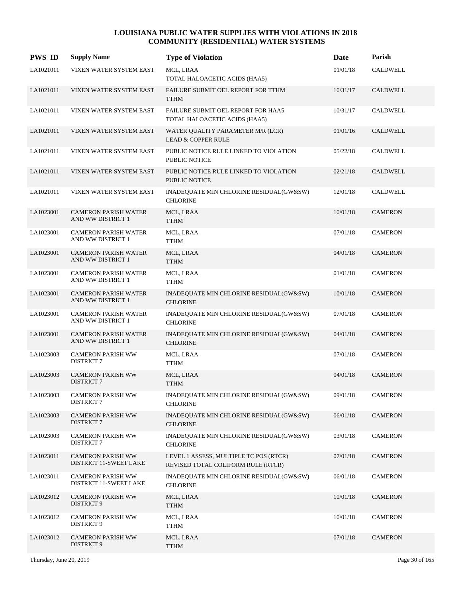| <b>PWS ID</b> | <b>Supply Name</b>                                        | <b>Type of Violation</b>                                                     | Date     | Parish          |
|---------------|-----------------------------------------------------------|------------------------------------------------------------------------------|----------|-----------------|
| LA1021011     | VIXEN WATER SYSTEM EAST                                   | MCL, LRAA<br>TOTAL HALOACETIC ACIDS (HAA5)                                   | 01/01/18 | <b>CALDWELL</b> |
| LA1021011     | VIXEN WATER SYSTEM EAST                                   | FAILURE SUBMIT OEL REPORT FOR TTHM<br><b>TTHM</b>                            | 10/31/17 | <b>CALDWELL</b> |
| LA1021011     | VIXEN WATER SYSTEM EAST                                   | FAILURE SUBMIT OEL REPORT FOR HAA5<br>TOTAL HALOACETIC ACIDS (HAA5)          | 10/31/17 | <b>CALDWELL</b> |
| LA1021011     | VIXEN WATER SYSTEM EAST                                   | WATER QUALITY PARAMETER M/R (LCR)<br><b>LEAD &amp; COPPER RULE</b>           | 01/01/16 | <b>CALDWELL</b> |
| LA1021011     | VIXEN WATER SYSTEM EAST                                   | PUBLIC NOTICE RULE LINKED TO VIOLATION<br><b>PUBLIC NOTICE</b>               | 05/22/18 | <b>CALDWELL</b> |
| LA1021011     | VIXEN WATER SYSTEM EAST                                   | PUBLIC NOTICE RULE LINKED TO VIOLATION<br><b>PUBLIC NOTICE</b>               | 02/21/18 | <b>CALDWELL</b> |
| LA1021011     | VIXEN WATER SYSTEM EAST                                   | INADEQUATE MIN CHLORINE RESIDUAL(GW&SW)<br><b>CHLORINE</b>                   | 12/01/18 | <b>CALDWELL</b> |
| LA1023001     | <b>CAMERON PARISH WATER</b><br>AND WW DISTRICT 1          | MCL, LRAA<br><b>TTHM</b>                                                     | 10/01/18 | <b>CAMERON</b>  |
| LA1023001     | <b>CAMERON PARISH WATER</b><br>AND WW DISTRICT 1          | MCL, LRAA<br><b>TTHM</b>                                                     | 07/01/18 | <b>CAMERON</b>  |
| LA1023001     | <b>CAMERON PARISH WATER</b><br>AND WW DISTRICT 1          | MCL, LRAA<br><b>TTHM</b>                                                     | 04/01/18 | <b>CAMERON</b>  |
| LA1023001     | <b>CAMERON PARISH WATER</b><br>AND WW DISTRICT 1          | MCL, LRAA<br><b>TTHM</b>                                                     | 01/01/18 | <b>CAMERON</b>  |
| LA1023001     | <b>CAMERON PARISH WATER</b><br>AND WW DISTRICT 1          | INADEQUATE MIN CHLORINE RESIDUAL(GW&SW)<br><b>CHLORINE</b>                   | 10/01/18 | <b>CAMERON</b>  |
| LA1023001     | <b>CAMERON PARISH WATER</b><br>AND WW DISTRICT 1          | INADEQUATE MIN CHLORINE RESIDUAL(GW&SW)<br><b>CHLORINE</b>                   | 07/01/18 | <b>CAMERON</b>  |
| LA1023001     | <b>CAMERON PARISH WATER</b><br>AND WW DISTRICT 1          | INADEQUATE MIN CHLORINE RESIDUAL(GW&SW)<br><b>CHLORINE</b>                   | 04/01/18 | <b>CAMERON</b>  |
| LA1023003     | <b>CAMERON PARISH WW</b><br><b>DISTRICT 7</b>             | MCL, LRAA<br>TTHM                                                            | 07/01/18 | <b>CAMERON</b>  |
| LA1023003     | <b>CAMERON PARISH WW</b><br><b>DISTRICT 7</b>             | MCL, LRAA<br><b>TTHM</b>                                                     | 04/01/18 | <b>CAMERON</b>  |
| LA1023003     | <b>CAMERON PARISH WW</b><br><b>DISTRICT 7</b>             | INADEQUATE MIN CHLORINE RESIDUAL(GW&SW)<br><b>CHLORINE</b>                   | 09/01/18 | <b>CAMERON</b>  |
| LA1023003     | <b>CAMERON PARISH WW</b><br>DISTRICT 7                    | INADEQUATE MIN CHLORINE RESIDUAL(GW&SW)<br><b>CHLORINE</b>                   | 06/01/18 | <b>CAMERON</b>  |
| LA1023003     | <b>CAMERON PARISH WW</b><br>DISTRICT 7                    | INADEQUATE MIN CHLORINE RESIDUAL(GW&SW)<br><b>CHLORINE</b>                   | 03/01/18 | <b>CAMERON</b>  |
| LA1023011     | <b>CAMERON PARISH WW</b><br>DISTRICT 11-SWEET LAKE        | LEVEL 1 ASSESS, MULTIPLE TC POS (RTCR)<br>REVISED TOTAL COLIFORM RULE (RTCR) | 07/01/18 | <b>CAMERON</b>  |
| LA1023011     | <b>CAMERON PARISH WW</b><br><b>DISTRICT 11-SWEET LAKE</b> | INADEQUATE MIN CHLORINE RESIDUAL(GW&SW)<br><b>CHLORINE</b>                   | 06/01/18 | <b>CAMERON</b>  |
| LA1023012     | <b>CAMERON PARISH WW</b><br>DISTRICT 9                    | MCL, LRAA<br><b>TTHM</b>                                                     | 10/01/18 | <b>CAMERON</b>  |
| LA1023012     | <b>CAMERON PARISH WW</b><br>DISTRICT 9                    | MCL, LRAA<br>TTHM                                                            | 10/01/18 | <b>CAMERON</b>  |
| LA1023012     | <b>CAMERON PARISH WW</b><br>DISTRICT 9                    | MCL, LRAA<br><b>TTHM</b>                                                     | 07/01/18 | <b>CAMERON</b>  |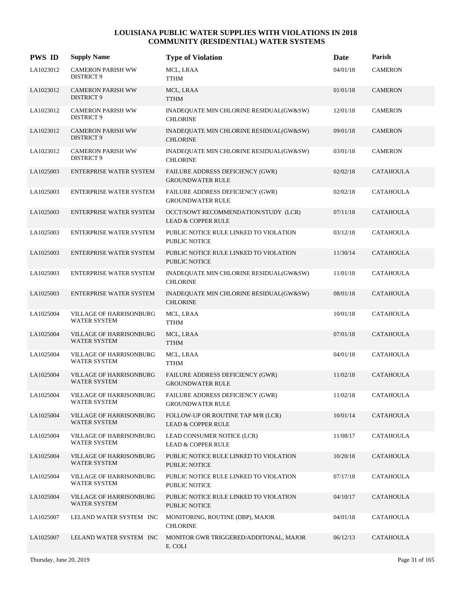| <b>PWS ID</b> | <b>Supply Name</b>                             | <b>Type of Violation</b>                                              | Date     | Parish           |
|---------------|------------------------------------------------|-----------------------------------------------------------------------|----------|------------------|
| LA1023012     | <b>CAMERON PARISH WW</b><br>DISTRICT 9         | MCL, LRAA<br><b>TTHM</b>                                              | 04/01/18 | <b>CAMERON</b>   |
| LA1023012     | <b>CAMERON PARISH WW</b><br>DISTRICT 9         | MCL, LRAA<br><b>TTHM</b>                                              | 01/01/18 | <b>CAMERON</b>   |
| LA1023012     | <b>CAMERON PARISH WW</b><br><b>DISTRICT 9</b>  | INADEQUATE MIN CHLORINE RESIDUAL(GW&SW)<br><b>CHLORINE</b>            | 12/01/18 | <b>CAMERON</b>   |
| LA1023012     | <b>CAMERON PARISH WW</b><br>DISTRICT 9         | INADEQUATE MIN CHLORINE RESIDUAL(GW&SW)<br><b>CHLORINE</b>            | 09/01/18 | <b>CAMERON</b>   |
| LA1023012     | <b>CAMERON PARISH WW</b><br>DISTRICT 9         | INADEQUATE MIN CHLORINE RESIDUAL(GW&SW)<br><b>CHLORINE</b>            | 03/01/18 | <b>CAMERON</b>   |
| LA1025003     | <b>ENTERPRISE WATER SYSTEM</b>                 | FAILURE ADDRESS DEFICIENCY (GWR)<br><b>GROUNDWATER RULE</b>           | 02/02/18 | <b>CATAHOULA</b> |
| LA1025003     | ENTERPRISE WATER SYSTEM                        | FAILURE ADDRESS DEFICIENCY (GWR)<br><b>GROUNDWATER RULE</b>           | 02/02/18 | <b>CATAHOULA</b> |
| LA1025003     | <b>ENTERPRISE WATER SYSTEM</b>                 | OCCT/SOWT RECOMMENDATION/STUDY (LCR)<br><b>LEAD &amp; COPPER RULE</b> | 07/11/18 | <b>CATAHOULA</b> |
| LA1025003     | <b>ENTERPRISE WATER SYSTEM</b>                 | PUBLIC NOTICE RULE LINKED TO VIOLATION<br><b>PUBLIC NOTICE</b>        | 03/12/18 | <b>CATAHOULA</b> |
| LA1025003     | ENTERPRISE WATER SYSTEM                        | PUBLIC NOTICE RULE LINKED TO VIOLATION<br><b>PUBLIC NOTICE</b>        | 11/30/14 | <b>CATAHOULA</b> |
| LA1025003     | ENTERPRISE WATER SYSTEM                        | INADEQUATE MIN CHLORINE RESIDUAL(GW&SW)<br><b>CHLORINE</b>            | 11/01/18 | <b>CATAHOULA</b> |
| LA1025003     | <b>ENTERPRISE WATER SYSTEM</b>                 | INADEQUATE MIN CHLORINE RESIDUAL(GW&SW)<br><b>CHLORINE</b>            | 08/01/18 | <b>CATAHOULA</b> |
| LA1025004     | VILLAGE OF HARRISONBURG<br>WATER SYSTEM        | MCL, LRAA<br>TTHM                                                     | 10/01/18 | <b>CATAHOULA</b> |
| LA1025004     | VILLAGE OF HARRISONBURG<br><b>WATER SYSTEM</b> | MCL, LRAA<br><b>TTHM</b>                                              | 07/01/18 | <b>CATAHOULA</b> |
| LA1025004     | VILLAGE OF HARRISONBURG<br>WATER SYSTEM        | MCL, LRAA<br><b>TTHM</b>                                              | 04/01/18 | <b>CATAHOULA</b> |
| LA1025004     | VILLAGE OF HARRISONBURG<br>WATER SYSTEM        | FAILURE ADDRESS DEFICIENCY (GWR)<br><b>GROUNDWATER RULE</b>           | 11/02/18 | <b>CATAHOULA</b> |
| LA1025004     | VILLAGE OF HARRISONBURG<br>WATER SYSTEM        | FAILURE ADDRESS DEFICIENCY (GWR)<br><b>GROUNDWATER RULE</b>           | 11/02/18 | <b>CATAHOULA</b> |
| LA1025004     | VILLAGE OF HARRISONBURG<br>WATER SYSTEM        | FOLLOW-UP OR ROUTINE TAP M/R (LCR)<br><b>LEAD &amp; COPPER RULE</b>   | 10/01/14 | <b>CATAHOULA</b> |
| LA1025004     | VILLAGE OF HARRISONBURG<br>WATER SYSTEM        | LEAD CONSUMER NOTICE (LCR)<br><b>LEAD &amp; COPPER RULE</b>           | 11/08/17 | <b>CATAHOULA</b> |
| LA1025004     | VILLAGE OF HARRISONBURG<br>WATER SYSTEM        | PUBLIC NOTICE RULE LINKED TO VIOLATION<br>PUBLIC NOTICE               | 10/20/18 | <b>CATAHOULA</b> |
| LA1025004     | VILLAGE OF HARRISONBURG<br><b>WATER SYSTEM</b> | PUBLIC NOTICE RULE LINKED TO VIOLATION<br>PUBLIC NOTICE               | 07/17/18 | <b>CATAHOULA</b> |
| LA1025004     | VILLAGE OF HARRISONBURG<br>WATER SYSTEM        | PUBLIC NOTICE RULE LINKED TO VIOLATION<br><b>PUBLIC NOTICE</b>        | 04/10/17 | <b>CATAHOULA</b> |
| LA1025007     | LELAND WATER SYSTEM INC                        | MONITORING, ROUTINE (DBP), MAJOR<br><b>CHLORINE</b>                   | 04/01/18 | <b>CATAHOULA</b> |
| LA1025007     | LELAND WATER SYSTEM INC                        | MONITOR GWR TRIGGERED/ADDITONAL, MAJOR<br>E. COLI                     | 06/12/13 | <b>CATAHOULA</b> |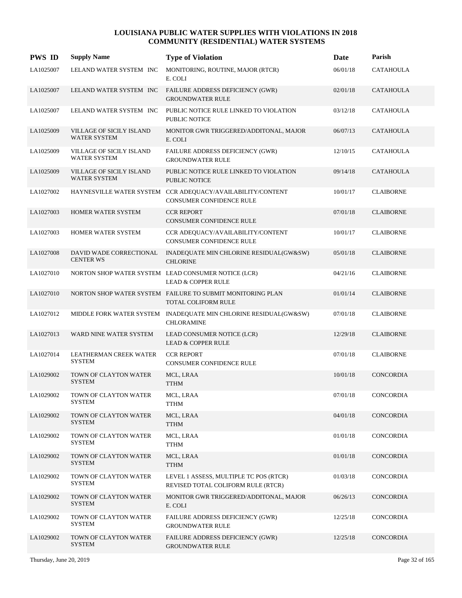| <b>PWS ID</b> | <b>Supply Name</b>                              | <b>Type of Violation</b>                                                                      | Date     | Parish           |
|---------------|-------------------------------------------------|-----------------------------------------------------------------------------------------------|----------|------------------|
| LA1025007     | LELAND WATER SYSTEM INC                         | MONITORING, ROUTINE, MAJOR (RTCR)<br>E. COLI                                                  | 06/01/18 | <b>CATAHOULA</b> |
| LA1025007     | LELAND WATER SYSTEM INC                         | FAILURE ADDRESS DEFICIENCY (GWR)<br><b>GROUNDWATER RULE</b>                                   | 02/01/18 | <b>CATAHOULA</b> |
| LA1025007     | LELAND WATER SYSTEM INC                         | PUBLIC NOTICE RULE LINKED TO VIOLATION<br><b>PUBLIC NOTICE</b>                                | 03/12/18 | <b>CATAHOULA</b> |
| LA1025009     | VILLAGE OF SICILY ISLAND<br><b>WATER SYSTEM</b> | MONITOR GWR TRIGGERED/ADDITONAL, MAJOR<br>E. COLI                                             | 06/07/13 | <b>CATAHOULA</b> |
| LA1025009     | <b>VILLAGE OF SICILY ISLAND</b><br>WATER SYSTEM | FAILURE ADDRESS DEFICIENCY (GWR)<br><b>GROUNDWATER RULE</b>                                   | 12/10/15 | <b>CATAHOULA</b> |
| LA1025009     | VILLAGE OF SICILY ISLAND<br><b>WATER SYSTEM</b> | PUBLIC NOTICE RULE LINKED TO VIOLATION<br><b>PUBLIC NOTICE</b>                                | 09/14/18 | <b>CATAHOULA</b> |
| LA1027002     |                                                 | HAYNESVILLE WATER SYSTEM CCR ADEQUACY/AVAILABILITY/CONTENT<br><b>CONSUMER CONFIDENCE RULE</b> | 10/01/17 | <b>CLAIBORNE</b> |
| LA1027003     | <b>HOMER WATER SYSTEM</b>                       | <b>CCR REPORT</b><br><b>CONSUMER CONFIDENCE RULE</b>                                          | 07/01/18 | <b>CLAIBORNE</b> |
| LA1027003     | HOMER WATER SYSTEM                              | CCR ADEQUACY/AVAILABILITY/CONTENT<br>CONSUMER CONFIDENCE RULE                                 | 10/01/17 | <b>CLAIBORNE</b> |
| LA1027008     | DAVID WADE CORRECTIONAL<br><b>CENTER WS</b>     | INADEQUATE MIN CHLORINE RESIDUAL(GW&SW)<br><b>CHLORINE</b>                                    | 05/01/18 | <b>CLAIBORNE</b> |
| LA1027010     |                                                 | NORTON SHOP WATER SYSTEM LEAD CONSUMER NOTICE (LCR)<br><b>LEAD &amp; COPPER RULE</b>          | 04/21/16 | <b>CLAIBORNE</b> |
| LA1027010     |                                                 | NORTON SHOP WATER SYSTEM FAILURE TO SUBMIT MONITORING PLAN<br>TOTAL COLIFORM RULE             | 01/01/14 | <b>CLAIBORNE</b> |
| LA1027012     |                                                 | MIDDLE FORK WATER SYSTEM INADEQUATE MIN CHLORINE RESIDUAL(GW&SW)<br><b>CHLORAMINE</b>         | 07/01/18 | <b>CLAIBORNE</b> |
| LA1027013     | WARD NINE WATER SYSTEM                          | LEAD CONSUMER NOTICE (LCR)<br><b>LEAD &amp; COPPER RULE</b>                                   | 12/29/18 | <b>CLAIBORNE</b> |
| LA1027014     | LEATHERMAN CREEK WATER<br><b>SYSTEM</b>         | <b>CCR REPORT</b><br>CONSUMER CONFIDENCE RULE                                                 | 07/01/18 | <b>CLAIBORNE</b> |
| LA1029002     | TOWN OF CLAYTON WATER<br><b>SYSTEM</b>          | MCL, LRAA<br><b>TTHM</b>                                                                      | 10/01/18 | <b>CONCORDIA</b> |
| LA1029002     | TOWN OF CLAYTON WATER<br>SYSTEM                 | MCL, LRAA<br><b>TTHM</b>                                                                      | 07/01/18 | CONCORDIA        |
| LA1029002     | TOWN OF CLAYTON WATER<br><b>SYSTEM</b>          | MCL, LRAA<br><b>TTHM</b>                                                                      | 04/01/18 | CONCORDIA        |
| LA1029002     | TOWN OF CLAYTON WATER<br>SYSTEM                 | MCL, LRAA<br><b>TTHM</b>                                                                      | 01/01/18 | CONCORDIA        |
| LA1029002     | TOWN OF CLAYTON WATER<br><b>SYSTEM</b>          | MCL, LRAA<br><b>TTHM</b>                                                                      | 01/01/18 | CONCORDIA        |
| LA1029002     | TOWN OF CLAYTON WATER<br><b>SYSTEM</b>          | LEVEL 1 ASSESS, MULTIPLE TC POS (RTCR)<br>REVISED TOTAL COLIFORM RULE (RTCR)                  | 01/03/18 | CONCORDIA        |
| LA1029002     | TOWN OF CLAYTON WATER<br><b>SYSTEM</b>          | MONITOR GWR TRIGGERED/ADDITONAL, MAJOR<br>E. COLI                                             | 06/26/13 | CONCORDIA        |
| LA1029002     | TOWN OF CLAYTON WATER<br><b>SYSTEM</b>          | <b>FAILURE ADDRESS DEFICIENCY (GWR)</b><br><b>GROUNDWATER RULE</b>                            | 12/25/18 | CONCORDIA        |
| LA1029002     | TOWN OF CLAYTON WATER<br><b>SYSTEM</b>          | FAILURE ADDRESS DEFICIENCY (GWR)<br><b>GROUNDWATER RULE</b>                                   | 12/25/18 | <b>CONCORDIA</b> |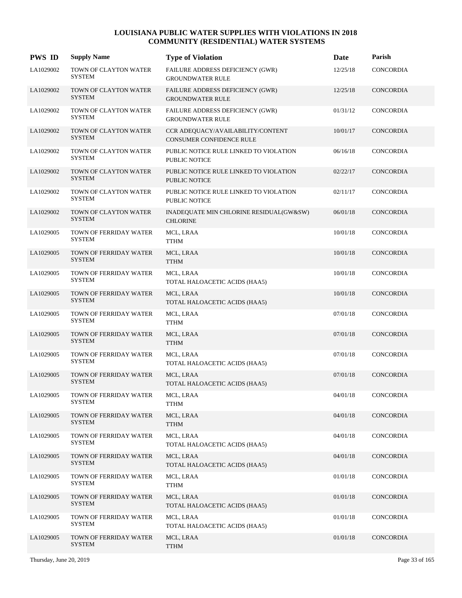| <b>PWS ID</b> | <b>Supply Name</b>                      | <b>Type of Violation</b>                                       | Date     | Parish           |
|---------------|-----------------------------------------|----------------------------------------------------------------|----------|------------------|
| LA1029002     | TOWN OF CLAYTON WATER<br><b>SYSTEM</b>  | FAILURE ADDRESS DEFICIENCY (GWR)<br><b>GROUNDWATER RULE</b>    | 12/25/18 | <b>CONCORDIA</b> |
| LA1029002     | TOWN OF CLAYTON WATER<br><b>SYSTEM</b>  | FAILURE ADDRESS DEFICIENCY (GWR)<br><b>GROUNDWATER RULE</b>    | 12/25/18 | <b>CONCORDIA</b> |
| LA1029002     | TOWN OF CLAYTON WATER<br><b>SYSTEM</b>  | FAILURE ADDRESS DEFICIENCY (GWR)<br><b>GROUNDWATER RULE</b>    | 01/31/12 | CONCORDIA        |
| LA1029002     | TOWN OF CLAYTON WATER<br><b>SYSTEM</b>  | CCR ADEQUACY/AVAILABILITY/CONTENT<br>CONSUMER CONFIDENCE RULE  | 10/01/17 | CONCORDIA        |
| LA1029002     | TOWN OF CLAYTON WATER<br><b>SYSTEM</b>  | PUBLIC NOTICE RULE LINKED TO VIOLATION<br><b>PUBLIC NOTICE</b> | 06/16/18 | CONCORDIA        |
| LA1029002     | TOWN OF CLAYTON WATER<br><b>SYSTEM</b>  | PUBLIC NOTICE RULE LINKED TO VIOLATION<br><b>PUBLIC NOTICE</b> | 02/22/17 | CONCORDIA        |
| LA1029002     | TOWN OF CLAYTON WATER<br><b>SYSTEM</b>  | PUBLIC NOTICE RULE LINKED TO VIOLATION<br><b>PUBLIC NOTICE</b> | 02/11/17 | CONCORDIA        |
| LA1029002     | TOWN OF CLAYTON WATER<br><b>SYSTEM</b>  | INADEQUATE MIN CHLORINE RESIDUAL(GW&SW)<br><b>CHLORINE</b>     | 06/01/18 | CONCORDIA        |
| LA1029005     | TOWN OF FERRIDAY WATER<br><b>SYSTEM</b> | MCL, LRAA<br><b>TTHM</b>                                       | 10/01/18 | <b>CONCORDIA</b> |
| LA1029005     | TOWN OF FERRIDAY WATER<br><b>SYSTEM</b> | MCL, LRAA<br><b>TTHM</b>                                       | 10/01/18 | CONCORDIA        |
| LA1029005     | TOWN OF FERRIDAY WATER<br><b>SYSTEM</b> | MCL, LRAA<br>TOTAL HALOACETIC ACIDS (HAA5)                     | 10/01/18 | CONCORDIA        |
| LA1029005     | TOWN OF FERRIDAY WATER<br><b>SYSTEM</b> | MCL, LRAA<br>TOTAL HALOACETIC ACIDS (HAA5)                     | 10/01/18 | <b>CONCORDIA</b> |
| LA1029005     | TOWN OF FERRIDAY WATER<br><b>SYSTEM</b> | MCL, LRAA<br><b>TTHM</b>                                       | 07/01/18 | CONCORDIA        |
| LA1029005     | TOWN OF FERRIDAY WATER<br><b>SYSTEM</b> | MCL, LRAA<br><b>TTHM</b>                                       | 07/01/18 | <b>CONCORDIA</b> |
| LA1029005     | TOWN OF FERRIDAY WATER<br><b>SYSTEM</b> | MCL, LRAA<br>TOTAL HALOACETIC ACIDS (HAA5)                     | 07/01/18 | CONCORDIA        |
| LA1029005     | TOWN OF FERRIDAY WATER<br><b>SYSTEM</b> | MCL, LRAA<br>TOTAL HALOACETIC ACIDS (HAA5)                     | 07/01/18 | <b>CONCORDIA</b> |
| LA1029005     | TOWN OF FERRIDAY WATER<br><b>SYSTEM</b> | MCL, LRAA<br><b>TTHM</b>                                       | 04/01/18 | CONCORDIA        |
| LA1029005     | TOWN OF FERRIDAY WATER<br><b>SYSTEM</b> | MCL, LRAA<br><b>TTHM</b>                                       | 04/01/18 | CONCORDIA        |
| LA1029005     | TOWN OF FERRIDAY WATER<br><b>SYSTEM</b> | MCL, LRAA<br>TOTAL HALOACETIC ACIDS (HAA5)                     | 04/01/18 | CONCORDIA        |
| LA1029005     | TOWN OF FERRIDAY WATER<br><b>SYSTEM</b> | MCL, LRAA<br>TOTAL HALOACETIC ACIDS (HAA5)                     | 04/01/18 | CONCORDIA        |
| LA1029005     | TOWN OF FERRIDAY WATER<br><b>SYSTEM</b> | MCL, LRAA<br><b>TTHM</b>                                       | 01/01/18 | CONCORDIA        |
| LA1029005     | TOWN OF FERRIDAY WATER<br><b>SYSTEM</b> | MCL, LRAA<br>TOTAL HALOACETIC ACIDS (HAA5)                     | 01/01/18 | CONCORDIA        |
| LA1029005     | TOWN OF FERRIDAY WATER<br><b>SYSTEM</b> | MCL, LRAA<br>TOTAL HALOACETIC ACIDS (HAA5)                     | 01/01/18 | CONCORDIA        |
| LA1029005     | TOWN OF FERRIDAY WATER<br><b>SYSTEM</b> | MCL, LRAA<br><b>TTHM</b>                                       | 01/01/18 | CONCORDIA        |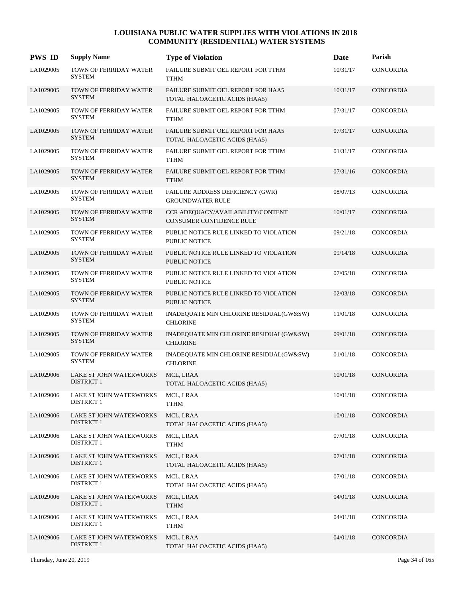| <b>PWS ID</b> | <b>Supply Name</b>                           | <b>Type of Violation</b>                                             | Date     | Parish           |
|---------------|----------------------------------------------|----------------------------------------------------------------------|----------|------------------|
| LA1029005     | TOWN OF FERRIDAY WATER<br><b>SYSTEM</b>      | FAILURE SUBMIT OEL REPORT FOR TTHM<br><b>TTHM</b>                    | 10/31/17 | <b>CONCORDIA</b> |
| LA1029005     | TOWN OF FERRIDAY WATER<br><b>SYSTEM</b>      | FAILURE SUBMIT OEL REPORT FOR HAA5<br>TOTAL HALOACETIC ACIDS (HAA5)  | 10/31/17 | <b>CONCORDIA</b> |
| LA1029005     | TOWN OF FERRIDAY WATER<br><b>SYSTEM</b>      | FAILURE SUBMIT OEL REPORT FOR TTHM<br><b>TTHM</b>                    | 07/31/17 | <b>CONCORDIA</b> |
| LA1029005     | TOWN OF FERRIDAY WATER<br><b>SYSTEM</b>      | FAILURE SUBMIT OEL REPORT FOR HAA5<br>TOTAL HALOACETIC ACIDS (HAA5)  | 07/31/17 | <b>CONCORDIA</b> |
| LA1029005     | TOWN OF FERRIDAY WATER<br><b>SYSTEM</b>      | FAILURE SUBMIT OEL REPORT FOR TTHM<br><b>TTHM</b>                    | 01/31/17 | <b>CONCORDIA</b> |
| LA1029005     | TOWN OF FERRIDAY WATER<br><b>SYSTEM</b>      | FAILURE SUBMIT OEL REPORT FOR TTHM<br><b>TTHM</b>                    | 07/31/16 | <b>CONCORDIA</b> |
| LA1029005     | TOWN OF FERRIDAY WATER<br><b>SYSTEM</b>      | FAILURE ADDRESS DEFICIENCY (GWR)<br><b>GROUNDWATER RULE</b>          | 08/07/13 | CONCORDIA        |
| LA1029005     | TOWN OF FERRIDAY WATER<br><b>SYSTEM</b>      | CCR ADEQUACY/AVAILABILITY/CONTENT<br><b>CONSUMER CONFIDENCE RULE</b> | 10/01/17 | <b>CONCORDIA</b> |
| LA1029005     | TOWN OF FERRIDAY WATER<br><b>SYSTEM</b>      | PUBLIC NOTICE RULE LINKED TO VIOLATION<br>PUBLIC NOTICE              | 09/21/18 | <b>CONCORDIA</b> |
| LA1029005     | TOWN OF FERRIDAY WATER<br><b>SYSTEM</b>      | PUBLIC NOTICE RULE LINKED TO VIOLATION<br>PUBLIC NOTICE              | 09/14/18 | <b>CONCORDIA</b> |
| LA1029005     | TOWN OF FERRIDAY WATER<br><b>SYSTEM</b>      | PUBLIC NOTICE RULE LINKED TO VIOLATION<br><b>PUBLIC NOTICE</b>       | 07/05/18 | CONCORDIA        |
| LA1029005     | TOWN OF FERRIDAY WATER<br><b>SYSTEM</b>      | PUBLIC NOTICE RULE LINKED TO VIOLATION<br><b>PUBLIC NOTICE</b>       | 02/03/18 | <b>CONCORDIA</b> |
| LA1029005     | TOWN OF FERRIDAY WATER<br><b>SYSTEM</b>      | INADEQUATE MIN CHLORINE RESIDUAL(GW&SW)<br><b>CHLORINE</b>           | 11/01/18 | CONCORDIA        |
| LA1029005     | TOWN OF FERRIDAY WATER<br><b>SYSTEM</b>      | INADEQUATE MIN CHLORINE RESIDUAL(GW&SW)<br><b>CHLORINE</b>           | 09/01/18 | <b>CONCORDIA</b> |
| LA1029005     | TOWN OF FERRIDAY WATER<br><b>SYSTEM</b>      | INADEQUATE MIN CHLORINE RESIDUAL(GW&SW)<br><b>CHLORINE</b>           | 01/01/18 | CONCORDIA        |
| LA1029006     | LAKE ST JOHN WATERWORKS<br>DISTRICT 1        | MCL, LRAA<br>TOTAL HALOACETIC ACIDS (HAA5)                           | 10/01/18 | CONCORDIA        |
| LA1029006     | LAKE ST JOHN WATERWORKS<br><b>DISTRICT 1</b> | MCL, LRAA<br><b>TTHM</b>                                             | 10/01/18 | CONCORDIA        |
| LA1029006     | LAKE ST JOHN WATERWORKS<br><b>DISTRICT 1</b> | MCL, LRAA<br>TOTAL HALOACETIC ACIDS (HAA5)                           | 10/01/18 | CONCORDIA        |
| LA1029006     | LAKE ST JOHN WATERWORKS<br>DISTRICT 1        | MCL, LRAA<br><b>TTHM</b>                                             | 07/01/18 | CONCORDIA        |
| LA1029006     | LAKE ST JOHN WATERWORKS<br><b>DISTRICT 1</b> | MCL, LRAA<br>TOTAL HALOACETIC ACIDS (HAA5)                           | 07/01/18 | CONCORDIA        |
| LA1029006     | LAKE ST JOHN WATERWORKS<br><b>DISTRICT 1</b> | MCL, LRAA<br>TOTAL HALOACETIC ACIDS (HAA5)                           | 07/01/18 | CONCORDIA        |
| LA1029006     | LAKE ST JOHN WATERWORKS<br><b>DISTRICT 1</b> | MCL, LRAA<br><b>TTHM</b>                                             | 04/01/18 | CONCORDIA        |
| LA1029006     | LAKE ST JOHN WATERWORKS<br><b>DISTRICT 1</b> | MCL, LRAA<br><b>TTHM</b>                                             | 04/01/18 | CONCORDIA        |
| LA1029006     | LAKE ST JOHN WATERWORKS<br><b>DISTRICT 1</b> | MCL, LRAA<br>TOTAL HALOACETIC ACIDS (HAA5)                           | 04/01/18 | CONCORDIA        |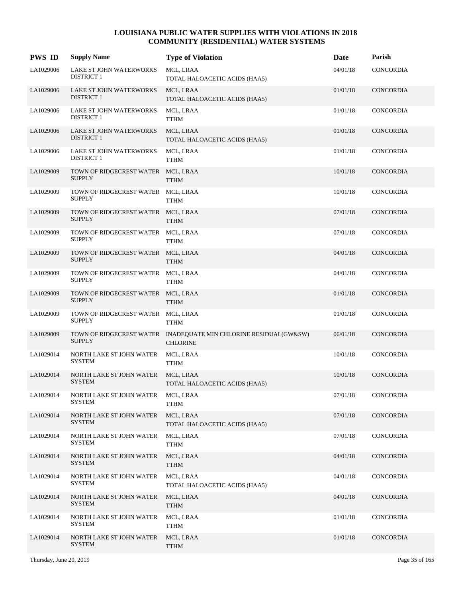| <b>PWS ID</b> | <b>Supply Name</b>                                  | <b>Type of Violation</b>                                                            | <b>Date</b> | Parish           |
|---------------|-----------------------------------------------------|-------------------------------------------------------------------------------------|-------------|------------------|
| LA1029006     | LAKE ST JOHN WATERWORKS<br><b>DISTRICT 1</b>        | MCL, LRAA<br>TOTAL HALOACETIC ACIDS (HAA5)                                          | 04/01/18    | CONCORDIA        |
| LA1029006     | LAKE ST JOHN WATERWORKS<br><b>DISTRICT 1</b>        | MCL, LRAA<br>TOTAL HALOACETIC ACIDS (HAA5)                                          | 01/01/18    | CONCORDIA        |
| LA1029006     | LAKE ST JOHN WATERWORKS<br><b>DISTRICT 1</b>        | MCL, LRAA<br><b>TTHM</b>                                                            | 01/01/18    | CONCORDIA        |
| LA1029006     | LAKE ST JOHN WATERWORKS<br><b>DISTRICT 1</b>        | MCL, LRAA<br>TOTAL HALOACETIC ACIDS (HAA5)                                          | 01/01/18    | CONCORDIA        |
| LA1029006     | LAKE ST JOHN WATERWORKS<br>DISTRICT 1               | MCL, LRAA<br><b>TTHM</b>                                                            | 01/01/18    | CONCORDIA        |
| LA1029009     | TOWN OF RIDGECREST WATER MCL, LRAA<br><b>SUPPLY</b> | <b>TTHM</b>                                                                         | 10/01/18    | CONCORDIA        |
| LA1029009     | TOWN OF RIDGECREST WATER MCL, LRAA<br><b>SUPPLY</b> | <b>TTHM</b>                                                                         | 10/01/18    | CONCORDIA        |
| LA1029009     | TOWN OF RIDGECREST WATER MCL, LRAA<br><b>SUPPLY</b> | <b>TTHM</b>                                                                         | 07/01/18    | <b>CONCORDIA</b> |
| LA1029009     | TOWN OF RIDGECREST WATER MCL, LRAA<br><b>SUPPLY</b> | <b>TTHM</b>                                                                         | 07/01/18    | CONCORDIA        |
| LA1029009     | TOWN OF RIDGECREST WATER MCL, LRAA<br><b>SUPPLY</b> | <b>TTHM</b>                                                                         | 04/01/18    | CONCORDIA        |
| LA1029009     | TOWN OF RIDGECREST WATER MCL, LRAA<br><b>SUPPLY</b> | <b>TTHM</b>                                                                         | 04/01/18    | <b>CONCORDIA</b> |
| LA1029009     | TOWN OF RIDGECREST WATER MCL, LRAA<br><b>SUPPLY</b> | <b>TTHM</b>                                                                         | 01/01/18    | <b>CONCORDIA</b> |
| LA1029009     | TOWN OF RIDGECREST WATER MCL, LRAA<br><b>SUPPLY</b> | <b>TTHM</b>                                                                         | 01/01/18    | CONCORDIA        |
| LA1029009     | <b>SUPPLY</b>                                       | TOWN OF RIDGECREST WATER INADEQUATE MIN CHLORINE RESIDUAL(GW&SW)<br><b>CHLORINE</b> | 06/01/18    | CONCORDIA        |
| LA1029014     | NORTH LAKE ST JOHN WATER<br><b>SYSTEM</b>           | MCL, LRAA<br><b>TTHM</b>                                                            | 10/01/18    | CONCORDIA        |
| LA1029014     | NORTH LAKE ST JOHN WATER<br><b>SYSTEM</b>           | MCL, LRAA<br>TOTAL HALOACETIC ACIDS (HAA5)                                          | 10/01/18    | <b>CONCORDIA</b> |
| LA1029014     | NORTH LAKE ST JOHN WATER<br><b>SYSTEM</b>           | MCL, LRAA<br><b>TTHM</b>                                                            | 07/01/18    | CONCORDIA        |
| LA1029014     | NORTH LAKE ST JOHN WATER<br><b>SYSTEM</b>           | MCL, LRAA<br>TOTAL HALOACETIC ACIDS (HAA5)                                          | 07/01/18    | CONCORDIA        |
| LA1029014     | NORTH LAKE ST JOHN WATER<br>SYSTEM                  | MCL, LRAA<br>TTHM                                                                   | 07/01/18    | CONCORDIA        |
| LA1029014     | NORTH LAKE ST JOHN WATER<br><b>SYSTEM</b>           | MCL, LRAA<br><b>TTHM</b>                                                            | 04/01/18    | CONCORDIA        |
| LA1029014     | NORTH LAKE ST JOHN WATER<br><b>SYSTEM</b>           | MCL, LRAA<br>TOTAL HALOACETIC ACIDS (HAA5)                                          | 04/01/18    | CONCORDIA        |
| LA1029014     | NORTH LAKE ST JOHN WATER<br><b>SYSTEM</b>           | MCL, LRAA<br><b>TTHM</b>                                                            | 04/01/18    | CONCORDIA        |
| LA1029014     | NORTH LAKE ST JOHN WATER<br>SYSTEM                  | MCL, LRAA<br>TTHM                                                                   | 01/01/18    | CONCORDIA        |
| LA1029014     | NORTH LAKE ST JOHN WATER<br><b>SYSTEM</b>           | MCL, LRAA<br><b>TTHM</b>                                                            | 01/01/18    | CONCORDIA        |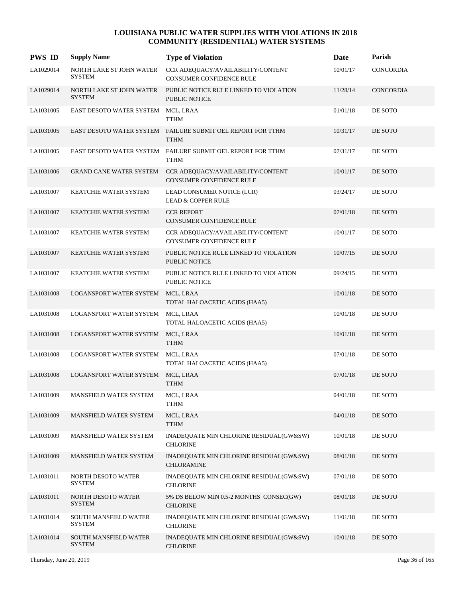| <b>PWS ID</b> | <b>Supply Name</b>                        | <b>Type of Violation</b>                                                   | Date     | Parish           |
|---------------|-------------------------------------------|----------------------------------------------------------------------------|----------|------------------|
| LA1029014     | NORTH LAKE ST JOHN WATER<br><b>SYSTEM</b> | CCR ADEQUACY/AVAILABILITY/CONTENT<br><b>CONSUMER CONFIDENCE RULE</b>       | 10/01/17 | <b>CONCORDIA</b> |
| LA1029014     | NORTH LAKE ST JOHN WATER<br><b>SYSTEM</b> | PUBLIC NOTICE RULE LINKED TO VIOLATION<br><b>PUBLIC NOTICE</b>             | 11/28/14 | CONCORDIA        |
| LA1031005     | EAST DESOTO WATER SYSTEM                  | MCL, LRAA<br><b>TTHM</b>                                                   | 01/01/18 | DE SOTO          |
| LA1031005     |                                           | EAST DESOTO WATER SYSTEM FAILURE SUBMIT OEL REPORT FOR TTHM<br><b>TTHM</b> | 10/31/17 | DE SOTO          |
| LA1031005     | EAST DESOTO WATER SYSTEM                  | FAILURE SUBMIT OEL REPORT FOR TTHM<br><b>TTHM</b>                          | 07/31/17 | DE SOTO          |
| LA1031006     | <b>GRAND CANE WATER SYSTEM</b>            | CCR ADEQUACY/AVAILABILITY/CONTENT<br>CONSUMER CONFIDENCE RULE              | 10/01/17 | DE SOTO          |
| LA1031007     | KEATCHIE WATER SYSTEM                     | LEAD CONSUMER NOTICE (LCR)<br><b>LEAD &amp; COPPER RULE</b>                | 03/24/17 | DE SOTO          |
| LA1031007     | KEATCHIE WATER SYSTEM                     | <b>CCR REPORT</b><br>CONSUMER CONFIDENCE RULE                              | 07/01/18 | DE SOTO          |
| LA1031007     | KEATCHIE WATER SYSTEM                     | CCR ADEQUACY/AVAILABILITY/CONTENT<br>CONSUMER CONFIDENCE RULE              | 10/01/17 | DE SOTO          |
| LA1031007     | KEATCHIE WATER SYSTEM                     | PUBLIC NOTICE RULE LINKED TO VIOLATION<br>PUBLIC NOTICE                    | 10/07/15 | DE SOTO          |
| LA1031007     | KEATCHIE WATER SYSTEM                     | PUBLIC NOTICE RULE LINKED TO VIOLATION<br>PUBLIC NOTICE                    | 09/24/15 | DE SOTO          |
| LA1031008     | <b>LOGANSPORT WATER SYSTEM</b>            | MCL, LRAA<br>TOTAL HALOACETIC ACIDS (HAA5)                                 | 10/01/18 | DE SOTO          |
| LA1031008     | LOGANSPORT WATER SYSTEM                   | MCL, LRAA<br>TOTAL HALOACETIC ACIDS (HAA5)                                 | 10/01/18 | DE SOTO          |
| LA1031008     | LOGANSPORT WATER SYSTEM                   | MCL, LRAA<br><b>TTHM</b>                                                   | 10/01/18 | DE SOTO          |
| LA1031008     | LOGANSPORT WATER SYSTEM                   | MCL, LRAA<br>TOTAL HALOACETIC ACIDS (HAA5)                                 | 07/01/18 | DE SOTO          |
| LA1031008     | <b>LOGANSPORT WATER SYSTEM</b>            | MCL, LRAA<br><b>TTHM</b>                                                   | 07/01/18 | DE SOTO          |
| LA1031009     | MANSFIELD WATER SYSTEM                    | MCL, LRAA<br><b>TTHM</b>                                                   | 04/01/18 | DE SOTO          |
| LA1031009     | MANSFIELD WATER SYSTEM                    | MCL, LRAA<br><b>TTHM</b>                                                   | 04/01/18 | DE SOTO          |
| LA1031009     | MANSFIELD WATER SYSTEM                    | INADEQUATE MIN CHLORINE RESIDUAL(GW&SW)<br><b>CHLORINE</b>                 | 10/01/18 | DE SOTO          |
| LA1031009     | MANSFIELD WATER SYSTEM                    | INADEQUATE MIN CHLORINE RESIDUAL(GW&SW)<br><b>CHLORAMINE</b>               | 08/01/18 | DE SOTO          |
| LA1031011     | NORTH DESOTO WATER<br><b>SYSTEM</b>       | INADEQUATE MIN CHLORINE RESIDUAL(GW&SW)<br><b>CHLORINE</b>                 | 07/01/18 | DE SOTO          |
| LA1031011     | NORTH DESOTO WATER<br><b>SYSTEM</b>       | 5% DS BELOW MIN 0.5-2 MONTHS CONSEC(GW)<br><b>CHLORINE</b>                 | 08/01/18 | DE SOTO          |
| LA1031014     | SOUTH MANSFIELD WATER<br><b>SYSTEM</b>    | INADEQUATE MIN CHLORINE RESIDUAL(GW&SW)<br><b>CHLORINE</b>                 | 11/01/18 | DE SOTO          |
| LA1031014     | SOUTH MANSFIELD WATER<br><b>SYSTEM</b>    | INADEQUATE MIN CHLORINE RESIDUAL(GW&SW)<br><b>CHLORINE</b>                 | 10/01/18 | DE SOTO          |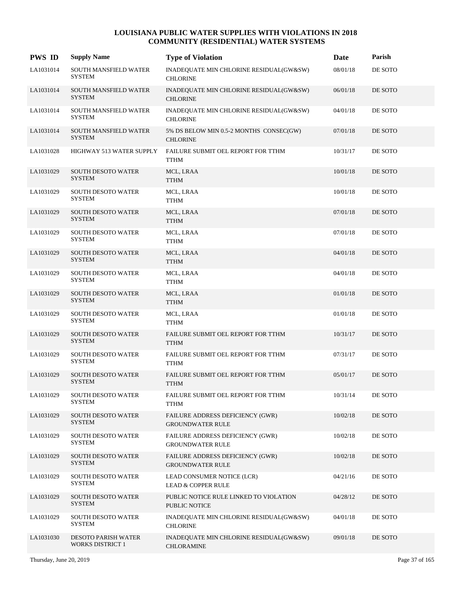| <b>PWS ID</b> | <b>Supply Name</b>                                    | <b>Type of Violation</b>                                     | Date     | Parish  |
|---------------|-------------------------------------------------------|--------------------------------------------------------------|----------|---------|
| LA1031014     | SOUTH MANSFIELD WATER<br><b>SYSTEM</b>                | INADEQUATE MIN CHLORINE RESIDUAL(GW&SW)<br><b>CHLORINE</b>   | 08/01/18 | DE SOTO |
| LA1031014     | SOUTH MANSFIELD WATER<br><b>SYSTEM</b>                | INADEQUATE MIN CHLORINE RESIDUAL(GW&SW)<br><b>CHLORINE</b>   | 06/01/18 | DE SOTO |
| LA1031014     | SOUTH MANSFIELD WATER<br><b>SYSTEM</b>                | INADEQUATE MIN CHLORINE RESIDUAL(GW&SW)<br><b>CHLORINE</b>   | 04/01/18 | DE SOTO |
| LA1031014     | <b>SOUTH MANSFIELD WATER</b><br><b>SYSTEM</b>         | 5% DS BELOW MIN 0.5-2 MONTHS CONSEC(GW)<br><b>CHLORINE</b>   | 07/01/18 | DE SOTO |
| LA1031028     | HIGHWAY 513 WATER SUPPLY                              | FAILURE SUBMIT OEL REPORT FOR TTHM<br><b>TTHM</b>            | 10/31/17 | DE SOTO |
| LA1031029     | <b>SOUTH DESOTO WATER</b><br><b>SYSTEM</b>            | MCL, LRAA<br><b>TTHM</b>                                     | 10/01/18 | DE SOTO |
| LA1031029     | <b>SOUTH DESOTO WATER</b><br><b>SYSTEM</b>            | MCL, LRAA<br><b>TTHM</b>                                     | 10/01/18 | DE SOTO |
| LA1031029     | <b>SOUTH DESOTO WATER</b><br><b>SYSTEM</b>            | MCL, LRAA<br><b>TTHM</b>                                     | 07/01/18 | DE SOTO |
| LA1031029     | <b>SOUTH DESOTO WATER</b><br><b>SYSTEM</b>            | MCL, LRAA<br><b>TTHM</b>                                     | 07/01/18 | DE SOTO |
| LA1031029     | <b>SOUTH DESOTO WATER</b><br><b>SYSTEM</b>            | MCL, LRAA<br><b>TTHM</b>                                     | 04/01/18 | DE SOTO |
| LA1031029     | <b>SOUTH DESOTO WATER</b><br><b>SYSTEM</b>            | MCL, LRAA<br>TTHM                                            | 04/01/18 | DE SOTO |
| LA1031029     | <b>SOUTH DESOTO WATER</b><br><b>SYSTEM</b>            | MCL, LRAA<br><b>TTHM</b>                                     | 01/01/18 | DE SOTO |
| LA1031029     | <b>SOUTH DESOTO WATER</b><br><b>SYSTEM</b>            | MCL, LRAA<br><b>TTHM</b>                                     | 01/01/18 | DE SOTO |
| LA1031029     | <b>SOUTH DESOTO WATER</b><br><b>SYSTEM</b>            | FAILURE SUBMIT OEL REPORT FOR TTHM<br><b>TTHM</b>            | 10/31/17 | DE SOTO |
| LA1031029     | <b>SOUTH DESOTO WATER</b><br><b>SYSTEM</b>            | FAILURE SUBMIT OEL REPORT FOR TTHM<br><b>TTHM</b>            | 07/31/17 | DE SOTO |
| LA1031029     | <b>SOUTH DESOTO WATER</b><br><b>SYSTEM</b>            | FAILURE SUBMIT OEL REPORT FOR TTHM<br><b>TTHM</b>            | 05/01/17 | DE SOTO |
| LA1031029     | SOUTH DESOTO WATER<br><b>SYSTEM</b>                   | FAILURE SUBMIT OEL REPORT FOR TTHM<br>TTHM                   | 10/31/14 | DE SOTO |
| LA1031029     | <b>SOUTH DESOTO WATER</b><br><b>SYSTEM</b>            | FAILURE ADDRESS DEFICIENCY (GWR)<br><b>GROUNDWATER RULE</b>  | 10/02/18 | DE SOTO |
| LA1031029     | <b>SOUTH DESOTO WATER</b><br><b>SYSTEM</b>            | FAILURE ADDRESS DEFICIENCY (GWR)<br><b>GROUNDWATER RULE</b>  | 10/02/18 | DE SOTO |
| LA1031029     | <b>SOUTH DESOTO WATER</b><br><b>SYSTEM</b>            | FAILURE ADDRESS DEFICIENCY (GWR)<br><b>GROUNDWATER RULE</b>  | 10/02/18 | DE SOTO |
| LA1031029     | <b>SOUTH DESOTO WATER</b><br><b>SYSTEM</b>            | LEAD CONSUMER NOTICE (LCR)<br><b>LEAD &amp; COPPER RULE</b>  | 04/21/16 | DE SOTO |
| LA1031029     | SOUTH DESOTO WATER<br><b>SYSTEM</b>                   | PUBLIC NOTICE RULE LINKED TO VIOLATION<br>PUBLIC NOTICE      | 04/28/12 | DE SOTO |
| LA1031029     | <b>SOUTH DESOTO WATER</b><br><b>SYSTEM</b>            | INADEQUATE MIN CHLORINE RESIDUAL(GW&SW)<br><b>CHLORINE</b>   | 04/01/18 | DE SOTO |
| LA1031030     | <b>DESOTO PARISH WATER</b><br><b>WORKS DISTRICT 1</b> | INADEQUATE MIN CHLORINE RESIDUAL(GW&SW)<br><b>CHLORAMINE</b> | 09/01/18 | DE SOTO |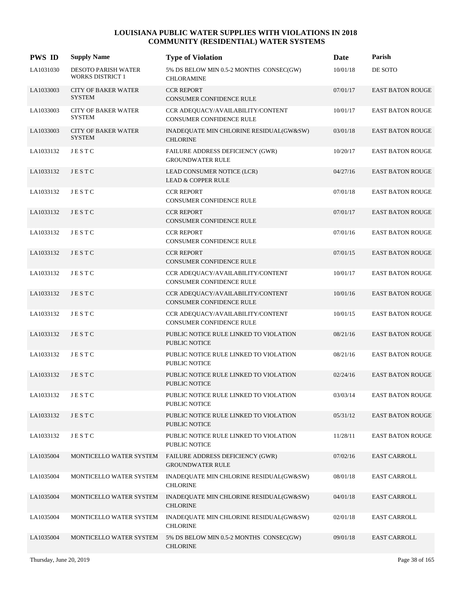| <b>PWS ID</b> | <b>Supply Name</b>                             | <b>Type of Violation</b>                                             | Date     | Parish                  |
|---------------|------------------------------------------------|----------------------------------------------------------------------|----------|-------------------------|
| LA1031030     | DESOTO PARISH WATER<br><b>WORKS DISTRICT 1</b> | 5% DS BELOW MIN 0.5-2 MONTHS CONSEC(GW)<br><b>CHLORAMINE</b>         | 10/01/18 | DE SOTO                 |
| LA1033003     | <b>CITY OF BAKER WATER</b><br><b>SYSTEM</b>    | <b>CCR REPORT</b><br><b>CONSUMER CONFIDENCE RULE</b>                 | 07/01/17 | <b>EAST BATON ROUGE</b> |
| LA1033003     | <b>CITY OF BAKER WATER</b><br><b>SYSTEM</b>    | CCR ADEQUACY/AVAILABILITY/CONTENT<br>CONSUMER CONFIDENCE RULE        | 10/01/17 | <b>EAST BATON ROUGE</b> |
| LA1033003     | <b>CITY OF BAKER WATER</b><br><b>SYSTEM</b>    | INADEQUATE MIN CHLORINE RESIDUAL(GW&SW)<br><b>CHLORINE</b>           | 03/01/18 | <b>EAST BATON ROUGE</b> |
| LA1033132     | JESTC                                          | FAILURE ADDRESS DEFICIENCY (GWR)<br><b>GROUNDWATER RULE</b>          | 10/20/17 | <b>EAST BATON ROUGE</b> |
| LA1033132     | JESTC                                          | LEAD CONSUMER NOTICE (LCR)<br><b>LEAD &amp; COPPER RULE</b>          | 04/27/16 | <b>EAST BATON ROUGE</b> |
| LA1033132     | JESTC                                          | <b>CCR REPORT</b><br>CONSUMER CONFIDENCE RULE                        | 07/01/18 | <b>EAST BATON ROUGE</b> |
| LA1033132     | JESTC                                          | <b>CCR REPORT</b><br>CONSUMER CONFIDENCE RULE                        | 07/01/17 | <b>EAST BATON ROUGE</b> |
| LA1033132     | <b>JESTC</b>                                   | <b>CCR REPORT</b><br><b>CONSUMER CONFIDENCE RULE</b>                 | 07/01/16 | <b>EAST BATON ROUGE</b> |
| LA1033132     | JESTC                                          | <b>CCR REPORT</b><br><b>CONSUMER CONFIDENCE RULE</b>                 | 07/01/15 | <b>EAST BATON ROUGE</b> |
| LA1033132     | JESTC                                          | CCR ADEQUACY/AVAILABILITY/CONTENT<br><b>CONSUMER CONFIDENCE RULE</b> | 10/01/17 | <b>EAST BATON ROUGE</b> |
| LA1033132     | JESTC                                          | CCR ADEQUACY/AVAILABILITY/CONTENT<br><b>CONSUMER CONFIDENCE RULE</b> | 10/01/16 | <b>EAST BATON ROUGE</b> |
| LA1033132     | JESTC                                          | CCR ADEQUACY/AVAILABILITY/CONTENT<br><b>CONSUMER CONFIDENCE RULE</b> | 10/01/15 | <b>EAST BATON ROUGE</b> |
| LA1033132     | JESTC                                          | PUBLIC NOTICE RULE LINKED TO VIOLATION<br><b>PUBLIC NOTICE</b>       | 08/21/16 | <b>EAST BATON ROUGE</b> |
| LA1033132     | JESTC                                          | PUBLIC NOTICE RULE LINKED TO VIOLATION<br><b>PUBLIC NOTICE</b>       | 08/21/16 | <b>EAST BATON ROUGE</b> |
| LA1033132     | JESTC                                          | PUBLIC NOTICE RULE LINKED TO VIOLATION<br>PUBLIC NOTICE              | 02/24/16 | <b>EAST BATON ROUGE</b> |
| LA1033132     | <b>JESTC</b>                                   | PUBLIC NOTICE RULE LINKED TO VIOLATION<br>PUBLIC NOTICE              | 03/03/14 | <b>EAST BATON ROUGE</b> |
| LA1033132     | JESTC                                          | PUBLIC NOTICE RULE LINKED TO VIOLATION<br><b>PUBLIC NOTICE</b>       | 05/31/12 | <b>EAST BATON ROUGE</b> |
| LA1033132     | JESTC                                          | PUBLIC NOTICE RULE LINKED TO VIOLATION<br>PUBLIC NOTICE              | 11/28/11 | <b>EAST BATON ROUGE</b> |
| LA1035004     | MONTICELLO WATER SYSTEM                        | FAILURE ADDRESS DEFICIENCY (GWR)<br><b>GROUNDWATER RULE</b>          | 07/02/16 | <b>EAST CARROLL</b>     |
| LA1035004     | MONTICELLO WATER SYSTEM                        | INADEQUATE MIN CHLORINE RESIDUAL(GW&SW)<br><b>CHLORINE</b>           | 08/01/18 | <b>EAST CARROLL</b>     |
| LA1035004     | MONTICELLO WATER SYSTEM                        | INADEQUATE MIN CHLORINE RESIDUAL(GW&SW)<br><b>CHLORINE</b>           | 04/01/18 | <b>EAST CARROLL</b>     |
| LA1035004     | MONTICELLO WATER SYSTEM                        | INADEQUATE MIN CHLORINE RESIDUAL(GW&SW)<br><b>CHLORINE</b>           | 02/01/18 | <b>EAST CARROLL</b>     |
| LA1035004     | MONTICELLO WATER SYSTEM                        | 5% DS BELOW MIN 0.5-2 MONTHS CONSEC(GW)<br><b>CHLORINE</b>           | 09/01/18 | <b>EAST CARROLL</b>     |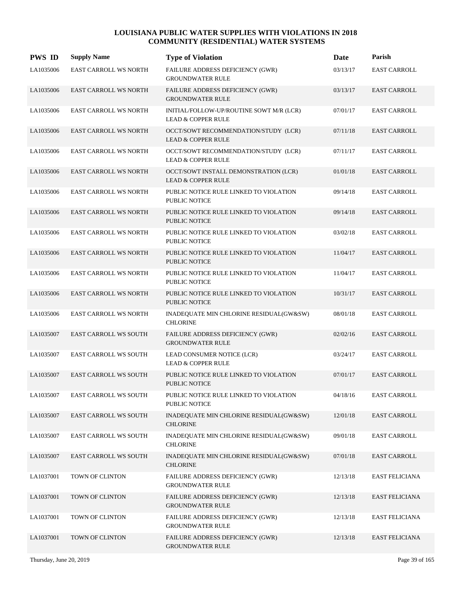| <b>PWS ID</b> | <b>Supply Name</b>           | <b>Type of Violation</b>                                                  | <b>Date</b> | Parish                |
|---------------|------------------------------|---------------------------------------------------------------------------|-------------|-----------------------|
| LA1035006     | <b>EAST CARROLL WS NORTH</b> | FAILURE ADDRESS DEFICIENCY (GWR)<br><b>GROUNDWATER RULE</b>               | 03/13/17    | <b>EAST CARROLL</b>   |
| LA1035006     | <b>EAST CARROLL WS NORTH</b> | FAILURE ADDRESS DEFICIENCY (GWR)<br><b>GROUNDWATER RULE</b>               | 03/13/17    | <b>EAST CARROLL</b>   |
| LA1035006     | EAST CARROLL WS NORTH        | INITIAL/FOLLOW-UP/ROUTINE SOWT M/R (LCR)<br><b>LEAD &amp; COPPER RULE</b> | 07/01/17    | EAST CARROLL          |
| LA1035006     | <b>EAST CARROLL WS NORTH</b> | OCCT/SOWT RECOMMENDATION/STUDY (LCR)<br><b>LEAD &amp; COPPER RULE</b>     | 07/11/18    | <b>EAST CARROLL</b>   |
| LA1035006     | <b>EAST CARROLL WS NORTH</b> | OCCT/SOWT RECOMMENDATION/STUDY (LCR)<br><b>LEAD &amp; COPPER RULE</b>     | 07/11/17    | <b>EAST CARROLL</b>   |
| LA1035006     | <b>EAST CARROLL WS NORTH</b> | OCCT/SOWT INSTALL DEMONSTRATION (LCR)<br><b>LEAD &amp; COPPER RULE</b>    | 01/01/18    | <b>EAST CARROLL</b>   |
| LA1035006     | <b>EAST CARROLL WS NORTH</b> | PUBLIC NOTICE RULE LINKED TO VIOLATION<br><b>PUBLIC NOTICE</b>            | 09/14/18    | <b>EAST CARROLL</b>   |
| LA1035006     | <b>EAST CARROLL WS NORTH</b> | PUBLIC NOTICE RULE LINKED TO VIOLATION<br><b>PUBLIC NOTICE</b>            | 09/14/18    | <b>EAST CARROLL</b>   |
| LA1035006     | <b>EAST CARROLL WS NORTH</b> | PUBLIC NOTICE RULE LINKED TO VIOLATION<br><b>PUBLIC NOTICE</b>            | 03/02/18    | <b>EAST CARROLL</b>   |
| LA1035006     | <b>EAST CARROLL WS NORTH</b> | PUBLIC NOTICE RULE LINKED TO VIOLATION<br><b>PUBLIC NOTICE</b>            | 11/04/17    | <b>EAST CARROLL</b>   |
| LA1035006     | <b>EAST CARROLL WS NORTH</b> | PUBLIC NOTICE RULE LINKED TO VIOLATION<br><b>PUBLIC NOTICE</b>            | 11/04/17    | <b>EAST CARROLL</b>   |
| LA1035006     | <b>EAST CARROLL WS NORTH</b> | PUBLIC NOTICE RULE LINKED TO VIOLATION<br><b>PUBLIC NOTICE</b>            | 10/31/17    | <b>EAST CARROLL</b>   |
| LA1035006     | EAST CARROLL WS NORTH        | INADEQUATE MIN CHLORINE RESIDUAL(GW&SW)<br><b>CHLORINE</b>                | 08/01/18    | <b>EAST CARROLL</b>   |
| LA1035007     | <b>EAST CARROLL WS SOUTH</b> | FAILURE ADDRESS DEFICIENCY (GWR)<br><b>GROUNDWATER RULE</b>               | 02/02/16    | <b>EAST CARROLL</b>   |
| LA1035007     | <b>EAST CARROLL WS SOUTH</b> | LEAD CONSUMER NOTICE (LCR)<br><b>LEAD &amp; COPPER RULE</b>               | 03/24/17    | <b>EAST CARROLL</b>   |
| LA1035007     | <b>EAST CARROLL WS SOUTH</b> | PUBLIC NOTICE RULE LINKED TO VIOLATION<br>PUBLIC NOTICE                   | 07/01/17    | <b>EAST CARROLL</b>   |
| LA1035007     | <b>EAST CARROLL WS SOUTH</b> | PUBLIC NOTICE RULE LINKED TO VIOLATION<br>PUBLIC NOTICE                   | 04/18/16    | <b>EAST CARROLL</b>   |
| LA1035007     | <b>EAST CARROLL WS SOUTH</b> | INADEQUATE MIN CHLORINE RESIDUAL(GW&SW)<br><b>CHLORINE</b>                | 12/01/18    | <b>EAST CARROLL</b>   |
| LA1035007     | <b>EAST CARROLL WS SOUTH</b> | INADEQUATE MIN CHLORINE RESIDUAL(GW&SW)<br><b>CHLORINE</b>                | 09/01/18    | <b>EAST CARROLL</b>   |
| LA1035007     | EAST CARROLL WS SOUTH        | INADEQUATE MIN CHLORINE RESIDUAL(GW&SW)<br><b>CHLORINE</b>                | 07/01/18    | EAST CARROLL          |
| LA1037001     | TOWN OF CLINTON              | FAILURE ADDRESS DEFICIENCY (GWR)<br>GROUNDWATER RULE                      | 12/13/18    | EAST FELICIANA        |
| LA1037001     | TOWN OF CLINTON              | FAILURE ADDRESS DEFICIENCY (GWR)<br><b>GROUNDWATER RULE</b>               | 12/13/18    | <b>EAST FELICIANA</b> |
| LA1037001     | TOWN OF CLINTON              | FAILURE ADDRESS DEFICIENCY (GWR)<br><b>GROUNDWATER RULE</b>               | 12/13/18    | <b>EAST FELICIANA</b> |
| LA1037001     | TOWN OF CLINTON              | FAILURE ADDRESS DEFICIENCY (GWR)<br><b>GROUNDWATER RULE</b>               | 12/13/18    | <b>EAST FELICIANA</b> |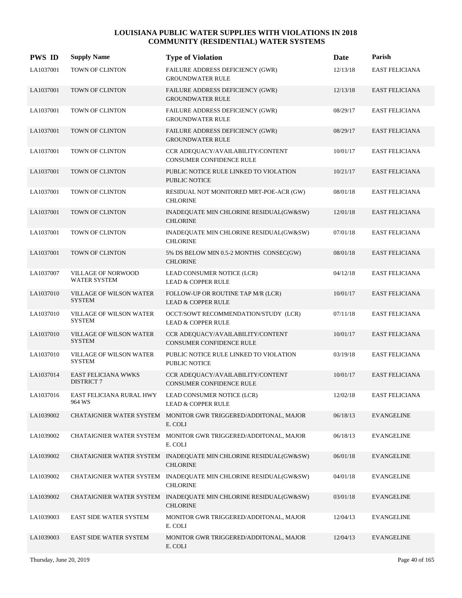| <b>PWS ID</b> | <b>Supply Name</b>                              | <b>Type of Violation</b>                                                            | Date     | Parish                |
|---------------|-------------------------------------------------|-------------------------------------------------------------------------------------|----------|-----------------------|
| LA1037001     | TOWN OF CLINTON                                 | FAILURE ADDRESS DEFICIENCY (GWR)<br><b>GROUNDWATER RULE</b>                         | 12/13/18 | <b>EAST FELICIANA</b> |
| LA1037001     | TOWN OF CLINTON                                 | FAILURE ADDRESS DEFICIENCY (GWR)<br><b>GROUNDWATER RULE</b>                         | 12/13/18 | <b>EAST FELICIANA</b> |
| LA1037001     | TOWN OF CLINTON                                 | <b>FAILURE ADDRESS DEFICIENCY (GWR)</b><br><b>GROUNDWATER RULE</b>                  | 08/29/17 | <b>EAST FELICIANA</b> |
| LA1037001     | TOWN OF CLINTON                                 | FAILURE ADDRESS DEFICIENCY (GWR)<br><b>GROUNDWATER RULE</b>                         | 08/29/17 | <b>EAST FELICIANA</b> |
| LA1037001     | TOWN OF CLINTON                                 | CCR ADEQUACY/AVAILABILITY/CONTENT<br>CONSUMER CONFIDENCE RULE                       | 10/01/17 | <b>EAST FELICIANA</b> |
| LA1037001     | TOWN OF CLINTON                                 | PUBLIC NOTICE RULE LINKED TO VIOLATION<br><b>PUBLIC NOTICE</b>                      | 10/21/17 | <b>EAST FELICIANA</b> |
| LA1037001     | TOWN OF CLINTON                                 | RESIDUAL NOT MONITORED MRT-POE-ACR (GW)<br><b>CHLORINE</b>                          | 08/01/18 | <b>EAST FELICIANA</b> |
| LA1037001     | TOWN OF CLINTON                                 | INADEQUATE MIN CHLORINE RESIDUAL(GW&SW)<br><b>CHLORINE</b>                          | 12/01/18 | <b>EAST FELICIANA</b> |
| LA1037001     | TOWN OF CLINTON                                 | INADEQUATE MIN CHLORINE RESIDUAL(GW&SW)<br><b>CHLORINE</b>                          | 07/01/18 | <b>EAST FELICIANA</b> |
| LA1037001     | <b>TOWN OF CLINTON</b>                          | 5% DS BELOW MIN 0.5-2 MONTHS CONSEC(GW)<br><b>CHLORINE</b>                          | 08/01/18 | <b>EAST FELICIANA</b> |
| LA1037007     | VILLAGE OF NORWOOD<br><b>WATER SYSTEM</b>       | LEAD CONSUMER NOTICE (LCR)<br><b>LEAD &amp; COPPER RULE</b>                         | 04/12/18 | <b>EAST FELICIANA</b> |
| LA1037010     | VILLAGE OF WILSON WATER<br><b>SYSTEM</b>        | FOLLOW-UP OR ROUTINE TAP M/R (LCR)<br><b>LEAD &amp; COPPER RULE</b>                 | 10/01/17 | <b>EAST FELICIANA</b> |
| LA1037010     | VILLAGE OF WILSON WATER<br><b>SYSTEM</b>        | OCCT/SOWT RECOMMENDATION/STUDY (LCR)<br><b>LEAD &amp; COPPER RULE</b>               | 07/11/18 | <b>EAST FELICIANA</b> |
| LA1037010     | VILLAGE OF WILSON WATER<br><b>SYSTEM</b>        | CCR ADEQUACY/AVAILABILITY/CONTENT<br><b>CONSUMER CONFIDENCE RULE</b>                | 10/01/17 | <b>EAST FELICIANA</b> |
| LA1037010     | VILLAGE OF WILSON WATER<br><b>SYSTEM</b>        | PUBLIC NOTICE RULE LINKED TO VIOLATION<br><b>PUBLIC NOTICE</b>                      | 03/19/18 | <b>EAST FELICIANA</b> |
| LA1037014     | <b>EAST FELICIANA WWKS</b><br><b>DISTRICT 7</b> | CCR ADEQUACY/AVAILABILITY/CONTENT<br><b>CONSUMER CONFIDENCE RULE</b>                | 10/01/17 | <b>EAST FELICIANA</b> |
| LA1037016     | EAST FELICIANA RURAL HWY<br>964 WS              | LEAD CONSUMER NOTICE (LCR)<br><b>LEAD &amp; COPPER RULE</b>                         | 12/02/18 | <b>EAST FELICIANA</b> |
| LA1039002     |                                                 | CHATAIGNIER WATER SYSTEM MONITOR GWR TRIGGERED/ADDITONAL, MAJOR<br>E. COLI          | 06/18/13 | <b>EVANGELINE</b>     |
| LA1039002     |                                                 | CHATAIGNIER WATER SYSTEM MONITOR GWR TRIGGERED/ADDITONAL, MAJOR<br>E. COLI          | 06/18/13 | <b>EVANGELINE</b>     |
| LA1039002     |                                                 | CHATAIGNIER WATER SYSTEM INADEQUATE MIN CHLORINE RESIDUAL(GW&SW)<br><b>CHLORINE</b> | 06/01/18 | <b>EVANGELINE</b>     |
| LA1039002     |                                                 | CHATAIGNIER WATER SYSTEM INADEQUATE MIN CHLORINE RESIDUAL(GW&SW)<br><b>CHLORINE</b> | 04/01/18 | <b>EVANGELINE</b>     |
| LA1039002     |                                                 | CHATAIGNIER WATER SYSTEM INADEQUATE MIN CHLORINE RESIDUAL(GW&SW)<br><b>CHLORINE</b> | 03/01/18 | EVANGELINE            |
| LA1039003     | <b>EAST SIDE WATER SYSTEM</b>                   | MONITOR GWR TRIGGERED/ADDITONAL, MAJOR<br>E. COLI                                   | 12/04/13 | EVANGELINE            |
| LA1039003     | <b>EAST SIDE WATER SYSTEM</b>                   | MONITOR GWR TRIGGERED/ADDITONAL, MAJOR<br>E. COLI                                   | 12/04/13 | <b>EVANGELINE</b>     |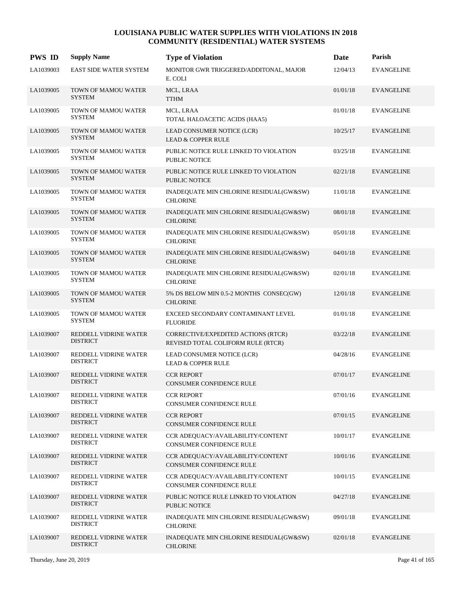| <b>PWS ID</b> | <b>Supply Name</b>                       | <b>Type of Violation</b>                                                  | Date     | Parish            |
|---------------|------------------------------------------|---------------------------------------------------------------------------|----------|-------------------|
| LA1039003     | <b>EAST SIDE WATER SYSTEM</b>            | MONITOR GWR TRIGGERED/ADDITONAL, MAJOR<br>E. COLI                         | 12/04/13 | <b>EVANGELINE</b> |
| LA1039005     | TOWN OF MAMOU WATER<br><b>SYSTEM</b>     | MCL, LRAA<br><b>TTHM</b>                                                  | 01/01/18 | <b>EVANGELINE</b> |
| LA1039005     | TOWN OF MAMOU WATER<br><b>SYSTEM</b>     | MCL, LRAA<br>TOTAL HALOACETIC ACIDS (HAA5)                                | 01/01/18 | <b>EVANGELINE</b> |
| LA1039005     | TOWN OF MAMOU WATER<br><b>SYSTEM</b>     | LEAD CONSUMER NOTICE (LCR)<br><b>LEAD &amp; COPPER RULE</b>               | 10/25/17 | <b>EVANGELINE</b> |
| LA1039005     | TOWN OF MAMOU WATER<br><b>SYSTEM</b>     | PUBLIC NOTICE RULE LINKED TO VIOLATION<br><b>PUBLIC NOTICE</b>            | 03/25/18 | <b>EVANGELINE</b> |
| LA1039005     | TOWN OF MAMOU WATER<br><b>SYSTEM</b>     | PUBLIC NOTICE RULE LINKED TO VIOLATION<br><b>PUBLIC NOTICE</b>            | 02/21/18 | <b>EVANGELINE</b> |
| LA1039005     | TOWN OF MAMOU WATER<br><b>SYSTEM</b>     | INADEQUATE MIN CHLORINE RESIDUAL(GW&SW)<br><b>CHLORINE</b>                | 11/01/18 | <b>EVANGELINE</b> |
| LA1039005     | TOWN OF MAMOU WATER<br><b>SYSTEM</b>     | INADEQUATE MIN CHLORINE RESIDUAL(GW&SW)<br><b>CHLORINE</b>                | 08/01/18 | <b>EVANGELINE</b> |
| LA1039005     | TOWN OF MAMOU WATER<br><b>SYSTEM</b>     | INADEQUATE MIN CHLORINE RESIDUAL(GW&SW)<br><b>CHLORINE</b>                | 05/01/18 | <b>EVANGELINE</b> |
| LA1039005     | TOWN OF MAMOU WATER<br><b>SYSTEM</b>     | INADEQUATE MIN CHLORINE RESIDUAL(GW&SW)<br><b>CHLORINE</b>                | 04/01/18 | <b>EVANGELINE</b> |
| LA1039005     | TOWN OF MAMOU WATER<br><b>SYSTEM</b>     | INADEQUATE MIN CHLORINE RESIDUAL(GW&SW)<br><b>CHLORINE</b>                | 02/01/18 | <b>EVANGELINE</b> |
| LA1039005     | TOWN OF MAMOU WATER<br><b>SYSTEM</b>     | 5% DS BELOW MIN 0.5-2 MONTHS CONSEC(GW)<br><b>CHLORINE</b>                | 12/01/18 | <b>EVANGELINE</b> |
| LA1039005     | TOWN OF MAMOU WATER<br><b>SYSTEM</b>     | EXCEED SECONDARY CONTAMINANT LEVEL<br><b>FLUORIDE</b>                     | 01/01/18 | <b>EVANGELINE</b> |
| LA1039007     | REDDELL VIDRINE WATER<br><b>DISTRICT</b> | CORRECTIVE/EXPEDITED ACTIONS (RTCR)<br>REVISED TOTAL COLIFORM RULE (RTCR) | 03/22/18 | <b>EVANGELINE</b> |
| LA1039007     | REDDELL VIDRINE WATER<br><b>DISTRICT</b> | LEAD CONSUMER NOTICE (LCR)<br><b>LEAD &amp; COPPER RULE</b>               | 04/28/16 | <b>EVANGELINE</b> |
| LA1039007     | REDDELL VIDRINE WATER<br><b>DISTRICT</b> | <b>CCR REPORT</b><br>CONSUMER CONFIDENCE RULE                             | 07/01/17 | <b>EVANGELINE</b> |
| LA1039007     | REDDELL VIDRINE WATER<br><b>DISTRICT</b> | <b>CCR REPORT</b><br>CONSUMER CONFIDENCE RULE                             | 07/01/16 | <b>EVANGELINE</b> |
| LA1039007     | REDDELL VIDRINE WATER<br><b>DISTRICT</b> | <b>CCR REPORT</b><br>CONSUMER CONFIDENCE RULE                             | 07/01/15 | <b>EVANGELINE</b> |
| LA1039007     | REDDELL VIDRINE WATER<br><b>DISTRICT</b> | CCR ADEQUACY/AVAILABILITY/CONTENT<br>CONSUMER CONFIDENCE RULE             | 10/01/17 | <b>EVANGELINE</b> |
| LA1039007     | REDDELL VIDRINE WATER<br><b>DISTRICT</b> | CCR ADEQUACY/AVAILABILITY/CONTENT<br>CONSUMER CONFIDENCE RULE             | 10/01/16 | <b>EVANGELINE</b> |
| LA1039007     | REDDELL VIDRINE WATER<br><b>DISTRICT</b> | CCR ADEQUACY/AVAILABILITY/CONTENT<br>CONSUMER CONFIDENCE RULE             | 10/01/15 | <b>EVANGELINE</b> |
| LA1039007     | REDDELL VIDRINE WATER<br><b>DISTRICT</b> | PUBLIC NOTICE RULE LINKED TO VIOLATION<br>PUBLIC NOTICE                   | 04/27/18 | <b>EVANGELINE</b> |
| LA1039007     | REDDELL VIDRINE WATER<br><b>DISTRICT</b> | INADEQUATE MIN CHLORINE RESIDUAL(GW&SW)<br><b>CHLORINE</b>                | 09/01/18 | <b>EVANGELINE</b> |
| LA1039007     | REDDELL VIDRINE WATER<br><b>DISTRICT</b> | INADEQUATE MIN CHLORINE RESIDUAL(GW&SW)<br><b>CHLORINE</b>                | 02/01/18 | <b>EVANGELINE</b> |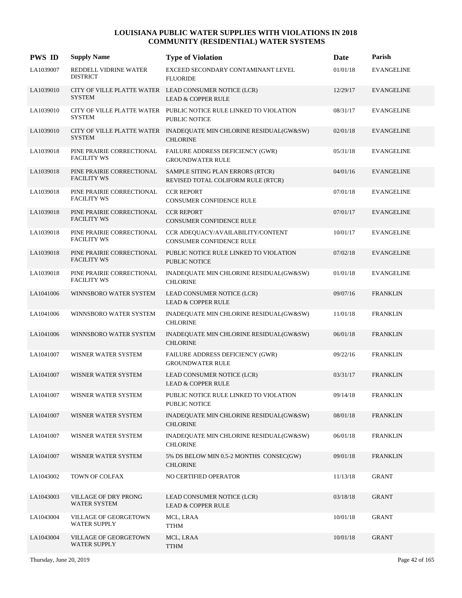| <b>PWS ID</b> | <b>Supply Name</b>                              | <b>Type of Violation</b>                                                                  | Date     | Parish            |
|---------------|-------------------------------------------------|-------------------------------------------------------------------------------------------|----------|-------------------|
| LA1039007     | REDDELL VIDRINE WATER<br><b>DISTRICT</b>        | EXCEED SECONDARY CONTAMINANT LEVEL<br><b>FLUORIDE</b>                                     | 01/01/18 | <b>EVANGELINE</b> |
| LA1039010     | <b>SYSTEM</b>                                   | CITY OF VILLE PLATTE WATER LEAD CONSUMER NOTICE (LCR)<br><b>LEAD &amp; COPPER RULE</b>    | 12/29/17 | <b>EVANGELINE</b> |
| LA1039010     | <b>SYSTEM</b>                                   | CITY OF VILLE PLATTE WATER PUBLIC NOTICE RULE LINKED TO VIOLATION<br><b>PUBLIC NOTICE</b> | 08/31/17 | <b>EVANGELINE</b> |
| LA1039010     | <b>SYSTEM</b>                                   | CITY OF VILLE PLATTE WATER INADEQUATE MIN CHLORINE RESIDUAL(GW&SW)<br><b>CHLORINE</b>     | 02/01/18 | <b>EVANGELINE</b> |
| LA1039018     | PINE PRAIRIE CORRECTIONAL<br><b>FACILITY WS</b> | FAILURE ADDRESS DEFICIENCY (GWR)<br><b>GROUNDWATER RULE</b>                               | 05/31/18 | <b>EVANGELINE</b> |
| LA1039018     | PINE PRAIRIE CORRECTIONAL<br><b>FACILITY WS</b> | SAMPLE SITING PLAN ERRORS (RTCR)<br>REVISED TOTAL COLIFORM RULE (RTCR)                    | 04/01/16 | <b>EVANGELINE</b> |
| LA1039018     | PINE PRAIRIE CORRECTIONAL<br><b>FACILITY WS</b> | <b>CCR REPORT</b><br>CONSUMER CONFIDENCE RULE                                             | 07/01/18 | <b>EVANGELINE</b> |
| LA1039018     | PINE PRAIRIE CORRECTIONAL<br><b>FACILITY WS</b> | <b>CCR REPORT</b><br>CONSUMER CONFIDENCE RULE                                             | 07/01/17 | <b>EVANGELINE</b> |
| LA1039018     | PINE PRAIRIE CORRECTIONAL<br><b>FACILITY WS</b> | CCR ADEQUACY/AVAILABILITY/CONTENT<br>CONSUMER CONFIDENCE RULE                             | 10/01/17 | <b>EVANGELINE</b> |
| LA1039018     | PINE PRAIRIE CORRECTIONAL<br><b>FACILITY WS</b> | PUBLIC NOTICE RULE LINKED TO VIOLATION<br><b>PUBLIC NOTICE</b>                            | 07/02/18 | <b>EVANGELINE</b> |
| LA1039018     | PINE PRAIRIE CORRECTIONAL<br><b>FACILITY WS</b> | INADEQUATE MIN CHLORINE RESIDUAL(GW&SW)<br><b>CHLORINE</b>                                | 01/01/18 | <b>EVANGELINE</b> |
| LA1041006     | WINNSBORO WATER SYSTEM                          | LEAD CONSUMER NOTICE (LCR)<br><b>LEAD &amp; COPPER RULE</b>                               | 09/07/16 | <b>FRANKLIN</b>   |
| LA1041006     | WINNSBORO WATER SYSTEM                          | INADEQUATE MIN CHLORINE RESIDUAL(GW&SW)<br><b>CHLORINE</b>                                | 11/01/18 | <b>FRANKLIN</b>   |
| LA1041006     | WINNSBORO WATER SYSTEM                          | INADEQUATE MIN CHLORINE RESIDUAL(GW&SW)<br><b>CHLORINE</b>                                | 06/01/18 | <b>FRANKLIN</b>   |
| LA1041007     | WISNER WATER SYSTEM                             | FAILURE ADDRESS DEFICIENCY (GWR)<br><b>GROUNDWATER RULE</b>                               | 09/22/16 | <b>FRANKLIN</b>   |
| LA1041007     | WISNER WATER SYSTEM                             | LEAD CONSUMER NOTICE (LCR)<br><b>LEAD &amp; COPPER RULE</b>                               | 03/31/17 | <b>FRANKLIN</b>   |
| LA1041007     | WISNER WATER SYSTEM                             | PUBLIC NOTICE RULE LINKED TO VIOLATION<br>PUBLIC NOTICE                                   | 09/14/18 | <b>FRANKLIN</b>   |
| LA1041007     | WISNER WATER SYSTEM                             | INADEQUATE MIN CHLORINE RESIDUAL(GW&SW)<br><b>CHLORINE</b>                                | 08/01/18 | <b>FRANKLIN</b>   |
| LA1041007     | WISNER WATER SYSTEM                             | INADEQUATE MIN CHLORINE RESIDUAL(GW&SW)<br><b>CHLORINE</b>                                | 06/01/18 | <b>FRANKLIN</b>   |
| LA1041007     | WISNER WATER SYSTEM                             | 5% DS BELOW MIN 0.5-2 MONTHS CONSEC(GW)<br><b>CHLORINE</b>                                | 09/01/18 | <b>FRANKLIN</b>   |
| LA1043002     | TOWN OF COLFAX                                  | NO CERTIFIED OPERATOR                                                                     | 11/13/18 | <b>GRANT</b>      |
| LA1043003     | VILLAGE OF DRY PRONG<br><b>WATER SYSTEM</b>     | LEAD CONSUMER NOTICE (LCR)<br><b>LEAD &amp; COPPER RULE</b>                               | 03/18/18 | <b>GRANT</b>      |
| LA1043004     | VILLAGE OF GEORGETOWN<br><b>WATER SUPPLY</b>    | MCL, LRAA<br>TTHM                                                                         | 10/01/18 | <b>GRANT</b>      |
| LA1043004     | VILLAGE OF GEORGETOWN<br><b>WATER SUPPLY</b>    | MCL, LRAA<br><b>TTHM</b>                                                                  | 10/01/18 | <b>GRANT</b>      |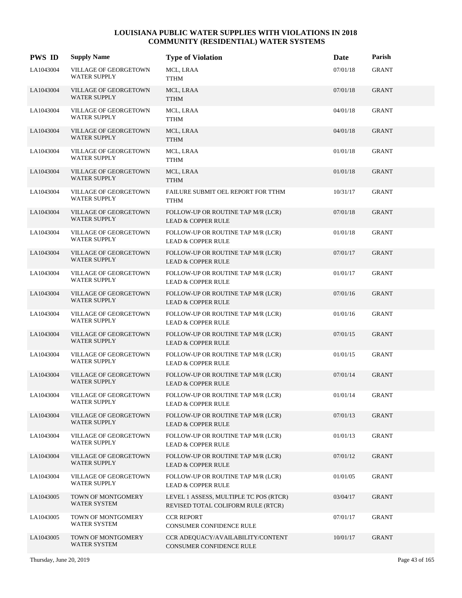| <b>PWS ID</b> | <b>Supply Name</b>                           | <b>Type of Violation</b>                                                     | Date     | Parish       |
|---------------|----------------------------------------------|------------------------------------------------------------------------------|----------|--------------|
| LA1043004     | VILLAGE OF GEORGETOWN<br><b>WATER SUPPLY</b> | MCL, LRAA<br><b>TTHM</b>                                                     | 07/01/18 | <b>GRANT</b> |
| LA1043004     | VILLAGE OF GEORGETOWN<br><b>WATER SUPPLY</b> | MCL, LRAA<br><b>TTHM</b>                                                     | 07/01/18 | <b>GRANT</b> |
| LA1043004     | VILLAGE OF GEORGETOWN<br><b>WATER SUPPLY</b> | MCL, LRAA<br><b>TTHM</b>                                                     | 04/01/18 | GRANT        |
| LA1043004     | VILLAGE OF GEORGETOWN<br><b>WATER SUPPLY</b> | MCL, LRAA<br><b>TTHM</b>                                                     | 04/01/18 | <b>GRANT</b> |
| LA1043004     | VILLAGE OF GEORGETOWN<br><b>WATER SUPPLY</b> | MCL, LRAA<br><b>TTHM</b>                                                     | 01/01/18 | <b>GRANT</b> |
| LA1043004     | VILLAGE OF GEORGETOWN<br><b>WATER SUPPLY</b> | MCL, LRAA<br><b>TTHM</b>                                                     | 01/01/18 | <b>GRANT</b> |
| LA1043004     | VILLAGE OF GEORGETOWN<br><b>WATER SUPPLY</b> | FAILURE SUBMIT OEL REPORT FOR TTHM<br><b>TTHM</b>                            | 10/31/17 | <b>GRANT</b> |
| LA1043004     | VILLAGE OF GEORGETOWN<br><b>WATER SUPPLY</b> | FOLLOW-UP OR ROUTINE TAP M/R (LCR)<br><b>LEAD &amp; COPPER RULE</b>          | 07/01/18 | <b>GRANT</b> |
| LA1043004     | VILLAGE OF GEORGETOWN<br><b>WATER SUPPLY</b> | FOLLOW-UP OR ROUTINE TAP M/R (LCR)<br><b>LEAD &amp; COPPER RULE</b>          | 01/01/18 | <b>GRANT</b> |
| LA1043004     | VILLAGE OF GEORGETOWN<br><b>WATER SUPPLY</b> | FOLLOW-UP OR ROUTINE TAP M/R (LCR)<br><b>LEAD &amp; COPPER RULE</b>          | 07/01/17 | <b>GRANT</b> |
| LA1043004     | VILLAGE OF GEORGETOWN<br><b>WATER SUPPLY</b> | FOLLOW-UP OR ROUTINE TAP M/R (LCR)<br><b>LEAD &amp; COPPER RULE</b>          | 01/01/17 | <b>GRANT</b> |
| LA1043004     | VILLAGE OF GEORGETOWN<br><b>WATER SUPPLY</b> | FOLLOW-UP OR ROUTINE TAP M/R (LCR)<br><b>LEAD &amp; COPPER RULE</b>          | 07/01/16 | <b>GRANT</b> |
| LA1043004     | VILLAGE OF GEORGETOWN<br><b>WATER SUPPLY</b> | FOLLOW-UP OR ROUTINE TAP M/R (LCR)<br><b>LEAD &amp; COPPER RULE</b>          | 01/01/16 | <b>GRANT</b> |
| LA1043004     | VILLAGE OF GEORGETOWN<br><b>WATER SUPPLY</b> | FOLLOW-UP OR ROUTINE TAP M/R (LCR)<br><b>LEAD &amp; COPPER RULE</b>          | 07/01/15 | <b>GRANT</b> |
| LA1043004     | VILLAGE OF GEORGETOWN<br><b>WATER SUPPLY</b> | FOLLOW-UP OR ROUTINE TAP M/R (LCR)<br><b>LEAD &amp; COPPER RULE</b>          | 01/01/15 | GRANT        |
| LA1043004     | VILLAGE OF GEORGETOWN<br><b>WATER SUPPLY</b> | FOLLOW-UP OR ROUTINE TAP M/R (LCR)<br><b>LEAD &amp; COPPER RULE</b>          | 07/01/14 | <b>GRANT</b> |
| LA1043004     | VILLAGE OF GEORGETOWN<br><b>WATER SUPPLY</b> | FOLLOW-UP OR ROUTINE TAP M/R (LCR)<br><b>LEAD &amp; COPPER RULE</b>          | 01/01/14 | GRANT        |
| LA1043004     | VILLAGE OF GEORGETOWN<br><b>WATER SUPPLY</b> | FOLLOW-UP OR ROUTINE TAP M/R (LCR)<br><b>LEAD &amp; COPPER RULE</b>          | 07/01/13 | GRANT        |
| LA1043004     | VILLAGE OF GEORGETOWN<br><b>WATER SUPPLY</b> | FOLLOW-UP OR ROUTINE TAP M/R (LCR)<br><b>LEAD &amp; COPPER RULE</b>          | 01/01/13 | GRANT        |
| LA1043004     | VILLAGE OF GEORGETOWN<br><b>WATER SUPPLY</b> | FOLLOW-UP OR ROUTINE TAP M/R (LCR)<br><b>LEAD &amp; COPPER RULE</b>          | 07/01/12 | <b>GRANT</b> |
| LA1043004     | VILLAGE OF GEORGETOWN<br><b>WATER SUPPLY</b> | FOLLOW-UP OR ROUTINE TAP M/R (LCR)<br><b>LEAD &amp; COPPER RULE</b>          | 01/01/05 | GRANT        |
| LA1043005     | TOWN OF MONTGOMERY<br>WATER SYSTEM           | LEVEL 1 ASSESS, MULTIPLE TC POS (RTCR)<br>REVISED TOTAL COLIFORM RULE (RTCR) | 03/04/17 | GRANT        |
| LA1043005     | TOWN OF MONTGOMERY<br><b>WATER SYSTEM</b>    | <b>CCR REPORT</b><br>CONSUMER CONFIDENCE RULE                                | 07/01/17 | GRANT        |
| LA1043005     | TOWN OF MONTGOMERY<br><b>WATER SYSTEM</b>    | CCR ADEQUACY/AVAILABILITY/CONTENT<br>CONSUMER CONFIDENCE RULE                | 10/01/17 | GRANT        |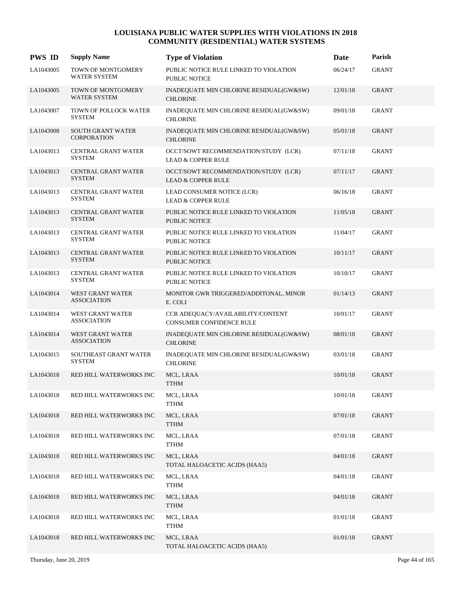| <b>PWS ID</b> | <b>Supply Name</b>                             | <b>Type of Violation</b>                                              | Date     | Parish       |
|---------------|------------------------------------------------|-----------------------------------------------------------------------|----------|--------------|
| LA1043005     | TOWN OF MONTGOMERY<br><b>WATER SYSTEM</b>      | PUBLIC NOTICE RULE LINKED TO VIOLATION<br><b>PUBLIC NOTICE</b>        | 06/24/17 | <b>GRANT</b> |
| LA1043005     | TOWN OF MONTGOMERY<br><b>WATER SYSTEM</b>      | INADEQUATE MIN CHLORINE RESIDUAL(GW&SW)<br><b>CHLORINE</b>            | 12/01/18 | <b>GRANT</b> |
| LA1043007     | TOWN OF POLLOCK WATER<br><b>SYSTEM</b>         | INADEQUATE MIN CHLORINE RESIDUAL(GW&SW)<br><b>CHLORINE</b>            | 09/01/18 | GRANT        |
| LA1043008     | <b>SOUTH GRANT WATER</b><br><b>CORPORATION</b> | INADEQUATE MIN CHLORINE RESIDUAL(GW&SW)<br><b>CHLORINE</b>            | 05/01/18 | <b>GRANT</b> |
| LA1043013     | CENTRAL GRANT WATER<br><b>SYSTEM</b>           | OCCT/SOWT RECOMMENDATION/STUDY (LCR)<br><b>LEAD &amp; COPPER RULE</b> | 07/11/18 | <b>GRANT</b> |
| LA1043013     | CENTRAL GRANT WATER<br><b>SYSTEM</b>           | OCCT/SOWT RECOMMENDATION/STUDY (LCR)<br><b>LEAD &amp; COPPER RULE</b> | 07/11/17 | <b>GRANT</b> |
| LA1043013     | CENTRAL GRANT WATER<br><b>SYSTEM</b>           | LEAD CONSUMER NOTICE (LCR)<br><b>LEAD &amp; COPPER RULE</b>           | 06/16/18 | <b>GRANT</b> |
| LA1043013     | CENTRAL GRANT WATER<br><b>SYSTEM</b>           | PUBLIC NOTICE RULE LINKED TO VIOLATION<br><b>PUBLIC NOTICE</b>        | 11/05/18 | <b>GRANT</b> |
| LA1043013     | CENTRAL GRANT WATER<br><b>SYSTEM</b>           | PUBLIC NOTICE RULE LINKED TO VIOLATION<br><b>PUBLIC NOTICE</b>        | 11/04/17 | <b>GRANT</b> |
| LA1043013     | CENTRAL GRANT WATER<br><b>SYSTEM</b>           | PUBLIC NOTICE RULE LINKED TO VIOLATION<br><b>PUBLIC NOTICE</b>        | 10/11/17 | <b>GRANT</b> |
| LA1043013     | CENTRAL GRANT WATER<br><b>SYSTEM</b>           | PUBLIC NOTICE RULE LINKED TO VIOLATION<br><b>PUBLIC NOTICE</b>        | 10/10/17 | <b>GRANT</b> |
| LA1043014     | WEST GRANT WATER<br><b>ASSOCIATION</b>         | MONITOR GWR TRIGGERED/ADDITONAL, MINOR<br>E. COLI                     | 01/14/13 | <b>GRANT</b> |
| LA1043014     | WEST GRANT WATER<br><b>ASSOCIATION</b>         | CCR ADEQUACY/AVAILABILITY/CONTENT<br>CONSUMER CONFIDENCE RULE         | 10/01/17 | <b>GRANT</b> |
| LA1043014     | WEST GRANT WATER<br><b>ASSOCIATION</b>         | INADEQUATE MIN CHLORINE RESIDUAL(GW&SW)<br><b>CHLORINE</b>            | 08/01/18 | <b>GRANT</b> |
| LA1043015     | SOUTHEAST GRANT WATER<br><b>SYSTEM</b>         | INADEQUATE MIN CHLORINE RESIDUAL(GW&SW)<br><b>CHLORINE</b>            | 03/01/18 | GRANT        |
| LA1043018     | RED HILL WATERWORKS INC                        | MCL, LRAA<br><b>TTHM</b>                                              | 10/01/18 | <b>GRANT</b> |
| LA1043018     | RED HILL WATERWORKS INC                        | MCL, LRAA<br><b>TTHM</b>                                              | 10/01/18 | <b>GRANT</b> |
| LA1043018     | RED HILL WATERWORKS INC                        | MCL, LRAA<br><b>TTHM</b>                                              | 07/01/18 | <b>GRANT</b> |
| LA1043018     | RED HILL WATERWORKS INC                        | MCL, LRAA<br><b>TTHM</b>                                              | 07/01/18 | GRANT        |
| LA1043018     | RED HILL WATERWORKS INC                        | MCL, LRAA<br>TOTAL HALOACETIC ACIDS (HAA5)                            | 04/01/18 | GRANT        |
| LA1043018     | RED HILL WATERWORKS INC                        | MCL, LRAA<br><b>TTHM</b>                                              | 04/01/18 | <b>GRANT</b> |
| LA1043018     | RED HILL WATERWORKS INC                        | MCL, LRAA<br><b>TTHM</b>                                              | 04/01/18 | <b>GRANT</b> |
| LA1043018     | RED HILL WATERWORKS INC                        | MCL, LRAA<br><b>TTHM</b>                                              | 01/01/18 | GRANT        |
| LA1043018     | RED HILL WATERWORKS INC                        | MCL, LRAA<br>TOTAL HALOACETIC ACIDS (HAA5)                            | 01/01/18 | <b>GRANT</b> |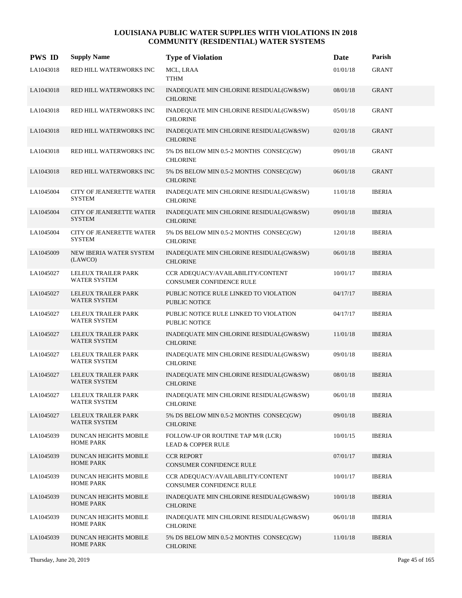| <b>PWS ID</b> | <b>Supply Name</b>                               | <b>Type of Violation</b>                                       | Date     | Parish        |
|---------------|--------------------------------------------------|----------------------------------------------------------------|----------|---------------|
| LA1043018     | RED HILL WATERWORKS INC                          | MCL, LRAA<br><b>TTHM</b>                                       | 01/01/18 | <b>GRANT</b>  |
| LA1043018     | RED HILL WATERWORKS INC                          | INADEQUATE MIN CHLORINE RESIDUAL(GW&SW)<br><b>CHLORINE</b>     | 08/01/18 | <b>GRANT</b>  |
| LA1043018     | RED HILL WATERWORKS INC                          | INADEQUATE MIN CHLORINE RESIDUAL(GW&SW)<br><b>CHLORINE</b>     | 05/01/18 | <b>GRANT</b>  |
| LA1043018     | RED HILL WATERWORKS INC                          | INADEQUATE MIN CHLORINE RESIDUAL(GW&SW)<br><b>CHLORINE</b>     | 02/01/18 | <b>GRANT</b>  |
| LA1043018     | RED HILL WATERWORKS INC                          | 5% DS BELOW MIN 0.5-2 MONTHS CONSEC(GW)<br><b>CHLORINE</b>     | 09/01/18 | <b>GRANT</b>  |
| LA1043018     | RED HILL WATERWORKS INC                          | 5% DS BELOW MIN 0.5-2 MONTHS CONSEC(GW)<br><b>CHLORINE</b>     | 06/01/18 | <b>GRANT</b>  |
| LA1045004     | CITY OF JEANERETTE WATER<br><b>SYSTEM</b>        | INADEQUATE MIN CHLORINE RESIDUAL(GW&SW)<br><b>CHLORINE</b>     | 11/01/18 | <b>IBERIA</b> |
| LA1045004     | <b>CITY OF JEANERETTE WATER</b><br><b>SYSTEM</b> | INADEQUATE MIN CHLORINE RESIDUAL(GW&SW)<br><b>CHLORINE</b>     | 09/01/18 | <b>IBERIA</b> |
| LA1045004     | <b>CITY OF JEANERETTE WATER</b><br><b>SYSTEM</b> | 5% DS BELOW MIN 0.5-2 MONTHS CONSEC(GW)<br><b>CHLORINE</b>     | 12/01/18 | <b>IBERIA</b> |
| LA1045009     | NEW IBERIA WATER SYSTEM<br>(LAWCO)               | INADEQUATE MIN CHLORINE RESIDUAL(GW&SW)<br><b>CHLORINE</b>     | 06/01/18 | <b>IBERIA</b> |
| LA1045027     | LELEUX TRAILER PARK<br><b>WATER SYSTEM</b>       | CCR ADEQUACY/AVAILABILITY/CONTENT<br>CONSUMER CONFIDENCE RULE  | 10/01/17 | <b>IBERIA</b> |
| LA1045027     | LELEUX TRAILER PARK<br><b>WATER SYSTEM</b>       | PUBLIC NOTICE RULE LINKED TO VIOLATION<br><b>PUBLIC NOTICE</b> | 04/17/17 | <b>IBERIA</b> |
| LA1045027     | LELEUX TRAILER PARK<br><b>WATER SYSTEM</b>       | PUBLIC NOTICE RULE LINKED TO VIOLATION<br><b>PUBLIC NOTICE</b> | 04/17/17 | <b>IBERIA</b> |
| LA1045027     | LELEUX TRAILER PARK<br><b>WATER SYSTEM</b>       | INADEQUATE MIN CHLORINE RESIDUAL(GW&SW)<br><b>CHLORINE</b>     | 11/01/18 | <b>IBERIA</b> |
| LA1045027     | LELEUX TRAILER PARK<br><b>WATER SYSTEM</b>       | INADEQUATE MIN CHLORINE RESIDUAL(GW&SW)<br><b>CHLORINE</b>     | 09/01/18 | <b>IBERIA</b> |
| LA1045027     | LELEUX TRAILER PARK<br><b>WATER SYSTEM</b>       | INADEQUATE MIN CHLORINE RESIDUAL(GW&SW)<br><b>CHLORINE</b>     | 08/01/18 | <b>IBERIA</b> |
| LA1045027     | LELEUX TRAILER PARK<br><b>WATER SYSTEM</b>       | INADEQUATE MIN CHLORINE RESIDUAL(GW&SW)<br><b>CHLORINE</b>     | 06/01/18 | <b>IBERIA</b> |
| LA1045027     | LELEUX TRAILER PARK<br><b>WATER SYSTEM</b>       | 5% DS BELOW MIN 0.5-2 MONTHS CONSEC(GW)<br><b>CHLORINE</b>     | 09/01/18 | <b>IBERIA</b> |
| LA1045039     | DUNCAN HEIGHTS MOBILE<br><b>HOME PARK</b>        | FOLLOW-UP OR ROUTINE TAP M/R (LCR)<br>LEAD & COPPER RULE       | 10/01/15 | <b>IBERIA</b> |
| LA1045039     | DUNCAN HEIGHTS MOBILE<br><b>HOME PARK</b>        | <b>CCR REPORT</b><br>CONSUMER CONFIDENCE RULE                  | 07/01/17 | <b>IBERIA</b> |
| LA1045039     | DUNCAN HEIGHTS MOBILE<br><b>HOME PARK</b>        | CCR ADEQUACY/AVAILABILITY/CONTENT<br>CONSUMER CONFIDENCE RULE  | 10/01/17 | <b>IBERIA</b> |
| LA1045039     | DUNCAN HEIGHTS MOBILE<br><b>HOME PARK</b>        | INADEQUATE MIN CHLORINE RESIDUAL(GW&SW)<br><b>CHLORINE</b>     | 10/01/18 | <b>IBERIA</b> |
| LA1045039     | DUNCAN HEIGHTS MOBILE<br><b>HOME PARK</b>        | INADEQUATE MIN CHLORINE RESIDUAL(GW&SW)<br><b>CHLORINE</b>     | 06/01/18 | <b>IBERIA</b> |
| LA1045039     | DUNCAN HEIGHTS MOBILE<br><b>HOME PARK</b>        | 5% DS BELOW MIN 0.5-2 MONTHS CONSEC(GW)<br><b>CHLORINE</b>     | 11/01/18 | <b>IBERIA</b> |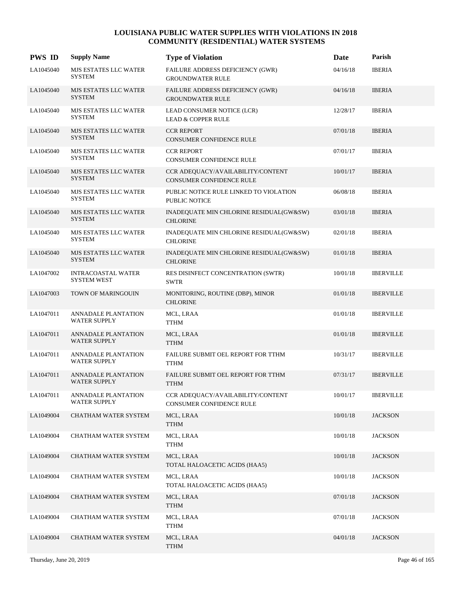| <b>PWS ID</b> | <b>Supply Name</b>                                | <b>Type of Violation</b>                                       | <b>Date</b> | Parish           |
|---------------|---------------------------------------------------|----------------------------------------------------------------|-------------|------------------|
| LA1045040     | MJS ESTATES LLC WATER<br>SYSTEM                   | FAILURE ADDRESS DEFICIENCY (GWR)<br><b>GROUNDWATER RULE</b>    | 04/16/18    | <b>IBERIA</b>    |
| LA1045040     | <b>MJS ESTATES LLC WATER</b><br><b>SYSTEM</b>     | FAILURE ADDRESS DEFICIENCY (GWR)<br><b>GROUNDWATER RULE</b>    | 04/16/18    | <b>IBERIA</b>    |
| LA1045040     | <b>MJS ESTATES LLC WATER</b><br><b>SYSTEM</b>     | LEAD CONSUMER NOTICE (LCR)<br><b>LEAD &amp; COPPER RULE</b>    | 12/28/17    | <b>IBERIA</b>    |
| LA1045040     | MJS ESTATES LLC WATER<br><b>SYSTEM</b>            | <b>CCR REPORT</b><br>CONSUMER CONFIDENCE RULE                  | 07/01/18    | <b>IBERIA</b>    |
| LA1045040     | MJS ESTATES LLC WATER<br><b>SYSTEM</b>            | <b>CCR REPORT</b><br>CONSUMER CONFIDENCE RULE                  | 07/01/17    | <b>IBERIA</b>    |
| LA1045040     | MJS ESTATES LLC WATER<br><b>SYSTEM</b>            | CCR ADEQUACY/AVAILABILITY/CONTENT<br>CONSUMER CONFIDENCE RULE  | 10/01/17    | <b>IBERIA</b>    |
| LA1045040     | MJS ESTATES LLC WATER<br><b>SYSTEM</b>            | PUBLIC NOTICE RULE LINKED TO VIOLATION<br><b>PUBLIC NOTICE</b> | 06/08/18    | <b>IBERIA</b>    |
| LA1045040     | MJS ESTATES LLC WATER<br><b>SYSTEM</b>            | INADEQUATE MIN CHLORINE RESIDUAL(GW&SW)<br><b>CHLORINE</b>     | 03/01/18    | <b>IBERIA</b>    |
| LA1045040     | MJS ESTATES LLC WATER<br><b>SYSTEM</b>            | INADEQUATE MIN CHLORINE RESIDUAL(GW&SW)<br><b>CHLORINE</b>     | 02/01/18    | <b>IBERIA</b>    |
| LA1045040     | MJS ESTATES LLC WATER<br><b>SYSTEM</b>            | INADEQUATE MIN CHLORINE RESIDUAL(GW&SW)<br><b>CHLORINE</b>     | 01/01/18    | <b>IBERIA</b>    |
| LA1047002     | INTRACOASTAL WATER<br><b>SYSTEM WEST</b>          | RES DISINFECT CONCENTRATION (SWTR)<br><b>SWTR</b>              | 10/01/18    | <b>IBERVILLE</b> |
| LA1047003     | TOWN OF MARINGOUIN                                | MONITORING, ROUTINE (DBP), MINOR<br><b>CHLORINE</b>            | 01/01/18    | <b>IBERVILLE</b> |
| LA1047011     | ANNADALE PLANTATION<br><b>WATER SUPPLY</b>        | MCL, LRAA<br><b>TTHM</b>                                       | 01/01/18    | <b>IBERVILLE</b> |
| LA1047011     | ANNADALE PLANTATION<br><b>WATER SUPPLY</b>        | MCL, LRAA<br><b>TTHM</b>                                       | 01/01/18    | <b>IBERVILLE</b> |
| LA1047011     | <b>ANNADALE PLANTATION</b><br><b>WATER SUPPLY</b> | FAILURE SUBMIT OEL REPORT FOR TTHM<br><b>TTHM</b>              | 10/31/17    | <b>IBERVILLE</b> |
| LA1047011     | ANNADALE PLANTATION<br><b>WATER SUPPLY</b>        | FAILURE SUBMIT OEL REPORT FOR TTHM<br><b>TTHM</b>              | 07/31/17    | <b>IBERVILLE</b> |
| LA1047011     | ANNADALE PLANTATION<br><b>WATER SUPPLY</b>        | CCR ADEQUACY/AVAILABILITY/CONTENT<br>CONSUMER CONFIDENCE RULE  | 10/01/17    | <b>IBERVILLE</b> |
| LA1049004     | CHATHAM WATER SYSTEM                              | MCL, LRAA<br><b>TTHM</b>                                       | 10/01/18    | <b>JACKSON</b>   |
| LA1049004     | CHATHAM WATER SYSTEM                              | MCL, LRAA<br><b>TTHM</b>                                       | 10/01/18    | <b>JACKSON</b>   |
| LA1049004     | CHATHAM WATER SYSTEM                              | MCL, LRAA<br>TOTAL HALOACETIC ACIDS (HAA5)                     | 10/01/18    | <b>JACKSON</b>   |
| LA1049004     | CHATHAM WATER SYSTEM                              | MCL, LRAA<br>TOTAL HALOACETIC ACIDS (HAA5)                     | 10/01/18    | <b>JACKSON</b>   |
| LA1049004     | CHATHAM WATER SYSTEM                              | MCL, LRAA<br><b>TTHM</b>                                       | 07/01/18    | <b>JACKSON</b>   |
| LA1049004     | CHATHAM WATER SYSTEM                              | MCL, LRAA<br>TTHM                                              | 07/01/18    | <b>JACKSON</b>   |
| LA1049004     | CHATHAM WATER SYSTEM                              | MCL, LRAA<br><b>TTHM</b>                                       | 04/01/18    | <b>JACKSON</b>   |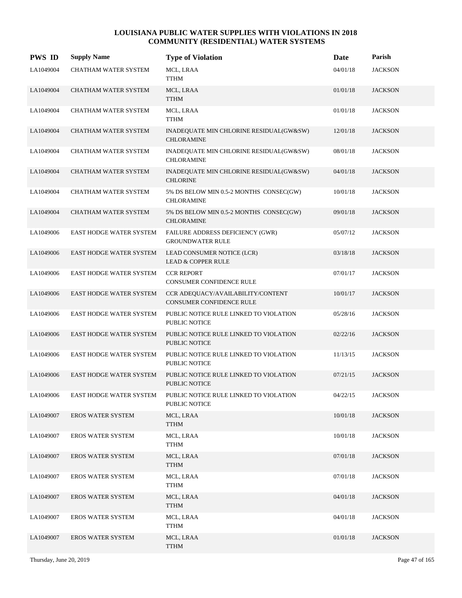| <b>PWS ID</b> | <b>Supply Name</b>             | <b>Type of Violation</b>                                       | Date     | Parish         |
|---------------|--------------------------------|----------------------------------------------------------------|----------|----------------|
| LA1049004     | CHATHAM WATER SYSTEM           | MCL, LRAA<br>TTHM                                              | 04/01/18 | <b>JACKSON</b> |
| LA1049004     | CHATHAM WATER SYSTEM           | MCL, LRAA<br><b>TTHM</b>                                       | 01/01/18 | <b>JACKSON</b> |
| LA1049004     | CHATHAM WATER SYSTEM           | MCL, LRAA<br><b>TTHM</b>                                       | 01/01/18 | <b>JACKSON</b> |
| LA1049004     | CHATHAM WATER SYSTEM           | INADEQUATE MIN CHLORINE RESIDUAL(GW&SW)<br><b>CHLORAMINE</b>   | 12/01/18 | <b>JACKSON</b> |
| LA1049004     | CHATHAM WATER SYSTEM           | INADEQUATE MIN CHLORINE RESIDUAL(GW&SW)<br><b>CHLORAMINE</b>   | 08/01/18 | <b>JACKSON</b> |
| LA1049004     | CHATHAM WATER SYSTEM           | INADEQUATE MIN CHLORINE RESIDUAL(GW&SW)<br><b>CHLORINE</b>     | 04/01/18 | <b>JACKSON</b> |
| LA1049004     | CHATHAM WATER SYSTEM           | 5% DS BELOW MIN 0.5-2 MONTHS CONSEC(GW)<br><b>CHLORAMINE</b>   | 10/01/18 | <b>JACKSON</b> |
| LA1049004     | CHATHAM WATER SYSTEM           | 5% DS BELOW MIN 0.5-2 MONTHS CONSEC(GW)<br><b>CHLORAMINE</b>   | 09/01/18 | <b>JACKSON</b> |
| LA1049006     | EAST HODGE WATER SYSTEM        | FAILURE ADDRESS DEFICIENCY (GWR)<br><b>GROUNDWATER RULE</b>    | 05/07/12 | <b>JACKSON</b> |
| LA1049006     | <b>EAST HODGE WATER SYSTEM</b> | LEAD CONSUMER NOTICE (LCR)<br><b>LEAD &amp; COPPER RULE</b>    | 03/18/18 | <b>JACKSON</b> |
| LA1049006     | EAST HODGE WATER SYSTEM        | <b>CCR REPORT</b><br>CONSUMER CONFIDENCE RULE                  | 07/01/17 | <b>JACKSON</b> |
| LA1049006     | <b>EAST HODGE WATER SYSTEM</b> | CCR ADEQUACY/AVAILABILITY/CONTENT<br>CONSUMER CONFIDENCE RULE  | 10/01/17 | <b>JACKSON</b> |
| LA1049006     | EAST HODGE WATER SYSTEM        | PUBLIC NOTICE RULE LINKED TO VIOLATION<br><b>PUBLIC NOTICE</b> | 05/28/16 | <b>JACKSON</b> |
| LA1049006     | <b>EAST HODGE WATER SYSTEM</b> | PUBLIC NOTICE RULE LINKED TO VIOLATION<br><b>PUBLIC NOTICE</b> | 02/22/16 | <b>JACKSON</b> |
| LA1049006     | EAST HODGE WATER SYSTEM        | PUBLIC NOTICE RULE LINKED TO VIOLATION<br><b>PUBLIC NOTICE</b> | 11/13/15 | <b>JACKSON</b> |
| LA1049006     | <b>EAST HODGE WATER SYSTEM</b> | PUBLIC NOTICE RULE LINKED TO VIOLATION<br><b>PUBLIC NOTICE</b> | 07/21/15 | <b>JACKSON</b> |
| LA1049006     | <b>EAST HODGE WATER SYSTEM</b> | PUBLIC NOTICE RULE LINKED TO VIOLATION<br>PUBLIC NOTICE        | 04/22/15 | <b>JACKSON</b> |
| LA1049007     | <b>EROS WATER SYSTEM</b>       | MCL, LRAA<br><b>TTHM</b>                                       | 10/01/18 | <b>JACKSON</b> |
| LA1049007     | <b>EROS WATER SYSTEM</b>       | MCL, LRAA<br>TTHM                                              | 10/01/18 | <b>JACKSON</b> |
| LA1049007     | <b>EROS WATER SYSTEM</b>       | MCL, LRAA<br>TTHM                                              | 07/01/18 | <b>JACKSON</b> |
| LA1049007     | <b>EROS WATER SYSTEM</b>       | MCL, LRAA<br>TTHM                                              | 07/01/18 | <b>JACKSON</b> |
| LA1049007     | <b>EROS WATER SYSTEM</b>       | MCL, LRAA<br>TTHM                                              | 04/01/18 | <b>JACKSON</b> |
| LA1049007     | <b>EROS WATER SYSTEM</b>       | MCL, LRAA<br>TTHM                                              | 04/01/18 | <b>JACKSON</b> |
| LA1049007     | <b>EROS WATER SYSTEM</b>       | MCL, LRAA<br><b>TTHM</b>                                       | 01/01/18 | <b>JACKSON</b> |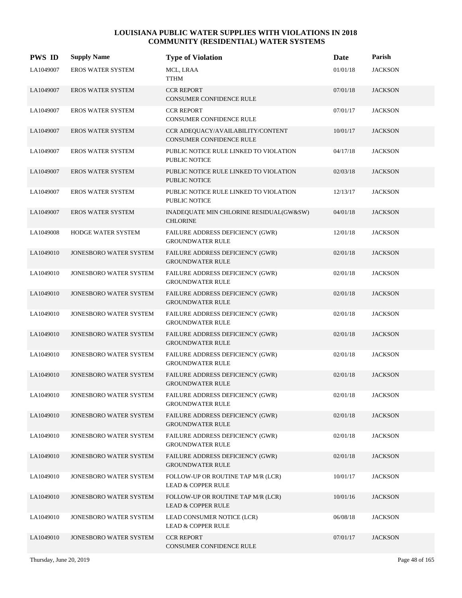| <b>PWS ID</b> | <b>Supply Name</b>            | <b>Type of Violation</b>                                            | <b>Date</b> | Parish         |
|---------------|-------------------------------|---------------------------------------------------------------------|-------------|----------------|
| LA1049007     | EROS WATER SYSTEM             | MCL, LRAA<br><b>TTHM</b>                                            | 01/01/18    | <b>JACKSON</b> |
| LA1049007     | <b>EROS WATER SYSTEM</b>      | <b>CCR REPORT</b><br>CONSUMER CONFIDENCE RULE                       | 07/01/18    | <b>JACKSON</b> |
| LA1049007     | <b>EROS WATER SYSTEM</b>      | <b>CCR REPORT</b><br>CONSUMER CONFIDENCE RULE                       | 07/01/17    | <b>JACKSON</b> |
| LA1049007     | <b>EROS WATER SYSTEM</b>      | CCR ADEQUACY/AVAILABILITY/CONTENT<br>CONSUMER CONFIDENCE RULE       | 10/01/17    | <b>JACKSON</b> |
| LA1049007     | <b>EROS WATER SYSTEM</b>      | PUBLIC NOTICE RULE LINKED TO VIOLATION<br>PUBLIC NOTICE             | 04/17/18    | <b>JACKSON</b> |
| LA1049007     | <b>EROS WATER SYSTEM</b>      | PUBLIC NOTICE RULE LINKED TO VIOLATION<br><b>PUBLIC NOTICE</b>      | 02/03/18    | <b>JACKSON</b> |
| LA1049007     | <b>EROS WATER SYSTEM</b>      | PUBLIC NOTICE RULE LINKED TO VIOLATION<br>PUBLIC NOTICE             | 12/13/17    | <b>JACKSON</b> |
| LA1049007     | <b>EROS WATER SYSTEM</b>      | INADEQUATE MIN CHLORINE RESIDUAL(GW&SW)<br><b>CHLORINE</b>          | 04/01/18    | <b>JACKSON</b> |
| LA1049008     | HODGE WATER SYSTEM            | FAILURE ADDRESS DEFICIENCY (GWR)<br><b>GROUNDWATER RULE</b>         | 12/01/18    | <b>JACKSON</b> |
| LA1049010     | JONESBORO WATER SYSTEM        | FAILURE ADDRESS DEFICIENCY (GWR)<br><b>GROUNDWATER RULE</b>         | 02/01/18    | <b>JACKSON</b> |
| LA1049010     | JONESBORO WATER SYSTEM        | FAILURE ADDRESS DEFICIENCY (GWR)<br><b>GROUNDWATER RULE</b>         | 02/01/18    | <b>JACKSON</b> |
| LA1049010     | <b>JONESBORO WATER SYSTEM</b> | FAILURE ADDRESS DEFICIENCY (GWR)<br><b>GROUNDWATER RULE</b>         | 02/01/18    | <b>JACKSON</b> |
| LA1049010     | JONESBORO WATER SYSTEM        | FAILURE ADDRESS DEFICIENCY (GWR)<br><b>GROUNDWATER RULE</b>         | 02/01/18    | <b>JACKSON</b> |
| LA1049010     | JONESBORO WATER SYSTEM        | FAILURE ADDRESS DEFICIENCY (GWR)<br><b>GROUNDWATER RULE</b>         | 02/01/18    | <b>JACKSON</b> |
| LA1049010     | JONESBORO WATER SYSTEM        | FAILURE ADDRESS DEFICIENCY (GWR)<br><b>GROUNDWATER RULE</b>         | 02/01/18    | <b>JACKSON</b> |
| LA1049010     | <b>JONESBORO WATER SYSTEM</b> | FAILURE ADDRESS DEFICIENCY (GWR)<br><b>GROUNDWATER RULE</b>         | 02/01/18    | <b>JACKSON</b> |
| LA1049010     | JONESBORO WATER SYSTEM        | FAILURE ADDRESS DEFICIENCY (GWR)<br><b>GROUNDWATER RULE</b>         | 02/01/18    | <b>JACKSON</b> |
| LA1049010     | JONESBORO WATER SYSTEM        | FAILURE ADDRESS DEFICIENCY (GWR)<br><b>GROUNDWATER RULE</b>         | 02/01/18    | <b>JACKSON</b> |
| LA1049010     | JONESBORO WATER SYSTEM        | FAILURE ADDRESS DEFICIENCY (GWR)<br><b>GROUNDWATER RULE</b>         | 02/01/18    | <b>JACKSON</b> |
| LA1049010     | <b>JONESBORO WATER SYSTEM</b> | <b>FAILURE ADDRESS DEFICIENCY (GWR)</b><br><b>GROUNDWATER RULE</b>  | 02/01/18    | <b>JACKSON</b> |
| LA1049010     | JONESBORO WATER SYSTEM        | FOLLOW-UP OR ROUTINE TAP M/R (LCR)<br><b>LEAD &amp; COPPER RULE</b> | 10/01/17    | <b>JACKSON</b> |
| LA1049010     | JONESBORO WATER SYSTEM        | FOLLOW-UP OR ROUTINE TAP M/R (LCR)<br><b>LEAD &amp; COPPER RULE</b> | 10/01/16    | <b>JACKSON</b> |
| LA1049010     | JONESBORO WATER SYSTEM        | LEAD CONSUMER NOTICE (LCR)<br><b>LEAD &amp; COPPER RULE</b>         | 06/08/18    | <b>JACKSON</b> |
| LA1049010     | JONESBORO WATER SYSTEM        | <b>CCR REPORT</b><br>CONSUMER CONFIDENCE RULE                       | 07/01/17    | <b>JACKSON</b> |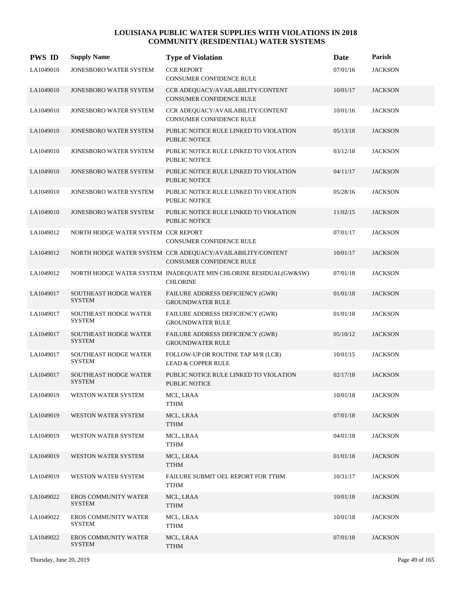| <b>PWS ID</b> | <b>Supply Name</b>                            | <b>Type of Violation</b>                                                               | Date     | Parish         |
|---------------|-----------------------------------------------|----------------------------------------------------------------------------------------|----------|----------------|
| LA1049010     | JONESBORO WATER SYSTEM                        | <b>CCR REPORT</b><br>CONSUMER CONFIDENCE RULE                                          | 07/01/16 | <b>JACKSON</b> |
| LA1049010     | JONESBORO WATER SYSTEM                        | CCR ADEQUACY/AVAILABILITY/CONTENT<br>CONSUMER CONFIDENCE RULE                          | 10/01/17 | <b>JACKSON</b> |
| LA1049010     | JONESBORO WATER SYSTEM                        | CCR ADEQUACY/AVAILABILITY/CONTENT<br><b>CONSUMER CONFIDENCE RULE</b>                   | 10/01/16 | <b>JACKSON</b> |
| LA1049010     | JONESBORO WATER SYSTEM                        | PUBLIC NOTICE RULE LINKED TO VIOLATION<br><b>PUBLIC NOTICE</b>                         | 05/13/18 | <b>JACKSON</b> |
| LA1049010     | JONESBORO WATER SYSTEM                        | PUBLIC NOTICE RULE LINKED TO VIOLATION<br><b>PUBLIC NOTICE</b>                         | 03/12/18 | <b>JACKSON</b> |
| LA1049010     | JONESBORO WATER SYSTEM                        | PUBLIC NOTICE RULE LINKED TO VIOLATION<br>PUBLIC NOTICE                                | 04/11/17 | <b>JACKSON</b> |
| LA1049010     | JONESBORO WATER SYSTEM                        | PUBLIC NOTICE RULE LINKED TO VIOLATION<br><b>PUBLIC NOTICE</b>                         | 05/28/16 | <b>JACKSON</b> |
| LA1049010     | JONESBORO WATER SYSTEM                        | PUBLIC NOTICE RULE LINKED TO VIOLATION<br><b>PUBLIC NOTICE</b>                         | 11/02/15 | <b>JACKSON</b> |
| LA1049012     | NORTH HODGE WATER SYSTEM CCR REPORT           | CONSUMER CONFIDENCE RULE                                                               | 07/01/17 | <b>JACKSON</b> |
| LA1049012     |                                               | NORTH HODGE WATER SYSTEM CCR ADEQUACY/AVAILABILITY/CONTENT<br>CONSUMER CONFIDENCE RULE | 10/01/17 | <b>JACKSON</b> |
| LA1049012     |                                               | NORTH HODGE WATER SYSTEM INADEQUATE MIN CHLORINE RESIDUAL(GW&SW)<br><b>CHLORINE</b>    | 07/01/18 | <b>JACKSON</b> |
| LA1049017     | <b>SOUTHEAST HODGE WATER</b><br><b>SYSTEM</b> | FAILURE ADDRESS DEFICIENCY (GWR)<br><b>GROUNDWATER RULE</b>                            | 01/01/18 | <b>JACKSON</b> |
| LA1049017     | SOUTHEAST HODGE WATER<br><b>SYSTEM</b>        | FAILURE ADDRESS DEFICIENCY (GWR)<br><b>GROUNDWATER RULE</b>                            | 01/01/18 | <b>JACKSON</b> |
| LA1049017     | SOUTHEAST HODGE WATER<br><b>SYSTEM</b>        | FAILURE ADDRESS DEFICIENCY (GWR)<br><b>GROUNDWATER RULE</b>                            | 05/10/12 | <b>JACKSON</b> |
| LA1049017     | SOUTHEAST HODGE WATER<br><b>SYSTEM</b>        | FOLLOW-UP OR ROUTINE TAP M/R (LCR)<br><b>LEAD &amp; COPPER RULE</b>                    | 10/01/15 | <b>JACKSON</b> |
| LA1049017     | <b>SOUTHEAST HODGE WATER</b><br><b>SYSTEM</b> | PUBLIC NOTICE RULE LINKED TO VIOLATION<br><b>PUBLIC NOTICE</b>                         | 02/17/18 | <b>JACKSON</b> |
| LA1049019     | WESTON WATER SYSTEM                           | MCL, LRAA<br><b>TTHM</b>                                                               | 10/01/18 | <b>JACKSON</b> |
| LA1049019     | WESTON WATER SYSTEM                           | MCL, LRAA<br><b>TTHM</b>                                                               | 07/01/18 | <b>JACKSON</b> |
| LA1049019     | WESTON WATER SYSTEM                           | MCL, LRAA<br>TTHM                                                                      | 04/01/18 | <b>JACKSON</b> |
| LA1049019     | WESTON WATER SYSTEM                           | MCL, LRAA<br><b>TTHM</b>                                                               | 01/01/18 | <b>JACKSON</b> |
| LA1049019     | WESTON WATER SYSTEM                           | FAILURE SUBMIT OEL REPORT FOR TTHM<br>TTHM                                             | 10/31/17 | <b>JACKSON</b> |
| LA1049022     | <b>EROS COMMUNITY WATER</b><br>SYSTEM         | MCL, LRAA<br><b>TTHM</b>                                                               | 10/01/18 | <b>JACKSON</b> |
| LA1049022     | EROS COMMUNITY WATER<br>SYSTEM                | MCL, LRAA<br>TTHM                                                                      | 10/01/18 | <b>JACKSON</b> |
| LA1049022     | <b>EROS COMMUNITY WATER</b><br><b>SYSTEM</b>  | MCL, LRAA<br>TTHM                                                                      | 07/01/18 | <b>JACKSON</b> |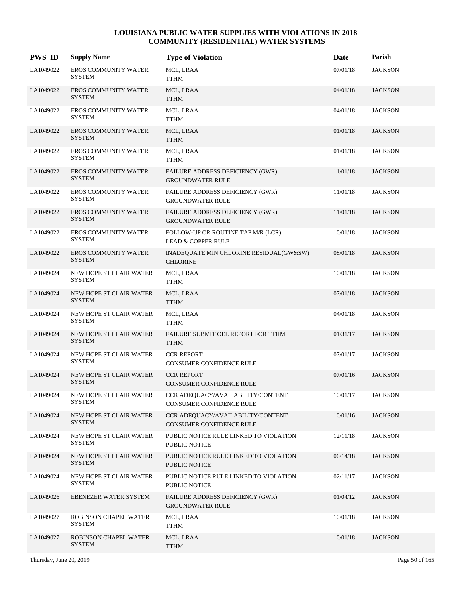| <b>PWS ID</b> | <b>Supply Name</b>                           | <b>Type of Violation</b>                                            | Date     | Parish         |
|---------------|----------------------------------------------|---------------------------------------------------------------------|----------|----------------|
| LA1049022     | EROS COMMUNITY WATER<br><b>SYSTEM</b>        | MCL, LRAA<br><b>TTHM</b>                                            | 07/01/18 | <b>JACKSON</b> |
| LA1049022     | <b>EROS COMMUNITY WATER</b><br><b>SYSTEM</b> | MCL, LRAA<br><b>TTHM</b>                                            | 04/01/18 | <b>JACKSON</b> |
| LA1049022     | EROS COMMUNITY WATER<br><b>SYSTEM</b>        | MCL, LRAA<br><b>TTHM</b>                                            | 04/01/18 | <b>JACKSON</b> |
| LA1049022     | <b>EROS COMMUNITY WATER</b><br><b>SYSTEM</b> | MCL, LRAA<br><b>TTHM</b>                                            | 01/01/18 | <b>JACKSON</b> |
| LA1049022     | <b>EROS COMMUNITY WATER</b><br>SYSTEM        | MCL, LRAA<br><b>TTHM</b>                                            | 01/01/18 | <b>JACKSON</b> |
| LA1049022     | <b>EROS COMMUNITY WATER</b><br><b>SYSTEM</b> | FAILURE ADDRESS DEFICIENCY (GWR)<br><b>GROUNDWATER RULE</b>         | 11/01/18 | <b>JACKSON</b> |
| LA1049022     | <b>EROS COMMUNITY WATER</b><br><b>SYSTEM</b> | FAILURE ADDRESS DEFICIENCY (GWR)<br><b>GROUNDWATER RULE</b>         | 11/01/18 | <b>JACKSON</b> |
| LA1049022     | <b>EROS COMMUNITY WATER</b><br><b>SYSTEM</b> | FAILURE ADDRESS DEFICIENCY (GWR)<br><b>GROUNDWATER RULE</b>         | 11/01/18 | <b>JACKSON</b> |
| LA1049022     | <b>EROS COMMUNITY WATER</b><br><b>SYSTEM</b> | FOLLOW-UP OR ROUTINE TAP M/R (LCR)<br><b>LEAD &amp; COPPER RULE</b> | 10/01/18 | <b>JACKSON</b> |
| LA1049022     | <b>EROS COMMUNITY WATER</b><br><b>SYSTEM</b> | INADEQUATE MIN CHLORINE RESIDUAL(GW&SW)<br><b>CHLORINE</b>          | 08/01/18 | <b>JACKSON</b> |
| LA1049024     | NEW HOPE ST CLAIR WATER<br><b>SYSTEM</b>     | MCL, LRAA<br><b>TTHM</b>                                            | 10/01/18 | <b>JACKSON</b> |
| LA1049024     | NEW HOPE ST CLAIR WATER<br><b>SYSTEM</b>     | MCL, LRAA<br><b>TTHM</b>                                            | 07/01/18 | <b>JACKSON</b> |
| LA1049024     | NEW HOPE ST CLAIR WATER<br><b>SYSTEM</b>     | MCL, LRAA<br><b>TTHM</b>                                            | 04/01/18 | <b>JACKSON</b> |
| LA1049024     | NEW HOPE ST CLAIR WATER<br><b>SYSTEM</b>     | FAILURE SUBMIT OEL REPORT FOR TTHM<br><b>TTHM</b>                   | 01/31/17 | <b>JACKSON</b> |
| LA1049024     | NEW HOPE ST CLAIR WATER<br><b>SYSTEM</b>     | <b>CCR REPORT</b><br>CONSUMER CONFIDENCE RULE                       | 07/01/17 | <b>JACKSON</b> |
| LA1049024     | NEW HOPE ST CLAIR WATER<br><b>SYSTEM</b>     | <b>CCR REPORT</b><br>CONSUMER CONFIDENCE RULE                       | 07/01/16 | <b>JACKSON</b> |
| LA1049024     | NEW HOPE ST CLAIR WATER<br>SYSTEM            | CCR ADEQUACY/AVAILABILITY/CONTENT<br>CONSUMER CONFIDENCE RULE       | 10/01/17 | <b>JACKSON</b> |
| LA1049024     | NEW HOPE ST CLAIR WATER<br><b>SYSTEM</b>     | CCR ADEQUACY/AVAILABILITY/CONTENT<br>CONSUMER CONFIDENCE RULE       | 10/01/16 | <b>JACKSON</b> |
| LA1049024     | NEW HOPE ST CLAIR WATER<br>SYSTEM            | PUBLIC NOTICE RULE LINKED TO VIOLATION<br>PUBLIC NOTICE             | 12/11/18 | <b>JACKSON</b> |
| LA1049024     | NEW HOPE ST CLAIR WATER<br><b>SYSTEM</b>     | PUBLIC NOTICE RULE LINKED TO VIOLATION<br>PUBLIC NOTICE             | 06/14/18 | <b>JACKSON</b> |
| LA1049024     | NEW HOPE ST CLAIR WATER<br><b>SYSTEM</b>     | PUBLIC NOTICE RULE LINKED TO VIOLATION<br>PUBLIC NOTICE             | 02/11/17 | <b>JACKSON</b> |
| LA1049026     | <b>EBENEZER WATER SYSTEM</b>                 | FAILURE ADDRESS DEFICIENCY (GWR)<br><b>GROUNDWATER RULE</b>         | 01/04/12 | <b>JACKSON</b> |
| LA1049027     | ROBINSON CHAPEL WATER<br><b>SYSTEM</b>       | MCL, LRAA<br><b>TTHM</b>                                            | 10/01/18 | <b>JACKSON</b> |
| LA1049027     | ROBINSON CHAPEL WATER<br><b>SYSTEM</b>       | MCL, LRAA<br><b>TTHM</b>                                            | 10/01/18 | <b>JACKSON</b> |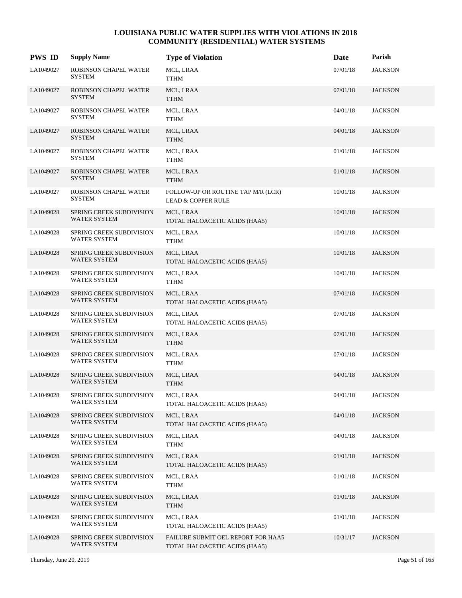| <b>PWS ID</b> | <b>Supply Name</b>                                     | <b>Type of Violation</b>                                            | Date     | Parish         |
|---------------|--------------------------------------------------------|---------------------------------------------------------------------|----------|----------------|
| LA1049027     | ROBINSON CHAPEL WATER<br><b>SYSTEM</b>                 | MCL, LRAA<br><b>TTHM</b>                                            | 07/01/18 | <b>JACKSON</b> |
| LA1049027     | ROBINSON CHAPEL WATER<br><b>SYSTEM</b>                 | MCL, LRAA<br><b>TTHM</b>                                            | 07/01/18 | <b>JACKSON</b> |
| LA1049027     | ROBINSON CHAPEL WATER<br><b>SYSTEM</b>                 | MCL, LRAA<br><b>TTHM</b>                                            | 04/01/18 | <b>JACKSON</b> |
| LA1049027     | ROBINSON CHAPEL WATER<br><b>SYSTEM</b>                 | MCL, LRAA<br><b>TTHM</b>                                            | 04/01/18 | <b>JACKSON</b> |
| LA1049027     | ROBINSON CHAPEL WATER<br>SYSTEM                        | MCL, LRAA<br><b>TTHM</b>                                            | 01/01/18 | <b>JACKSON</b> |
| LA1049027     | ROBINSON CHAPEL WATER<br><b>SYSTEM</b>                 | MCL, LRAA<br><b>TTHM</b>                                            | 01/01/18 | <b>JACKSON</b> |
| LA1049027     | ROBINSON CHAPEL WATER<br><b>SYSTEM</b>                 | FOLLOW-UP OR ROUTINE TAP M/R (LCR)<br><b>LEAD &amp; COPPER RULE</b> | 10/01/18 | <b>JACKSON</b> |
| LA1049028     | SPRING CREEK SUBDIVISION<br>WATER SYSTEM               | MCL, LRAA<br>TOTAL HALOACETIC ACIDS (HAA5)                          | 10/01/18 | <b>JACKSON</b> |
| LA1049028     | <b>SPRING CREEK SUBDIVISION</b><br>WATER SYSTEM        | MCL, LRAA<br><b>TTHM</b>                                            | 10/01/18 | <b>JACKSON</b> |
| LA1049028     | SPRING CREEK SUBDIVISION<br>WATER SYSTEM               | MCL, LRAA<br>TOTAL HALOACETIC ACIDS (HAA5)                          | 10/01/18 | <b>JACKSON</b> |
| LA1049028     | <b>SPRING CREEK SUBDIVISION</b><br>WATER SYSTEM        | MCL, LRAA<br><b>TTHM</b>                                            | 10/01/18 | <b>JACKSON</b> |
| LA1049028     | SPRING CREEK SUBDIVISION<br>WATER SYSTEM               | MCL, LRAA<br>TOTAL HALOACETIC ACIDS (HAA5)                          | 07/01/18 | <b>JACKSON</b> |
| LA1049028     | SPRING CREEK SUBDIVISION<br>WATER SYSTEM               | MCL, LRAA<br>TOTAL HALOACETIC ACIDS (HAA5)                          | 07/01/18 | <b>JACKSON</b> |
| LA1049028     | <b>SPRING CREEK SUBDIVISION</b><br>WATER SYSTEM        | MCL, LRAA<br><b>TTHM</b>                                            | 07/01/18 | <b>JACKSON</b> |
| LA1049028     | <b>SPRING CREEK SUBDIVISION</b><br>WATER SYSTEM        | MCL, LRAA<br><b>TTHM</b>                                            | 07/01/18 | <b>JACKSON</b> |
| LA1049028     | <b>SPRING CREEK SUBDIVISION</b><br><b>WATER SYSTEM</b> | MCL, LRAA<br><b>TTHM</b>                                            | 04/01/18 | <b>JACKSON</b> |
| LA1049028     | SPRING CREEK SUBDIVISION<br>WATER SYSTEM               | MCL, LRAA<br>TOTAL HALOACETIC ACIDS (HAA5)                          | 04/01/18 | <b>JACKSON</b> |
| LA1049028     | SPRING CREEK SUBDIVISION<br>WATER SYSTEM               | MCL, LRAA<br>TOTAL HALOACETIC ACIDS (HAA5)                          | 04/01/18 | <b>JACKSON</b> |
| LA1049028     | SPRING CREEK SUBDIVISION<br>WATER SYSTEM               | MCL, LRAA<br><b>TTHM</b>                                            | 04/01/18 | <b>JACKSON</b> |
| LA1049028     | SPRING CREEK SUBDIVISION<br>WATER SYSTEM               | MCL, LRAA<br>TOTAL HALOACETIC ACIDS (HAA5)                          | 01/01/18 | <b>JACKSON</b> |
| LA1049028     | SPRING CREEK SUBDIVISION<br>WATER SYSTEM               | MCL, LRAA<br><b>TTHM</b>                                            | 01/01/18 | <b>JACKSON</b> |
| LA1049028     | <b>SPRING CREEK SUBDIVISION</b><br>WATER SYSTEM        | MCL, LRAA<br><b>TTHM</b>                                            | 01/01/18 | <b>JACKSON</b> |
| LA1049028     | SPRING CREEK SUBDIVISION<br>WATER SYSTEM               | MCL, LRAA<br>TOTAL HALOACETIC ACIDS (HAA5)                          | 01/01/18 | <b>JACKSON</b> |
| LA1049028     | SPRING CREEK SUBDIVISION<br>WATER SYSTEM               | FAILURE SUBMIT OEL REPORT FOR HAA5<br>TOTAL HALOACETIC ACIDS (HAA5) | 10/31/17 | <b>JACKSON</b> |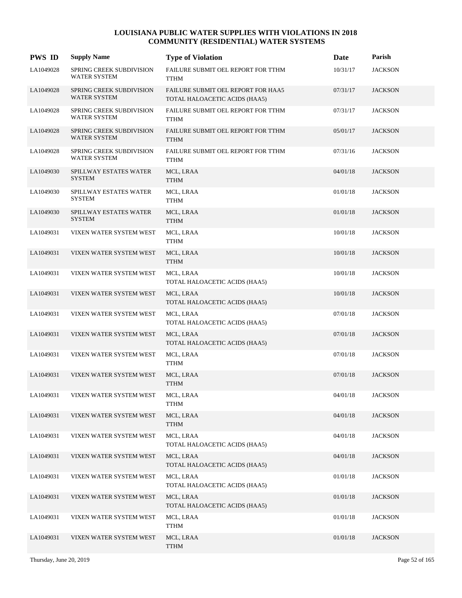| <b>PWS ID</b> | <b>Supply Name</b>                                     | <b>Type of Violation</b>                                            | Date     | Parish         |
|---------------|--------------------------------------------------------|---------------------------------------------------------------------|----------|----------------|
| LA1049028     | SPRING CREEK SUBDIVISION<br>WATER SYSTEM               | FAILURE SUBMIT OEL REPORT FOR TTHM<br>TTHM                          | 10/31/17 | <b>JACKSON</b> |
| LA1049028     | <b>SPRING CREEK SUBDIVISION</b><br><b>WATER SYSTEM</b> | FAILURE SUBMIT OEL REPORT FOR HAA5<br>TOTAL HALOACETIC ACIDS (HAA5) | 07/31/17 | <b>JACKSON</b> |
| LA1049028     | SPRING CREEK SUBDIVISION<br><b>WATER SYSTEM</b>        | FAILURE SUBMIT OEL REPORT FOR TTHM<br><b>TTHM</b>                   | 07/31/17 | <b>JACKSON</b> |
| LA1049028     | SPRING CREEK SUBDIVISION<br>WATER SYSTEM               | FAILURE SUBMIT OEL REPORT FOR TTHM<br><b>TTHM</b>                   | 05/01/17 | <b>JACKSON</b> |
| LA1049028     | SPRING CREEK SUBDIVISION<br>WATER SYSTEM               | FAILURE SUBMIT OEL REPORT FOR TTHM<br><b>TTHM</b>                   | 07/31/16 | <b>JACKSON</b> |
| LA1049030     | SPILLWAY ESTATES WATER<br><b>SYSTEM</b>                | MCL, LRAA<br><b>TTHM</b>                                            | 04/01/18 | <b>JACKSON</b> |
| LA1049030     | SPILLWAY ESTATES WATER<br><b>SYSTEM</b>                | MCL, LRAA<br><b>TTHM</b>                                            | 01/01/18 | <b>JACKSON</b> |
| LA1049030     | SPILLWAY ESTATES WATER<br><b>SYSTEM</b>                | MCL, LRAA<br><b>TTHM</b>                                            | 01/01/18 | <b>JACKSON</b> |
| LA1049031     | VIXEN WATER SYSTEM WEST                                | MCL, LRAA<br>TTHM                                                   | 10/01/18 | <b>JACKSON</b> |
| LA1049031     | VIXEN WATER SYSTEM WEST                                | MCL, LRAA<br><b>TTHM</b>                                            | 10/01/18 | <b>JACKSON</b> |
| LA1049031     | VIXEN WATER SYSTEM WEST                                | MCL, LRAA<br>TOTAL HALOACETIC ACIDS (HAA5)                          | 10/01/18 | <b>JACKSON</b> |
| LA1049031     | VIXEN WATER SYSTEM WEST                                | MCL, LRAA<br>TOTAL HALOACETIC ACIDS (HAA5)                          | 10/01/18 | <b>JACKSON</b> |
| LA1049031     | VIXEN WATER SYSTEM WEST                                | MCL, LRAA<br>TOTAL HALOACETIC ACIDS (HAA5)                          | 07/01/18 | <b>JACKSON</b> |
| LA1049031     | VIXEN WATER SYSTEM WEST                                | MCL, LRAA<br>TOTAL HALOACETIC ACIDS (HAA5)                          | 07/01/18 | <b>JACKSON</b> |
| LA1049031     | VIXEN WATER SYSTEM WEST                                | MCL, LRAA<br>TTHM                                                   | 07/01/18 | <b>JACKSON</b> |
| LA1049031     | VIXEN WATER SYSTEM WEST                                | MCL, LRAA<br><b>TTHM</b>                                            | 07/01/18 | <b>JACKSON</b> |
| LA1049031     | VIXEN WATER SYSTEM WEST                                | MCL, LRAA<br><b>TTHM</b>                                            | 04/01/18 | <b>JACKSON</b> |
| LA1049031     | VIXEN WATER SYSTEM WEST                                | MCL, LRAA<br><b>TTHM</b>                                            | 04/01/18 | <b>JACKSON</b> |
| LA1049031     | VIXEN WATER SYSTEM WEST                                | MCL, LRAA<br>TOTAL HALOACETIC ACIDS (HAA5)                          | 04/01/18 | <b>JACKSON</b> |
| LA1049031     | VIXEN WATER SYSTEM WEST                                | MCL, LRAA<br>TOTAL HALOACETIC ACIDS (HAA5)                          | 04/01/18 | <b>JACKSON</b> |
| LA1049031     | VIXEN WATER SYSTEM WEST                                | MCL, LRAA<br>TOTAL HALOACETIC ACIDS (HAA5)                          | 01/01/18 | <b>JACKSON</b> |
| LA1049031     | VIXEN WATER SYSTEM WEST                                | MCL, LRAA<br>TOTAL HALOACETIC ACIDS (HAA5)                          | 01/01/18 | <b>JACKSON</b> |
| LA1049031     | VIXEN WATER SYSTEM WEST                                | MCL, LRAA<br>TTHM                                                   | 01/01/18 | <b>JACKSON</b> |
| LA1049031     | VIXEN WATER SYSTEM WEST                                | MCL, LRAA<br><b>TTHM</b>                                            | 01/01/18 | <b>JACKSON</b> |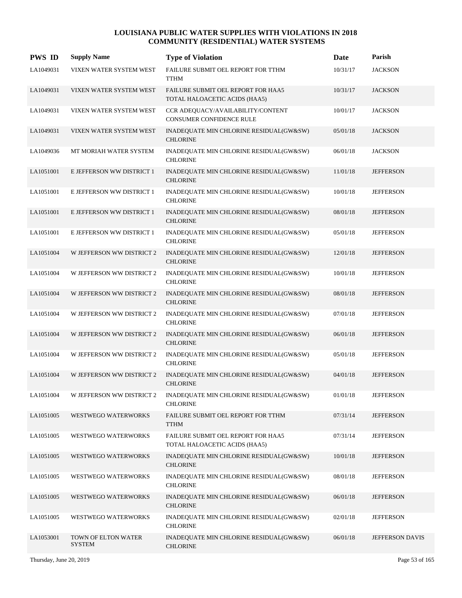| <b>PWS ID</b> | <b>Supply Name</b>                   | <b>Type of Violation</b>                                            | Date     | Parish           |
|---------------|--------------------------------------|---------------------------------------------------------------------|----------|------------------|
| LA1049031     | VIXEN WATER SYSTEM WEST              | FAILURE SUBMIT OEL REPORT FOR TTHM<br><b>TTHM</b>                   | 10/31/17 | <b>JACKSON</b>   |
| LA1049031     | VIXEN WATER SYSTEM WEST              | FAILURE SUBMIT OEL REPORT FOR HAA5<br>TOTAL HALOACETIC ACIDS (HAA5) | 10/31/17 | <b>JACKSON</b>   |
| LA1049031     | VIXEN WATER SYSTEM WEST              | CCR ADEQUACY/AVAILABILITY/CONTENT<br>CONSUMER CONFIDENCE RULE       | 10/01/17 | <b>JACKSON</b>   |
| LA1049031     | VIXEN WATER SYSTEM WEST              | INADEQUATE MIN CHLORINE RESIDUAL(GW&SW)<br><b>CHLORINE</b>          | 05/01/18 | <b>JACKSON</b>   |
| LA1049036     | MT MORIAH WATER SYSTEM               | INADEQUATE MIN CHLORINE RESIDUAL(GW&SW)<br><b>CHLORINE</b>          | 06/01/18 | <b>JACKSON</b>   |
| LA1051001     | E JEFFERSON WW DISTRICT 1            | INADEQUATE MIN CHLORINE RESIDUAL(GW&SW)<br><b>CHLORINE</b>          | 11/01/18 | <b>JEFFERSON</b> |
| LA1051001     | E JEFFERSON WW DISTRICT 1            | INADEQUATE MIN CHLORINE RESIDUAL(GW&SW)<br><b>CHLORINE</b>          | 10/01/18 | <b>JEFFERSON</b> |
| LA1051001     | E JEFFERSON WW DISTRICT 1            | INADEQUATE MIN CHLORINE RESIDUAL(GW&SW)<br><b>CHLORINE</b>          | 08/01/18 | <b>JEFFERSON</b> |
| LA1051001     | E JEFFERSON WW DISTRICT 1            | INADEQUATE MIN CHLORINE RESIDUAL(GW&SW)<br><b>CHLORINE</b>          | 05/01/18 | <b>JEFFERSON</b> |
| LA1051004     | W JEFFERSON WW DISTRICT 2            | INADEQUATE MIN CHLORINE RESIDUAL(GW&SW)<br><b>CHLORINE</b>          | 12/01/18 | <b>JEFFERSON</b> |
| LA1051004     | W JEFFERSON WW DISTRICT 2            | INADEQUATE MIN CHLORINE RESIDUAL(GW&SW)<br><b>CHLORINE</b>          | 10/01/18 | <b>JEFFERSON</b> |
| LA1051004     | W JEFFERSON WW DISTRICT 2            | INADEQUATE MIN CHLORINE RESIDUAL(GW&SW)<br><b>CHLORINE</b>          | 08/01/18 | <b>JEFFERSON</b> |
| LA1051004     | W JEFFERSON WW DISTRICT 2            | INADEQUATE MIN CHLORINE RESIDUAL(GW&SW)<br><b>CHLORINE</b>          | 07/01/18 | <b>JEFFERSON</b> |
| LA1051004     | W JEFFERSON WW DISTRICT 2            | INADEQUATE MIN CHLORINE RESIDUAL(GW&SW)<br><b>CHLORINE</b>          | 06/01/18 | <b>JEFFERSON</b> |
| LA1051004     | W JEFFERSON WW DISTRICT 2            | INADEQUATE MIN CHLORINE RESIDUAL(GW&SW)<br><b>CHLORINE</b>          | 05/01/18 | <b>JEFFERSON</b> |
| LA1051004     | W JEFFERSON WW DISTRICT 2            | INADEQUATE MIN CHLORINE RESIDUAL(GW&SW)<br><b>CHLORINE</b>          | 04/01/18 | <b>JEFFERSON</b> |
| LA1051004     | W JEFFERSON WW DISTRICT 2            | INADEQUATE MIN CHLORINE RESIDUAL(GW&SW)<br><b>CHLORINE</b>          | 01/01/18 | <b>JEFFERSON</b> |
| LA1051005     | WESTWEGO WATERWORKS                  | FAILURE SUBMIT OEL REPORT FOR TTHM<br><b>TTHM</b>                   | 07/31/14 | <b>JEFFERSON</b> |
| LA1051005     | WESTWEGO WATERWORKS                  | FAILURE SUBMIT OEL REPORT FOR HAA5<br>TOTAL HALOACETIC ACIDS (HAA5) | 07/31/14 | <b>JEFFERSON</b> |
| LA1051005     | WESTWEGO WATERWORKS                  | INADEQUATE MIN CHLORINE RESIDUAL(GW&SW)<br><b>CHLORINE</b>          | 10/01/18 | <b>JEFFERSON</b> |
| LA1051005     | <b>WESTWEGO WATERWORKS</b>           | INADEQUATE MIN CHLORINE RESIDUAL(GW&SW)<br><b>CHLORINE</b>          | 08/01/18 | <b>JEFFERSON</b> |
| LA1051005     | WESTWEGO WATERWORKS                  | INADEQUATE MIN CHLORINE RESIDUAL(GW&SW)<br><b>CHLORINE</b>          | 06/01/18 | <b>JEFFERSON</b> |
| LA1051005     | WESTWEGO WATERWORKS                  | INADEQUATE MIN CHLORINE RESIDUAL(GW&SW)<br><b>CHLORINE</b>          | 02/01/18 | <b>JEFFERSON</b> |
| LA1053001     | TOWN OF ELTON WATER<br><b>SYSTEM</b> | INADEQUATE MIN CHLORINE RESIDUAL(GW&SW)<br><b>CHLORINE</b>          | 06/01/18 | JEFFERSON DAVIS  |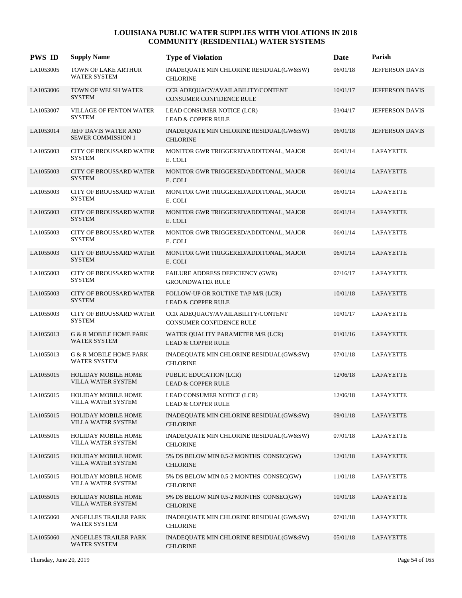| <b>PWS ID</b> | <b>Supply Name</b>                                | <b>Type of Violation</b>                                             | Date     | Parish                 |
|---------------|---------------------------------------------------|----------------------------------------------------------------------|----------|------------------------|
| LA1053005     | TOWN OF LAKE ARTHUR<br><b>WATER SYSTEM</b>        | INADEQUATE MIN CHLORINE RESIDUAL(GW&SW)<br><b>CHLORINE</b>           | 06/01/18 | JEFFERSON DAVIS        |
| LA1053006     | <b>TOWN OF WELSH WATER</b><br><b>SYSTEM</b>       | CCR ADEQUACY/AVAILABILITY/CONTENT<br><b>CONSUMER CONFIDENCE RULE</b> | 10/01/17 | <b>JEFFERSON DAVIS</b> |
| LA1053007     | VILLAGE OF FENTON WATER<br><b>SYSTEM</b>          | LEAD CONSUMER NOTICE (LCR)<br><b>LEAD &amp; COPPER RULE</b>          | 03/04/17 | <b>JEFFERSON DAVIS</b> |
| LA1053014     | JEFF DAVIS WATER AND<br><b>SEWER COMMISSION 1</b> | INADEQUATE MIN CHLORINE RESIDUAL(GW&SW)<br><b>CHLORINE</b>           | 06/01/18 | <b>JEFFERSON DAVIS</b> |
| LA1055003     | <b>CITY OF BROUSSARD WATER</b><br><b>SYSTEM</b>   | MONITOR GWR TRIGGERED/ADDITONAL, MAJOR<br>E. COLI                    | 06/01/14 | LAFAYETTE              |
| LA1055003     | <b>CITY OF BROUSSARD WATER</b><br><b>SYSTEM</b>   | MONITOR GWR TRIGGERED/ADDITONAL, MAJOR<br>E. COLI                    | 06/01/14 | LAFAYETTE              |
| LA1055003     | CITY OF BROUSSARD WATER<br><b>SYSTEM</b>          | MONITOR GWR TRIGGERED/ADDITONAL, MAJOR<br>E. COLI                    | 06/01/14 | LAFAYETTE              |
| LA1055003     | <b>CITY OF BROUSSARD WATER</b><br><b>SYSTEM</b>   | MONITOR GWR TRIGGERED/ADDITONAL, MAJOR<br>E. COLI                    | 06/01/14 | LAFAYETTE              |
| LA1055003     | CITY OF BROUSSARD WATER<br><b>SYSTEM</b>          | MONITOR GWR TRIGGERED/ADDITONAL, MAJOR<br>E. COLI                    | 06/01/14 | LAFAYETTE              |
| LA1055003     | CITY OF BROUSSARD WATER<br><b>SYSTEM</b>          | MONITOR GWR TRIGGERED/ADDITONAL, MAJOR<br>E. COLI                    | 06/01/14 | LAFAYETTE              |
| LA1055003     | CITY OF BROUSSARD WATER<br><b>SYSTEM</b>          | FAILURE ADDRESS DEFICIENCY (GWR)<br><b>GROUNDWATER RULE</b>          | 07/16/17 | LAFAYETTE              |
| LA1055003     | CITY OF BROUSSARD WATER<br><b>SYSTEM</b>          | FOLLOW-UP OR ROUTINE TAP M/R (LCR)<br><b>LEAD &amp; COPPER RULE</b>  | 10/01/18 | LAFAYETTE              |
| LA1055003     | <b>CITY OF BROUSSARD WATER</b><br><b>SYSTEM</b>   | CCR ADEQUACY/AVAILABILITY/CONTENT<br>CONSUMER CONFIDENCE RULE        | 10/01/17 | LAFAYETTE              |
| LA1055013     | G & R MOBILE HOME PARK<br>WATER SYSTEM            | WATER QUALITY PARAMETER M/R (LCR)<br><b>LEAD &amp; COPPER RULE</b>   | 01/01/16 | LAFAYETTE              |
| LA1055013     | G & R MOBILE HOME PARK<br><b>WATER SYSTEM</b>     | INADEQUATE MIN CHLORINE RESIDUAL(GW&SW)<br><b>CHLORINE</b>           | 07/01/18 | LAFAYETTE              |
| LA1055015     | <b>HOLIDAY MOBILE HOME</b><br>VILLA WATER SYSTEM  | PUBLIC EDUCATION (LCR)<br><b>LEAD &amp; COPPER RULE</b>              | 12/06/18 | LAFAYETTE              |
| LA1055015     | <b>HOLIDAY MOBILE HOME</b><br>VILLA WATER SYSTEM  | LEAD CONSUMER NOTICE (LCR)<br><b>LEAD &amp; COPPER RULE</b>          | 12/06/18 | LAFAYETTE              |
| LA1055015     | <b>HOLIDAY MOBILE HOME</b><br>VILLA WATER SYSTEM  | INADEQUATE MIN CHLORINE RESIDUAL(GW&SW)<br><b>CHLORINE</b>           | 09/01/18 | LAFAYETTE              |
| LA1055015     | <b>HOLIDAY MOBILE HOME</b><br>VILLA WATER SYSTEM  | INADEQUATE MIN CHLORINE RESIDUAL(GW&SW)<br><b>CHLORINE</b>           | 07/01/18 | LAFAYETTE              |
| LA1055015     | HOLIDAY MOBILE HOME<br>VILLA WATER SYSTEM         | 5% DS BELOW MIN 0.5-2 MONTHS CONSEC(GW)<br><b>CHLORINE</b>           | 12/01/18 | LAFAYETTE              |
| LA1055015     | <b>HOLIDAY MOBILE HOME</b><br>VILLA WATER SYSTEM  | 5% DS BELOW MIN 0.5-2 MONTHS CONSEC(GW)<br><b>CHLORINE</b>           | 11/01/18 | LAFAYETTE              |
| LA1055015     | <b>HOLIDAY MOBILE HOME</b><br>VILLA WATER SYSTEM  | 5% DS BELOW MIN 0.5-2 MONTHS CONSEC(GW)<br><b>CHLORINE</b>           | 10/01/18 | LAFAYETTE              |
| LA1055060     | ANGELLES TRAILER PARK<br>WATER SYSTEM             | INADEQUATE MIN CHLORINE RESIDUAL(GW&SW)<br><b>CHLORINE</b>           | 07/01/18 | LAFAYETTE              |
| LA1055060     | ANGELLES TRAILER PARK<br>WATER SYSTEM             | INADEQUATE MIN CHLORINE RESIDUAL(GW&SW)<br><b>CHLORINE</b>           | 05/01/18 | LAFAYETTE              |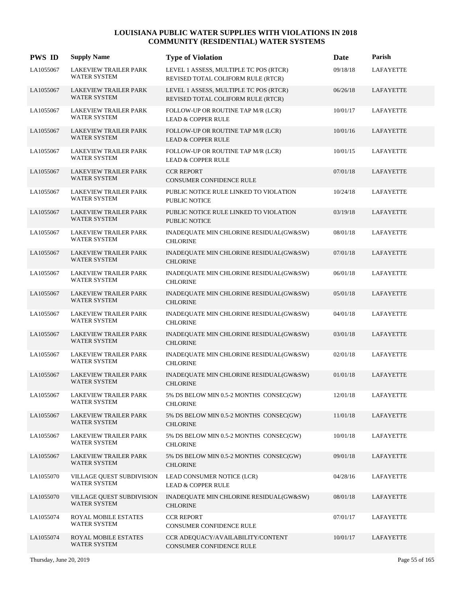| <b>PWS ID</b> | <b>Supply Name</b>                                      | <b>Type of Violation</b>                                                     | Date     | Parish           |
|---------------|---------------------------------------------------------|------------------------------------------------------------------------------|----------|------------------|
| LA1055067     | LAKEVIEW TRAILER PARK<br><b>WATER SYSTEM</b>            | LEVEL 1 ASSESS, MULTIPLE TC POS (RTCR)<br>REVISED TOTAL COLIFORM RULE (RTCR) | 09/18/18 | LAFAYETTE        |
| LA1055067     | LAKEVIEW TRAILER PARK<br><b>WATER SYSTEM</b>            | LEVEL 1 ASSESS, MULTIPLE TC POS (RTCR)<br>REVISED TOTAL COLIFORM RULE (RTCR) | 06/26/18 | LAFAYETTE        |
| LA1055067     | LAKEVIEW TRAILER PARK<br><b>WATER SYSTEM</b>            | FOLLOW-UP OR ROUTINE TAP M/R (LCR)<br><b>LEAD &amp; COPPER RULE</b>          | 10/01/17 | LAFAYETTE        |
| LA1055067     | LAKEVIEW TRAILER PARK<br><b>WATER SYSTEM</b>            | FOLLOW-UP OR ROUTINE TAP M/R (LCR)<br><b>LEAD &amp; COPPER RULE</b>          | 10/01/16 | LAFAYETTE        |
| LA1055067     | <b>LAKEVIEW TRAILER PARK</b><br>WATER SYSTEM            | FOLLOW-UP OR ROUTINE TAP M/R (LCR)<br><b>LEAD &amp; COPPER RULE</b>          | 10/01/15 | LAFAYETTE        |
| LA1055067     | <b>LAKEVIEW TRAILER PARK</b><br><b>WATER SYSTEM</b>     | <b>CCR REPORT</b><br>CONSUMER CONFIDENCE RULE                                | 07/01/18 | LAFAYETTE        |
| LA1055067     | LAKEVIEW TRAILER PARK<br><b>WATER SYSTEM</b>            | PUBLIC NOTICE RULE LINKED TO VIOLATION<br>PUBLIC NOTICE                      | 10/24/18 | LAFAYETTE        |
| LA1055067     | <b>LAKEVIEW TRAILER PARK</b><br><b>WATER SYSTEM</b>     | PUBLIC NOTICE RULE LINKED TO VIOLATION<br><b>PUBLIC NOTICE</b>               | 03/19/18 | LAFAYETTE        |
| LA1055067     | LAKEVIEW TRAILER PARK<br>WATER SYSTEM                   | INADEQUATE MIN CHLORINE RESIDUAL(GW&SW)<br><b>CHLORINE</b>                   | 08/01/18 | LAFAYETTE        |
| LA1055067     | <b>LAKEVIEW TRAILER PARK</b><br><b>WATER SYSTEM</b>     | INADEQUATE MIN CHLORINE RESIDUAL(GW&SW)<br><b>CHLORINE</b>                   | 07/01/18 | LAFAYETTE        |
| LA1055067     | LAKEVIEW TRAILER PARK<br><b>WATER SYSTEM</b>            | INADEQUATE MIN CHLORINE RESIDUAL(GW&SW)<br><b>CHLORINE</b>                   | 06/01/18 | LAFAYETTE        |
| LA1055067     | <b>LAKEVIEW TRAILER PARK</b><br>WATER SYSTEM            | INADEQUATE MIN CHLORINE RESIDUAL(GW&SW)<br><b>CHLORINE</b>                   | 05/01/18 | LAFAYETTE        |
| LA1055067     | LAKEVIEW TRAILER PARK<br>WATER SYSTEM                   | INADEQUATE MIN CHLORINE RESIDUAL(GW&SW)<br><b>CHLORINE</b>                   | 04/01/18 | LAFAYETTE        |
| LA1055067     | LAKEVIEW TRAILER PARK<br><b>WATER SYSTEM</b>            | INADEQUATE MIN CHLORINE RESIDUAL(GW&SW)<br><b>CHLORINE</b>                   | 03/01/18 | LAFAYETTE        |
| LA1055067     | LAKEVIEW TRAILER PARK<br><b>WATER SYSTEM</b>            | INADEQUATE MIN CHLORINE RESIDUAL(GW&SW)<br><b>CHLORINE</b>                   | 02/01/18 | LAFAYETTE        |
| LA1055067     | <b>LAKEVIEW TRAILER PARK</b><br>WATER SYSTEM            | INADEQUATE MIN CHLORINE RESIDUAL(GW&SW)<br><b>CHLORINE</b>                   | 01/01/18 | LAFAYETTE        |
| LA1055067     | LAKEVIEW TRAILER PARK<br>WATER SYSTEM                   | 5% DS BELOW MIN 0.5-2 MONTHS CONSEC(GW)<br><b>CHLORINE</b>                   | 12/01/18 | <b>LAFAYETTE</b> |
| LA1055067     | LAKEVIEW TRAILER PARK<br><b>WATER SYSTEM</b>            | 5% DS BELOW MIN 0.5-2 MONTHS CONSEC(GW)<br><b>CHLORINE</b>                   | 11/01/18 | <b>LAFAYETTE</b> |
| LA1055067     | LAKEVIEW TRAILER PARK<br><b>WATER SYSTEM</b>            | 5% DS BELOW MIN 0.5-2 MONTHS CONSEC(GW)<br><b>CHLORINE</b>                   | 10/01/18 | LAFAYETTE        |
| LA1055067     | LAKEVIEW TRAILER PARK<br><b>WATER SYSTEM</b>            | 5% DS BELOW MIN 0.5-2 MONTHS CONSEC(GW)<br><b>CHLORINE</b>                   | 09/01/18 | <b>LAFAYETTE</b> |
| LA1055070     | VILLAGE QUEST SUBDIVISION<br><b>WATER SYSTEM</b>        | LEAD CONSUMER NOTICE (LCR)<br><b>LEAD &amp; COPPER RULE</b>                  | 04/28/16 | LAFAYETTE        |
| LA1055070     | <b>VILLAGE QUEST SUBDIVISION</b><br><b>WATER SYSTEM</b> | INADEQUATE MIN CHLORINE RESIDUAL(GW&SW)<br><b>CHLORINE</b>                   | 08/01/18 | LAFAYETTE        |
| LA1055074     | ROYAL MOBILE ESTATES<br><b>WATER SYSTEM</b>             | <b>CCR REPORT</b><br>CONSUMER CONFIDENCE RULE                                | 07/01/17 | LAFAYETTE        |
| LA1055074     | ROYAL MOBILE ESTATES<br><b>WATER SYSTEM</b>             | CCR ADEQUACY/AVAILABILITY/CONTENT<br>CONSUMER CONFIDENCE RULE                | 10/01/17 | LAFAYETTE        |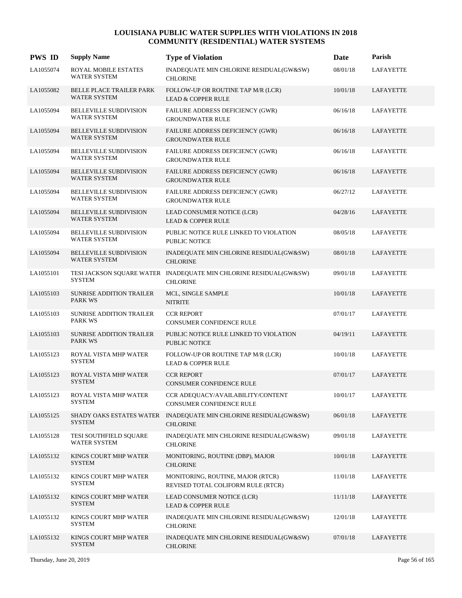| <b>PWS ID</b> | <b>Supply Name</b>                                     | <b>Type of Violation</b>                                                             | Date     | Parish           |
|---------------|--------------------------------------------------------|--------------------------------------------------------------------------------------|----------|------------------|
| LA1055074     | ROYAL MOBILE ESTATES<br>WATER SYSTEM                   | INADEQUATE MIN CHLORINE RESIDUAL(GW&SW)<br><b>CHLORINE</b>                           | 08/01/18 | <b>LAFAYETTE</b> |
| LA1055082     | <b>BELLE PLACE TRAILER PARK</b><br><b>WATER SYSTEM</b> | FOLLOW-UP OR ROUTINE TAP M/R (LCR)<br><b>LEAD &amp; COPPER RULE</b>                  | 10/01/18 | LAFAYETTE        |
| LA1055094     | <b>BELLEVILLE SUBDIVISION</b><br><b>WATER SYSTEM</b>   | FAILURE ADDRESS DEFICIENCY (GWR)<br><b>GROUNDWATER RULE</b>                          | 06/16/18 | LAFAYETTE        |
| LA1055094     | BELLEVILLE SUBDIVISION<br>WATER SYSTEM                 | FAILURE ADDRESS DEFICIENCY (GWR)<br><b>GROUNDWATER RULE</b>                          | 06/16/18 | LAFAYETTE        |
| LA1055094     | <b>BELLEVILLE SUBDIVISION</b><br><b>WATER SYSTEM</b>   | FAILURE ADDRESS DEFICIENCY (GWR)<br><b>GROUNDWATER RULE</b>                          | 06/16/18 | LAFAYETTE        |
| LA1055094     | <b>BELLEVILLE SUBDIVISION</b><br><b>WATER SYSTEM</b>   | FAILURE ADDRESS DEFICIENCY (GWR)<br><b>GROUNDWATER RULE</b>                          | 06/16/18 | LAFAYETTE        |
| LA1055094     | <b>BELLEVILLE SUBDIVISION</b><br><b>WATER SYSTEM</b>   | FAILURE ADDRESS DEFICIENCY (GWR)<br><b>GROUNDWATER RULE</b>                          | 06/27/12 | LAFAYETTE        |
| LA1055094     | BELLEVILLE SUBDIVISION<br><b>WATER SYSTEM</b>          | LEAD CONSUMER NOTICE (LCR)<br><b>LEAD &amp; COPPER RULE</b>                          | 04/28/16 | <b>LAFAYETTE</b> |
| LA1055094     | <b>BELLEVILLE SUBDIVISION</b><br><b>WATER SYSTEM</b>   | PUBLIC NOTICE RULE LINKED TO VIOLATION<br>PUBLIC NOTICE                              | 08/05/18 | LAFAYETTE        |
| LA1055094     | <b>BELLEVILLE SUBDIVISION</b><br><b>WATER SYSTEM</b>   | INADEQUATE MIN CHLORINE RESIDUAL(GW&SW)<br><b>CHLORINE</b>                           | 08/01/18 | LAFAYETTE        |
| LA1055101     | <b>SYSTEM</b>                                          | TESI JACKSON SQUARE WATER INADEQUATE MIN CHLORINE RESIDUAL(GW&SW)<br><b>CHLORINE</b> | 09/01/18 | LAFAYETTE        |
| LA1055103     | <b>SUNRISE ADDITION TRAILER</b><br><b>PARK WS</b>      | MCL, SINGLE SAMPLE<br><b>NITRITE</b>                                                 | 10/01/18 | LAFAYETTE        |
| LA1055103     | SUNRISE ADDITION TRAILER<br><b>PARK WS</b>             | <b>CCR REPORT</b><br>CONSUMER CONFIDENCE RULE                                        | 07/01/17 | LAFAYETTE        |
| LA1055103     | <b>SUNRISE ADDITION TRAILER</b><br><b>PARK WS</b>      | PUBLIC NOTICE RULE LINKED TO VIOLATION<br><b>PUBLIC NOTICE</b>                       | 04/19/11 | LAFAYETTE        |
| LA1055123     | ROYAL VISTA MHP WATER<br><b>SYSTEM</b>                 | FOLLOW-UP OR ROUTINE TAP M/R (LCR)<br><b>LEAD &amp; COPPER RULE</b>                  | 10/01/18 | <b>LAFAYETTE</b> |
| LA1055123     | ROYAL VISTA MHP WATER<br><b>SYSTEM</b>                 | <b>CCR REPORT</b><br><b>CONSUMER CONFIDENCE RULE</b>                                 | 07/01/17 | LAFAYETTE        |
| LA1055123     | ROYAL VISTA MHP WATER<br><b>SYSTEM</b>                 | CCR ADEQUACY/AVAILABILITY/CONTENT<br>CONSUMER CONFIDENCE RULE                        | 10/01/17 | <b>LAFAYETTE</b> |
| LA1055125     | SHADY OAKS ESTATES WATER<br><b>SYSTEM</b>              | INADEQUATE MIN CHLORINE RESIDUAL(GW&SW)<br><b>CHLORINE</b>                           | 06/01/18 | LAFAYETTE        |
| LA1055128     | TESI SOUTHFIELD SQUARE<br>WATER SYSTEM                 | INADEQUATE MIN CHLORINE RESIDUAL(GW&SW)<br><b>CHLORINE</b>                           | 09/01/18 | LAFAYETTE        |
| LA1055132     | KINGS COURT MHP WATER<br><b>SYSTEM</b>                 | MONITORING, ROUTINE (DBP), MAJOR<br><b>CHLORINE</b>                                  | 10/01/18 | LAFAYETTE        |
| LA1055132     | KINGS COURT MHP WATER<br><b>SYSTEM</b>                 | MONITORING, ROUTINE, MAJOR (RTCR)<br>REVISED TOTAL COLIFORM RULE (RTCR)              | 11/01/18 | LAFAYETTE        |
| LA1055132     | KINGS COURT MHP WATER<br><b>SYSTEM</b>                 | LEAD CONSUMER NOTICE (LCR)<br><b>LEAD &amp; COPPER RULE</b>                          | 11/11/18 | LAFAYETTE        |
| LA1055132     | KINGS COURT MHP WATER<br><b>SYSTEM</b>                 | INADEQUATE MIN CHLORINE RESIDUAL(GW&SW)<br><b>CHLORINE</b>                           | 12/01/18 | LAFAYETTE        |
| LA1055132     | KINGS COURT MHP WATER<br><b>SYSTEM</b>                 | INADEQUATE MIN CHLORINE RESIDUAL(GW&SW)<br><b>CHLORINE</b>                           | 07/01/18 | LAFAYETTE        |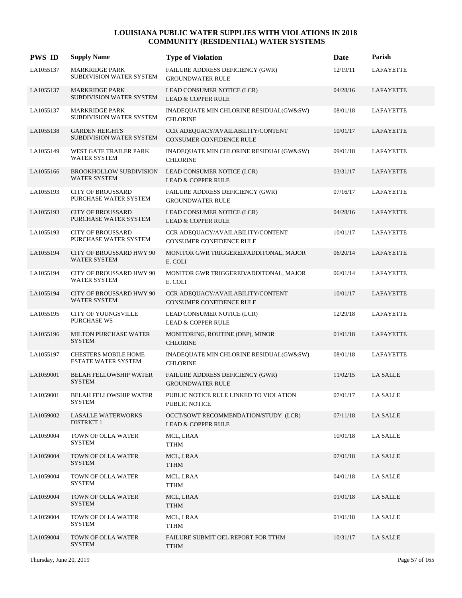| <b>PWS ID</b> | <b>Supply Name</b>                                        | <b>Type of Violation</b>                                              | Date     | Parish           |
|---------------|-----------------------------------------------------------|-----------------------------------------------------------------------|----------|------------------|
| LA1055137     | <b>MARKRIDGE PARK</b><br>SUBDIVISION WATER SYSTEM         | FAILURE ADDRESS DEFICIENCY (GWR)<br><b>GROUNDWATER RULE</b>           | 12/19/11 | <b>LAFAYETTE</b> |
| LA1055137     | <b>MARKRIDGE PARK</b><br>SUBDIVISION WATER SYSTEM         | LEAD CONSUMER NOTICE (LCR)<br><b>LEAD &amp; COPPER RULE</b>           | 04/28/16 | LAFAYETTE        |
| LA1055137     | <b>MARKRIDGE PARK</b><br>SUBDIVISION WATER SYSTEM         | INADEQUATE MIN CHLORINE RESIDUAL(GW&SW)<br><b>CHLORINE</b>            | 08/01/18 | LAFAYETTE        |
| LA1055138     | <b>GARDEN HEIGHTS</b><br>SUBDIVISION WATER SYSTEM         | CCR ADEQUACY/AVAILABILITY/CONTENT<br>CONSUMER CONFIDENCE RULE         | 10/01/17 | LAFAYETTE        |
| LA1055149     | WEST GATE TRAILER PARK<br><b>WATER SYSTEM</b>             | INADEQUATE MIN CHLORINE RESIDUAL(GW&SW)<br><b>CHLORINE</b>            | 09/01/18 | LAFAYETTE        |
| LA1055166     | <b>BROOKHOLLOW SUBDIVISION</b><br>WATER SYSTEM            | LEAD CONSUMER NOTICE (LCR)<br><b>LEAD &amp; COPPER RULE</b>           | 03/31/17 | LAFAYETTE        |
| LA1055193     | <b>CITY OF BROUSSARD</b><br>PURCHASE WATER SYSTEM         | <b>FAILURE ADDRESS DEFICIENCY (GWR)</b><br><b>GROUNDWATER RULE</b>    | 07/16/17 | LAFAYETTE        |
| LA1055193     | <b>CITY OF BROUSSARD</b><br>PURCHASE WATER SYSTEM         | LEAD CONSUMER NOTICE (LCR)<br><b>LEAD &amp; COPPER RULE</b>           | 04/28/16 | LAFAYETTE        |
| LA1055193     | <b>CITY OF BROUSSARD</b><br>PURCHASE WATER SYSTEM         | CCR ADEQUACY/AVAILABILITY/CONTENT<br>CONSUMER CONFIDENCE RULE         | 10/01/17 | LAFAYETTE        |
| LA1055194     | CITY OF BROUSSARD HWY 90<br><b>WATER SYSTEM</b>           | MONITOR GWR TRIGGERED/ADDITONAL, MAJOR<br>E. COLI                     | 06/20/14 | LAFAYETTE        |
| LA1055194     | CITY OF BROUSSARD HWY 90<br><b>WATER SYSTEM</b>           | MONITOR GWR TRIGGERED/ADDITONAL, MAJOR<br>E. COLI                     | 06/01/14 | LAFAYETTE        |
| LA1055194     | <b>CITY OF BROUSSARD HWY 90</b><br>WATER SYSTEM           | CCR ADEQUACY/AVAILABILITY/CONTENT<br>CONSUMER CONFIDENCE RULE         | 10/01/17 | LAFAYETTE        |
| LA1055195     | <b>CITY OF YOUNGSVILLE</b><br>PURCHASE WS                 | LEAD CONSUMER NOTICE (LCR)<br><b>LEAD &amp; COPPER RULE</b>           | 12/29/18 | LAFAYETTE        |
| LA1055196     | <b>MILTON PURCHASE WATER</b><br><b>SYSTEM</b>             | MONITORING, ROUTINE (DBP), MINOR<br><b>CHLORINE</b>                   | 01/01/18 | LAFAYETTE        |
| LA1055197     | <b>CHESTERS MOBILE HOME</b><br><b>ESTATE WATER SYSTEM</b> | INADEQUATE MIN CHLORINE RESIDUAL(GW&SW)<br><b>CHLORINE</b>            | 08/01/18 | LAFAYETTE        |
| LA1059001     | <b>BELAH FELLOWSHIP WATER</b><br><b>SYSTEM</b>            | FAILURE ADDRESS DEFICIENCY (GWR)<br><b>GROUNDWATER RULE</b>           | 11/02/15 | <b>LA SALLE</b>  |
| LA1059001     | <b>BELAH FELLOWSHIP WATER</b><br><b>SYSTEM</b>            | PUBLIC NOTICE RULE LINKED TO VIOLATION<br>PUBLIC NOTICE               | 07/01/17 | <b>LA SALLE</b>  |
| LA1059002     | <b>LASALLE WATERWORKS</b><br><b>DISTRICT 1</b>            | OCCT/SOWT RECOMMENDATION/STUDY (LCR)<br><b>LEAD &amp; COPPER RULE</b> | 07/11/18 | LA SALLE         |
| LA1059004     | TOWN OF OLLA WATER<br>SYSTEM                              | MCL, LRAA<br>TTHM                                                     | 10/01/18 | LA SALLE         |
| LA1059004     | TOWN OF OLLA WATER<br><b>SYSTEM</b>                       | MCL, LRAA<br>TTHM                                                     | 07/01/18 | LA SALLE         |
| LA1059004     | TOWN OF OLLA WATER<br><b>SYSTEM</b>                       | MCL, LRAA<br><b>TTHM</b>                                              | 04/01/18 | <b>LA SALLE</b>  |
| LA1059004     | TOWN OF OLLA WATER<br><b>SYSTEM</b>                       | MCL, LRAA<br><b>TTHM</b>                                              | 01/01/18 | <b>LA SALLE</b>  |
| LA1059004     | TOWN OF OLLA WATER<br><b>SYSTEM</b>                       | MCL, LRAA<br><b>TTHM</b>                                              | 01/01/18 | LA SALLE         |
| LA1059004     | TOWN OF OLLA WATER<br><b>SYSTEM</b>                       | FAILURE SUBMIT OEL REPORT FOR TTHM<br><b>TTHM</b>                     | 10/31/17 | LA SALLE         |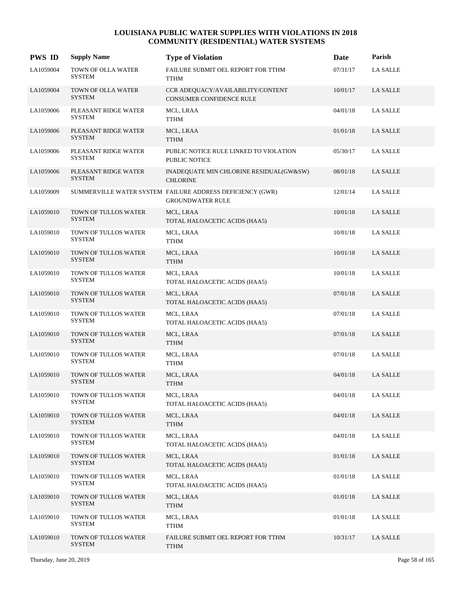| <b>PWS ID</b> | <b>Supply Name</b>                    | <b>Type of Violation</b>                                                             | Date     | Parish          |
|---------------|---------------------------------------|--------------------------------------------------------------------------------------|----------|-----------------|
| LA1059004     | TOWN OF OLLA WATER<br><b>SYSTEM</b>   | FAILURE SUBMIT OEL REPORT FOR TTHM<br><b>TTHM</b>                                    | 07/31/17 | <b>LA SALLE</b> |
| LA1059004     | TOWN OF OLLA WATER<br><b>SYSTEM</b>   | CCR ADEQUACY/AVAILABILITY/CONTENT<br><b>CONSUMER CONFIDENCE RULE</b>                 | 10/01/17 | <b>LA SALLE</b> |
| LA1059006     | PLEASANT RIDGE WATER<br><b>SYSTEM</b> | MCL, LRAA<br><b>TTHM</b>                                                             | 04/01/18 | <b>LA SALLE</b> |
| LA1059006     | PLEASANT RIDGE WATER<br><b>SYSTEM</b> | MCL, LRAA<br>TTHM                                                                    | 01/01/18 | <b>LA SALLE</b> |
| LA1059006     | PLEASANT RIDGE WATER<br><b>SYSTEM</b> | PUBLIC NOTICE RULE LINKED TO VIOLATION<br><b>PUBLIC NOTICE</b>                       | 05/30/17 | LA SALLE        |
| LA1059006     | PLEASANT RIDGE WATER<br><b>SYSTEM</b> | INADEQUATE MIN CHLORINE RESIDUAL(GW&SW)<br><b>CHLORINE</b>                           | 08/01/18 | LA SALLE        |
| LA1059009     |                                       | SUMMERVILLE WATER SYSTEM FAILURE ADDRESS DEFICIENCY (GWR)<br><b>GROUNDWATER RULE</b> | 12/01/14 | LA SALLE        |
| LA1059010     | TOWN OF TULLOS WATER<br><b>SYSTEM</b> | MCL, LRAA<br>TOTAL HALOACETIC ACIDS (HAA5)                                           | 10/01/18 | <b>LA SALLE</b> |
| LA1059010     | TOWN OF TULLOS WATER<br><b>SYSTEM</b> | MCL, LRAA<br>TTHM                                                                    | 10/01/18 | LA SALLE        |
| LA1059010     | TOWN OF TULLOS WATER<br><b>SYSTEM</b> | MCL, LRAA<br><b>TTHM</b>                                                             | 10/01/18 | LA SALLE        |
| LA1059010     | TOWN OF TULLOS WATER<br><b>SYSTEM</b> | MCL, LRAA<br>TOTAL HALOACETIC ACIDS (HAA5)                                           | 10/01/18 | LA SALLE        |
| LA1059010     | TOWN OF TULLOS WATER<br><b>SYSTEM</b> | MCL, LRAA<br>TOTAL HALOACETIC ACIDS (HAA5)                                           | 07/01/18 | LA SALLE        |
| LA1059010     | TOWN OF TULLOS WATER<br>SYSTEM        | MCL, LRAA<br>TOTAL HALOACETIC ACIDS (HAA5)                                           | 07/01/18 | <b>LA SALLE</b> |
| LA1059010     | TOWN OF TULLOS WATER<br><b>SYSTEM</b> | MCL, LRAA<br><b>TTHM</b>                                                             | 07/01/18 | LA SALLE        |
| LA1059010     | TOWN OF TULLOS WATER<br><b>SYSTEM</b> | MCL, LRAA<br>TTHM                                                                    | 07/01/18 | LA SALLE        |
| LA1059010     | TOWN OF TULLOS WATER<br><b>SYSTEM</b> | MCL, LRAA<br><b>TTHM</b>                                                             | 04/01/18 | <b>LA SALLE</b> |
| LA1059010     | TOWN OF TULLOS WATER<br>SYSTEM        | MCL, LRAA<br>TOTAL HALOACETIC ACIDS (HAA5)                                           | 04/01/18 | <b>LA SALLE</b> |
| LA1059010     | TOWN OF TULLOS WATER<br><b>SYSTEM</b> | MCL, LRAA<br><b>TTHM</b>                                                             | 04/01/18 | <b>LA SALLE</b> |
| LA1059010     | TOWN OF TULLOS WATER<br>SYSTEM        | MCL, LRAA<br>TOTAL HALOACETIC ACIDS (HAA5)                                           | 04/01/18 | LA SALLE        |
| LA1059010     | TOWN OF TULLOS WATER<br><b>SYSTEM</b> | MCL, LRAA<br>TOTAL HALOACETIC ACIDS (HAA5)                                           | 01/01/18 | <b>LA SALLE</b> |
| LA1059010     | TOWN OF TULLOS WATER<br><b>SYSTEM</b> | MCL, LRAA<br>TOTAL HALOACETIC ACIDS (HAA5)                                           | 01/01/18 | <b>LA SALLE</b> |
| LA1059010     | TOWN OF TULLOS WATER<br><b>SYSTEM</b> | MCL, LRAA<br><b>TTHM</b>                                                             | 01/01/18 | LA SALLE        |
| LA1059010     | TOWN OF TULLOS WATER<br><b>SYSTEM</b> | MCL, LRAA<br><b>TTHM</b>                                                             | 01/01/18 | LA SALLE        |
| LA1059010     | TOWN OF TULLOS WATER<br><b>SYSTEM</b> | FAILURE SUBMIT OEL REPORT FOR TTHM<br><b>TTHM</b>                                    | 10/31/17 | <b>LA SALLE</b> |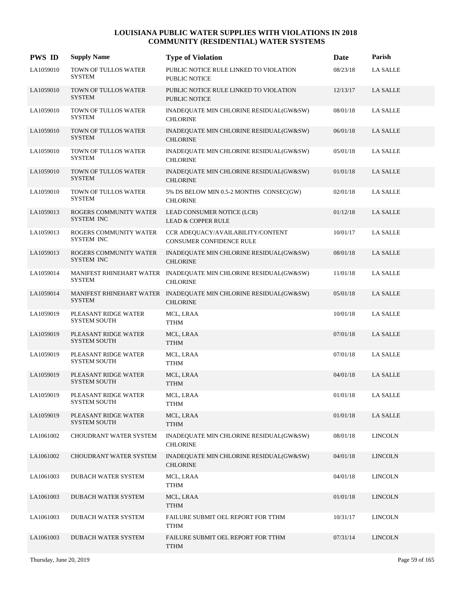| <b>PWS ID</b> | <b>Supply Name</b>                          | <b>Type of Violation</b>                                                            | <b>Date</b> | Parish          |
|---------------|---------------------------------------------|-------------------------------------------------------------------------------------|-------------|-----------------|
| LA1059010     | TOWN OF TULLOS WATER<br><b>SYSTEM</b>       | PUBLIC NOTICE RULE LINKED TO VIOLATION<br>PUBLIC NOTICE                             | 08/23/18    | <b>LA SALLE</b> |
| LA1059010     | TOWN OF TULLOS WATER<br><b>SYSTEM</b>       | PUBLIC NOTICE RULE LINKED TO VIOLATION<br>PUBLIC NOTICE                             | 12/13/17    | LA SALLE        |
| LA1059010     | TOWN OF TULLOS WATER<br><b>SYSTEM</b>       | INADEQUATE MIN CHLORINE RESIDUAL(GW&SW)<br><b>CHLORINE</b>                          | 08/01/18    | LA SALLE        |
| LA1059010     | TOWN OF TULLOS WATER<br><b>SYSTEM</b>       | INADEQUATE MIN CHLORINE RESIDUAL(GW&SW)<br><b>CHLORINE</b>                          | 06/01/18    | LA SALLE        |
| LA1059010     | TOWN OF TULLOS WATER<br><b>SYSTEM</b>       | INADEQUATE MIN CHLORINE RESIDUAL(GW&SW)<br><b>CHLORINE</b>                          | 05/01/18    | <b>LA SALLE</b> |
| LA1059010     | TOWN OF TULLOS WATER<br><b>SYSTEM</b>       | INADEQUATE MIN CHLORINE RESIDUAL(GW&SW)<br><b>CHLORINE</b>                          | 01/01/18    | LA SALLE        |
| LA1059010     | TOWN OF TULLOS WATER<br><b>SYSTEM</b>       | 5% DS BELOW MIN 0.5-2 MONTHS CONSEC(GW)<br><b>CHLORINE</b>                          | 02/01/18    | LA SALLE        |
| LA1059013     | ROGERS COMMUNITY WATER<br>SYSTEM INC        | LEAD CONSUMER NOTICE (LCR)<br><b>LEAD &amp; COPPER RULE</b>                         | 01/12/18    | <b>LA SALLE</b> |
| LA1059013     | ROGERS COMMUNITY WATER<br>SYSTEM INC        | CCR ADEOUACY/AVAILABILITY/CONTENT<br><b>CONSUMER CONFIDENCE RULE</b>                | 10/01/17    | <b>LA SALLE</b> |
| LA1059013     | ROGERS COMMUNITY WATER<br>SYSTEM INC        | INADEQUATE MIN CHLORINE RESIDUAL(GW&SW)<br><b>CHLORINE</b>                          | 08/01/18    | <b>LA SALLE</b> |
| LA1059014     | <b>SYSTEM</b>                               | MANIFEST RHINEHART WATER INADEQUATE MIN CHLORINE RESIDUAL(GW&SW)<br><b>CHLORINE</b> | 11/01/18    | <b>LA SALLE</b> |
| LA1059014     | <b>SYSTEM</b>                               | MANIFEST RHINEHART WATER INADEQUATE MIN CHLORINE RESIDUAL(GW&SW)<br><b>CHLORINE</b> | 05/01/18    | <b>LA SALLE</b> |
| LA1059019     | PLEASANT RIDGE WATER<br><b>SYSTEM SOUTH</b> | MCL, LRAA<br><b>TTHM</b>                                                            | 10/01/18    | <b>LA SALLE</b> |
| LA1059019     | PLEASANT RIDGE WATER<br><b>SYSTEM SOUTH</b> | MCL, LRAA<br><b>TTHM</b>                                                            | 07/01/18    | <b>LA SALLE</b> |
| LA1059019     | PLEASANT RIDGE WATER<br><b>SYSTEM SOUTH</b> | MCL, LRAA<br>TTHM                                                                   | 07/01/18    | <b>LA SALLE</b> |
| LA1059019     | PLEASANT RIDGE WATER<br><b>SYSTEM SOUTH</b> | MCL, LRAA<br>TTHM                                                                   | 04/01/18    | <b>LA SALLE</b> |
| LA1059019     | PLEASANT RIDGE WATER<br><b>SYSTEM SOUTH</b> | MCL, LRAA<br><b>TTHM</b>                                                            | 01/01/18    | <b>LA SALLE</b> |
| LA1059019     | PLEASANT RIDGE WATER<br><b>SYSTEM SOUTH</b> | MCL, LRAA<br><b>TTHM</b>                                                            | 01/01/18    | LA SALLE        |
| LA1061002     | CHOUDRANT WATER SYSTEM                      | INADEQUATE MIN CHLORINE RESIDUAL(GW&SW)<br><b>CHLORINE</b>                          | 08/01/18    | <b>LINCOLN</b>  |
| LA1061002     | CHOUDRANT WATER SYSTEM                      | INADEQUATE MIN CHLORINE RESIDUAL(GW&SW)<br><b>CHLORINE</b>                          | 04/01/18    | <b>LINCOLN</b>  |
| LA1061003     | DUBACH WATER SYSTEM                         | MCL, LRAA<br>${\sf TTHM}$                                                           | 04/01/18    | <b>LINCOLN</b>  |
| LA1061003     | DUBACH WATER SYSTEM                         | MCL, LRAA<br><b>TTHM</b>                                                            | 01/01/18    | <b>LINCOLN</b>  |
| LA1061003     | DUBACH WATER SYSTEM                         | FAILURE SUBMIT OEL REPORT FOR TTHM<br><b>TTHM</b>                                   | 10/31/17    | <b>LINCOLN</b>  |
| LA1061003     | DUBACH WATER SYSTEM                         | FAILURE SUBMIT OEL REPORT FOR TTHM<br><b>TTHM</b>                                   | 07/31/14    | <b>LINCOLN</b>  |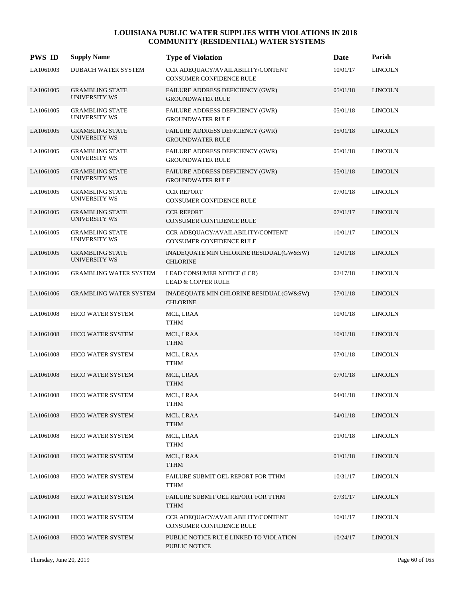| <b>PWS ID</b> | <b>Supply Name</b>                             | <b>Type of Violation</b>                                       | Date     | Parish         |
|---------------|------------------------------------------------|----------------------------------------------------------------|----------|----------------|
| LA1061003     | DUBACH WATER SYSTEM                            | CCR ADEQUACY/AVAILABILITY/CONTENT<br>CONSUMER CONFIDENCE RULE  | 10/01/17 | <b>LINCOLN</b> |
| LA1061005     | <b>GRAMBLING STATE</b><br>UNIVERSITY WS        | FAILURE ADDRESS DEFICIENCY (GWR)<br><b>GROUNDWATER RULE</b>    | 05/01/18 | <b>LINCOLN</b> |
| LA1061005     | <b>GRAMBLING STATE</b><br><b>UNIVERSITY WS</b> | FAILURE ADDRESS DEFICIENCY (GWR)<br><b>GROUNDWATER RULE</b>    | 05/01/18 | <b>LINCOLN</b> |
| LA1061005     | <b>GRAMBLING STATE</b><br><b>UNIVERSITY WS</b> | FAILURE ADDRESS DEFICIENCY (GWR)<br><b>GROUNDWATER RULE</b>    | 05/01/18 | <b>LINCOLN</b> |
| LA1061005     | <b>GRAMBLING STATE</b><br>UNIVERSITY WS        | FAILURE ADDRESS DEFICIENCY (GWR)<br><b>GROUNDWATER RULE</b>    | 05/01/18 | <b>LINCOLN</b> |
| LA1061005     | <b>GRAMBLING STATE</b><br>UNIVERSITY WS        | FAILURE ADDRESS DEFICIENCY (GWR)<br><b>GROUNDWATER RULE</b>    | 05/01/18 | <b>LINCOLN</b> |
| LA1061005     | <b>GRAMBLING STATE</b><br>UNIVERSITY WS        | <b>CCR REPORT</b><br>CONSUMER CONFIDENCE RULE                  | 07/01/18 | <b>LINCOLN</b> |
| LA1061005     | <b>GRAMBLING STATE</b><br><b>UNIVERSITY WS</b> | <b>CCR REPORT</b><br><b>CONSUMER CONFIDENCE RULE</b>           | 07/01/17 | <b>LINCOLN</b> |
| LA1061005     | <b>GRAMBLING STATE</b><br>UNIVERSITY WS        | CCR ADEQUACY/AVAILABILITY/CONTENT<br>CONSUMER CONFIDENCE RULE  | 10/01/17 | <b>LINCOLN</b> |
| LA1061005     | <b>GRAMBLING STATE</b><br>UNIVERSITY WS        | INADEQUATE MIN CHLORINE RESIDUAL(GW&SW)<br><b>CHLORINE</b>     | 12/01/18 | <b>LINCOLN</b> |
| LA1061006     | <b>GRAMBLING WATER SYSTEM</b>                  | LEAD CONSUMER NOTICE (LCR)<br><b>LEAD &amp; COPPER RULE</b>    | 02/17/18 | <b>LINCOLN</b> |
| LA1061006     | <b>GRAMBLING WATER SYSTEM</b>                  | INADEQUATE MIN CHLORINE RESIDUAL(GW&SW)<br><b>CHLORINE</b>     | 07/01/18 | <b>LINCOLN</b> |
| LA1061008     | <b>HICO WATER SYSTEM</b>                       | MCL, LRAA<br><b>TTHM</b>                                       | 10/01/18 | <b>LINCOLN</b> |
| LA1061008     | HICO WATER SYSTEM                              | MCL, LRAA<br><b>TTHM</b>                                       | 10/01/18 | <b>LINCOLN</b> |
| LA1061008     | <b>HICO WATER SYSTEM</b>                       | MCL, LRAA<br><b>TTHM</b>                                       | 07/01/18 | <b>LINCOLN</b> |
| LA1061008     | <b>HICO WATER SYSTEM</b>                       | MCL, LRAA<br><b>TTHM</b>                                       | 07/01/18 | <b>LINCOLN</b> |
| LA1061008     | HICO WATER SYSTEM                              | MCL, LRAA<br><b>TTHM</b>                                       | 04/01/18 | <b>LINCOLN</b> |
| LA1061008     | <b>HICO WATER SYSTEM</b>                       | MCL, LRAA<br><b>TTHM</b>                                       | 04/01/18 | <b>LINCOLN</b> |
| LA1061008     | HICO WATER SYSTEM                              | MCL, LRAA<br><b>TTHM</b>                                       | 01/01/18 | <b>LINCOLN</b> |
| LA1061008     | HICO WATER SYSTEM                              | MCL, LRAA<br><b>TTHM</b>                                       | 01/01/18 | <b>LINCOLN</b> |
| LA1061008     | HICO WATER SYSTEM                              | FAILURE SUBMIT OEL REPORT FOR TTHM<br><b>TTHM</b>              | 10/31/17 | <b>LINCOLN</b> |
| LA1061008     | HICO WATER SYSTEM                              | FAILURE SUBMIT OEL REPORT FOR TTHM<br><b>TTHM</b>              | 07/31/17 | <b>LINCOLN</b> |
| LA1061008     | <b>HICO WATER SYSTEM</b>                       | CCR ADEQUACY/AVAILABILITY/CONTENT<br>CONSUMER CONFIDENCE RULE  | 10/01/17 | <b>LINCOLN</b> |
| LA1061008     | <b>HICO WATER SYSTEM</b>                       | PUBLIC NOTICE RULE LINKED TO VIOLATION<br><b>PUBLIC NOTICE</b> | 10/24/17 | <b>LINCOLN</b> |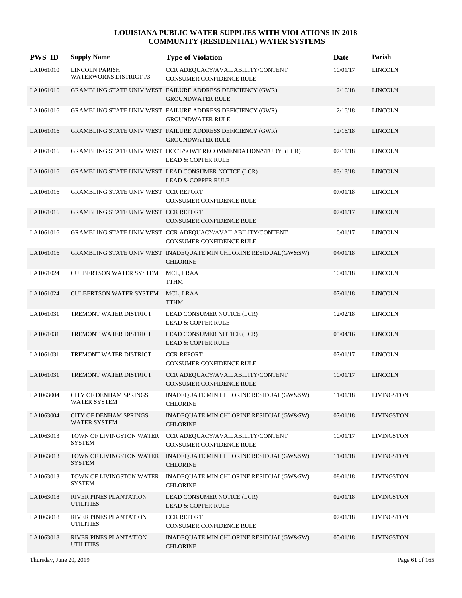| <b>PWS ID</b> | <b>Supply Name</b>                                   | <b>Type of Violation</b>                                                                        | Date     | Parish            |
|---------------|------------------------------------------------------|-------------------------------------------------------------------------------------------------|----------|-------------------|
| LA1061010     | LINCOLN PARISH<br><b>WATERWORKS DISTRICT #3</b>      | CCR ADEQUACY/AVAILABILITY/CONTENT<br>CONSUMER CONFIDENCE RULE                                   | 10/01/17 | <b>LINCOLN</b>    |
| LA1061016     |                                                      | GRAMBLING STATE UNIV WEST FAILURE ADDRESS DEFICIENCY (GWR)<br><b>GROUNDWATER RULE</b>           | 12/16/18 | <b>LINCOLN</b>    |
| LA1061016     |                                                      | GRAMBLING STATE UNIV WEST FAILURE ADDRESS DEFICIENCY (GWR)<br><b>GROUNDWATER RULE</b>           | 12/16/18 | <b>LINCOLN</b>    |
| LA1061016     |                                                      | GRAMBLING STATE UNIV WEST FAILURE ADDRESS DEFICIENCY (GWR)<br><b>GROUNDWATER RULE</b>           | 12/16/18 | <b>LINCOLN</b>    |
| LA1061016     |                                                      | GRAMBLING STATE UNIV WEST OCCT/SOWT RECOMMENDATION/STUDY (LCR)<br><b>LEAD &amp; COPPER RULE</b> | 07/11/18 | <b>LINCOLN</b>    |
| LA1061016     |                                                      | GRAMBLING STATE UNIV WEST LEAD CONSUMER NOTICE (LCR)<br><b>LEAD &amp; COPPER RULE</b>           | 03/18/18 | <b>LINCOLN</b>    |
| LA1061016     | GRAMBLING STATE UNIV WEST CCR REPORT                 | CONSUMER CONFIDENCE RULE                                                                        | 07/01/18 | <b>LINCOLN</b>    |
| LA1061016     | GRAMBLING STATE UNIV WEST CCR REPORT                 | CONSUMER CONFIDENCE RULE                                                                        | 07/01/17 | <b>LINCOLN</b>    |
| LA1061016     |                                                      | GRAMBLING STATE UNIV WEST CCR ADEQUACY/AVAILABILITY/CONTENT<br>CONSUMER CONFIDENCE RULE         | 10/01/17 | <b>LINCOLN</b>    |
| LA1061016     |                                                      | GRAMBLING STATE UNIV WEST INADEQUATE MIN CHLORINE RESIDUAL(GW&SW)<br><b>CHLORINE</b>            | 04/01/18 | <b>LINCOLN</b>    |
| LA1061024     | CULBERTSON WATER SYSTEM                              | MCL, LRAA<br><b>TTHM</b>                                                                        | 10/01/18 | <b>LINCOLN</b>    |
| LA1061024     | <b>CULBERTSON WATER SYSTEM</b>                       | MCL, LRAA<br><b>TTHM</b>                                                                        | 07/01/18 | <b>LINCOLN</b>    |
| LA1061031     | TREMONT WATER DISTRICT                               | LEAD CONSUMER NOTICE (LCR)<br><b>LEAD &amp; COPPER RULE</b>                                     | 12/02/18 | <b>LINCOLN</b>    |
| LA1061031     | TREMONT WATER DISTRICT                               | LEAD CONSUMER NOTICE (LCR)<br><b>LEAD &amp; COPPER RULE</b>                                     | 05/04/16 | <b>LINCOLN</b>    |
| LA1061031     | TREMONT WATER DISTRICT                               | <b>CCR REPORT</b><br><b>CONSUMER CONFIDENCE RULE</b>                                            | 07/01/17 | <b>LINCOLN</b>    |
| LA1061031     | TREMONT WATER DISTRICT                               | CCR ADEQUACY/AVAILABILITY/CONTENT<br><b>CONSUMER CONFIDENCE RULE</b>                            | 10/01/17 | <b>LINCOLN</b>    |
| LA1063004     | <b>CITY OF DENHAM SPRINGS</b><br><b>WATER SYSTEM</b> | INADEQUATE MIN CHLORINE RESIDUAL(GW&SW)<br><b>CHLORINE</b>                                      | 11/01/18 | <b>LIVINGSTON</b> |
| LA1063004     | <b>CITY OF DENHAM SPRINGS</b><br>WATER SYSTEM        | INADEQUATE MIN CHLORINE RESIDUAL(GW&SW)<br><b>CHLORINE</b>                                      | 07/01/18 | <b>LIVINGSTON</b> |
| LA1063013     | TOWN OF LIVINGSTON WATER<br><b>SYSTEM</b>            | CCR ADEQUACY/AVAILABILITY/CONTENT<br>CONSUMER CONFIDENCE RULE                                   | 10/01/17 | <b>LIVINGSTON</b> |
| LA1063013     | TOWN OF LIVINGSTON WATER<br><b>SYSTEM</b>            | INADEQUATE MIN CHLORINE RESIDUAL(GW&SW)<br><b>CHLORINE</b>                                      | 11/01/18 | <b>LIVINGSTON</b> |
| LA1063013     | TOWN OF LIVINGSTON WATER<br><b>SYSTEM</b>            | INADEQUATE MIN CHLORINE RESIDUAL(GW&SW)<br><b>CHLORINE</b>                                      | 08/01/18 | <b>LIVINGSTON</b> |
| LA1063018     | RIVER PINES PLANTATION<br><b>UTILITIES</b>           | LEAD CONSUMER NOTICE (LCR)<br><b>LEAD &amp; COPPER RULE</b>                                     | 02/01/18 | <b>LIVINGSTON</b> |
| LA1063018     | RIVER PINES PLANTATION<br><b>UTILITIES</b>           | <b>CCR REPORT</b><br>CONSUMER CONFIDENCE RULE                                                   | 07/01/18 | <b>LIVINGSTON</b> |
| LA1063018     | RIVER PINES PLANTATION<br><b>UTILITIES</b>           | INADEQUATE MIN CHLORINE RESIDUAL(GW&SW)<br><b>CHLORINE</b>                                      | 05/01/18 | <b>LIVINGSTON</b> |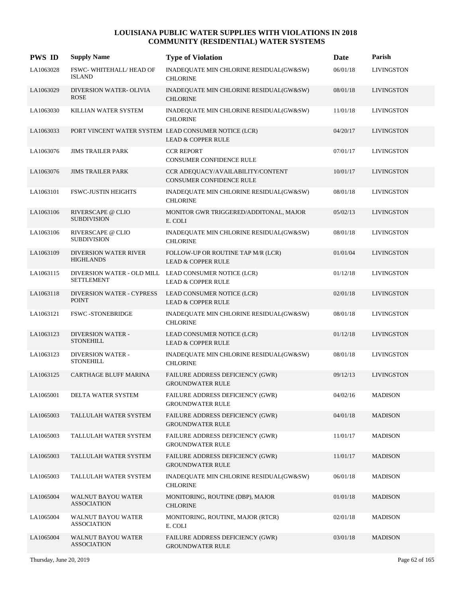| <b>PWS ID</b> | <b>Supply Name</b>                               | <b>Type of Violation</b>                                                               | Date     | Parish            |
|---------------|--------------------------------------------------|----------------------------------------------------------------------------------------|----------|-------------------|
| LA1063028     | FSWC-WHITEHALL/HEAD OF<br><b>ISLAND</b>          | INADEQUATE MIN CHLORINE RESIDUAL(GW&SW)<br><b>CHLORINE</b>                             | 06/01/18 | <b>LIVINGSTON</b> |
| LA1063029     | <b>DIVERSION WATER- OLIVIA</b><br><b>ROSE</b>    | INADEQUATE MIN CHLORINE RESIDUAL(GW&SW)<br><b>CHLORINE</b>                             | 08/01/18 | <b>LIVINGSTON</b> |
| LA1063030     | KILLIAN WATER SYSTEM                             | INADEQUATE MIN CHLORINE RESIDUAL(GW&SW)<br><b>CHLORINE</b>                             | 11/01/18 | <b>LIVINGSTON</b> |
| LA1063033     |                                                  | PORT VINCENT WATER SYSTEM LEAD CONSUMER NOTICE (LCR)<br><b>LEAD &amp; COPPER RULE</b>  | 04/20/17 | <b>LIVINGSTON</b> |
| LA1063076     | <b>JIMS TRAILER PARK</b>                         | <b>CCR REPORT</b><br><b>CONSUMER CONFIDENCE RULE</b>                                   | 07/01/17 | <b>LIVINGSTON</b> |
| LA1063076     | <b>JIMS TRAILER PARK</b>                         | CCR ADEQUACY/AVAILABILITY/CONTENT<br>CONSUMER CONFIDENCE RULE                          | 10/01/17 | <b>LIVINGSTON</b> |
| LA1063101     | <b>FSWC-JUSTIN HEIGHTS</b>                       | INADEQUATE MIN CHLORINE RESIDUAL(GW&SW)<br><b>CHLORINE</b>                             | 08/01/18 | <b>LIVINGSTON</b> |
| LA1063106     | RIVERSCAPE @ CLIO<br><b>SUBDIVISION</b>          | MONITOR GWR TRIGGERED/ADDITONAL, MAJOR<br>E. COLI                                      | 05/02/13 | <b>LIVINGSTON</b> |
| LA1063106     | RIVERSCAPE @ CLIO<br><b>SUBDIVISION</b>          | INADEQUATE MIN CHLORINE RESIDUAL(GW&SW)<br><b>CHLORINE</b>                             | 08/01/18 | <b>LIVINGSTON</b> |
| LA1063109     | <b>DIVERSION WATER RIVER</b><br><b>HIGHLANDS</b> | FOLLOW-UP OR ROUTINE TAP M/R (LCR)<br><b>LEAD &amp; COPPER RULE</b>                    | 01/01/04 | <b>LIVINGSTON</b> |
| LA1063115     | <b>SETTLEMENT</b>                                | DIVERSION WATER - OLD MILL LEAD CONSUMER NOTICE (LCR)<br><b>LEAD &amp; COPPER RULE</b> | 01/12/18 | LIVINGSTON        |
| LA1063118     | <b>DIVERSION WATER - CYPRESS</b><br><b>POINT</b> | LEAD CONSUMER NOTICE (LCR)<br><b>LEAD &amp; COPPER RULE</b>                            | 02/01/18 | <b>LIVINGSTON</b> |
| LA1063121     | <b>FSWC-STONEBRIDGE</b>                          | INADEQUATE MIN CHLORINE RESIDUAL(GW&SW)<br><b>CHLORINE</b>                             | 08/01/18 | <b>LIVINGSTON</b> |
| LA1063123     | <b>DIVERSION WATER -</b><br><b>STONEHILL</b>     | LEAD CONSUMER NOTICE (LCR)<br><b>LEAD &amp; COPPER RULE</b>                            | 01/12/18 | <b>LIVINGSTON</b> |
| LA1063123     | <b>DIVERSION WATER -</b><br><b>STONEHILL</b>     | INADEQUATE MIN CHLORINE RESIDUAL(GW&SW)<br><b>CHLORINE</b>                             | 08/01/18 | LIVINGSTON        |
| LA1063125     | <b>CARTHAGE BLUFF MARINA</b>                     | FAILURE ADDRESS DEFICIENCY (GWR)<br><b>GROUNDWATER RULE</b>                            | 09/12/13 | <b>LIVINGSTON</b> |
| LA1065001     | DELTA WATER SYSTEM                               | FAILURE ADDRESS DEFICIENCY (GWR)<br><b>GROUNDWATER RULE</b>                            | 04/02/16 | <b>MADISON</b>    |
| LA1065003     | TALLULAH WATER SYSTEM                            | <b>FAILURE ADDRESS DEFICIENCY (GWR)</b><br><b>GROUNDWATER RULE</b>                     | 04/01/18 | <b>MADISON</b>    |
| LA1065003     | TALLULAH WATER SYSTEM                            | FAILURE ADDRESS DEFICIENCY (GWR)<br><b>GROUNDWATER RULE</b>                            | 11/01/17 | <b>MADISON</b>    |
| LA1065003     | TALLULAH WATER SYSTEM                            | FAILURE ADDRESS DEFICIENCY (GWR)<br><b>GROUNDWATER RULE</b>                            | 11/01/17 | <b>MADISON</b>    |
| LA1065003     | TALLULAH WATER SYSTEM                            | INADEQUATE MIN CHLORINE RESIDUAL(GW&SW)<br><b>CHLORINE</b>                             | 06/01/18 | <b>MADISON</b>    |
| LA1065004     | WALNUT BAYOU WATER<br><b>ASSOCIATION</b>         | MONITORING, ROUTINE (DBP), MAJOR<br><b>CHLORINE</b>                                    | 01/01/18 | <b>MADISON</b>    |
| LA1065004     | WALNUT BAYOU WATER<br><b>ASSOCIATION</b>         | MONITORING, ROUTINE, MAJOR (RTCR)<br>E. COLI                                           | 02/01/18 | <b>MADISON</b>    |
| LA1065004     | WALNUT BAYOU WATER<br><b>ASSOCIATION</b>         | FAILURE ADDRESS DEFICIENCY (GWR)<br><b>GROUNDWATER RULE</b>                            | 03/01/18 | <b>MADISON</b>    |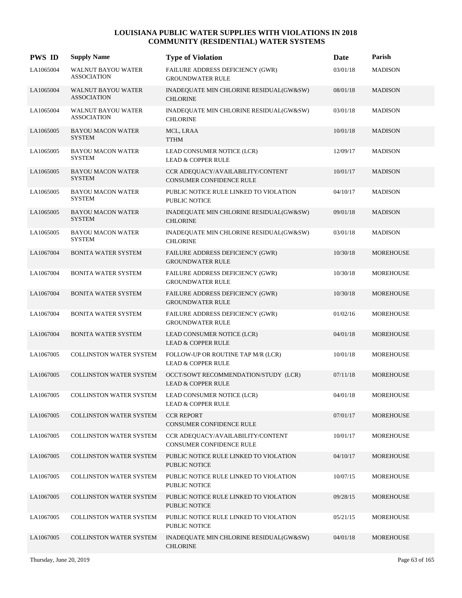| <b>PWS ID</b> | <b>Supply Name</b>                              | <b>Type of Violation</b>                                              | Date     | Parish           |
|---------------|-------------------------------------------------|-----------------------------------------------------------------------|----------|------------------|
| LA1065004     | <b>WALNUT BAYOU WATER</b><br><b>ASSOCIATION</b> | FAILURE ADDRESS DEFICIENCY (GWR)<br><b>GROUNDWATER RULE</b>           | 03/01/18 | <b>MADISON</b>   |
| LA1065004     | <b>WALNUT BAYOU WATER</b><br><b>ASSOCIATION</b> | INADEQUATE MIN CHLORINE RESIDUAL(GW&SW)<br><b>CHLORINE</b>            | 08/01/18 | <b>MADISON</b>   |
| LA1065004     | <b>WALNUT BAYOU WATER</b><br><b>ASSOCIATION</b> | INADEQUATE MIN CHLORINE RESIDUAL(GW&SW)<br><b>CHLORINE</b>            | 03/01/18 | <b>MADISON</b>   |
| LA1065005     | <b>BAYOU MACON WATER</b><br><b>SYSTEM</b>       | MCL, LRAA<br><b>TTHM</b>                                              | 10/01/18 | <b>MADISON</b>   |
| LA1065005     | <b>BAYOU MACON WATER</b><br><b>SYSTEM</b>       | LEAD CONSUMER NOTICE (LCR)<br><b>LEAD &amp; COPPER RULE</b>           | 12/09/17 | <b>MADISON</b>   |
| LA1065005     | <b>BAYOU MACON WATER</b><br><b>SYSTEM</b>       | CCR ADEQUACY/AVAILABILITY/CONTENT<br><b>CONSUMER CONFIDENCE RULE</b>  | 10/01/17 | <b>MADISON</b>   |
| LA1065005     | <b>BAYOU MACON WATER</b><br><b>SYSTEM</b>       | PUBLIC NOTICE RULE LINKED TO VIOLATION<br><b>PUBLIC NOTICE</b>        | 04/10/17 | <b>MADISON</b>   |
| LA1065005     | <b>BAYOU MACON WATER</b><br><b>SYSTEM</b>       | INADEQUATE MIN CHLORINE RESIDUAL(GW&SW)<br><b>CHLORINE</b>            | 09/01/18 | <b>MADISON</b>   |
| LA1065005     | <b>BAYOU MACON WATER</b><br><b>SYSTEM</b>       | INADEQUATE MIN CHLORINE RESIDUAL(GW&SW)<br><b>CHLORINE</b>            | 03/01/18 | <b>MADISON</b>   |
| LA1067004     | <b>BONITA WATER SYSTEM</b>                      | FAILURE ADDRESS DEFICIENCY (GWR)<br><b>GROUNDWATER RULE</b>           | 10/30/18 | <b>MOREHOUSE</b> |
| LA1067004     | <b>BONITA WATER SYSTEM</b>                      | FAILURE ADDRESS DEFICIENCY (GWR)<br><b>GROUNDWATER RULE</b>           | 10/30/18 | <b>MOREHOUSE</b> |
| LA1067004     | <b>BONITA WATER SYSTEM</b>                      | FAILURE ADDRESS DEFICIENCY (GWR)<br><b>GROUNDWATER RULE</b>           | 10/30/18 | <b>MOREHOUSE</b> |
| LA1067004     | <b>BONITA WATER SYSTEM</b>                      | FAILURE ADDRESS DEFICIENCY (GWR)<br><b>GROUNDWATER RULE</b>           | 01/02/16 | <b>MOREHOUSE</b> |
| LA1067004     | <b>BONITA WATER SYSTEM</b>                      | LEAD CONSUMER NOTICE (LCR)<br><b>LEAD &amp; COPPER RULE</b>           | 04/01/18 | <b>MOREHOUSE</b> |
| LA1067005     | COLLINSTON WATER SYSTEM                         | FOLLOW-UP OR ROUTINE TAP M/R (LCR)<br><b>LEAD &amp; COPPER RULE</b>   | 10/01/18 | <b>MOREHOUSE</b> |
| LA1067005     | <b>COLLINSTON WATER SYSTEM</b>                  | OCCT/SOWT RECOMMENDATION/STUDY (LCR)<br><b>LEAD &amp; COPPER RULE</b> | 07/11/18 | <b>MOREHOUSE</b> |
| LA1067005     | COLLINSTON WATER SYSTEM                         | LEAD CONSUMER NOTICE (LCR)<br><b>LEAD &amp; COPPER RULE</b>           | 04/01/18 | MOREHOUSE        |
| LA1067005     | <b>COLLINSTON WATER SYSTEM</b>                  | <b>CCR REPORT</b><br>CONSUMER CONFIDENCE RULE                         | 07/01/17 | <b>MOREHOUSE</b> |
| LA1067005     | <b>COLLINSTON WATER SYSTEM</b>                  | CCR ADEOUACY/AVAILABILITY/CONTENT<br>CONSUMER CONFIDENCE RULE         | 10/01/17 | <b>MOREHOUSE</b> |
| LA1067005     | <b>COLLINSTON WATER SYSTEM</b>                  | PUBLIC NOTICE RULE LINKED TO VIOLATION<br>PUBLIC NOTICE               | 04/10/17 | <b>MOREHOUSE</b> |
| LA1067005     | <b>COLLINSTON WATER SYSTEM</b>                  | PUBLIC NOTICE RULE LINKED TO VIOLATION<br>PUBLIC NOTICE               | 10/07/15 | <b>MOREHOUSE</b> |
| LA1067005     | <b>COLLINSTON WATER SYSTEM</b>                  | PUBLIC NOTICE RULE LINKED TO VIOLATION<br><b>PUBLIC NOTICE</b>        | 09/28/15 | <b>MOREHOUSE</b> |
| LA1067005     | <b>COLLINSTON WATER SYSTEM</b>                  | PUBLIC NOTICE RULE LINKED TO VIOLATION<br>PUBLIC NOTICE               | 05/21/15 | <b>MOREHOUSE</b> |
| LA1067005     | <b>COLLINSTON WATER SYSTEM</b>                  | INADEQUATE MIN CHLORINE RESIDUAL(GW&SW)<br><b>CHLORINE</b>            | 04/01/18 | <b>MOREHOUSE</b> |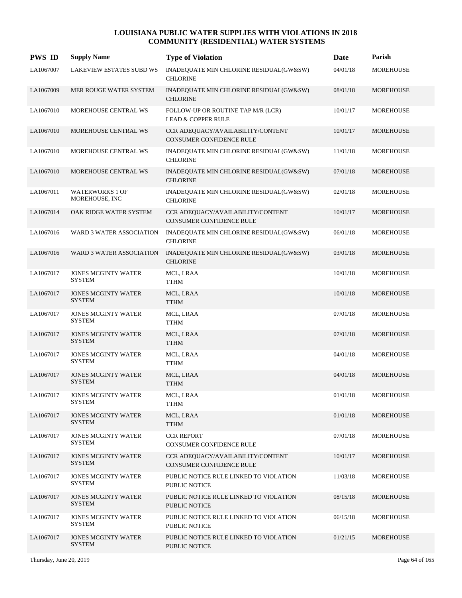| <b>PWS ID</b> | <b>Supply Name</b>                          | <b>Type of Violation</b>                                             | <b>Date</b> | Parish           |
|---------------|---------------------------------------------|----------------------------------------------------------------------|-------------|------------------|
| LA1067007     | LAKEVIEW ESTATES SUBD WS                    | INADEQUATE MIN CHLORINE RESIDUAL(GW&SW)<br><b>CHLORINE</b>           | 04/01/18    | <b>MOREHOUSE</b> |
| LA1067009     | MER ROUGE WATER SYSTEM                      | INADEQUATE MIN CHLORINE RESIDUAL(GW&SW)<br><b>CHLORINE</b>           | 08/01/18    | <b>MOREHOUSE</b> |
| LA1067010     | MOREHOUSE CENTRAL WS                        | FOLLOW-UP OR ROUTINE TAP M/R (LCR)<br><b>LEAD &amp; COPPER RULE</b>  | 10/01/17    | MOREHOUSE        |
| LA1067010     | MOREHOUSE CENTRAL WS                        | CCR ADEQUACY/AVAILABILITY/CONTENT<br>CONSUMER CONFIDENCE RULE        | 10/01/17    | MOREHOUSE        |
| LA1067010     | MOREHOUSE CENTRAL WS                        | INADEQUATE MIN CHLORINE RESIDUAL(GW&SW)<br><b>CHLORINE</b>           | 11/01/18    | <b>MOREHOUSE</b> |
| LA1067010     | MOREHOUSE CENTRAL WS                        | INADEQUATE MIN CHLORINE RESIDUAL(GW&SW)<br><b>CHLORINE</b>           | 07/01/18    | <b>MOREHOUSE</b> |
| LA1067011     | <b>WATERWORKS 1 OF</b><br>MOREHOUSE, INC    | INADEQUATE MIN CHLORINE RESIDUAL(GW&SW)<br><b>CHLORINE</b>           | 02/01/18    | MOREHOUSE        |
| LA1067014     | OAK RIDGE WATER SYSTEM                      | CCR ADEQUACY/AVAILABILITY/CONTENT<br>CONSUMER CONFIDENCE RULE        | 10/01/17    | <b>MOREHOUSE</b> |
| LA1067016     | WARD 3 WATER ASSOCIATION                    | INADEQUATE MIN CHLORINE RESIDUAL(GW&SW)<br><b>CHLORINE</b>           | 06/01/18    | <b>MOREHOUSE</b> |
| LA1067016     | WARD 3 WATER ASSOCIATION                    | INADEQUATE MIN CHLORINE RESIDUAL(GW&SW)<br><b>CHLORINE</b>           | 03/01/18    | <b>MOREHOUSE</b> |
| LA1067017     | <b>JONES MCGINTY WATER</b><br><b>SYSTEM</b> | MCL, LRAA<br><b>TTHM</b>                                             | 10/01/18    | <b>MOREHOUSE</b> |
| LA1067017     | <b>JONES MCGINTY WATER</b><br><b>SYSTEM</b> | MCL, LRAA<br><b>TTHM</b>                                             | 10/01/18    | <b>MOREHOUSE</b> |
| LA1067017     | JONES MCGINTY WATER<br><b>SYSTEM</b>        | MCL, LRAA<br><b>TTHM</b>                                             | 07/01/18    | <b>MOREHOUSE</b> |
| LA1067017     | <b>JONES MCGINTY WATER</b><br><b>SYSTEM</b> | MCL, LRAA<br><b>TTHM</b>                                             | 07/01/18    | <b>MOREHOUSE</b> |
| LA1067017     | <b>JONES MCGINTY WATER</b><br><b>SYSTEM</b> | MCL, LRAA<br><b>TTHM</b>                                             | 04/01/18    | <b>MOREHOUSE</b> |
| LA1067017     | <b>JONES MCGINTY WATER</b><br><b>SYSTEM</b> | MCL, LRAA<br><b>TTHM</b>                                             | 04/01/18    | <b>MOREHOUSE</b> |
| LA1067017     | <b>JONES MCGINTY WATER</b><br><b>SYSTEM</b> | MCL, LRAA<br><b>TTHM</b>                                             | 01/01/18    | MOREHOUSE        |
| LA1067017     | <b>JONES MCGINTY WATER</b><br><b>SYSTEM</b> | MCL, LRAA<br><b>TTHM</b>                                             | 01/01/18    | MOREHOUSE        |
| LA1067017     | <b>JONES MCGINTY WATER</b><br>SYSTEM        | <b>CCR REPORT</b><br><b>CONSUMER CONFIDENCE RULE</b>                 | 07/01/18    | MOREHOUSE        |
| LA1067017     | <b>JONES MCGINTY WATER</b><br><b>SYSTEM</b> | CCR ADEOUACY/AVAILABILITY/CONTENT<br><b>CONSUMER CONFIDENCE RULE</b> | 10/01/17    | MOREHOUSE        |
| LA1067017     | <b>JONES MCGINTY WATER</b><br><b>SYSTEM</b> | PUBLIC NOTICE RULE LINKED TO VIOLATION<br>PUBLIC NOTICE              | 11/03/18    | MOREHOUSE        |
| LA1067017     | <b>JONES MCGINTY WATER</b><br><b>SYSTEM</b> | PUBLIC NOTICE RULE LINKED TO VIOLATION<br>PUBLIC NOTICE              | 08/15/18    | MOREHOUSE        |
| LA1067017     | <b>JONES MCGINTY WATER</b><br><b>SYSTEM</b> | PUBLIC NOTICE RULE LINKED TO VIOLATION<br>PUBLIC NOTICE              | 06/15/18    | MOREHOUSE        |
| LA1067017     | <b>JONES MCGINTY WATER</b><br><b>SYSTEM</b> | PUBLIC NOTICE RULE LINKED TO VIOLATION<br>PUBLIC NOTICE              | 01/21/15    | MOREHOUSE        |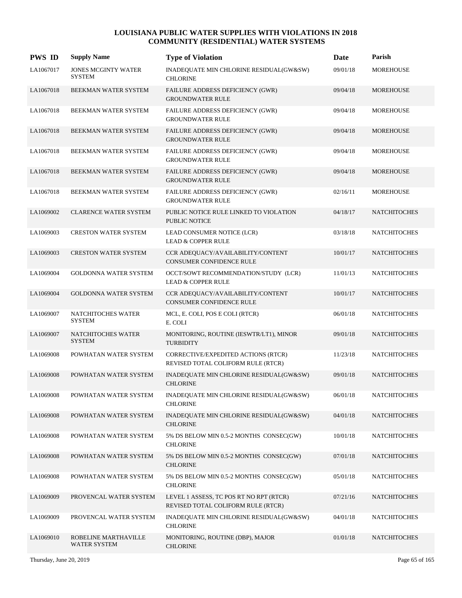| <b>PWS ID</b> | <b>Supply Name</b>                   | <b>Type of Violation</b>                                                      | Date     | Parish              |
|---------------|--------------------------------------|-------------------------------------------------------------------------------|----------|---------------------|
| LA1067017     | JONES MCGINTY WATER<br><b>SYSTEM</b> | INADEQUATE MIN CHLORINE RESIDUAL(GW&SW)<br><b>CHLORINE</b>                    | 09/01/18 | <b>MOREHOUSE</b>    |
| LA1067018     | BEEKMAN WATER SYSTEM                 | FAILURE ADDRESS DEFICIENCY (GWR)<br><b>GROUNDWATER RULE</b>                   | 09/04/18 | <b>MOREHOUSE</b>    |
| LA1067018     | BEEKMAN WATER SYSTEM                 | FAILURE ADDRESS DEFICIENCY (GWR)<br><b>GROUNDWATER RULE</b>                   | 09/04/18 | <b>MOREHOUSE</b>    |
| LA1067018     | BEEKMAN WATER SYSTEM                 | FAILURE ADDRESS DEFICIENCY (GWR)<br><b>GROUNDWATER RULE</b>                   | 09/04/18 | <b>MOREHOUSE</b>    |
| LA1067018     | BEEKMAN WATER SYSTEM                 | FAILURE ADDRESS DEFICIENCY (GWR)<br><b>GROUNDWATER RULE</b>                   | 09/04/18 | <b>MOREHOUSE</b>    |
| LA1067018     | BEEKMAN WATER SYSTEM                 | FAILURE ADDRESS DEFICIENCY (GWR)<br><b>GROUNDWATER RULE</b>                   | 09/04/18 | <b>MOREHOUSE</b>    |
| LA1067018     | BEEKMAN WATER SYSTEM                 | FAILURE ADDRESS DEFICIENCY (GWR)<br><b>GROUNDWATER RULE</b>                   | 02/16/11 | <b>MOREHOUSE</b>    |
| LA1069002     | <b>CLARENCE WATER SYSTEM</b>         | PUBLIC NOTICE RULE LINKED TO VIOLATION<br><b>PUBLIC NOTICE</b>                | 04/18/17 | <b>NATCHITOCHES</b> |
| LA1069003     | <b>CRESTON WATER SYSTEM</b>          | LEAD CONSUMER NOTICE (LCR)<br><b>LEAD &amp; COPPER RULE</b>                   | 03/18/18 | <b>NATCHITOCHES</b> |
| LA1069003     | <b>CRESTON WATER SYSTEM</b>          | CCR ADEQUACY/AVAILABILITY/CONTENT<br>CONSUMER CONFIDENCE RULE                 | 10/01/17 | <b>NATCHITOCHES</b> |
| LA1069004     | <b>GOLDONNA WATER SYSTEM</b>         | OCCT/SOWT RECOMMENDATION/STUDY (LCR)<br><b>LEAD &amp; COPPER RULE</b>         | 11/01/13 | <b>NATCHITOCHES</b> |
| LA1069004     | <b>GOLDONNA WATER SYSTEM</b>         | CCR ADEQUACY/AVAILABILITY/CONTENT<br>CONSUMER CONFIDENCE RULE                 | 10/01/17 | <b>NATCHITOCHES</b> |
| LA1069007     | NATCHITOCHES WATER<br><b>SYSTEM</b>  | MCL, E. COLI, POS E COLI (RTCR)<br>E. COLI                                    | 06/01/18 | <b>NATCHITOCHES</b> |
| LA1069007     | NATCHITOCHES WATER<br><b>SYSTEM</b>  | MONITORING, ROUTINE (IESWTR/LT1), MINOR<br><b>TURBIDITY</b>                   | 09/01/18 | <b>NATCHITOCHES</b> |
| LA1069008     | POWHATAN WATER SYSTEM                | CORRECTIVE/EXPEDITED ACTIONS (RTCR)<br>REVISED TOTAL COLIFORM RULE (RTCR)     | 11/23/18 | <b>NATCHITOCHES</b> |
| LA1069008     | POWHATAN WATER SYSTEM                | INADEQUATE MIN CHLORINE RESIDUAL(GW&SW)<br><b>CHLORINE</b>                    | 09/01/18 | <b>NATCHITOCHES</b> |
| LA1069008     | POWHATAN WATER SYSTEM                | INADEQUATE MIN CHLORINE RESIDUAL(GW&SW)<br><b>CHLORINE</b>                    | 06/01/18 | <b>NATCHITOCHES</b> |
| LA1069008     | POWHATAN WATER SYSTEM                | INADEQUATE MIN CHLORINE RESIDUAL(GW&SW)<br><b>CHLORINE</b>                    | 04/01/18 | <b>NATCHITOCHES</b> |
| LA1069008     | POWHATAN WATER SYSTEM                | 5% DS BELOW MIN 0.5-2 MONTHS CONSEC(GW)<br><b>CHLORINE</b>                    | 10/01/18 | <b>NATCHITOCHES</b> |
| LA1069008     | POWHATAN WATER SYSTEM                | 5% DS BELOW MIN 0.5-2 MONTHS CONSEC(GW)<br><b>CHLORINE</b>                    | 07/01/18 | <b>NATCHITOCHES</b> |
| LA1069008     | POWHATAN WATER SYSTEM                | 5% DS BELOW MIN 0.5-2 MONTHS CONSEC(GW)<br><b>CHLORINE</b>                    | 05/01/18 | <b>NATCHITOCHES</b> |
| LA1069009     | PROVENCAL WATER SYSTEM               | LEVEL 1 ASSESS, TC POS RT NO RPT (RTCR)<br>REVISED TOTAL COLIFORM RULE (RTCR) | 07/21/16 | <b>NATCHITOCHES</b> |
| LA1069009     | PROVENCAL WATER SYSTEM               | INADEQUATE MIN CHLORINE RESIDUAL(GW&SW)<br><b>CHLORINE</b>                    | 04/01/18 | <b>NATCHITOCHES</b> |
| LA1069010     | ROBELINE MARTHAVILLE<br>WATER SYSTEM | MONITORING, ROUTINE (DBP), MAJOR<br><b>CHLORINE</b>                           | 01/01/18 | <b>NATCHITOCHES</b> |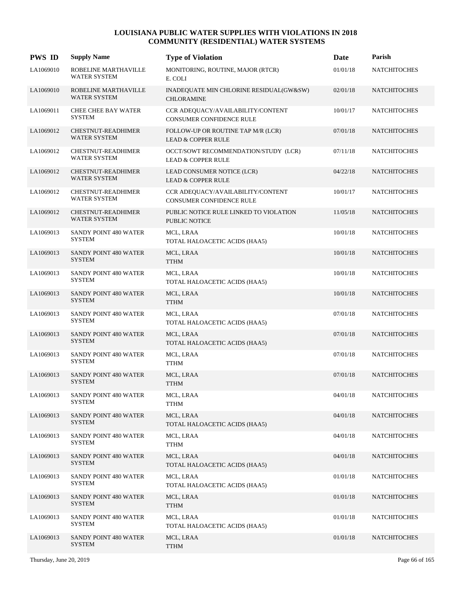| <b>PWS ID</b> | <b>Supply Name</b>                          | <b>Type of Violation</b>                                              | Date     | Parish              |
|---------------|---------------------------------------------|-----------------------------------------------------------------------|----------|---------------------|
| LA1069010     | ROBELINE MARTHAVILLE<br><b>WATER SYSTEM</b> | MONITORING, ROUTINE, MAJOR (RTCR)<br>E. COLI                          | 01/01/18 | <b>NATCHITOCHES</b> |
| LA1069010     | ROBELINE MARTHAVILLE<br><b>WATER SYSTEM</b> | INADEQUATE MIN CHLORINE RESIDUAL(GW&SW)<br><b>CHLORAMINE</b>          | 02/01/18 | <b>NATCHITOCHES</b> |
| LA1069011     | <b>CHEE CHEE BAY WATER</b><br><b>SYSTEM</b> | CCR ADEQUACY/AVAILABILITY/CONTENT<br><b>CONSUMER CONFIDENCE RULE</b>  | 10/01/17 | <b>NATCHITOCHES</b> |
| LA1069012     | CHESTNUT-READHIMER<br>WATER SYSTEM          | FOLLOW-UP OR ROUTINE TAP M/R (LCR)<br><b>LEAD &amp; COPPER RULE</b>   | 07/01/18 | <b>NATCHITOCHES</b> |
| LA1069012     | <b>CHESTNUT-READHIMER</b><br>WATER SYSTEM   | OCCT/SOWT RECOMMENDATION/STUDY (LCR)<br><b>LEAD &amp; COPPER RULE</b> | 07/11/18 | <b>NATCHITOCHES</b> |
| LA1069012     | CHESTNUT-READHIMER<br><b>WATER SYSTEM</b>   | LEAD CONSUMER NOTICE (LCR)<br><b>LEAD &amp; COPPER RULE</b>           | 04/22/18 | <b>NATCHITOCHES</b> |
| LA1069012     | CHESTNUT-READHIMER<br><b>WATER SYSTEM</b>   | CCR ADEQUACY/AVAILABILITY/CONTENT<br>CONSUMER CONFIDENCE RULE         | 10/01/17 | <b>NATCHITOCHES</b> |
| LA1069012     | CHESTNUT-READHIMER<br><b>WATER SYSTEM</b>   | PUBLIC NOTICE RULE LINKED TO VIOLATION<br><b>PUBLIC NOTICE</b>        | 11/05/18 | <b>NATCHITOCHES</b> |
| LA1069013     | SANDY POINT 480 WATER<br><b>SYSTEM</b>      | MCL, LRAA<br>TOTAL HALOACETIC ACIDS (HAA5)                            | 10/01/18 | <b>NATCHITOCHES</b> |
| LA1069013     | SANDY POINT 480 WATER<br><b>SYSTEM</b>      | MCL, LRAA<br><b>TTHM</b>                                              | 10/01/18 | <b>NATCHITOCHES</b> |
| LA1069013     | SANDY POINT 480 WATER<br><b>SYSTEM</b>      | MCL, LRAA<br>TOTAL HALOACETIC ACIDS (HAA5)                            | 10/01/18 | <b>NATCHITOCHES</b> |
| LA1069013     | SANDY POINT 480 WATER<br><b>SYSTEM</b>      | MCL, LRAA<br><b>TTHM</b>                                              | 10/01/18 | <b>NATCHITOCHES</b> |
| LA1069013     | SANDY POINT 480 WATER<br><b>SYSTEM</b>      | MCL, LRAA<br>TOTAL HALOACETIC ACIDS (HAA5)                            | 07/01/18 | <b>NATCHITOCHES</b> |
| LA1069013     | SANDY POINT 480 WATER<br><b>SYSTEM</b>      | MCL, LRAA<br>TOTAL HALOACETIC ACIDS (HAA5)                            | 07/01/18 | <b>NATCHITOCHES</b> |
| LA1069013     | SANDY POINT 480 WATER<br><b>SYSTEM</b>      | MCL, LRAA<br><b>TTHM</b>                                              | 07/01/18 | <b>NATCHITOCHES</b> |
| LA1069013     | SANDY POINT 480 WATER<br><b>SYSTEM</b>      | MCL, LRAA<br><b>TTHM</b>                                              | 07/01/18 | <b>NATCHITOCHES</b> |
| LA1069013     | SANDY POINT 480 WATER<br><b>SYSTEM</b>      | MCL, LRAA<br><b>TTHM</b>                                              | 04/01/18 | <b>NATCHITOCHES</b> |
| LA1069013     | SANDY POINT 480 WATER<br><b>SYSTEM</b>      | MCL, LRAA<br>TOTAL HALOACETIC ACIDS (HAA5)                            | 04/01/18 | <b>NATCHITOCHES</b> |
| LA1069013     | SANDY POINT 480 WATER<br><b>SYSTEM</b>      | MCL, LRAA<br>TTHM                                                     | 04/01/18 | <b>NATCHITOCHES</b> |
| LA1069013     | SANDY POINT 480 WATER<br><b>SYSTEM</b>      | MCL, LRAA<br>TOTAL HALOACETIC ACIDS (HAA5)                            | 04/01/18 | <b>NATCHITOCHES</b> |
| LA1069013     | SANDY POINT 480 WATER<br><b>SYSTEM</b>      | MCL, LRAA<br>TOTAL HALOACETIC ACIDS (HAA5)                            | 01/01/18 | <b>NATCHITOCHES</b> |
| LA1069013     | SANDY POINT 480 WATER<br><b>SYSTEM</b>      | MCL, LRAA<br>TTHM                                                     | 01/01/18 | <b>NATCHITOCHES</b> |
| LA1069013     | SANDY POINT 480 WATER<br>SYSTEM             | MCL, LRAA<br>TOTAL HALOACETIC ACIDS (HAA5)                            | 01/01/18 | <b>NATCHITOCHES</b> |
| LA1069013     | SANDY POINT 480 WATER<br><b>SYSTEM</b>      | MCL, LRAA<br>TTHM                                                     | 01/01/18 | <b>NATCHITOCHES</b> |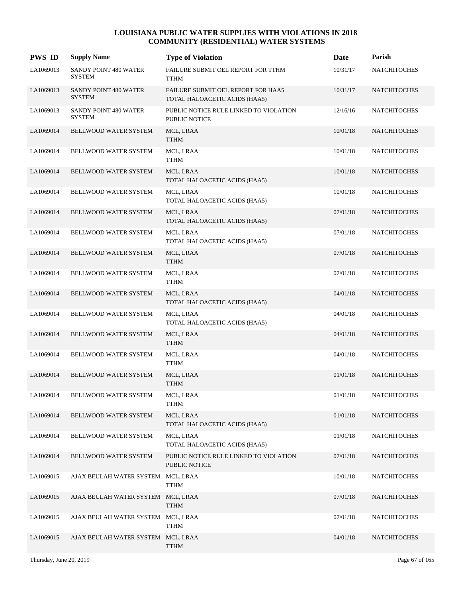| <b>PWS ID</b> | <b>Supply Name</b>                     | <b>Type of Violation</b>                                            | Date     | Parish              |
|---------------|----------------------------------------|---------------------------------------------------------------------|----------|---------------------|
| LA1069013     | SANDY POINT 480 WATER<br><b>SYSTEM</b> | FAILURE SUBMIT OEL REPORT FOR TTHM<br>TTHM                          | 10/31/17 | <b>NATCHITOCHES</b> |
| LA1069013     | SANDY POINT 480 WATER<br><b>SYSTEM</b> | FAILURE SUBMIT OEL REPORT FOR HAA5<br>TOTAL HALOACETIC ACIDS (HAA5) | 10/31/17 | <b>NATCHITOCHES</b> |
| LA1069013     | SANDY POINT 480 WATER<br><b>SYSTEM</b> | PUBLIC NOTICE RULE LINKED TO VIOLATION<br><b>PUBLIC NOTICE</b>      | 12/16/16 | <b>NATCHITOCHES</b> |
| LA1069014     | <b>BELLWOOD WATER SYSTEM</b>           | MCL, LRAA<br><b>TTHM</b>                                            | 10/01/18 | <b>NATCHITOCHES</b> |
| LA1069014     | BELLWOOD WATER SYSTEM                  | MCL, LRAA<br><b>TTHM</b>                                            | 10/01/18 | <b>NATCHITOCHES</b> |
| LA1069014     | <b>BELLWOOD WATER SYSTEM</b>           | MCL, LRAA<br>TOTAL HALOACETIC ACIDS (HAA5)                          | 10/01/18 | <b>NATCHITOCHES</b> |
| LA1069014     | BELLWOOD WATER SYSTEM                  | MCL, LRAA<br>TOTAL HALOACETIC ACIDS (HAA5)                          | 10/01/18 | <b>NATCHITOCHES</b> |
| LA1069014     | <b>BELLWOOD WATER SYSTEM</b>           | MCL, LRAA<br>TOTAL HALOACETIC ACIDS (HAA5)                          | 07/01/18 | <b>NATCHITOCHES</b> |
| LA1069014     | BELLWOOD WATER SYSTEM                  | MCL, LRAA<br>TOTAL HALOACETIC ACIDS (HAA5)                          | 07/01/18 | <b>NATCHITOCHES</b> |
| LA1069014     | <b>BELLWOOD WATER SYSTEM</b>           | MCL, LRAA<br><b>TTHM</b>                                            | 07/01/18 | <b>NATCHITOCHES</b> |
| LA1069014     | BELLWOOD WATER SYSTEM                  | MCL, LRAA<br><b>TTHM</b>                                            | 07/01/18 | <b>NATCHITOCHES</b> |
| LA1069014     | <b>BELLWOOD WATER SYSTEM</b>           | MCL, LRAA<br>TOTAL HALOACETIC ACIDS (HAA5)                          | 04/01/18 | <b>NATCHITOCHES</b> |
| LA1069014     | BELLWOOD WATER SYSTEM                  | MCL, LRAA<br>TOTAL HALOACETIC ACIDS (HAA5)                          | 04/01/18 | <b>NATCHITOCHES</b> |
| LA1069014     | <b>BELLWOOD WATER SYSTEM</b>           | MCL, LRAA<br><b>TTHM</b>                                            | 04/01/18 | <b>NATCHITOCHES</b> |
| LA1069014     | BELLWOOD WATER SYSTEM                  | MCL, LRAA<br><b>TTHM</b>                                            | 04/01/18 | <b>NATCHITOCHES</b> |
| LA1069014     | <b>BELLWOOD WATER SYSTEM</b>           | MCL, LRAA<br><b>TTHM</b>                                            | 01/01/18 | <b>NATCHITOCHES</b> |
| LA1069014     | BELLWOOD WATER SYSTEM                  | MCL, LRAA<br><b>TTHM</b>                                            | 01/01/18 | <b>NATCHITOCHES</b> |
| LA1069014     | BELLWOOD WATER SYSTEM                  | MCL, LRAA<br>TOTAL HALOACETIC ACIDS (HAA5)                          | 01/01/18 | <b>NATCHITOCHES</b> |
| LA1069014     | BELLWOOD WATER SYSTEM                  | MCL, LRAA<br>TOTAL HALOACETIC ACIDS (HAA5)                          | 01/01/18 | <b>NATCHITOCHES</b> |
| LA1069014     | BELLWOOD WATER SYSTEM                  | PUBLIC NOTICE RULE LINKED TO VIOLATION<br>PUBLIC NOTICE             | 07/01/18 | <b>NATCHITOCHES</b> |
| LA1069015     | AJAX BEULAH WATER SYSTEM MCL, LRAA     | TTHM                                                                | 10/01/18 | <b>NATCHITOCHES</b> |
| LA1069015     | AJAX BEULAH WATER SYSTEM MCL, LRAA     | <b>TTHM</b>                                                         | 07/01/18 | <b>NATCHITOCHES</b> |
| LA1069015     | AJAX BEULAH WATER SYSTEM MCL, LRAA     | <b>TTHM</b>                                                         | 07/01/18 | <b>NATCHITOCHES</b> |
| LA1069015     | AJAX BEULAH WATER SYSTEM MCL, LRAA     | <b>TTHM</b>                                                         | 04/01/18 | <b>NATCHITOCHES</b> |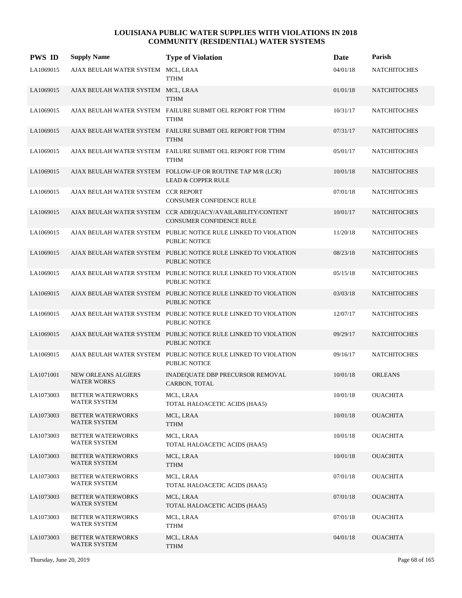| <b>PWS ID</b> | <b>Supply Name</b>                               | <b>Type of Violation</b>                                                                      | <b>Date</b> | Parish              |
|---------------|--------------------------------------------------|-----------------------------------------------------------------------------------------------|-------------|---------------------|
| LA1069015     | AJAX BEULAH WATER SYSTEM                         | MCL, LRAA<br><b>TTHM</b>                                                                      | 04/01/18    | <b>NATCHITOCHES</b> |
| LA1069015     | AJAX BEULAH WATER SYSTEM MCL, LRAA               | <b>TTHM</b>                                                                                   | 01/01/18    | <b>NATCHITOCHES</b> |
| LA1069015     |                                                  | AJAX BEULAH WATER SYSTEM FAILURE SUBMIT OEL REPORT FOR TTHM<br><b>TTHM</b>                    | 10/31/17    | <b>NATCHITOCHES</b> |
| LA1069015     |                                                  | AJAX BEULAH WATER SYSTEM FAILURE SUBMIT OEL REPORT FOR TTHM<br><b>TTHM</b>                    | 07/31/17    | <b>NATCHITOCHES</b> |
| LA1069015     |                                                  | AJAX BEULAH WATER SYSTEM FAILURE SUBMIT OEL REPORT FOR TTHM<br><b>TTHM</b>                    | 05/01/17    | <b>NATCHITOCHES</b> |
| LA1069015     |                                                  | AJAX BEULAH WATER SYSTEM FOLLOW-UP OR ROUTINE TAP M/R (LCR)<br><b>LEAD &amp; COPPER RULE</b>  | 10/01/18    | <b>NATCHITOCHES</b> |
| LA1069015     | AJAX BEULAH WATER SYSTEM CCR REPORT              | CONSUMER CONFIDENCE RULE                                                                      | 07/01/18    | <b>NATCHITOCHES</b> |
| LA1069015     |                                                  | AJAX BEULAH WATER SYSTEM CCR ADEOUACY/AVAILABILITY/CONTENT<br><b>CONSUMER CONFIDENCE RULE</b> | 10/01/17    | <b>NATCHITOCHES</b> |
| LA1069015     |                                                  | AJAX BEULAH WATER SYSTEM PUBLIC NOTICE RULE LINKED TO VIOLATION<br>PUBLIC NOTICE              | 11/20/18    | <b>NATCHITOCHES</b> |
| LA1069015     |                                                  | AJAX BEULAH WATER SYSTEM PUBLIC NOTICE RULE LINKED TO VIOLATION<br><b>PUBLIC NOTICE</b>       | 08/23/18    | <b>NATCHITOCHES</b> |
| LA1069015     |                                                  | AJAX BEULAH WATER SYSTEM PUBLIC NOTICE RULE LINKED TO VIOLATION<br><b>PUBLIC NOTICE</b>       | 05/15/18    | <b>NATCHITOCHES</b> |
| LA1069015     |                                                  | AJAX BEULAH WATER SYSTEM PUBLIC NOTICE RULE LINKED TO VIOLATION<br><b>PUBLIC NOTICE</b>       | 03/03/18    | <b>NATCHITOCHES</b> |
| LA1069015     |                                                  | AJAX BEULAH WATER SYSTEM PUBLIC NOTICE RULE LINKED TO VIOLATION<br>PUBLIC NOTICE              | 12/07/17    | <b>NATCHITOCHES</b> |
| LA1069015     |                                                  | AJAX BEULAH WATER SYSTEM PUBLIC NOTICE RULE LINKED TO VIOLATION<br><b>PUBLIC NOTICE</b>       | 09/29/17    | <b>NATCHITOCHES</b> |
| LA1069015     |                                                  | AJAX BEULAH WATER SYSTEM PUBLIC NOTICE RULE LINKED TO VIOLATION<br>PUBLIC NOTICE              | 09/16/17    | <b>NATCHITOCHES</b> |
| LA1071001     | <b>NEW ORLEANS ALGIERS</b><br><b>WATER WORKS</b> | INADEQUATE DBP PRECURSOR REMOVAL<br>CARBON, TOTAL                                             | 10/01/18    | <b>ORLEANS</b>      |
| LA1073003     | <b>BETTER WATERWORKS</b><br><b>WATER SYSTEM</b>  | MCL, LRAA<br>TOTAL HALOACETIC ACIDS (HAA5)                                                    | 10/01/18    | <b>OUACHITA</b>     |
| LA1073003     | <b>BETTER WATERWORKS</b><br><b>WATER SYSTEM</b>  | MCL, LRAA<br><b>TTHM</b>                                                                      | 10/01/18    | <b>OUACHITA</b>     |
| LA1073003     | <b>BETTER WATERWORKS</b><br><b>WATER SYSTEM</b>  | MCL, LRAA<br>TOTAL HALOACETIC ACIDS (HAA5)                                                    | 10/01/18    | <b>OUACHITA</b>     |
| LA1073003     | <b>BETTER WATERWORKS</b><br>WATER SYSTEM         | MCL, LRAA<br><b>TTHM</b>                                                                      | 10/01/18    | <b>OUACHITA</b>     |
| LA1073003     | <b>BETTER WATERWORKS</b><br><b>WATER SYSTEM</b>  | MCL, LRAA<br>TOTAL HALOACETIC ACIDS (HAA5)                                                    | 07/01/18    | <b>OUACHITA</b>     |
| LA1073003     | <b>BETTER WATERWORKS</b><br>WATER SYSTEM         | MCL, LRAA<br>TOTAL HALOACETIC ACIDS (HAA5)                                                    | 07/01/18    | <b>OUACHITA</b>     |
| LA1073003     | <b>BETTER WATERWORKS</b><br>WATER SYSTEM         | MCL, LRAA<br>TTHM                                                                             | 07/01/18    | <b>OUACHITA</b>     |
| LA1073003     | <b>BETTER WATERWORKS</b><br>WATER SYSTEM         | MCL, LRAA<br>TTHM                                                                             | 04/01/18    | <b>OUACHITA</b>     |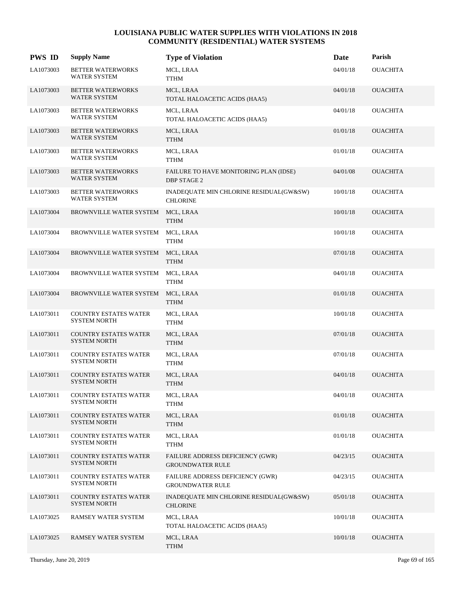| <b>PWS ID</b> | <b>Supply Name</b>                                  | <b>Type of Violation</b>                                           | <b>Date</b> | Parish          |
|---------------|-----------------------------------------------------|--------------------------------------------------------------------|-------------|-----------------|
| LA1073003     | <b>BETTER WATERWORKS</b><br>WATER SYSTEM            | MCL, LRAA<br><b>TTHM</b>                                           | 04/01/18    | <b>OUACHITA</b> |
| LA1073003     | <b>BETTER WATERWORKS</b><br>WATER SYSTEM            | MCL, LRAA<br>TOTAL HALOACETIC ACIDS (HAA5)                         | 04/01/18    | <b>OUACHITA</b> |
| LA1073003     | <b>BETTER WATERWORKS</b><br><b>WATER SYSTEM</b>     | MCL, LRAA<br>TOTAL HALOACETIC ACIDS (HAA5)                         | 04/01/18    | <b>OUACHITA</b> |
| LA1073003     | <b>BETTER WATERWORKS</b><br>WATER SYSTEM            | MCL, LRAA<br><b>TTHM</b>                                           | 01/01/18    | <b>OUACHITA</b> |
| LA1073003     | <b>BETTER WATERWORKS</b><br><b>WATER SYSTEM</b>     | MCL, LRAA<br><b>TTHM</b>                                           | 01/01/18    | <b>OUACHITA</b> |
| LA1073003     | <b>BETTER WATERWORKS</b><br>WATER SYSTEM            | FAILURE TO HAVE MONITORING PLAN (IDSE)<br><b>DBP STAGE 2</b>       | 04/01/08    | <b>OUACHITA</b> |
| LA1073003     | <b>BETTER WATERWORKS</b><br><b>WATER SYSTEM</b>     | INADEQUATE MIN CHLORINE RESIDUAL(GW&SW)<br><b>CHLORINE</b>         | 10/01/18    | <b>OUACHITA</b> |
| LA1073004     | <b>BROWNVILLE WATER SYSTEM</b>                      | MCL, LRAA<br><b>TTHM</b>                                           | 10/01/18    | <b>OUACHITA</b> |
| LA1073004     | BROWNVILLE WATER SYSTEM                             | MCL, LRAA<br>TTHM                                                  | 10/01/18    | <b>OUACHITA</b> |
| LA1073004     | BROWNVILLE WATER SYSTEM                             | MCL, LRAA<br><b>TTHM</b>                                           | 07/01/18    | <b>OUACHITA</b> |
| LA1073004     | BROWNVILLE WATER SYSTEM                             | MCL, LRAA<br><b>TTHM</b>                                           | 04/01/18    | <b>OUACHITA</b> |
| LA1073004     | <b>BROWNVILLE WATER SYSTEM</b>                      | MCL, LRAA<br><b>TTHM</b>                                           | 01/01/18    | <b>OUACHITA</b> |
| LA1073011     | COUNTRY ESTATES WATER<br><b>SYSTEM NORTH</b>        | MCL, LRAA<br>TTHM                                                  | 10/01/18    | <b>OUACHITA</b> |
| LA1073011     | <b>COUNTRY ESTATES WATER</b><br><b>SYSTEM NORTH</b> | MCL, LRAA<br><b>TTHM</b>                                           | 07/01/18    | <b>OUACHITA</b> |
| LA1073011     | <b>COUNTRY ESTATES WATER</b><br><b>SYSTEM NORTH</b> | MCL, LRAA<br><b>TTHM</b>                                           | 07/01/18    | <b>OUACHITA</b> |
| LA1073011     | <b>COUNTRY ESTATES WATER</b><br><b>SYSTEM NORTH</b> | MCL, LRAA<br><b>TTHM</b>                                           | 04/01/18    | <b>OUACHITA</b> |
| LA1073011     | <b>COUNTRY ESTATES WATER</b><br><b>SYSTEM NORTH</b> | MCL, LRAA<br>TTHM                                                  | 04/01/18    | <b>OUACHITA</b> |
| LA1073011     | <b>COUNTRY ESTATES WATER</b><br><b>SYSTEM NORTH</b> | MCL, LRAA<br><b>TTHM</b>                                           | 01/01/18    | <b>OUACHITA</b> |
| LA1073011     | <b>COUNTRY ESTATES WATER</b><br><b>SYSTEM NORTH</b> | MCL, LRAA<br><b>TTHM</b>                                           | 01/01/18    | <b>OUACHITA</b> |
| LA1073011     | <b>COUNTRY ESTATES WATER</b><br><b>SYSTEM NORTH</b> | FAILURE ADDRESS DEFICIENCY (GWR)<br><b>GROUNDWATER RULE</b>        | 04/23/15    | <b>OUACHITA</b> |
| LA1073011     | <b>COUNTRY ESTATES WATER</b><br><b>SYSTEM NORTH</b> | <b>FAILURE ADDRESS DEFICIENCY (GWR)</b><br><b>GROUNDWATER RULE</b> | 04/23/15    | <b>OUACHITA</b> |
| LA1073011     | <b>COUNTRY ESTATES WATER</b><br><b>SYSTEM NORTH</b> | INADEQUATE MIN CHLORINE RESIDUAL(GW&SW)<br><b>CHLORINE</b>         | 05/01/18    | <b>OUACHITA</b> |
| LA1073025     | RAMSEY WATER SYSTEM                                 | MCL, LRAA<br>TOTAL HALOACETIC ACIDS (HAA5)                         | 10/01/18    | OUACHITA        |
| LA1073025     | RAMSEY WATER SYSTEM                                 | MCL, LRAA<br><b>TTHM</b>                                           | 10/01/18    | <b>OUACHITA</b> |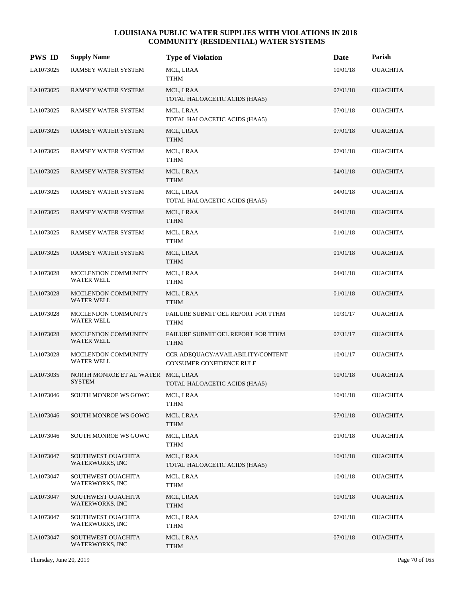| <b>PWS ID</b> | <b>Supply Name</b>                                  | <b>Type of Violation</b>                                             | Date     | Parish          |
|---------------|-----------------------------------------------------|----------------------------------------------------------------------|----------|-----------------|
| LA1073025     | RAMSEY WATER SYSTEM                                 | MCL, LRAA<br>TTHM                                                    | 10/01/18 | <b>OUACHITA</b> |
| LA1073025     | RAMSEY WATER SYSTEM                                 | MCL, LRAA<br>TOTAL HALOACETIC ACIDS (HAA5)                           | 07/01/18 | <b>OUACHITA</b> |
| LA1073025     | RAMSEY WATER SYSTEM                                 | MCL, LRAA<br>TOTAL HALOACETIC ACIDS (HAA5)                           | 07/01/18 | <b>OUACHITA</b> |
| LA1073025     | RAMSEY WATER SYSTEM                                 | MCL, LRAA<br><b>TTHM</b>                                             | 07/01/18 | <b>OUACHITA</b> |
| LA1073025     | RAMSEY WATER SYSTEM                                 | MCL, LRAA<br><b>TTHM</b>                                             | 07/01/18 | <b>OUACHITA</b> |
| LA1073025     | RAMSEY WATER SYSTEM                                 | MCL, LRAA<br><b>TTHM</b>                                             | 04/01/18 | <b>OUACHITA</b> |
| LA1073025     | RAMSEY WATER SYSTEM                                 | MCL, LRAA<br>TOTAL HALOACETIC ACIDS (HAA5)                           | 04/01/18 | <b>OUACHITA</b> |
| LA1073025     | RAMSEY WATER SYSTEM                                 | MCL, LRAA<br><b>TTHM</b>                                             | 04/01/18 | <b>OUACHITA</b> |
| LA1073025     | RAMSEY WATER SYSTEM                                 | MCL, LRAA<br><b>TTHM</b>                                             | 01/01/18 | <b>OUACHITA</b> |
| LA1073025     | RAMSEY WATER SYSTEM                                 | MCL, LRAA<br><b>TTHM</b>                                             | 01/01/18 | <b>OUACHITA</b> |
| LA1073028     | MCCLENDON COMMUNITY<br><b>WATER WELL</b>            | MCL, LRAA<br><b>TTHM</b>                                             | 04/01/18 | <b>OUACHITA</b> |
| LA1073028     | MCCLENDON COMMUNITY<br><b>WATER WELL</b>            | MCL, LRAA<br><b>TTHM</b>                                             | 01/01/18 | <b>OUACHITA</b> |
| LA1073028     | MCCLENDON COMMUNITY<br><b>WATER WELL</b>            | FAILURE SUBMIT OEL REPORT FOR TTHM<br><b>TTHM</b>                    | 10/31/17 | <b>OUACHITA</b> |
| LA1073028     | MCCLENDON COMMUNITY<br><b>WATER WELL</b>            | FAILURE SUBMIT OEL REPORT FOR TTHM<br><b>TTHM</b>                    | 07/31/17 | <b>OUACHITA</b> |
| LA1073028     | MCCLENDON COMMUNITY<br>WATER WELL                   | CCR ADEQUACY/AVAILABILITY/CONTENT<br><b>CONSUMER CONFIDENCE RULE</b> | 10/01/17 | <b>OUACHITA</b> |
| LA1073035     | NORTH MONROE ET AL WATER MCL, LRAA<br><b>SYSTEM</b> | TOTAL HALOACETIC ACIDS (HAA5)                                        | 10/01/18 | <b>OUACHITA</b> |
| LA1073046     | SOUTH MONROE WS GOWC                                | MCL, LRAA<br><b>TTHM</b>                                             | 10/01/18 | <b>OUACHITA</b> |
| LA1073046     | SOUTH MONROE WS GOWC                                | MCL, LRAA<br>TTHM                                                    | 07/01/18 | <b>OUACHITA</b> |
| LA1073046     | SOUTH MONROE WS GOWC                                | MCL, LRAA<br><b>TTHM</b>                                             | 01/01/18 | <b>OUACHITA</b> |
| LA1073047     | SOUTHWEST OUACHITA<br>WATERWORKS, INC               | MCL, LRAA<br>TOTAL HALOACETIC ACIDS (HAA5)                           | 10/01/18 | <b>OUACHITA</b> |
| LA1073047     | SOUTHWEST OUACHITA<br>WATERWORKS, INC               | MCL, LRAA<br><b>TTHM</b>                                             | 10/01/18 | <b>OUACHITA</b> |
| LA1073047     | SOUTHWEST OUACHITA<br>WATERWORKS, INC               | MCL, LRAA<br>TTHM                                                    | 10/01/18 | <b>OUACHITA</b> |
| LA1073047     | SOUTHWEST OUACHITA<br>WATERWORKS, INC               | MCL, LRAA<br>TTHM                                                    | 07/01/18 | <b>OUACHITA</b> |
| LA1073047     | SOUTHWEST OUACHITA<br>WATERWORKS, INC               | MCL, LRAA<br><b>TTHM</b>                                             | 07/01/18 | <b>OUACHITA</b> |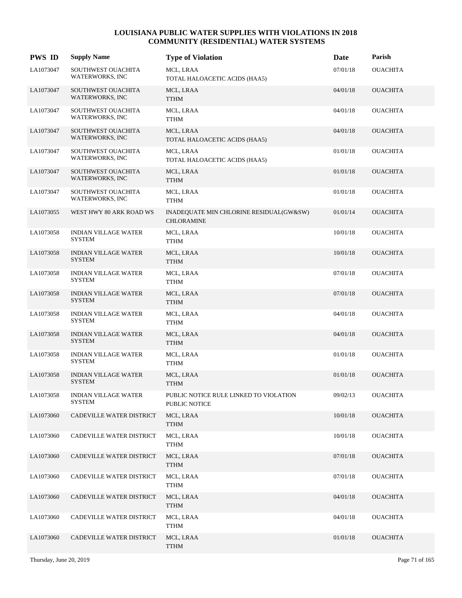| <b>PWS ID</b> | <b>Supply Name</b>                           | <b>Type of Violation</b>                                     | Date     | Parish          |
|---------------|----------------------------------------------|--------------------------------------------------------------|----------|-----------------|
| LA1073047     | SOUTHWEST OUACHITA<br>WATERWORKS, INC        | MCL, LRAA<br>TOTAL HALOACETIC ACIDS (HAA5)                   | 07/01/18 | <b>OUACHITA</b> |
| LA1073047     | SOUTHWEST OUACHITA<br>WATERWORKS, INC        | MCL, LRAA<br><b>TTHM</b>                                     | 04/01/18 | <b>OUACHITA</b> |
| LA1073047     | SOUTHWEST OUACHITA<br>WATERWORKS, INC        | MCL, LRAA<br>TTHM                                            | 04/01/18 | <b>OUACHITA</b> |
| LA1073047     | SOUTHWEST OUACHITA<br>WATERWORKS, INC        | MCL, LRAA<br>TOTAL HALOACETIC ACIDS (HAA5)                   | 04/01/18 | <b>OUACHITA</b> |
| LA1073047     | SOUTHWEST OUACHITA<br><b>WATERWORKS, INC</b> | MCL, LRAA<br>TOTAL HALOACETIC ACIDS (HAA5)                   | 01/01/18 | <b>OUACHITA</b> |
| LA1073047     | SOUTHWEST OUACHITA<br>WATERWORKS, INC        | MCL, LRAA<br><b>TTHM</b>                                     | 01/01/18 | <b>OUACHITA</b> |
| LA1073047     | SOUTHWEST OUACHITA<br>WATERWORKS, INC        | MCL, LRAA<br><b>TTHM</b>                                     | 01/01/18 | <b>OUACHITA</b> |
| LA1073055     | WEST HWY 80 ARK ROAD WS                      | INADEQUATE MIN CHLORINE RESIDUAL(GW&SW)<br><b>CHLORAMINE</b> | 01/01/14 | <b>OUACHITA</b> |
| LA1073058     | <b>INDIAN VILLAGE WATER</b><br>SYSTEM        | MCL, LRAA<br>TTHM                                            | 10/01/18 | <b>OUACHITA</b> |
| LA1073058     | <b>INDIAN VILLAGE WATER</b><br><b>SYSTEM</b> | MCL, LRAA<br><b>TTHM</b>                                     | 10/01/18 | <b>OUACHITA</b> |
| LA1073058     | <b>INDIAN VILLAGE WATER</b><br><b>SYSTEM</b> | MCL, LRAA<br><b>TTHM</b>                                     | 07/01/18 | <b>OUACHITA</b> |
| LA1073058     | <b>INDIAN VILLAGE WATER</b><br><b>SYSTEM</b> | MCL, LRAA<br><b>TTHM</b>                                     | 07/01/18 | <b>OUACHITA</b> |
| LA1073058     | <b>INDIAN VILLAGE WATER</b><br><b>SYSTEM</b> | MCL, LRAA<br><b>TTHM</b>                                     | 04/01/18 | <b>OUACHITA</b> |
| LA1073058     | <b>INDIAN VILLAGE WATER</b><br><b>SYSTEM</b> | MCL, LRAA<br><b>TTHM</b>                                     | 04/01/18 | <b>OUACHITA</b> |
| LA1073058     | <b>INDIAN VILLAGE WATER</b><br><b>SYSTEM</b> | MCL, LRAA<br><b>TTHM</b>                                     | 01/01/18 | <b>OUACHITA</b> |
| LA1073058     | <b>INDIAN VILLAGE WATER</b><br><b>SYSTEM</b> | MCL, LRAA<br><b>TTHM</b>                                     | 01/01/18 | <b>OUACHITA</b> |
| LA1073058     | <b>INDIAN VILLAGE WATER</b><br><b>SYSTEM</b> | PUBLIC NOTICE RULE LINKED TO VIOLATION<br>PUBLIC NOTICE      | 09/02/13 | <b>OUACHITA</b> |
| LA1073060     | CADEVILLE WATER DISTRICT                     | MCL, LRAA<br><b>TTHM</b>                                     | 10/01/18 | <b>OUACHITA</b> |
| LA1073060     | CADEVILLE WATER DISTRICT                     | MCL, LRAA<br><b>TTHM</b>                                     | 10/01/18 | <b>OUACHITA</b> |
| LA1073060     | CADEVILLE WATER DISTRICT                     | MCL, LRAA<br><b>TTHM</b>                                     | 07/01/18 | <b>OUACHITA</b> |
| LA1073060     | CADEVILLE WATER DISTRICT                     | MCL, LRAA<br><b>TTHM</b>                                     | 07/01/18 | <b>OUACHITA</b> |
| LA1073060     | CADEVILLE WATER DISTRICT                     | MCL, LRAA<br><b>TTHM</b>                                     | 04/01/18 | <b>OUACHITA</b> |
| LA1073060     | CADEVILLE WATER DISTRICT                     | MCL, LRAA<br><b>TTHM</b>                                     | 04/01/18 | <b>OUACHITA</b> |
| LA1073060     | CADEVILLE WATER DISTRICT                     | MCL, LRAA<br><b>TTHM</b>                                     | 01/01/18 | <b>OUACHITA</b> |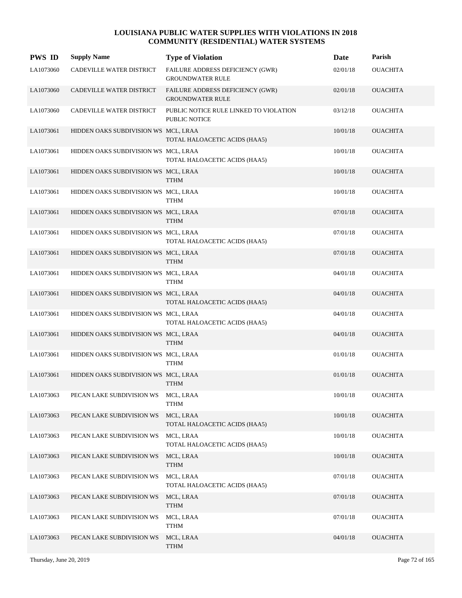| <b>PWS ID</b> | <b>Supply Name</b>                   | <b>Type of Violation</b>                                       | Date     | Parish          |
|---------------|--------------------------------------|----------------------------------------------------------------|----------|-----------------|
| LA1073060     | CADEVILLE WATER DISTRICT             | FAILURE ADDRESS DEFICIENCY (GWR)<br><b>GROUNDWATER RULE</b>    | 02/01/18 | <b>OUACHITA</b> |
| LA1073060     | CADEVILLE WATER DISTRICT             | FAILURE ADDRESS DEFICIENCY (GWR)<br><b>GROUNDWATER RULE</b>    | 02/01/18 | <b>OUACHITA</b> |
| LA1073060     | CADEVILLE WATER DISTRICT             | PUBLIC NOTICE RULE LINKED TO VIOLATION<br><b>PUBLIC NOTICE</b> | 03/12/18 | <b>OUACHITA</b> |
| LA1073061     | HIDDEN OAKS SUBDIVISION WS MCL, LRAA | TOTAL HALOACETIC ACIDS (HAA5)                                  | 10/01/18 | <b>OUACHITA</b> |
| LA1073061     | HIDDEN OAKS SUBDIVISION WS MCL, LRAA | TOTAL HALOACETIC ACIDS (HAA5)                                  | 10/01/18 | <b>OUACHITA</b> |
| LA1073061     | HIDDEN OAKS SUBDIVISION WS MCL, LRAA | <b>TTHM</b>                                                    | 10/01/18 | <b>OUACHITA</b> |
| LA1073061     | HIDDEN OAKS SUBDIVISION WS MCL, LRAA | <b>TTHM</b>                                                    | 10/01/18 | <b>OUACHITA</b> |
| LA1073061     | HIDDEN OAKS SUBDIVISION WS MCL, LRAA | <b>TTHM</b>                                                    | 07/01/18 | <b>OUACHITA</b> |
| LA1073061     | HIDDEN OAKS SUBDIVISION WS MCL, LRAA | TOTAL HALOACETIC ACIDS (HAA5)                                  | 07/01/18 | <b>OUACHITA</b> |
| LA1073061     | HIDDEN OAKS SUBDIVISION WS MCL, LRAA | <b>TTHM</b>                                                    | 07/01/18 | <b>OUACHITA</b> |
| LA1073061     | HIDDEN OAKS SUBDIVISION WS MCL, LRAA | <b>TTHM</b>                                                    | 04/01/18 | <b>OUACHITA</b> |
| LA1073061     | HIDDEN OAKS SUBDIVISION WS MCL, LRAA | TOTAL HALOACETIC ACIDS (HAA5)                                  | 04/01/18 | <b>OUACHITA</b> |
| LA1073061     | HIDDEN OAKS SUBDIVISION WS MCL, LRAA | TOTAL HALOACETIC ACIDS (HAA5)                                  | 04/01/18 | <b>OUACHITA</b> |
| LA1073061     | HIDDEN OAKS SUBDIVISION WS MCL, LRAA | <b>TTHM</b>                                                    | 04/01/18 | <b>OUACHITA</b> |
| LA1073061     | HIDDEN OAKS SUBDIVISION WS MCL, LRAA | TTHM                                                           | 01/01/18 | <b>OUACHITA</b> |
| LA1073061     | HIDDEN OAKS SUBDIVISION WS MCL, LRAA | <b>TTHM</b>                                                    | 01/01/18 | <b>OUACHITA</b> |
| LA1073063     | PECAN LAKE SUBDIVISION WS            | MCL, LRAA<br><b>TTHM</b>                                       | 10/01/18 | <b>OUACHITA</b> |
| LA1073063     | PECAN LAKE SUBDIVISION WS            | MCL, LRAA<br>TOTAL HALOACETIC ACIDS (HAA5)                     | 10/01/18 | <b>OUACHITA</b> |
| LA1073063     | PECAN LAKE SUBDIVISION WS            | MCL, LRAA<br>TOTAL HALOACETIC ACIDS (HAA5)                     | 10/01/18 | <b>OUACHITA</b> |
| LA1073063     | PECAN LAKE SUBDIVISION WS            | MCL, LRAA<br><b>TTHM</b>                                       | 10/01/18 | <b>OUACHITA</b> |
| LA1073063     | PECAN LAKE SUBDIVISION WS            | MCL, LRAA<br>TOTAL HALOACETIC ACIDS (HAA5)                     | 07/01/18 | <b>OUACHITA</b> |
| LA1073063     | PECAN LAKE SUBDIVISION WS            | MCL, LRAA<br><b>TTHM</b>                                       | 07/01/18 | <b>OUACHITA</b> |
| LA1073063     | PECAN LAKE SUBDIVISION WS            | MCL, LRAA<br><b>TTHM</b>                                       | 07/01/18 | <b>OUACHITA</b> |
| LA1073063     | PECAN LAKE SUBDIVISION WS            | MCL, LRAA<br><b>TTHM</b>                                       | 04/01/18 | <b>OUACHITA</b> |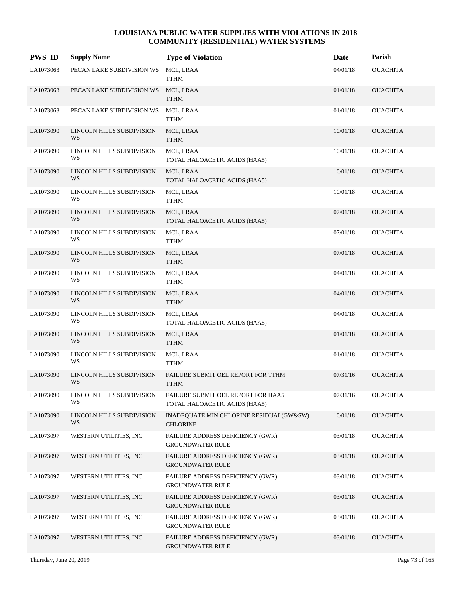| <b>PWS ID</b> | <b>Supply Name</b>              | <b>Type of Violation</b>                                            | Date     | Parish          |
|---------------|---------------------------------|---------------------------------------------------------------------|----------|-----------------|
| LA1073063     | PECAN LAKE SUBDIVISION WS       | MCL, LRAA<br><b>TTHM</b>                                            | 04/01/18 | <b>OUACHITA</b> |
| LA1073063     | PECAN LAKE SUBDIVISION WS       | MCL, LRAA<br><b>TTHM</b>                                            | 01/01/18 | <b>OUACHITA</b> |
| LA1073063     | PECAN LAKE SUBDIVISION WS       | MCL, LRAA<br><b>TTHM</b>                                            | 01/01/18 | <b>OUACHITA</b> |
| LA1073090     | LINCOLN HILLS SUBDIVISION<br>WS | MCL, LRAA<br><b>TTHM</b>                                            | 10/01/18 | <b>OUACHITA</b> |
| LA1073090     | LINCOLN HILLS SUBDIVISION<br>WS | MCL, LRAA<br>TOTAL HALOACETIC ACIDS (HAA5)                          | 10/01/18 | <b>OUACHITA</b> |
| LA1073090     | LINCOLN HILLS SUBDIVISION<br>WS | MCL, LRAA<br>TOTAL HALOACETIC ACIDS (HAA5)                          | 10/01/18 | <b>OUACHITA</b> |
| LA1073090     | LINCOLN HILLS SUBDIVISION<br>WS | MCL, LRAA<br><b>TTHM</b>                                            | 10/01/18 | <b>OUACHITA</b> |
| LA1073090     | LINCOLN HILLS SUBDIVISION<br>WS | MCL, LRAA<br>TOTAL HALOACETIC ACIDS (HAA5)                          | 07/01/18 | <b>OUACHITA</b> |
| LA1073090     | LINCOLN HILLS SUBDIVISION<br>WS | MCL, LRAA<br><b>TTHM</b>                                            | 07/01/18 | <b>OUACHITA</b> |
| LA1073090     | LINCOLN HILLS SUBDIVISION<br>WS | MCL, LRAA<br><b>TTHM</b>                                            | 07/01/18 | <b>OUACHITA</b> |
| LA1073090     | LINCOLN HILLS SUBDIVISION<br>WS | MCL, LRAA<br><b>TTHM</b>                                            | 04/01/18 | <b>OUACHITA</b> |
| LA1073090     | LINCOLN HILLS SUBDIVISION<br>WS | MCL, LRAA<br><b>TTHM</b>                                            | 04/01/18 | <b>OUACHITA</b> |
| LA1073090     | LINCOLN HILLS SUBDIVISION<br>WS | MCL, LRAA<br>TOTAL HALOACETIC ACIDS (HAA5)                          | 04/01/18 | <b>OUACHITA</b> |
| LA1073090     | LINCOLN HILLS SUBDIVISION<br>WS | MCL, LRAA<br><b>TTHM</b>                                            | 01/01/18 | <b>OUACHITA</b> |
| LA1073090     | LINCOLN HILLS SUBDIVISION<br>WS | MCL, LRAA<br><b>TTHM</b>                                            | 01/01/18 | <b>OUACHITA</b> |
| LA1073090     | LINCOLN HILLS SUBDIVISION<br>WS | FAILURE SUBMIT OEL REPORT FOR TTHM<br><b>TTHM</b>                   | 07/31/16 | <b>OUACHITA</b> |
| LA1073090     | LINCOLN HILLS SUBDIVISION<br>WS | FAILURE SUBMIT OEL REPORT FOR HAA5<br>TOTAL HALOACETIC ACIDS (HAA5) | 07/31/16 | <b>OUACHITA</b> |
| LA1073090     | LINCOLN HILLS SUBDIVISION<br>WS | INADEQUATE MIN CHLORINE RESIDUAL(GW&SW)<br><b>CHLORINE</b>          | 10/01/18 | <b>OUACHITA</b> |
| LA1073097     | WESTERN UTILITIES, INC          | FAILURE ADDRESS DEFICIENCY (GWR)<br><b>GROUNDWATER RULE</b>         | 03/01/18 | <b>OUACHITA</b> |
| LA1073097     | WESTERN UTILITIES, INC          | FAILURE ADDRESS DEFICIENCY (GWR)<br><b>GROUNDWATER RULE</b>         | 03/01/18 | <b>OUACHITA</b> |
| LA1073097     | WESTERN UTILITIES, INC          | FAILURE ADDRESS DEFICIENCY (GWR)<br><b>GROUNDWATER RULE</b>         | 03/01/18 | <b>OUACHITA</b> |
| LA1073097     | WESTERN UTILITIES, INC          | FAILURE ADDRESS DEFICIENCY (GWR)<br><b>GROUNDWATER RULE</b>         | 03/01/18 | <b>OUACHITA</b> |
| LA1073097     | WESTERN UTILITIES, INC          | FAILURE ADDRESS DEFICIENCY (GWR)<br><b>GROUNDWATER RULE</b>         | 03/01/18 | <b>OUACHITA</b> |
| LA1073097     | WESTERN UTILITIES, INC          | <b>FAILURE ADDRESS DEFICIENCY (GWR)</b><br><b>GROUNDWATER RULE</b>  | 03/01/18 | <b>OUACHITA</b> |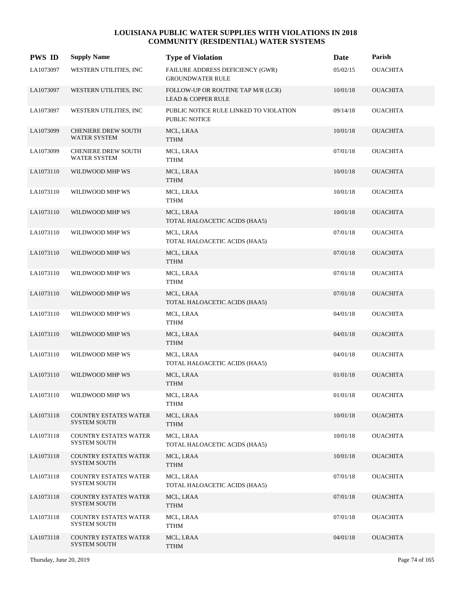| <b>PWS ID</b> | <b>Supply Name</b>                                  | <b>Type of Violation</b>                                            | Date     | Parish          |
|---------------|-----------------------------------------------------|---------------------------------------------------------------------|----------|-----------------|
| LA1073097     | WESTERN UTILITIES, INC                              | FAILURE ADDRESS DEFICIENCY (GWR)<br><b>GROUNDWATER RULE</b>         | 05/02/15 | <b>OUACHITA</b> |
| LA1073097     | WESTERN UTILITIES, INC                              | FOLLOW-UP OR ROUTINE TAP M/R (LCR)<br><b>LEAD &amp; COPPER RULE</b> | 10/01/18 | <b>OUACHITA</b> |
| LA1073097     | WESTERN UTILITIES, INC                              | PUBLIC NOTICE RULE LINKED TO VIOLATION<br><b>PUBLIC NOTICE</b>      | 09/14/18 | <b>OUACHITA</b> |
| LA1073099     | <b>CHENIERE DREW SOUTH</b><br>WATER SYSTEM          | MCL, LRAA<br><b>TTHM</b>                                            | 10/01/18 | <b>OUACHITA</b> |
| LA1073099     | <b>CHENIERE DREW SOUTH</b><br>WATER SYSTEM          | MCL, LRAA<br><b>TTHM</b>                                            | 07/01/18 | <b>OUACHITA</b> |
| LA1073110     | WILDWOOD MHP WS                                     | MCL, LRAA<br><b>TTHM</b>                                            | 10/01/18 | <b>OUACHITA</b> |
| LA1073110     | WILDWOOD MHP WS                                     | MCL, LRAA<br><b>TTHM</b>                                            | 10/01/18 | <b>OUACHITA</b> |
| LA1073110     | WILDWOOD MHP WS                                     | MCL, LRAA<br>TOTAL HALOACETIC ACIDS (HAA5)                          | 10/01/18 | <b>OUACHITA</b> |
| LA1073110     | WILDWOOD MHP WS                                     | MCL, LRAA<br>TOTAL HALOACETIC ACIDS (HAA5)                          | 07/01/18 | <b>OUACHITA</b> |
| LA1073110     | WILDWOOD MHP WS                                     | MCL, LRAA<br><b>TTHM</b>                                            | 07/01/18 | <b>OUACHITA</b> |
| LA1073110     | WILDWOOD MHP WS                                     | MCL, LRAA<br><b>TTHM</b>                                            | 07/01/18 | <b>OUACHITA</b> |
| LA1073110     | WILDWOOD MHP WS                                     | MCL, LRAA<br>TOTAL HALOACETIC ACIDS (HAA5)                          | 07/01/18 | <b>OUACHITA</b> |
| LA1073110     | WILDWOOD MHP WS                                     | MCL, LRAA<br><b>TTHM</b>                                            | 04/01/18 | <b>OUACHITA</b> |
| LA1073110     | WILDWOOD MHP WS                                     | MCL, LRAA<br><b>TTHM</b>                                            | 04/01/18 | <b>OUACHITA</b> |
| LA1073110     | WILDWOOD MHP WS                                     | MCL, LRAA<br>TOTAL HALOACETIC ACIDS (HAA5)                          | 04/01/18 | <b>OUACHITA</b> |
| LA1073110     | WILDWOOD MHP WS                                     | MCL, LRAA<br><b>TTHM</b>                                            | 01/01/18 | <b>OUACHITA</b> |
| LA1073110     | WILDWOOD MHP WS                                     | MCL, LRAA<br><b>TTHM</b>                                            | 01/01/18 | <b>OUACHITA</b> |
| LA1073118     | <b>COUNTRY ESTATES WATER</b><br><b>SYSTEM SOUTH</b> | MCL, LRAA<br><b>TTHM</b>                                            | 10/01/18 | <b>OUACHITA</b> |
| LA1073118     | <b>COUNTRY ESTATES WATER</b><br><b>SYSTEM SOUTH</b> | MCL, LRAA<br>TOTAL HALOACETIC ACIDS (HAA5)                          | 10/01/18 | <b>OUACHITA</b> |
| LA1073118     | <b>COUNTRY ESTATES WATER</b><br><b>SYSTEM SOUTH</b> | MCL, LRAA<br><b>TTHM</b>                                            | 10/01/18 | <b>OUACHITA</b> |
| LA1073118     | <b>COUNTRY ESTATES WATER</b><br><b>SYSTEM SOUTH</b> | MCL, LRAA<br>TOTAL HALOACETIC ACIDS (HAA5)                          | 07/01/18 | <b>OUACHITA</b> |
| LA1073118     | <b>COUNTRY ESTATES WATER</b><br><b>SYSTEM SOUTH</b> | MCL, LRAA<br><b>TTHM</b>                                            | 07/01/18 | <b>OUACHITA</b> |
| LA1073118     | <b>COUNTRY ESTATES WATER</b><br><b>SYSTEM SOUTH</b> | MCL, LRAA<br><b>TTHM</b>                                            | 07/01/18 | <b>OUACHITA</b> |
| LA1073118     | <b>COUNTRY ESTATES WATER</b><br><b>SYSTEM SOUTH</b> | MCL, LRAA<br>TTHM                                                   | 04/01/18 | <b>OUACHITA</b> |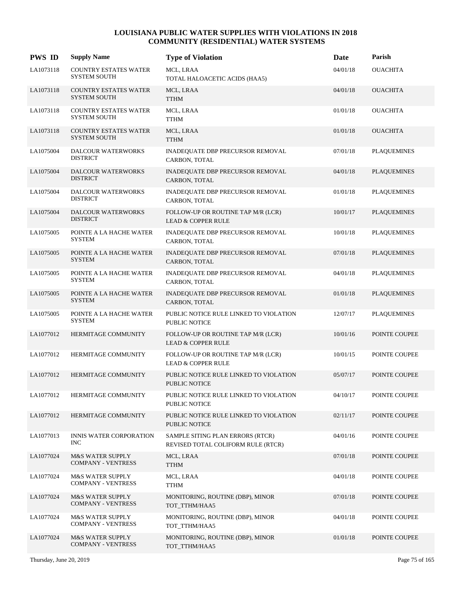| <b>PWS ID</b> | <b>Supply Name</b>                                       | <b>Type of Violation</b>                                               | Date     | Parish             |
|---------------|----------------------------------------------------------|------------------------------------------------------------------------|----------|--------------------|
| LA1073118     | <b>COUNTRY ESTATES WATER</b><br>SYSTEM SOUTH             | MCL, LRAA<br>TOTAL HALOACETIC ACIDS (HAA5)                             | 04/01/18 | <b>OUACHITA</b>    |
| LA1073118     | <b>COUNTRY ESTATES WATER</b><br><b>SYSTEM SOUTH</b>      | MCL, LRAA<br><b>TTHM</b>                                               | 04/01/18 | <b>OUACHITA</b>    |
| LA1073118     | <b>COUNTRY ESTATES WATER</b><br><b>SYSTEM SOUTH</b>      | MCL, LRAA<br><b>TTHM</b>                                               | 01/01/18 | <b>OUACHITA</b>    |
| LA1073118     | <b>COUNTRY ESTATES WATER</b><br><b>SYSTEM SOUTH</b>      | MCL, LRAA<br><b>TTHM</b>                                               | 01/01/18 | <b>OUACHITA</b>    |
| LA1075004     | DALCOUR WATERWORKS<br><b>DISTRICT</b>                    | INADEQUATE DBP PRECURSOR REMOVAL<br>CARBON, TOTAL                      | 07/01/18 | <b>PLAQUEMINES</b> |
| LA1075004     | DALCOUR WATERWORKS<br><b>DISTRICT</b>                    | INADEQUATE DBP PRECURSOR REMOVAL<br>CARBON, TOTAL                      | 04/01/18 | <b>PLAQUEMINES</b> |
| LA1075004     | DALCOUR WATERWORKS<br><b>DISTRICT</b>                    | INADEQUATE DBP PRECURSOR REMOVAL<br>CARBON, TOTAL                      | 01/01/18 | <b>PLAQUEMINES</b> |
| LA1075004     | DALCOUR WATERWORKS<br><b>DISTRICT</b>                    | FOLLOW-UP OR ROUTINE TAP M/R (LCR)<br><b>LEAD &amp; COPPER RULE</b>    | 10/01/17 | <b>PLAQUEMINES</b> |
| LA1075005     | POINTE A LA HACHE WATER<br><b>SYSTEM</b>                 | INADEQUATE DBP PRECURSOR REMOVAL<br>CARBON, TOTAL                      | 10/01/18 | <b>PLAQUEMINES</b> |
| LA1075005     | POINTE A LA HACHE WATER<br><b>SYSTEM</b>                 | INADEQUATE DBP PRECURSOR REMOVAL<br>CARBON, TOTAL                      | 07/01/18 | <b>PLAQUEMINES</b> |
| LA1075005     | POINTE A LA HACHE WATER<br><b>SYSTEM</b>                 | INADEQUATE DBP PRECURSOR REMOVAL<br>CARBON, TOTAL                      | 04/01/18 | <b>PLAQUEMINES</b> |
| LA1075005     | POINTE A LA HACHE WATER<br><b>SYSTEM</b>                 | INADEQUATE DBP PRECURSOR REMOVAL<br>CARBON, TOTAL                      | 01/01/18 | <b>PLAQUEMINES</b> |
| LA1075005     | POINTE A LA HACHE WATER<br><b>SYSTEM</b>                 | PUBLIC NOTICE RULE LINKED TO VIOLATION<br>PUBLIC NOTICE                | 12/07/17 | <b>PLAQUEMINES</b> |
| LA1077012     | HERMITAGE COMMUNITY                                      | FOLLOW-UP OR ROUTINE TAP M/R (LCR)<br><b>LEAD &amp; COPPER RULE</b>    | 10/01/16 | POINTE COUPEE      |
| LA1077012     | HERMITAGE COMMUNITY                                      | FOLLOW-UP OR ROUTINE TAP M/R (LCR)<br><b>LEAD &amp; COPPER RULE</b>    | 10/01/15 | POINTE COUPEE      |
| LA1077012     | HERMITAGE COMMUNITY                                      | PUBLIC NOTICE RULE LINKED TO VIOLATION<br>PUBLIC NOTICE                | 05/07/17 | POINTE COUPEE      |
| LA1077012     | HERMITAGE COMMUNITY                                      | PUBLIC NOTICE RULE LINKED TO VIOLATION<br>PUBLIC NOTICE                | 04/10/17 | POINTE COUPEE      |
| LA1077012     | HERMITAGE COMMUNITY                                      | PUBLIC NOTICE RULE LINKED TO VIOLATION<br><b>PUBLIC NOTICE</b>         | 02/11/17 | POINTE COUPEE      |
| LA1077013     | <b>INNIS WATER CORPORATION</b><br>INC.                   | SAMPLE SITING PLAN ERRORS (RTCR)<br>REVISED TOTAL COLIFORM RULE (RTCR) | 04/01/16 | POINTE COUPEE      |
| LA1077024     | <b>M&amp;S WATER SUPPLY</b><br><b>COMPANY - VENTRESS</b> | MCL, LRAA<br><b>TTHM</b>                                               | 07/01/18 | POINTE COUPEE      |
| LA1077024     | <b>M&amp;S WATER SUPPLY</b><br><b>COMPANY - VENTRESS</b> | MCL, LRAA<br><b>TTHM</b>                                               | 04/01/18 | POINTE COUPEE      |
| LA1077024     | <b>M&amp;S WATER SUPPLY</b><br><b>COMPANY - VENTRESS</b> | MONITORING, ROUTINE (DBP), MINOR<br>TOT_TTHM/HAA5                      | 07/01/18 | POINTE COUPEE      |
| LA1077024     | <b>M&amp;S WATER SUPPLY</b><br><b>COMPANY - VENTRESS</b> | MONITORING, ROUTINE (DBP), MINOR<br>TOT_TTHM/HAA5                      | 04/01/18 | POINTE COUPEE      |
| LA1077024     | <b>M&amp;S WATER SUPPLY</b><br><b>COMPANY - VENTRESS</b> | MONITORING, ROUTINE (DBP), MINOR<br>TOT_TTHM/HAA5                      | 01/01/18 | POINTE COUPEE      |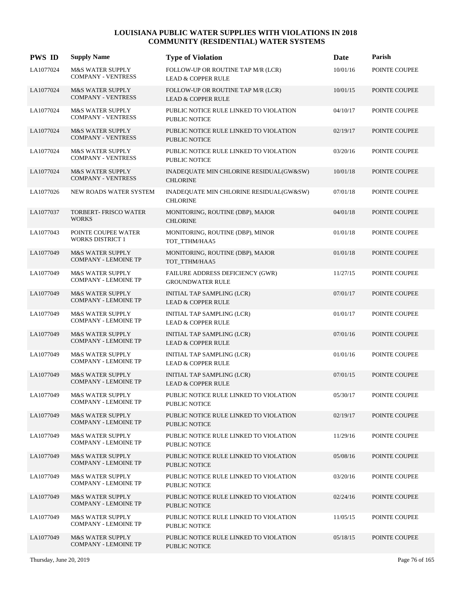| <b>PWS ID</b> | <b>Supply Name</b>                                         | <b>Type of Violation</b>                                            | <b>Date</b> | Parish        |
|---------------|------------------------------------------------------------|---------------------------------------------------------------------|-------------|---------------|
| LA1077024     | <b>M&amp;S WATER SUPPLY</b><br><b>COMPANY - VENTRESS</b>   | FOLLOW-UP OR ROUTINE TAP M/R (LCR)<br><b>LEAD &amp; COPPER RULE</b> | 10/01/16    | POINTE COUPEE |
| LA1077024     | <b>M&amp;S WATER SUPPLY</b><br><b>COMPANY - VENTRESS</b>   | FOLLOW-UP OR ROUTINE TAP M/R (LCR)<br><b>LEAD &amp; COPPER RULE</b> | 10/01/15    | POINTE COUPEE |
| LA1077024     | <b>M&amp;S WATER SUPPLY</b><br><b>COMPANY - VENTRESS</b>   | PUBLIC NOTICE RULE LINKED TO VIOLATION<br><b>PUBLIC NOTICE</b>      | 04/10/17    | POINTE COUPEE |
| LA1077024     | <b>M&amp;S WATER SUPPLY</b><br><b>COMPANY - VENTRESS</b>   | PUBLIC NOTICE RULE LINKED TO VIOLATION<br><b>PUBLIC NOTICE</b>      | 02/19/17    | POINTE COUPEE |
| LA1077024     | M&S WATER SUPPLY<br><b>COMPANY - VENTRESS</b>              | PUBLIC NOTICE RULE LINKED TO VIOLATION<br><b>PUBLIC NOTICE</b>      | 03/20/16    | POINTE COUPEE |
| LA1077024     | <b>M&amp;S WATER SUPPLY</b><br><b>COMPANY - VENTRESS</b>   | INADEQUATE MIN CHLORINE RESIDUAL(GW&SW)<br><b>CHLORINE</b>          | 10/01/18    | POINTE COUPEE |
| LA1077026     | NEW ROADS WATER SYSTEM                                     | INADEQUATE MIN CHLORINE RESIDUAL(GW&SW)<br><b>CHLORINE</b>          | 07/01/18    | POINTE COUPEE |
| LA1077037     | <b>TORBERT- FRISCO WATER</b><br><b>WORKS</b>               | MONITORING, ROUTINE (DBP), MAJOR<br><b>CHLORINE</b>                 | 04/01/18    | POINTE COUPEE |
| LA1077043     | POINTE COUPEE WATER<br><b>WORKS DISTRICT 1</b>             | MONITORING, ROUTINE (DBP), MINOR<br>TOT TTHM/HAA5                   | 01/01/18    | POINTE COUPEE |
| LA1077049     | <b>M&amp;S WATER SUPPLY</b><br><b>COMPANY - LEMOINE TP</b> | MONITORING, ROUTINE (DBP), MAJOR<br>TOT_TTHM/HAA5                   | 01/01/18    | POINTE COUPEE |
| LA1077049     | <b>M&amp;S WATER SUPPLY</b><br><b>COMPANY - LEMOINE TP</b> | FAILURE ADDRESS DEFICIENCY (GWR)<br><b>GROUNDWATER RULE</b>         | 11/27/15    | POINTE COUPEE |
| LA1077049     | <b>M&amp;S WATER SUPPLY</b><br><b>COMPANY - LEMOINE TP</b> | INITIAL TAP SAMPLING (LCR)<br><b>LEAD &amp; COPPER RULE</b>         | 07/01/17    | POINTE COUPEE |
| LA1077049     | <b>M&amp;S WATER SUPPLY</b><br><b>COMPANY - LEMOINE TP</b> | INITIAL TAP SAMPLING (LCR)<br><b>LEAD &amp; COPPER RULE</b>         | 01/01/17    | POINTE COUPEE |
| LA1077049     | <b>M&amp;S WATER SUPPLY</b><br><b>COMPANY - LEMOINE TP</b> | INITIAL TAP SAMPLING (LCR)<br><b>LEAD &amp; COPPER RULE</b>         | 07/01/16    | POINTE COUPEE |
| LA1077049     | <b>M&amp;S WATER SUPPLY</b><br><b>COMPANY - LEMOINE TP</b> | INITIAL TAP SAMPLING (LCR)<br><b>LEAD &amp; COPPER RULE</b>         | 01/01/16    | POINTE COUPEE |
| LA1077049     | <b>M&amp;S WATER SUPPLY</b><br><b>COMPANY - LEMOINE TP</b> | INITIAL TAP SAMPLING (LCR)<br><b>LEAD &amp; COPPER RULE</b>         | 07/01/15    | POINTE COUPEE |
| LA1077049     | <b>M&amp;S WATER SUPPLY</b><br><b>COMPANY - LEMOINE TP</b> | PUBLIC NOTICE RULE LINKED TO VIOLATION<br><b>PUBLIC NOTICE</b>      | 05/30/17    | POINTE COUPEE |
| LA1077049     | <b>M&amp;S WATER SUPPLY</b><br><b>COMPANY - LEMOINE TP</b> | PUBLIC NOTICE RULE LINKED TO VIOLATION<br>PUBLIC NOTICE             | 02/19/17    | POINTE COUPEE |
| LA1077049     | <b>M&amp;S WATER SUPPLY</b><br><b>COMPANY - LEMOINE TP</b> | PUBLIC NOTICE RULE LINKED TO VIOLATION<br>PUBLIC NOTICE             | 11/29/16    | POINTE COUPEE |
| LA1077049     | <b>M&amp;S WATER SUPPLY</b><br><b>COMPANY - LEMOINE TP</b> | PUBLIC NOTICE RULE LINKED TO VIOLATION<br>PUBLIC NOTICE             | 05/08/16    | POINTE COUPEE |
| LA1077049     | <b>M&amp;S WATER SUPPLY</b><br><b>COMPANY - LEMOINE TP</b> | PUBLIC NOTICE RULE LINKED TO VIOLATION<br><b>PUBLIC NOTICE</b>      | 03/20/16    | POINTE COUPEE |
| LA1077049     | <b>M&amp;S WATER SUPPLY</b><br><b>COMPANY - LEMOINE TP</b> | PUBLIC NOTICE RULE LINKED TO VIOLATION<br><b>PUBLIC NOTICE</b>      | 02/24/16    | POINTE COUPEE |
| LA1077049     | <b>M&amp;S WATER SUPPLY</b><br><b>COMPANY - LEMOINE TP</b> | PUBLIC NOTICE RULE LINKED TO VIOLATION<br><b>PUBLIC NOTICE</b>      | 11/05/15    | POINTE COUPEE |
| LA1077049     | <b>M&amp;S WATER SUPPLY</b><br><b>COMPANY - LEMOINE TP</b> | PUBLIC NOTICE RULE LINKED TO VIOLATION<br><b>PUBLIC NOTICE</b>      | 05/18/15    | POINTE COUPEE |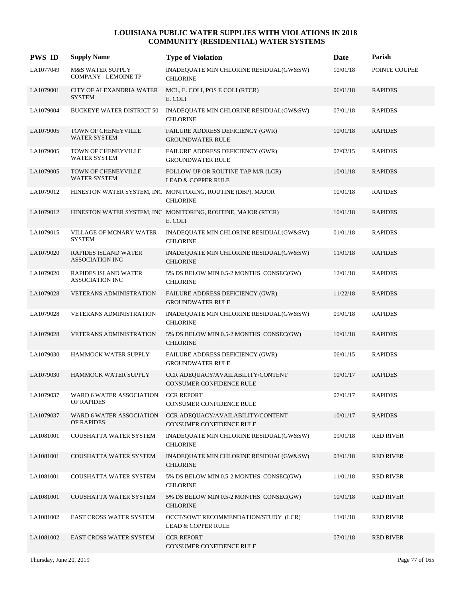| <b>PWS ID</b> | <b>Supply Name</b>                                    | <b>Type of Violation</b>                                                       | Date     | Parish           |
|---------------|-------------------------------------------------------|--------------------------------------------------------------------------------|----------|------------------|
| LA1077049     | M&S WATER SUPPLY<br><b>COMPANY - LEMOINE TP</b>       | INADEQUATE MIN CHLORINE RESIDUAL(GW&SW)<br><b>CHLORINE</b>                     | 10/01/18 | POINTE COUPEE    |
| LA1079001     | CITY OF ALEXANDRIA WATER<br><b>SYSTEM</b>             | MCL, E. COLI, POS E COLI (RTCR)<br>E. COLI                                     | 06/01/18 | <b>RAPIDES</b>   |
| LA1079004     | <b>BUCKEYE WATER DISTRICT 50</b>                      | INADEQUATE MIN CHLORINE RESIDUAL(GW&SW)<br><b>CHLORINE</b>                     | 07/01/18 | <b>RAPIDES</b>   |
| LA1079005     | <b>TOWN OF CHENEYVILLE</b><br>WATER SYSTEM            | FAILURE ADDRESS DEFICIENCY (GWR)<br><b>GROUNDWATER RULE</b>                    | 10/01/18 | <b>RAPIDES</b>   |
| LA1079005     | TOWN OF CHENEYVILLE<br>WATER SYSTEM                   | FAILURE ADDRESS DEFICIENCY (GWR)<br><b>GROUNDWATER RULE</b>                    | 07/02/15 | <b>RAPIDES</b>   |
| LA1079005     | TOWN OF CHENEYVILLE<br><b>WATER SYSTEM</b>            | FOLLOW-UP OR ROUTINE TAP M/R (LCR)<br><b>LEAD &amp; COPPER RULE</b>            | 10/01/18 | <b>RAPIDES</b>   |
| LA1079012     |                                                       | HINESTON WATER SYSTEM, INC MONITORING, ROUTINE (DBP), MAJOR<br><b>CHLORINE</b> | 10/01/18 | <b>RAPIDES</b>   |
| LA1079012     |                                                       | HINESTON WATER SYSTEM, INC MONITORING, ROUTINE, MAJOR (RTCR)<br>E. COLI        | 10/01/18 | <b>RAPIDES</b>   |
| LA1079015     | VILLAGE OF MCNARY WATER<br><b>SYSTEM</b>              | INADEQUATE MIN CHLORINE RESIDUAL(GW&SW)<br><b>CHLORINE</b>                     | 01/01/18 | <b>RAPIDES</b>   |
| LA1079020     | <b>RAPIDES ISLAND WATER</b><br><b>ASSOCIATION INC</b> | INADEQUATE MIN CHLORINE RESIDUAL(GW&SW)<br><b>CHLORINE</b>                     | 11/01/18 | <b>RAPIDES</b>   |
| LA1079020     | RAPIDES ISLAND WATER<br><b>ASSOCIATION INC</b>        | $5\%$ DS BELOW MIN 0.5-2 MONTHS $\rm CONSEC (GW)$<br><b>CHLORINE</b>           | 12/01/18 | <b>RAPIDES</b>   |
| LA1079028     | <b>VETERANS ADMINISTRATION</b>                        | FAILURE ADDRESS DEFICIENCY (GWR)<br><b>GROUNDWATER RULE</b>                    | 11/22/18 | <b>RAPIDES</b>   |
| LA1079028     | VETERANS ADMINISTRATION                               | INADEQUATE MIN CHLORINE RESIDUAL(GW&SW)<br><b>CHLORINE</b>                     | 09/01/18 | <b>RAPIDES</b>   |
| LA1079028     | <b>VETERANS ADMINISTRATION</b>                        | 5% DS BELOW MIN 0.5-2 MONTHS CONSEC(GW)<br><b>CHLORINE</b>                     | 10/01/18 | <b>RAPIDES</b>   |
| LA1079030     | HAMMOCK WATER SUPPLY                                  | FAILURE ADDRESS DEFICIENCY (GWR)<br><b>GROUNDWATER RULE</b>                    | 06/01/15 | <b>RAPIDES</b>   |
| LA1079030     | HAMMOCK WATER SUPPLY                                  | CCR ADEQUACY/AVAILABILITY/CONTENT<br><b>CONSUMER CONFIDENCE RULE</b>           | 10/01/17 | <b>RAPIDES</b>   |
| LA1079037     | WARD 6 WATER ASSOCIATION<br>OF RAPIDES                | <b>CCR REPORT</b><br>CONSUMER CONFIDENCE RULE                                  | 07/01/17 | <b>RAPIDES</b>   |
| LA1079037     | WARD 6 WATER ASSOCIATION<br>OF RAPIDES                | CCR ADEQUACY/AVAILABILITY/CONTENT<br>CONSUMER CONFIDENCE RULE                  | 10/01/17 | <b>RAPIDES</b>   |
| LA1081001     | COUSHATTA WATER SYSTEM                                | INADEQUATE MIN CHLORINE RESIDUAL(GW&SW)<br><b>CHLORINE</b>                     | 09/01/18 | <b>RED RIVER</b> |
| LA1081001     | COUSHATTA WATER SYSTEM                                | INADEQUATE MIN CHLORINE RESIDUAL(GW&SW)<br><b>CHLORINE</b>                     | 03/01/18 | <b>RED RIVER</b> |
| LA1081001     | COUSHATTA WATER SYSTEM                                | 5% DS BELOW MIN 0.5-2 MONTHS CONSEC(GW)<br><b>CHLORINE</b>                     | 11/01/18 | <b>RED RIVER</b> |
| LA1081001     | COUSHATTA WATER SYSTEM                                | 5% DS BELOW MIN 0.5-2 MONTHS CONSEC(GW)<br><b>CHLORINE</b>                     | 10/01/18 | <b>RED RIVER</b> |
| LA1081002     | <b>EAST CROSS WATER SYSTEM</b>                        | OCCT/SOWT RECOMMENDATION/STUDY (LCR)<br><b>LEAD &amp; COPPER RULE</b>          | 11/01/18 | <b>RED RIVER</b> |
| LA1081002     | EAST CROSS WATER SYSTEM                               | <b>CCR REPORT</b><br>CONSUMER CONFIDENCE RULE                                  | 07/01/18 | <b>RED RIVER</b> |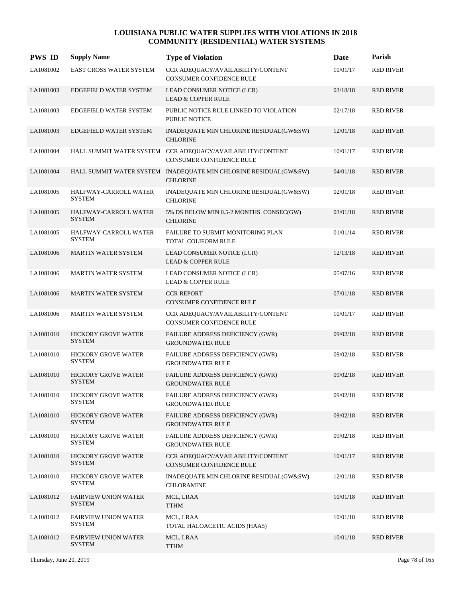| <b>PWS ID</b> | <b>Supply Name</b>                           | <b>Type of Violation</b>                                                                      | Date     | Parish           |
|---------------|----------------------------------------------|-----------------------------------------------------------------------------------------------|----------|------------------|
| LA1081002     | EAST CROSS WATER SYSTEM                      | CCR ADEQUACY/AVAILABILITY/CONTENT<br>CONSUMER CONFIDENCE RULE                                 | 10/01/17 | <b>RED RIVER</b> |
| LA1081003     | EDGEFIELD WATER SYSTEM                       | LEAD CONSUMER NOTICE (LCR)<br><b>LEAD &amp; COPPER RULE</b>                                   | 03/18/18 | <b>RED RIVER</b> |
| LA1081003     | EDGEFIELD WATER SYSTEM                       | PUBLIC NOTICE RULE LINKED TO VIOLATION<br><b>PUBLIC NOTICE</b>                                | 02/17/18 | <b>RED RIVER</b> |
| LA1081003     | <b>EDGEFIELD WATER SYSTEM</b>                | INADEQUATE MIN CHLORINE RESIDUAL(GW&SW)<br><b>CHLORINE</b>                                    | 12/01/18 | <b>RED RIVER</b> |
| LA1081004     |                                              | HALL SUMMIT WATER SYSTEM CCR ADEQUACY/AVAILABILITY/CONTENT<br><b>CONSUMER CONFIDENCE RULE</b> | 10/01/17 | <b>RED RIVER</b> |
| LA1081004     |                                              | HALL SUMMIT WATER SYSTEM INADEQUATE MIN CHLORINE RESIDUAL(GW&SW)<br><b>CHLORINE</b>           | 04/01/18 | <b>RED RIVER</b> |
| LA1081005     | HALFWAY-CARROLL WATER<br><b>SYSTEM</b>       | INADEQUATE MIN CHLORINE RESIDUAL(GW&SW)<br><b>CHLORINE</b>                                    | 02/01/18 | <b>RED RIVER</b> |
| LA1081005     | HALFWAY-CARROLL WATER<br><b>SYSTEM</b>       | 5% DS BELOW MIN 0.5-2 MONTHS CONSEC(GW)<br><b>CHLORINE</b>                                    | 03/01/18 | <b>RED RIVER</b> |
| LA1081005     | HALFWAY-CARROLL WATER<br><b>SYSTEM</b>       | FAILURE TO SUBMIT MONITORING PLAN<br>TOTAL COLIFORM RULE                                      | 01/01/14 | <b>RED RIVER</b> |
| LA1081006     | <b>MARTIN WATER SYSTEM</b>                   | LEAD CONSUMER NOTICE (LCR)<br><b>LEAD &amp; COPPER RULE</b>                                   | 12/13/18 | <b>RED RIVER</b> |
| LA1081006     | <b>MARTIN WATER SYSTEM</b>                   | LEAD CONSUMER NOTICE (LCR)<br><b>LEAD &amp; COPPER RULE</b>                                   | 05/07/16 | <b>RED RIVER</b> |
| LA1081006     | <b>MARTIN WATER SYSTEM</b>                   | <b>CCR REPORT</b><br><b>CONSUMER CONFIDENCE RULE</b>                                          | 07/01/18 | <b>RED RIVER</b> |
| LA1081006     | <b>MARTIN WATER SYSTEM</b>                   | CCR ADEQUACY/AVAILABILITY/CONTENT<br><b>CONSUMER CONFIDENCE RULE</b>                          | 10/01/17 | <b>RED RIVER</b> |
| LA1081010     | HICKORY GROVE WATER<br><b>SYSTEM</b>         | FAILURE ADDRESS DEFICIENCY (GWR)<br><b>GROUNDWATER RULE</b>                                   | 09/02/18 | <b>RED RIVER</b> |
| LA1081010     | HICKORY GROVE WATER<br><b>SYSTEM</b>         | FAILURE ADDRESS DEFICIENCY (GWR)<br><b>GROUNDWATER RULE</b>                                   | 09/02/18 | <b>RED RIVER</b> |
| LA1081010     | <b>HICKORY GROVE WATER</b><br><b>SYSTEM</b>  | FAILURE ADDRESS DEFICIENCY (GWR)<br><b>GROUNDWATER RULE</b>                                   | 09/02/18 | <b>RED RIVER</b> |
| LA1081010     | <b>HICKORY GROVE WATER</b><br><b>SYSTEM</b>  | FAILURE ADDRESS DEFICIENCY (GWR)<br><b>GROUNDWATER RULE</b>                                   | 09/02/18 | <b>RED RIVER</b> |
| LA1081010     | <b>HICKORY GROVE WATER</b><br><b>SYSTEM</b>  | FAILURE ADDRESS DEFICIENCY (GWR)<br><b>GROUNDWATER RULE</b>                                   | 09/02/18 | <b>RED RIVER</b> |
| LA1081010     | HICKORY GROVE WATER<br><b>SYSTEM</b>         | FAILURE ADDRESS DEFICIENCY (GWR)<br><b>GROUNDWATER RULE</b>                                   | 09/02/18 | <b>RED RIVER</b> |
| LA1081010     | <b>HICKORY GROVE WATER</b><br><b>SYSTEM</b>  | CCR ADEQUACY/AVAILABILITY/CONTENT<br><b>CONSUMER CONFIDENCE RULE</b>                          | 10/01/17 | <b>RED RIVER</b> |
| LA1081010     | <b>HICKORY GROVE WATER</b><br><b>SYSTEM</b>  | INADEQUATE MIN CHLORINE RESIDUAL(GW&SW)<br>CHLORAMINE                                         | 12/01/18 | <b>RED RIVER</b> |
| LA1081012     | <b>FAIRVIEW UNION WATER</b><br><b>SYSTEM</b> | MCL, LRAA<br><b>TTHM</b>                                                                      | 10/01/18 | <b>RED RIVER</b> |
| LA1081012     | <b>FAIRVIEW UNION WATER</b><br>SYSTEM        | MCL, LRAA<br>TOTAL HALOACETIC ACIDS (HAA5)                                                    | 10/01/18 | <b>RED RIVER</b> |
| LA1081012     | <b>FAIRVIEW UNION WATER</b><br><b>SYSTEM</b> | MCL, LRAA<br><b>TTHM</b>                                                                      | 10/01/18 | <b>RED RIVER</b> |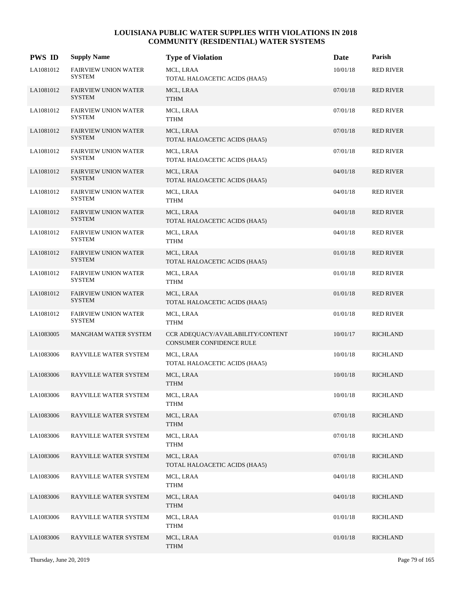| <b>PWS ID</b> | <b>Supply Name</b>                           | <b>Type of Violation</b>                                      | <b>Date</b> | Parish           |
|---------------|----------------------------------------------|---------------------------------------------------------------|-------------|------------------|
| LA1081012     | <b>FAIRVIEW UNION WATER</b><br><b>SYSTEM</b> | MCL, LRAA<br>TOTAL HALOACETIC ACIDS (HAA5)                    | 10/01/18    | <b>RED RIVER</b> |
| LA1081012     | <b>FAIRVIEW UNION WATER</b><br><b>SYSTEM</b> | MCL, LRAA<br><b>TTHM</b>                                      | 07/01/18    | <b>RED RIVER</b> |
| LA1081012     | <b>FAIRVIEW UNION WATER</b><br><b>SYSTEM</b> | MCL, LRAA<br><b>TTHM</b>                                      | 07/01/18    | <b>RED RIVER</b> |
| LA1081012     | <b>FAIRVIEW UNION WATER</b><br><b>SYSTEM</b> | MCL, LRAA<br>TOTAL HALOACETIC ACIDS (HAA5)                    | 07/01/18    | <b>RED RIVER</b> |
| LA1081012     | <b>FAIRVIEW UNION WATER</b><br><b>SYSTEM</b> | MCL, LRAA<br>TOTAL HALOACETIC ACIDS (HAA5)                    | 07/01/18    | <b>RED RIVER</b> |
| LA1081012     | <b>FAIRVIEW UNION WATER</b><br><b>SYSTEM</b> | MCL, LRAA<br>TOTAL HALOACETIC ACIDS (HAA5)                    | 04/01/18    | <b>RED RIVER</b> |
| LA1081012     | <b>FAIRVIEW UNION WATER</b><br><b>SYSTEM</b> | MCL, LRAA<br><b>TTHM</b>                                      | 04/01/18    | <b>RED RIVER</b> |
| LA1081012     | <b>FAIRVIEW UNION WATER</b><br><b>SYSTEM</b> | MCL, LRAA<br>TOTAL HALOACETIC ACIDS (HAA5)                    | 04/01/18    | <b>RED RIVER</b> |
| LA1081012     | <b>FAIRVIEW UNION WATER</b><br><b>SYSTEM</b> | MCL, LRAA<br><b>TTHM</b>                                      | 04/01/18    | <b>RED RIVER</b> |
| LA1081012     | <b>FAIRVIEW UNION WATER</b><br><b>SYSTEM</b> | MCL, LRAA<br>TOTAL HALOACETIC ACIDS (HAA5)                    | 01/01/18    | <b>RED RIVER</b> |
| LA1081012     | <b>FAIRVIEW UNION WATER</b><br><b>SYSTEM</b> | MCL, LRAA<br><b>TTHM</b>                                      | 01/01/18    | <b>RED RIVER</b> |
| LA1081012     | <b>FAIRVIEW UNION WATER</b><br><b>SYSTEM</b> | MCL, LRAA<br>TOTAL HALOACETIC ACIDS (HAA5)                    | 01/01/18    | <b>RED RIVER</b> |
| LA1081012     | <b>FAIRVIEW UNION WATER</b><br><b>SYSTEM</b> | MCL, LRAA<br><b>TTHM</b>                                      | 01/01/18    | <b>RED RIVER</b> |
| LA1083005     | <b>MANGHAM WATER SYSTEM</b>                  | CCR ADEQUACY/AVAILABILITY/CONTENT<br>CONSUMER CONFIDENCE RULE | 10/01/17    | <b>RICHLAND</b>  |
| LA1083006     | RAYVILLE WATER SYSTEM                        | MCL, LRAA<br>TOTAL HALOACETIC ACIDS (HAA5)                    | 10/01/18    | <b>RICHLAND</b>  |
| LA1083006     | RAYVILLE WATER SYSTEM                        | MCL, LRAA<br><b>TTHM</b>                                      | 10/01/18    | <b>RICHLAND</b>  |
| LA1083006     | RAYVILLE WATER SYSTEM                        | MCL, LRAA<br><b>TTHM</b>                                      | 10/01/18    | <b>RICHLAND</b>  |
| LA1083006     | RAYVILLE WATER SYSTEM                        | MCL, LRAA<br><b>TTHM</b>                                      | 07/01/18    | <b>RICHLAND</b>  |
| LA1083006     | RAYVILLE WATER SYSTEM                        | MCL, LRAA<br>TTHM                                             | 07/01/18    | <b>RICHLAND</b>  |
| LA1083006     | RAYVILLE WATER SYSTEM                        | MCL, LRAA<br>TOTAL HALOACETIC ACIDS (HAA5)                    | 07/01/18    | <b>RICHLAND</b>  |
| LA1083006     | RAYVILLE WATER SYSTEM                        | MCL, LRAA<br><b>TTHM</b>                                      | 04/01/18    | <b>RICHLAND</b>  |
| LA1083006     | RAYVILLE WATER SYSTEM                        | MCL, LRAA<br><b>TTHM</b>                                      | 04/01/18    | RICHLAND         |
| LA1083006     | RAYVILLE WATER SYSTEM                        | MCL, LRAA<br>TTHM                                             | 01/01/18    | RICHLAND         |
| LA1083006     | RAYVILLE WATER SYSTEM                        | MCL, LRAA<br><b>TTHM</b>                                      | 01/01/18    | <b>RICHLAND</b>  |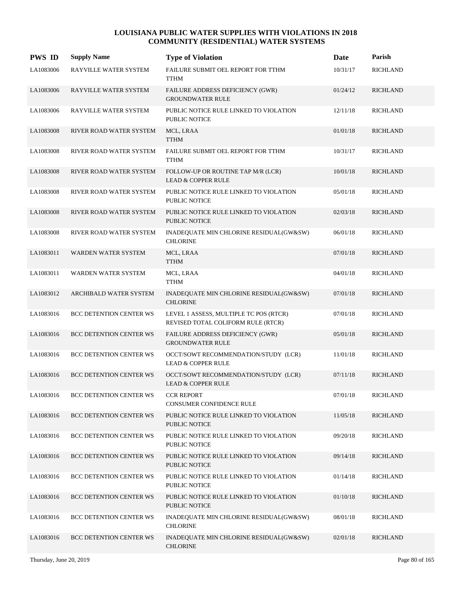| <b>PWS ID</b> | <b>Supply Name</b>             | <b>Type of Violation</b>                                                     | Date     | Parish          |
|---------------|--------------------------------|------------------------------------------------------------------------------|----------|-----------------|
| LA1083006     | RAYVILLE WATER SYSTEM          | FAILURE SUBMIT OEL REPORT FOR TTHM<br><b>TTHM</b>                            | 10/31/17 | <b>RICHLAND</b> |
| LA1083006     | RAYVILLE WATER SYSTEM          | FAILURE ADDRESS DEFICIENCY (GWR)<br><b>GROUNDWATER RULE</b>                  | 01/24/12 | <b>RICHLAND</b> |
| LA1083006     | RAYVILLE WATER SYSTEM          | PUBLIC NOTICE RULE LINKED TO VIOLATION<br><b>PUBLIC NOTICE</b>               | 12/11/18 | <b>RICHLAND</b> |
| LA1083008     | RIVER ROAD WATER SYSTEM        | MCL, LRAA<br><b>TTHM</b>                                                     | 01/01/18 | <b>RICHLAND</b> |
| LA1083008     | RIVER ROAD WATER SYSTEM        | FAILURE SUBMIT OEL REPORT FOR TTHM<br><b>TTHM</b>                            | 10/31/17 | <b>RICHLAND</b> |
| LA1083008     | RIVER ROAD WATER SYSTEM        | FOLLOW-UP OR ROUTINE TAP M/R (LCR)<br>LEAD & COPPER RULE                     | 10/01/18 | <b>RICHLAND</b> |
| LA1083008     | RIVER ROAD WATER SYSTEM        | PUBLIC NOTICE RULE LINKED TO VIOLATION<br><b>PUBLIC NOTICE</b>               | 05/01/18 | <b>RICHLAND</b> |
| LA1083008     | RIVER ROAD WATER SYSTEM        | PUBLIC NOTICE RULE LINKED TO VIOLATION<br><b>PUBLIC NOTICE</b>               | 02/03/18 | <b>RICHLAND</b> |
| LA1083008     | RIVER ROAD WATER SYSTEM        | INADEQUATE MIN CHLORINE RESIDUAL(GW&SW)<br><b>CHLORINE</b>                   | 06/01/18 | <b>RICHLAND</b> |
| LA1083011     | WARDEN WATER SYSTEM            | MCL, LRAA<br><b>TTHM</b>                                                     | 07/01/18 | <b>RICHLAND</b> |
| LA1083011     | WARDEN WATER SYSTEM            | MCL, LRAA<br><b>TTHM</b>                                                     | 04/01/18 | <b>RICHLAND</b> |
| LA1083012     | ARCHIBALD WATER SYSTEM         | INADEQUATE MIN CHLORINE RESIDUAL(GW&SW)<br><b>CHLORINE</b>                   | 07/01/18 | <b>RICHLAND</b> |
| LA1083016     | BCC DETENTION CENTER WS        | LEVEL 1 ASSESS, MULTIPLE TC POS (RTCR)<br>REVISED TOTAL COLIFORM RULE (RTCR) | 07/01/18 | <b>RICHLAND</b> |
| LA1083016     | <b>BCC DETENTION CENTER WS</b> | FAILURE ADDRESS DEFICIENCY (GWR)<br><b>GROUNDWATER RULE</b>                  | 05/01/18 | <b>RICHLAND</b> |
| LA1083016     | BCC DETENTION CENTER WS        | OCCT/SOWT RECOMMENDATION/STUDY (LCR)<br><b>LEAD &amp; COPPER RULE</b>        | 11/01/18 | <b>RICHLAND</b> |
| LA1083016     | <b>BCC DETENTION CENTER WS</b> | OCCT/SOWT RECOMMENDATION/STUDY (LCR)<br><b>LEAD &amp; COPPER RULE</b>        | 07/11/18 | <b>RICHLAND</b> |
| LA1083016     | <b>BCC DETENTION CENTER WS</b> | <b>CCR REPORT</b><br>CONSUMER CONFIDENCE RULE                                | 07/01/18 | <b>RICHLAND</b> |
| LA1083016     | <b>BCC DETENTION CENTER WS</b> | PUBLIC NOTICE RULE LINKED TO VIOLATION<br><b>PUBLIC NOTICE</b>               | 11/05/18 | <b>RICHLAND</b> |
| LA1083016     | <b>BCC DETENTION CENTER WS</b> | PUBLIC NOTICE RULE LINKED TO VIOLATION<br><b>PUBLIC NOTICE</b>               | 09/20/18 | <b>RICHLAND</b> |
| LA1083016     | <b>BCC DETENTION CENTER WS</b> | PUBLIC NOTICE RULE LINKED TO VIOLATION<br><b>PUBLIC NOTICE</b>               | 09/14/18 | <b>RICHLAND</b> |
| LA1083016     | <b>BCC DETENTION CENTER WS</b> | PUBLIC NOTICE RULE LINKED TO VIOLATION<br>PUBLIC NOTICE                      | 01/14/18 | <b>RICHLAND</b> |
| LA1083016     | <b>BCC DETENTION CENTER WS</b> | PUBLIC NOTICE RULE LINKED TO VIOLATION<br>PUBLIC NOTICE                      | 01/10/18 | <b>RICHLAND</b> |
| LA1083016     | <b>BCC DETENTION CENTER WS</b> | INADEQUATE MIN CHLORINE RESIDUAL(GW&SW)<br><b>CHLORINE</b>                   | 08/01/18 | <b>RICHLAND</b> |
| LA1083016     | <b>BCC DETENTION CENTER WS</b> | INADEQUATE MIN CHLORINE RESIDUAL(GW&SW)<br><b>CHLORINE</b>                   | 02/01/18 | <b>RICHLAND</b> |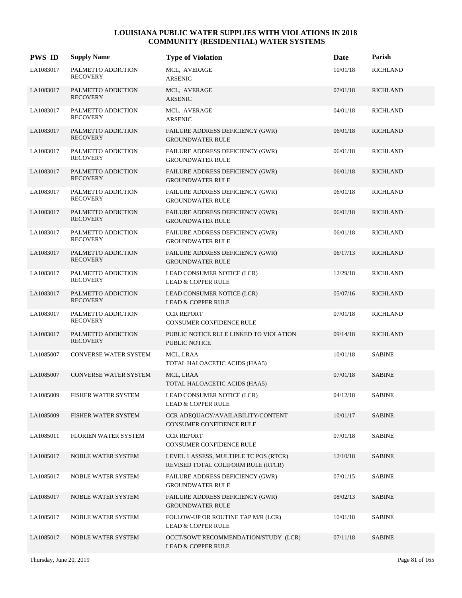| <b>PWS ID</b> | <b>Supply Name</b>                    | <b>Type of Violation</b>                                                     | Date     | Parish          |
|---------------|---------------------------------------|------------------------------------------------------------------------------|----------|-----------------|
| LA1083017     | PALMETTO ADDICTION<br><b>RECOVERY</b> | MCL, AVERAGE<br><b>ARSENIC</b>                                               | 10/01/18 | <b>RICHLAND</b> |
| LA1083017     | PALMETTO ADDICTION<br><b>RECOVERY</b> | MCL, AVERAGE<br><b>ARSENIC</b>                                               | 07/01/18 | <b>RICHLAND</b> |
| LA1083017     | PALMETTO ADDICTION<br><b>RECOVERY</b> | MCL, AVERAGE<br><b>ARSENIC</b>                                               | 04/01/18 | <b>RICHLAND</b> |
| LA1083017     | PALMETTO ADDICTION<br><b>RECOVERY</b> | FAILURE ADDRESS DEFICIENCY (GWR)<br><b>GROUNDWATER RULE</b>                  | 06/01/18 | <b>RICHLAND</b> |
| LA1083017     | PALMETTO ADDICTION<br><b>RECOVERY</b> | FAILURE ADDRESS DEFICIENCY (GWR)<br><b>GROUNDWATER RULE</b>                  | 06/01/18 | <b>RICHLAND</b> |
| LA1083017     | PALMETTO ADDICTION<br><b>RECOVERY</b> | FAILURE ADDRESS DEFICIENCY (GWR)<br><b>GROUNDWATER RULE</b>                  | 06/01/18 | <b>RICHLAND</b> |
| LA1083017     | PALMETTO ADDICTION<br><b>RECOVERY</b> | FAILURE ADDRESS DEFICIENCY (GWR)<br><b>GROUNDWATER RULE</b>                  | 06/01/18 | <b>RICHLAND</b> |
| LA1083017     | PALMETTO ADDICTION<br><b>RECOVERY</b> | FAILURE ADDRESS DEFICIENCY (GWR)<br><b>GROUNDWATER RULE</b>                  | 06/01/18 | <b>RICHLAND</b> |
| LA1083017     | PALMETTO ADDICTION<br><b>RECOVERY</b> | FAILURE ADDRESS DEFICIENCY (GWR)<br><b>GROUNDWATER RULE</b>                  | 06/01/18 | <b>RICHLAND</b> |
| LA1083017     | PALMETTO ADDICTION<br><b>RECOVERY</b> | FAILURE ADDRESS DEFICIENCY (GWR)<br><b>GROUNDWATER RULE</b>                  | 06/17/13 | <b>RICHLAND</b> |
| LA1083017     | PALMETTO ADDICTION<br><b>RECOVERY</b> | LEAD CONSUMER NOTICE (LCR)<br><b>LEAD &amp; COPPER RULE</b>                  | 12/29/18 | <b>RICHLAND</b> |
| LA1083017     | PALMETTO ADDICTION<br><b>RECOVERY</b> | LEAD CONSUMER NOTICE (LCR)<br><b>LEAD &amp; COPPER RULE</b>                  | 05/07/16 | <b>RICHLAND</b> |
| LA1083017     | PALMETTO ADDICTION<br><b>RECOVERY</b> | <b>CCR REPORT</b><br>CONSUMER CONFIDENCE RULE                                | 07/01/18 | <b>RICHLAND</b> |
| LA1083017     | PALMETTO ADDICTION<br><b>RECOVERY</b> | PUBLIC NOTICE RULE LINKED TO VIOLATION<br>PUBLIC NOTICE                      | 09/14/18 | <b>RICHLAND</b> |
| LA1085007     | <b>CONVERSE WATER SYSTEM</b>          | MCL, LRAA<br>TOTAL HALOACETIC ACIDS (HAA5)                                   | 10/01/18 | <b>SABINE</b>   |
| LA1085007     | <b>CONVERSE WATER SYSTEM</b>          | MCL, LRAA<br>TOTAL HALOACETIC ACIDS (HAA5)                                   | 07/01/18 | <b>SABINE</b>   |
| LA1085009     | FISHER WATER SYSTEM                   | LEAD CONSUMER NOTICE (LCR)<br><b>LEAD &amp; COPPER RULE</b>                  | 04/12/18 | <b>SABINE</b>   |
| LA1085009     | FISHER WATER SYSTEM                   | CCR ADEQUACY/AVAILABILITY/CONTENT<br>CONSUMER CONFIDENCE RULE                | 10/01/17 | <b>SABINE</b>   |
| LA1085011     | FLORIEN WATER SYSTEM                  | <b>CCR REPORT</b><br>CONSUMER CONFIDENCE RULE                                | 07/01/18 | <b>SABINE</b>   |
| LA1085017     | <b>NOBLE WATER SYSTEM</b>             | LEVEL 1 ASSESS, MULTIPLE TC POS (RTCR)<br>REVISED TOTAL COLIFORM RULE (RTCR) | 12/10/18 | <b>SABINE</b>   |
| LA1085017     | NOBLE WATER SYSTEM                    | FAILURE ADDRESS DEFICIENCY (GWR)<br><b>GROUNDWATER RULE</b>                  | 07/01/15 | <b>SABINE</b>   |
| LA1085017     | NOBLE WATER SYSTEM                    | FAILURE ADDRESS DEFICIENCY (GWR)<br><b>GROUNDWATER RULE</b>                  | 08/02/13 | <b>SABINE</b>   |
| LA1085017     | <b>NOBLE WATER SYSTEM</b>             | FOLLOW-UP OR ROUTINE TAP M/R (LCR)<br><b>LEAD &amp; COPPER RULE</b>          | 10/01/18 | <b>SABINE</b>   |
| LA1085017     | <b>NOBLE WATER SYSTEM</b>             | OCCT/SOWT RECOMMENDATION/STUDY (LCR)<br><b>LEAD &amp; COPPER RULE</b>        | 07/11/18 | <b>SABINE</b>   |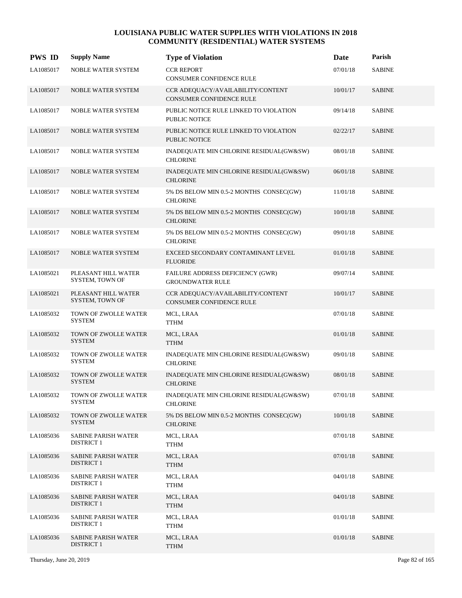| <b>PWS ID</b> | <b>Supply Name</b>                              | <b>Type of Violation</b>                                             | Date     | Parish        |
|---------------|-------------------------------------------------|----------------------------------------------------------------------|----------|---------------|
| LA1085017     | NOBLE WATER SYSTEM                              | <b>CCR REPORT</b><br>CONSUMER CONFIDENCE RULE                        | 07/01/18 | <b>SABINE</b> |
| LA1085017     | NOBLE WATER SYSTEM                              | CCR ADEQUACY/AVAILABILITY/CONTENT<br><b>CONSUMER CONFIDENCE RULE</b> | 10/01/17 | <b>SABINE</b> |
| LA1085017     | NOBLE WATER SYSTEM                              | PUBLIC NOTICE RULE LINKED TO VIOLATION<br>PUBLIC NOTICE              | 09/14/18 | <b>SABINE</b> |
| LA1085017     | <b>NOBLE WATER SYSTEM</b>                       | PUBLIC NOTICE RULE LINKED TO VIOLATION<br><b>PUBLIC NOTICE</b>       | 02/22/17 | <b>SABINE</b> |
| LA1085017     | NOBLE WATER SYSTEM                              | INADEQUATE MIN CHLORINE RESIDUAL(GW&SW)<br><b>CHLORINE</b>           | 08/01/18 | <b>SABINE</b> |
| LA1085017     | NOBLE WATER SYSTEM                              | INADEQUATE MIN CHLORINE RESIDUAL(GW&SW)<br><b>CHLORINE</b>           | 06/01/18 | <b>SABINE</b> |
| LA1085017     | NOBLE WATER SYSTEM                              | 5% DS BELOW MIN 0.5-2 MONTHS CONSEC(GW)<br><b>CHLORINE</b>           | 11/01/18 | <b>SABINE</b> |
| LA1085017     | NOBLE WATER SYSTEM                              | 5% DS BELOW MIN 0.5-2 MONTHS CONSEC(GW)<br><b>CHLORINE</b>           | 10/01/18 | <b>SABINE</b> |
| LA1085017     | NOBLE WATER SYSTEM                              | 5% DS BELOW MIN 0.5-2 MONTHS CONSEC(GW)<br><b>CHLORINE</b>           | 09/01/18 | <b>SABINE</b> |
| LA1085017     | <b>NOBLE WATER SYSTEM</b>                       | EXCEED SECONDARY CONTAMINANT LEVEL<br><b>FLUORIDE</b>                | 01/01/18 | <b>SABINE</b> |
| LA1085021     | PLEASANT HILL WATER<br>SYSTEM, TOWN OF          | FAILURE ADDRESS DEFICIENCY (GWR)<br><b>GROUNDWATER RULE</b>          | 09/07/14 | <b>SABINE</b> |
| LA1085021     | PLEASANT HILL WATER<br>SYSTEM, TOWN OF          | CCR ADEQUACY/AVAILABILITY/CONTENT<br><b>CONSUMER CONFIDENCE RULE</b> | 10/01/17 | <b>SABINE</b> |
| LA1085032     | TOWN OF ZWOLLE WATER<br><b>SYSTEM</b>           | MCL, LRAA<br><b>TTHM</b>                                             | 07/01/18 | <b>SABINE</b> |
| LA1085032     | TOWN OF ZWOLLE WATER<br><b>SYSTEM</b>           | MCL, LRAA<br><b>TTHM</b>                                             | 01/01/18 | <b>SABINE</b> |
| LA1085032     | TOWN OF ZWOLLE WATER<br><b>SYSTEM</b>           | INADEQUATE MIN CHLORINE RESIDUAL(GW&SW)<br><b>CHLORINE</b>           | 09/01/18 | <b>SABINE</b> |
| LA1085032     | TOWN OF ZWOLLE WATER<br><b>SYSTEM</b>           | INADEQUATE MIN CHLORINE RESIDUAL(GW&SW)<br><b>CHLORINE</b>           | 08/01/18 | <b>SABINE</b> |
| LA1085032     | TOWN OF ZWOLLE WATER<br><b>SYSTEM</b>           | INADEQUATE MIN CHLORINE RESIDUAL(GW&SW)<br><b>CHLORINE</b>           | 07/01/18 | <b>SABINE</b> |
| LA1085032     | TOWN OF ZWOLLE WATER<br><b>SYSTEM</b>           | 5% DS BELOW MIN 0.5-2 MONTHS CONSEC(GW)<br><b>CHLORINE</b>           | 10/01/18 | <b>SABINE</b> |
| LA1085036     | <b>SABINE PARISH WATER</b><br><b>DISTRICT 1</b> | MCL, LRAA<br>TTHM                                                    | 07/01/18 | <b>SABINE</b> |
| LA1085036     | <b>SABINE PARISH WATER</b><br><b>DISTRICT 1</b> | MCL, LRAA<br>TTHM                                                    | 07/01/18 | <b>SABINE</b> |
| LA1085036     | <b>SABINE PARISH WATER</b><br><b>DISTRICT 1</b> | MCL, LRAA<br><b>TTHM</b>                                             | 04/01/18 | <b>SABINE</b> |
| LA1085036     | <b>SABINE PARISH WATER</b><br><b>DISTRICT 1</b> | MCL, LRAA<br><b>TTHM</b>                                             | 04/01/18 | <b>SABINE</b> |
| LA1085036     | <b>SABINE PARISH WATER</b><br><b>DISTRICT 1</b> | MCL, LRAA<br>TTHM                                                    | 01/01/18 | <b>SABINE</b> |
| LA1085036     | <b>SABINE PARISH WATER</b><br><b>DISTRICT 1</b> | MCL, LRAA<br><b>TTHM</b>                                             | 01/01/18 | <b>SABINE</b> |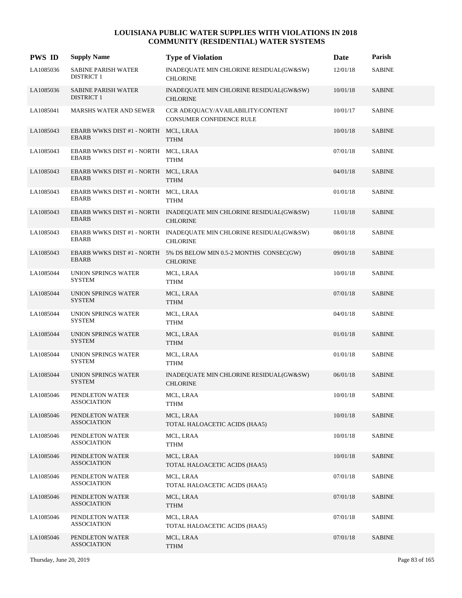| <b>PWS ID</b> | <b>Supply Name</b>                                   | <b>Type of Violation</b>                                                              | Date     | Parish        |
|---------------|------------------------------------------------------|---------------------------------------------------------------------------------------|----------|---------------|
| LA1085036     | <b>SABINE PARISH WATER</b><br><b>DISTRICT 1</b>      | INADEQUATE MIN CHLORINE RESIDUAL(GW&SW)<br><b>CHLORINE</b>                            | 12/01/18 | <b>SABINE</b> |
| LA1085036     | SABINE PARISH WATER<br><b>DISTRICT 1</b>             | INADEQUATE MIN CHLORINE RESIDUAL(GW&SW)<br><b>CHLORINE</b>                            | 10/01/18 | <b>SABINE</b> |
| LA1085041     | <b>MARSHS WATER AND SEWER</b>                        | CCR ADEQUACY/AVAILABILITY/CONTENT<br>CONSUMER CONFIDENCE RULE                         | 10/01/17 | <b>SABINE</b> |
| LA1085043     | EBARB WWKS DIST #1 - NORTH MCL, LRAA<br><b>EBARB</b> | <b>TTHM</b>                                                                           | 10/01/18 | <b>SABINE</b> |
| LA1085043     | EBARB WWKS DIST #1 - NORTH MCL, LRAA<br><b>EBARB</b> | <b>TTHM</b>                                                                           | 07/01/18 | <b>SABINE</b> |
| LA1085043     | EBARB WWKS DIST #1 - NORTH MCL, LRAA<br><b>EBARB</b> | <b>TTHM</b>                                                                           | 04/01/18 | <b>SABINE</b> |
| LA1085043     | EBARB WWKS DIST #1 - NORTH MCL, LRAA<br><b>EBARB</b> | <b>TTHM</b>                                                                           | 01/01/18 | <b>SABINE</b> |
| LA1085043     | <b>EBARB</b>                                         | EBARB WWKS DIST #1 - NORTH INADEQUATE MIN CHLORINE RESIDUAL(GW&SW)<br><b>CHLORINE</b> | 11/01/18 | <b>SABINE</b> |
| LA1085043     | <b>EBARB</b>                                         | EBARB WWKS DIST #1 - NORTH INADEQUATE MIN CHLORINE RESIDUAL(GW&SW)<br><b>CHLORINE</b> | 08/01/18 | <b>SABINE</b> |
| LA1085043     | <b>EBARB</b>                                         | EBARB WWKS DIST #1 - NORTH 5% DS BELOW MIN 0.5-2 MONTHS CONSEC(GW)<br><b>CHLORINE</b> | 09/01/18 | <b>SABINE</b> |
| LA1085044     | UNION SPRINGS WATER<br><b>SYSTEM</b>                 | MCL, LRAA<br>TTHM                                                                     | 10/01/18 | <b>SABINE</b> |
| LA1085044     | UNION SPRINGS WATER<br><b>SYSTEM</b>                 | MCL, LRAA<br><b>TTHM</b>                                                              | 07/01/18 | <b>SABINE</b> |
| LA1085044     | UNION SPRINGS WATER<br><b>SYSTEM</b>                 | MCL, LRAA<br><b>TTHM</b>                                                              | 04/01/18 | <b>SABINE</b> |
| LA1085044     | UNION SPRINGS WATER<br><b>SYSTEM</b>                 | MCL, LRAA<br><b>TTHM</b>                                                              | 01/01/18 | <b>SABINE</b> |
| LA1085044     | UNION SPRINGS WATER<br><b>SYSTEM</b>                 | MCL, LRAA<br><b>TTHM</b>                                                              | 01/01/18 | <b>SABINE</b> |
| LA1085044     | UNION SPRINGS WATER<br><b>SYSTEM</b>                 | INADEQUATE MIN CHLORINE RESIDUAL(GW&SW)<br><b>CHLORINE</b>                            | 06/01/18 | <b>SABINE</b> |
| LA1085046     | PENDLETON WATER<br><b>ASSOCIATION</b>                | MCL, LRAA<br><b>TTHM</b>                                                              | 10/01/18 | <b>SABINE</b> |
| LA1085046     | PENDLETON WATER<br><b>ASSOCIATION</b>                | MCL, LRAA<br>TOTAL HALOACETIC ACIDS (HAA5)                                            | 10/01/18 | <b>SABINE</b> |
| LA1085046     | PENDLETON WATER<br><b>ASSOCIATION</b>                | MCL, LRAA<br><b>TTHM</b>                                                              | 10/01/18 | <b>SABINE</b> |
| LA1085046     | PENDLETON WATER<br><b>ASSOCIATION</b>                | MCL, LRAA<br>TOTAL HALOACETIC ACIDS (HAA5)                                            | 10/01/18 | <b>SABINE</b> |
| LA1085046     | PENDLETON WATER<br><b>ASSOCIATION</b>                | MCL, LRAA<br>TOTAL HALOACETIC ACIDS (HAA5)                                            | 07/01/18 | <b>SABINE</b> |
| LA1085046     | PENDLETON WATER<br>ASSOCIATION                       | MCL, LRAA<br><b>TTHM</b>                                                              | 07/01/18 | <b>SABINE</b> |
| LA1085046     | PENDLETON WATER<br>ASSOCIATION                       | MCL, LRAA<br>TOTAL HALOACETIC ACIDS (HAA5)                                            | 07/01/18 | <b>SABINE</b> |
| LA1085046     | PENDLETON WATER<br><b>ASSOCIATION</b>                | MCL, LRAA<br><b>TTHM</b>                                                              | 07/01/18 | <b>SABINE</b> |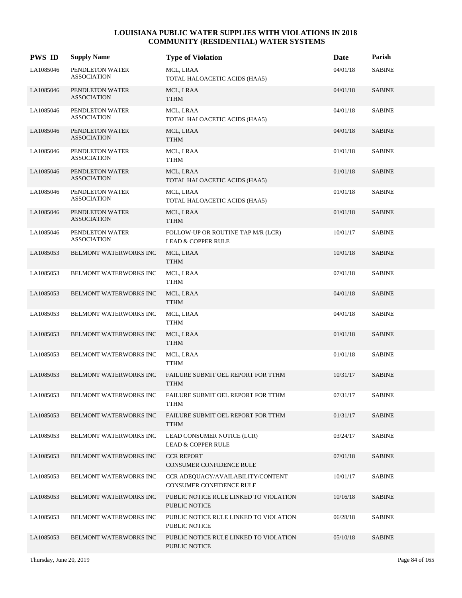| <b>PWS ID</b> | <b>Supply Name</b>                    | <b>Type of Violation</b>                                            | <b>Date</b> | Parish        |
|---------------|---------------------------------------|---------------------------------------------------------------------|-------------|---------------|
| LA1085046     | PENDLETON WATER<br><b>ASSOCIATION</b> | MCL, LRAA<br>TOTAL HALOACETIC ACIDS (HAA5)                          | 04/01/18    | <b>SABINE</b> |
| LA1085046     | PENDLETON WATER<br><b>ASSOCIATION</b> | MCL, LRAA<br><b>TTHM</b>                                            | 04/01/18    | <b>SABINE</b> |
| LA1085046     | PENDLETON WATER<br><b>ASSOCIATION</b> | MCL, LRAA<br>TOTAL HALOACETIC ACIDS (HAA5)                          | 04/01/18    | <b>SABINE</b> |
| LA1085046     | PENDLETON WATER<br><b>ASSOCIATION</b> | MCL, LRAA<br><b>TTHM</b>                                            | 04/01/18    | <b>SABINE</b> |
| LA1085046     | PENDLETON WATER<br><b>ASSOCIATION</b> | MCL, LRAA<br><b>TTHM</b>                                            | 01/01/18    | <b>SABINE</b> |
| LA1085046     | PENDLETON WATER<br><b>ASSOCIATION</b> | MCL, LRAA<br>TOTAL HALOACETIC ACIDS (HAA5)                          | 01/01/18    | <b>SABINE</b> |
| LA1085046     | PENDLETON WATER<br>ASSOCIATION        | MCL, LRAA<br>TOTAL HALOACETIC ACIDS (HAA5)                          | 01/01/18    | <b>SABINE</b> |
| LA1085046     | PENDLETON WATER<br>ASSOCIATION        | MCL, LRAA<br><b>TTHM</b>                                            | 01/01/18    | <b>SABINE</b> |
| LA1085046     | PENDLETON WATER<br>ASSOCIATION        | FOLLOW-UP OR ROUTINE TAP M/R (LCR)<br><b>LEAD &amp; COPPER RULE</b> | 10/01/17    | <b>SABINE</b> |
| LA1085053     | BELMONT WATERWORKS INC                | MCL, LRAA<br><b>TTHM</b>                                            | 10/01/18    | <b>SABINE</b> |
| LA1085053     | BELMONT WATERWORKS INC                | MCL, LRAA<br><b>TTHM</b>                                            | 07/01/18    | <b>SABINE</b> |
| LA1085053     | BELMONT WATERWORKS INC                | MCL, LRAA<br><b>TTHM</b>                                            | 04/01/18    | <b>SABINE</b> |
| LA1085053     | BELMONT WATERWORKS INC                | MCL, LRAA<br>TTHM                                                   | 04/01/18    | <b>SABINE</b> |
| LA1085053     | BELMONT WATERWORKS INC                | MCL, LRAA<br><b>TTHM</b>                                            | 01/01/18    | <b>SABINE</b> |
| LA1085053     | BELMONT WATERWORKS INC                | MCL, LRAA<br><b>TTHM</b>                                            | 01/01/18    | <b>SABINE</b> |
| LA1085053     | <b>BELMONT WATERWORKS INC</b>         | FAILURE SUBMIT OEL REPORT FOR TTHM<br><b>TTHM</b>                   | 10/31/17    | <b>SABINE</b> |
| LA1085053     | BELMONT WATERWORKS INC                | FAILURE SUBMIT OEL REPORT FOR TTHM<br>TTHM                          | 07/31/17    | <b>SABINE</b> |
| LA1085053     | BELMONT WATERWORKS INC                | FAILURE SUBMIT OEL REPORT FOR TTHM<br><b>TTHM</b>                   | 01/31/17    | <b>SABINE</b> |
| LA1085053     | BELMONT WATERWORKS INC                | LEAD CONSUMER NOTICE (LCR)<br><b>LEAD &amp; COPPER RULE</b>         | 03/24/17    | <b>SABINE</b> |
| LA1085053     | <b>BELMONT WATERWORKS INC</b>         | <b>CCR REPORT</b><br>CONSUMER CONFIDENCE RULE                       | 07/01/18    | <b>SABINE</b> |
| LA1085053     | BELMONT WATERWORKS INC                | CCR ADEQUACY/AVAILABILITY/CONTENT<br>CONSUMER CONFIDENCE RULE       | 10/01/17    | <b>SABINE</b> |
| LA1085053     | BELMONT WATERWORKS INC                | PUBLIC NOTICE RULE LINKED TO VIOLATION<br>PUBLIC NOTICE             | 10/16/18    | <b>SABINE</b> |
| LA1085053     | BELMONT WATERWORKS INC                | PUBLIC NOTICE RULE LINKED TO VIOLATION<br>PUBLIC NOTICE             | 06/28/18    | <b>SABINE</b> |
| LA1085053     | BELMONT WATERWORKS INC                | PUBLIC NOTICE RULE LINKED TO VIOLATION<br>PUBLIC NOTICE             | 05/10/18    | <b>SABINE</b> |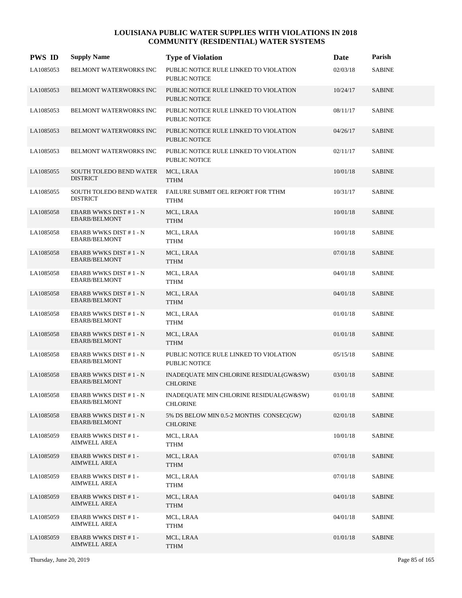| <b>PWS ID</b> | <b>Supply Name</b>                                | <b>Type of Violation</b>                                       | Date     | Parish        |
|---------------|---------------------------------------------------|----------------------------------------------------------------|----------|---------------|
| LA1085053     | <b>BELMONT WATERWORKS INC</b>                     | PUBLIC NOTICE RULE LINKED TO VIOLATION<br><b>PUBLIC NOTICE</b> | 02/03/18 | <b>SABINE</b> |
| LA1085053     | BELMONT WATERWORKS INC                            | PUBLIC NOTICE RULE LINKED TO VIOLATION<br><b>PUBLIC NOTICE</b> | 10/24/17 | <b>SABINE</b> |
| LA1085053     | BELMONT WATERWORKS INC                            | PUBLIC NOTICE RULE LINKED TO VIOLATION<br><b>PUBLIC NOTICE</b> | 08/11/17 | <b>SABINE</b> |
| LA1085053     | BELMONT WATERWORKS INC                            | PUBLIC NOTICE RULE LINKED TO VIOLATION<br><b>PUBLIC NOTICE</b> | 04/26/17 | <b>SABINE</b> |
| LA1085053     | BELMONT WATERWORKS INC                            | PUBLIC NOTICE RULE LINKED TO VIOLATION<br><b>PUBLIC NOTICE</b> | 02/11/17 | <b>SABINE</b> |
| LA1085055     | SOUTH TOLEDO BEND WATER<br><b>DISTRICT</b>        | MCL, LRAA<br><b>TTHM</b>                                       | 10/01/18 | <b>SABINE</b> |
| LA1085055     | <b>SOUTH TOLEDO BEND WATER</b><br><b>DISTRICT</b> | FAILURE SUBMIT OEL REPORT FOR TTHM<br><b>TTHM</b>              | 10/31/17 | <b>SABINE</b> |
| LA1085058     | EBARB WWKS DIST #1 - N<br>EBARB/BELMONT           | MCL, LRAA<br><b>TTHM</b>                                       | 10/01/18 | <b>SABINE</b> |
| LA1085058     | EBARB WWKS DIST #1 - N<br><b>EBARB/BELMONT</b>    | MCL, LRAA<br><b>TTHM</b>                                       | 10/01/18 | <b>SABINE</b> |
| LA1085058     | EBARB WWKS DIST #1 - N<br><b>EBARB/BELMONT</b>    | MCL, LRAA<br><b>TTHM</b>                                       | 07/01/18 | <b>SABINE</b> |
| LA1085058     | EBARB WWKS DIST #1 - N<br><b>EBARB/BELMONT</b>    | MCL, LRAA<br><b>TTHM</b>                                       | 04/01/18 | <b>SABINE</b> |
| LA1085058     | EBARB WWKS DIST #1 - N<br><b>EBARB/BELMONT</b>    | MCL, LRAA<br><b>TTHM</b>                                       | 04/01/18 | <b>SABINE</b> |
| LA1085058     | EBARB WWKS DIST #1 - N<br><b>EBARB/BELMONT</b>    | MCL, LRAA<br><b>TTHM</b>                                       | 01/01/18 | <b>SABINE</b> |
| LA1085058     | EBARB WWKS DIST #1 - N<br><b>EBARB/BELMONT</b>    | MCL, LRAA<br><b>TTHM</b>                                       | 01/01/18 | <b>SABINE</b> |
| LA1085058     | EBARB WWKS DIST #1 - N<br><b>EBARB/BELMONT</b>    | PUBLIC NOTICE RULE LINKED TO VIOLATION<br>PUBLIC NOTICE        | 05/15/18 | <b>SABINE</b> |
| LA1085058     | EBARB WWKS DIST #1 - N<br><b>EBARB/BELMONT</b>    | INADEQUATE MIN CHLORINE RESIDUAL(GW&SW)<br><b>CHLORINE</b>     | 03/01/18 | <b>SABINE</b> |
| LA1085058     | EBARB WWKS DIST #1 - N<br><b>EBARB/BELMONT</b>    | INADEQUATE MIN CHLORINE RESIDUAL(GW&SW)<br><b>CHLORINE</b>     | 01/01/18 | <b>SABINE</b> |
| LA1085058     | EBARB WWKS DIST #1 - N<br><b>EBARB/BELMONT</b>    | 5% DS BELOW MIN 0.5-2 MONTHS CONSEC(GW)<br><b>CHLORINE</b>     | 02/01/18 | <b>SABINE</b> |
| LA1085059     | <b>EBARB WWKS DIST #1-</b><br>AIMWELL AREA        | MCL, LRAA<br><b>TTHM</b>                                       | 10/01/18 | <b>SABINE</b> |
| LA1085059     | <b>EBARB WWKS DIST #1-</b><br>AIMWELL AREA        | MCL, LRAA<br><b>TTHM</b>                                       | 07/01/18 | <b>SABINE</b> |
| LA1085059     | <b>EBARB WWKS DIST #1-</b><br>AIMWELL AREA        | MCL, LRAA<br><b>TTHM</b>                                       | 07/01/18 | <b>SABINE</b> |
| LA1085059     | <b>EBARB WWKS DIST #1-</b><br>AIMWELL AREA        | MCL, LRAA<br><b>TTHM</b>                                       | 04/01/18 | <b>SABINE</b> |
| LA1085059     | <b>EBARB WWKS DIST #1-</b><br>AIMWELL AREA        | MCL, LRAA<br>TTHM                                              | 04/01/18 | <b>SABINE</b> |
| LA1085059     | <b>EBARB WWKS DIST #1-</b><br>AIMWELL AREA        | MCL, LRAA<br><b>TTHM</b>                                       | 01/01/18 | <b>SABINE</b> |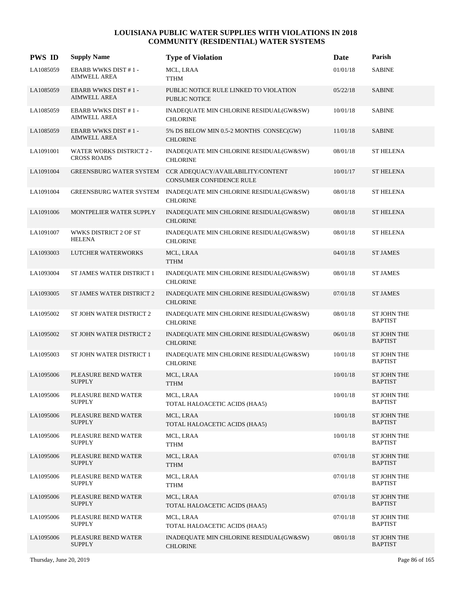| <b>PWS ID</b> | <b>Supply Name</b>                                    | <b>Type of Violation</b>                                       | <b>Date</b> | Parish                               |
|---------------|-------------------------------------------------------|----------------------------------------------------------------|-------------|--------------------------------------|
| LA1085059     | <b>EBARB WWKS DIST #1-</b><br><b>AIMWELL AREA</b>     | MCL, LRAA<br><b>TTHM</b>                                       | 01/01/18    | <b>SABINE</b>                        |
| LA1085059     | <b>EBARB WWKS DIST #1-</b><br><b>AIMWELL AREA</b>     | PUBLIC NOTICE RULE LINKED TO VIOLATION<br><b>PUBLIC NOTICE</b> | 05/22/18    | <b>SABINE</b>                        |
| LA1085059     | <b>EBARB WWKS DIST #1-</b><br><b>AIMWELL AREA</b>     | INADEQUATE MIN CHLORINE RESIDUAL(GW&SW)<br><b>CHLORINE</b>     | 10/01/18    | <b>SABINE</b>                        |
| LA1085059     | <b>EBARB WWKS DIST #1-</b><br><b>AIMWELL AREA</b>     | 5% DS BELOW MIN 0.5-2 MONTHS CONSEC(GW)<br><b>CHLORINE</b>     | 11/01/18    | <b>SABINE</b>                        |
| LA1091001     | <b>WATER WORKS DISTRICT 2 -</b><br><b>CROSS ROADS</b> | INADEQUATE MIN CHLORINE RESIDUAL(GW&SW)<br><b>CHLORINE</b>     | 08/01/18    | <b>ST HELENA</b>                     |
| LA1091004     | GREENSBURG WATER SYSTEM                               | CCR ADEQUACY/AVAILABILITY/CONTENT<br>CONSUMER CONFIDENCE RULE  | 10/01/17    | <b>ST HELENA</b>                     |
| LA1091004     | GREENSBURG WATER SYSTEM                               | INADEQUATE MIN CHLORINE RESIDUAL(GW&SW)<br><b>CHLORINE</b>     | 08/01/18    | <b>ST HELENA</b>                     |
| LA1091006     | <b>MONTPELIER WATER SUPPLY</b>                        | INADEQUATE MIN CHLORINE RESIDUAL(GW&SW)<br><b>CHLORINE</b>     | 08/01/18    | <b>ST HELENA</b>                     |
| LA1091007     | WWKS DISTRICT 2 OF ST<br><b>HELENA</b>                | INADEQUATE MIN CHLORINE RESIDUAL(GW&SW)<br><b>CHLORINE</b>     | 08/01/18    | <b>ST HELENA</b>                     |
| LA1093003     | LUTCHER WATERWORKS                                    | MCL, LRAA<br><b>TTHM</b>                                       | 04/01/18    | <b>ST JAMES</b>                      |
| LA1093004     | ST JAMES WATER DISTRICT 1                             | INADEQUATE MIN CHLORINE RESIDUAL(GW&SW)<br><b>CHLORINE</b>     | 08/01/18    | <b>ST JAMES</b>                      |
| LA1093005     | ST JAMES WATER DISTRICT 2                             | INADEQUATE MIN CHLORINE RESIDUAL(GW&SW)<br><b>CHLORINE</b>     | 07/01/18    | <b>ST JAMES</b>                      |
| LA1095002     | ST JOHN WATER DISTRICT 2                              | INADEQUATE MIN CHLORINE RESIDUAL(GW&SW)<br><b>CHLORINE</b>     | 08/01/18    | ST JOHN THE<br><b>BAPTIST</b>        |
| LA1095002     | ST JOHN WATER DISTRICT 2                              | INADEQUATE MIN CHLORINE RESIDUAL(GW&SW)<br><b>CHLORINE</b>     | 06/01/18    | <b>ST JOHN THE</b><br><b>BAPTIST</b> |
| LA1095003     | ST JOHN WATER DISTRICT 1                              | INADEQUATE MIN CHLORINE RESIDUAL(GW&SW)<br><b>CHLORINE</b>     | 10/01/18    | ST JOHN THE<br><b>BAPTIST</b>        |
| LA1095006     | PLEASURE BEND WATER<br><b>SUPPLY</b>                  | MCL, LRAA<br><b>TTHM</b>                                       | 10/01/18    | ST JOHN THE<br><b>BAPTIST</b>        |
| LA1095006     | PLEASURE BEND WATER<br><b>SUPPLY</b>                  | MCL, LRAA<br>TOTAL HALOACETIC ACIDS (HAA5)                     | 10/01/18    | <b>ST JOHN THE</b><br><b>BAPTIST</b> |
| LA1095006     | PLEASURE BEND WATER<br><b>SUPPLY</b>                  | MCL, LRAA<br>TOTAL HALOACETIC ACIDS (HAA5)                     | 10/01/18    | ST JOHN THE<br><b>BAPTIST</b>        |
| LA1095006     | PLEASURE BEND WATER<br><b>SUPPLY</b>                  | MCL, LRAA<br><b>TTHM</b>                                       | 10/01/18    | ST JOHN THE<br><b>BAPTIST</b>        |
| LA1095006     | PLEASURE BEND WATER<br><b>SUPPLY</b>                  | MCL, LRAA<br><b>TTHM</b>                                       | 07/01/18    | ST JOHN THE<br><b>BAPTIST</b>        |
| LA1095006     | PLEASURE BEND WATER<br><b>SUPPLY</b>                  | MCL, LRAA<br><b>TTHM</b>                                       | 07/01/18    | ST JOHN THE<br><b>BAPTIST</b>        |
| LA1095006     | PLEASURE BEND WATER<br><b>SUPPLY</b>                  | MCL, LRAA<br>TOTAL HALOACETIC ACIDS (HAA5)                     | 07/01/18    | ST JOHN THE<br><b>BAPTIST</b>        |
| LA1095006     | PLEASURE BEND WATER<br><b>SUPPLY</b>                  | MCL, LRAA<br>TOTAL HALOACETIC ACIDS (HAA5)                     | 07/01/18    | ST JOHN THE<br><b>BAPTIST</b>        |
| LA1095006     | PLEASURE BEND WATER<br><b>SUPPLY</b>                  | INADEQUATE MIN CHLORINE RESIDUAL(GW&SW)<br><b>CHLORINE</b>     | 08/01/18    | ST JOHN THE<br><b>BAPTIST</b>        |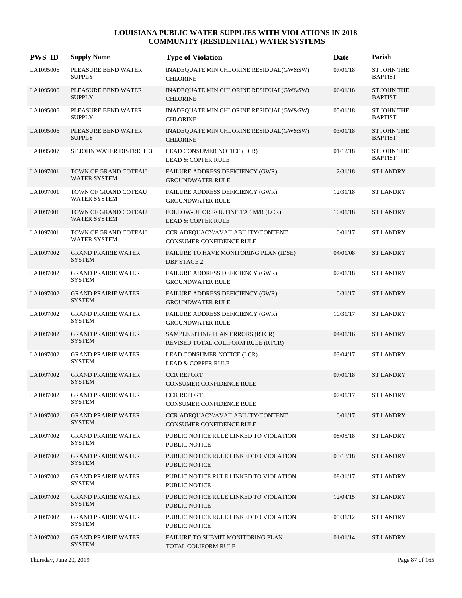| <b>PWS ID</b> | <b>Supply Name</b>                          | <b>Type of Violation</b>                                               | Date     | Parish                               |
|---------------|---------------------------------------------|------------------------------------------------------------------------|----------|--------------------------------------|
| LA1095006     | PLEASURE BEND WATER<br><b>SUPPLY</b>        | INADEQUATE MIN CHLORINE RESIDUAL(GW&SW)<br><b>CHLORINE</b>             | 07/01/18 | <b>ST JOHN THE</b><br><b>BAPTIST</b> |
| LA1095006     | PLEASURE BEND WATER<br><b>SUPPLY</b>        | INADEQUATE MIN CHLORINE RESIDUAL(GW&SW)<br><b>CHLORINE</b>             | 06/01/18 | <b>ST JOHN THE</b><br><b>BAPTIST</b> |
| LA1095006     | PLEASURE BEND WATER<br><b>SUPPLY</b>        | INADEQUATE MIN CHLORINE RESIDUAL(GW&SW)<br><b>CHLORINE</b>             | 05/01/18 | ST JOHN THE<br><b>BAPTIST</b>        |
| LA1095006     | PLEASURE BEND WATER<br><b>SUPPLY</b>        | INADEQUATE MIN CHLORINE RESIDUAL(GW&SW)<br><b>CHLORINE</b>             | 03/01/18 | <b>ST JOHN THE</b><br><b>BAPTIST</b> |
| LA1095007     | ST JOHN WATER DISTRICT 3                    | LEAD CONSUMER NOTICE (LCR)<br><b>LEAD &amp; COPPER RULE</b>            | 01/12/18 | ST JOHN THE<br><b>BAPTIST</b>        |
| LA1097001     | TOWN OF GRAND COTEAU<br><b>WATER SYSTEM</b> | FAILURE ADDRESS DEFICIENCY (GWR)<br><b>GROUNDWATER RULE</b>            | 12/31/18 | <b>ST LANDRY</b>                     |
| LA1097001     | TOWN OF GRAND COTEAU<br><b>WATER SYSTEM</b> | FAILURE ADDRESS DEFICIENCY (GWR)<br><b>GROUNDWATER RULE</b>            | 12/31/18 | <b>ST LANDRY</b>                     |
| LA1097001     | TOWN OF GRAND COTEAU<br>WATER SYSTEM        | FOLLOW-UP OR ROUTINE TAP M/R (LCR)<br><b>LEAD &amp; COPPER RULE</b>    | 10/01/18 | <b>ST LANDRY</b>                     |
| LA1097001     | TOWN OF GRAND COTEAU<br>WATER SYSTEM        | CCR ADEQUACY/AVAILABILITY/CONTENT<br><b>CONSUMER CONFIDENCE RULE</b>   | 10/01/17 | <b>ST LANDRY</b>                     |
| LA1097002     | <b>GRAND PRAIRIE WATER</b><br><b>SYSTEM</b> | FAILURE TO HAVE MONITORING PLAN (IDSE)<br><b>DBP STAGE 2</b>           | 04/01/08 | <b>ST LANDRY</b>                     |
| LA1097002     | <b>GRAND PRAIRIE WATER</b><br><b>SYSTEM</b> | FAILURE ADDRESS DEFICIENCY (GWR)<br><b>GROUNDWATER RULE</b>            | 07/01/18 | <b>ST LANDRY</b>                     |
| LA1097002     | <b>GRAND PRAIRIE WATER</b><br><b>SYSTEM</b> | FAILURE ADDRESS DEFICIENCY (GWR)<br><b>GROUNDWATER RULE</b>            | 10/31/17 | <b>ST LANDRY</b>                     |
| LA1097002     | <b>GRAND PRAIRIE WATER</b><br><b>SYSTEM</b> | FAILURE ADDRESS DEFICIENCY (GWR)<br><b>GROUNDWATER RULE</b>            | 10/31/17 | <b>ST LANDRY</b>                     |
| LA1097002     | <b>GRAND PRAIRIE WATER</b><br><b>SYSTEM</b> | SAMPLE SITING PLAN ERRORS (RTCR)<br>REVISED TOTAL COLIFORM RULE (RTCR) | 04/01/16 | <b>ST LANDRY</b>                     |
| LA1097002     | <b>GRAND PRAIRIE WATER</b><br><b>SYSTEM</b> | LEAD CONSUMER NOTICE (LCR)<br><b>LEAD &amp; COPPER RULE</b>            | 03/04/17 | <b>ST LANDRY</b>                     |
| LA1097002     | <b>GRAND PRAIRIE WATER</b><br><b>SYSTEM</b> | <b>CCR REPORT</b><br><b>CONSUMER CONFIDENCE RULE</b>                   | 07/01/18 | <b>ST LANDRY</b>                     |
| LA1097002     | <b>GRAND PRAIRIE WATER</b><br><b>SYSTEM</b> | <b>CCR REPORT</b><br>CONSUMER CONFIDENCE RULE                          | 07/01/17 | <b>ST LANDRY</b>                     |
| LA1097002     | <b>GRAND PRAIRIE WATER</b><br><b>SYSTEM</b> | CCR ADEQUACY/AVAILABILITY/CONTENT<br>CONSUMER CONFIDENCE RULE          | 10/01/17 | <b>ST LANDRY</b>                     |
| LA1097002     | <b>GRAND PRAIRIE WATER</b><br>SYSTEM        | PUBLIC NOTICE RULE LINKED TO VIOLATION<br>PUBLIC NOTICE                | 08/05/18 | <b>ST LANDRY</b>                     |
| LA1097002     | <b>GRAND PRAIRIE WATER</b><br><b>SYSTEM</b> | PUBLIC NOTICE RULE LINKED TO VIOLATION<br>PUBLIC NOTICE                | 03/18/18 | <b>ST LANDRY</b>                     |
| LA1097002     | <b>GRAND PRAIRIE WATER</b><br><b>SYSTEM</b> | PUBLIC NOTICE RULE LINKED TO VIOLATION<br>PUBLIC NOTICE                | 08/31/17 | <b>ST LANDRY</b>                     |
| LA1097002     | <b>GRAND PRAIRIE WATER</b><br><b>SYSTEM</b> | PUBLIC NOTICE RULE LINKED TO VIOLATION<br>PUBLIC NOTICE                | 12/04/15 | ST LANDRY                            |
| LA1097002     | <b>GRAND PRAIRIE WATER</b><br>SYSTEM        | PUBLIC NOTICE RULE LINKED TO VIOLATION<br>PUBLIC NOTICE                | 05/31/12 | <b>ST LANDRY</b>                     |
| LA1097002     | <b>GRAND PRAIRIE WATER</b><br><b>SYSTEM</b> | FAILURE TO SUBMIT MONITORING PLAN<br>TOTAL COLIFORM RULE               | 01/01/14 | <b>ST LANDRY</b>                     |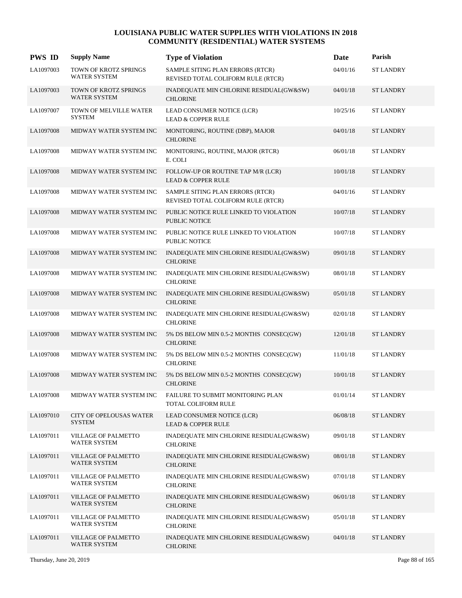| <b>PWS ID</b> | <b>Supply Name</b>                              | <b>Type of Violation</b>                                               | Date     | Parish           |
|---------------|-------------------------------------------------|------------------------------------------------------------------------|----------|------------------|
| LA1097003     | TOWN OF KROTZ SPRINGS<br><b>WATER SYSTEM</b>    | SAMPLE SITING PLAN ERRORS (RTCR)<br>REVISED TOTAL COLIFORM RULE (RTCR) | 04/01/16 | <b>ST LANDRY</b> |
| LA1097003     | TOWN OF KROTZ SPRINGS<br><b>WATER SYSTEM</b>    | INADEQUATE MIN CHLORINE RESIDUAL(GW&SW)<br><b>CHLORINE</b>             | 04/01/18 | <b>ST LANDRY</b> |
| LA1097007     | TOWN OF MELVILLE WATER<br><b>SYSTEM</b>         | LEAD CONSUMER NOTICE (LCR)<br><b>LEAD &amp; COPPER RULE</b>            | 10/25/16 | <b>ST LANDRY</b> |
| LA1097008     | MIDWAY WATER SYSTEM INC                         | MONITORING, ROUTINE (DBP), MAJOR<br><b>CHLORINE</b>                    | 04/01/18 | <b>ST LANDRY</b> |
| LA1097008     | MIDWAY WATER SYSTEM INC                         | MONITORING, ROUTINE, MAJOR (RTCR)<br>E. COLI                           | 06/01/18 | <b>ST LANDRY</b> |
| LA1097008     | MIDWAY WATER SYSTEM INC                         | FOLLOW-UP OR ROUTINE TAP M/R (LCR)<br><b>LEAD &amp; COPPER RULE</b>    | 10/01/18 | <b>ST LANDRY</b> |
| LA1097008     | MIDWAY WATER SYSTEM INC                         | SAMPLE SITING PLAN ERRORS (RTCR)<br>REVISED TOTAL COLIFORM RULE (RTCR) | 04/01/16 | <b>ST LANDRY</b> |
| LA1097008     | MIDWAY WATER SYSTEM INC                         | PUBLIC NOTICE RULE LINKED TO VIOLATION<br><b>PUBLIC NOTICE</b>         | 10/07/18 | <b>ST LANDRY</b> |
| LA1097008     | MIDWAY WATER SYSTEM INC                         | PUBLIC NOTICE RULE LINKED TO VIOLATION<br>PUBLIC NOTICE                | 10/07/18 | <b>ST LANDRY</b> |
| LA1097008     | MIDWAY WATER SYSTEM INC                         | INADEQUATE MIN CHLORINE RESIDUAL(GW&SW)<br><b>CHLORINE</b>             | 09/01/18 | <b>ST LANDRY</b> |
| LA1097008     | MIDWAY WATER SYSTEM INC                         | INADEQUATE MIN CHLORINE RESIDUAL(GW&SW)<br><b>CHLORINE</b>             | 08/01/18 | <b>ST LANDRY</b> |
| LA1097008     | MIDWAY WATER SYSTEM INC                         | INADEQUATE MIN CHLORINE RESIDUAL(GW&SW)<br><b>CHLORINE</b>             | 05/01/18 | <b>ST LANDRY</b> |
| LA1097008     | MIDWAY WATER SYSTEM INC                         | INADEQUATE MIN CHLORINE RESIDUAL(GW&SW)<br><b>CHLORINE</b>             | 02/01/18 | <b>ST LANDRY</b> |
| LA1097008     | MIDWAY WATER SYSTEM INC                         | 5% DS BELOW MIN 0.5-2 MONTHS CONSEC(GW)<br><b>CHLORINE</b>             | 12/01/18 | <b>ST LANDRY</b> |
| LA1097008     | MIDWAY WATER SYSTEM INC                         | 5% DS BELOW MIN 0.5-2 MONTHS CONSEC(GW)<br><b>CHLORINE</b>             | 11/01/18 | <b>ST LANDRY</b> |
| LA1097008     | MIDWAY WATER SYSTEM INC                         | 5% DS BELOW MIN 0.5-2 MONTHS CONSEC(GW)<br><b>CHLORINE</b>             | 10/01/18 | <b>ST LANDRY</b> |
| LA1097008     | MIDWAY WATER SYSTEM INC                         | FAILURE TO SUBMIT MONITORING PLAN<br>TOTAL COLIFORM RULE               | 01/01/14 | <b>ST LANDRY</b> |
| LA1097010     | <b>CITY OF OPELOUSAS WATER</b><br><b>SYSTEM</b> | LEAD CONSUMER NOTICE (LCR)<br><b>LEAD &amp; COPPER RULE</b>            | 06/08/18 | <b>ST LANDRY</b> |
| LA1097011     | VILLAGE OF PALMETTO<br><b>WATER SYSTEM</b>      | INADEQUATE MIN CHLORINE RESIDUAL(GW&SW)<br><b>CHLORINE</b>             | 09/01/18 | <b>ST LANDRY</b> |
| LA1097011     | VILLAGE OF PALMETTO<br>WATER SYSTEM             | INADEQUATE MIN CHLORINE RESIDUAL(GW&SW)<br><b>CHLORINE</b>             | 08/01/18 | <b>ST LANDRY</b> |
| LA1097011     | VILLAGE OF PALMETTO<br><b>WATER SYSTEM</b>      | INADEQUATE MIN CHLORINE RESIDUAL(GW&SW)<br><b>CHLORINE</b>             | 07/01/18 | <b>ST LANDRY</b> |
| LA1097011     | VILLAGE OF PALMETTO<br><b>WATER SYSTEM</b>      | INADEQUATE MIN CHLORINE RESIDUAL(GW&SW)<br><b>CHLORINE</b>             | 06/01/18 | <b>ST LANDRY</b> |
| LA1097011     | VILLAGE OF PALMETTO<br><b>WATER SYSTEM</b>      | INADEQUATE MIN CHLORINE RESIDUAL(GW&SW)<br><b>CHLORINE</b>             | 05/01/18 | <b>ST LANDRY</b> |
| LA1097011     | VILLAGE OF PALMETTO<br>WATER SYSTEM             | INADEQUATE MIN CHLORINE RESIDUAL(GW&SW)<br><b>CHLORINE</b>             | 04/01/18 | <b>ST LANDRY</b> |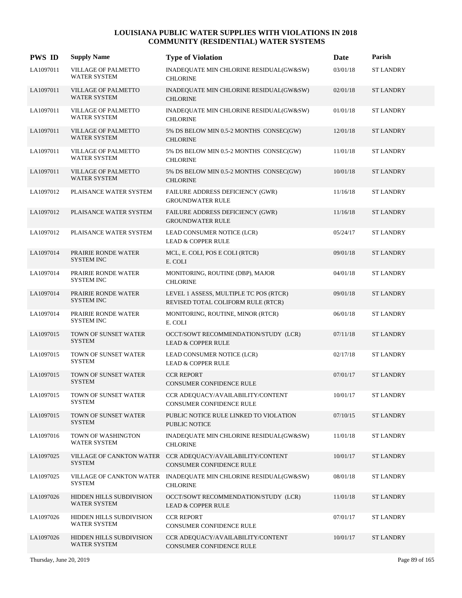| <b>PWS ID</b> | <b>Supply Name</b>                                | <b>Type of Violation</b>                                                               | Date     | Parish           |
|---------------|---------------------------------------------------|----------------------------------------------------------------------------------------|----------|------------------|
| LA1097011     | VILLAGE OF PALMETTO<br>WATER SYSTEM               | INADEQUATE MIN CHLORINE RESIDUAL(GW&SW)<br><b>CHLORINE</b>                             | 03/01/18 | <b>ST LANDRY</b> |
| LA1097011     | <b>VILLAGE OF PALMETTO</b><br>WATER SYSTEM        | INADEQUATE MIN CHLORINE RESIDUAL(GW&SW)<br><b>CHLORINE</b>                             | 02/01/18 | <b>ST LANDRY</b> |
| LA1097011     | VILLAGE OF PALMETTO<br>WATER SYSTEM               | INADEQUATE MIN CHLORINE RESIDUAL(GW&SW)<br><b>CHLORINE</b>                             | 01/01/18 | <b>ST LANDRY</b> |
| LA1097011     | <b>VILLAGE OF PALMETTO</b><br>WATER SYSTEM        | 5% DS BELOW MIN 0.5-2 MONTHS CONSEC(GW)<br><b>CHLORINE</b>                             | 12/01/18 | <b>ST LANDRY</b> |
| LA1097011     | <b>VILLAGE OF PALMETTO</b><br>WATER SYSTEM        | 5% DS BELOW MIN 0.5-2 MONTHS CONSEC(GW)<br><b>CHLORINE</b>                             | 11/01/18 | <b>ST LANDRY</b> |
| LA1097011     | <b>VILLAGE OF PALMETTO</b><br><b>WATER SYSTEM</b> | 5% DS BELOW MIN 0.5-2 MONTHS CONSEC(GW)<br><b>CHLORINE</b>                             | 10/01/18 | <b>ST LANDRY</b> |
| LA1097012     | PLAISANCE WATER SYSTEM                            | FAILURE ADDRESS DEFICIENCY (GWR)<br><b>GROUNDWATER RULE</b>                            | 11/16/18 | <b>ST LANDRY</b> |
| LA1097012     | PLAISANCE WATER SYSTEM                            | FAILURE ADDRESS DEFICIENCY (GWR)<br><b>GROUNDWATER RULE</b>                            | 11/16/18 | <b>ST LANDRY</b> |
| LA1097012     | PLAISANCE WATER SYSTEM                            | LEAD CONSUMER NOTICE (LCR)<br><b>LEAD &amp; COPPER RULE</b>                            | 05/24/17 | <b>ST LANDRY</b> |
| LA1097014     | PRAIRIE RONDE WATER<br><b>SYSTEM INC</b>          | MCL, E. COLI, POS E COLI (RTCR)<br>E. COLI                                             | 09/01/18 | <b>ST LANDRY</b> |
| LA1097014     | PRAIRIE RONDE WATER<br><b>SYSTEM INC</b>          | MONITORING, ROUTINE (DBP), MAJOR<br><b>CHLORINE</b>                                    | 04/01/18 | <b>ST LANDRY</b> |
| LA1097014     | PRAIRIE RONDE WATER<br><b>SYSTEM INC</b>          | LEVEL 1 ASSESS, MULTIPLE TC POS (RTCR)<br>REVISED TOTAL COLIFORM RULE (RTCR)           | 09/01/18 | <b>ST LANDRY</b> |
| LA1097014     | PRAIRIE RONDE WATER<br><b>SYSTEM INC</b>          | MONITORING, ROUTINE, MINOR (RTCR)<br>E. COLI                                           | 06/01/18 | <b>ST LANDRY</b> |
| LA1097015     | TOWN OF SUNSET WATER<br><b>SYSTEM</b>             | OCCT/SOWT RECOMMENDATION/STUDY (LCR)<br><b>LEAD &amp; COPPER RULE</b>                  | 07/11/18 | <b>ST LANDRY</b> |
| LA1097015     | TOWN OF SUNSET WATER<br><b>SYSTEM</b>             | LEAD CONSUMER NOTICE (LCR)<br><b>LEAD &amp; COPPER RULE</b>                            | 02/17/18 | <b>ST LANDRY</b> |
| LA1097015     | TOWN OF SUNSET WATER<br><b>SYSTEM</b>             | <b>CCR REPORT</b><br><b>CONSUMER CONFIDENCE RULE</b>                                   | 07/01/17 | <b>ST LANDRY</b> |
| LA1097015     | TOWN OF SUNSET WATER<br><b>SYSTEM</b>             | CCR ADEQUACY/AVAILABILITY/CONTENT<br>CONSUMER CONFIDENCE RULE                          | 10/01/17 | <b>ST LANDRY</b> |
| LA1097015     | TOWN OF SUNSET WATER<br><b>SYSTEM</b>             | PUBLIC NOTICE RULE LINKED TO VIOLATION<br><b>PUBLIC NOTICE</b>                         | 07/10/15 | <b>ST LANDRY</b> |
| LA1097016     | TOWN OF WASHINGTON<br><b>WATER SYSTEM</b>         | INADEQUATE MIN CHLORINE RESIDUAL(GW&SW)<br><b>CHLORINE</b>                             | 11/01/18 | <b>ST LANDRY</b> |
| LA1097025     | <b>SYSTEM</b>                                     | VILLAGE OF CANKTON WATER CCR ADEQUACY/AVAILABILITY/CONTENT<br>CONSUMER CONFIDENCE RULE | 10/01/17 | <b>ST LANDRY</b> |
| LA1097025     | <b>SYSTEM</b>                                     | VILLAGE OF CANKTON WATER INADEQUATE MIN CHLORINE RESIDUAL(GW&SW)<br><b>CHLORINE</b>    | 08/01/18 | <b>ST LANDRY</b> |
| LA1097026     | HIDDEN HILLS SUBDIVISION<br>WATER SYSTEM          | OCCT/SOWT RECOMMENDATION/STUDY (LCR)<br><b>LEAD &amp; COPPER RULE</b>                  | 11/01/18 | <b>ST LANDRY</b> |
| LA1097026     | HIDDEN HILLS SUBDIVISION<br>WATER SYSTEM          | <b>CCR REPORT</b><br>CONSUMER CONFIDENCE RULE                                          | 07/01/17 | <b>ST LANDRY</b> |
| LA1097026     | HIDDEN HILLS SUBDIVISION<br>WATER SYSTEM          | CCR ADEQUACY/AVAILABILITY/CONTENT<br>CONSUMER CONFIDENCE RULE                          | 10/01/17 | <b>ST LANDRY</b> |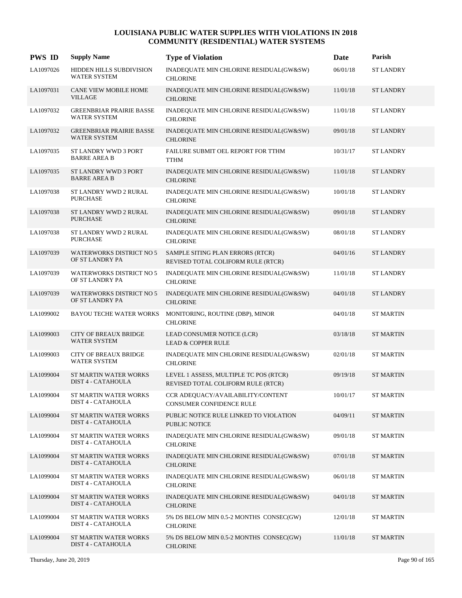| <b>PWS ID</b> | <b>Supply Name</b>                                  | <b>Type of Violation</b>                                                     | Date     | Parish           |
|---------------|-----------------------------------------------------|------------------------------------------------------------------------------|----------|------------------|
| LA1097026     | HIDDEN HILLS SUBDIVISION<br><b>WATER SYSTEM</b>     | INADEQUATE MIN CHLORINE RESIDUAL(GW&SW)<br><b>CHLORINE</b>                   | 06/01/18 | <b>ST LANDRY</b> |
| LA1097031     | <b>CANE VIEW MOBILE HOME</b><br><b>VILLAGE</b>      | INADEQUATE MIN CHLORINE RESIDUAL(GW&SW)<br><b>CHLORINE</b>                   | 11/01/18 | <b>ST LANDRY</b> |
| LA1097032     | <b>GREENBRIAR PRAIRIE BASSE</b><br>WATER SYSTEM     | INADEQUATE MIN CHLORINE RESIDUAL(GW&SW)<br><b>CHLORINE</b>                   | 11/01/18 | <b>ST LANDRY</b> |
| LA1097032     | <b>GREENBRIAR PRAIRIE BASSE</b><br>WATER SYSTEM     | INADEQUATE MIN CHLORINE RESIDUAL(GW&SW)<br><b>CHLORINE</b>                   | 09/01/18 | <b>ST LANDRY</b> |
| LA1097035     | ST LANDRY WWD 3 PORT<br><b>BARRE AREA B</b>         | FAILURE SUBMIT OEL REPORT FOR TTHM<br><b>TTHM</b>                            | 10/31/17 | <b>ST LANDRY</b> |
| LA1097035     | ST LANDRY WWD 3 PORT<br><b>BARRE AREA B</b>         | INADEQUATE MIN CHLORINE RESIDUAL(GW&SW)<br><b>CHLORINE</b>                   | 11/01/18 | <b>ST LANDRY</b> |
| LA1097038     | ST LANDRY WWD 2 RURAL<br><b>PURCHASE</b>            | INADEQUATE MIN CHLORINE RESIDUAL(GW&SW)<br><b>CHLORINE</b>                   | 10/01/18 | <b>ST LANDRY</b> |
| LA1097038     | ST LANDRY WWD 2 RURAL<br><b>PURCHASE</b>            | INADEQUATE MIN CHLORINE RESIDUAL(GW&SW)<br><b>CHLORINE</b>                   | 09/01/18 | <b>ST LANDRY</b> |
| LA1097038     | ST LANDRY WWD 2 RURAL<br><b>PURCHASE</b>            | INADEQUATE MIN CHLORINE RESIDUAL(GW&SW)<br><b>CHLORINE</b>                   | 08/01/18 | <b>ST LANDRY</b> |
| LA1097039     | <b>WATERWORKS DISTRICT NO 5</b><br>OF ST LANDRY PA  | SAMPLE SITING PLAN ERRORS (RTCR)<br>REVISED TOTAL COLIFORM RULE (RTCR)       | 04/01/16 | <b>ST LANDRY</b> |
| LA1097039     | <b>WATERWORKS DISTRICT NO 5</b><br>OF ST LANDRY PA  | INADEQUATE MIN CHLORINE RESIDUAL(GW&SW)<br><b>CHLORINE</b>                   | 11/01/18 | <b>ST LANDRY</b> |
| LA1097039     | <b>WATERWORKS DISTRICT NO 5</b><br>OF ST LANDRY PA  | INADEQUATE MIN CHLORINE RESIDUAL(GW&SW)<br><b>CHLORINE</b>                   | 04/01/18 | <b>ST LANDRY</b> |
| LA1099002     | <b>BAYOU TECHE WATER WORKS</b>                      | MONITORING, ROUTINE (DBP), MINOR<br><b>CHLORINE</b>                          | 04/01/18 | <b>ST MARTIN</b> |
| LA1099003     | <b>CITY OF BREAUX BRIDGE</b><br>WATER SYSTEM        | LEAD CONSUMER NOTICE (LCR)<br><b>LEAD &amp; COPPER RULE</b>                  | 03/18/18 | <b>ST MARTIN</b> |
| LA1099003     | <b>CITY OF BREAUX BRIDGE</b><br><b>WATER SYSTEM</b> | INADEQUATE MIN CHLORINE RESIDUAL(GW&SW)<br><b>CHLORINE</b>                   | 02/01/18 | <b>ST MARTIN</b> |
| LA1099004     | ST MARTIN WATER WORKS<br>DIST 4 - CATAHOULA         | LEVEL 1 ASSESS, MULTIPLE TC POS (RTCR)<br>REVISED TOTAL COLIFORM RULE (RTCR) | 09/19/18 | <b>ST MARTIN</b> |
| LA1099004     | ST MARTIN WATER WORKS<br>DIST 4 - CATAHOULA         | CCR ADEQUACY/AVAILABILITY/CONTENT<br>CONSUMER CONFIDENCE RULE                | 10/01/17 | <b>ST MARTIN</b> |
| LA1099004     | ST MARTIN WATER WORKS<br>DIST 4 - CATAHOULA         | PUBLIC NOTICE RULE LINKED TO VIOLATION<br>PUBLIC NOTICE                      | 04/09/11 | <b>ST MARTIN</b> |
| LA1099004     | ST MARTIN WATER WORKS<br>DIST 4 - CATAHOULA         | INADEQUATE MIN CHLORINE RESIDUAL(GW&SW)<br><b>CHLORINE</b>                   | 09/01/18 | <b>ST MARTIN</b> |
| LA1099004     | ST MARTIN WATER WORKS<br>DIST 4 - CATAHOULA         | INADEQUATE MIN CHLORINE RESIDUAL(GW&SW)<br><b>CHLORINE</b>                   | 07/01/18 | <b>ST MARTIN</b> |
| LA1099004     | ST MARTIN WATER WORKS<br>DIST 4 - CATAHOULA         | INADEQUATE MIN CHLORINE RESIDUAL(GW&SW)<br><b>CHLORINE</b>                   | 06/01/18 | <b>ST MARTIN</b> |
| LA1099004     | ST MARTIN WATER WORKS<br>DIST 4 - CATAHOULA         | INADEQUATE MIN CHLORINE RESIDUAL(GW&SW)<br><b>CHLORINE</b>                   | 04/01/18 | <b>ST MARTIN</b> |
| LA1099004     | ST MARTIN WATER WORKS<br>DIST 4 - CATAHOULA         | 5% DS BELOW MIN 0.5-2 MONTHS CONSEC(GW)<br><b>CHLORINE</b>                   | 12/01/18 | <b>ST MARTIN</b> |
| LA1099004     | ST MARTIN WATER WORKS<br>DIST 4 - CATAHOULA         | 5% DS BELOW MIN 0.5-2 MONTHS CONSEC(GW)<br><b>CHLORINE</b>                   | 11/01/18 | <b>ST MARTIN</b> |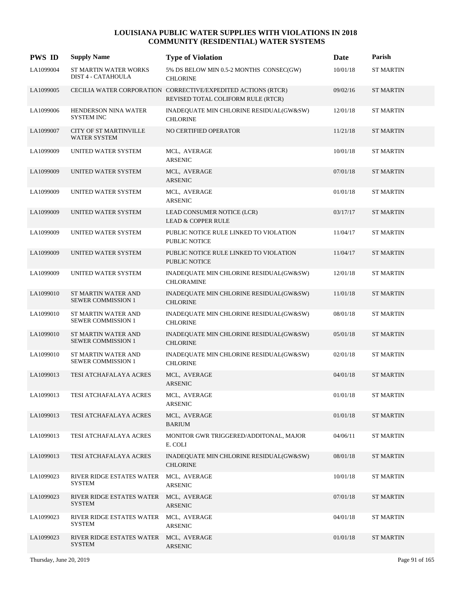| <b>PWS ID</b> | <b>Supply Name</b>                                      | <b>Type of Violation</b>                                                                            | Date     | Parish           |
|---------------|---------------------------------------------------------|-----------------------------------------------------------------------------------------------------|----------|------------------|
| LA1099004     | ST MARTIN WATER WORKS<br>DIST 4 - CATAHOULA             | 5% DS BELOW MIN 0.5-2 MONTHS CONSEC(GW)<br><b>CHLORINE</b>                                          | 10/01/18 | <b>ST MARTIN</b> |
| LA1099005     |                                                         | CECILIA WATER CORPORATION CORRECTIVE/EXPEDITED ACTIONS (RTCR)<br>REVISED TOTAL COLIFORM RULE (RTCR) | 09/02/16 | <b>ST MARTIN</b> |
| LA1099006     | HENDERSON NINA WATER<br><b>SYSTEM INC</b>               | INADEQUATE MIN CHLORINE RESIDUAL(GW&SW)<br><b>CHLORINE</b>                                          | 12/01/18 | <b>ST MARTIN</b> |
| LA1099007     | <b>CITY OF ST MARTINVILLE</b><br>WATER SYSTEM           | NO CERTIFIED OPERATOR                                                                               | 11/21/18 | <b>ST MARTIN</b> |
| LA1099009     | UNITED WATER SYSTEM                                     | MCL, AVERAGE<br><b>ARSENIC</b>                                                                      | 10/01/18 | <b>ST MARTIN</b> |
| LA1099009     | UNITED WATER SYSTEM                                     | MCL, AVERAGE<br><b>ARSENIC</b>                                                                      | 07/01/18 | <b>ST MARTIN</b> |
| LA1099009     | UNITED WATER SYSTEM                                     | MCL, AVERAGE<br><b>ARSENIC</b>                                                                      | 01/01/18 | <b>ST MARTIN</b> |
| LA1099009     | UNITED WATER SYSTEM                                     | LEAD CONSUMER NOTICE (LCR)<br><b>LEAD &amp; COPPER RULE</b>                                         | 03/17/17 | <b>ST MARTIN</b> |
| LA1099009     | UNITED WATER SYSTEM                                     | PUBLIC NOTICE RULE LINKED TO VIOLATION<br><b>PUBLIC NOTICE</b>                                      | 11/04/17 | <b>ST MARTIN</b> |
| LA1099009     | UNITED WATER SYSTEM                                     | PUBLIC NOTICE RULE LINKED TO VIOLATION<br><b>PUBLIC NOTICE</b>                                      | 11/04/17 | <b>ST MARTIN</b> |
| LA1099009     | UNITED WATER SYSTEM                                     | INADEQUATE MIN CHLORINE RESIDUAL(GW&SW)<br><b>CHLORAMINE</b>                                        | 12/01/18 | <b>ST MARTIN</b> |
| LA1099010     | ST MARTIN WATER AND<br><b>SEWER COMMISSION 1</b>        | INADEQUATE MIN CHLORINE RESIDUAL(GW&SW)<br><b>CHLORINE</b>                                          | 11/01/18 | <b>ST MARTIN</b> |
| LA1099010     | ST MARTIN WATER AND<br><b>SEWER COMMISSION 1</b>        | INADEQUATE MIN CHLORINE RESIDUAL(GW&SW)<br><b>CHLORINE</b>                                          | 08/01/18 | <b>ST MARTIN</b> |
| LA1099010     | <b>ST MARTIN WATER AND</b><br><b>SEWER COMMISSION 1</b> | INADEQUATE MIN CHLORINE RESIDUAL(GW&SW)<br><b>CHLORINE</b>                                          | 05/01/18 | <b>ST MARTIN</b> |
| LA1099010     | ST MARTIN WATER AND<br><b>SEWER COMMISSION 1</b>        | INADEQUATE MIN CHLORINE RESIDUAL(GW&SW)<br><b>CHLORINE</b>                                          | 02/01/18 | <b>ST MARTIN</b> |
| LA1099013     | TESI ATCHAFALAYA ACRES                                  | MCL, AVERAGE<br><b>ARSENIC</b>                                                                      | 04/01/18 | <b>ST MARTIN</b> |
| LA1099013     | TESI ATCHAFALAYA ACRES                                  | MCL, AVERAGE<br><b>ARSENIC</b>                                                                      | 01/01/18 | <b>ST MARTIN</b> |
| LA1099013     | TESI ATCHAFALAYA ACRES                                  | MCL, AVERAGE<br><b>BARIUM</b>                                                                       | 01/01/18 | <b>ST MARTIN</b> |
| LA1099013     | TESI ATCHAFALAYA ACRES                                  | MONITOR GWR TRIGGERED/ADDITONAL, MAJOR<br>E. COLI                                                   | 04/06/11 | <b>ST MARTIN</b> |
| LA1099013     | TESI ATCHAFALAYA ACRES                                  | INADEQUATE MIN CHLORINE RESIDUAL(GW&SW)<br><b>CHLORINE</b>                                          | 08/01/18 | <b>ST MARTIN</b> |
| LA1099023     | RIVER RIDGE ESTATES WATER<br><b>SYSTEM</b>              | MCL, AVERAGE<br>ARSENIC                                                                             | 10/01/18 | <b>ST MARTIN</b> |
| LA1099023     | RIVER RIDGE ESTATES WATER<br><b>SYSTEM</b>              | MCL, AVERAGE<br>ARSENIC                                                                             | 07/01/18 | <b>ST MARTIN</b> |
| LA1099023     | RIVER RIDGE ESTATES WATER<br>SYSTEM                     | MCL, AVERAGE<br>ARSENIC                                                                             | 04/01/18 | <b>ST MARTIN</b> |
| LA1099023     | RIVER RIDGE ESTATES WATER<br><b>SYSTEM</b>              | MCL, AVERAGE<br><b>ARSENIC</b>                                                                      | 01/01/18 | <b>ST MARTIN</b> |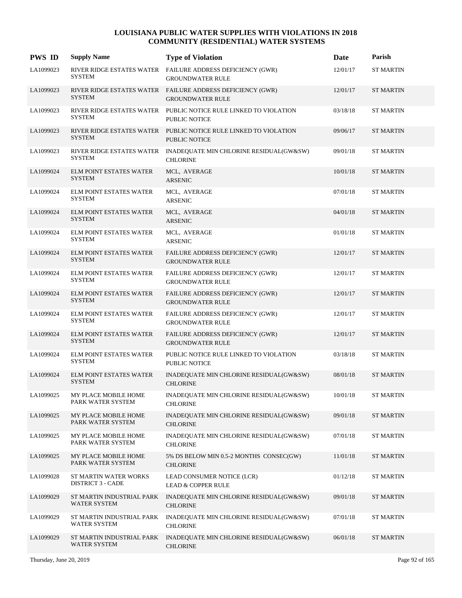| <b>PWS ID</b> | <b>Supply Name</b>                                | <b>Type of Violation</b>                                                                 | Date     | Parish           |
|---------------|---------------------------------------------------|------------------------------------------------------------------------------------------|----------|------------------|
| LA1099023     | <b>SYSTEM</b>                                     | RIVER RIDGE ESTATES WATER FAILURE ADDRESS DEFICIENCY (GWR)<br><b>GROUNDWATER RULE</b>    | 12/01/17 | <b>ST MARTIN</b> |
| LA1099023     | <b>SYSTEM</b>                                     | RIVER RIDGE ESTATES WATER FAILURE ADDRESS DEFICIENCY (GWR)<br><b>GROUNDWATER RULE</b>    | 12/01/17 | <b>ST MARTIN</b> |
| LA1099023     | <b>SYSTEM</b>                                     | RIVER RIDGE ESTATES WATER PUBLIC NOTICE RULE LINKED TO VIOLATION<br>PUBLIC NOTICE        | 03/18/18 | <b>ST MARTIN</b> |
| LA1099023     | <b>SYSTEM</b>                                     | RIVER RIDGE ESTATES WATER PUBLIC NOTICE RULE LINKED TO VIOLATION<br><b>PUBLIC NOTICE</b> | 09/06/17 | <b>ST MARTIN</b> |
| LA1099023     | RIVER RIDGE ESTATES WATER<br><b>SYSTEM</b>        | INADEQUATE MIN CHLORINE RESIDUAL(GW&SW)<br><b>CHLORINE</b>                               | 09/01/18 | <b>ST MARTIN</b> |
| LA1099024     | <b>ELM POINT ESTATES WATER</b><br><b>SYSTEM</b>   | MCL, AVERAGE<br><b>ARSENIC</b>                                                           | 10/01/18 | <b>ST MARTIN</b> |
| LA1099024     | ELM POINT ESTATES WATER<br><b>SYSTEM</b>          | MCL, AVERAGE<br><b>ARSENIC</b>                                                           | 07/01/18 | <b>ST MARTIN</b> |
| LA1099024     | <b>ELM POINT ESTATES WATER</b><br><b>SYSTEM</b>   | MCL, AVERAGE<br>ARSENIC                                                                  | 04/01/18 | <b>ST MARTIN</b> |
| LA1099024     | <b>ELM POINT ESTATES WATER</b><br><b>SYSTEM</b>   | MCL, AVERAGE<br><b>ARSENIC</b>                                                           | 01/01/18 | <b>ST MARTIN</b> |
| LA1099024     | ELM POINT ESTATES WATER<br><b>SYSTEM</b>          | FAILURE ADDRESS DEFICIENCY (GWR)<br><b>GROUNDWATER RULE</b>                              | 12/01/17 | <b>ST MARTIN</b> |
| LA1099024     | <b>ELM POINT ESTATES WATER</b><br><b>SYSTEM</b>   | FAILURE ADDRESS DEFICIENCY (GWR)<br><b>GROUNDWATER RULE</b>                              | 12/01/17 | <b>ST MARTIN</b> |
| LA1099024     | <b>ELM POINT ESTATES WATER</b><br><b>SYSTEM</b>   | FAILURE ADDRESS DEFICIENCY (GWR)<br><b>GROUNDWATER RULE</b>                              | 12/01/17 | <b>ST MARTIN</b> |
| LA1099024     | <b>ELM POINT ESTATES WATER</b><br><b>SYSTEM</b>   | FAILURE ADDRESS DEFICIENCY (GWR)<br><b>GROUNDWATER RULE</b>                              | 12/01/17 | <b>ST MARTIN</b> |
| LA1099024     | ELM POINT ESTATES WATER<br><b>SYSTEM</b>          | FAILURE ADDRESS DEFICIENCY (GWR)<br><b>GROUNDWATER RULE</b>                              | 12/01/17 | <b>ST MARTIN</b> |
| LA1099024     | <b>ELM POINT ESTATES WATER</b><br><b>SYSTEM</b>   | PUBLIC NOTICE RULE LINKED TO VIOLATION<br>PUBLIC NOTICE                                  | 03/18/18 | <b>ST MARTIN</b> |
| LA1099024     | <b>ELM POINT ESTATES WATER</b><br><b>SYSTEM</b>   | INADEQUATE MIN CHLORINE RESIDUAL(GW&SW)<br><b>CHLORINE</b>                               | 08/01/18 | <b>ST MARTIN</b> |
| LA1099025     | MY PLACE MOBILE HOME<br>PARK WATER SYSTEM         | INADEQUATE MIN CHLORINE RESIDUAL(GW&SW)<br><b>CHLORINE</b>                               | 10/01/18 | <b>ST MARTIN</b> |
| LA1099025     | MY PLACE MOBILE HOME<br>PARK WATER SYSTEM         | INADEQUATE MIN CHLORINE RESIDUAL(GW&SW)<br><b>CHLORINE</b>                               | 09/01/18 | <b>ST MARTIN</b> |
| LA1099025     | MY PLACE MOBILE HOME<br>PARK WATER SYSTEM         | INADEQUATE MIN CHLORINE RESIDUAL(GW&SW)<br><b>CHLORINE</b>                               | 07/01/18 | <b>ST MARTIN</b> |
| LA1099025     | MY PLACE MOBILE HOME<br>PARK WATER SYSTEM         | 5% DS BELOW MIN 0.5-2 MONTHS CONSEC(GW)<br><b>CHLORINE</b>                               | 11/01/18 | <b>ST MARTIN</b> |
| LA1099028     | ST MARTIN WATER WORKS<br><b>DISTRICT 3 - CADE</b> | LEAD CONSUMER NOTICE (LCR)<br><b>LEAD &amp; COPPER RULE</b>                              | 01/12/18 | <b>ST MARTIN</b> |
| LA1099029     | ST MARTIN INDUSTRIAL PARK<br>WATER SYSTEM         | INADEQUATE MIN CHLORINE RESIDUAL(GW&SW)<br><b>CHLORINE</b>                               | 09/01/18 | <b>ST MARTIN</b> |
| LA1099029     | ST MARTIN INDUSTRIAL PARK<br>WATER SYSTEM         | INADEQUATE MIN CHLORINE RESIDUAL(GW&SW)<br><b>CHLORINE</b>                               | 07/01/18 | <b>ST MARTIN</b> |
| LA1099029     | ST MARTIN INDUSTRIAL PARK<br>WATER SYSTEM         | INADEQUATE MIN CHLORINE RESIDUAL(GW&SW)<br><b>CHLORINE</b>                               | 06/01/18 | <b>ST MARTIN</b> |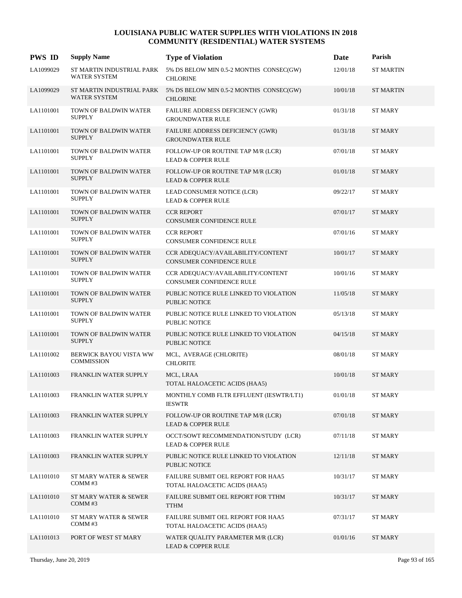| <b>PWS ID</b> | <b>Supply Name</b>                               | <b>Type of Violation</b>                                              | Date     | Parish           |
|---------------|--------------------------------------------------|-----------------------------------------------------------------------|----------|------------------|
| LA1099029     | ST MARTIN INDUSTRIAL PARK<br><b>WATER SYSTEM</b> | 5% DS BELOW MIN 0.5-2 MONTHS CONSEC(GW)<br><b>CHLORINE</b>            | 12/01/18 | <b>ST MARTIN</b> |
| LA1099029     | ST MARTIN INDUSTRIAL PARK<br><b>WATER SYSTEM</b> | 5% DS BELOW MIN 0.5-2 MONTHS CONSEC(GW)<br><b>CHLORINE</b>            | 10/01/18 | <b>ST MARTIN</b> |
| LA1101001     | TOWN OF BALDWIN WATER<br><b>SUPPLY</b>           | FAILURE ADDRESS DEFICIENCY (GWR)<br><b>GROUNDWATER RULE</b>           | 01/31/18 | <b>ST MARY</b>   |
| LA1101001     | TOWN OF BALDWIN WATER<br><b>SUPPLY</b>           | FAILURE ADDRESS DEFICIENCY (GWR)<br><b>GROUNDWATER RULE</b>           | 01/31/18 | <b>ST MARY</b>   |
| LA1101001     | TOWN OF BALDWIN WATER<br><b>SUPPLY</b>           | FOLLOW-UP OR ROUTINE TAP M/R (LCR)<br><b>LEAD &amp; COPPER RULE</b>   | 07/01/18 | <b>ST MARY</b>   |
| LA1101001     | TOWN OF BALDWIN WATER<br><b>SUPPLY</b>           | FOLLOW-UP OR ROUTINE TAP M/R (LCR)<br><b>LEAD &amp; COPPER RULE</b>   | 01/01/18 | <b>ST MARY</b>   |
| LA1101001     | TOWN OF BALDWIN WATER<br><b>SUPPLY</b>           | LEAD CONSUMER NOTICE (LCR)<br><b>LEAD &amp; COPPER RULE</b>           | 09/22/17 | <b>ST MARY</b>   |
| LA1101001     | TOWN OF BALDWIN WATER<br><b>SUPPLY</b>           | <b>CCR REPORT</b><br>CONSUMER CONFIDENCE RULE                         | 07/01/17 | <b>ST MARY</b>   |
| LA1101001     | TOWN OF BALDWIN WATER<br><b>SUPPLY</b>           | <b>CCR REPORT</b><br>CONSUMER CONFIDENCE RULE                         | 07/01/16 | <b>ST MARY</b>   |
| LA1101001     | TOWN OF BALDWIN WATER<br><b>SUPPLY</b>           | CCR ADEQUACY/AVAILABILITY/CONTENT<br>CONSUMER CONFIDENCE RULE         | 10/01/17 | <b>ST MARY</b>   |
| LA1101001     | TOWN OF BALDWIN WATER<br><b>SUPPLY</b>           | CCR ADEQUACY/AVAILABILITY/CONTENT<br>CONSUMER CONFIDENCE RULE         | 10/01/16 | <b>ST MARY</b>   |
| LA1101001     | TOWN OF BALDWIN WATER<br><b>SUPPLY</b>           | PUBLIC NOTICE RULE LINKED TO VIOLATION<br><b>PUBLIC NOTICE</b>        | 11/05/18 | <b>ST MARY</b>   |
| LA1101001     | TOWN OF BALDWIN WATER<br><b>SUPPLY</b>           | PUBLIC NOTICE RULE LINKED TO VIOLATION<br>PUBLIC NOTICE               | 05/13/18 | <b>ST MARY</b>   |
| LA1101001     | TOWN OF BALDWIN WATER<br><b>SUPPLY</b>           | PUBLIC NOTICE RULE LINKED TO VIOLATION<br><b>PUBLIC NOTICE</b>        | 04/15/18 | <b>ST MARY</b>   |
| LA1101002     | BERWICK BAYOU VISTA WW<br><b>COMMISSION</b>      | MCL, AVERAGE (CHLORITE)<br><b>CHLORITE</b>                            | 08/01/18 | <b>ST MARY</b>   |
| LA1101003     | FRANKLIN WATER SUPPLY                            | MCL, LRAA<br>TOTAL HALOACETIC ACIDS (HAA5)                            | 10/01/18 | <b>ST MARY</b>   |
| LA1101003     | FRANKLIN WATER SUPPLY                            | MONTHLY COMB FLTR EFFLUENT (IESWTR/LT1)<br><b>IESWTR</b>              | 01/01/18 | <b>ST MARY</b>   |
| LA1101003     | FRANKLIN WATER SUPPLY                            | FOLLOW-UP OR ROUTINE TAP M/R (LCR)<br><b>LEAD &amp; COPPER RULE</b>   | 07/01/18 | <b>ST MARY</b>   |
| LA1101003     | FRANKLIN WATER SUPPLY                            | OCCT/SOWT RECOMMENDATION/STUDY (LCR)<br><b>LEAD &amp; COPPER RULE</b> | 07/11/18 | <b>ST MARY</b>   |
| LA1101003     | FRANKLIN WATER SUPPLY                            | PUBLIC NOTICE RULE LINKED TO VIOLATION<br>PUBLIC NOTICE               | 12/11/18 | <b>ST MARY</b>   |
| LA1101010     | ST MARY WATER & SEWER<br>COMM#3                  | FAILURE SUBMIT OEL REPORT FOR HAA5<br>TOTAL HALOACETIC ACIDS (HAA5)   | 10/31/17 | <b>ST MARY</b>   |
| LA1101010     | ST MARY WATER & SEWER<br>COMM#3                  | FAILURE SUBMIT OEL REPORT FOR TTHM<br><b>TTHM</b>                     | 10/31/17 | <b>ST MARY</b>   |
| LA1101010     | ST MARY WATER & SEWER<br>COMM#3                  | FAILURE SUBMIT OEL REPORT FOR HAA5<br>TOTAL HALOACETIC ACIDS (HAA5)   | 07/31/17 | ST MARY          |
| LA1101013     | PORT OF WEST ST MARY                             | WATER QUALITY PARAMETER M/R (LCR)<br><b>LEAD &amp; COPPER RULE</b>    | 01/01/16 | <b>ST MARY</b>   |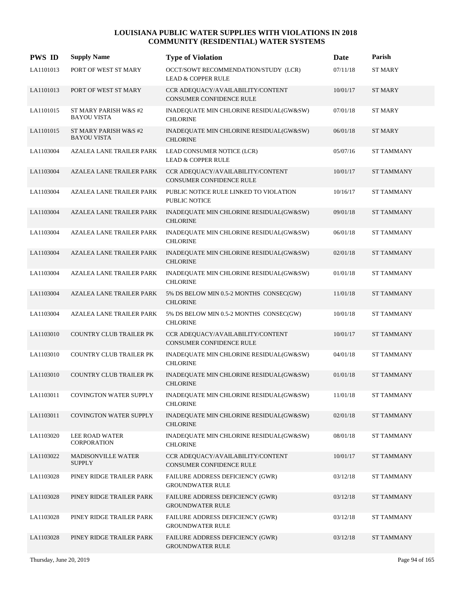| <b>PWS ID</b> | <b>Supply Name</b>                          | <b>Type of Violation</b>                                              | Date     | Parish            |
|---------------|---------------------------------------------|-----------------------------------------------------------------------|----------|-------------------|
| LA1101013     | PORT OF WEST ST MARY                        | OCCT/SOWT RECOMMENDATION/STUDY (LCR)<br><b>LEAD &amp; COPPER RULE</b> | 07/11/18 | <b>ST MARY</b>    |
| LA1101013     | PORT OF WEST ST MARY                        | CCR ADEQUACY/AVAILABILITY/CONTENT<br><b>CONSUMER CONFIDENCE RULE</b>  | 10/01/17 | <b>ST MARY</b>    |
| LA1101015     | ST MARY PARISH W&S #2<br><b>BAYOU VISTA</b> | INADEQUATE MIN CHLORINE RESIDUAL(GW&SW)<br><b>CHLORINE</b>            | 07/01/18 | <b>ST MARY</b>    |
| LA1101015     | ST MARY PARISH W&S #2<br><b>BAYOU VISTA</b> | INADEQUATE MIN CHLORINE RESIDUAL(GW&SW)<br><b>CHLORINE</b>            | 06/01/18 | <b>ST MARY</b>    |
| LA1103004     | AZALEA LANE TRAILER PARK                    | LEAD CONSUMER NOTICE (LCR)<br><b>LEAD &amp; COPPER RULE</b>           | 05/07/16 | <b>ST TAMMANY</b> |
| LA1103004     | <b>AZALEA LANE TRAILER PARK</b>             | CCR ADEQUACY/AVAILABILITY/CONTENT<br><b>CONSUMER CONFIDENCE RULE</b>  | 10/01/17 | <b>ST TAMMANY</b> |
| LA1103004     | <b>AZALEA LANE TRAILER PARK</b>             | PUBLIC NOTICE RULE LINKED TO VIOLATION<br><b>PUBLIC NOTICE</b>        | 10/16/17 | <b>ST TAMMANY</b> |
| LA1103004     | <b>AZALEA LANE TRAILER PARK</b>             | INADEQUATE MIN CHLORINE RESIDUAL(GW&SW)<br><b>CHLORINE</b>            | 09/01/18 | <b>ST TAMMANY</b> |
| LA1103004     | <b>AZALEA LANE TRAILER PARK</b>             | INADEQUATE MIN CHLORINE RESIDUAL(GW&SW)<br><b>CHLORINE</b>            | 06/01/18 | <b>ST TAMMANY</b> |
| LA1103004     | AZALEA LANE TRAILER PARK                    | INADEQUATE MIN CHLORINE RESIDUAL(GW&SW)<br><b>CHLORINE</b>            | 02/01/18 | <b>ST TAMMANY</b> |
| LA1103004     | AZALEA LANE TRAILER PARK                    | INADEQUATE MIN CHLORINE RESIDUAL(GW&SW)<br><b>CHLORINE</b>            | 01/01/18 | <b>ST TAMMANY</b> |
| LA1103004     | <b>AZALEA LANE TRAILER PARK</b>             | 5% DS BELOW MIN 0.5-2 MONTHS CONSEC(GW)<br><b>CHLORINE</b>            | 11/01/18 | <b>ST TAMMANY</b> |
| LA1103004     | AZALEA LANE TRAILER PARK                    | 5% DS BELOW MIN 0.5-2 MONTHS CONSEC(GW)<br><b>CHLORINE</b>            | 10/01/18 | <b>ST TAMMANY</b> |
| LA1103010     | COUNTRY CLUB TRAILER PK                     | CCR ADEQUACY/AVAILABILITY/CONTENT<br><b>CONSUMER CONFIDENCE RULE</b>  | 10/01/17 | <b>ST TAMMANY</b> |
| LA1103010     | COUNTRY CLUB TRAILER PK                     | INADEQUATE MIN CHLORINE RESIDUAL(GW&SW)<br><b>CHLORINE</b>            | 04/01/18 | <b>ST TAMMANY</b> |
| LA1103010     | <b>COUNTRY CLUB TRAILER PK</b>              | INADEQUATE MIN CHLORINE RESIDUAL(GW&SW)<br><b>CHLORINE</b>            | 01/01/18 | <b>ST TAMMANY</b> |
| LA1103011     | <b>COVINGTON WATER SUPPLY</b>               | INADEQUATE MIN CHLORINE RESIDUAL(GW&SW)<br><b>CHLORINE</b>            | 11/01/18 | <b>ST TAMMANY</b> |
| LA1103011     | <b>COVINGTON WATER SUPPLY</b>               | INADEQUATE MIN CHLORINE RESIDUAL(GW&SW)<br><b>CHLORINE</b>            | 02/01/18 | <b>ST TAMMANY</b> |
| LA1103020     | LEE ROAD WATER<br><b>CORPORATION</b>        | INADEQUATE MIN CHLORINE RESIDUAL(GW&SW)<br><b>CHLORINE</b>            | 08/01/18 | <b>ST TAMMANY</b> |
| LA1103022     | <b>MADISONVILLE WATER</b><br><b>SUPPLY</b>  | CCR ADEQUACY/AVAILABILITY/CONTENT<br>CONSUMER CONFIDENCE RULE         | 10/01/17 | <b>ST TAMMANY</b> |
| LA1103028     | PINEY RIDGE TRAILER PARK                    | FAILURE ADDRESS DEFICIENCY (GWR)<br><b>GROUNDWATER RULE</b>           | 03/12/18 | <b>ST TAMMANY</b> |
| LA1103028     | PINEY RIDGE TRAILER PARK                    | FAILURE ADDRESS DEFICIENCY (GWR)<br><b>GROUNDWATER RULE</b>           | 03/12/18 | <b>ST TAMMANY</b> |
| LA1103028     | PINEY RIDGE TRAILER PARK                    | FAILURE ADDRESS DEFICIENCY (GWR)<br><b>GROUNDWATER RULE</b>           | 03/12/18 | ST TAMMANY        |
| LA1103028     | PINEY RIDGE TRAILER PARK                    | FAILURE ADDRESS DEFICIENCY (GWR)<br><b>GROUNDWATER RULE</b>           | 03/12/18 | <b>ST TAMMANY</b> |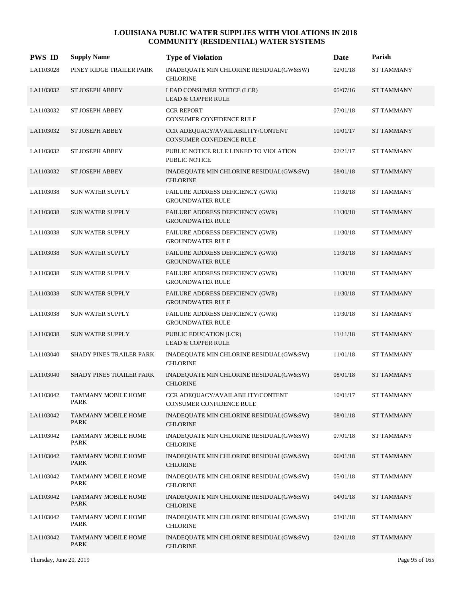| <b>PWS ID</b> | <b>Supply Name</b>                 | <b>Type of Violation</b>                                             | Date     | Parish            |
|---------------|------------------------------------|----------------------------------------------------------------------|----------|-------------------|
| LA1103028     | PINEY RIDGE TRAILER PARK           | INADEQUATE MIN CHLORINE RESIDUAL(GW&SW)<br><b>CHLORINE</b>           | 02/01/18 | <b>ST TAMMANY</b> |
| LA1103032     | <b>ST JOSEPH ABBEY</b>             | LEAD CONSUMER NOTICE (LCR)<br><b>LEAD &amp; COPPER RULE</b>          | 05/07/16 | <b>ST TAMMANY</b> |
| LA1103032     | ST JOSEPH ABBEY                    | <b>CCR REPORT</b><br><b>CONSUMER CONFIDENCE RULE</b>                 | 07/01/18 | <b>ST TAMMANY</b> |
| LA1103032     | <b>ST JOSEPH ABBEY</b>             | CCR ADEQUACY/AVAILABILITY/CONTENT<br><b>CONSUMER CONFIDENCE RULE</b> | 10/01/17 | <b>ST TAMMANY</b> |
| LA1103032     | ST JOSEPH ABBEY                    | PUBLIC NOTICE RULE LINKED TO VIOLATION<br><b>PUBLIC NOTICE</b>       | 02/21/17 | <b>ST TAMMANY</b> |
| LA1103032     | ST JOSEPH ABBEY                    | INADEQUATE MIN CHLORINE RESIDUAL(GW&SW)<br><b>CHLORINE</b>           | 08/01/18 | <b>ST TAMMANY</b> |
| LA1103038     | <b>SUN WATER SUPPLY</b>            | FAILURE ADDRESS DEFICIENCY (GWR)<br><b>GROUNDWATER RULE</b>          | 11/30/18 | <b>ST TAMMANY</b> |
| LA1103038     | <b>SUN WATER SUPPLY</b>            | FAILURE ADDRESS DEFICIENCY (GWR)<br><b>GROUNDWATER RULE</b>          | 11/30/18 | <b>ST TAMMANY</b> |
| LA1103038     | <b>SUN WATER SUPPLY</b>            | FAILURE ADDRESS DEFICIENCY (GWR)<br><b>GROUNDWATER RULE</b>          | 11/30/18 | <b>ST TAMMANY</b> |
| LA1103038     | SUN WATER SUPPLY                   | FAILURE ADDRESS DEFICIENCY (GWR)<br><b>GROUNDWATER RULE</b>          | 11/30/18 | <b>ST TAMMANY</b> |
| LA1103038     | <b>SUN WATER SUPPLY</b>            | <b>FAILURE ADDRESS DEFICIENCY (GWR)</b><br><b>GROUNDWATER RULE</b>   | 11/30/18 | <b>ST TAMMANY</b> |
| LA1103038     | <b>SUN WATER SUPPLY</b>            | FAILURE ADDRESS DEFICIENCY (GWR)<br><b>GROUNDWATER RULE</b>          | 11/30/18 | <b>ST TAMMANY</b> |
| LA1103038     | <b>SUN WATER SUPPLY</b>            | FAILURE ADDRESS DEFICIENCY (GWR)<br><b>GROUNDWATER RULE</b>          | 11/30/18 | ST TAMMANY        |
| LA1103038     | SUN WATER SUPPLY                   | PUBLIC EDUCATION (LCR)<br><b>LEAD &amp; COPPER RULE</b>              | 11/11/18 | <b>ST TAMMANY</b> |
| LA1103040     | SHADY PINES TRAILER PARK           | INADEQUATE MIN CHLORINE RESIDUAL(GW&SW)<br><b>CHLORINE</b>           | 11/01/18 | <b>ST TAMMANY</b> |
| LA1103040     | SHADY PINES TRAILER PARK           | INADEQUATE MIN CHLORINE RESIDUAL(GW&SW)<br><b>CHLORINE</b>           | 08/01/18 | <b>ST TAMMANY</b> |
| LA1103042     | <b>TAMMANY MOBILE HOME</b><br>PARK | CCR ADEQUACY/AVAILABILITY/CONTENT<br>CONSUMER CONFIDENCE RULE        | 10/01/17 | ST TAMMANY        |
| LA1103042     | TAMMANY MOBILE HOME<br>PARK        | INADEQUATE MIN CHLORINE RESIDUAL(GW&SW)<br><b>CHLORINE</b>           | 08/01/18 | ST TAMMANY        |
| LA1103042     | <b>TAMMANY MOBILE HOME</b><br>PARK | INADEQUATE MIN CHLORINE RESIDUAL(GW&SW)<br><b>CHLORINE</b>           | 07/01/18 | ST TAMMANY        |
| LA1103042     | TAMMANY MOBILE HOME<br>PARK        | INADEQUATE MIN CHLORINE RESIDUAL(GW&SW)<br><b>CHLORINE</b>           | 06/01/18 | ST TAMMANY        |
| LA1103042     | <b>TAMMANY MOBILE HOME</b><br>PARK | INADEQUATE MIN CHLORINE RESIDUAL(GW&SW)<br><b>CHLORINE</b>           | 05/01/18 | <b>ST TAMMANY</b> |
| LA1103042     | <b>TAMMANY MOBILE HOME</b><br>PARK | INADEQUATE MIN CHLORINE RESIDUAL(GW&SW)<br><b>CHLORINE</b>           | 04/01/18 | ST TAMMANY        |
| LA1103042     | TAMMANY MOBILE HOME<br>PARK        | INADEQUATE MIN CHLORINE RESIDUAL(GW&SW)<br><b>CHLORINE</b>           | 03/01/18 | <b>ST TAMMANY</b> |
| LA1103042     | TAMMANY MOBILE HOME<br>PARK        | INADEQUATE MIN CHLORINE RESIDUAL(GW&SW)<br><b>CHLORINE</b>           | 02/01/18 | ST TAMMANY        |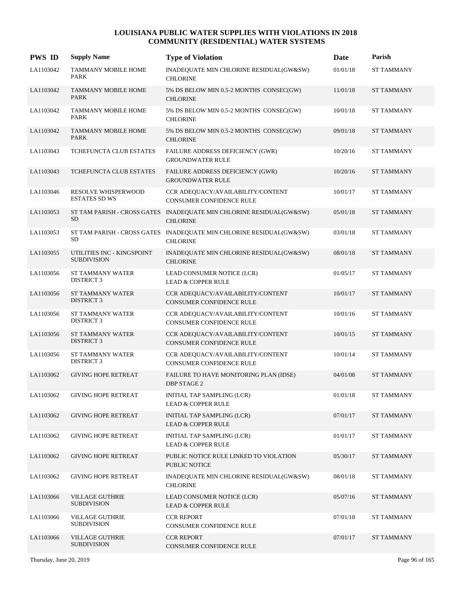| <b>PWS ID</b> | <b>Supply Name</b>                               | <b>Type of Violation</b>                                                               | Date       | Parish            |
|---------------|--------------------------------------------------|----------------------------------------------------------------------------------------|------------|-------------------|
| LA1103042     | TAMMANY MOBILE HOME<br>PARK                      | INADEQUATE MIN CHLORINE RESIDUAL(GW&SW)<br><b>CHLORINE</b>                             | 01/01/18   | <b>ST TAMMANY</b> |
| LA1103042     | <b>TAMMANY MOBILE HOME</b><br><b>PARK</b>        | 5% DS BELOW MIN 0.5-2 MONTHS CONSEC(GW)<br><b>CHLORINE</b>                             | 11/01/18   | <b>ST TAMMANY</b> |
| LA1103042     | <b>TAMMANY MOBILE HOME</b><br>PARK               | 5% DS BELOW MIN 0.5-2 MONTHS CONSEC(GW)<br><b>CHLORINE</b>                             | $10/01/18$ | <b>ST TAMMANY</b> |
| LA1103042     | <b>TAMMANY MOBILE HOME</b><br>PARK               | 5% DS BELOW MIN 0.5-2 MONTHS CONSEC(GW)<br><b>CHLORINE</b>                             | 09/01/18   | <b>ST TAMMANY</b> |
| LA1103043     | TCHEFUNCTA CLUB ESTATES                          | FAILURE ADDRESS DEFICIENCY (GWR)<br><b>GROUNDWATER RULE</b>                            | 10/20/16   | <b>ST TAMMANY</b> |
| LA1103043     | TCHEFUNCTA CLUB ESTATES                          | <b>FAILURE ADDRESS DEFICIENCY (GWR)</b><br><b>GROUNDWATER RULE</b>                     | 10/20/16   | <b>ST TAMMANY</b> |
| LA1103046     | RESOLVE WHISPERWOOD<br><b>ESTATES SD WS</b>      | CCR ADEQUACY/AVAILABILITY/CONTENT<br>CONSUMER CONFIDENCE RULE                          | 10/01/17   | <b>ST TAMMANY</b> |
| LA1103053     | <b>SD</b>                                        | ST TAM PARISH - CROSS GATES INADEQUATE MIN CHLORINE RESIDUAL(GW&SW)<br><b>CHLORINE</b> | 05/01/18   | <b>ST TAMMANY</b> |
| LA1103053     | SD                                               | ST TAM PARISH - CROSS GATES INADEQUATE MIN CHLORINE RESIDUAL(GW&SW)<br><b>CHLORINE</b> | 03/01/18   | <b>ST TAMMANY</b> |
| LA1103055     | UTILITIES INC - KINGSPOINT<br><b>SUBDIVISION</b> | INADEQUATE MIN CHLORINE RESIDUAL(GW&SW)<br><b>CHLORINE</b>                             | 08/01/18   | <b>ST TAMMANY</b> |
| LA1103056     | ST TAMMANY WATER<br><b>DISTRICT 3</b>            | LEAD CONSUMER NOTICE (LCR)<br><b>LEAD &amp; COPPER RULE</b>                            | 01/05/17   | <b>ST TAMMANY</b> |
| LA1103056     | <b>ST TAMMANY WATER</b><br><b>DISTRICT 3</b>     | CCR ADEQUACY/AVAILABILITY/CONTENT<br><b>CONSUMER CONFIDENCE RULE</b>                   | 10/01/17   | <b>ST TAMMANY</b> |
| LA1103056     | <b>ST TAMMANY WATER</b><br><b>DISTRICT 3</b>     | CCR ADEQUACY/AVAILABILITY/CONTENT<br>CONSUMER CONFIDENCE RULE                          | 10/01/16   | <b>ST TAMMANY</b> |
| LA1103056     | ST TAMMANY WATER<br><b>DISTRICT 3</b>            | CCR ADEQUACY/AVAILABILITY/CONTENT<br>CONSUMER CONFIDENCE RULE                          | 10/01/15   | <b>ST TAMMANY</b> |
| LA1103056     | ST TAMMANY WATER<br><b>DISTRICT 3</b>            | CCR ADEQUACY/AVAILABILITY/CONTENT<br><b>CONSUMER CONFIDENCE RULE</b>                   | 10/01/14   | <b>ST TAMMANY</b> |
| LA1103062     | <b>GIVING HOPE RETREAT</b>                       | FAILURE TO HAVE MONITORING PLAN (IDSE)<br>DBP STAGE 2                                  | 04/01/08   | <b>ST TAMMANY</b> |
| LA1103062     | <b>GIVING HOPE RETREAT</b>                       | INITIAL TAP SAMPLING (LCR)<br><b>LEAD &amp; COPPER RULE</b>                            | 01/01/18   | <b>ST TAMMANY</b> |
| LA1103062     | <b>GIVING HOPE RETREAT</b>                       | INITIAL TAP SAMPLING (LCR)<br><b>LEAD &amp; COPPER RULE</b>                            | 07/01/17   | <b>ST TAMMANY</b> |
| LA1103062     | <b>GIVING HOPE RETREAT</b>                       | INITIAL TAP SAMPLING (LCR)<br><b>LEAD &amp; COPPER RULE</b>                            | 01/01/17   | <b>ST TAMMANY</b> |
| LA1103062     | <b>GIVING HOPE RETREAT</b>                       | PUBLIC NOTICE RULE LINKED TO VIOLATION<br>PUBLIC NOTICE                                | 05/30/17   | <b>ST TAMMANY</b> |
| LA1103062     | <b>GIVING HOPE RETREAT</b>                       | INADEQUATE MIN CHLORINE RESIDUAL(GW&SW)<br><b>CHLORINE</b>                             | 08/01/18   | <b>ST TAMMANY</b> |
| LA1103066     | <b>VILLAGE GUTHRIE</b><br><b>SUBDIVISION</b>     | LEAD CONSUMER NOTICE (LCR)<br><b>LEAD &amp; COPPER RULE</b>                            | 05/07/16   | <b>ST TAMMANY</b> |
| LA1103066     | <b>VILLAGE GUTHRIE</b><br><b>SUBDIVISION</b>     | <b>CCR REPORT</b><br>CONSUMER CONFIDENCE RULE                                          | 07/01/18   | <b>ST TAMMANY</b> |
| LA1103066     | <b>VILLAGE GUTHRIE</b><br><b>SUBDIVISION</b>     | <b>CCR REPORT</b><br>CONSUMER CONFIDENCE RULE                                          | 07/01/17   | <b>ST TAMMANY</b> |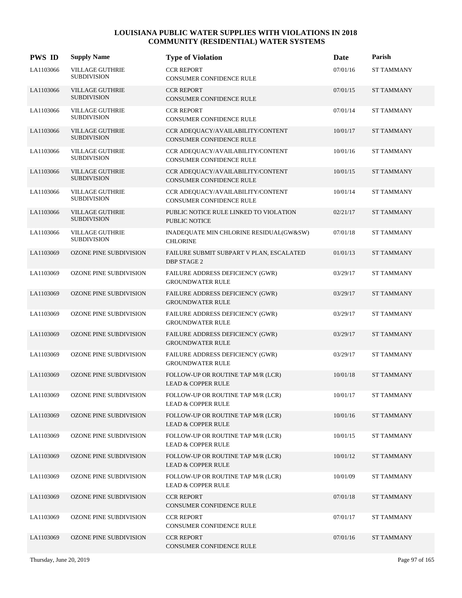| <b>PWS ID</b> | <b>Supply Name</b>                           | <b>Type of Violation</b>                                            | Date     | Parish            |
|---------------|----------------------------------------------|---------------------------------------------------------------------|----------|-------------------|
| LA1103066     | <b>VILLAGE GUTHRIE</b><br><b>SUBDIVISION</b> | <b>CCR REPORT</b><br>CONSUMER CONFIDENCE RULE                       | 07/01/16 | <b>ST TAMMANY</b> |
| LA1103066     | <b>VILLAGE GUTHRIE</b><br><b>SUBDIVISION</b> | <b>CCR REPORT</b><br>CONSUMER CONFIDENCE RULE                       | 07/01/15 | <b>ST TAMMANY</b> |
| LA1103066     | <b>VILLAGE GUTHRIE</b><br><b>SUBDIVISION</b> | <b>CCR REPORT</b><br>CONSUMER CONFIDENCE RULE                       | 07/01/14 | <b>ST TAMMANY</b> |
| LA1103066     | <b>VILLAGE GUTHRIE</b><br><b>SUBDIVISION</b> | CCR ADEQUACY/AVAILABILITY/CONTENT<br>CONSUMER CONFIDENCE RULE       | 10/01/17 | <b>ST TAMMANY</b> |
| LA1103066     | <b>VILLAGE GUTHRIE</b><br><b>SUBDIVISION</b> | CCR ADEQUACY/AVAILABILITY/CONTENT<br>CONSUMER CONFIDENCE RULE       | 10/01/16 | <b>ST TAMMANY</b> |
| LA1103066     | <b>VILLAGE GUTHRIE</b><br><b>SUBDIVISION</b> | CCR ADEQUACY/AVAILABILITY/CONTENT<br>CONSUMER CONFIDENCE RULE       | 10/01/15 | <b>ST TAMMANY</b> |
| LA1103066     | <b>VILLAGE GUTHRIE</b><br><b>SUBDIVISION</b> | CCR ADEQUACY/AVAILABILITY/CONTENT<br>CONSUMER CONFIDENCE RULE       | 10/01/14 | <b>ST TAMMANY</b> |
| LA1103066     | <b>VILLAGE GUTHRIE</b><br><b>SUBDIVISION</b> | PUBLIC NOTICE RULE LINKED TO VIOLATION<br><b>PUBLIC NOTICE</b>      | 02/21/17 | <b>ST TAMMANY</b> |
| LA1103066     | <b>VILLAGE GUTHRIE</b><br><b>SUBDIVISION</b> | INADEQUATE MIN CHLORINE RESIDUAL(GW&SW)<br><b>CHLORINE</b>          | 07/01/18 | <b>ST TAMMANY</b> |
| LA1103069     | OZONE PINE SUBDIVISION                       | FAILURE SUBMIT SUBPART V PLAN, ESCALATED<br><b>DBP STAGE 2</b>      | 01/01/13 | <b>ST TAMMANY</b> |
| LA1103069     | OZONE PINE SUBDIVISION                       | FAILURE ADDRESS DEFICIENCY (GWR)<br><b>GROUNDWATER RULE</b>         | 03/29/17 | <b>ST TAMMANY</b> |
| LA1103069     | OZONE PINE SUBDIVISION                       | FAILURE ADDRESS DEFICIENCY (GWR)<br><b>GROUNDWATER RULE</b>         | 03/29/17 | <b>ST TAMMANY</b> |
| LA1103069     | OZONE PINE SUBDIVISION                       | FAILURE ADDRESS DEFICIENCY (GWR)<br><b>GROUNDWATER RULE</b>         | 03/29/17 | <b>ST TAMMANY</b> |
| LA1103069     | OZONE PINE SUBDIVISION                       | FAILURE ADDRESS DEFICIENCY (GWR)<br><b>GROUNDWATER RULE</b>         | 03/29/17 | <b>ST TAMMANY</b> |
| LA1103069     | OZONE PINE SUBDIVISION                       | FAILURE ADDRESS DEFICIENCY (GWR)<br><b>GROUNDWATER RULE</b>         | 03/29/17 | <b>ST TAMMANY</b> |
| LA1103069     | <b>OZONE PINE SUBDIVISION</b>                | FOLLOW-UP OR ROUTINE TAP M/R (LCR)<br><b>LEAD &amp; COPPER RULE</b> | 10/01/18 | <b>ST TAMMANY</b> |
| LA1103069     | OZONE PINE SUBDIVISION                       | FOLLOW-UP OR ROUTINE TAP M/R (LCR)<br><b>LEAD &amp; COPPER RULE</b> | 10/01/17 | <b>ST TAMMANY</b> |
| LA1103069     | OZONE PINE SUBDIVISION                       | FOLLOW-UP OR ROUTINE TAP M/R (LCR)<br><b>LEAD &amp; COPPER RULE</b> | 10/01/16 | <b>ST TAMMANY</b> |
| LA1103069     | OZONE PINE SUBDIVISION                       | FOLLOW-UP OR ROUTINE TAP M/R (LCR)<br><b>LEAD &amp; COPPER RULE</b> | 10/01/15 | <b>ST TAMMANY</b> |
| LA1103069     | <b>OZONE PINE SUBDIVISION</b>                | FOLLOW-UP OR ROUTINE TAP M/R (LCR)<br><b>LEAD &amp; COPPER RULE</b> | 10/01/12 | <b>ST TAMMANY</b> |
| LA1103069     | OZONE PINE SUBDIVISION                       | FOLLOW-UP OR ROUTINE TAP M/R (LCR)<br><b>LEAD &amp; COPPER RULE</b> | 10/01/09 | <b>ST TAMMANY</b> |
| LA1103069     | OZONE PINE SUBDIVISION                       | <b>CCR REPORT</b><br>CONSUMER CONFIDENCE RULE                       | 07/01/18 | <b>ST TAMMANY</b> |
| LA1103069     | OZONE PINE SUBDIVISION                       | <b>CCR REPORT</b><br>CONSUMER CONFIDENCE RULE                       | 07/01/17 | ST TAMMANY        |
| LA1103069     | OZONE PINE SUBDIVISION                       | <b>CCR REPORT</b><br>CONSUMER CONFIDENCE RULE                       | 07/01/16 | <b>ST TAMMANY</b> |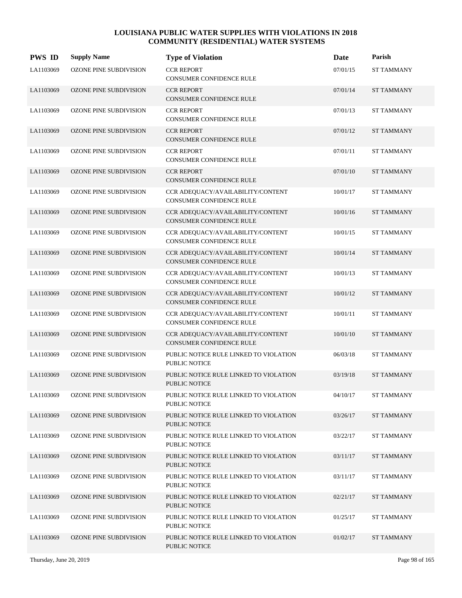| <b>PWS ID</b> | <b>Supply Name</b>            | <b>Type of Violation</b>                                             | Date     | Parish            |
|---------------|-------------------------------|----------------------------------------------------------------------|----------|-------------------|
| LA1103069     | OZONE PINE SUBDIVISION        | <b>CCR REPORT</b><br>CONSUMER CONFIDENCE RULE                        | 07/01/15 | <b>ST TAMMANY</b> |
| LA1103069     | <b>OZONE PINE SUBDIVISION</b> | <b>CCR REPORT</b><br>CONSUMER CONFIDENCE RULE                        | 07/01/14 | <b>ST TAMMANY</b> |
| LA1103069     | OZONE PINE SUBDIVISION        | <b>CCR REPORT</b><br>CONSUMER CONFIDENCE RULE                        | 07/01/13 | <b>ST TAMMANY</b> |
| LA1103069     | <b>OZONE PINE SUBDIVISION</b> | <b>CCR REPORT</b><br><b>CONSUMER CONFIDENCE RULE</b>                 | 07/01/12 | <b>ST TAMMANY</b> |
| LA1103069     | OZONE PINE SUBDIVISION        | <b>CCR REPORT</b><br>CONSUMER CONFIDENCE RULE                        | 07/01/11 | <b>ST TAMMANY</b> |
| LA1103069     | OZONE PINE SUBDIVISION        | <b>CCR REPORT</b><br>CONSUMER CONFIDENCE RULE                        | 07/01/10 | <b>ST TAMMANY</b> |
| LA1103069     | OZONE PINE SUBDIVISION        | CCR ADEQUACY/AVAILABILITY/CONTENT<br><b>CONSUMER CONFIDENCE RULE</b> | 10/01/17 | <b>ST TAMMANY</b> |
| LA1103069     | <b>OZONE PINE SUBDIVISION</b> | CCR ADEQUACY/AVAILABILITY/CONTENT<br>CONSUMER CONFIDENCE RULE        | 10/01/16 | <b>ST TAMMANY</b> |
| LA1103069     | OZONE PINE SUBDIVISION        | CCR ADEQUACY/AVAILABILITY/CONTENT<br><b>CONSUMER CONFIDENCE RULE</b> | 10/01/15 | <b>ST TAMMANY</b> |
| LA1103069     | OZONE PINE SUBDIVISION        | CCR ADEQUACY/AVAILABILITY/CONTENT<br>CONSUMER CONFIDENCE RULE        | 10/01/14 | <b>ST TAMMANY</b> |
| LA1103069     | OZONE PINE SUBDIVISION        | CCR ADEQUACY/AVAILABILITY/CONTENT<br><b>CONSUMER CONFIDENCE RULE</b> | 10/01/13 | <b>ST TAMMANY</b> |
| LA1103069     | <b>OZONE PINE SUBDIVISION</b> | CCR ADEQUACY/AVAILABILITY/CONTENT<br><b>CONSUMER CONFIDENCE RULE</b> | 10/01/12 | <b>ST TAMMANY</b> |
| LA1103069     | OZONE PINE SUBDIVISION        | CCR ADEQUACY/AVAILABILITY/CONTENT<br><b>CONSUMER CONFIDENCE RULE</b> | 10/01/11 | <b>ST TAMMANY</b> |
| LA1103069     | OZONE PINE SUBDIVISION        | CCR ADEQUACY/AVAILABILITY/CONTENT<br>CONSUMER CONFIDENCE RULE        | 10/01/10 | <b>ST TAMMANY</b> |
| LA1103069     | OZONE PINE SUBDIVISION        | PUBLIC NOTICE RULE LINKED TO VIOLATION<br>PUBLIC NOTICE              | 06/03/18 | <b>ST TAMMANY</b> |
| LA1103069     | <b>OZONE PINE SUBDIVISION</b> | PUBLIC NOTICE RULE LINKED TO VIOLATION<br>PUBLIC NOTICE              | 03/19/18 | <b>ST TAMMANY</b> |
| LA1103069     | OZONE PINE SUBDIVISION        | PUBLIC NOTICE RULE LINKED TO VIOLATION<br>PUBLIC NOTICE              | 04/10/17 | <b>ST TAMMANY</b> |
| LA1103069     | <b>OZONE PINE SUBDIVISION</b> | PUBLIC NOTICE RULE LINKED TO VIOLATION<br>PUBLIC NOTICE              | 03/26/17 | <b>ST TAMMANY</b> |
| LA1103069     | <b>OZONE PINE SUBDIVISION</b> | PUBLIC NOTICE RULE LINKED TO VIOLATION<br>PUBLIC NOTICE              | 03/22/17 | <b>ST TAMMANY</b> |
| LA1103069     | <b>OZONE PINE SUBDIVISION</b> | PUBLIC NOTICE RULE LINKED TO VIOLATION<br>PUBLIC NOTICE              | 03/11/17 | <b>ST TAMMANY</b> |
| LA1103069     | OZONE PINE SUBDIVISION        | PUBLIC NOTICE RULE LINKED TO VIOLATION<br>PUBLIC NOTICE              | 03/11/17 | <b>ST TAMMANY</b> |
| LA1103069     | OZONE PINE SUBDIVISION        | PUBLIC NOTICE RULE LINKED TO VIOLATION<br>PUBLIC NOTICE              | 02/21/17 | <b>ST TAMMANY</b> |
| LA1103069     | OZONE PINE SUBDIVISION        | PUBLIC NOTICE RULE LINKED TO VIOLATION<br>PUBLIC NOTICE              | 01/25/17 | <b>ST TAMMANY</b> |
| LA1103069     | <b>OZONE PINE SUBDIVISION</b> | PUBLIC NOTICE RULE LINKED TO VIOLATION<br>PUBLIC NOTICE              | 01/02/17 | <b>ST TAMMANY</b> |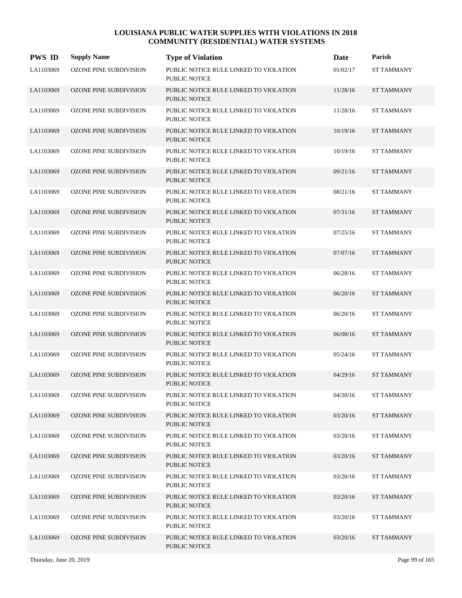| <b>PWS ID</b> | <b>Supply Name</b>            | <b>Type of Violation</b>                                       | <b>Date</b> | Parish            |
|---------------|-------------------------------|----------------------------------------------------------------|-------------|-------------------|
| LA1103069     | <b>OZONE PINE SUBDIVISION</b> | PUBLIC NOTICE RULE LINKED TO VIOLATION<br><b>PUBLIC NOTICE</b> | 01/02/17    | <b>ST TAMMANY</b> |
| LA1103069     | <b>OZONE PINE SUBDIVISION</b> | PUBLIC NOTICE RULE LINKED TO VIOLATION<br><b>PUBLIC NOTICE</b> | 11/28/16    | <b>ST TAMMANY</b> |
| LA1103069     | OZONE PINE SUBDIVISION        | PUBLIC NOTICE RULE LINKED TO VIOLATION<br><b>PUBLIC NOTICE</b> | 11/28/16    | <b>ST TAMMANY</b> |
| LA1103069     | <b>OZONE PINE SUBDIVISION</b> | PUBLIC NOTICE RULE LINKED TO VIOLATION<br><b>PUBLIC NOTICE</b> | 10/19/16    | <b>ST TAMMANY</b> |
| LA1103069     | OZONE PINE SUBDIVISION        | PUBLIC NOTICE RULE LINKED TO VIOLATION<br><b>PUBLIC NOTICE</b> | 10/19/16    | <b>ST TAMMANY</b> |
| LA1103069     | <b>OZONE PINE SUBDIVISION</b> | PUBLIC NOTICE RULE LINKED TO VIOLATION<br><b>PUBLIC NOTICE</b> | 09/21/16    | <b>ST TAMMANY</b> |
| LA1103069     | OZONE PINE SUBDIVISION        | PUBLIC NOTICE RULE LINKED TO VIOLATION<br><b>PUBLIC NOTICE</b> | 08/21/16    | <b>ST TAMMANY</b> |
| LA1103069     | <b>OZONE PINE SUBDIVISION</b> | PUBLIC NOTICE RULE LINKED TO VIOLATION<br><b>PUBLIC NOTICE</b> | 07/31/16    | <b>ST TAMMANY</b> |
| LA1103069     | OZONE PINE SUBDIVISION        | PUBLIC NOTICE RULE LINKED TO VIOLATION<br>PUBLIC NOTICE        | 07/25/16    | <b>ST TAMMANY</b> |
| LA1103069     | <b>OZONE PINE SUBDIVISION</b> | PUBLIC NOTICE RULE LINKED TO VIOLATION<br><b>PUBLIC NOTICE</b> | 07/07/16    | <b>ST TAMMANY</b> |
| LA1103069     | OZONE PINE SUBDIVISION        | PUBLIC NOTICE RULE LINKED TO VIOLATION<br>PUBLIC NOTICE        | 06/28/16    | <b>ST TAMMANY</b> |
| LA1103069     | <b>OZONE PINE SUBDIVISION</b> | PUBLIC NOTICE RULE LINKED TO VIOLATION<br><b>PUBLIC NOTICE</b> | 06/20/16    | <b>ST TAMMANY</b> |
| LA1103069     | OZONE PINE SUBDIVISION        | PUBLIC NOTICE RULE LINKED TO VIOLATION<br>PUBLIC NOTICE        | 06/20/16    | <b>ST TAMMANY</b> |
| LA1103069     | <b>OZONE PINE SUBDIVISION</b> | PUBLIC NOTICE RULE LINKED TO VIOLATION<br><b>PUBLIC NOTICE</b> | 06/08/16    | <b>ST TAMMANY</b> |
| LA1103069     | OZONE PINE SUBDIVISION        | PUBLIC NOTICE RULE LINKED TO VIOLATION<br>PUBLIC NOTICE        | 05/24/16    | <b>ST TAMMANY</b> |
| LA1103069     | OZONE PINE SUBDIVISION        | PUBLIC NOTICE RULE LINKED TO VIOLATION<br>PUBLIC NOTICE        | 04/29/16    | <b>ST TAMMANY</b> |
| LA1103069     | OZONE PINE SUBDIVISION        | PUBLIC NOTICE RULE LINKED TO VIOLATION<br>PUBLIC NOTICE        | 04/20/16    | <b>ST TAMMANY</b> |
| LA1103069     | OZONE PINE SUBDIVISION        | PUBLIC NOTICE RULE LINKED TO VIOLATION<br>PUBLIC NOTICE        | 03/20/16    | <b>ST TAMMANY</b> |
| LA1103069     | <b>OZONE PINE SUBDIVISION</b> | PUBLIC NOTICE RULE LINKED TO VIOLATION<br>PUBLIC NOTICE        | 03/20/16    | <b>ST TAMMANY</b> |
| LA1103069     | OZONE PINE SUBDIVISION        | PUBLIC NOTICE RULE LINKED TO VIOLATION<br>PUBLIC NOTICE        | 03/20/16    | <b>ST TAMMANY</b> |
| LA1103069     | OZONE PINE SUBDIVISION        | PUBLIC NOTICE RULE LINKED TO VIOLATION<br><b>PUBLIC NOTICE</b> | 03/20/16    | <b>ST TAMMANY</b> |
| LA1103069     | <b>OZONE PINE SUBDIVISION</b> | PUBLIC NOTICE RULE LINKED TO VIOLATION<br>PUBLIC NOTICE        | 03/20/16    | <b>ST TAMMANY</b> |
| LA1103069     | OZONE PINE SUBDIVISION        | PUBLIC NOTICE RULE LINKED TO VIOLATION<br>PUBLIC NOTICE        | 03/20/16    | <b>ST TAMMANY</b> |
| LA1103069     | <b>OZONE PINE SUBDIVISION</b> | PUBLIC NOTICE RULE LINKED TO VIOLATION<br><b>PUBLIC NOTICE</b> | 03/20/16    | <b>ST TAMMANY</b> |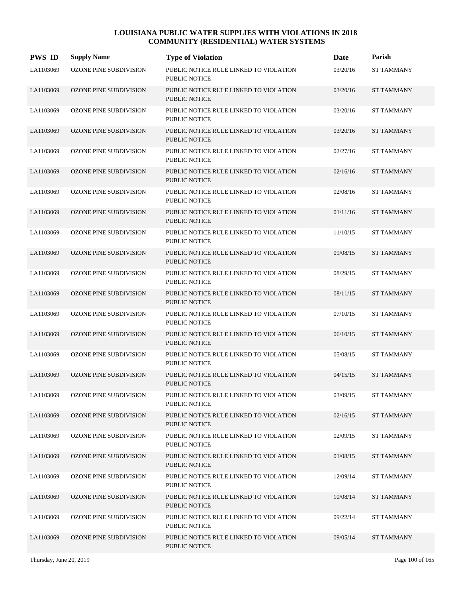| <b>PWS ID</b> | <b>Supply Name</b>            | <b>Type of Violation</b>                                       | <b>Date</b> | Parish            |
|---------------|-------------------------------|----------------------------------------------------------------|-------------|-------------------|
| LA1103069     | <b>OZONE PINE SUBDIVISION</b> | PUBLIC NOTICE RULE LINKED TO VIOLATION<br><b>PUBLIC NOTICE</b> | 03/20/16    | <b>ST TAMMANY</b> |
| LA1103069     | <b>OZONE PINE SUBDIVISION</b> | PUBLIC NOTICE RULE LINKED TO VIOLATION<br><b>PUBLIC NOTICE</b> | 03/20/16    | <b>ST TAMMANY</b> |
| LA1103069     | OZONE PINE SUBDIVISION        | PUBLIC NOTICE RULE LINKED TO VIOLATION<br><b>PUBLIC NOTICE</b> | 03/20/16    | <b>ST TAMMANY</b> |
| LA1103069     | <b>OZONE PINE SUBDIVISION</b> | PUBLIC NOTICE RULE LINKED TO VIOLATION<br><b>PUBLIC NOTICE</b> | 03/20/16    | <b>ST TAMMANY</b> |
| LA1103069     | OZONE PINE SUBDIVISION        | PUBLIC NOTICE RULE LINKED TO VIOLATION<br><b>PUBLIC NOTICE</b> | 02/27/16    | <b>ST TAMMANY</b> |
| LA1103069     | <b>OZONE PINE SUBDIVISION</b> | PUBLIC NOTICE RULE LINKED TO VIOLATION<br><b>PUBLIC NOTICE</b> | 02/16/16    | <b>ST TAMMANY</b> |
| LA1103069     | OZONE PINE SUBDIVISION        | PUBLIC NOTICE RULE LINKED TO VIOLATION<br><b>PUBLIC NOTICE</b> | 02/08/16    | <b>ST TAMMANY</b> |
| LA1103069     | <b>OZONE PINE SUBDIVISION</b> | PUBLIC NOTICE RULE LINKED TO VIOLATION<br><b>PUBLIC NOTICE</b> | 01/11/16    | <b>ST TAMMANY</b> |
| LA1103069     | OZONE PINE SUBDIVISION        | PUBLIC NOTICE RULE LINKED TO VIOLATION<br>PUBLIC NOTICE        | 11/10/15    | <b>ST TAMMANY</b> |
| LA1103069     | <b>OZONE PINE SUBDIVISION</b> | PUBLIC NOTICE RULE LINKED TO VIOLATION<br><b>PUBLIC NOTICE</b> | 09/08/15    | <b>ST TAMMANY</b> |
| LA1103069     | OZONE PINE SUBDIVISION        | PUBLIC NOTICE RULE LINKED TO VIOLATION<br>PUBLIC NOTICE        | 08/29/15    | <b>ST TAMMANY</b> |
| LA1103069     | <b>OZONE PINE SUBDIVISION</b> | PUBLIC NOTICE RULE LINKED TO VIOLATION<br><b>PUBLIC NOTICE</b> | 08/11/15    | <b>ST TAMMANY</b> |
| LA1103069     | OZONE PINE SUBDIVISION        | PUBLIC NOTICE RULE LINKED TO VIOLATION<br>PUBLIC NOTICE        | 07/10/15    | <b>ST TAMMANY</b> |
| LA1103069     | <b>OZONE PINE SUBDIVISION</b> | PUBLIC NOTICE RULE LINKED TO VIOLATION<br><b>PUBLIC NOTICE</b> | 06/10/15    | <b>ST TAMMANY</b> |
| LA1103069     | OZONE PINE SUBDIVISION        | PUBLIC NOTICE RULE LINKED TO VIOLATION<br>PUBLIC NOTICE        | 05/08/15    | <b>ST TAMMANY</b> |
| LA1103069     | <b>OZONE PINE SUBDIVISION</b> | PUBLIC NOTICE RULE LINKED TO VIOLATION<br><b>PUBLIC NOTICE</b> | 04/15/15    | <b>ST TAMMANY</b> |
| LA1103069     | <b>OZONE PINE SUBDIVISION</b> | PUBLIC NOTICE RULE LINKED TO VIOLATION<br>PUBLIC NOTICE        | 03/09/15    | <b>ST TAMMANY</b> |
| LA1103069     | OZONE PINE SUBDIVISION        | PUBLIC NOTICE RULE LINKED TO VIOLATION<br>PUBLIC NOTICE        | 02/16/15    | <b>ST TAMMANY</b> |
| LA1103069     | <b>OZONE PINE SUBDIVISION</b> | PUBLIC NOTICE RULE LINKED TO VIOLATION<br>PUBLIC NOTICE        | 02/09/15    | <b>ST TAMMANY</b> |
| LA1103069     | <b>OZONE PINE SUBDIVISION</b> | PUBLIC NOTICE RULE LINKED TO VIOLATION<br>PUBLIC NOTICE        | 01/08/15    | <b>ST TAMMANY</b> |
| LA1103069     | OZONE PINE SUBDIVISION        | PUBLIC NOTICE RULE LINKED TO VIOLATION<br>PUBLIC NOTICE        | 12/09/14    | <b>ST TAMMANY</b> |
| LA1103069     | <b>OZONE PINE SUBDIVISION</b> | PUBLIC NOTICE RULE LINKED TO VIOLATION<br>PUBLIC NOTICE        | 10/08/14    | <b>ST TAMMANY</b> |
| LA1103069     | OZONE PINE SUBDIVISION        | PUBLIC NOTICE RULE LINKED TO VIOLATION<br>PUBLIC NOTICE        | 09/22/14    | ST TAMMANY        |
| LA1103069     | OZONE PINE SUBDIVISION        | PUBLIC NOTICE RULE LINKED TO VIOLATION<br>PUBLIC NOTICE        | 09/05/14    | <b>ST TAMMANY</b> |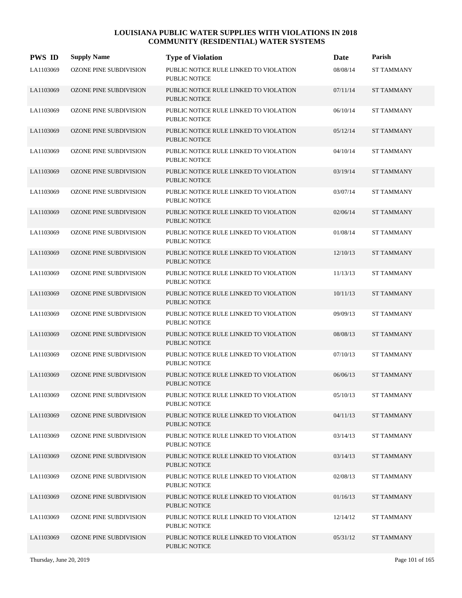| <b>PWS ID</b> | <b>Supply Name</b>            | <b>Type of Violation</b>                                       | Date     | Parish            |
|---------------|-------------------------------|----------------------------------------------------------------|----------|-------------------|
| LA1103069     | <b>OZONE PINE SUBDIVISION</b> | PUBLIC NOTICE RULE LINKED TO VIOLATION<br><b>PUBLIC NOTICE</b> | 08/08/14 | <b>ST TAMMANY</b> |
| LA1103069     | OZONE PINE SUBDIVISION        | PUBLIC NOTICE RULE LINKED TO VIOLATION<br><b>PUBLIC NOTICE</b> | 07/11/14 | <b>ST TAMMANY</b> |
| LA1103069     | OZONE PINE SUBDIVISION        | PUBLIC NOTICE RULE LINKED TO VIOLATION<br><b>PUBLIC NOTICE</b> | 06/10/14 | <b>ST TAMMANY</b> |
| LA1103069     | <b>OZONE PINE SUBDIVISION</b> | PUBLIC NOTICE RULE LINKED TO VIOLATION<br><b>PUBLIC NOTICE</b> | 05/12/14 | <b>ST TAMMANY</b> |
| LA1103069     | OZONE PINE SUBDIVISION        | PUBLIC NOTICE RULE LINKED TO VIOLATION<br><b>PUBLIC NOTICE</b> | 04/10/14 | <b>ST TAMMANY</b> |
| LA1103069     | <b>OZONE PINE SUBDIVISION</b> | PUBLIC NOTICE RULE LINKED TO VIOLATION<br><b>PUBLIC NOTICE</b> | 03/19/14 | <b>ST TAMMANY</b> |
| LA1103069     | OZONE PINE SUBDIVISION        | PUBLIC NOTICE RULE LINKED TO VIOLATION<br><b>PUBLIC NOTICE</b> | 03/07/14 | <b>ST TAMMANY</b> |
| LA1103069     | <b>OZONE PINE SUBDIVISION</b> | PUBLIC NOTICE RULE LINKED TO VIOLATION<br><b>PUBLIC NOTICE</b> | 02/06/14 | <b>ST TAMMANY</b> |
| LA1103069     | OZONE PINE SUBDIVISION        | PUBLIC NOTICE RULE LINKED TO VIOLATION<br><b>PUBLIC NOTICE</b> | 01/08/14 | <b>ST TAMMANY</b> |
| LA1103069     | <b>OZONE PINE SUBDIVISION</b> | PUBLIC NOTICE RULE LINKED TO VIOLATION<br><b>PUBLIC NOTICE</b> | 12/10/13 | <b>ST TAMMANY</b> |
| LA1103069     | OZONE PINE SUBDIVISION        | PUBLIC NOTICE RULE LINKED TO VIOLATION<br><b>PUBLIC NOTICE</b> | 11/13/13 | <b>ST TAMMANY</b> |
| LA1103069     | <b>OZONE PINE SUBDIVISION</b> | PUBLIC NOTICE RULE LINKED TO VIOLATION<br><b>PUBLIC NOTICE</b> | 10/11/13 | <b>ST TAMMANY</b> |
| LA1103069     | OZONE PINE SUBDIVISION        | PUBLIC NOTICE RULE LINKED TO VIOLATION<br><b>PUBLIC NOTICE</b> | 09/09/13 | <b>ST TAMMANY</b> |
| LA1103069     | <b>OZONE PINE SUBDIVISION</b> | PUBLIC NOTICE RULE LINKED TO VIOLATION<br><b>PUBLIC NOTICE</b> | 08/08/13 | <b>ST TAMMANY</b> |
| LA1103069     | OZONE PINE SUBDIVISION        | PUBLIC NOTICE RULE LINKED TO VIOLATION<br>PUBLIC NOTICE        | 07/10/13 | <b>ST TAMMANY</b> |
| LA1103069     | <b>OZONE PINE SUBDIVISION</b> | PUBLIC NOTICE RULE LINKED TO VIOLATION<br>PUBLIC NOTICE        | 06/06/13 | <b>ST TAMMANY</b> |
| LA1103069     | <b>OZONE PINE SUBDIVISION</b> | PUBLIC NOTICE RULE LINKED TO VIOLATION<br>PUBLIC NOTICE        | 05/10/13 | <b>ST TAMMANY</b> |
| LA1103069     | OZONE PINE SUBDIVISION        | PUBLIC NOTICE RULE LINKED TO VIOLATION<br><b>PUBLIC NOTICE</b> | 04/11/13 | <b>ST TAMMANY</b> |
| LA1103069     | OZONE PINE SUBDIVISION        | PUBLIC NOTICE RULE LINKED TO VIOLATION<br>PUBLIC NOTICE        | 03/14/13 | <b>ST TAMMANY</b> |
| LA1103069     | <b>OZONE PINE SUBDIVISION</b> | PUBLIC NOTICE RULE LINKED TO VIOLATION<br>PUBLIC NOTICE        | 03/14/13 | <b>ST TAMMANY</b> |
| LA1103069     | OZONE PINE SUBDIVISION        | PUBLIC NOTICE RULE LINKED TO VIOLATION<br>PUBLIC NOTICE        | 02/08/13 | <b>ST TAMMANY</b> |
| LA1103069     | OZONE PINE SUBDIVISION        | PUBLIC NOTICE RULE LINKED TO VIOLATION<br>PUBLIC NOTICE        | 01/16/13 | <b>ST TAMMANY</b> |
| LA1103069     | OZONE PINE SUBDIVISION        | PUBLIC NOTICE RULE LINKED TO VIOLATION<br>PUBLIC NOTICE        | 12/14/12 | <b>ST TAMMANY</b> |
| LA1103069     | OZONE PINE SUBDIVISION        | PUBLIC NOTICE RULE LINKED TO VIOLATION<br>PUBLIC NOTICE        | 05/31/12 | <b>ST TAMMANY</b> |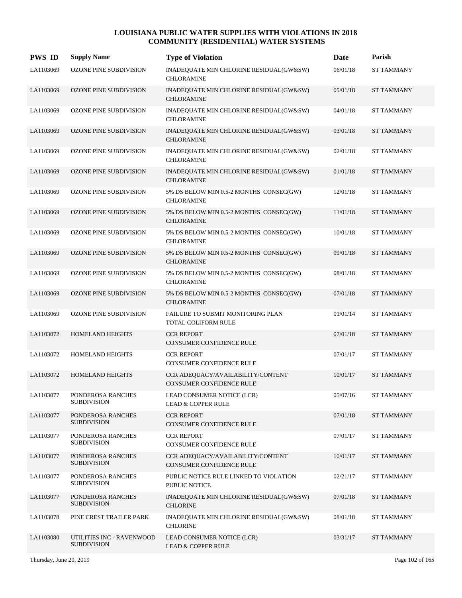| <b>PWS ID</b> | <b>Supply Name</b>                              | <b>Type of Violation</b>                                             | Date     | Parish            |
|---------------|-------------------------------------------------|----------------------------------------------------------------------|----------|-------------------|
| LA1103069     | OZONE PINE SUBDIVISION                          | INADEQUATE MIN CHLORINE RESIDUAL(GW&SW)<br><b>CHLORAMINE</b>         | 06/01/18 | <b>ST TAMMANY</b> |
| LA1103069     | OZONE PINE SUBDIVISION                          | INADEQUATE MIN CHLORINE RESIDUAL(GW&SW)<br><b>CHLORAMINE</b>         | 05/01/18 | <b>ST TAMMANY</b> |
| LA1103069     | OZONE PINE SUBDIVISION                          | INADEQUATE MIN CHLORINE RESIDUAL(GW&SW)<br><b>CHLORAMINE</b>         | 04/01/18 | <b>ST TAMMANY</b> |
| LA1103069     | <b>OZONE PINE SUBDIVISION</b>                   | INADEQUATE MIN CHLORINE RESIDUAL(GW&SW)<br><b>CHLORAMINE</b>         | 03/01/18 | <b>ST TAMMANY</b> |
| LA1103069     | OZONE PINE SUBDIVISION                          | INADEQUATE MIN CHLORINE RESIDUAL(GW&SW)<br><b>CHLORAMINE</b>         | 02/01/18 | <b>ST TAMMANY</b> |
| LA1103069     | OZONE PINE SUBDIVISION                          | INADEQUATE MIN CHLORINE RESIDUAL(GW&SW)<br><b>CHLORAMINE</b>         | 01/01/18 | <b>ST TAMMANY</b> |
| LA1103069     | OZONE PINE SUBDIVISION                          | 5% DS BELOW MIN 0.5-2 MONTHS CONSEC(GW)<br><b>CHLORAMINE</b>         | 12/01/18 | <b>ST TAMMANY</b> |
| LA1103069     | <b>OZONE PINE SUBDIVISION</b>                   | 5% DS BELOW MIN 0.5-2 MONTHS CONSEC(GW)<br><b>CHLORAMINE</b>         | 11/01/18 | <b>ST TAMMANY</b> |
| LA1103069     | OZONE PINE SUBDIVISION                          | 5% DS BELOW MIN 0.5-2 MONTHS CONSEC(GW)<br><b>CHLORAMINE</b>         | 10/01/18 | <b>ST TAMMANY</b> |
| LA1103069     | OZONE PINE SUBDIVISION                          | 5% DS BELOW MIN 0.5-2 MONTHS CONSEC(GW)<br><b>CHLORAMINE</b>         | 09/01/18 | <b>ST TAMMANY</b> |
| LA1103069     | OZONE PINE SUBDIVISION                          | 5% DS BELOW MIN 0.5-2 MONTHS CONSEC(GW)<br><b>CHLORAMINE</b>         | 08/01/18 | <b>ST TAMMANY</b> |
| LA1103069     | <b>OZONE PINE SUBDIVISION</b>                   | 5% DS BELOW MIN 0.5-2 MONTHS CONSEC(GW)<br><b>CHLORAMINE</b>         | 07/01/18 | <b>ST TAMMANY</b> |
| LA1103069     | OZONE PINE SUBDIVISION                          | FAILURE TO SUBMIT MONITORING PLAN<br>TOTAL COLIFORM RULE             | 01/01/14 | <b>ST TAMMANY</b> |
| LA1103072     | HOMELAND HEIGHTS                                | <b>CCR REPORT</b><br><b>CONSUMER CONFIDENCE RULE</b>                 | 07/01/18 | <b>ST TAMMANY</b> |
| LA1103072     | HOMELAND HEIGHTS                                | <b>CCR REPORT</b><br>CONSUMER CONFIDENCE RULE                        | 07/01/17 | <b>ST TAMMANY</b> |
| LA1103072     | <b>HOMELAND HEIGHTS</b>                         | CCR ADEQUACY/AVAILABILITY/CONTENT<br><b>CONSUMER CONFIDENCE RULE</b> | 10/01/17 | <b>ST TAMMANY</b> |
| LA1103077     | PONDEROSA RANCHES<br><b>SUBDIVISION</b>         | LEAD CONSUMER NOTICE (LCR)<br><b>LEAD &amp; COPPER RULE</b>          | 05/07/16 | <b>ST TAMMANY</b> |
| LA1103077     | PONDEROSA RANCHES<br><b>SUBDIVISION</b>         | <b>CCR REPORT</b><br>CONSUMER CONFIDENCE RULE                        | 07/01/18 | <b>ST TAMMANY</b> |
| LA1103077     | PONDEROSA RANCHES<br><b>SUBDIVISION</b>         | <b>CCR REPORT</b><br>CONSUMER CONFIDENCE RULE                        | 07/01/17 | <b>ST TAMMANY</b> |
| LA1103077     | PONDEROSA RANCHES<br><b>SUBDIVISION</b>         | CCR ADEQUACY/AVAILABILITY/CONTENT<br>CONSUMER CONFIDENCE RULE        | 10/01/17 | <b>ST TAMMANY</b> |
| LA1103077     | PONDEROSA RANCHES<br><b>SUBDIVISION</b>         | PUBLIC NOTICE RULE LINKED TO VIOLATION<br>PUBLIC NOTICE              | 02/21/17 | <b>ST TAMMANY</b> |
| LA1103077     | PONDEROSA RANCHES<br><b>SUBDIVISION</b>         | INADEQUATE MIN CHLORINE RESIDUAL(GW&SW)<br><b>CHLORINE</b>           | 07/01/18 | <b>ST TAMMANY</b> |
| LA1103078     | PINE CREST TRAILER PARK                         | INADEQUATE MIN CHLORINE RESIDUAL(GW&SW)<br><b>CHLORINE</b>           | 08/01/18 | <b>ST TAMMANY</b> |
| LA1103080     | UTILITIES INC - RAVENWOOD<br><b>SUBDIVISION</b> | LEAD CONSUMER NOTICE (LCR)<br><b>LEAD &amp; COPPER RULE</b>          | 03/31/17 | <b>ST TAMMANY</b> |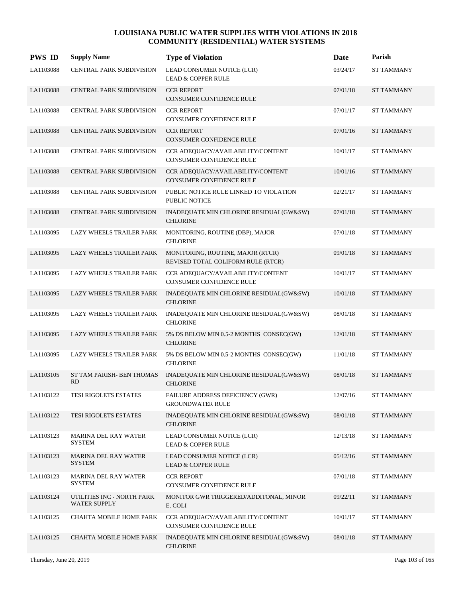| <b>PWS ID</b> | <b>Supply Name</b>                           | <b>Type of Violation</b>                                                | Date     | Parish            |
|---------------|----------------------------------------------|-------------------------------------------------------------------------|----------|-------------------|
| LA1103088     | CENTRAL PARK SUBDIVISION                     | LEAD CONSUMER NOTICE (LCR)<br><b>LEAD &amp; COPPER RULE</b>             | 03/24/17 | <b>ST TAMMANY</b> |
| LA1103088     | <b>CENTRAL PARK SUBDIVISION</b>              | <b>CCR REPORT</b><br>CONSUMER CONFIDENCE RULE                           | 07/01/18 | <b>ST TAMMANY</b> |
| LA1103088     | CENTRAL PARK SUBDIVISION                     | <b>CCR REPORT</b><br>CONSUMER CONFIDENCE RULE                           | 07/01/17 | <b>ST TAMMANY</b> |
| LA1103088     | <b>CENTRAL PARK SUBDIVISION</b>              | <b>CCR REPORT</b><br>CONSUMER CONFIDENCE RULE                           | 07/01/16 | <b>ST TAMMANY</b> |
| LA1103088     | CENTRAL PARK SUBDIVISION                     | CCR ADEQUACY/AVAILABILITY/CONTENT<br><b>CONSUMER CONFIDENCE RULE</b>    | 10/01/17 | <b>ST TAMMANY</b> |
| LA1103088     | <b>CENTRAL PARK SUBDIVISION</b>              | CCR ADEQUACY/AVAILABILITY/CONTENT<br><b>CONSUMER CONFIDENCE RULE</b>    | 10/01/16 | <b>ST TAMMANY</b> |
| LA1103088     | <b>CENTRAL PARK SUBDIVISION</b>              | PUBLIC NOTICE RULE LINKED TO VIOLATION<br><b>PUBLIC NOTICE</b>          | 02/21/17 | <b>ST TAMMANY</b> |
| LA1103088     | <b>CENTRAL PARK SUBDIVISION</b>              | INADEQUATE MIN CHLORINE RESIDUAL(GW&SW)<br><b>CHLORINE</b>              | 07/01/18 | <b>ST TAMMANY</b> |
| LA1103095     | LAZY WHEELS TRAILER PARK                     | MONITORING, ROUTINE (DBP), MAJOR<br><b>CHLORINE</b>                     | 07/01/18 | <b>ST TAMMANY</b> |
| LA1103095     | LAZY WHEELS TRAILER PARK                     | MONITORING, ROUTINE, MAJOR (RTCR)<br>REVISED TOTAL COLIFORM RULE (RTCR) | 09/01/18 | <b>ST TAMMANY</b> |
| LA1103095     | LAZY WHEELS TRAILER PARK                     | CCR ADEQUACY/AVAILABILITY/CONTENT<br>CONSUMER CONFIDENCE RULE           | 10/01/17 | <b>ST TAMMANY</b> |
| LA1103095     | LAZY WHEELS TRAILER PARK                     | INADEQUATE MIN CHLORINE RESIDUAL(GW&SW)<br><b>CHLORINE</b>              | 10/01/18 | <b>ST TAMMANY</b> |
| LA1103095     | LAZY WHEELS TRAILER PARK                     | INADEQUATE MIN CHLORINE RESIDUAL(GW&SW)<br><b>CHLORINE</b>              | 08/01/18 | <b>ST TAMMANY</b> |
| LA1103095     | LAZY WHEELS TRAILER PARK                     | 5% DS BELOW MIN 0.5-2 MONTHS CONSEC(GW)<br><b>CHLORINE</b>              | 12/01/18 | <b>ST TAMMANY</b> |
| LA1103095     | LAZY WHEELS TRAILER PARK                     | 5% DS BELOW MIN 0.5-2 MONTHS CONSEC(GW)<br><b>CHLORINE</b>              | 11/01/18 | <b>ST TAMMANY</b> |
| LA1103105     | ST TAM PARISH- BEN THOMAS<br><b>RD</b>       | INADEQUATE MIN CHLORINE RESIDUAL(GW&SW)<br><b>CHLORINE</b>              | 08/01/18 | <b>ST TAMMANY</b> |
| LA1103122     | TESI RIGOLETS ESTATES                        | FAILURE ADDRESS DEFICIENCY (GWR)<br><b>GROUNDWATER RULE</b>             | 12/07/16 | <b>ST TAMMANY</b> |
| LA1103122     | TESI RIGOLETS ESTATES                        | INADEQUATE MIN CHLORINE RESIDUAL(GW&SW)<br><b>CHLORINE</b>              | 08/01/18 | <b>ST TAMMANY</b> |
| LA1103123     | <b>MARINA DEL RAY WATER</b><br>SYSTEM        | LEAD CONSUMER NOTICE (LCR)<br>LEAD & COPPER RULE                        | 12/13/18 | <b>ST TAMMANY</b> |
| LA1103123     | <b>MARINA DEL RAY WATER</b><br><b>SYSTEM</b> | LEAD CONSUMER NOTICE (LCR)<br><b>LEAD &amp; COPPER RULE</b>             | 05/12/16 | <b>ST TAMMANY</b> |
| LA1103123     | MARINA DEL RAY WATER<br><b>SYSTEM</b>        | <b>CCR REPORT</b><br>CONSUMER CONFIDENCE RULE                           | 07/01/18 | <b>ST TAMMANY</b> |
| LA1103124     | UTILITIES INC - NORTH PARK<br>WATER SUPPLY   | MONITOR GWR TRIGGERED/ADDITONAL, MINOR<br>E. COLI                       | 09/22/11 | <b>ST TAMMANY</b> |
| LA1103125     | CHAHTA MOBILE HOME PARK                      | CCR ADEQUACY/AVAILABILITY/CONTENT<br>CONSUMER CONFIDENCE RULE           | 10/01/17 | ST TAMMANY        |
| LA1103125     | CHAHTA MOBILE HOME PARK                      | INADEQUATE MIN CHLORINE RESIDUAL(GW&SW)<br><b>CHLORINE</b>              | 08/01/18 | ST TAMMANY        |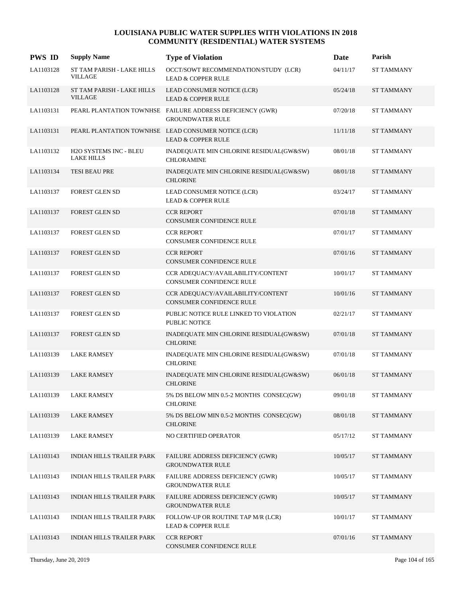| <b>PWS ID</b> | <b>Supply Name</b>                           | <b>Type of Violation</b>                                                             | Date     | Parish            |
|---------------|----------------------------------------------|--------------------------------------------------------------------------------------|----------|-------------------|
| LA1103128     | ST TAM PARISH - LAKE HILLS<br><b>VILLAGE</b> | OCCT/SOWT RECOMMENDATION/STUDY (LCR)<br><b>LEAD &amp; COPPER RULE</b>                | 04/11/17 | <b>ST TAMMANY</b> |
| LA1103128     | ST TAM PARISH - LAKE HILLS<br><b>VILLAGE</b> | LEAD CONSUMER NOTICE (LCR)<br><b>LEAD &amp; COPPER RULE</b>                          | 05/24/18 | <b>ST TAMMANY</b> |
| LA1103131     |                                              | PEARL PLANTATION TOWNHSE FAILURE ADDRESS DEFICIENCY (GWR)<br><b>GROUNDWATER RULE</b> | 07/20/18 | <b>ST TAMMANY</b> |
| LA1103131     |                                              | PEARL PLANTATION TOWNHSE LEAD CONSUMER NOTICE (LCR)<br><b>LEAD &amp; COPPER RULE</b> | 11/11/18 | <b>ST TAMMANY</b> |
| LA1103132     | H2O SYSTEMS INC - BLEU<br><b>LAKE HILLS</b>  | INADEQUATE MIN CHLORINE RESIDUAL(GW&SW)<br><b>CHLORAMINE</b>                         | 08/01/18 | <b>ST TAMMANY</b> |
| LA1103134     | <b>TESI BEAU PRE</b>                         | INADEQUATE MIN CHLORINE RESIDUAL(GW&SW)<br><b>CHLORINE</b>                           | 08/01/18 | <b>ST TAMMANY</b> |
| LA1103137     | FOREST GLEN SD                               | LEAD CONSUMER NOTICE (LCR)<br><b>LEAD &amp; COPPER RULE</b>                          | 03/24/17 | <b>ST TAMMANY</b> |
| LA1103137     | <b>FOREST GLEN SD</b>                        | <b>CCR REPORT</b><br><b>CONSUMER CONFIDENCE RULE</b>                                 | 07/01/18 | <b>ST TAMMANY</b> |
| LA1103137     | FOREST GLEN SD                               | <b>CCR REPORT</b><br>CONSUMER CONFIDENCE RULE                                        | 07/01/17 | <b>ST TAMMANY</b> |
| LA1103137     | <b>FOREST GLEN SD</b>                        | <b>CCR REPORT</b><br>CONSUMER CONFIDENCE RULE                                        | 07/01/16 | <b>ST TAMMANY</b> |
| LA1103137     | FOREST GLEN SD                               | CCR ADEQUACY/AVAILABILITY/CONTENT<br>CONSUMER CONFIDENCE RULE                        | 10/01/17 | <b>ST TAMMANY</b> |
| LA1103137     | <b>FOREST GLEN SD</b>                        | CCR ADEQUACY/AVAILABILITY/CONTENT<br>CONSUMER CONFIDENCE RULE                        | 10/01/16 | <b>ST TAMMANY</b> |
| LA1103137     | FOREST GLEN SD                               | PUBLIC NOTICE RULE LINKED TO VIOLATION<br>PUBLIC NOTICE                              | 02/21/17 | <b>ST TAMMANY</b> |
| LA1103137     | <b>FOREST GLEN SD</b>                        | INADEQUATE MIN CHLORINE RESIDUAL(GW&SW)<br><b>CHLORINE</b>                           | 07/01/18 | <b>ST TAMMANY</b> |
| LA1103139     | <b>LAKE RAMSEY</b>                           | INADEQUATE MIN CHLORINE RESIDUAL(GW&SW)<br><b>CHLORINE</b>                           | 07/01/18 | <b>ST TAMMANY</b> |
| LA1103139     | <b>LAKE RAMSEY</b>                           | INADEQUATE MIN CHLORINE RESIDUAL(GW&SW)<br><b>CHLORINE</b>                           | 06/01/18 | <b>ST TAMMANY</b> |
| LA1103139     | <b>LAKE RAMSEY</b>                           | 5% DS BELOW MIN 0.5-2 MONTHS CONSEC(GW)<br><b>CHLORINE</b>                           | 09/01/18 | ST TAMMANY        |
| LA1103139     | <b>LAKE RAMSEY</b>                           | 5% DS BELOW MIN 0.5-2 MONTHS CONSEC(GW)<br><b>CHLORINE</b>                           | 08/01/18 | <b>ST TAMMANY</b> |
| LA1103139     | <b>LAKE RAMSEY</b>                           | NO CERTIFIED OPERATOR                                                                | 05/17/12 | <b>ST TAMMANY</b> |
| LA1103143     | INDIAN HILLS TRAILER PARK                    | FAILURE ADDRESS DEFICIENCY (GWR)<br><b>GROUNDWATER RULE</b>                          | 10/05/17 | ST TAMMANY        |
| LA1103143     | INDIAN HILLS TRAILER PARK                    | <b>FAILURE ADDRESS DEFICIENCY (GWR)</b><br><b>GROUNDWATER RULE</b>                   | 10/05/17 | <b>ST TAMMANY</b> |
| LA1103143     | INDIAN HILLS TRAILER PARK                    | FAILURE ADDRESS DEFICIENCY (GWR)<br><b>GROUNDWATER RULE</b>                          | 10/05/17 | ST TAMMANY        |
| LA1103143     | INDIAN HILLS TRAILER PARK                    | FOLLOW-UP OR ROUTINE TAP M/R (LCR)<br><b>LEAD &amp; COPPER RULE</b>                  | 10/01/17 | ST TAMMANY        |
| LA1103143     | INDIAN HILLS TRAILER PARK                    | <b>CCR REPORT</b><br>CONSUMER CONFIDENCE RULE                                        | 07/01/16 | ST TAMMANY        |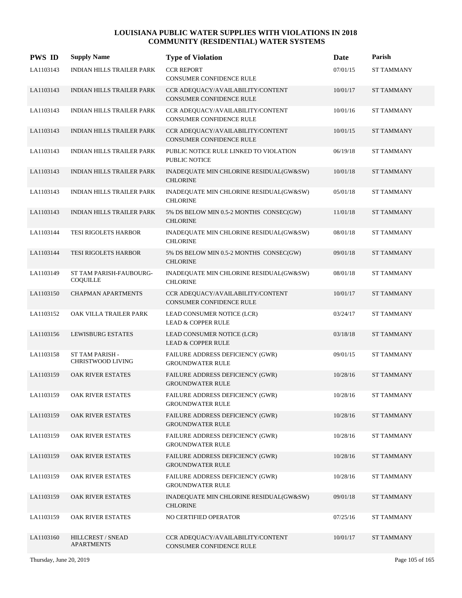| <b>PWS ID</b> | <b>Supply Name</b>                         | <b>Type of Violation</b>                                             | Date     | Parish            |
|---------------|--------------------------------------------|----------------------------------------------------------------------|----------|-------------------|
| LA1103143     | <b>INDIAN HILLS TRAILER PARK</b>           | <b>CCR REPORT</b><br>CONSUMER CONFIDENCE RULE                        | 07/01/15 | <b>ST TAMMANY</b> |
| LA1103143     | INDIAN HILLS TRAILER PARK                  | CCR ADEQUACY/AVAILABILITY/CONTENT<br><b>CONSUMER CONFIDENCE RULE</b> | 10/01/17 | <b>ST TAMMANY</b> |
| LA1103143     | INDIAN HILLS TRAILER PARK                  | CCR ADEQUACY/AVAILABILITY/CONTENT<br><b>CONSUMER CONFIDENCE RULE</b> | 10/01/16 | <b>ST TAMMANY</b> |
| LA1103143     | INDIAN HILLS TRAILER PARK                  | CCR ADEQUACY/AVAILABILITY/CONTENT<br>CONSUMER CONFIDENCE RULE        | 10/01/15 | <b>ST TAMMANY</b> |
| LA1103143     | <b>INDIAN HILLS TRAILER PARK</b>           | PUBLIC NOTICE RULE LINKED TO VIOLATION<br>PUBLIC NOTICE              | 06/19/18 | <b>ST TAMMANY</b> |
| LA1103143     | INDIAN HILLS TRAILER PARK                  | INADEQUATE MIN CHLORINE RESIDUAL(GW&SW)<br><b>CHLORINE</b>           | 10/01/18 | <b>ST TAMMANY</b> |
| LA1103143     | INDIAN HILLS TRAILER PARK                  | INADEQUATE MIN CHLORINE RESIDUAL(GW&SW)<br><b>CHLORINE</b>           | 05/01/18 | <b>ST TAMMANY</b> |
| LA1103143     | INDIAN HILLS TRAILER PARK                  | 5% DS BELOW MIN 0.5-2 MONTHS CONSEC(GW)<br><b>CHLORINE</b>           | 11/01/18 | <b>ST TAMMANY</b> |
| LA1103144     | TESI RIGOLETS HARBOR                       | INADEQUATE MIN CHLORINE RESIDUAL(GW&SW)<br><b>CHLORINE</b>           | 08/01/18 | <b>ST TAMMANY</b> |
| LA1103144     | TESI RIGOLETS HARBOR                       | 5% DS BELOW MIN 0.5-2 MONTHS CONSEC(GW)<br><b>CHLORINE</b>           | 09/01/18 | <b>ST TAMMANY</b> |
| LA1103149     | ST TAM PARISH-FAUBOURG-<br><b>COQUILLE</b> | INADEQUATE MIN CHLORINE RESIDUAL(GW&SW)<br><b>CHLORINE</b>           | 08/01/18 | <b>ST TAMMANY</b> |
| LA1103150     | <b>CHAPMAN APARTMENTS</b>                  | CCR ADEQUACY/AVAILABILITY/CONTENT<br>CONSUMER CONFIDENCE RULE        | 10/01/17 | <b>ST TAMMANY</b> |
| LA1103152     | OAK VILLA TRAILER PARK                     | LEAD CONSUMER NOTICE (LCR)<br><b>LEAD &amp; COPPER RULE</b>          | 03/24/17 | <b>ST TAMMANY</b> |
| LA1103156     | <b>LEWISBURG ESTATES</b>                   | LEAD CONSUMER NOTICE (LCR)<br><b>LEAD &amp; COPPER RULE</b>          | 03/18/18 | <b>ST TAMMANY</b> |
| LA1103158     | ST TAM PARISH -<br>CHRISTWOOD LIVING       | FAILURE ADDRESS DEFICIENCY (GWR)<br><b>GROUNDWATER RULE</b>          | 09/01/15 | <b>ST TAMMANY</b> |
| LA1103159     | OAK RIVER ESTATES                          | FAILURE ADDRESS DEFICIENCY (GWR)<br><b>GROUNDWATER RULE</b>          | 10/28/16 | <b>ST TAMMANY</b> |
| LA1103159     | OAK RIVER ESTATES                          | FAILURE ADDRESS DEFICIENCY (GWR)<br><b>GROUNDWATER RULE</b>          | 10/28/16 | <b>ST TAMMANY</b> |
| LA1103159     | OAK RIVER ESTATES                          | FAILURE ADDRESS DEFICIENCY (GWR)<br><b>GROUNDWATER RULE</b>          | 10/28/16 | <b>ST TAMMANY</b> |
| LA1103159     | OAK RIVER ESTATES                          | <b>FAILURE ADDRESS DEFICIENCY (GWR)</b><br><b>GROUNDWATER RULE</b>   | 10/28/16 | <b>ST TAMMANY</b> |
| LA1103159     | OAK RIVER ESTATES                          | FAILURE ADDRESS DEFICIENCY (GWR)<br><b>GROUNDWATER RULE</b>          | 10/28/16 | <b>ST TAMMANY</b> |
| LA1103159     | OAK RIVER ESTATES                          | FAILURE ADDRESS DEFICIENCY (GWR)<br><b>GROUNDWATER RULE</b>          | 10/28/16 | <b>ST TAMMANY</b> |
| LA1103159     | OAK RIVER ESTATES                          | INADEQUATE MIN CHLORINE RESIDUAL(GW&SW)<br><b>CHLORINE</b>           | 09/01/18 | ST TAMMANY        |
| LA1103159     | OAK RIVER ESTATES                          | NO CERTIFIED OPERATOR                                                | 07/25/16 | <b>ST TAMMANY</b> |
| LA1103160     | HILLCREST / SNEAD<br><b>APARTMENTS</b>     | CCR ADEQUACY/AVAILABILITY/CONTENT<br>CONSUMER CONFIDENCE RULE        | 10/01/17 | <b>ST TAMMANY</b> |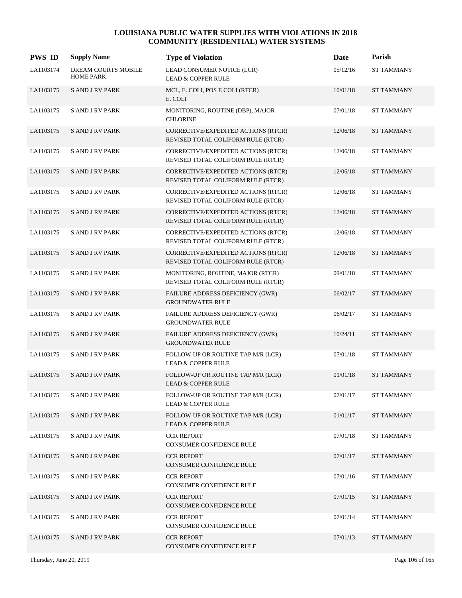| <b>PWS ID</b> | <b>Supply Name</b>                      | <b>Type of Violation</b>                                                  | Date     | Parish            |
|---------------|-----------------------------------------|---------------------------------------------------------------------------|----------|-------------------|
| LA1103174     | DREAM COURTS MOBILE<br><b>HOME PARK</b> | LEAD CONSUMER NOTICE (LCR)<br><b>LEAD &amp; COPPER RULE</b>               | 05/12/16 | <b>ST TAMMANY</b> |
| LA1103175     | <b>SAND JRV PARK</b>                    | MCL, E. COLI, POS E COLI (RTCR)<br>E. COLI                                | 10/01/18 | <b>ST TAMMANY</b> |
| LA1103175     | <b>SAND JRV PARK</b>                    | MONITORING, ROUTINE (DBP), MAJOR<br><b>CHLORINE</b>                       | 07/01/18 | <b>ST TAMMANY</b> |
| LA1103175     | <b>SAND JRV PARK</b>                    | CORRECTIVE/EXPEDITED ACTIONS (RTCR)<br>REVISED TOTAL COLIFORM RULE (RTCR) | 12/06/18 | <b>ST TAMMANY</b> |
| LA1103175     | <b>SAND JRV PARK</b>                    | CORRECTIVE/EXPEDITED ACTIONS (RTCR)<br>REVISED TOTAL COLIFORM RULE (RTCR) | 12/06/18 | <b>ST TAMMANY</b> |
| LA1103175     | <b>SAND JRV PARK</b>                    | CORRECTIVE/EXPEDITED ACTIONS (RTCR)<br>REVISED TOTAL COLIFORM RULE (RTCR) | 12/06/18 | <b>ST TAMMANY</b> |
| LA1103175     | <b>SAND JRV PARK</b>                    | CORRECTIVE/EXPEDITED ACTIONS (RTCR)<br>REVISED TOTAL COLIFORM RULE (RTCR) | 12/06/18 | <b>ST TAMMANY</b> |
| LA1103175     | <b>SAND JRV PARK</b>                    | CORRECTIVE/EXPEDITED ACTIONS (RTCR)<br>REVISED TOTAL COLIFORM RULE (RTCR) | 12/06/18 | <b>ST TAMMANY</b> |
| LA1103175     | <b>SAND JRV PARK</b>                    | CORRECTIVE/EXPEDITED ACTIONS (RTCR)<br>REVISED TOTAL COLIFORM RULE (RTCR) | 12/06/18 | <b>ST TAMMANY</b> |
| LA1103175     | <b>SAND JRV PARK</b>                    | CORRECTIVE/EXPEDITED ACTIONS (RTCR)<br>REVISED TOTAL COLIFORM RULE (RTCR) | 12/06/18 | <b>ST TAMMANY</b> |
| LA1103175     | <b>SAND JRV PARK</b>                    | MONITORING, ROUTINE, MAJOR (RTCR)<br>REVISED TOTAL COLIFORM RULE (RTCR)   | 09/01/18 | <b>ST TAMMANY</b> |
| LA1103175     | <b>SAND JRV PARK</b>                    | FAILURE ADDRESS DEFICIENCY (GWR)<br><b>GROUNDWATER RULE</b>               | 06/02/17 | <b>ST TAMMANY</b> |
| LA1103175     | <b>SAND JRV PARK</b>                    | FAILURE ADDRESS DEFICIENCY (GWR)<br><b>GROUNDWATER RULE</b>               | 06/02/17 | <b>ST TAMMANY</b> |
| LA1103175     | <b>SAND JRV PARK</b>                    | FAILURE ADDRESS DEFICIENCY (GWR)<br><b>GROUNDWATER RULE</b>               | 10/24/11 | <b>ST TAMMANY</b> |
| LA1103175     | S AND J RV PARK                         | FOLLOW-UP OR ROUTINE TAP M/R (LCR)<br><b>LEAD &amp; COPPER RULE</b>       | 07/01/18 | <b>ST TAMMANY</b> |
| LA1103175     | <b>SAND JRV PARK</b>                    | FOLLOW-UP OR ROUTINE TAP M/R (LCR)<br><b>LEAD &amp; COPPER RULE</b>       | 01/01/18 | <b>ST TAMMANY</b> |
| LA1103175     | <b>S AND J RV PARK</b>                  | FOLLOW-UP OR ROUTINE TAP M/R (LCR)<br><b>LEAD &amp; COPPER RULE</b>       | 07/01/17 | <b>ST TAMMANY</b> |
| LA1103175     | S AND J RV PARK                         | FOLLOW-UP OR ROUTINE TAP M/R (LCR)<br><b>LEAD &amp; COPPER RULE</b>       | 01/01/17 | <b>ST TAMMANY</b> |
| LA1103175     | <b>SAND JRV PARK</b>                    | <b>CCR REPORT</b><br>CONSUMER CONFIDENCE RULE                             | 07/01/18 | <b>ST TAMMANY</b> |
| LA1103175     | <b>SAND JRV PARK</b>                    | <b>CCR REPORT</b><br>CONSUMER CONFIDENCE RULE                             | 07/01/17 | <b>ST TAMMANY</b> |
| LA1103175     | <b>SAND JRV PARK</b>                    | <b>CCR REPORT</b><br>CONSUMER CONFIDENCE RULE                             | 07/01/16 | <b>ST TAMMANY</b> |
| LA1103175     | <b>SAND JRV PARK</b>                    | <b>CCR REPORT</b><br>CONSUMER CONFIDENCE RULE                             | 07/01/15 | <b>ST TAMMANY</b> |
| LA1103175     | <b>SAND JRV PARK</b>                    | <b>CCR REPORT</b><br>CONSUMER CONFIDENCE RULE                             | 07/01/14 | <b>ST TAMMANY</b> |
| LA1103175     | <b>SAND JRV PARK</b>                    | <b>CCR REPORT</b><br>CONSUMER CONFIDENCE RULE                             | 07/01/13 | <b>ST TAMMANY</b> |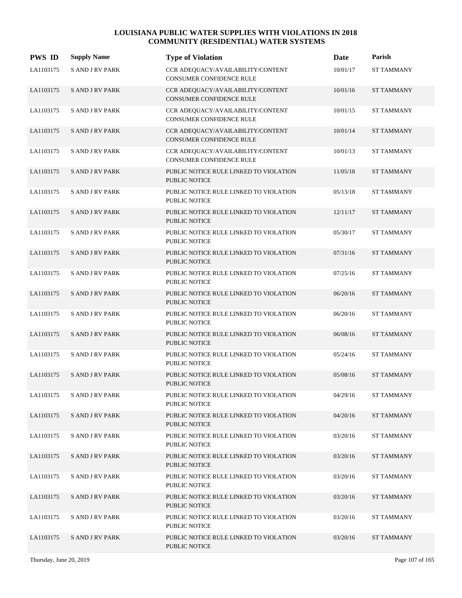| <b>PWS ID</b> | <b>Supply Name</b>     | <b>Type of Violation</b>                                             | Date     | Parish            |
|---------------|------------------------|----------------------------------------------------------------------|----------|-------------------|
| LA1103175     | <b>S AND J RV PARK</b> | CCR ADEQUACY/AVAILABILITY/CONTENT<br>CONSUMER CONFIDENCE RULE        | 10/01/17 | <b>ST TAMMANY</b> |
| LA1103175     | <b>SAND JRV PARK</b>   | CCR ADEQUACY/AVAILABILITY/CONTENT<br><b>CONSUMER CONFIDENCE RULE</b> | 10/01/16 | <b>ST TAMMANY</b> |
| LA1103175     | <b>SAND JRV PARK</b>   | CCR ADEQUACY/AVAILABILITY/CONTENT<br>CONSUMER CONFIDENCE RULE        | 10/01/15 | <b>ST TAMMANY</b> |
| LA1103175     | <b>SAND JRV PARK</b>   | CCR ADEQUACY/AVAILABILITY/CONTENT<br>CONSUMER CONFIDENCE RULE        | 10/01/14 | <b>ST TAMMANY</b> |
| LA1103175     | <b>S AND J RV PARK</b> | CCR ADEQUACY/AVAILABILITY/CONTENT<br>CONSUMER CONFIDENCE RULE        | 10/01/13 | <b>ST TAMMANY</b> |
| LA1103175     | <b>SAND JRV PARK</b>   | PUBLIC NOTICE RULE LINKED TO VIOLATION<br><b>PUBLIC NOTICE</b>       | 11/05/18 | <b>ST TAMMANY</b> |
| LA1103175     | <b>SAND JRV PARK</b>   | PUBLIC NOTICE RULE LINKED TO VIOLATION<br><b>PUBLIC NOTICE</b>       | 05/13/18 | <b>ST TAMMANY</b> |
| LA1103175     | <b>SAND JRV PARK</b>   | PUBLIC NOTICE RULE LINKED TO VIOLATION<br><b>PUBLIC NOTICE</b>       | 12/11/17 | <b>ST TAMMANY</b> |
| LA1103175     | <b>SAND JRV PARK</b>   | PUBLIC NOTICE RULE LINKED TO VIOLATION<br>PUBLIC NOTICE              | 05/30/17 | <b>ST TAMMANY</b> |
| LA1103175     | <b>SAND JRV PARK</b>   | PUBLIC NOTICE RULE LINKED TO VIOLATION<br>PUBLIC NOTICE              | 07/31/16 | <b>ST TAMMANY</b> |
| LA1103175     | <b>S AND J RV PARK</b> | PUBLIC NOTICE RULE LINKED TO VIOLATION<br>PUBLIC NOTICE              | 07/25/16 | <b>ST TAMMANY</b> |
| LA1103175     | <b>SAND JRV PARK</b>   | PUBLIC NOTICE RULE LINKED TO VIOLATION<br><b>PUBLIC NOTICE</b>       | 06/20/16 | <b>ST TAMMANY</b> |
| LA1103175     | <b>S AND J RV PARK</b> | PUBLIC NOTICE RULE LINKED TO VIOLATION<br>PUBLIC NOTICE              | 06/20/16 | ST TAMMANY        |
| LA1103175     | <b>SAND JRV PARK</b>   | PUBLIC NOTICE RULE LINKED TO VIOLATION<br><b>PUBLIC NOTICE</b>       | 06/08/16 | <b>ST TAMMANY</b> |
| LA1103175     | <b>S AND J RV PARK</b> | PUBLIC NOTICE RULE LINKED TO VIOLATION<br>PUBLIC NOTICE              | 05/24/16 | <b>ST TAMMANY</b> |
| LA1103175     | <b>S AND J RV PARK</b> | PUBLIC NOTICE RULE LINKED TO VIOLATION<br><b>PUBLIC NOTICE</b>       | 05/08/16 | <b>ST TAMMANY</b> |
| LA1103175     | <b>SAND JRV PARK</b>   | PUBLIC NOTICE RULE LINKED TO VIOLATION<br>PUBLIC NOTICE              | 04/29/16 | <b>ST TAMMANY</b> |
| LA1103175     | <b>SAND JRV PARK</b>   | PUBLIC NOTICE RULE LINKED TO VIOLATION<br><b>PUBLIC NOTICE</b>       | 04/20/16 | <b>ST TAMMANY</b> |
| LA1103175     | <b>SAND JRV PARK</b>   | PUBLIC NOTICE RULE LINKED TO VIOLATION<br>PUBLIC NOTICE              | 03/20/16 | ST TAMMANY        |
| LA1103175     | <b>SAND JRV PARK</b>   | PUBLIC NOTICE RULE LINKED TO VIOLATION<br>PUBLIC NOTICE              | 03/20/16 | ST TAMMANY        |
| LA1103175     | <b>SAND JRV PARK</b>   | PUBLIC NOTICE RULE LINKED TO VIOLATION<br>PUBLIC NOTICE              | 03/20/16 | <b>ST TAMMANY</b> |
| LA1103175     | <b>SAND JRV PARK</b>   | PUBLIC NOTICE RULE LINKED TO VIOLATION<br>PUBLIC NOTICE              | 03/20/16 | <b>ST TAMMANY</b> |
| LA1103175     | <b>SAND JRV PARK</b>   | PUBLIC NOTICE RULE LINKED TO VIOLATION<br>PUBLIC NOTICE              | 03/20/16 | ST TAMMANY        |
| LA1103175     | <b>SAND JRV PARK</b>   | PUBLIC NOTICE RULE LINKED TO VIOLATION<br>PUBLIC NOTICE              | 03/20/16 | ST TAMMANY        |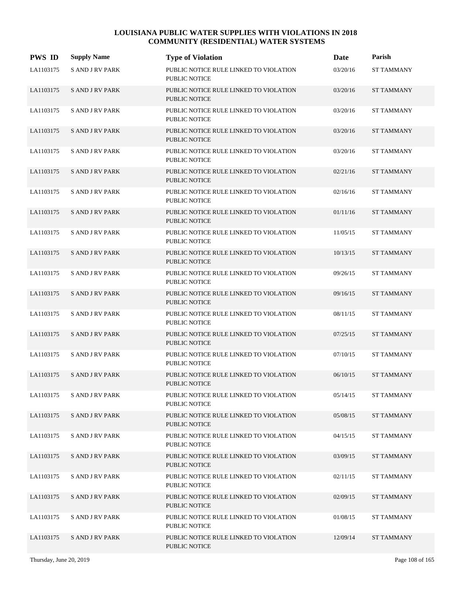| <b>PWS ID</b> | <b>Supply Name</b>     | <b>Type of Violation</b>                                       | Date     | Parish            |
|---------------|------------------------|----------------------------------------------------------------|----------|-------------------|
| LA1103175     | <b>S AND J RV PARK</b> | PUBLIC NOTICE RULE LINKED TO VIOLATION<br><b>PUBLIC NOTICE</b> | 03/20/16 | <b>ST TAMMANY</b> |
| LA1103175     | <b>SAND JRV PARK</b>   | PUBLIC NOTICE RULE LINKED TO VIOLATION<br><b>PUBLIC NOTICE</b> | 03/20/16 | <b>ST TAMMANY</b> |
| LA1103175     | <b>SAND JRV PARK</b>   | PUBLIC NOTICE RULE LINKED TO VIOLATION<br><b>PUBLIC NOTICE</b> | 03/20/16 | <b>ST TAMMANY</b> |
| LA1103175     | <b>SAND JRV PARK</b>   | PUBLIC NOTICE RULE LINKED TO VIOLATION<br><b>PUBLIC NOTICE</b> | 03/20/16 | <b>ST TAMMANY</b> |
| LA1103175     | <b>SAND JRV PARK</b>   | PUBLIC NOTICE RULE LINKED TO VIOLATION<br><b>PUBLIC NOTICE</b> | 03/20/16 | <b>ST TAMMANY</b> |
| LA1103175     | <b>SAND JRV PARK</b>   | PUBLIC NOTICE RULE LINKED TO VIOLATION<br><b>PUBLIC NOTICE</b> | 02/21/16 | <b>ST TAMMANY</b> |
| LA1103175     | <b>S AND J RV PARK</b> | PUBLIC NOTICE RULE LINKED TO VIOLATION<br><b>PUBLIC NOTICE</b> | 02/16/16 | <b>ST TAMMANY</b> |
| LA1103175     | <b>SAND JRV PARK</b>   | PUBLIC NOTICE RULE LINKED TO VIOLATION<br><b>PUBLIC NOTICE</b> | 01/11/16 | <b>ST TAMMANY</b> |
| LA1103175     | <b>SAND JRV PARK</b>   | PUBLIC NOTICE RULE LINKED TO VIOLATION<br><b>PUBLIC NOTICE</b> | 11/05/15 | <b>ST TAMMANY</b> |
| LA1103175     | <b>SAND JRV PARK</b>   | PUBLIC NOTICE RULE LINKED TO VIOLATION<br><b>PUBLIC NOTICE</b> | 10/13/15 | <b>ST TAMMANY</b> |
| LA1103175     | <b>SAND JRV PARK</b>   | PUBLIC NOTICE RULE LINKED TO VIOLATION<br>PUBLIC NOTICE        | 09/26/15 | <b>ST TAMMANY</b> |
| LA1103175     | <b>SAND JRV PARK</b>   | PUBLIC NOTICE RULE LINKED TO VIOLATION<br><b>PUBLIC NOTICE</b> | 09/16/15 | <b>ST TAMMANY</b> |
| LA1103175     | <b>S AND J RV PARK</b> | PUBLIC NOTICE RULE LINKED TO VIOLATION<br><b>PUBLIC NOTICE</b> | 08/11/15 | <b>ST TAMMANY</b> |
| LA1103175     | <b>SAND JRV PARK</b>   | PUBLIC NOTICE RULE LINKED TO VIOLATION<br><b>PUBLIC NOTICE</b> | 07/25/15 | <b>ST TAMMANY</b> |
| LA1103175     | <b>SAND JRV PARK</b>   | PUBLIC NOTICE RULE LINKED TO VIOLATION<br>PUBLIC NOTICE        | 07/10/15 | <b>ST TAMMANY</b> |
| LA1103175     | <b>SAND JRV PARK</b>   | PUBLIC NOTICE RULE LINKED TO VIOLATION<br>PUBLIC NOTICE        | 06/10/15 | <b>ST TAMMANY</b> |
| LA1103175     | <b>SAND JRV PARK</b>   | PUBLIC NOTICE RULE LINKED TO VIOLATION<br>PUBLIC NOTICE        | 05/14/15 | <b>ST TAMMANY</b> |
| LA1103175     | <b>SAND JRV PARK</b>   | PUBLIC NOTICE RULE LINKED TO VIOLATION<br><b>PUBLIC NOTICE</b> | 05/08/15 | <b>ST TAMMANY</b> |
| LA1103175     | <b>SAND JRV PARK</b>   | PUBLIC NOTICE RULE LINKED TO VIOLATION<br><b>PUBLIC NOTICE</b> | 04/15/15 | <b>ST TAMMANY</b> |
| LA1103175     | <b>SAND JRV PARK</b>   | PUBLIC NOTICE RULE LINKED TO VIOLATION<br>PUBLIC NOTICE        | 03/09/15 | <b>ST TAMMANY</b> |
| LA1103175     | <b>SAND JRV PARK</b>   | PUBLIC NOTICE RULE LINKED TO VIOLATION<br>PUBLIC NOTICE        | 02/11/15 | <b>ST TAMMANY</b> |
| LA1103175     | <b>SAND JRV PARK</b>   | PUBLIC NOTICE RULE LINKED TO VIOLATION<br>PUBLIC NOTICE        | 02/09/15 | <b>ST TAMMANY</b> |
| LA1103175     | <b>SAND JRV PARK</b>   | PUBLIC NOTICE RULE LINKED TO VIOLATION<br>PUBLIC NOTICE        | 01/08/15 | <b>ST TAMMANY</b> |
| LA1103175     | <b>SAND JRV PARK</b>   | PUBLIC NOTICE RULE LINKED TO VIOLATION<br>PUBLIC NOTICE        | 12/09/14 | ST TAMMANY        |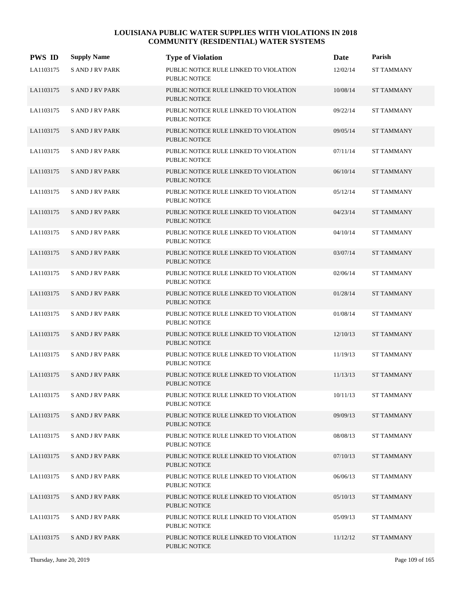| <b>PWS ID</b> | <b>Supply Name</b>     | <b>Type of Violation</b>                                       | Date     | Parish            |
|---------------|------------------------|----------------------------------------------------------------|----------|-------------------|
| LA1103175     | <b>S AND J RV PARK</b> | PUBLIC NOTICE RULE LINKED TO VIOLATION<br><b>PUBLIC NOTICE</b> | 12/02/14 | <b>ST TAMMANY</b> |
| LA1103175     | <b>SAND JRV PARK</b>   | PUBLIC NOTICE RULE LINKED TO VIOLATION<br><b>PUBLIC NOTICE</b> | 10/08/14 | <b>ST TAMMANY</b> |
| LA1103175     | <b>SAND JRV PARK</b>   | PUBLIC NOTICE RULE LINKED TO VIOLATION<br>PUBLIC NOTICE        | 09/22/14 | <b>ST TAMMANY</b> |
| LA1103175     | <b>SAND JRV PARK</b>   | PUBLIC NOTICE RULE LINKED TO VIOLATION<br><b>PUBLIC NOTICE</b> | 09/05/14 | <b>ST TAMMANY</b> |
| LA1103175     | <b>SAND JRV PARK</b>   | PUBLIC NOTICE RULE LINKED TO VIOLATION<br><b>PUBLIC NOTICE</b> | 07/11/14 | <b>ST TAMMANY</b> |
| LA1103175     | <b>SAND JRV PARK</b>   | PUBLIC NOTICE RULE LINKED TO VIOLATION<br><b>PUBLIC NOTICE</b> | 06/10/14 | <b>ST TAMMANY</b> |
| LA1103175     | <b>SAND JRV PARK</b>   | PUBLIC NOTICE RULE LINKED TO VIOLATION<br><b>PUBLIC NOTICE</b> | 05/12/14 | <b>ST TAMMANY</b> |
| LA1103175     | <b>SAND JRV PARK</b>   | PUBLIC NOTICE RULE LINKED TO VIOLATION<br><b>PUBLIC NOTICE</b> | 04/23/14 | <b>ST TAMMANY</b> |
| LA1103175     | <b>SAND JRV PARK</b>   | PUBLIC NOTICE RULE LINKED TO VIOLATION<br><b>PUBLIC NOTICE</b> | 04/10/14 | <b>ST TAMMANY</b> |
| LA1103175     | <b>SAND JRV PARK</b>   | PUBLIC NOTICE RULE LINKED TO VIOLATION<br><b>PUBLIC NOTICE</b> | 03/07/14 | <b>ST TAMMANY</b> |
| LA1103175     | S AND J RV PARK        | PUBLIC NOTICE RULE LINKED TO VIOLATION<br>PUBLIC NOTICE        | 02/06/14 | <b>ST TAMMANY</b> |
| LA1103175     | <b>SAND JRV PARK</b>   | PUBLIC NOTICE RULE LINKED TO VIOLATION<br>PUBLIC NOTICE        | 01/28/14 | <b>ST TAMMANY</b> |
| LA1103175     | <b>S AND J RV PARK</b> | PUBLIC NOTICE RULE LINKED TO VIOLATION<br>PUBLIC NOTICE        | 01/08/14 | <b>ST TAMMANY</b> |
| LA1103175     | <b>SAND JRV PARK</b>   | PUBLIC NOTICE RULE LINKED TO VIOLATION<br><b>PUBLIC NOTICE</b> | 12/10/13 | <b>ST TAMMANY</b> |
| LA1103175     | S AND J RV PARK        | PUBLIC NOTICE RULE LINKED TO VIOLATION<br><b>PUBLIC NOTICE</b> | 11/19/13 | <b>ST TAMMANY</b> |
| LA1103175     | <b>SAND JRV PARK</b>   | PUBLIC NOTICE RULE LINKED TO VIOLATION<br>PUBLIC NOTICE        | 11/13/13 | <b>ST TAMMANY</b> |
| LA1103175     | S AND J RV PARK        | PUBLIC NOTICE RULE LINKED TO VIOLATION<br>PUBLIC NOTICE        | 10/11/13 | <b>ST TAMMANY</b> |
| LA1103175     | <b>SAND JRV PARK</b>   | PUBLIC NOTICE RULE LINKED TO VIOLATION<br>PUBLIC NOTICE        | 09/09/13 | <b>ST TAMMANY</b> |
| LA1103175     | <b>S AND J RV PARK</b> | PUBLIC NOTICE RULE LINKED TO VIOLATION<br>PUBLIC NOTICE        | 08/08/13 | <b>ST TAMMANY</b> |
| LA1103175     | <b>SAND JRV PARK</b>   | PUBLIC NOTICE RULE LINKED TO VIOLATION<br>PUBLIC NOTICE        | 07/10/13 | <b>ST TAMMANY</b> |
| LA1103175     | <b>S AND J RV PARK</b> | PUBLIC NOTICE RULE LINKED TO VIOLATION<br>PUBLIC NOTICE        | 06/06/13 | <b>ST TAMMANY</b> |
| LA1103175     | <b>S AND J RV PARK</b> | PUBLIC NOTICE RULE LINKED TO VIOLATION<br>PUBLIC NOTICE        | 05/10/13 | <b>ST TAMMANY</b> |
| LA1103175     | <b>SAND JRV PARK</b>   | PUBLIC NOTICE RULE LINKED TO VIOLATION<br>PUBLIC NOTICE        | 05/09/13 | <b>ST TAMMANY</b> |
| LA1103175     | <b>SAND JRV PARK</b>   | PUBLIC NOTICE RULE LINKED TO VIOLATION<br>PUBLIC NOTICE        | 11/12/12 | <b>ST TAMMANY</b> |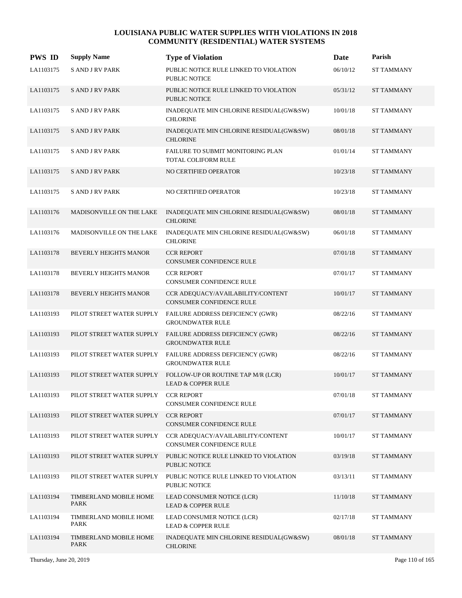| <b>PWS ID</b> | <b>Supply Name</b>                    | <b>Type of Violation</b>                                             | Date       | Parish            |
|---------------|---------------------------------------|----------------------------------------------------------------------|------------|-------------------|
| LA1103175     | <b>S AND J RV PARK</b>                | PUBLIC NOTICE RULE LINKED TO VIOLATION<br><b>PUBLIC NOTICE</b>       | 06/10/12   | <b>ST TAMMANY</b> |
| LA1103175     | <b>SAND JRV PARK</b>                  | PUBLIC NOTICE RULE LINKED TO VIOLATION<br><b>PUBLIC NOTICE</b>       | 05/31/12   | <b>ST TAMMANY</b> |
| LA1103175     | <b>SAND JRV PARK</b>                  | INADEQUATE MIN CHLORINE RESIDUAL(GW&SW)<br><b>CHLORINE</b>           | $10/01/18$ | <b>ST TAMMANY</b> |
| LA1103175     | <b>SAND JRV PARK</b>                  | INADEQUATE MIN CHLORINE RESIDUAL(GW&SW)<br><b>CHLORINE</b>           | 08/01/18   | <b>ST TAMMANY</b> |
| LA1103175     | <b>SAND JRV PARK</b>                  | FAILURE TO SUBMIT MONITORING PLAN<br>TOTAL COLIFORM RULE             | 01/01/14   | <b>ST TAMMANY</b> |
| LA1103175     | <b>SAND JRV PARK</b>                  | NO CERTIFIED OPERATOR                                                | 10/23/18   | <b>ST TAMMANY</b> |
| LA1103175     | <b>SAND JRV PARK</b>                  | NO CERTIFIED OPERATOR                                                | 10/23/18   | <b>ST TAMMANY</b> |
| LA1103176     | MADISONVILLE ON THE LAKE              | INADEQUATE MIN CHLORINE RESIDUAL(GW&SW)<br><b>CHLORINE</b>           | 08/01/18   | <b>ST TAMMANY</b> |
| LA1103176     | MADISONVILLE ON THE LAKE              | INADEQUATE MIN CHLORINE RESIDUAL(GW&SW)<br><b>CHLORINE</b>           | 06/01/18   | <b>ST TAMMANY</b> |
| LA1103178     | BEVERLY HEIGHTS MANOR                 | <b>CCR REPORT</b><br><b>CONSUMER CONFIDENCE RULE</b>                 | 07/01/18   | <b>ST TAMMANY</b> |
| LA1103178     | BEVERLY HEIGHTS MANOR                 | <b>CCR REPORT</b><br><b>CONSUMER CONFIDENCE RULE</b>                 | 07/01/17   | <b>ST TAMMANY</b> |
| LA1103178     | <b>BEVERLY HEIGHTS MANOR</b>          | CCR ADEQUACY/AVAILABILITY/CONTENT<br><b>CONSUMER CONFIDENCE RULE</b> | 10/01/17   | <b>ST TAMMANY</b> |
| LA1103193     | PILOT STREET WATER SUPPLY             | FAILURE ADDRESS DEFICIENCY (GWR)<br><b>GROUNDWATER RULE</b>          | 08/22/16   | <b>ST TAMMANY</b> |
| LA1103193     | PILOT STREET WATER SUPPLY             | FAILURE ADDRESS DEFICIENCY (GWR)<br><b>GROUNDWATER RULE</b>          | 08/22/16   | <b>ST TAMMANY</b> |
| LA1103193     | PILOT STREET WATER SUPPLY             | FAILURE ADDRESS DEFICIENCY (GWR)<br><b>GROUNDWATER RULE</b>          | 08/22/16   | <b>ST TAMMANY</b> |
| LA1103193     | PILOT STREET WATER SUPPLY             | FOLLOW-UP OR ROUTINE TAP M/R (LCR)<br><b>LEAD &amp; COPPER RULE</b>  | 10/01/17   | <b>ST TAMMANY</b> |
| LA1103193     | PILOT STREET WATER SUPPLY             | <b>CCR REPORT</b><br>CONSUMER CONFIDENCE RULE                        | 07/01/18   | <b>ST TAMMANY</b> |
| LA1103193     | PILOT STREET WATER SUPPLY             | <b>CCR REPORT</b><br>CONSUMER CONFIDENCE RULE                        | 07/01/17   | <b>ST TAMMANY</b> |
| LA1103193     | PILOT STREET WATER SUPPLY             | CCR ADEQUACY/AVAILABILITY/CONTENT<br>CONSUMER CONFIDENCE RULE        | 10/01/17   | <b>ST TAMMANY</b> |
| LA1103193     | PILOT STREET WATER SUPPLY             | PUBLIC NOTICE RULE LINKED TO VIOLATION<br>PUBLIC NOTICE              | 03/19/18   | <b>ST TAMMANY</b> |
| LA1103193     | PILOT STREET WATER SUPPLY             | PUBLIC NOTICE RULE LINKED TO VIOLATION<br>PUBLIC NOTICE              | 03/13/11   | <b>ST TAMMANY</b> |
| LA1103194     | TIMBERLAND MOBILE HOME<br><b>PARK</b> | LEAD CONSUMER NOTICE (LCR)<br><b>LEAD &amp; COPPER RULE</b>          | 11/10/18   | <b>ST TAMMANY</b> |
| LA1103194     | TIMBERLAND MOBILE HOME<br>PARK        | LEAD CONSUMER NOTICE (LCR)<br><b>LEAD &amp; COPPER RULE</b>          | 02/17/18   | <b>ST TAMMANY</b> |
| LA1103194     | TIMBERLAND MOBILE HOME<br>PARK        | INADEQUATE MIN CHLORINE RESIDUAL(GW&SW)<br><b>CHLORINE</b>           | 08/01/18   | <b>ST TAMMANY</b> |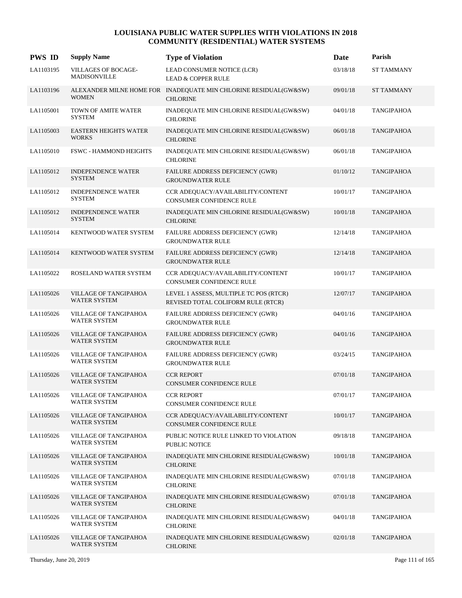| <b>PWS ID</b> | <b>Supply Name</b>                                | <b>Type of Violation</b>                                                            | Date     | Parish            |
|---------------|---------------------------------------------------|-------------------------------------------------------------------------------------|----------|-------------------|
| LA1103195     | <b>VILLAGES OF BOCAGE-</b><br><b>MADISONVILLE</b> | LEAD CONSUMER NOTICE (LCR)<br><b>LEAD &amp; COPPER RULE</b>                         | 03/18/18 | <b>ST TAMMANY</b> |
| LA1103196     | <b>WOMEN</b>                                      | ALEXANDER MILNE HOME FOR INADEQUATE MIN CHLORINE RESIDUAL(GW&SW)<br><b>CHLORINE</b> | 09/01/18 | <b>ST TAMMANY</b> |
| LA1105001     | TOWN OF AMITE WATER<br><b>SYSTEM</b>              | INADEQUATE MIN CHLORINE RESIDUAL(GW&SW)<br><b>CHLORINE</b>                          | 04/01/18 | <b>TANGIPAHOA</b> |
| LA1105003     | <b>EASTERN HEIGHTS WATER</b><br><b>WORKS</b>      | INADEQUATE MIN CHLORINE RESIDUAL(GW&SW)<br><b>CHLORINE</b>                          | 06/01/18 | <b>TANGIPAHOA</b> |
| LA1105010     | <b>FSWC - HAMMOND HEIGHTS</b>                     | INADEQUATE MIN CHLORINE RESIDUAL(GW&SW)<br><b>CHLORINE</b>                          | 06/01/18 | <b>TANGIPAHOA</b> |
| LA1105012     | <b>INDEPENDENCE WATER</b><br><b>SYSTEM</b>        | FAILURE ADDRESS DEFICIENCY (GWR)<br><b>GROUNDWATER RULE</b>                         | 01/10/12 | <b>TANGIPAHOA</b> |
| LA1105012     | <b>INDEPENDENCE WATER</b><br><b>SYSTEM</b>        | CCR ADEQUACY/AVAILABILITY/CONTENT<br><b>CONSUMER CONFIDENCE RULE</b>                | 10/01/17 | <b>TANGIPAHOA</b> |
| LA1105012     | <b>INDEPENDENCE WATER</b><br><b>SYSTEM</b>        | INADEQUATE MIN CHLORINE RESIDUAL(GW&SW)<br><b>CHLORINE</b>                          | 10/01/18 | <b>TANGIPAHOA</b> |
| LA1105014     | KENTWOOD WATER SYSTEM                             | FAILURE ADDRESS DEFICIENCY (GWR)<br><b>GROUNDWATER RULE</b>                         | 12/14/18 | <b>TANGIPAHOA</b> |
| LA1105014     | KENTWOOD WATER SYSTEM                             | FAILURE ADDRESS DEFICIENCY (GWR)<br><b>GROUNDWATER RULE</b>                         | 12/14/18 | <b>TANGIPAHOA</b> |
| LA1105022     | ROSELAND WATER SYSTEM                             | CCR ADEQUACY/AVAILABILITY/CONTENT<br><b>CONSUMER CONFIDENCE RULE</b>                | 10/01/17 | <b>TANGIPAHOA</b> |
| LA1105026     | VILLAGE OF TANGIPAHOA<br><b>WATER SYSTEM</b>      | LEVEL 1 ASSESS, MULTIPLE TC POS (RTCR)<br>REVISED TOTAL COLIFORM RULE (RTCR)        | 12/07/17 | <b>TANGIPAHOA</b> |
| LA1105026     | VILLAGE OF TANGIPAHOA<br>WATER SYSTEM             | FAILURE ADDRESS DEFICIENCY (GWR)<br><b>GROUNDWATER RULE</b>                         | 04/01/16 | <b>TANGIPAHOA</b> |
| LA1105026     | VILLAGE OF TANGIPAHOA<br><b>WATER SYSTEM</b>      | <b>FAILURE ADDRESS DEFICIENCY (GWR)</b><br><b>GROUNDWATER RULE</b>                  | 04/01/16 | <b>TANGIPAHOA</b> |
| LA1105026     | VILLAGE OF TANGIPAHOA<br><b>WATER SYSTEM</b>      | FAILURE ADDRESS DEFICIENCY (GWR)<br><b>GROUNDWATER RULE</b>                         | 03/24/15 | <b>TANGIPAHOA</b> |
| LA1105026     | VILLAGE OF TANGIPAHOA<br>WATER SYSTEM             | <b>CCR REPORT</b><br><b>CONSUMER CONFIDENCE RULE</b>                                | 07/01/18 | <b>TANGIPAHOA</b> |
| LA1105026     | VILLAGE OF TANGIPAHOA<br>WATER SYSTEM             | <b>CCR REPORT</b><br>CONSUMER CONFIDENCE RULE                                       | 07/01/17 | <b>TANGIPAHOA</b> |
| LA1105026     | VILLAGE OF TANGIPAHOA<br>WATER SYSTEM             | CCR ADEOUACY/AVAILABILITY/CONTENT<br>CONSUMER CONFIDENCE RULE                       | 10/01/17 | <b>TANGIPAHOA</b> |
| LA1105026     | VILLAGE OF TANGIPAHOA<br>WATER SYSTEM             | PUBLIC NOTICE RULE LINKED TO VIOLATION<br><b>PUBLIC NOTICE</b>                      | 09/18/18 | <b>TANGIPAHOA</b> |
| LA1105026     | VILLAGE OF TANGIPAHOA<br>WATER SYSTEM             | INADEQUATE MIN CHLORINE RESIDUAL(GW&SW)<br><b>CHLORINE</b>                          | 10/01/18 | <b>TANGIPAHOA</b> |
| LA1105026     | VILLAGE OF TANGIPAHOA<br><b>WATER SYSTEM</b>      | INADEQUATE MIN CHLORINE RESIDUAL(GW&SW)<br><b>CHLORINE</b>                          | 07/01/18 | <b>TANGIPAHOA</b> |
| LA1105026     | VILLAGE OF TANGIPAHOA<br>WATER SYSTEM             | INADEQUATE MIN CHLORINE RESIDUAL(GW&SW)<br><b>CHLORINE</b>                          | 07/01/18 | <b>TANGIPAHOA</b> |
| LA1105026     | VILLAGE OF TANGIPAHOA<br>WATER SYSTEM             | INADEQUATE MIN CHLORINE RESIDUAL(GW&SW)<br><b>CHLORINE</b>                          | 04/01/18 | <b>TANGIPAHOA</b> |
| LA1105026     | VILLAGE OF TANGIPAHOA<br>WATER SYSTEM             | INADEQUATE MIN CHLORINE RESIDUAL(GW&SW)<br><b>CHLORINE</b>                          | 02/01/18 | <b>TANGIPAHOA</b> |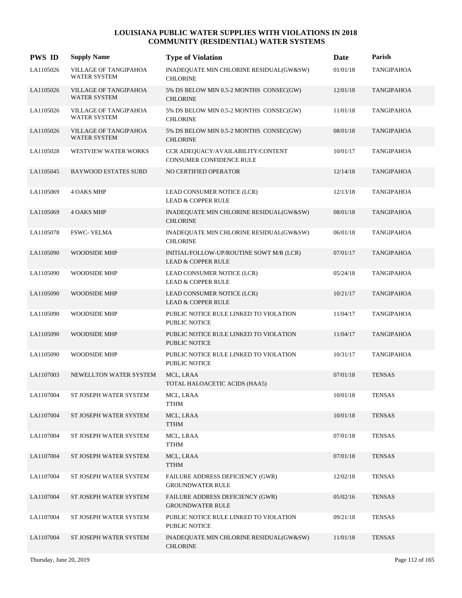| <b>PWS ID</b> | <b>Supply Name</b>                           | <b>Type of Violation</b>                                                  | Date     | Parish            |
|---------------|----------------------------------------------|---------------------------------------------------------------------------|----------|-------------------|
| LA1105026     | VILLAGE OF TANGIPAHOA<br><b>WATER SYSTEM</b> | INADEQUATE MIN CHLORINE RESIDUAL(GW&SW)<br><b>CHLORINE</b>                | 01/01/18 | <b>TANGIPAHOA</b> |
| LA1105026     | VILLAGE OF TANGIPAHOA<br><b>WATER SYSTEM</b> | 5% DS BELOW MIN 0.5-2 MONTHS CONSEC(GW)<br><b>CHLORINE</b>                | 12/01/18 | <b>TANGIPAHOA</b> |
| LA1105026     | VILLAGE OF TANGIPAHOA<br><b>WATER SYSTEM</b> | 5% DS BELOW MIN 0.5-2 MONTHS CONSEC(GW)<br><b>CHLORINE</b>                | 11/01/18 | <b>TANGIPAHOA</b> |
| LA1105026     | VILLAGE OF TANGIPAHOA<br><b>WATER SYSTEM</b> | 5% DS BELOW MIN 0.5-2 MONTHS CONSEC(GW)<br><b>CHLORINE</b>                | 08/01/18 | <b>TANGIPAHOA</b> |
| LA1105028     | <b>WESTVIEW WATER WORKS</b>                  | CCR ADEQUACY/AVAILABILITY/CONTENT<br>CONSUMER CONFIDENCE RULE             | 10/01/17 | <b>TANGIPAHOA</b> |
| LA1105045     | <b>BAYWOOD ESTATES SUBD</b>                  | <b>NO CERTIFIED OPERATOR</b>                                              | 12/14/18 | <b>TANGIPAHOA</b> |
| LA1105069     | <b>4 OAKS MHP</b>                            | LEAD CONSUMER NOTICE (LCR)<br><b>LEAD &amp; COPPER RULE</b>               | 12/13/18 | <b>TANGIPAHOA</b> |
| LA1105069     | <b>4 OAKS MHP</b>                            | INADEQUATE MIN CHLORINE RESIDUAL(GW&SW)<br><b>CHLORINE</b>                | 08/01/18 | <b>TANGIPAHOA</b> |
| LA1105078     | <b>FSWC- VELMA</b>                           | INADEQUATE MIN CHLORINE RESIDUAL(GW&SW)<br><b>CHLORINE</b>                | 06/01/18 | <b>TANGIPAHOA</b> |
| LA1105090     | <b>WOODSIDE MHP</b>                          | INITIAL/FOLLOW-UP/ROUTINE SOWT M/R (LCR)<br><b>LEAD &amp; COPPER RULE</b> | 07/01/17 | <b>TANGIPAHOA</b> |
| LA1105090     | <b>WOODSIDE MHP</b>                          | LEAD CONSUMER NOTICE (LCR)<br><b>LEAD &amp; COPPER RULE</b>               | 05/24/18 | <b>TANGIPAHOA</b> |
| LA1105090     | <b>WOODSIDE MHP</b>                          | LEAD CONSUMER NOTICE (LCR)<br><b>LEAD &amp; COPPER RULE</b>               | 10/21/17 | <b>TANGIPAHOA</b> |
| LA1105090     | <b>WOODSIDE MHP</b>                          | PUBLIC NOTICE RULE LINKED TO VIOLATION<br><b>PUBLIC NOTICE</b>            | 11/04/17 | <b>TANGIPAHOA</b> |
| LA1105090     | <b>WOODSIDE MHP</b>                          | PUBLIC NOTICE RULE LINKED TO VIOLATION<br><b>PUBLIC NOTICE</b>            | 11/04/17 | <b>TANGIPAHOA</b> |
| LA1105090     | <b>WOODSIDE MHP</b>                          | PUBLIC NOTICE RULE LINKED TO VIOLATION<br><b>PUBLIC NOTICE</b>            | 10/31/17 | <b>TANGIPAHOA</b> |
| LA1107003     | NEWELLTON WATER SYSTEM                       | MCL, LRAA<br>TOTAL HALOACETIC ACIDS (HAA5)                                | 07/01/18 | <b>TENSAS</b>     |
| LA1107004     | ST JOSEPH WATER SYSTEM                       | MCL, LRAA<br><b>TTHM</b>                                                  | 10/01/18 | <b>TENSAS</b>     |
| LA1107004     | ST JOSEPH WATER SYSTEM                       | MCL, LRAA<br><b>TTHM</b>                                                  | 10/01/18 | <b>TENSAS</b>     |
| LA1107004     | ST JOSEPH WATER SYSTEM                       | MCL, LRAA<br>TTHM                                                         | 07/01/18 | <b>TENSAS</b>     |
| LA1107004     | ST JOSEPH WATER SYSTEM                       | MCL, LRAA<br><b>TTHM</b>                                                  | 07/01/18 | <b>TENSAS</b>     |
| LA1107004     | ST JOSEPH WATER SYSTEM                       | FAILURE ADDRESS DEFICIENCY (GWR)<br><b>GROUNDWATER RULE</b>               | 12/02/18 | <b>TENSAS</b>     |
| LA1107004     | ST JOSEPH WATER SYSTEM                       | FAILURE ADDRESS DEFICIENCY (GWR)<br><b>GROUNDWATER RULE</b>               | 05/02/16 | <b>TENSAS</b>     |
| LA1107004     | ST JOSEPH WATER SYSTEM                       | PUBLIC NOTICE RULE LINKED TO VIOLATION<br>PUBLIC NOTICE                   | 09/21/18 | <b>TENSAS</b>     |
| LA1107004     | ST JOSEPH WATER SYSTEM                       | INADEQUATE MIN CHLORINE RESIDUAL(GW&SW)<br><b>CHLORINE</b>                | 11/01/18 | <b>TENSAS</b>     |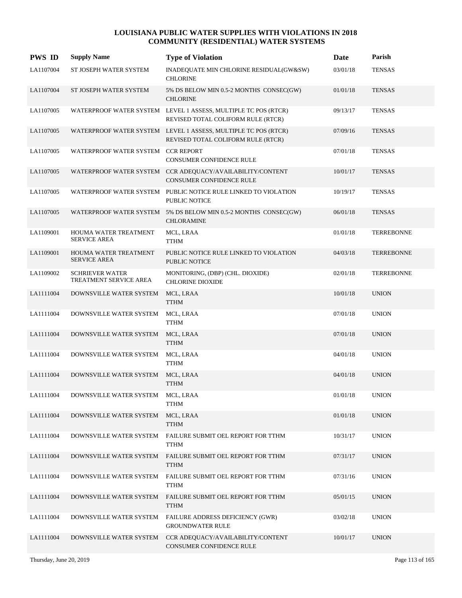| <b>PWS ID</b> | <b>Supply Name</b>                               | <b>Type of Violation</b>                                                                             | Date     | Parish            |
|---------------|--------------------------------------------------|------------------------------------------------------------------------------------------------------|----------|-------------------|
| LA1107004     | ST JOSEPH WATER SYSTEM                           | INADEQUATE MIN CHLORINE RESIDUAL(GW&SW)<br><b>CHLORINE</b>                                           | 03/01/18 | <b>TENSAS</b>     |
| LA1107004     | ST JOSEPH WATER SYSTEM                           | 5% DS BELOW MIN 0.5-2 MONTHS CONSEC(GW)<br><b>CHLORINE</b>                                           | 01/01/18 | <b>TENSAS</b>     |
| LA1107005     |                                                  | WATERPROOF WATER SYSTEM LEVEL 1 ASSESS, MULTIPLE TC POS (RTCR)<br>REVISED TOTAL COLIFORM RULE (RTCR) | 09/13/17 | <b>TENSAS</b>     |
| LA1107005     |                                                  | WATERPROOF WATER SYSTEM LEVEL 1 ASSESS, MULTIPLE TC POS (RTCR)<br>REVISED TOTAL COLIFORM RULE (RTCR) | 07/09/16 | <b>TENSAS</b>     |
| LA1107005     | WATERPROOF WATER SYSTEM CCR REPORT               | CONSUMER CONFIDENCE RULE                                                                             | 07/01/18 | <b>TENSAS</b>     |
| LA1107005     |                                                  | WATERPROOF WATER SYSTEM CCR ADEQUACY/AVAILABILITY/CONTENT<br>CONSUMER CONFIDENCE RULE                | 10/01/17 | <b>TENSAS</b>     |
| LA1107005     |                                                  | WATERPROOF WATER SYSTEM PUBLIC NOTICE RULE LINKED TO VIOLATION<br>PUBLIC NOTICE                      | 10/19/17 | <b>TENSAS</b>     |
| LA1107005     |                                                  | WATERPROOF WATER SYSTEM 5% DS BELOW MIN 0.5-2 MONTHS CONSEC(GW)<br><b>CHLORAMINE</b>                 | 06/01/18 | <b>TENSAS</b>     |
| LA1109001     | HOUMA WATER TREATMENT<br><b>SERVICE AREA</b>     | MCL, LRAA<br>TTHM                                                                                    | 01/01/18 | <b>TERREBONNE</b> |
| LA1109001     | HOUMA WATER TREATMENT<br><b>SERVICE AREA</b>     | PUBLIC NOTICE RULE LINKED TO VIOLATION<br><b>PUBLIC NOTICE</b>                                       | 04/03/18 | <b>TERREBONNE</b> |
| LA1109002     | <b>SCHRIEVER WATER</b><br>TREATMENT SERVICE AREA | MONITORING, (DBP) (CHL. DIOXIDE)<br><b>CHLORINE DIOXIDE</b>                                          | 02/01/18 | <b>TERREBONNE</b> |
| LA1111004     | DOWNSVILLE WATER SYSTEM                          | MCL, LRAA<br><b>TTHM</b>                                                                             | 10/01/18 | <b>UNION</b>      |
| LA1111004     | DOWNSVILLE WATER SYSTEM                          | MCL, LRAA<br>TTHM                                                                                    | 07/01/18 | <b>UNION</b>      |
| LA1111004     | DOWNSVILLE WATER SYSTEM                          | MCL, LRAA<br><b>TTHM</b>                                                                             | 07/01/18 | <b>UNION</b>      |
| LA1111004     | DOWNSVILLE WATER SYSTEM                          | MCL, LRAA<br><b>TTHM</b>                                                                             | 04/01/18 | <b>UNION</b>      |
| LA1111004     | DOWNSVILLE WATER SYSTEM                          | MCL, LRAA<br><b>TTHM</b>                                                                             | 04/01/18 | <b>UNION</b>      |
| LA1111004     | DOWNSVILLE WATER SYSTEM                          | MCL, LRAA<br><b>TTHM</b>                                                                             | 01/01/18 | <b>UNION</b>      |
| LA1111004     | DOWNSVILLE WATER SYSTEM                          | MCL, LRAA<br><b>TTHM</b>                                                                             | 01/01/18 | <b>UNION</b>      |
| LA1111004     | DOWNSVILLE WATER SYSTEM                          | FAILURE SUBMIT OEL REPORT FOR TTHM<br><b>TTHM</b>                                                    | 10/31/17 | <b>UNION</b>      |
| LA1111004     | DOWNSVILLE WATER SYSTEM                          | FAILURE SUBMIT OEL REPORT FOR TTHM<br><b>TTHM</b>                                                    | 07/31/17 | <b>UNION</b>      |
| LA1111004     | DOWNSVILLE WATER SYSTEM                          | FAILURE SUBMIT OEL REPORT FOR TTHM<br><b>TTHM</b>                                                    | 07/31/16 | <b>UNION</b>      |
| LA1111004     | DOWNSVILLE WATER SYSTEM                          | FAILURE SUBMIT OEL REPORT FOR TTHM<br><b>TTHM</b>                                                    | 05/01/15 | <b>UNION</b>      |
| LA1111004     | DOWNSVILLE WATER SYSTEM                          | FAILURE ADDRESS DEFICIENCY (GWR)<br><b>GROUNDWATER RULE</b>                                          | 03/02/18 | <b>UNION</b>      |
| LA1111004     | DOWNSVILLE WATER SYSTEM                          | CCR ADEQUACY/AVAILABILITY/CONTENT<br>CONSUMER CONFIDENCE RULE                                        | 10/01/17 | <b>UNION</b>      |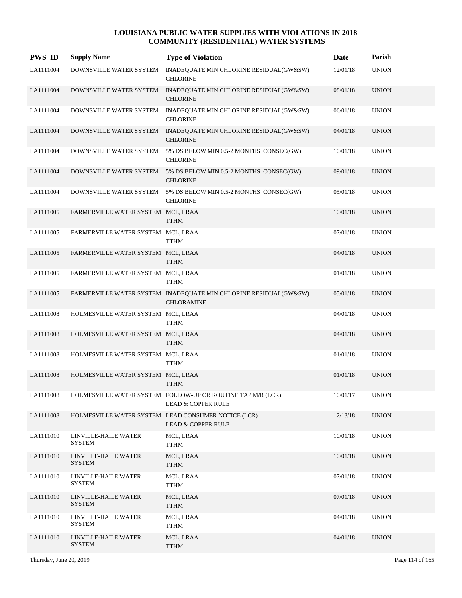| <b>PWS ID</b> | <b>Supply Name</b>                    | <b>Type of Violation</b>                                                                     | Date     | Parish       |
|---------------|---------------------------------------|----------------------------------------------------------------------------------------------|----------|--------------|
| LA1111004     | DOWNSVILLE WATER SYSTEM               | INADEQUATE MIN CHLORINE RESIDUAL(GW&SW)<br><b>CHLORINE</b>                                   | 12/01/18 | <b>UNION</b> |
| LA1111004     | DOWNSVILLE WATER SYSTEM               | INADEQUATE MIN CHLORINE RESIDUAL(GW&SW)<br><b>CHLORINE</b>                                   | 08/01/18 | <b>UNION</b> |
| LA1111004     | DOWNSVILLE WATER SYSTEM               | INADEQUATE MIN CHLORINE RESIDUAL(GW&SW)<br><b>CHLORINE</b>                                   | 06/01/18 | <b>UNION</b> |
| LA1111004     | DOWNSVILLE WATER SYSTEM               | INADEQUATE MIN CHLORINE RESIDUAL(GW&SW)<br><b>CHLORINE</b>                                   | 04/01/18 | <b>UNION</b> |
| LA1111004     | DOWNSVILLE WATER SYSTEM               | 5% DS BELOW MIN 0.5-2 MONTHS CONSEC(GW)<br><b>CHLORINE</b>                                   | 10/01/18 | <b>UNION</b> |
| LA1111004     | DOWNSVILLE WATER SYSTEM               | 5% DS BELOW MIN 0.5-2 MONTHS CONSEC(GW)<br><b>CHLORINE</b>                                   | 09/01/18 | <b>UNION</b> |
| LA1111004     | DOWNSVILLE WATER SYSTEM               | 5% DS BELOW MIN 0.5-2 MONTHS CONSEC(GW)<br><b>CHLORINE</b>                                   | 05/01/18 | <b>UNION</b> |
| LA1111005     | FARMERVILLE WATER SYSTEM MCL, LRAA    | <b>TTHM</b>                                                                                  | 10/01/18 | <b>UNION</b> |
| LA1111005     | FARMERVILLE WATER SYSTEM MCL, LRAA    | <b>TTHM</b>                                                                                  | 07/01/18 | <b>UNION</b> |
| LA1111005     | FARMERVILLE WATER SYSTEM MCL, LRAA    | <b>TTHM</b>                                                                                  | 04/01/18 | <b>UNION</b> |
| LA1111005     | FARMERVILLE WATER SYSTEM MCL, LRAA    | <b>TTHM</b>                                                                                  | 01/01/18 | <b>UNION</b> |
| LA1111005     |                                       | FARMERVILLE WATER SYSTEM INADEQUATE MIN CHLORINE RESIDUAL(GW&SW)<br><b>CHLORAMINE</b>        | 05/01/18 | <b>UNION</b> |
| LA1111008     | HOLMESVILLE WATER SYSTEM MCL, LRAA    | <b>TTHM</b>                                                                                  | 04/01/18 | <b>UNION</b> |
| LA1111008     | HOLMESVILLE WATER SYSTEM MCL, LRAA    | <b>TTHM</b>                                                                                  | 04/01/18 | <b>UNION</b> |
| LA1111008     | HOLMESVILLE WATER SYSTEM MCL, LRAA    | <b>TTHM</b>                                                                                  | 01/01/18 | <b>UNION</b> |
| LA1111008     | HOLMESVILLE WATER SYSTEM MCL, LRAA    | <b>TTHM</b>                                                                                  | 01/01/18 | <b>UNION</b> |
| LA1111008     |                                       | HOLMESVILLE WATER SYSTEM FOLLOW-UP OR ROUTINE TAP M/R (LCR)<br><b>LEAD &amp; COPPER RULE</b> | 10/01/17 | <b>UNION</b> |
| LA1111008     |                                       | HOLMESVILLE WATER SYSTEM LEAD CONSUMER NOTICE (LCR)<br><b>LEAD &amp; COPPER RULE</b>         | 12/13/18 | <b>UNION</b> |
| LA1111010     | LINVILLE-HAILE WATER<br><b>SYSTEM</b> | MCL, LRAA<br>TTHM                                                                            | 10/01/18 | <b>UNION</b> |
| LA1111010     | LINVILLE-HAILE WATER<br><b>SYSTEM</b> | MCL, LRAA<br><b>TTHM</b>                                                                     | 10/01/18 | <b>UNION</b> |
| LA1111010     | LINVILLE-HAILE WATER<br><b>SYSTEM</b> | MCL, LRAA<br>TTHM                                                                            | 07/01/18 | <b>UNION</b> |
| LA1111010     | LINVILLE-HAILE WATER<br><b>SYSTEM</b> | MCL, LRAA<br><b>TTHM</b>                                                                     | 07/01/18 | <b>UNION</b> |
| LA1111010     | LINVILLE-HAILE WATER<br><b>SYSTEM</b> | MCL, LRAA<br>TTHM                                                                            | 04/01/18 | <b>UNION</b> |
| LA1111010     | LINVILLE-HAILE WATER<br><b>SYSTEM</b> | MCL, LRAA<br><b>TTHM</b>                                                                     | 04/01/18 | <b>UNION</b> |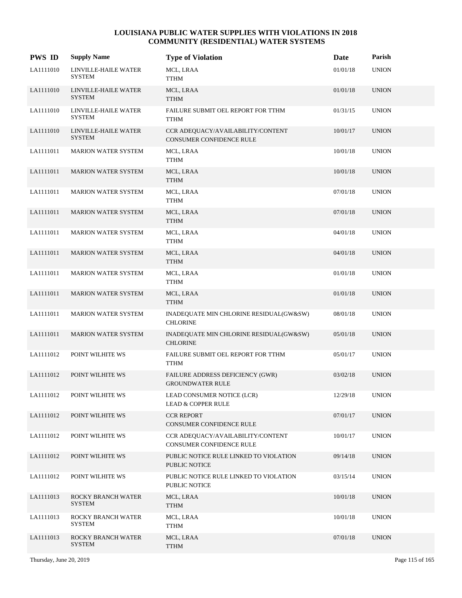| <b>PWS ID</b> | <b>Supply Name</b>                    | <b>Type of Violation</b>                                             | Date     | Parish       |
|---------------|---------------------------------------|----------------------------------------------------------------------|----------|--------------|
| LA1111010     | LINVILLE-HAILE WATER<br><b>SYSTEM</b> | MCL, LRAA<br>TTHM                                                    | 01/01/18 | <b>UNION</b> |
| LA1111010     | LINVILLE-HAILE WATER<br><b>SYSTEM</b> | MCL, LRAA<br><b>TTHM</b>                                             | 01/01/18 | <b>UNION</b> |
| LA1111010     | LINVILLE-HAILE WATER<br><b>SYSTEM</b> | FAILURE SUBMIT OEL REPORT FOR TTHM<br><b>TTHM</b>                    | 01/31/15 | <b>UNION</b> |
| LA1111010     | LINVILLE-HAILE WATER<br><b>SYSTEM</b> | CCR ADEQUACY/AVAILABILITY/CONTENT<br><b>CONSUMER CONFIDENCE RULE</b> | 10/01/17 | <b>UNION</b> |
| LA1111011     | <b>MARION WATER SYSTEM</b>            | MCL, LRAA<br>TTHM                                                    | 10/01/18 | <b>UNION</b> |
| LA1111011     | MARION WATER SYSTEM                   | MCL, LRAA<br><b>TTHM</b>                                             | 10/01/18 | <b>UNION</b> |
| LA1111011     | <b>MARION WATER SYSTEM</b>            | MCL, LRAA<br>TTHM                                                    | 07/01/18 | <b>UNION</b> |
| LA1111011     | <b>MARION WATER SYSTEM</b>            | MCL, LRAA<br><b>TTHM</b>                                             | 07/01/18 | <b>UNION</b> |
| LA1111011     | <b>MARION WATER SYSTEM</b>            | MCL, LRAA<br>TTHM                                                    | 04/01/18 | <b>UNION</b> |
| LA1111011     | MARION WATER SYSTEM                   | MCL, LRAA<br><b>TTHM</b>                                             | 04/01/18 | <b>UNION</b> |
| LA1111011     | <b>MARION WATER SYSTEM</b>            | MCL, LRAA<br><b>TTHM</b>                                             | 01/01/18 | <b>UNION</b> |
| LA1111011     | <b>MARION WATER SYSTEM</b>            | MCL, LRAA<br><b>TTHM</b>                                             | 01/01/18 | <b>UNION</b> |
| LA1111011     | <b>MARION WATER SYSTEM</b>            | INADEQUATE MIN CHLORINE RESIDUAL(GW&SW)<br><b>CHLORINE</b>           | 08/01/18 | <b>UNION</b> |
| LA1111011     | <b>MARION WATER SYSTEM</b>            | INADEQUATE MIN CHLORINE RESIDUAL(GW&SW)<br><b>CHLORINE</b>           | 05/01/18 | <b>UNION</b> |
| LA1111012     | POINT WILHITE WS                      | FAILURE SUBMIT OEL REPORT FOR TTHM<br><b>TTHM</b>                    | 05/01/17 | <b>UNION</b> |
| LA1111012     | POINT WILHITE WS                      | FAILURE ADDRESS DEFICIENCY (GWR)<br><b>GROUNDWATER RULE</b>          | 03/02/18 | <b>UNION</b> |
| LA1111012     | POINT WILHITE WS                      | LEAD CONSUMER NOTICE (LCR)<br><b>LEAD &amp; COPPER RULE</b>          | 12/29/18 | <b>UNION</b> |
| LA1111012     | POINT WILHITE WS                      | <b>CCR REPORT</b><br>CONSUMER CONFIDENCE RULE                        | 07/01/17 | <b>UNION</b> |
| LA1111012     | POINT WILHITE WS                      | CCR ADEQUACY/AVAILABILITY/CONTENT<br>CONSUMER CONFIDENCE RULE        | 10/01/17 | <b>UNION</b> |
| LA1111012     | POINT WILHITE WS                      | PUBLIC NOTICE RULE LINKED TO VIOLATION<br>PUBLIC NOTICE              | 09/14/18 | <b>UNION</b> |
| LA1111012     | POINT WILHITE WS                      | PUBLIC NOTICE RULE LINKED TO VIOLATION<br>PUBLIC NOTICE              | 03/15/14 | <b>UNION</b> |
| LA1111013     | ROCKY BRANCH WATER<br><b>SYSTEM</b>   | MCL, LRAA<br><b>TTHM</b>                                             | 10/01/18 | <b>UNION</b> |
| LA1111013     | ROCKY BRANCH WATER<br>SYSTEM          | MCL, LRAA<br>TTHM                                                    | 10/01/18 | <b>UNION</b> |
| LA1111013     | ROCKY BRANCH WATER<br><b>SYSTEM</b>   | MCL, LRAA<br><b>TTHM</b>                                             | 07/01/18 | <b>UNION</b> |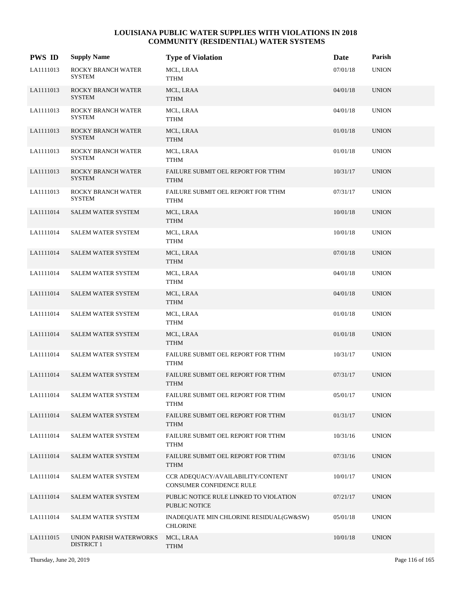| <b>PWS ID</b> | <b>Supply Name</b>                           | <b>Type of Violation</b>                                      | Date     | Parish       |
|---------------|----------------------------------------------|---------------------------------------------------------------|----------|--------------|
| LA1111013     | ROCKY BRANCH WATER<br><b>SYSTEM</b>          | MCL, LRAA<br><b>TTHM</b>                                      | 07/01/18 | <b>UNION</b> |
| LA1111013     | ROCKY BRANCH WATER<br><b>SYSTEM</b>          | MCL, LRAA<br><b>TTHM</b>                                      | 04/01/18 | <b>UNION</b> |
| LA1111013     | ROCKY BRANCH WATER<br><b>SYSTEM</b>          | MCL, LRAA<br><b>TTHM</b>                                      | 04/01/18 | <b>UNION</b> |
| LA1111013     | ROCKY BRANCH WATER<br><b>SYSTEM</b>          | MCL, LRAA<br><b>TTHM</b>                                      | 01/01/18 | <b>UNION</b> |
| LA1111013     | ROCKY BRANCH WATER<br><b>SYSTEM</b>          | MCL, LRAA<br>TTHM                                             | 01/01/18 | <b>UNION</b> |
| LA1111013     | ROCKY BRANCH WATER<br><b>SYSTEM</b>          | FAILURE SUBMIT OEL REPORT FOR TTHM<br><b>TTHM</b>             | 10/31/17 | <b>UNION</b> |
| LA1111013     | ROCKY BRANCH WATER<br><b>SYSTEM</b>          | FAILURE SUBMIT OEL REPORT FOR TTHM<br><b>TTHM</b>             | 07/31/17 | <b>UNION</b> |
| LA1111014     | <b>SALEM WATER SYSTEM</b>                    | MCL, LRAA<br><b>TTHM</b>                                      | 10/01/18 | <b>UNION</b> |
| LA1111014     | <b>SALEM WATER SYSTEM</b>                    | MCL, LRAA<br>TTHM                                             | 10/01/18 | <b>UNION</b> |
| LA1111014     | <b>SALEM WATER SYSTEM</b>                    | MCL, LRAA<br><b>TTHM</b>                                      | 07/01/18 | <b>UNION</b> |
| LA1111014     | <b>SALEM WATER SYSTEM</b>                    | MCL, LRAA<br><b>TTHM</b>                                      | 04/01/18 | <b>UNION</b> |
| LA1111014     | <b>SALEM WATER SYSTEM</b>                    | MCL, LRAA<br><b>TTHM</b>                                      | 04/01/18 | <b>UNION</b> |
| LA1111014     | <b>SALEM WATER SYSTEM</b>                    | MCL, LRAA<br>TTHM                                             | 01/01/18 | <b>UNION</b> |
| LA1111014     | <b>SALEM WATER SYSTEM</b>                    | MCL, LRAA<br><b>TTHM</b>                                      | 01/01/18 | <b>UNION</b> |
| LA1111014     | <b>SALEM WATER SYSTEM</b>                    | FAILURE SUBMIT OEL REPORT FOR TTHM<br><b>TTHM</b>             | 10/31/17 | <b>UNION</b> |
| LA1111014     | <b>SALEM WATER SYSTEM</b>                    | FAILURE SUBMIT OEL REPORT FOR TTHM<br><b>TTHM</b>             | 07/31/17 | <b>UNION</b> |
| LA1111014     | SALEM WATER SYSTEM                           | FAILURE SUBMIT OEL REPORT FOR TTHM<br><b>TTHM</b>             | 05/01/17 | <b>UNION</b> |
| LA1111014     | <b>SALEM WATER SYSTEM</b>                    | FAILURE SUBMIT OEL REPORT FOR TTHM<br><b>TTHM</b>             | 01/31/17 | <b>UNION</b> |
| LA1111014     | SALEM WATER SYSTEM                           | FAILURE SUBMIT OEL REPORT FOR TTHM<br><b>TTHM</b>             | 10/31/16 | <b>UNION</b> |
| LA1111014     | SALEM WATER SYSTEM                           | FAILURE SUBMIT OEL REPORT FOR TTHM<br><b>TTHM</b>             | 07/31/16 | <b>UNION</b> |
| LA1111014     | SALEM WATER SYSTEM                           | CCR ADEQUACY/AVAILABILITY/CONTENT<br>CONSUMER CONFIDENCE RULE | 10/01/17 | <b>UNION</b> |
| LA1111014     | <b>SALEM WATER SYSTEM</b>                    | PUBLIC NOTICE RULE LINKED TO VIOLATION<br>PUBLIC NOTICE       | 07/21/17 | <b>UNION</b> |
| LA1111014     | <b>SALEM WATER SYSTEM</b>                    | INADEQUATE MIN CHLORINE RESIDUAL(GW&SW)<br><b>CHLORINE</b>    | 05/01/18 | <b>UNION</b> |
| LA1111015     | UNION PARISH WATERWORKS<br><b>DISTRICT 1</b> | MCL, LRAA<br><b>TTHM</b>                                      | 10/01/18 | <b>UNION</b> |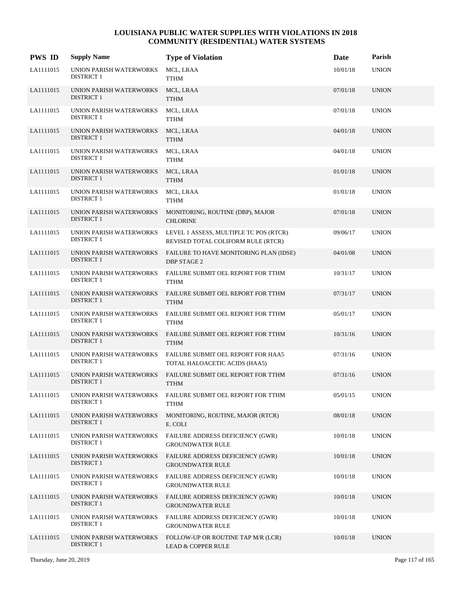| <b>PWS ID</b> | <b>Supply Name</b>                           | <b>Type of Violation</b>                                                     | Date     | Parish       |
|---------------|----------------------------------------------|------------------------------------------------------------------------------|----------|--------------|
| LA1111015     | UNION PARISH WATERWORKS<br><b>DISTRICT 1</b> | MCL, LRAA<br>TTHM                                                            | 10/01/18 | <b>UNION</b> |
| LA1111015     | UNION PARISH WATERWORKS<br><b>DISTRICT 1</b> | MCL, LRAA<br><b>TTHM</b>                                                     | 07/01/18 | <b>UNION</b> |
| LA1111015     | UNION PARISH WATERWORKS<br><b>DISTRICT 1</b> | MCL, LRAA<br><b>TTHM</b>                                                     | 07/01/18 | <b>UNION</b> |
| LA1111015     | UNION PARISH WATERWORKS<br><b>DISTRICT 1</b> | MCL, LRAA<br><b>TTHM</b>                                                     | 04/01/18 | <b>UNION</b> |
| LA1111015     | UNION PARISH WATERWORKS<br><b>DISTRICT 1</b> | MCL, LRAA<br><b>TTHM</b>                                                     | 04/01/18 | <b>UNION</b> |
| LA1111015     | UNION PARISH WATERWORKS<br><b>DISTRICT 1</b> | MCL, LRAA<br><b>TTHM</b>                                                     | 01/01/18 | <b>UNION</b> |
| LA1111015     | UNION PARISH WATERWORKS<br><b>DISTRICT 1</b> | MCL, LRAA<br><b>TTHM</b>                                                     | 01/01/18 | <b>UNION</b> |
| LA1111015     | UNION PARISH WATERWORKS<br><b>DISTRICT 1</b> | MONITORING, ROUTINE (DBP), MAJOR<br><b>CHLORINE</b>                          | 07/01/18 | <b>UNION</b> |
| LA1111015     | UNION PARISH WATERWORKS<br><b>DISTRICT 1</b> | LEVEL 1 ASSESS, MULTIPLE TC POS (RTCR)<br>REVISED TOTAL COLIFORM RULE (RTCR) | 09/06/17 | <b>UNION</b> |
| LA1111015     | UNION PARISH WATERWORKS<br><b>DISTRICT 1</b> | FAILURE TO HAVE MONITORING PLAN (IDSE)<br><b>DBP STAGE 2</b>                 | 04/01/08 | <b>UNION</b> |
| LA1111015     | UNION PARISH WATERWORKS<br><b>DISTRICT 1</b> | FAILURE SUBMIT OEL REPORT FOR TTHM<br><b>TTHM</b>                            | 10/31/17 | <b>UNION</b> |
| LA1111015     | UNION PARISH WATERWORKS<br><b>DISTRICT 1</b> | FAILURE SUBMIT OEL REPORT FOR TTHM<br><b>TTHM</b>                            | 07/31/17 | <b>UNION</b> |
| LA1111015     | UNION PARISH WATERWORKS<br><b>DISTRICT 1</b> | FAILURE SUBMIT OEL REPORT FOR TTHM<br><b>TTHM</b>                            | 05/01/17 | <b>UNION</b> |
| LA1111015     | UNION PARISH WATERWORKS<br><b>DISTRICT 1</b> | FAILURE SUBMIT OEL REPORT FOR TTHM<br><b>TTHM</b>                            | 10/31/16 | <b>UNION</b> |
| LA1111015     | UNION PARISH WATERWORKS<br><b>DISTRICT 1</b> | FAILURE SUBMIT OEL REPORT FOR HAA5<br>TOTAL HALOACETIC ACIDS (HAA5)          | 07/31/16 | <b>UNION</b> |
| LA1111015     | UNION PARISH WATERWORKS<br><b>DISTRICT 1</b> | FAILURE SUBMIT OEL REPORT FOR TTHM<br><b>TTHM</b>                            | 07/31/16 | <b>UNION</b> |
| LA1111015     | UNION PARISH WATERWORKS<br><b>DISTRICT 1</b> | FAILURE SUBMIT OEL REPORT FOR TTHM<br><b>TTHM</b>                            | 05/01/15 | <b>UNION</b> |
| LA1111015     | UNION PARISH WATERWORKS<br><b>DISTRICT 1</b> | MONITORING, ROUTINE, MAJOR (RTCR)<br>E. COLI                                 | 08/01/18 | <b>UNION</b> |
| LA1111015     | UNION PARISH WATERWORKS<br><b>DISTRICT 1</b> | FAILURE ADDRESS DEFICIENCY (GWR)<br><b>GROUNDWATER RULE</b>                  | 10/01/18 | <b>UNION</b> |
| LA1111015     | UNION PARISH WATERWORKS<br><b>DISTRICT 1</b> | FAILURE ADDRESS DEFICIENCY (GWR)<br><b>GROUNDWATER RULE</b>                  | 10/01/18 | <b>UNION</b> |
| LA1111015     | UNION PARISH WATERWORKS<br><b>DISTRICT 1</b> | <b>FAILURE ADDRESS DEFICIENCY (GWR)</b><br><b>GROUNDWATER RULE</b>           | 10/01/18 | <b>UNION</b> |
| LA1111015     | UNION PARISH WATERWORKS<br><b>DISTRICT 1</b> | FAILURE ADDRESS DEFICIENCY (GWR)<br><b>GROUNDWATER RULE</b>                  | 10/01/18 | <b>UNION</b> |
| LA1111015     | UNION PARISH WATERWORKS<br><b>DISTRICT 1</b> | FAILURE ADDRESS DEFICIENCY (GWR)<br><b>GROUNDWATER RULE</b>                  | 10/01/18 | <b>UNION</b> |
| LA1111015     | UNION PARISH WATERWORKS<br><b>DISTRICT 1</b> | FOLLOW-UP OR ROUTINE TAP M/R (LCR)<br><b>LEAD &amp; COPPER RULE</b>          | 10/01/18 | <b>UNION</b> |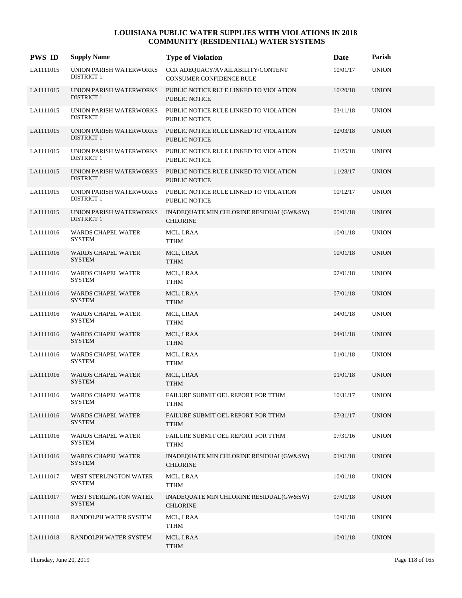| <b>PWS ID</b> | <b>Supply Name</b>                           | <b>Type of Violation</b>                                       | Date     | Parish       |
|---------------|----------------------------------------------|----------------------------------------------------------------|----------|--------------|
| LA1111015     | UNION PARISH WATERWORKS<br><b>DISTRICT 1</b> | CCR ADEQUACY/AVAILABILITY/CONTENT<br>CONSUMER CONFIDENCE RULE  | 10/01/17 | <b>UNION</b> |
| LA1111015     | UNION PARISH WATERWORKS<br><b>DISTRICT 1</b> | PUBLIC NOTICE RULE LINKED TO VIOLATION<br><b>PUBLIC NOTICE</b> | 10/20/18 | <b>UNION</b> |
| LA1111015     | UNION PARISH WATERWORKS<br><b>DISTRICT 1</b> | PUBLIC NOTICE RULE LINKED TO VIOLATION<br>PUBLIC NOTICE        | 03/11/18 | <b>UNION</b> |
| LA1111015     | UNION PARISH WATERWORKS<br><b>DISTRICT 1</b> | PUBLIC NOTICE RULE LINKED TO VIOLATION<br><b>PUBLIC NOTICE</b> | 02/03/18 | <b>UNION</b> |
| LA1111015     | UNION PARISH WATERWORKS<br><b>DISTRICT 1</b> | PUBLIC NOTICE RULE LINKED TO VIOLATION<br><b>PUBLIC NOTICE</b> | 01/25/18 | <b>UNION</b> |
| LA1111015     | UNION PARISH WATERWORKS<br><b>DISTRICT 1</b> | PUBLIC NOTICE RULE LINKED TO VIOLATION<br><b>PUBLIC NOTICE</b> | 11/28/17 | <b>UNION</b> |
| LA1111015     | UNION PARISH WATERWORKS<br><b>DISTRICT 1</b> | PUBLIC NOTICE RULE LINKED TO VIOLATION<br><b>PUBLIC NOTICE</b> | 10/12/17 | <b>UNION</b> |
| LA1111015     | UNION PARISH WATERWORKS<br><b>DISTRICT 1</b> | INADEQUATE MIN CHLORINE RESIDUAL(GW&SW)<br><b>CHLORINE</b>     | 05/01/18 | <b>UNION</b> |
| LA1111016     | WARDS CHAPEL WATER<br>SYSTEM                 | MCL, LRAA<br>TTHM                                              | 10/01/18 | <b>UNION</b> |
| LA1111016     | WARDS CHAPEL WATER<br><b>SYSTEM</b>          | MCL, LRAA<br><b>TTHM</b>                                       | 10/01/18 | <b>UNION</b> |
| LA1111016     | WARDS CHAPEL WATER<br><b>SYSTEM</b>          | MCL, LRAA<br><b>TTHM</b>                                       | 07/01/18 | <b>UNION</b> |
| LA1111016     | WARDS CHAPEL WATER<br><b>SYSTEM</b>          | MCL, LRAA<br><b>TTHM</b>                                       | 07/01/18 | <b>UNION</b> |
| LA1111016     | WARDS CHAPEL WATER<br><b>SYSTEM</b>          | MCL, LRAA<br>TTHM                                              | 04/01/18 | <b>UNION</b> |
| LA1111016     | WARDS CHAPEL WATER<br><b>SYSTEM</b>          | MCL, LRAA<br><b>TTHM</b>                                       | 04/01/18 | <b>UNION</b> |
| LA1111016     | <b>WARDS CHAPEL WATER</b><br><b>SYSTEM</b>   | MCL, LRAA<br><b>TTHM</b>                                       | 01/01/18 | <b>UNION</b> |
| LA1111016     | <b>WARDS CHAPEL WATER</b><br><b>SYSTEM</b>   | MCL, LRAA<br><b>TTHM</b>                                       | 01/01/18 | <b>UNION</b> |
| LA1111016     | <b>WARDS CHAPEL WATER</b><br><b>SYSTEM</b>   | FAILURE SUBMIT OEL REPORT FOR TTHM<br><b>TTHM</b>              | 10/31/17 | <b>UNION</b> |
| LA1111016     | WARDS CHAPEL WATER<br><b>SYSTEM</b>          | FAILURE SUBMIT OEL REPORT FOR TTHM<br><b>TTHM</b>              | 07/31/17 | <b>UNION</b> |
| LA1111016     | WARDS CHAPEL WATER<br><b>SYSTEM</b>          | FAILURE SUBMIT OEL REPORT FOR TTHM<br><b>TTHM</b>              | 07/31/16 | <b>UNION</b> |
| LA1111016     | <b>WARDS CHAPEL WATER</b><br><b>SYSTEM</b>   | INADEQUATE MIN CHLORINE RESIDUAL(GW&SW)<br><b>CHLORINE</b>     | 01/01/18 | <b>UNION</b> |
| LA1111017     | WEST STERLINGTON WATER<br><b>SYSTEM</b>      | MCL, LRAA<br><b>TTHM</b>                                       | 10/01/18 | <b>UNION</b> |
| LA1111017     | WEST STERLINGTON WATER<br><b>SYSTEM</b>      | INADEQUATE MIN CHLORINE RESIDUAL(GW&SW)<br><b>CHLORINE</b>     | 07/01/18 | <b>UNION</b> |
| LA1111018     | RANDOLPH WATER SYSTEM                        | MCL, LRAA<br><b>TTHM</b>                                       | 10/01/18 | <b>UNION</b> |
| LA1111018     | RANDOLPH WATER SYSTEM                        | MCL, LRAA<br><b>TTHM</b>                                       | 10/01/18 | <b>UNION</b> |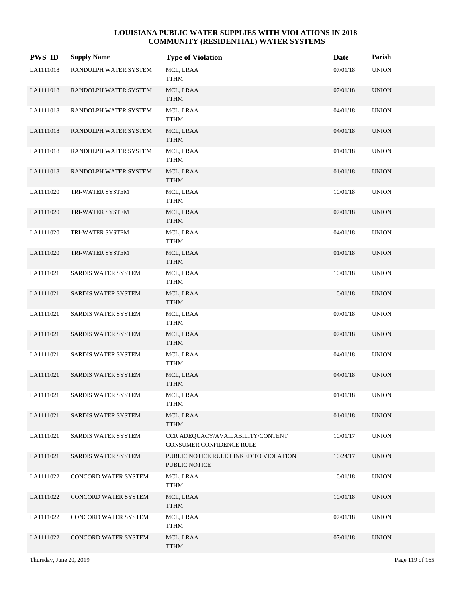| <b>PWS ID</b> | <b>Supply Name</b>         | <b>Type of Violation</b>                                      | Date     | Parish       |
|---------------|----------------------------|---------------------------------------------------------------|----------|--------------|
| LA1111018     | RANDOLPH WATER SYSTEM      | MCL, LRAA<br><b>TTHM</b>                                      | 07/01/18 | <b>UNION</b> |
| LA1111018     | RANDOLPH WATER SYSTEM      | MCL, LRAA<br><b>TTHM</b>                                      | 07/01/18 | <b>UNION</b> |
| LA1111018     | RANDOLPH WATER SYSTEM      | MCL, LRAA<br><b>TTHM</b>                                      | 04/01/18 | <b>UNION</b> |
| LA1111018     | RANDOLPH WATER SYSTEM      | MCL, LRAA<br><b>TTHM</b>                                      | 04/01/18 | <b>UNION</b> |
| LA1111018     | RANDOLPH WATER SYSTEM      | MCL, LRAA<br><b>TTHM</b>                                      | 01/01/18 | <b>UNION</b> |
| LA1111018     | RANDOLPH WATER SYSTEM      | MCL, LRAA<br><b>TTHM</b>                                      | 01/01/18 | <b>UNION</b> |
| LA1111020     | TRI-WATER SYSTEM           | MCL, LRAA<br>TTHM                                             | 10/01/18 | <b>UNION</b> |
| LA1111020     | TRI-WATER SYSTEM           | MCL, LRAA<br><b>TTHM</b>                                      | 07/01/18 | <b>UNION</b> |
| LA1111020     | TRI-WATER SYSTEM           | MCL, LRAA<br><b>TTHM</b>                                      | 04/01/18 | <b>UNION</b> |
| LA1111020     | TRI-WATER SYSTEM           | MCL, LRAA<br><b>TTHM</b>                                      | 01/01/18 | <b>UNION</b> |
| LA1111021     | <b>SARDIS WATER SYSTEM</b> | MCL, LRAA<br><b>TTHM</b>                                      | 10/01/18 | <b>UNION</b> |
| LA1111021     | SARDIS WATER SYSTEM        | MCL, LRAA<br><b>TTHM</b>                                      | 10/01/18 | <b>UNION</b> |
| LA1111021     | SARDIS WATER SYSTEM        | MCL, LRAA<br><b>TTHM</b>                                      | 07/01/18 | <b>UNION</b> |
| LA1111021     | SARDIS WATER SYSTEM        | MCL, LRAA<br><b>TTHM</b>                                      | 07/01/18 | <b>UNION</b> |
| LA1111021     | <b>SARDIS WATER SYSTEM</b> | MCL, LRAA<br><b>TTHM</b>                                      | 04/01/18 | <b>UNION</b> |
| LA1111021     | SARDIS WATER SYSTEM        | MCL, LRAA<br><b>TTHM</b>                                      | 04/01/18 | <b>UNION</b> |
| LA1111021     | SARDIS WATER SYSTEM        | MCL, LRAA<br><b>TTHM</b>                                      | 01/01/18 | <b>UNION</b> |
| LA1111021     | <b>SARDIS WATER SYSTEM</b> | MCL, LRAA<br><b>TTHM</b>                                      | 01/01/18 | <b>UNION</b> |
| LA1111021     | SARDIS WATER SYSTEM        | CCR ADEQUACY/AVAILABILITY/CONTENT<br>CONSUMER CONFIDENCE RULE | 10/01/17 | <b>UNION</b> |
| LA1111021     | SARDIS WATER SYSTEM        | PUBLIC NOTICE RULE LINKED TO VIOLATION<br>PUBLIC NOTICE       | 10/24/17 | <b>UNION</b> |
| LA1111022     | CONCORD WATER SYSTEM       | MCL, LRAA<br><b>TTHM</b>                                      | 10/01/18 | <b>UNION</b> |
| LA1111022     | CONCORD WATER SYSTEM       | MCL, LRAA<br><b>TTHM</b>                                      | 10/01/18 | <b>UNION</b> |
| LA1111022     | CONCORD WATER SYSTEM       | MCL, LRAA<br><b>TTHM</b>                                      | 07/01/18 | <b>UNION</b> |
| LA1111022     | CONCORD WATER SYSTEM       | MCL, LRAA<br><b>TTHM</b>                                      | 07/01/18 | <b>UNION</b> |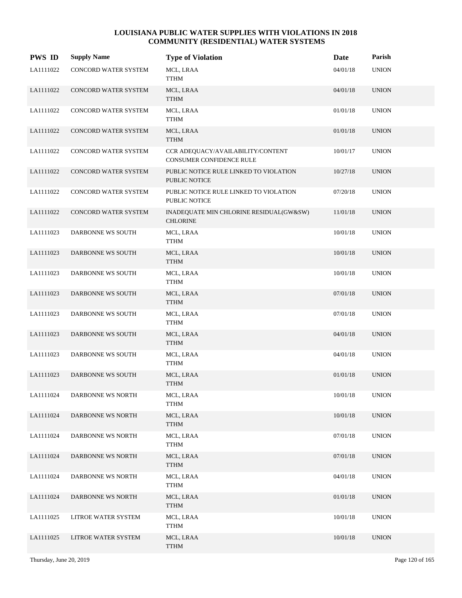| <b>PWS ID</b> | <b>Supply Name</b>       | <b>Type of Violation</b>                                      | Date     | Parish       |
|---------------|--------------------------|---------------------------------------------------------------|----------|--------------|
| LA1111022     | CONCORD WATER SYSTEM     | MCL, LRAA<br>TTHM                                             | 04/01/18 | <b>UNION</b> |
| LA1111022     | CONCORD WATER SYSTEM     | MCL, LRAA<br><b>TTHM</b>                                      | 04/01/18 | <b>UNION</b> |
| LA1111022     | CONCORD WATER SYSTEM     | MCL, LRAA<br><b>TTHM</b>                                      | 01/01/18 | <b>UNION</b> |
| LA1111022     | CONCORD WATER SYSTEM     | MCL, LRAA<br><b>TTHM</b>                                      | 01/01/18 | <b>UNION</b> |
| LA1111022     | CONCORD WATER SYSTEM     | CCR ADEQUACY/AVAILABILITY/CONTENT<br>CONSUMER CONFIDENCE RULE | 10/01/17 | <b>UNION</b> |
| LA1111022     | CONCORD WATER SYSTEM     | PUBLIC NOTICE RULE LINKED TO VIOLATION<br>PUBLIC NOTICE       | 10/27/18 | <b>UNION</b> |
| LA1111022     | CONCORD WATER SYSTEM     | PUBLIC NOTICE RULE LINKED TO VIOLATION<br>PUBLIC NOTICE       | 07/20/18 | <b>UNION</b> |
| LA1111022     | CONCORD WATER SYSTEM     | INADEQUATE MIN CHLORINE RESIDUAL(GW&SW)<br><b>CHLORINE</b>    | 11/01/18 | <b>UNION</b> |
| LA1111023     | DARBONNE WS SOUTH        | MCL, LRAA<br><b>TTHM</b>                                      | 10/01/18 | <b>UNION</b> |
| LA1111023     | DARBONNE WS SOUTH        | MCL, LRAA<br><b>TTHM</b>                                      | 10/01/18 | <b>UNION</b> |
| LA1111023     | DARBONNE WS SOUTH        | MCL, LRAA<br><b>TTHM</b>                                      | 10/01/18 | <b>UNION</b> |
| LA1111023     | DARBONNE WS SOUTH        | MCL, LRAA<br><b>TTHM</b>                                      | 07/01/18 | <b>UNION</b> |
| LA1111023     | DARBONNE WS SOUTH        | MCL, LRAA<br><b>TTHM</b>                                      | 07/01/18 | <b>UNION</b> |
| LA1111023     | DARBONNE WS SOUTH        | MCL, LRAA<br><b>TTHM</b>                                      | 04/01/18 | <b>UNION</b> |
| LA1111023     | DARBONNE WS SOUTH        | MCL, LRAA<br><b>TTHM</b>                                      | 04/01/18 | <b>UNION</b> |
| LA1111023     | <b>DARBONNE WS SOUTH</b> | MCL, LRAA<br><b>TTHM</b>                                      | 01/01/18 | <b>UNION</b> |
| LA1111024     | DARBONNE WS NORTH        | MCL, LRAA<br><b>TTHM</b>                                      | 10/01/18 | <b>UNION</b> |
| LA1111024     | DARBONNE WS NORTH        | MCL, LRAA<br><b>TTHM</b>                                      | 10/01/18 | <b>UNION</b> |
| LA1111024     | DARBONNE WS NORTH        | MCL, LRAA<br><b>TTHM</b>                                      | 07/01/18 | <b>UNION</b> |
| LA1111024     | DARBONNE WS NORTH        | MCL, LRAA<br><b>TTHM</b>                                      | 07/01/18 | <b>UNION</b> |
| LA1111024     | DARBONNE WS NORTH        | MCL, LRAA<br>TTHM                                             | 04/01/18 | <b>UNION</b> |
| LA1111024     | DARBONNE WS NORTH        | MCL, LRAA<br><b>TTHM</b>                                      | 01/01/18 | <b>UNION</b> |
| LA1111025     | LITROE WATER SYSTEM      | MCL, LRAA<br>TTHM                                             | 10/01/18 | <b>UNION</b> |
| LA1111025     | LITROE WATER SYSTEM      | MCL, LRAA<br>TTHM                                             | 10/01/18 | <b>UNION</b> |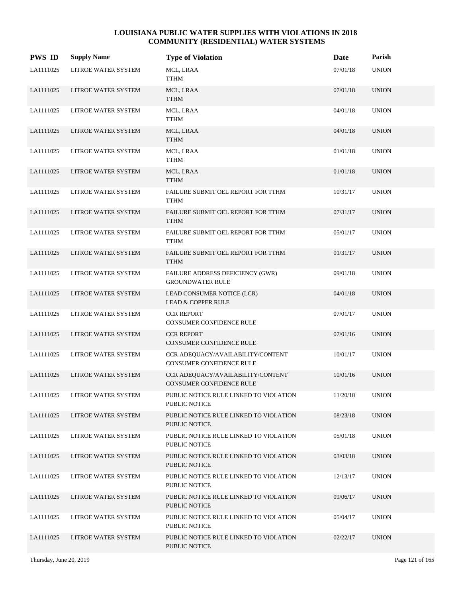| <b>PWS ID</b> | <b>Supply Name</b>  | <b>Type of Violation</b>                                             | Date     | Parish       |
|---------------|---------------------|----------------------------------------------------------------------|----------|--------------|
| LA1111025     | LITROE WATER SYSTEM | MCL, LRAA<br>TTHM                                                    | 07/01/18 | <b>UNION</b> |
| LA1111025     | LITROE WATER SYSTEM | MCL, LRAA<br><b>TTHM</b>                                             | 07/01/18 | <b>UNION</b> |
| LA1111025     | LITROE WATER SYSTEM | MCL, LRAA<br><b>TTHM</b>                                             | 04/01/18 | <b>UNION</b> |
| LA1111025     | LITROE WATER SYSTEM | MCL, LRAA<br><b>TTHM</b>                                             | 04/01/18 | <b>UNION</b> |
| LA1111025     | LITROE WATER SYSTEM | MCL, LRAA<br><b>TTHM</b>                                             | 01/01/18 | <b>UNION</b> |
| LA1111025     | LITROE WATER SYSTEM | MCL, LRAA<br><b>TTHM</b>                                             | 01/01/18 | <b>UNION</b> |
| LA1111025     | LITROE WATER SYSTEM | FAILURE SUBMIT OEL REPORT FOR TTHM<br><b>TTHM</b>                    | 10/31/17 | <b>UNION</b> |
| LA1111025     | LITROE WATER SYSTEM | FAILURE SUBMIT OEL REPORT FOR TTHM<br><b>TTHM</b>                    | 07/31/17 | <b>UNION</b> |
| LA1111025     | LITROE WATER SYSTEM | FAILURE SUBMIT OEL REPORT FOR TTHM<br><b>TTHM</b>                    | 05/01/17 | <b>UNION</b> |
| LA1111025     | LITROE WATER SYSTEM | FAILURE SUBMIT OEL REPORT FOR TTHM<br><b>TTHM</b>                    | 01/31/17 | <b>UNION</b> |
| LA1111025     | LITROE WATER SYSTEM | FAILURE ADDRESS DEFICIENCY (GWR)<br><b>GROUNDWATER RULE</b>          | 09/01/18 | <b>UNION</b> |
| LA1111025     | LITROE WATER SYSTEM | LEAD CONSUMER NOTICE (LCR)<br><b>LEAD &amp; COPPER RULE</b>          | 04/01/18 | <b>UNION</b> |
| LA1111025     | LITROE WATER SYSTEM | <b>CCR REPORT</b><br>CONSUMER CONFIDENCE RULE                        | 07/01/17 | <b>UNION</b> |
| LA1111025     | LITROE WATER SYSTEM | <b>CCR REPORT</b><br><b>CONSUMER CONFIDENCE RULE</b>                 | 07/01/16 | <b>UNION</b> |
| LA1111025     | LITROE WATER SYSTEM | CCR ADEQUACY/AVAILABILITY/CONTENT<br><b>CONSUMER CONFIDENCE RULE</b> | 10/01/17 | <b>UNION</b> |
| LA1111025     | LITROE WATER SYSTEM | CCR ADEQUACY/AVAILABILITY/CONTENT<br><b>CONSUMER CONFIDENCE RULE</b> | 10/01/16 | <b>UNION</b> |
| LA1111025     | LITROE WATER SYSTEM | PUBLIC NOTICE RULE LINKED TO VIOLATION<br>PUBLIC NOTICE              | 11/20/18 | <b>UNION</b> |
| LA1111025     | LITROE WATER SYSTEM | PUBLIC NOTICE RULE LINKED TO VIOLATION<br>PUBLIC NOTICE              | 08/23/18 | <b>UNION</b> |
| LA1111025     | LITROE WATER SYSTEM | PUBLIC NOTICE RULE LINKED TO VIOLATION<br>PUBLIC NOTICE              | 05/01/18 | <b>UNION</b> |
| LA1111025     | LITROE WATER SYSTEM | PUBLIC NOTICE RULE LINKED TO VIOLATION<br>PUBLIC NOTICE              | 03/03/18 | <b>UNION</b> |
| LA1111025     | LITROE WATER SYSTEM | PUBLIC NOTICE RULE LINKED TO VIOLATION<br>PUBLIC NOTICE              | 12/13/17 | <b>UNION</b> |
| LA1111025     | LITROE WATER SYSTEM | PUBLIC NOTICE RULE LINKED TO VIOLATION<br>PUBLIC NOTICE              | 09/06/17 | <b>UNION</b> |
| LA1111025     | LITROE WATER SYSTEM | PUBLIC NOTICE RULE LINKED TO VIOLATION<br>PUBLIC NOTICE              | 05/04/17 | <b>UNION</b> |
| LA1111025     | LITROE WATER SYSTEM | PUBLIC NOTICE RULE LINKED TO VIOLATION<br>PUBLIC NOTICE              | 02/22/17 | <b>UNION</b> |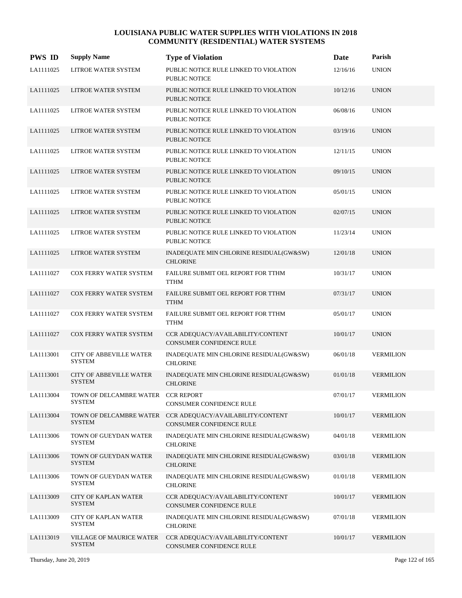| <b>PWS ID</b> | <b>Supply Name</b>                                  | <b>Type of Violation</b>                                       | Date     | Parish           |
|---------------|-----------------------------------------------------|----------------------------------------------------------------|----------|------------------|
| LA1111025     | LITROE WATER SYSTEM                                 | PUBLIC NOTICE RULE LINKED TO VIOLATION<br><b>PUBLIC NOTICE</b> | 12/16/16 | <b>UNION</b>     |
| LA1111025     | LITROE WATER SYSTEM                                 | PUBLIC NOTICE RULE LINKED TO VIOLATION<br><b>PUBLIC NOTICE</b> | 10/12/16 | <b>UNION</b>     |
| LA1111025     | LITROE WATER SYSTEM                                 | PUBLIC NOTICE RULE LINKED TO VIOLATION<br><b>PUBLIC NOTICE</b> | 06/08/16 | <b>UNION</b>     |
| LA1111025     | LITROE WATER SYSTEM                                 | PUBLIC NOTICE RULE LINKED TO VIOLATION<br><b>PUBLIC NOTICE</b> | 03/19/16 | <b>UNION</b>     |
| LA1111025     | LITROE WATER SYSTEM                                 | PUBLIC NOTICE RULE LINKED TO VIOLATION<br><b>PUBLIC NOTICE</b> | 12/11/15 | <b>UNION</b>     |
| LA1111025     | LITROE WATER SYSTEM                                 | PUBLIC NOTICE RULE LINKED TO VIOLATION<br><b>PUBLIC NOTICE</b> | 09/10/15 | <b>UNION</b>     |
| LA1111025     | LITROE WATER SYSTEM                                 | PUBLIC NOTICE RULE LINKED TO VIOLATION<br><b>PUBLIC NOTICE</b> | 05/01/15 | <b>UNION</b>     |
| LA1111025     | LITROE WATER SYSTEM                                 | PUBLIC NOTICE RULE LINKED TO VIOLATION<br><b>PUBLIC NOTICE</b> | 02/07/15 | <b>UNION</b>     |
| LA1111025     | LITROE WATER SYSTEM                                 | PUBLIC NOTICE RULE LINKED TO VIOLATION<br><b>PUBLIC NOTICE</b> | 11/23/14 | <b>UNION</b>     |
| LA1111025     | LITROE WATER SYSTEM                                 | INADEQUATE MIN CHLORINE RESIDUAL(GW&SW)<br><b>CHLORINE</b>     | 12/01/18 | <b>UNION</b>     |
| LA1111027     | COX FERRY WATER SYSTEM                              | FAILURE SUBMIT OEL REPORT FOR TTHM<br><b>TTHM</b>              | 10/31/17 | <b>UNION</b>     |
| LA1111027     | COX FERRY WATER SYSTEM                              | FAILURE SUBMIT OEL REPORT FOR TTHM<br><b>TTHM</b>              | 07/31/17 | <b>UNION</b>     |
| LA1111027     | COX FERRY WATER SYSTEM                              | FAILURE SUBMIT OEL REPORT FOR TTHM<br><b>TTHM</b>              | 05/01/17 | <b>UNION</b>     |
| LA1111027     | COX FERRY WATER SYSTEM                              | CCR ADEQUACY/AVAILABILITY/CONTENT<br>CONSUMER CONFIDENCE RULE  | 10/01/17 | <b>UNION</b>     |
| LA1113001     | CITY OF ABBEVILLE WATER<br><b>SYSTEM</b>            | INADEQUATE MIN CHLORINE RESIDUAL(GW&SW)<br><b>CHLORINE</b>     | 06/01/18 | <b>VERMILION</b> |
| LA1113001     | <b>CITY OF ABBEVILLE WATER</b><br><b>SYSTEM</b>     | INADEQUATE MIN CHLORINE RESIDUAL(GW&SW)<br><b>CHLORINE</b>     | 01/01/18 | <b>VERMILION</b> |
| LA1113004     | TOWN OF DELCAMBRE WATER CCR REPORT<br><b>SYSTEM</b> | CONSUMER CONFIDENCE RULE                                       | 07/01/17 | <b>VERMILION</b> |
| LA1113004     | TOWN OF DELCAMBRE WATER<br><b>SYSTEM</b>            | CCR ADEOUACY/AVAILABILITY/CONTENT<br>CONSUMER CONFIDENCE RULE  | 10/01/17 | <b>VERMILION</b> |
| LA1113006     | TOWN OF GUEYDAN WATER<br><b>SYSTEM</b>              | INADEQUATE MIN CHLORINE RESIDUAL(GW&SW)<br><b>CHLORINE</b>     | 04/01/18 | <b>VERMILION</b> |
| LA1113006     | TOWN OF GUEYDAN WATER<br><b>SYSTEM</b>              | INADEQUATE MIN CHLORINE RESIDUAL(GW&SW)<br><b>CHLORINE</b>     | 03/01/18 | <b>VERMILION</b> |
| LA1113006     | TOWN OF GUEYDAN WATER<br><b>SYSTEM</b>              | INADEQUATE MIN CHLORINE RESIDUAL(GW&SW)<br><b>CHLORINE</b>     | 01/01/18 | <b>VERMILION</b> |
| LA1113009     | <b>CITY OF KAPLAN WATER</b><br><b>SYSTEM</b>        | CCR ADEQUACY/AVAILABILITY/CONTENT<br>CONSUMER CONFIDENCE RULE  | 10/01/17 | <b>VERMILION</b> |
| LA1113009     | <b>CITY OF KAPLAN WATER</b><br><b>SYSTEM</b>        | INADEQUATE MIN CHLORINE RESIDUAL(GW&SW)<br><b>CHLORINE</b>     | 07/01/18 | <b>VERMILION</b> |
| LA1113019     | VILLAGE OF MAURICE WATER<br><b>SYSTEM</b>           | CCR ADEQUACY/AVAILABILITY/CONTENT<br>CONSUMER CONFIDENCE RULE  | 10/01/17 | <b>VERMILION</b> |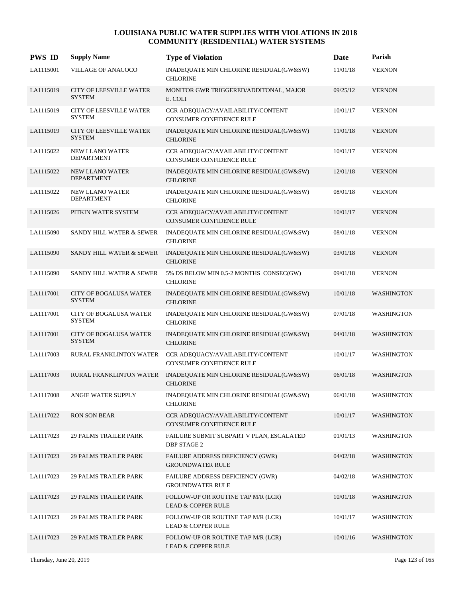| <b>PWS ID</b> | <b>Supply Name</b>                              | <b>Type of Violation</b>                                            | Date     | Parish            |
|---------------|-------------------------------------------------|---------------------------------------------------------------------|----------|-------------------|
| LA1115001     | VILLAGE OF ANACOCO                              | INADEQUATE MIN CHLORINE RESIDUAL(GW&SW)<br><b>CHLORINE</b>          | 11/01/18 | <b>VERNON</b>     |
| LA1115019     | CITY OF LEESVILLE WATER<br><b>SYSTEM</b>        | MONITOR GWR TRIGGERED/ADDITONAL, MAJOR<br>E. COLI                   | 09/25/12 | <b>VERNON</b>     |
| LA1115019     | <b>CITY OF LEESVILLE WATER</b><br><b>SYSTEM</b> | CCR ADEQUACY/AVAILABILITY/CONTENT<br>CONSUMER CONFIDENCE RULE       | 10/01/17 | <b>VERNON</b>     |
| LA1115019     | CITY OF LEESVILLE WATER<br><b>SYSTEM</b>        | INADEQUATE MIN CHLORINE RESIDUAL(GW&SW)<br><b>CHLORINE</b>          | 11/01/18 | <b>VERNON</b>     |
| LA1115022     | NEW LLANO WATER<br><b>DEPARTMENT</b>            | CCR ADEQUACY/AVAILABILITY/CONTENT<br>CONSUMER CONFIDENCE RULE       | 10/01/17 | <b>VERNON</b>     |
| LA1115022     | <b>NEW LLANO WATER</b><br><b>DEPARTMENT</b>     | INADEQUATE MIN CHLORINE RESIDUAL(GW&SW)<br><b>CHLORINE</b>          | 12/01/18 | <b>VERNON</b>     |
| LA1115022     | NEW LLANO WATER<br><b>DEPARTMENT</b>            | INADEQUATE MIN CHLORINE RESIDUAL(GW&SW)<br><b>CHLORINE</b>          | 08/01/18 | <b>VERNON</b>     |
| LA1115026     | PITKIN WATER SYSTEM                             | CCR ADEQUACY/AVAILABILITY/CONTENT<br>CONSUMER CONFIDENCE RULE       | 10/01/17 | <b>VERNON</b>     |
| LA1115090     | SANDY HILL WATER & SEWER                        | INADEQUATE MIN CHLORINE RESIDUAL(GW&SW)<br><b>CHLORINE</b>          | 08/01/18 | <b>VERNON</b>     |
| LA1115090     | SANDY HILL WATER & SEWER                        | INADEQUATE MIN CHLORINE RESIDUAL(GW&SW)<br><b>CHLORINE</b>          | 03/01/18 | <b>VERNON</b>     |
| LA1115090     | SANDY HILL WATER & SEWER                        | 5% DS BELOW MIN 0.5-2 MONTHS CONSEC(GW)<br><b>CHLORINE</b>          | 09/01/18 | <b>VERNON</b>     |
| LA1117001     | <b>CITY OF BOGALUSA WATER</b><br><b>SYSTEM</b>  | INADEQUATE MIN CHLORINE RESIDUAL(GW&SW)<br><b>CHLORINE</b>          | 10/01/18 | <b>WASHINGTON</b> |
| LA1117001     | CITY OF BOGALUSA WATER<br><b>SYSTEM</b>         | INADEQUATE MIN CHLORINE RESIDUAL(GW&SW)<br><b>CHLORINE</b>          | 07/01/18 | <b>WASHINGTON</b> |
| LA1117001     | <b>CITY OF BOGALUSA WATER</b><br><b>SYSTEM</b>  | INADEQUATE MIN CHLORINE RESIDUAL(GW&SW)<br><b>CHLORINE</b>          | 04/01/18 | <b>WASHINGTON</b> |
| LA1117003     | RURAL FRANKLINTON WATER                         | CCR ADEQUACY/AVAILABILITY/CONTENT<br>CONSUMER CONFIDENCE RULE       | 10/01/17 | <b>WASHINGTON</b> |
| LA1117003     | RURAL FRANKLINTON WATER                         | INADEQUATE MIN CHLORINE RESIDUAL(GW&SW)<br><b>CHLORINE</b>          | 06/01/18 | <b>WASHINGTON</b> |
| LA1117008     | ANGIE WATER SUPPLY                              | INADEQUATE MIN CHLORINE RESIDUAL(GW&SW)<br><b>CHLORINE</b>          | 06/01/18 | WASHINGTON        |
| LA1117022     | <b>RON SON BEAR</b>                             | CCR ADEQUACY/AVAILABILITY/CONTENT<br>CONSUMER CONFIDENCE RULE       | 10/01/17 | <b>WASHINGTON</b> |
| LA1117023     | <b>29 PALMS TRAILER PARK</b>                    | FAILURE SUBMIT SUBPART V PLAN, ESCALATED<br><b>DBP STAGE 2</b>      | 01/01/13 | <b>WASHINGTON</b> |
| LA1117023     | <b>29 PALMS TRAILER PARK</b>                    | FAILURE ADDRESS DEFICIENCY (GWR)<br><b>GROUNDWATER RULE</b>         | 04/02/18 | <b>WASHINGTON</b> |
| LA1117023     | <b>29 PALMS TRAILER PARK</b>                    | FAILURE ADDRESS DEFICIENCY (GWR)<br><b>GROUNDWATER RULE</b>         | 04/02/18 | <b>WASHINGTON</b> |
| LA1117023     | <b>29 PALMS TRAILER PARK</b>                    | FOLLOW-UP OR ROUTINE TAP M/R (LCR)<br><b>LEAD &amp; COPPER RULE</b> | 10/01/18 | <b>WASHINGTON</b> |
| LA1117023     | <b>29 PALMS TRAILER PARK</b>                    | FOLLOW-UP OR ROUTINE TAP M/R (LCR)<br><b>LEAD &amp; COPPER RULE</b> | 10/01/17 | WASHINGTON        |
| LA1117023     | <b>29 PALMS TRAILER PARK</b>                    | FOLLOW-UP OR ROUTINE TAP M/R (LCR)<br><b>LEAD &amp; COPPER RULE</b> | 10/01/16 | <b>WASHINGTON</b> |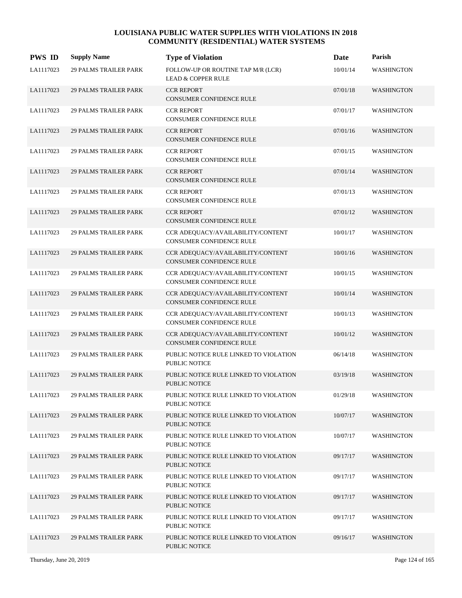| <b>PWS ID</b> | <b>Supply Name</b>           | <b>Type of Violation</b>                                             | Date     | Parish            |
|---------------|------------------------------|----------------------------------------------------------------------|----------|-------------------|
| LA1117023     | <b>29 PALMS TRAILER PARK</b> | FOLLOW-UP OR ROUTINE TAP M/R (LCR)<br><b>LEAD &amp; COPPER RULE</b>  | 10/01/14 | <b>WASHINGTON</b> |
| LA1117023     | <b>29 PALMS TRAILER PARK</b> | <b>CCR REPORT</b><br><b>CONSUMER CONFIDENCE RULE</b>                 | 07/01/18 | <b>WASHINGTON</b> |
| LA1117023     | <b>29 PALMS TRAILER PARK</b> | <b>CCR REPORT</b><br>CONSUMER CONFIDENCE RULE                        | 07/01/17 | <b>WASHINGTON</b> |
| LA1117023     | <b>29 PALMS TRAILER PARK</b> | <b>CCR REPORT</b><br>CONSUMER CONFIDENCE RULE                        | 07/01/16 | <b>WASHINGTON</b> |
| LA1117023     | <b>29 PALMS TRAILER PARK</b> | <b>CCR REPORT</b><br>CONSUMER CONFIDENCE RULE                        | 07/01/15 | <b>WASHINGTON</b> |
| LA1117023     | <b>29 PALMS TRAILER PARK</b> | <b>CCR REPORT</b><br>CONSUMER CONFIDENCE RULE                        | 07/01/14 | <b>WASHINGTON</b> |
| LA1117023     | <b>29 PALMS TRAILER PARK</b> | <b>CCR REPORT</b><br><b>CONSUMER CONFIDENCE RULE</b>                 | 07/01/13 | <b>WASHINGTON</b> |
| LA1117023     | <b>29 PALMS TRAILER PARK</b> | <b>CCR REPORT</b><br><b>CONSUMER CONFIDENCE RULE</b>                 | 07/01/12 | <b>WASHINGTON</b> |
| LA1117023     | <b>29 PALMS TRAILER PARK</b> | CCR ADEQUACY/AVAILABILITY/CONTENT<br>CONSUMER CONFIDENCE RULE        | 10/01/17 | <b>WASHINGTON</b> |
| LA1117023     | <b>29 PALMS TRAILER PARK</b> | CCR ADEQUACY/AVAILABILITY/CONTENT<br>CONSUMER CONFIDENCE RULE        | 10/01/16 | <b>WASHINGTON</b> |
| LA1117023     | <b>29 PALMS TRAILER PARK</b> | CCR ADEQUACY/AVAILABILITY/CONTENT<br>CONSUMER CONFIDENCE RULE        | 10/01/15 | <b>WASHINGTON</b> |
| LA1117023     | <b>29 PALMS TRAILER PARK</b> | CCR ADEQUACY/AVAILABILITY/CONTENT<br><b>CONSUMER CONFIDENCE RULE</b> | 10/01/14 | <b>WASHINGTON</b> |
| LA1117023     | <b>29 PALMS TRAILER PARK</b> | CCR ADEQUACY/AVAILABILITY/CONTENT<br>CONSUMER CONFIDENCE RULE        | 10/01/13 | <b>WASHINGTON</b> |
| LA1117023     | <b>29 PALMS TRAILER PARK</b> | CCR ADEQUACY/AVAILABILITY/CONTENT<br><b>CONSUMER CONFIDENCE RULE</b> | 10/01/12 | <b>WASHINGTON</b> |
| LA1117023     | <b>29 PALMS TRAILER PARK</b> | PUBLIC NOTICE RULE LINKED TO VIOLATION<br>PUBLIC NOTICE              | 06/14/18 | <b>WASHINGTON</b> |
| LA1117023     | <b>29 PALMS TRAILER PARK</b> | PUBLIC NOTICE RULE LINKED TO VIOLATION<br>PUBLIC NOTICE              | 03/19/18 | <b>WASHINGTON</b> |
| LA1117023     | <b>29 PALMS TRAILER PARK</b> | PUBLIC NOTICE RULE LINKED TO VIOLATION<br>PUBLIC NOTICE              | 01/29/18 | WASHINGTON        |
| LA1117023     | <b>29 PALMS TRAILER PARK</b> | PUBLIC NOTICE RULE LINKED TO VIOLATION<br>PUBLIC NOTICE              | 10/07/17 | <b>WASHINGTON</b> |
| LA1117023     | <b>29 PALMS TRAILER PARK</b> | PUBLIC NOTICE RULE LINKED TO VIOLATION<br>PUBLIC NOTICE              | 10/07/17 | <b>WASHINGTON</b> |
| LA1117023     | <b>29 PALMS TRAILER PARK</b> | PUBLIC NOTICE RULE LINKED TO VIOLATION<br>PUBLIC NOTICE              | 09/17/17 | <b>WASHINGTON</b> |
| LA1117023     | <b>29 PALMS TRAILER PARK</b> | PUBLIC NOTICE RULE LINKED TO VIOLATION<br>PUBLIC NOTICE              | 09/17/17 | <b>WASHINGTON</b> |
| LA1117023     | <b>29 PALMS TRAILER PARK</b> | PUBLIC NOTICE RULE LINKED TO VIOLATION<br>PUBLIC NOTICE              | 09/17/17 | <b>WASHINGTON</b> |
| LA1117023     | <b>29 PALMS TRAILER PARK</b> | PUBLIC NOTICE RULE LINKED TO VIOLATION<br>PUBLIC NOTICE              | 09/17/17 | <b>WASHINGTON</b> |
| LA1117023     | <b>29 PALMS TRAILER PARK</b> | PUBLIC NOTICE RULE LINKED TO VIOLATION<br>PUBLIC NOTICE              | 09/16/17 | <b>WASHINGTON</b> |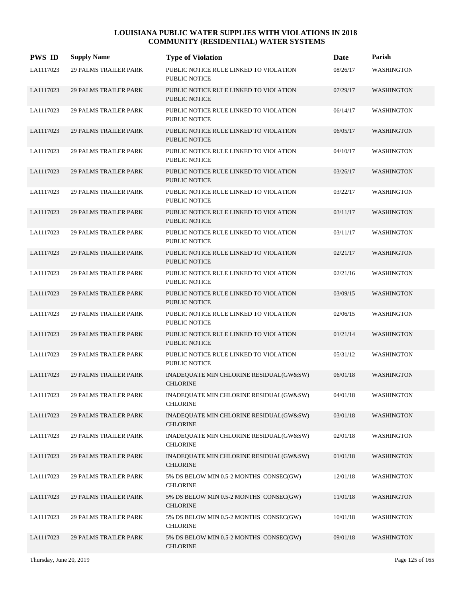| <b>PWS ID</b> | <b>Supply Name</b>           | <b>Type of Violation</b>                                       | Date     | Parish            |
|---------------|------------------------------|----------------------------------------------------------------|----------|-------------------|
| LA1117023     | <b>29 PALMS TRAILER PARK</b> | PUBLIC NOTICE RULE LINKED TO VIOLATION<br><b>PUBLIC NOTICE</b> | 08/26/17 | <b>WASHINGTON</b> |
| LA1117023     | <b>29 PALMS TRAILER PARK</b> | PUBLIC NOTICE RULE LINKED TO VIOLATION<br><b>PUBLIC NOTICE</b> | 07/29/17 | <b>WASHINGTON</b> |
| LA1117023     | <b>29 PALMS TRAILER PARK</b> | PUBLIC NOTICE RULE LINKED TO VIOLATION<br><b>PUBLIC NOTICE</b> | 06/14/17 | <b>WASHINGTON</b> |
| LA1117023     | <b>29 PALMS TRAILER PARK</b> | PUBLIC NOTICE RULE LINKED TO VIOLATION<br><b>PUBLIC NOTICE</b> | 06/05/17 | <b>WASHINGTON</b> |
| LA1117023     | <b>29 PALMS TRAILER PARK</b> | PUBLIC NOTICE RULE LINKED TO VIOLATION<br><b>PUBLIC NOTICE</b> | 04/10/17 | <b>WASHINGTON</b> |
| LA1117023     | <b>29 PALMS TRAILER PARK</b> | PUBLIC NOTICE RULE LINKED TO VIOLATION<br><b>PUBLIC NOTICE</b> | 03/26/17 | <b>WASHINGTON</b> |
| LA1117023     | <b>29 PALMS TRAILER PARK</b> | PUBLIC NOTICE RULE LINKED TO VIOLATION<br><b>PUBLIC NOTICE</b> | 03/22/17 | WASHINGTON        |
| LA1117023     | <b>29 PALMS TRAILER PARK</b> | PUBLIC NOTICE RULE LINKED TO VIOLATION<br><b>PUBLIC NOTICE</b> | 03/11/17 | <b>WASHINGTON</b> |
| LA1117023     | <b>29 PALMS TRAILER PARK</b> | PUBLIC NOTICE RULE LINKED TO VIOLATION<br><b>PUBLIC NOTICE</b> | 03/11/17 | <b>WASHINGTON</b> |
| LA1117023     | <b>29 PALMS TRAILER PARK</b> | PUBLIC NOTICE RULE LINKED TO VIOLATION<br><b>PUBLIC NOTICE</b> | 02/21/17 | <b>WASHINGTON</b> |
| LA1117023     | <b>29 PALMS TRAILER PARK</b> | PUBLIC NOTICE RULE LINKED TO VIOLATION<br><b>PUBLIC NOTICE</b> | 02/21/16 | WASHINGTON        |
| LA1117023     | <b>29 PALMS TRAILER PARK</b> | PUBLIC NOTICE RULE LINKED TO VIOLATION<br>PUBLIC NOTICE        | 03/09/15 | <b>WASHINGTON</b> |
| LA1117023     | <b>29 PALMS TRAILER PARK</b> | PUBLIC NOTICE RULE LINKED TO VIOLATION<br><b>PUBLIC NOTICE</b> | 02/06/15 | WASHINGTON        |
| LA1117023     | <b>29 PALMS TRAILER PARK</b> | PUBLIC NOTICE RULE LINKED TO VIOLATION<br><b>PUBLIC NOTICE</b> | 01/21/14 | <b>WASHINGTON</b> |
| LA1117023     | <b>29 PALMS TRAILER PARK</b> | PUBLIC NOTICE RULE LINKED TO VIOLATION<br>PUBLIC NOTICE        | 05/31/12 | WASHINGTON        |
| LA1117023     | <b>29 PALMS TRAILER PARK</b> | INADEQUATE MIN CHLORINE RESIDUAL(GW&SW)<br><b>CHLORINE</b>     | 06/01/18 | <b>WASHINGTON</b> |
| LA1117023     | <b>29 PALMS TRAILER PARK</b> | INADEQUATE MIN CHLORINE RESIDUAL(GW&SW)<br><b>CHLORINE</b>     | 04/01/18 | WASHINGTON        |
| LA1117023     | <b>29 PALMS TRAILER PARK</b> | INADEQUATE MIN CHLORINE RESIDUAL(GW&SW)<br><b>CHLORINE</b>     | 03/01/18 | <b>WASHINGTON</b> |
| LA1117023     | <b>29 PALMS TRAILER PARK</b> | INADEQUATE MIN CHLORINE RESIDUAL(GW&SW)<br><b>CHLORINE</b>     | 02/01/18 | WASHINGTON        |
| LA1117023     | <b>29 PALMS TRAILER PARK</b> | INADEQUATE MIN CHLORINE RESIDUAL(GW&SW)<br><b>CHLORINE</b>     | 01/01/18 | <b>WASHINGTON</b> |
| LA1117023     | 29 PALMS TRAILER PARK        | 5% DS BELOW MIN 0.5-2 MONTHS CONSEC(GW)<br><b>CHLORINE</b>     | 12/01/18 | WASHINGTON        |
| LA1117023     | <b>29 PALMS TRAILER PARK</b> | 5% DS BELOW MIN 0.5-2 MONTHS CONSEC(GW)<br><b>CHLORINE</b>     | 11/01/18 | <b>WASHINGTON</b> |
| LA1117023     | <b>29 PALMS TRAILER PARK</b> | 5% DS BELOW MIN 0.5-2 MONTHS CONSEC(GW)<br><b>CHLORINE</b>     | 10/01/18 | WASHINGTON        |
| LA1117023     | <b>29 PALMS TRAILER PARK</b> | 5% DS BELOW MIN 0.5-2 MONTHS CONSEC(GW)<br><b>CHLORINE</b>     | 09/01/18 | <b>WASHINGTON</b> |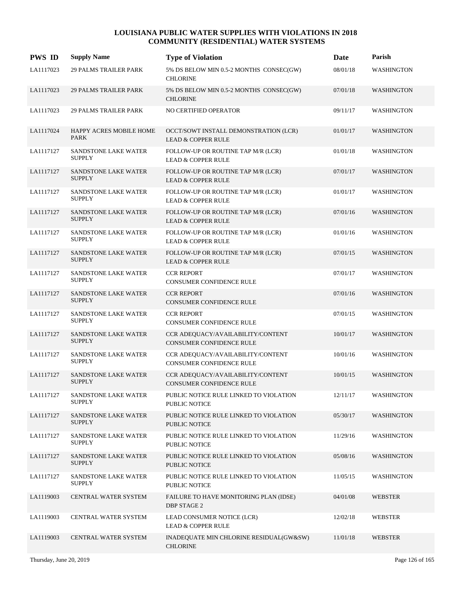| <b>PWS ID</b> | <b>Supply Name</b>                           | <b>Type of Violation</b>                                               | <b>Date</b> | Parish            |
|---------------|----------------------------------------------|------------------------------------------------------------------------|-------------|-------------------|
| LA1117023     | <b>29 PALMS TRAILER PARK</b>                 | 5% DS BELOW MIN 0.5-2 MONTHS CONSEC(GW)<br><b>CHLORINE</b>             | 08/01/18    | <b>WASHINGTON</b> |
| LA1117023     | <b>29 PALMS TRAILER PARK</b>                 | 5% DS BELOW MIN 0.5-2 MONTHS CONSEC(GW)<br><b>CHLORINE</b>             | 07/01/18    | WASHINGTON        |
| LA1117023     | <b>29 PALMS TRAILER PARK</b>                 | NO CERTIFIED OPERATOR                                                  | 09/11/17    | <b>WASHINGTON</b> |
| LA1117024     | HAPPY ACRES MOBILE HOME<br><b>PARK</b>       | OCCT/SOWT INSTALL DEMONSTRATION (LCR)<br><b>LEAD &amp; COPPER RULE</b> | 01/01/17    | <b>WASHINGTON</b> |
| LA1117127     | SANDSTONE LAKE WATER<br><b>SUPPLY</b>        | FOLLOW-UP OR ROUTINE TAP M/R (LCR)<br><b>LEAD &amp; COPPER RULE</b>    | 01/01/18    | <b>WASHINGTON</b> |
| LA1117127     | SANDSTONE LAKE WATER<br><b>SUPPLY</b>        | FOLLOW-UP OR ROUTINE TAP M/R (LCR)<br><b>LEAD &amp; COPPER RULE</b>    | 07/01/17    | <b>WASHINGTON</b> |
| LA1117127     | SANDSTONE LAKE WATER<br><b>SUPPLY</b>        | FOLLOW-UP OR ROUTINE TAP M/R (LCR)<br><b>LEAD &amp; COPPER RULE</b>    | 01/01/17    | <b>WASHINGTON</b> |
| LA1117127     | SANDSTONE LAKE WATER<br><b>SUPPLY</b>        | FOLLOW-UP OR ROUTINE TAP M/R (LCR)<br><b>LEAD &amp; COPPER RULE</b>    | 07/01/16    | <b>WASHINGTON</b> |
| LA1117127     | SANDSTONE LAKE WATER<br><b>SUPPLY</b>        | FOLLOW-UP OR ROUTINE TAP M/R (LCR)<br><b>LEAD &amp; COPPER RULE</b>    | 01/01/16    | <b>WASHINGTON</b> |
| LA1117127     | SANDSTONE LAKE WATER<br><b>SUPPLY</b>        | FOLLOW-UP OR ROUTINE TAP M/R (LCR)<br><b>LEAD &amp; COPPER RULE</b>    | 07/01/15    | <b>WASHINGTON</b> |
| LA1117127     | <b>SANDSTONE LAKE WATER</b><br><b>SUPPLY</b> | <b>CCR REPORT</b><br>CONSUMER CONFIDENCE RULE                          | 07/01/17    | <b>WASHINGTON</b> |
| LA1117127     | SANDSTONE LAKE WATER<br><b>SUPPLY</b>        | <b>CCR REPORT</b><br><b>CONSUMER CONFIDENCE RULE</b>                   | 07/01/16    | <b>WASHINGTON</b> |
| LA1117127     | SANDSTONE LAKE WATER<br><b>SUPPLY</b>        | <b>CCR REPORT</b><br><b>CONSUMER CONFIDENCE RULE</b>                   | 07/01/15    | <b>WASHINGTON</b> |
| LA1117127     | SANDSTONE LAKE WATER<br><b>SUPPLY</b>        | CCR ADEQUACY/AVAILABILITY/CONTENT<br><b>CONSUMER CONFIDENCE RULE</b>   | 10/01/17    | <b>WASHINGTON</b> |
| LA1117127     | <b>SANDSTONE LAKE WATER</b><br><b>SUPPLY</b> | CCR ADEQUACY/AVAILABILITY/CONTENT<br><b>CONSUMER CONFIDENCE RULE</b>   | 10/01/16    | <b>WASHINGTON</b> |
| LA1117127     | SANDSTONE LAKE WATER<br><b>SUPPLY</b>        | CCR ADEQUACY/AVAILABILITY/CONTENT<br><b>CONSUMER CONFIDENCE RULE</b>   | 10/01/15    | <b>WASHINGTON</b> |
| LA1117127     | SANDSTONE LAKE WATER<br><b>SUPPLY</b>        | PUBLIC NOTICE RULE LINKED TO VIOLATION<br>PUBLIC NOTICE                | 12/11/17    | WASHINGTON        |
| LA1117127     | SANDSTONE LAKE WATER<br><b>SUPPLY</b>        | PUBLIC NOTICE RULE LINKED TO VIOLATION<br>PUBLIC NOTICE                | 05/30/17    | <b>WASHINGTON</b> |
| LA1117127     | SANDSTONE LAKE WATER<br><b>SUPPLY</b>        | PUBLIC NOTICE RULE LINKED TO VIOLATION<br>PUBLIC NOTICE                | 11/29/16    | WASHINGTON        |
| LA1117127     | SANDSTONE LAKE WATER<br><b>SUPPLY</b>        | PUBLIC NOTICE RULE LINKED TO VIOLATION<br>PUBLIC NOTICE                | 05/08/16    | WASHINGTON        |
| LA1117127     | SANDSTONE LAKE WATER<br><b>SUPPLY</b>        | PUBLIC NOTICE RULE LINKED TO VIOLATION<br>PUBLIC NOTICE                | 11/05/15    | WASHINGTON        |
| LA1119003     | CENTRAL WATER SYSTEM                         | FAILURE TO HAVE MONITORING PLAN (IDSE)<br><b>DBP STAGE 2</b>           | 04/01/08    | <b>WEBSTER</b>    |
| LA1119003     | CENTRAL WATER SYSTEM                         | LEAD CONSUMER NOTICE (LCR)<br><b>LEAD &amp; COPPER RULE</b>            | 12/02/18    | WEBSTER           |
| LA1119003     | CENTRAL WATER SYSTEM                         | INADEQUATE MIN CHLORINE RESIDUAL(GW&SW)<br><b>CHLORINE</b>             | 11/01/18    | <b>WEBSTER</b>    |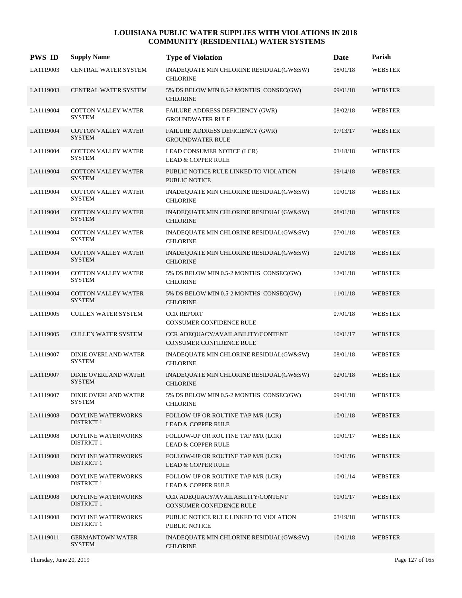| <b>PWS ID</b> | <b>Supply Name</b>                          | <b>Type of Violation</b>                                             | <b>Date</b> | Parish         |
|---------------|---------------------------------------------|----------------------------------------------------------------------|-------------|----------------|
| LA1119003     | CENTRAL WATER SYSTEM                        | INADEQUATE MIN CHLORINE RESIDUAL(GW&SW)<br><b>CHLORINE</b>           | 08/01/18    | <b>WEBSTER</b> |
| LA1119003     | CENTRAL WATER SYSTEM                        | 5% DS BELOW MIN 0.5-2 MONTHS CONSEC(GW)<br><b>CHLORINE</b>           | 09/01/18    | <b>WEBSTER</b> |
| LA1119004     | <b>COTTON VALLEY WATER</b><br><b>SYSTEM</b> | FAILURE ADDRESS DEFICIENCY (GWR)<br><b>GROUNDWATER RULE</b>          | 08/02/18    | WEBSTER        |
| LA1119004     | <b>COTTON VALLEY WATER</b><br><b>SYSTEM</b> | FAILURE ADDRESS DEFICIENCY (GWR)<br><b>GROUNDWATER RULE</b>          | 07/13/17    | <b>WEBSTER</b> |
| LA1119004     | <b>COTTON VALLEY WATER</b><br><b>SYSTEM</b> | LEAD CONSUMER NOTICE (LCR)<br><b>LEAD &amp; COPPER RULE</b>          | 03/18/18    | <b>WEBSTER</b> |
| LA1119004     | COTTON VALLEY WATER<br><b>SYSTEM</b>        | PUBLIC NOTICE RULE LINKED TO VIOLATION<br><b>PUBLIC NOTICE</b>       | 09/14/18    | <b>WEBSTER</b> |
| LA1119004     | COTTON VALLEY WATER<br><b>SYSTEM</b>        | INADEQUATE MIN CHLORINE RESIDUAL(GW&SW)<br><b>CHLORINE</b>           | 10/01/18    | <b>WEBSTER</b> |
| LA1119004     | <b>COTTON VALLEY WATER</b><br><b>SYSTEM</b> | INADEQUATE MIN CHLORINE RESIDUAL(GW&SW)<br><b>CHLORINE</b>           | 08/01/18    | <b>WEBSTER</b> |
| LA1119004     | COTTON VALLEY WATER<br><b>SYSTEM</b>        | INADEQUATE MIN CHLORINE RESIDUAL(GW&SW)<br><b>CHLORINE</b>           | 07/01/18    | <b>WEBSTER</b> |
| LA1119004     | COTTON VALLEY WATER<br><b>SYSTEM</b>        | INADEQUATE MIN CHLORINE RESIDUAL(GW&SW)<br><b>CHLORINE</b>           | 02/01/18    | <b>WEBSTER</b> |
| LA1119004     | <b>COTTON VALLEY WATER</b><br><b>SYSTEM</b> | 5% DS BELOW MIN 0.5-2 MONTHS CONSEC(GW)<br><b>CHLORINE</b>           | 12/01/18    | <b>WEBSTER</b> |
| LA1119004     | <b>COTTON VALLEY WATER</b><br><b>SYSTEM</b> | 5% DS BELOW MIN 0.5-2 MONTHS CONSEC(GW)<br><b>CHLORINE</b>           | 11/01/18    | <b>WEBSTER</b> |
| LA1119005     | <b>CULLEN WATER SYSTEM</b>                  | <b>CCR REPORT</b><br>CONSUMER CONFIDENCE RULE                        | 07/01/18    | <b>WEBSTER</b> |
| LA1119005     | <b>CULLEN WATER SYSTEM</b>                  | CCR ADEQUACY/AVAILABILITY/CONTENT<br><b>CONSUMER CONFIDENCE RULE</b> | 10/01/17    | <b>WEBSTER</b> |
| LA1119007     | DIXIE OVERLAND WATER<br><b>SYSTEM</b>       | INADEQUATE MIN CHLORINE RESIDUAL(GW&SW)<br><b>CHLORINE</b>           | 08/01/18    | <b>WEBSTER</b> |
| LA1119007     | DIXIE OVERLAND WATER<br><b>SYSTEM</b>       | INADEQUATE MIN CHLORINE RESIDUAL(GW&SW)<br><b>CHLORINE</b>           | 02/01/18    | <b>WEBSTER</b> |
| LA1119007     | DIXIE OVERLAND WATER<br>SYSTEM              | 5% DS BELOW MIN 0.5-2 MONTHS CONSEC(GW)<br><b>CHLORINE</b>           | 09/01/18    | <b>WEBSTER</b> |
| LA1119008     | DOYLINE WATERWORKS<br><b>DISTRICT 1</b>     | FOLLOW-UP OR ROUTINE TAP M/R (LCR)<br><b>LEAD &amp; COPPER RULE</b>  | 10/01/18    | <b>WEBSTER</b> |
| LA1119008     | DOYLINE WATERWORKS<br><b>DISTRICT 1</b>     | FOLLOW-UP OR ROUTINE TAP M/R (LCR)<br><b>LEAD &amp; COPPER RULE</b>  | 10/01/17    | <b>WEBSTER</b> |
| LA1119008     | DOYLINE WATERWORKS<br><b>DISTRICT 1</b>     | FOLLOW-UP OR ROUTINE TAP M/R (LCR)<br><b>LEAD &amp; COPPER RULE</b>  | 10/01/16    | <b>WEBSTER</b> |
| LA1119008     | DOYLINE WATERWORKS<br><b>DISTRICT 1</b>     | FOLLOW-UP OR ROUTINE TAP M/R (LCR)<br><b>LEAD &amp; COPPER RULE</b>  | 10/01/14    | <b>WEBSTER</b> |
| LA1119008     | DOYLINE WATERWORKS<br><b>DISTRICT 1</b>     | CCR ADEQUACY/AVAILABILITY/CONTENT<br>CONSUMER CONFIDENCE RULE        | 10/01/17    | <b>WEBSTER</b> |
| LA1119008     | DOYLINE WATERWORKS<br><b>DISTRICT 1</b>     | PUBLIC NOTICE RULE LINKED TO VIOLATION<br><b>PUBLIC NOTICE</b>       | 03/19/18    | WEBSTER        |
| LA1119011     | <b>GERMANTOWN WATER</b><br><b>SYSTEM</b>    | INADEQUATE MIN CHLORINE RESIDUAL(GW&SW)<br><b>CHLORINE</b>           | 10/01/18    | <b>WEBSTER</b> |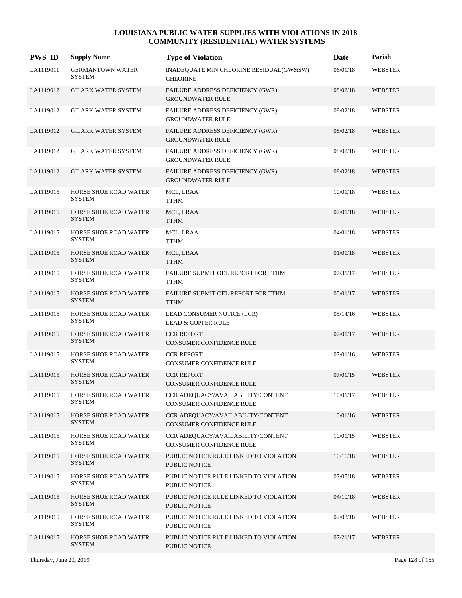| <b>PWS ID</b> | <b>Supply Name</b>                            | <b>Type of Violation</b>                                       | Date     | Parish         |
|---------------|-----------------------------------------------|----------------------------------------------------------------|----------|----------------|
| LA1119011     | <b>GERMANTOWN WATER</b><br><b>SYSTEM</b>      | INADEQUATE MIN CHLORINE RESIDUAL(GW&SW)<br><b>CHLORINE</b>     | 06/01/18 | <b>WEBSTER</b> |
| LA1119012     | <b>GILARK WATER SYSTEM</b>                    | FAILURE ADDRESS DEFICIENCY (GWR)<br><b>GROUNDWATER RULE</b>    | 08/02/18 | <b>WEBSTER</b> |
| LA1119012     | <b>GILARK WATER SYSTEM</b>                    | FAILURE ADDRESS DEFICIENCY (GWR)<br><b>GROUNDWATER RULE</b>    | 08/02/18 | <b>WEBSTER</b> |
| LA1119012     | <b>GILARK WATER SYSTEM</b>                    | FAILURE ADDRESS DEFICIENCY (GWR)<br><b>GROUNDWATER RULE</b>    | 08/02/18 | <b>WEBSTER</b> |
| LA1119012     | <b>GILARK WATER SYSTEM</b>                    | FAILURE ADDRESS DEFICIENCY (GWR)<br><b>GROUNDWATER RULE</b>    | 08/02/18 | WEBSTER        |
| LA1119012     | <b>GILARK WATER SYSTEM</b>                    | FAILURE ADDRESS DEFICIENCY (GWR)<br><b>GROUNDWATER RULE</b>    | 08/02/18 | <b>WEBSTER</b> |
| LA1119015     | HORSE SHOE ROAD WATER<br><b>SYSTEM</b>        | MCL, LRAA<br><b>TTHM</b>                                       | 10/01/18 | <b>WEBSTER</b> |
| LA1119015     | <b>HORSE SHOE ROAD WATER</b><br><b>SYSTEM</b> | MCL, LRAA<br><b>TTHM</b>                                       | 07/01/18 | <b>WEBSTER</b> |
| LA1119015     | HORSE SHOE ROAD WATER<br><b>SYSTEM</b>        | MCL, LRAA<br><b>TTHM</b>                                       | 04/01/18 | <b>WEBSTER</b> |
| LA1119015     | HORSE SHOE ROAD WATER<br><b>SYSTEM</b>        | MCL, LRAA<br><b>TTHM</b>                                       | 01/01/18 | <b>WEBSTER</b> |
| LA1119015     | HORSE SHOE ROAD WATER<br><b>SYSTEM</b>        | FAILURE SUBMIT OEL REPORT FOR TTHM<br><b>TTHM</b>              | 07/31/17 | <b>WEBSTER</b> |
| LA1119015     | HORSE SHOE ROAD WATER<br><b>SYSTEM</b>        | FAILURE SUBMIT OEL REPORT FOR TTHM<br><b>TTHM</b>              | 05/01/17 | <b>WEBSTER</b> |
| LA1119015     | HORSE SHOE ROAD WATER<br><b>SYSTEM</b>        | LEAD CONSUMER NOTICE (LCR)<br><b>LEAD &amp; COPPER RULE</b>    | 05/14/16 | <b>WEBSTER</b> |
| LA1119015     | HORSE SHOE ROAD WATER<br><b>SYSTEM</b>        | <b>CCR REPORT</b><br>CONSUMER CONFIDENCE RULE                  | 07/01/17 | <b>WEBSTER</b> |
| LA1119015     | HORSE SHOE ROAD WATER<br><b>SYSTEM</b>        | <b>CCR REPORT</b><br>CONSUMER CONFIDENCE RULE                  | 07/01/16 | <b>WEBSTER</b> |
| LA1119015     | <b>HORSE SHOE ROAD WATER</b><br><b>SYSTEM</b> | <b>CCR REPORT</b><br><b>CONSUMER CONFIDENCE RULE</b>           | 07/01/15 | <b>WEBSTER</b> |
| LA1119015     | HORSE SHOE ROAD WATER<br><b>SYSTEM</b>        | CCR ADEQUACY/AVAILABILITY/CONTENT<br>CONSUMER CONFIDENCE RULE  | 10/01/17 | WEBSTER        |
| LA1119015     | HORSE SHOE ROAD WATER<br><b>SYSTEM</b>        | CCR ADEQUACY/AVAILABILITY/CONTENT<br>CONSUMER CONFIDENCE RULE  | 10/01/16 | <b>WEBSTER</b> |
| LA1119015     | HORSE SHOE ROAD WATER<br><b>SYSTEM</b>        | CCR ADEQUACY/AVAILABILITY/CONTENT<br>CONSUMER CONFIDENCE RULE  | 10/01/15 | <b>WEBSTER</b> |
| LA1119015     | HORSE SHOE ROAD WATER<br><b>SYSTEM</b>        | PUBLIC NOTICE RULE LINKED TO VIOLATION<br>PUBLIC NOTICE        | 10/16/18 | <b>WEBSTER</b> |
| LA1119015     | HORSE SHOE ROAD WATER<br><b>SYSTEM</b>        | PUBLIC NOTICE RULE LINKED TO VIOLATION<br>PUBLIC NOTICE        | 07/05/18 | WEBSTER        |
| LA1119015     | HORSE SHOE ROAD WATER<br><b>SYSTEM</b>        | PUBLIC NOTICE RULE LINKED TO VIOLATION<br><b>PUBLIC NOTICE</b> | 04/10/18 | <b>WEBSTER</b> |
| LA1119015     | HORSE SHOE ROAD WATER<br><b>SYSTEM</b>        | PUBLIC NOTICE RULE LINKED TO VIOLATION<br>PUBLIC NOTICE        | 02/03/18 | <b>WEBSTER</b> |
| LA1119015     | HORSE SHOE ROAD WATER<br><b>SYSTEM</b>        | PUBLIC NOTICE RULE LINKED TO VIOLATION<br>PUBLIC NOTICE        | 07/21/17 | <b>WEBSTER</b> |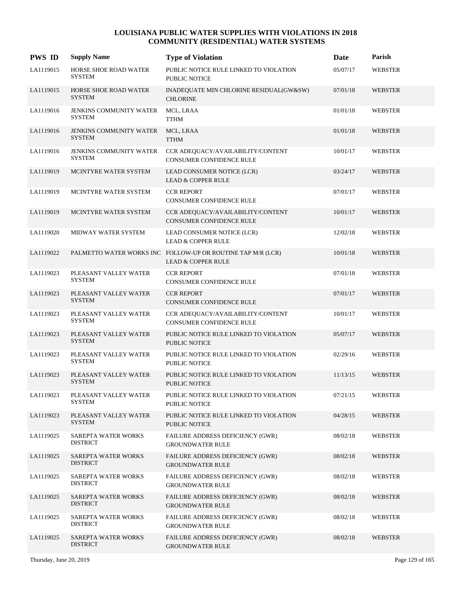| <b>PWS ID</b> | <b>Supply Name</b>                              | <b>Type of Violation</b>                                                                     | Date     | Parish         |
|---------------|-------------------------------------------------|----------------------------------------------------------------------------------------------|----------|----------------|
| LA1119015     | HORSE SHOE ROAD WATER<br><b>SYSTEM</b>          | PUBLIC NOTICE RULE LINKED TO VIOLATION<br>PUBLIC NOTICE                                      | 05/07/17 | <b>WEBSTER</b> |
| LA1119015     | <b>HORSE SHOE ROAD WATER</b><br><b>SYSTEM</b>   | INADEQUATE MIN CHLORINE RESIDUAL(GW&SW)<br><b>CHLORINE</b>                                   | 07/01/18 | <b>WEBSTER</b> |
| LA1119016     | JENKINS COMMUNITY WATER<br><b>SYSTEM</b>        | MCL, LRAA<br><b>TTHM</b>                                                                     | 01/01/18 | <b>WEBSTER</b> |
| LA1119016     | <b>JENKINS COMMUNITY WATER</b><br><b>SYSTEM</b> | MCL, LRAA<br><b>TTHM</b>                                                                     | 01/01/18 | <b>WEBSTER</b> |
| LA1119016     | <b>JENKINS COMMUNITY WATER</b><br>SYSTEM        | CCR ADEQUACY/AVAILABILITY/CONTENT<br><b>CONSUMER CONFIDENCE RULE</b>                         | 10/01/17 | WEBSTER        |
| LA1119019     | MCINTYRE WATER SYSTEM                           | LEAD CONSUMER NOTICE (LCR)<br><b>LEAD &amp; COPPER RULE</b>                                  | 03/24/17 | <b>WEBSTER</b> |
| LA1119019     | MCINTYRE WATER SYSTEM                           | <b>CCR REPORT</b><br><b>CONSUMER CONFIDENCE RULE</b>                                         | 07/01/17 | <b>WEBSTER</b> |
| LA1119019     | MCINTYRE WATER SYSTEM                           | CCR ADEQUACY/AVAILABILITY/CONTENT<br><b>CONSUMER CONFIDENCE RULE</b>                         | 10/01/17 | <b>WEBSTER</b> |
| LA1119020     | MIDWAY WATER SYSTEM                             | LEAD CONSUMER NOTICE (LCR)<br><b>LEAD &amp; COPPER RULE</b>                                  | 12/02/18 | <b>WEBSTER</b> |
| LA1119022     |                                                 | PALMETTO WATER WORKS INC FOLLOW-UP OR ROUTINE TAP M/R (LCR)<br><b>LEAD &amp; COPPER RULE</b> | 10/01/18 | <b>WEBSTER</b> |
| LA1119023     | PLEASANT VALLEY WATER<br><b>SYSTEM</b>          | <b>CCR REPORT</b><br>CONSUMER CONFIDENCE RULE                                                | 07/01/18 | <b>WEBSTER</b> |
| LA1119023     | PLEASANT VALLEY WATER<br><b>SYSTEM</b>          | <b>CCR REPORT</b><br>CONSUMER CONFIDENCE RULE                                                | 07/01/17 | <b>WEBSTER</b> |
| LA1119023     | PLEASANT VALLEY WATER<br>SYSTEM                 | CCR ADEQUACY/AVAILABILITY/CONTENT<br>CONSUMER CONFIDENCE RULE                                | 10/01/17 | <b>WEBSTER</b> |
| LA1119023     | PLEASANT VALLEY WATER<br><b>SYSTEM</b>          | PUBLIC NOTICE RULE LINKED TO VIOLATION<br><b>PUBLIC NOTICE</b>                               | 05/07/17 | <b>WEBSTER</b> |
| LA1119023     | PLEASANT VALLEY WATER<br><b>SYSTEM</b>          | PUBLIC NOTICE RULE LINKED TO VIOLATION<br><b>PUBLIC NOTICE</b>                               | 02/29/16 | <b>WEBSTER</b> |
| LA1119023     | PLEASANT VALLEY WATER<br><b>SYSTEM</b>          | PUBLIC NOTICE RULE LINKED TO VIOLATION<br><b>PUBLIC NOTICE</b>                               | 11/13/15 | <b>WEBSTER</b> |
| LA1119023     | PLEASANT VALLEY WATER<br>SYSTEM                 | PUBLIC NOTICE RULE LINKED TO VIOLATION<br>PUBLIC NOTICE                                      | 07/21/15 | <b>WEBSTER</b> |
| LA1119023     | PLEASANT VALLEY WATER<br><b>SYSTEM</b>          | PUBLIC NOTICE RULE LINKED TO VIOLATION<br>PUBLIC NOTICE                                      | 04/28/15 | <b>WEBSTER</b> |
| LA1119025     | SAREPTA WATER WORKS<br><b>DISTRICT</b>          | <b>FAILURE ADDRESS DEFICIENCY (GWR)</b><br><b>GROUNDWATER RULE</b>                           | 08/02/18 | <b>WEBSTER</b> |
| LA1119025     | SAREPTA WATER WORKS<br><b>DISTRICT</b>          | FAILURE ADDRESS DEFICIENCY (GWR)<br><b>GROUNDWATER RULE</b>                                  | 08/02/18 | <b>WEBSTER</b> |
| LA1119025     | SAREPTA WATER WORKS<br><b>DISTRICT</b>          | FAILURE ADDRESS DEFICIENCY (GWR)<br><b>GROUNDWATER RULE</b>                                  | 08/02/18 | <b>WEBSTER</b> |
| LA1119025     | SAREPTA WATER WORKS<br><b>DISTRICT</b>          | FAILURE ADDRESS DEFICIENCY (GWR)<br><b>GROUNDWATER RULE</b>                                  | 08/02/18 | <b>WEBSTER</b> |
| LA1119025     | SAREPTA WATER WORKS<br><b>DISTRICT</b>          | FAILURE ADDRESS DEFICIENCY (GWR)<br><b>GROUNDWATER RULE</b>                                  | 08/02/18 | <b>WEBSTER</b> |
| LA1119025     | <b>SAREPTA WATER WORKS</b><br><b>DISTRICT</b>   | FAILURE ADDRESS DEFICIENCY (GWR)<br><b>GROUNDWATER RULE</b>                                  | 08/02/18 | <b>WEBSTER</b> |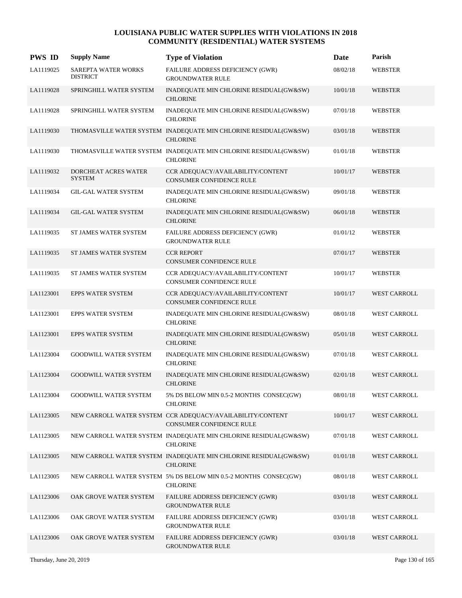| <b>PWS ID</b> | <b>Supply Name</b>                     | <b>Type of Violation</b>                                                               | <b>Date</b> | Parish              |
|---------------|----------------------------------------|----------------------------------------------------------------------------------------|-------------|---------------------|
| LA1119025     | SAREPTA WATER WORKS<br><b>DISTRICT</b> | FAILURE ADDRESS DEFICIENCY (GWR)<br><b>GROUNDWATER RULE</b>                            | 08/02/18    | <b>WEBSTER</b>      |
| LA1119028     | SPRINGHILL WATER SYSTEM                | INADEQUATE MIN CHLORINE RESIDUAL(GW&SW)<br><b>CHLORINE</b>                             | 10/01/18    | <b>WEBSTER</b>      |
| LA1119028     | SPRINGHILL WATER SYSTEM                | INADEQUATE MIN CHLORINE RESIDUAL(GW&SW)<br><b>CHLORINE</b>                             | 07/01/18    | <b>WEBSTER</b>      |
| LA1119030     |                                        | THOMASVILLE WATER SYSTEM INADEQUATE MIN CHLORINE RESIDUAL(GW&SW)<br><b>CHLORINE</b>    | 03/01/18    | <b>WEBSTER</b>      |
| LA1119030     |                                        | THOMASVILLE WATER SYSTEM INADEQUATE MIN CHLORINE RESIDUAL(GW&SW)<br><b>CHLORINE</b>    | 01/01/18    | <b>WEBSTER</b>      |
| LA1119032     | DORCHEAT ACRES WATER<br><b>SYSTEM</b>  | CCR ADEQUACY/AVAILABILITY/CONTENT<br>CONSUMER CONFIDENCE RULE                          | 10/01/17    | <b>WEBSTER</b>      |
| LA1119034     | <b>GIL-GAL WATER SYSTEM</b>            | INADEQUATE MIN CHLORINE RESIDUAL(GW&SW)<br><b>CHLORINE</b>                             | 09/01/18    | <b>WEBSTER</b>      |
| LA1119034     | <b>GIL-GAL WATER SYSTEM</b>            | INADEQUATE MIN CHLORINE RESIDUAL(GW&SW)<br><b>CHLORINE</b>                             | 06/01/18    | <b>WEBSTER</b>      |
| LA1119035     | ST JAMES WATER SYSTEM                  | FAILURE ADDRESS DEFICIENCY (GWR)<br><b>GROUNDWATER RULE</b>                            | 01/01/12    | <b>WEBSTER</b>      |
| LA1119035     | ST JAMES WATER SYSTEM                  | <b>CCR REPORT</b><br><b>CONSUMER CONFIDENCE RULE</b>                                   | 07/01/17    | <b>WEBSTER</b>      |
| LA1119035     | ST JAMES WATER SYSTEM                  | CCR ADEQUACY/AVAILABILITY/CONTENT<br><b>CONSUMER CONFIDENCE RULE</b>                   | 10/01/17    | <b>WEBSTER</b>      |
| LA1123001     | <b>EPPS WATER SYSTEM</b>               | CCR ADEQUACY/AVAILABILITY/CONTENT<br><b>CONSUMER CONFIDENCE RULE</b>                   | 10/01/17    | <b>WEST CARROLL</b> |
| LA1123001     | EPPS WATER SYSTEM                      | INADEQUATE MIN CHLORINE RESIDUAL(GW&SW)<br><b>CHLORINE</b>                             | 08/01/18    | WEST CARROLL        |
| LA1123001     | <b>EPPS WATER SYSTEM</b>               | INADEQUATE MIN CHLORINE RESIDUAL(GW&SW)<br><b>CHLORINE</b>                             | 05/01/18    | <b>WEST CARROLL</b> |
| LA1123004     | <b>GOODWILL WATER SYSTEM</b>           | INADEQUATE MIN CHLORINE RESIDUAL(GW&SW)<br><b>CHLORINE</b>                             | 07/01/18    | <b>WEST CARROLL</b> |
| LA1123004     | <b>GOODWILL WATER SYSTEM</b>           | INADEQUATE MIN CHLORINE RESIDUAL(GW&SW)<br><b>CHLORINE</b>                             | 02/01/18    | <b>WEST CARROLL</b> |
| LA1123004     | <b>GOODWILL WATER SYSTEM</b>           | 5% DS BELOW MIN 0.5-2 MONTHS CONSEC(GW)<br><b>CHLORINE</b>                             | 08/01/18    | WEST CARROLL        |
| LA1123005     |                                        | NEW CARROLL WATER SYSTEM CCR ADEOUACY/AVAILABILITY/CONTENT<br>CONSUMER CONFIDENCE RULE | 10/01/17    | <b>WEST CARROLL</b> |
| LA1123005     |                                        | NEW CARROLL WATER SYSTEM INADEQUATE MIN CHLORINE RESIDUAL(GW&SW)<br><b>CHLORINE</b>    | 07/01/18    | <b>WEST CARROLL</b> |
| LA1123005     |                                        | NEW CARROLL WATER SYSTEM INADEQUATE MIN CHLORINE RESIDUAL(GW&SW)<br><b>CHLORINE</b>    | 01/01/18    | <b>WEST CARROLL</b> |
| LA1123005     |                                        | NEW CARROLL WATER SYSTEM 5% DS BELOW MIN 0.5-2 MONTHS CONSEC(GW)<br><b>CHLORINE</b>    | 08/01/18    | WEST CARROLL        |
| LA1123006     | OAK GROVE WATER SYSTEM                 | FAILURE ADDRESS DEFICIENCY (GWR)<br><b>GROUNDWATER RULE</b>                            | 03/01/18    | <b>WEST CARROLL</b> |
| LA1123006     | OAK GROVE WATER SYSTEM                 | FAILURE ADDRESS DEFICIENCY (GWR)<br><b>GROUNDWATER RULE</b>                            | 03/01/18    | WEST CARROLL        |
| LA1123006     | OAK GROVE WATER SYSTEM                 | FAILURE ADDRESS DEFICIENCY (GWR)<br><b>GROUNDWATER RULE</b>                            | 03/01/18    | WEST CARROLL        |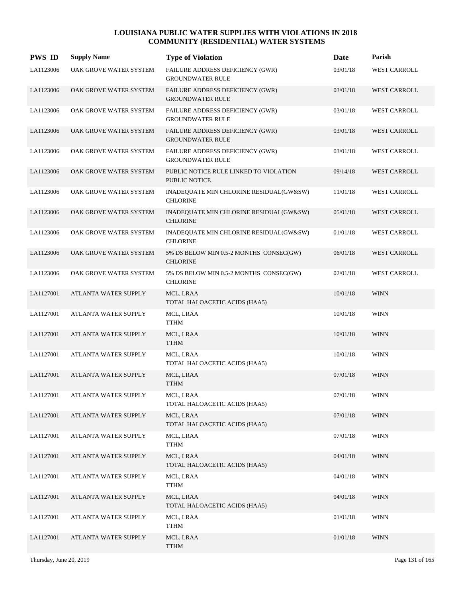| <b>PWS ID</b> | <b>Supply Name</b>     | <b>Type of Violation</b>                                           | Date     | Parish              |
|---------------|------------------------|--------------------------------------------------------------------|----------|---------------------|
| LA1123006     | OAK GROVE WATER SYSTEM | FAILURE ADDRESS DEFICIENCY (GWR)<br><b>GROUNDWATER RULE</b>        | 03/01/18 | WEST CARROLL        |
| LA1123006     | OAK GROVE WATER SYSTEM | FAILURE ADDRESS DEFICIENCY (GWR)<br><b>GROUNDWATER RULE</b>        | 03/01/18 | WEST CARROLL        |
| LA1123006     | OAK GROVE WATER SYSTEM | <b>FAILURE ADDRESS DEFICIENCY (GWR)</b><br><b>GROUNDWATER RULE</b> | 03/01/18 | <b>WEST CARROLL</b> |
| LA1123006     | OAK GROVE WATER SYSTEM | FAILURE ADDRESS DEFICIENCY (GWR)<br><b>GROUNDWATER RULE</b>        | 03/01/18 | <b>WEST CARROLL</b> |
| LA1123006     | OAK GROVE WATER SYSTEM | FAILURE ADDRESS DEFICIENCY (GWR)<br><b>GROUNDWATER RULE</b>        | 03/01/18 | <b>WEST CARROLL</b> |
| LA1123006     | OAK GROVE WATER SYSTEM | PUBLIC NOTICE RULE LINKED TO VIOLATION<br><b>PUBLIC NOTICE</b>     | 09/14/18 | <b>WEST CARROLL</b> |
| LA1123006     | OAK GROVE WATER SYSTEM | INADEQUATE MIN CHLORINE RESIDUAL(GW&SW)<br><b>CHLORINE</b>         | 11/01/18 | <b>WEST CARROLL</b> |
| LA1123006     | OAK GROVE WATER SYSTEM | INADEQUATE MIN CHLORINE RESIDUAL(GW&SW)<br><b>CHLORINE</b>         | 05/01/18 | <b>WEST CARROLL</b> |
| LA1123006     | OAK GROVE WATER SYSTEM | INADEQUATE MIN CHLORINE RESIDUAL(GW&SW)<br><b>CHLORINE</b>         | 01/01/18 | <b>WEST CARROLL</b> |
| LA1123006     | OAK GROVE WATER SYSTEM | 5% DS BELOW MIN 0.5-2 MONTHS CONSEC(GW)<br><b>CHLORINE</b>         | 06/01/18 | WEST CARROLL        |
| LA1123006     | OAK GROVE WATER SYSTEM | 5% DS BELOW MIN 0.5-2 MONTHS CONSEC(GW)<br><b>CHLORINE</b>         | 02/01/18 | WEST CARROLL        |
| LA1127001     | ATLANTA WATER SUPPLY   | MCL, LRAA<br>TOTAL HALOACETIC ACIDS (HAA5)                         | 10/01/18 | <b>WINN</b>         |
| LA1127001     | ATLANTA WATER SUPPLY   | MCL, LRAA<br>TTHM                                                  | 10/01/18 | <b>WINN</b>         |
| LA1127001     | ATLANTA WATER SUPPLY   | MCL, LRAA<br><b>TTHM</b>                                           | 10/01/18 | <b>WINN</b>         |
| LA1127001     | ATLANTA WATER SUPPLY   | MCL, LRAA<br>TOTAL HALOACETIC ACIDS (HAA5)                         | 10/01/18 | <b>WINN</b>         |
| LA1127001     | ATLANTA WATER SUPPLY   | MCL, LRAA<br><b>TTHM</b>                                           | 07/01/18 | <b>WINN</b>         |
| LA1127001     | ATLANTA WATER SUPPLY   | MCL, LRAA<br>TOTAL HALOACETIC ACIDS (HAA5)                         | 07/01/18 | <b>WINN</b>         |
| LA1127001     | ATLANTA WATER SUPPLY   | MCL, LRAA<br>TOTAL HALOACETIC ACIDS (HAA5)                         | 07/01/18 | <b>WINN</b>         |
| LA1127001     | ATLANTA WATER SUPPLY   | MCL, LRAA<br><b>TTHM</b>                                           | 07/01/18 | <b>WINN</b>         |
| LA1127001     | ATLANTA WATER SUPPLY   | MCL, LRAA<br>TOTAL HALOACETIC ACIDS (HAA5)                         | 04/01/18 | <b>WINN</b>         |
| LA1127001     | ATLANTA WATER SUPPLY   | MCL, LRAA<br><b>TTHM</b>                                           | 04/01/18 | <b>WINN</b>         |
| LA1127001     | ATLANTA WATER SUPPLY   | MCL, LRAA<br>TOTAL HALOACETIC ACIDS (HAA5)                         | 04/01/18 | <b>WINN</b>         |
| LA1127001     | ATLANTA WATER SUPPLY   | MCL, LRAA<br><b>TTHM</b>                                           | 01/01/18 | WINN                |
| LA1127001     | ATLANTA WATER SUPPLY   | MCL, LRAA<br><b>TTHM</b>                                           | 01/01/18 | <b>WINN</b>         |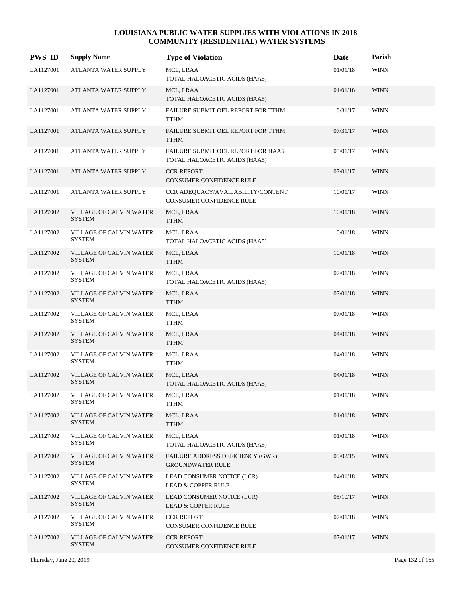| <b>PWS ID</b> | <b>Supply Name</b>                              | <b>Type of Violation</b>                                             | Date     | Parish      |
|---------------|-------------------------------------------------|----------------------------------------------------------------------|----------|-------------|
| LA1127001     | ATLANTA WATER SUPPLY                            | MCL, LRAA<br>TOTAL HALOACETIC ACIDS (HAA5)                           | 01/01/18 | <b>WINN</b> |
| LA1127001     | ATLANTA WATER SUPPLY                            | MCL, LRAA<br>TOTAL HALOACETIC ACIDS (HAA5)                           | 01/01/18 | <b>WINN</b> |
| LA1127001     | ATLANTA WATER SUPPLY                            | FAILURE SUBMIT OEL REPORT FOR TTHM<br><b>TTHM</b>                    | 10/31/17 | <b>WINN</b> |
| LA1127001     | ATLANTA WATER SUPPLY                            | FAILURE SUBMIT OEL REPORT FOR TTHM<br><b>TTHM</b>                    | 07/31/17 | <b>WINN</b> |
| LA1127001     | ATLANTA WATER SUPPLY                            | FAILURE SUBMIT OEL REPORT FOR HAA5<br>TOTAL HALOACETIC ACIDS (HAA5)  | 05/01/17 | <b>WINN</b> |
| LA1127001     | ATLANTA WATER SUPPLY                            | <b>CCR REPORT</b><br>CONSUMER CONFIDENCE RULE                        | 07/01/17 | <b>WINN</b> |
| LA1127001     | ATLANTA WATER SUPPLY                            | CCR ADEQUACY/AVAILABILITY/CONTENT<br><b>CONSUMER CONFIDENCE RULE</b> | 10/01/17 | <b>WINN</b> |
| LA1127002     | VILLAGE OF CALVIN WATER<br><b>SYSTEM</b>        | MCL, LRAA<br><b>TTHM</b>                                             | 10/01/18 | <b>WINN</b> |
| LA1127002     | VILLAGE OF CALVIN WATER<br><b>SYSTEM</b>        | MCL, LRAA<br>TOTAL HALOACETIC ACIDS (HAA5)                           | 10/01/18 | <b>WINN</b> |
| LA1127002     | VILLAGE OF CALVIN WATER<br><b>SYSTEM</b>        | MCL, LRAA<br><b>TTHM</b>                                             | 10/01/18 | <b>WINN</b> |
| LA1127002     | VILLAGE OF CALVIN WATER<br><b>SYSTEM</b>        | MCL, LRAA<br>TOTAL HALOACETIC ACIDS (HAA5)                           | 07/01/18 | <b>WINN</b> |
| LA1127002     | VILLAGE OF CALVIN WATER<br><b>SYSTEM</b>        | MCL, LRAA<br><b>TTHM</b>                                             | 07/01/18 | <b>WINN</b> |
| LA1127002     | VILLAGE OF CALVIN WATER<br><b>SYSTEM</b>        | MCL, LRAA<br><b>TTHM</b>                                             | 07/01/18 | <b>WINN</b> |
| LA1127002     | VILLAGE OF CALVIN WATER<br><b>SYSTEM</b>        | MCL, LRAA<br><b>TTHM</b>                                             | 04/01/18 | <b>WINN</b> |
| LA1127002     | VILLAGE OF CALVIN WATER<br><b>SYSTEM</b>        | MCL, LRAA<br><b>TTHM</b>                                             | 04/01/18 | <b>WINN</b> |
| LA1127002     | <b>VILLAGE OF CALVIN WATER</b><br><b>SYSTEM</b> | MCL, LRAA<br>TOTAL HALOACETIC ACIDS (HAA5)                           | 04/01/18 | <b>WINN</b> |
| LA1127002     | VILLAGE OF CALVIN WATER<br><b>SYSTEM</b>        | MCL, LRAA<br><b>TTHM</b>                                             | 01/01/18 | <b>WINN</b> |
| LA1127002     | VILLAGE OF CALVIN WATER<br><b>SYSTEM</b>        | MCL, LRAA<br><b>TTHM</b>                                             | 01/01/18 | <b>WINN</b> |
| LA1127002     | VILLAGE OF CALVIN WATER<br><b>SYSTEM</b>        | MCL, LRAA<br>TOTAL HALOACETIC ACIDS (HAA5)                           | 01/01/18 | <b>WINN</b> |
| LA1127002     | VILLAGE OF CALVIN WATER<br><b>SYSTEM</b>        | FAILURE ADDRESS DEFICIENCY (GWR)<br><b>GROUNDWATER RULE</b>          | 09/02/15 | <b>WINN</b> |
| LA1127002     | VILLAGE OF CALVIN WATER<br><b>SYSTEM</b>        | LEAD CONSUMER NOTICE (LCR)<br><b>LEAD &amp; COPPER RULE</b>          | 04/01/18 | <b>WINN</b> |
| LA1127002     | VILLAGE OF CALVIN WATER<br><b>SYSTEM</b>        | LEAD CONSUMER NOTICE (LCR)<br>LEAD & COPPER RULE                     | 05/10/17 | <b>WINN</b> |
| LA1127002     | VILLAGE OF CALVIN WATER<br><b>SYSTEM</b>        | <b>CCR REPORT</b><br>CONSUMER CONFIDENCE RULE                        | 07/01/18 | <b>WINN</b> |
| LA1127002     | VILLAGE OF CALVIN WATER<br><b>SYSTEM</b>        | <b>CCR REPORT</b><br>CONSUMER CONFIDENCE RULE                        | 07/01/17 | <b>WINN</b> |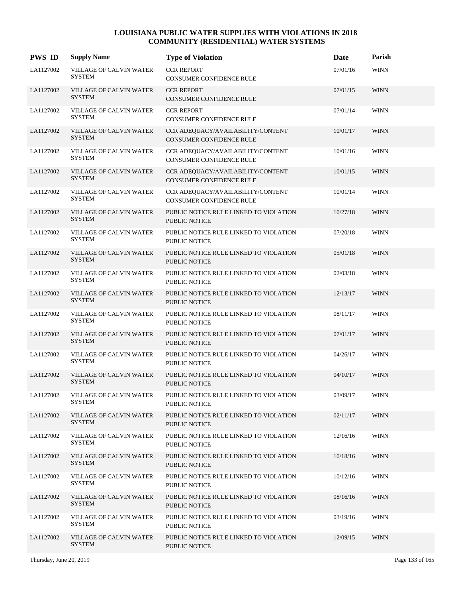| <b>PWS ID</b> | <b>Supply Name</b>                              | <b>Type of Violation</b>                                       | Date     | Parish      |
|---------------|-------------------------------------------------|----------------------------------------------------------------|----------|-------------|
| LA1127002     | VILLAGE OF CALVIN WATER<br>SYSTEM               | <b>CCR REPORT</b><br>CONSUMER CONFIDENCE RULE                  | 07/01/16 | <b>WINN</b> |
| LA1127002     | <b>VILLAGE OF CALVIN WATER</b><br><b>SYSTEM</b> | <b>CCR REPORT</b><br>CONSUMER CONFIDENCE RULE                  | 07/01/15 | <b>WINN</b> |
| LA1127002     | VILLAGE OF CALVIN WATER<br><b>SYSTEM</b>        | <b>CCR REPORT</b><br>CONSUMER CONFIDENCE RULE                  | 07/01/14 | <b>WINN</b> |
| LA1127002     | VILLAGE OF CALVIN WATER<br><b>SYSTEM</b>        | CCR ADEQUACY/AVAILABILITY/CONTENT<br>CONSUMER CONFIDENCE RULE  | 10/01/17 | <b>WINN</b> |
| LA1127002     | VILLAGE OF CALVIN WATER<br>SYSTEM               | CCR ADEQUACY/AVAILABILITY/CONTENT<br>CONSUMER CONFIDENCE RULE  | 10/01/16 | <b>WINN</b> |
| LA1127002     | VILLAGE OF CALVIN WATER<br><b>SYSTEM</b>        | CCR ADEQUACY/AVAILABILITY/CONTENT<br>CONSUMER CONFIDENCE RULE  | 10/01/15 | <b>WINN</b> |
| LA1127002     | VILLAGE OF CALVIN WATER<br><b>SYSTEM</b>        | CCR ADEQUACY/AVAILABILITY/CONTENT<br>CONSUMER CONFIDENCE RULE  | 10/01/14 | <b>WINN</b> |
| LA1127002     | VILLAGE OF CALVIN WATER<br><b>SYSTEM</b>        | PUBLIC NOTICE RULE LINKED TO VIOLATION<br>PUBLIC NOTICE        | 10/27/18 | <b>WINN</b> |
| LA1127002     | VILLAGE OF CALVIN WATER<br><b>SYSTEM</b>        | PUBLIC NOTICE RULE LINKED TO VIOLATION<br>PUBLIC NOTICE        | 07/20/18 | <b>WINN</b> |
| LA1127002     | VILLAGE OF CALVIN WATER<br><b>SYSTEM</b>        | PUBLIC NOTICE RULE LINKED TO VIOLATION<br>PUBLIC NOTICE        | 05/01/18 | <b>WINN</b> |
| LA1127002     | VILLAGE OF CALVIN WATER<br><b>SYSTEM</b>        | PUBLIC NOTICE RULE LINKED TO VIOLATION<br>PUBLIC NOTICE        | 02/03/18 | <b>WINN</b> |
| LA1127002     | <b>VILLAGE OF CALVIN WATER</b><br><b>SYSTEM</b> | PUBLIC NOTICE RULE LINKED TO VIOLATION<br><b>PUBLIC NOTICE</b> | 12/13/17 | <b>WINN</b> |
| LA1127002     | VILLAGE OF CALVIN WATER<br><b>SYSTEM</b>        | PUBLIC NOTICE RULE LINKED TO VIOLATION<br>PUBLIC NOTICE        | 08/11/17 | <b>WINN</b> |
| LA1127002     | <b>VILLAGE OF CALVIN WATER</b><br><b>SYSTEM</b> | PUBLIC NOTICE RULE LINKED TO VIOLATION<br><b>PUBLIC NOTICE</b> | 07/01/17 | <b>WINN</b> |
| LA1127002     | VILLAGE OF CALVIN WATER<br><b>SYSTEM</b>        | PUBLIC NOTICE RULE LINKED TO VIOLATION<br><b>PUBLIC NOTICE</b> | 04/26/17 | <b>WINN</b> |
| LA1127002     | <b>VILLAGE OF CALVIN WATER</b><br><b>SYSTEM</b> | PUBLIC NOTICE RULE LINKED TO VIOLATION<br><b>PUBLIC NOTICE</b> | 04/10/17 | <b>WINN</b> |
| LA1127002     | VILLAGE OF CALVIN WATER<br><b>SYSTEM</b>        | PUBLIC NOTICE RULE LINKED TO VIOLATION<br>PUBLIC NOTICE        | 03/09/17 | <b>WINN</b> |
| LA1127002     | VILLAGE OF CALVIN WATER<br><b>SYSTEM</b>        | PUBLIC NOTICE RULE LINKED TO VIOLATION<br>PUBLIC NOTICE        | 02/11/17 | <b>WINN</b> |
| LA1127002     | VILLAGE OF CALVIN WATER<br>SYSTEM               | PUBLIC NOTICE RULE LINKED TO VIOLATION<br>PUBLIC NOTICE        | 12/16/16 | <b>WINN</b> |
| LA1127002     | <b>VILLAGE OF CALVIN WATER</b><br><b>SYSTEM</b> | PUBLIC NOTICE RULE LINKED TO VIOLATION<br><b>PUBLIC NOTICE</b> | 10/18/16 | <b>WINN</b> |
| LA1127002     | VILLAGE OF CALVIN WATER<br><b>SYSTEM</b>        | PUBLIC NOTICE RULE LINKED TO VIOLATION<br>PUBLIC NOTICE        | 10/12/16 | <b>WINN</b> |
| LA1127002     | VILLAGE OF CALVIN WATER<br><b>SYSTEM</b>        | PUBLIC NOTICE RULE LINKED TO VIOLATION<br>PUBLIC NOTICE        | 08/16/16 | <b>WINN</b> |
| LA1127002     | VILLAGE OF CALVIN WATER<br>SYSTEM               | PUBLIC NOTICE RULE LINKED TO VIOLATION<br>PUBLIC NOTICE        | 03/19/16 | <b>WINN</b> |
| LA1127002     | VILLAGE OF CALVIN WATER<br>SYSTEM               | PUBLIC NOTICE RULE LINKED TO VIOLATION<br>PUBLIC NOTICE        | 12/09/15 | <b>WINN</b> |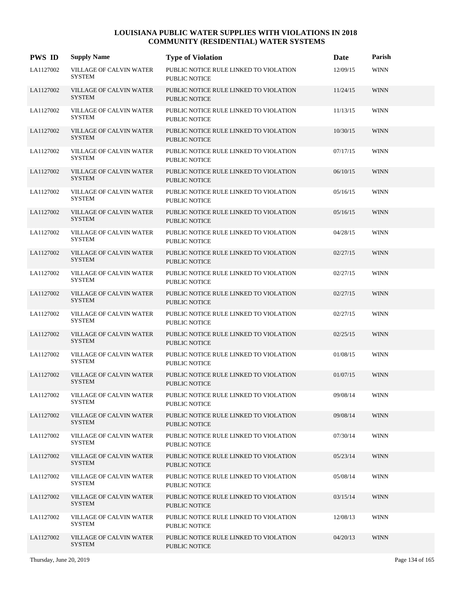| <b>PWS ID</b> | <b>Supply Name</b>                              | <b>Type of Violation</b>                                       | Date     | Parish      |
|---------------|-------------------------------------------------|----------------------------------------------------------------|----------|-------------|
| LA1127002     | <b>VILLAGE OF CALVIN WATER</b><br><b>SYSTEM</b> | PUBLIC NOTICE RULE LINKED TO VIOLATION<br><b>PUBLIC NOTICE</b> | 12/09/15 | <b>WINN</b> |
| LA1127002     | <b>VILLAGE OF CALVIN WATER</b><br><b>SYSTEM</b> | PUBLIC NOTICE RULE LINKED TO VIOLATION<br><b>PUBLIC NOTICE</b> | 11/24/15 | <b>WINN</b> |
| LA1127002     | VILLAGE OF CALVIN WATER<br><b>SYSTEM</b>        | PUBLIC NOTICE RULE LINKED TO VIOLATION<br><b>PUBLIC NOTICE</b> | 11/13/15 | <b>WINN</b> |
| LA1127002     | <b>VILLAGE OF CALVIN WATER</b><br><b>SYSTEM</b> | PUBLIC NOTICE RULE LINKED TO VIOLATION<br><b>PUBLIC NOTICE</b> | 10/30/15 | <b>WINN</b> |
| LA1127002     | VILLAGE OF CALVIN WATER<br><b>SYSTEM</b>        | PUBLIC NOTICE RULE LINKED TO VIOLATION<br><b>PUBLIC NOTICE</b> | 07/17/15 | <b>WINN</b> |
| LA1127002     | VILLAGE OF CALVIN WATER<br><b>SYSTEM</b>        | PUBLIC NOTICE RULE LINKED TO VIOLATION<br><b>PUBLIC NOTICE</b> | 06/10/15 | <b>WINN</b> |
| LA1127002     | VILLAGE OF CALVIN WATER<br><b>SYSTEM</b>        | PUBLIC NOTICE RULE LINKED TO VIOLATION<br><b>PUBLIC NOTICE</b> | 05/16/15 | <b>WINN</b> |
| LA1127002     | <b>VILLAGE OF CALVIN WATER</b><br><b>SYSTEM</b> | PUBLIC NOTICE RULE LINKED TO VIOLATION<br><b>PUBLIC NOTICE</b> | 05/16/15 | <b>WINN</b> |
| LA1127002     | VILLAGE OF CALVIN WATER<br><b>SYSTEM</b>        | PUBLIC NOTICE RULE LINKED TO VIOLATION<br><b>PUBLIC NOTICE</b> | 04/28/15 | <b>WINN</b> |
| LA1127002     | VILLAGE OF CALVIN WATER<br><b>SYSTEM</b>        | PUBLIC NOTICE RULE LINKED TO VIOLATION<br>PUBLIC NOTICE        | 02/27/15 | <b>WINN</b> |
| LA1127002     | VILLAGE OF CALVIN WATER<br><b>SYSTEM</b>        | PUBLIC NOTICE RULE LINKED TO VIOLATION<br><b>PUBLIC NOTICE</b> | 02/27/15 | <b>WINN</b> |
| LA1127002     | VILLAGE OF CALVIN WATER<br><b>SYSTEM</b>        | PUBLIC NOTICE RULE LINKED TO VIOLATION<br><b>PUBLIC NOTICE</b> | 02/27/15 | <b>WINN</b> |
| LA1127002     | VILLAGE OF CALVIN WATER<br><b>SYSTEM</b>        | PUBLIC NOTICE RULE LINKED TO VIOLATION<br><b>PUBLIC NOTICE</b> | 02/27/15 | <b>WINN</b> |
| LA1127002     | VILLAGE OF CALVIN WATER<br><b>SYSTEM</b>        | PUBLIC NOTICE RULE LINKED TO VIOLATION<br>PUBLIC NOTICE        | 02/25/15 | <b>WINN</b> |
| LA1127002     | VILLAGE OF CALVIN WATER<br><b>SYSTEM</b>        | PUBLIC NOTICE RULE LINKED TO VIOLATION<br><b>PUBLIC NOTICE</b> | 01/08/15 | <b>WINN</b> |
| LA1127002     | VILLAGE OF CALVIN WATER<br><b>SYSTEM</b>        | PUBLIC NOTICE RULE LINKED TO VIOLATION<br><b>PUBLIC NOTICE</b> | 01/07/15 | <b>WINN</b> |
| LA1127002     | VILLAGE OF CALVIN WATER<br><b>SYSTEM</b>        | PUBLIC NOTICE RULE LINKED TO VIOLATION<br><b>PUBLIC NOTICE</b> | 09/08/14 | <b>WINN</b> |
| LA1127002     | VILLAGE OF CALVIN WATER<br><b>SYSTEM</b>        | PUBLIC NOTICE RULE LINKED TO VIOLATION<br><b>PUBLIC NOTICE</b> | 09/08/14 | <b>WINN</b> |
| LA1127002     | VILLAGE OF CALVIN WATER<br><b>SYSTEM</b>        | PUBLIC NOTICE RULE LINKED TO VIOLATION<br><b>PUBLIC NOTICE</b> | 07/30/14 | <b>WINN</b> |
| LA1127002     | VILLAGE OF CALVIN WATER<br><b>SYSTEM</b>        | PUBLIC NOTICE RULE LINKED TO VIOLATION<br>PUBLIC NOTICE        | 05/23/14 | <b>WINN</b> |
| LA1127002     | VILLAGE OF CALVIN WATER<br><b>SYSTEM</b>        | PUBLIC NOTICE RULE LINKED TO VIOLATION<br>PUBLIC NOTICE        | 05/08/14 | <b>WINN</b> |
| LA1127002     | VILLAGE OF CALVIN WATER<br><b>SYSTEM</b>        | PUBLIC NOTICE RULE LINKED TO VIOLATION<br><b>PUBLIC NOTICE</b> | 03/15/14 | <b>WINN</b> |
| LA1127002     | VILLAGE OF CALVIN WATER<br><b>SYSTEM</b>        | PUBLIC NOTICE RULE LINKED TO VIOLATION<br><b>PUBLIC NOTICE</b> | 12/08/13 | <b>WINN</b> |
| LA1127002     | VILLAGE OF CALVIN WATER<br><b>SYSTEM</b>        | PUBLIC NOTICE RULE LINKED TO VIOLATION<br><b>PUBLIC NOTICE</b> | 04/20/13 | <b>WINN</b> |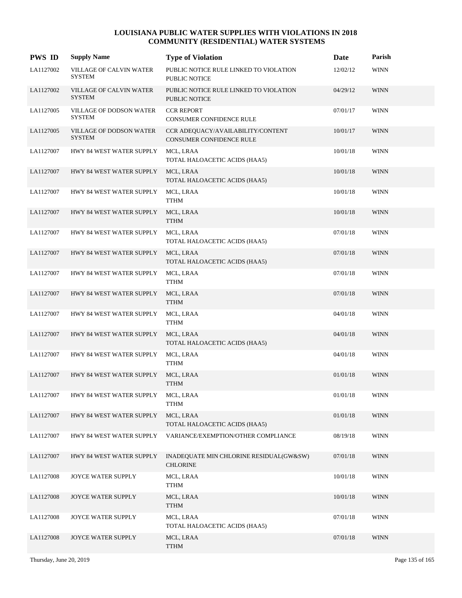| <b>PWS ID</b> | <b>Supply Name</b>                              | <b>Type of Violation</b>                                             | Date     | Parish      |
|---------------|-------------------------------------------------|----------------------------------------------------------------------|----------|-------------|
| LA1127002     | VILLAGE OF CALVIN WATER<br><b>SYSTEM</b>        | PUBLIC NOTICE RULE LINKED TO VIOLATION<br>PUBLIC NOTICE              | 12/02/12 | <b>WINN</b> |
| LA1127002     | <b>VILLAGE OF CALVIN WATER</b><br><b>SYSTEM</b> | PUBLIC NOTICE RULE LINKED TO VIOLATION<br><b>PUBLIC NOTICE</b>       | 04/29/12 | <b>WINN</b> |
| LA1127005     | VILLAGE OF DODSON WATER<br><b>SYSTEM</b>        | <b>CCR REPORT</b><br>CONSUMER CONFIDENCE RULE                        | 07/01/17 | <b>WINN</b> |
| LA1127005     | VILLAGE OF DODSON WATER<br><b>SYSTEM</b>        | CCR ADEQUACY/AVAILABILITY/CONTENT<br><b>CONSUMER CONFIDENCE RULE</b> | 10/01/17 | <b>WINN</b> |
| LA1127007     | HWY 84 WEST WATER SUPPLY                        | MCL, LRAA<br>TOTAL HALOACETIC ACIDS (HAA5)                           | 10/01/18 | <b>WINN</b> |
| LA1127007     | HWY 84 WEST WATER SUPPLY                        | MCL, LRAA<br>TOTAL HALOACETIC ACIDS (HAA5)                           | 10/01/18 | <b>WINN</b> |
| LA1127007     | HWY 84 WEST WATER SUPPLY                        | MCL, LRAA<br><b>TTHM</b>                                             | 10/01/18 | <b>WINN</b> |
| LA1127007     | HWY 84 WEST WATER SUPPLY                        | MCL, LRAA<br><b>TTHM</b>                                             | 10/01/18 | <b>WINN</b> |
| LA1127007     | HWY 84 WEST WATER SUPPLY                        | MCL, LRAA<br>TOTAL HALOACETIC ACIDS (HAA5)                           | 07/01/18 | <b>WINN</b> |
| LA1127007     | HWY 84 WEST WATER SUPPLY                        | MCL, LRAA<br>TOTAL HALOACETIC ACIDS (HAA5)                           | 07/01/18 | <b>WINN</b> |
| LA1127007     | HWY 84 WEST WATER SUPPLY                        | MCL, LRAA<br><b>TTHM</b>                                             | 07/01/18 | <b>WINN</b> |
| LA1127007     | HWY 84 WEST WATER SUPPLY                        | MCL, LRAA<br><b>TTHM</b>                                             | 07/01/18 | <b>WINN</b> |
| LA1127007     | HWY 84 WEST WATER SUPPLY                        | MCL, LRAA<br><b>TTHM</b>                                             | 04/01/18 | <b>WINN</b> |
| LA1127007     | HWY 84 WEST WATER SUPPLY                        | MCL, LRAA<br>TOTAL HALOACETIC ACIDS (HAA5)                           | 04/01/18 | <b>WINN</b> |
| LA1127007     | HWY 84 WEST WATER SUPPLY                        | MCL, LRAA<br><b>TTHM</b>                                             | 04/01/18 | <b>WINN</b> |
| LA1127007     | HWY 84 WEST WATER SUPPLY                        | MCL, LRAA<br><b>TTHM</b>                                             | 01/01/18 | <b>WINN</b> |
| LA1127007     | HWY 84 WEST WATER SUPPLY                        | MCL, LRAA<br><b>TTHM</b>                                             | 01/01/18 | <b>WINN</b> |
| LA1127007     | HWY 84 WEST WATER SUPPLY                        | MCL, LRAA<br>TOTAL HALOACETIC ACIDS (HAA5)                           | 01/01/18 | <b>WINN</b> |
| LA1127007     | HWY 84 WEST WATER SUPPLY                        | VARIANCE/EXEMPTION/OTHER COMPLIANCE                                  | 08/19/18 | WINN        |
| LA1127007     | HWY 84 WEST WATER SUPPLY                        | INADEQUATE MIN CHLORINE RESIDUAL(GW&SW)<br><b>CHLORINE</b>           | 07/01/18 | <b>WINN</b> |
| LA1127008     | JOYCE WATER SUPPLY                              | MCL, LRAA<br><b>TTHM</b>                                             | 10/01/18 | <b>WINN</b> |
| LA1127008     | JOYCE WATER SUPPLY                              | MCL, LRAA<br><b>TTHM</b>                                             | 10/01/18 | <b>WINN</b> |
| LA1127008     | JOYCE WATER SUPPLY                              | MCL, LRAA<br>TOTAL HALOACETIC ACIDS (HAA5)                           | 07/01/18 | <b>WINN</b> |
| LA1127008     | JOYCE WATER SUPPLY                              | MCL, LRAA<br><b>TTHM</b>                                             | 07/01/18 | <b>WINN</b> |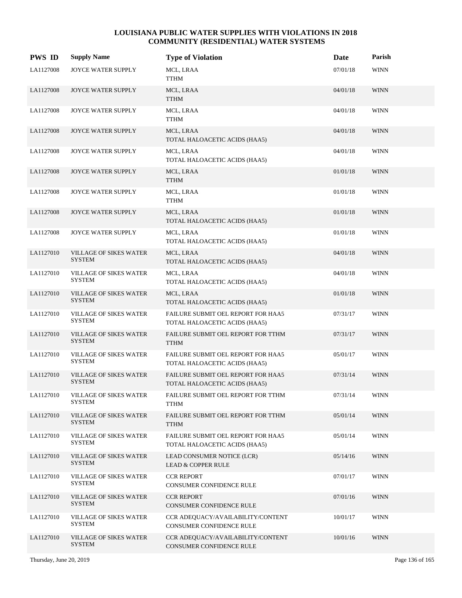| <b>PWS ID</b> | <b>Supply Name</b>                             | <b>Type of Violation</b>                                            | Date     | Parish      |
|---------------|------------------------------------------------|---------------------------------------------------------------------|----------|-------------|
| LA1127008     | JOYCE WATER SUPPLY                             | MCL, LRAA<br><b>TTHM</b>                                            | 07/01/18 | <b>WINN</b> |
| LA1127008     | JOYCE WATER SUPPLY                             | MCL, LRAA<br><b>TTHM</b>                                            | 04/01/18 | <b>WINN</b> |
| LA1127008     | JOYCE WATER SUPPLY                             | MCL, LRAA<br><b>TTHM</b>                                            | 04/01/18 | <b>WINN</b> |
| LA1127008     | <b>JOYCE WATER SUPPLY</b>                      | MCL, LRAA<br>TOTAL HALOACETIC ACIDS (HAA5)                          | 04/01/18 | <b>WINN</b> |
| LA1127008     | JOYCE WATER SUPPLY                             | MCL, LRAA<br>TOTAL HALOACETIC ACIDS (HAA5)                          | 04/01/18 | <b>WINN</b> |
| LA1127008     | <b>JOYCE WATER SUPPLY</b>                      | MCL, LRAA<br><b>TTHM</b>                                            | 01/01/18 | <b>WINN</b> |
| LA1127008     | JOYCE WATER SUPPLY                             | MCL, LRAA<br><b>TTHM</b>                                            | 01/01/18 | <b>WINN</b> |
| LA1127008     | <b>JOYCE WATER SUPPLY</b>                      | MCL, LRAA<br>TOTAL HALOACETIC ACIDS (HAA5)                          | 01/01/18 | <b>WINN</b> |
| LA1127008     | JOYCE WATER SUPPLY                             | MCL, LRAA<br>TOTAL HALOACETIC ACIDS (HAA5)                          | 01/01/18 | <b>WINN</b> |
| LA1127010     | <b>VILLAGE OF SIKES WATER</b><br><b>SYSTEM</b> | MCL, LRAA<br>TOTAL HALOACETIC ACIDS (HAA5)                          | 04/01/18 | <b>WINN</b> |
| LA1127010     | <b>VILLAGE OF SIKES WATER</b><br><b>SYSTEM</b> | MCL, LRAA<br>TOTAL HALOACETIC ACIDS (HAA5)                          | 04/01/18 | <b>WINN</b> |
| LA1127010     | <b>VILLAGE OF SIKES WATER</b><br><b>SYSTEM</b> | MCL, LRAA<br>TOTAL HALOACETIC ACIDS (HAA5)                          | 01/01/18 | <b>WINN</b> |
| LA1127010     | <b>VILLAGE OF SIKES WATER</b><br>SYSTEM        | FAILURE SUBMIT OEL REPORT FOR HAA5<br>TOTAL HALOACETIC ACIDS (HAA5) | 07/31/17 | <b>WINN</b> |
| LA1127010     | <b>VILLAGE OF SIKES WATER</b><br><b>SYSTEM</b> | FAILURE SUBMIT OEL REPORT FOR TTHM<br><b>TTHM</b>                   | 07/31/17 | <b>WINN</b> |
| LA1127010     | <b>VILLAGE OF SIKES WATER</b><br><b>SYSTEM</b> | FAILURE SUBMIT OEL REPORT FOR HAA5<br>TOTAL HALOACETIC ACIDS (HAA5) | 05/01/17 | <b>WINN</b> |
| LA1127010     | <b>VILLAGE OF SIKES WATER</b><br><b>SYSTEM</b> | FAILURE SUBMIT OEL REPORT FOR HAA5<br>TOTAL HALOACETIC ACIDS (HAA5) | 07/31/14 | <b>WINN</b> |
| LA1127010     | VILLAGE OF SIKES WATER<br><b>SYSTEM</b>        | FAILURE SUBMIT OEL REPORT FOR TTHM<br><b>TTHM</b>                   | 07/31/14 | <b>WINN</b> |
| LA1127010     | <b>VILLAGE OF SIKES WATER</b><br><b>SYSTEM</b> | FAILURE SUBMIT OEL REPORT FOR TTHM<br><b>TTHM</b>                   | 05/01/14 | <b>WINN</b> |
| LA1127010     | <b>VILLAGE OF SIKES WATER</b><br>SYSTEM        | FAILURE SUBMIT OEL REPORT FOR HAA5<br>TOTAL HALOACETIC ACIDS (HAA5) | 05/01/14 | <b>WINN</b> |
| LA1127010     | <b>VILLAGE OF SIKES WATER</b><br><b>SYSTEM</b> | LEAD CONSUMER NOTICE (LCR)<br><b>LEAD &amp; COPPER RULE</b>         | 05/14/16 | <b>WINN</b> |
| LA1127010     | <b>VILLAGE OF SIKES WATER</b><br><b>SYSTEM</b> | <b>CCR REPORT</b><br>CONSUMER CONFIDENCE RULE                       | 07/01/17 | <b>WINN</b> |
| LA1127010     | <b>VILLAGE OF SIKES WATER</b><br><b>SYSTEM</b> | <b>CCR REPORT</b><br>CONSUMER CONFIDENCE RULE                       | 07/01/16 | <b>WINN</b> |
| LA1127010     | <b>VILLAGE OF SIKES WATER</b><br><b>SYSTEM</b> | CCR ADEQUACY/AVAILABILITY/CONTENT<br>CONSUMER CONFIDENCE RULE       | 10/01/17 | <b>WINN</b> |
| LA1127010     | <b>VILLAGE OF SIKES WATER</b><br><b>SYSTEM</b> | CCR ADEQUACY/AVAILABILITY/CONTENT<br>CONSUMER CONFIDENCE RULE       | 10/01/16 | <b>WINN</b> |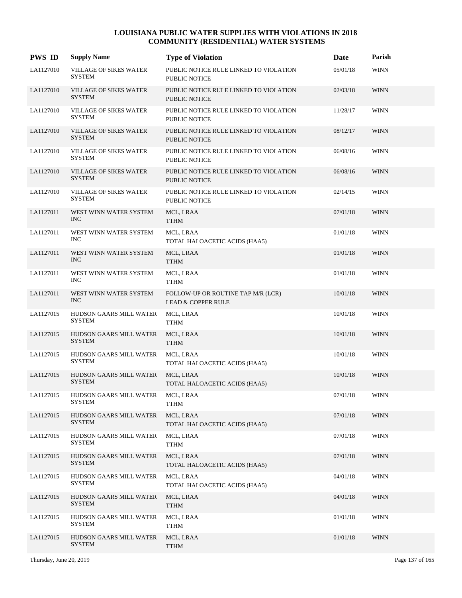| <b>PWS ID</b> | <b>Supply Name</b>                             | <b>Type of Violation</b>                                            | <b>Date</b> | Parish      |
|---------------|------------------------------------------------|---------------------------------------------------------------------|-------------|-------------|
| LA1127010     | VILLAGE OF SIKES WATER<br><b>SYSTEM</b>        | PUBLIC NOTICE RULE LINKED TO VIOLATION<br><b>PUBLIC NOTICE</b>      | 05/01/18    | <b>WINN</b> |
| LA1127010     | <b>VILLAGE OF SIKES WATER</b><br><b>SYSTEM</b> | PUBLIC NOTICE RULE LINKED TO VIOLATION<br><b>PUBLIC NOTICE</b>      | 02/03/18    | <b>WINN</b> |
| LA1127010     | <b>VILLAGE OF SIKES WATER</b><br><b>SYSTEM</b> | PUBLIC NOTICE RULE LINKED TO VIOLATION<br>PUBLIC NOTICE             | 11/28/17    | <b>WINN</b> |
| LA1127010     | <b>VILLAGE OF SIKES WATER</b><br><b>SYSTEM</b> | PUBLIC NOTICE RULE LINKED TO VIOLATION<br><b>PUBLIC NOTICE</b>      | 08/12/17    | <b>WINN</b> |
| LA1127010     | VILLAGE OF SIKES WATER<br><b>SYSTEM</b>        | PUBLIC NOTICE RULE LINKED TO VIOLATION<br><b>PUBLIC NOTICE</b>      | 06/08/16    | <b>WINN</b> |
| LA1127010     | VILLAGE OF SIKES WATER<br><b>SYSTEM</b>        | PUBLIC NOTICE RULE LINKED TO VIOLATION<br><b>PUBLIC NOTICE</b>      | 06/08/16    | <b>WINN</b> |
| LA1127010     | VILLAGE OF SIKES WATER<br><b>SYSTEM</b>        | PUBLIC NOTICE RULE LINKED TO VIOLATION<br><b>PUBLIC NOTICE</b>      | 02/14/15    | <b>WINN</b> |
| LA1127011     | WEST WINN WATER SYSTEM<br><b>INC</b>           | MCL, LRAA<br><b>TTHM</b>                                            | 07/01/18    | <b>WINN</b> |
| LA1127011     | WEST WINN WATER SYSTEM<br><b>INC</b>           | MCL, LRAA<br>TOTAL HALOACETIC ACIDS (HAA5)                          | 01/01/18    | <b>WINN</b> |
| LA1127011     | WEST WINN WATER SYSTEM<br><b>INC</b>           | MCL, LRAA<br><b>TTHM</b>                                            | 01/01/18    | <b>WINN</b> |
| LA1127011     | WEST WINN WATER SYSTEM<br><b>INC</b>           | MCL, LRAA<br><b>TTHM</b>                                            | 01/01/18    | <b>WINN</b> |
| LA1127011     | WEST WINN WATER SYSTEM<br>$\rm{INC}$           | FOLLOW-UP OR ROUTINE TAP M/R (LCR)<br><b>LEAD &amp; COPPER RULE</b> | 10/01/18    | <b>WINN</b> |
| LA1127015     | HUDSON GAARS MILL WATER<br><b>SYSTEM</b>       | MCL, LRAA<br><b>TTHM</b>                                            | 10/01/18    | <b>WINN</b> |
| LA1127015     | HUDSON GAARS MILL WATER<br><b>SYSTEM</b>       | MCL, LRAA<br><b>TTHM</b>                                            | 10/01/18    | <b>WINN</b> |
| LA1127015     | HUDSON GAARS MILL WATER<br><b>SYSTEM</b>       | MCL, LRAA<br>TOTAL HALOACETIC ACIDS (HAA5)                          | 10/01/18    | <b>WINN</b> |
| LA1127015     | HUDSON GAARS MILL WATER<br><b>SYSTEM</b>       | MCL, LRAA<br>TOTAL HALOACETIC ACIDS (HAA5)                          | 10/01/18    | <b>WINN</b> |
| LA1127015     | HUDSON GAARS MILL WATER<br><b>SYSTEM</b>       | MCL, LRAA<br><b>TTHM</b>                                            | 07/01/18    | <b>WINN</b> |
| LA1127015     | HUDSON GAARS MILL WATER<br><b>SYSTEM</b>       | MCL, LRAA<br>TOTAL HALOACETIC ACIDS (HAA5)                          | 07/01/18    | <b>WINN</b> |
| LA1127015     | HUDSON GAARS MILL WATER<br><b>SYSTEM</b>       | MCL, LRAA<br><b>TTHM</b>                                            | 07/01/18    | WINN        |
| LA1127015     | HUDSON GAARS MILL WATER<br><b>SYSTEM</b>       | MCL, LRAA<br>TOTAL HALOACETIC ACIDS (HAA5)                          | 07/01/18    | <b>WINN</b> |
| LA1127015     | HUDSON GAARS MILL WATER<br><b>SYSTEM</b>       | MCL, LRAA<br>TOTAL HALOACETIC ACIDS (HAA5)                          | 04/01/18    | <b>WINN</b> |
| LA1127015     | HUDSON GAARS MILL WATER<br><b>SYSTEM</b>       | MCL, LRAA<br><b>TTHM</b>                                            | 04/01/18    | <b>WINN</b> |
| LA1127015     | HUDSON GAARS MILL WATER<br><b>SYSTEM</b>       | MCL, LRAA<br><b>TTHM</b>                                            | 01/01/18    | <b>WINN</b> |
| LA1127015     | HUDSON GAARS MILL WATER<br><b>SYSTEM</b>       | MCL, LRAA<br><b>TTHM</b>                                            | 01/01/18    | <b>WINN</b> |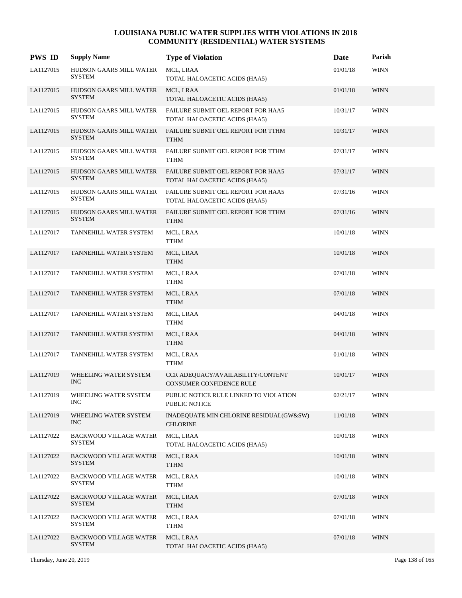| <b>PWS ID</b> | <b>Supply Name</b>                             | <b>Type of Violation</b>                                             | Date     | Parish      |
|---------------|------------------------------------------------|----------------------------------------------------------------------|----------|-------------|
| LA1127015     | HUDSON GAARS MILL WATER<br><b>SYSTEM</b>       | MCL, LRAA<br>TOTAL HALOACETIC ACIDS (HAA5)                           | 01/01/18 | <b>WINN</b> |
| LA1127015     | HUDSON GAARS MILL WATER<br><b>SYSTEM</b>       | MCL, LRAA<br>TOTAL HALOACETIC ACIDS (HAA5)                           | 01/01/18 | <b>WINN</b> |
| LA1127015     | HUDSON GAARS MILL WATER<br><b>SYSTEM</b>       | FAILURE SUBMIT OEL REPORT FOR HAA5<br>TOTAL HALOACETIC ACIDS (HAA5)  | 10/31/17 | <b>WINN</b> |
| LA1127015     | HUDSON GAARS MILL WATER<br><b>SYSTEM</b>       | FAILURE SUBMIT OEL REPORT FOR TTHM<br><b>TTHM</b>                    | 10/31/17 | <b>WINN</b> |
| LA1127015     | HUDSON GAARS MILL WATER<br>SYSTEM              | FAILURE SUBMIT OEL REPORT FOR TTHM<br><b>TTHM</b>                    | 07/31/17 | <b>WINN</b> |
| LA1127015     | HUDSON GAARS MILL WATER<br><b>SYSTEM</b>       | FAILURE SUBMIT OEL REPORT FOR HAA5<br>TOTAL HALOACETIC ACIDS (HAA5)  | 07/31/17 | <b>WINN</b> |
| LA1127015     | HUDSON GAARS MILL WATER<br><b>SYSTEM</b>       | FAILURE SUBMIT OEL REPORT FOR HAA5<br>TOTAL HALOACETIC ACIDS (HAA5)  | 07/31/16 | <b>WINN</b> |
| LA1127015     | HUDSON GAARS MILL WATER<br><b>SYSTEM</b>       | FAILURE SUBMIT OEL REPORT FOR TTHM<br><b>TTHM</b>                    | 07/31/16 | <b>WINN</b> |
| LA1127017     | TANNEHILL WATER SYSTEM                         | MCL, LRAA<br>TTHM                                                    | 10/01/18 | <b>WINN</b> |
| LA1127017     | TANNEHILL WATER SYSTEM                         | MCL, LRAA<br><b>TTHM</b>                                             | 10/01/18 | <b>WINN</b> |
| LA1127017     | TANNEHILL WATER SYSTEM                         | MCL, LRAA<br><b>TTHM</b>                                             | 07/01/18 | <b>WINN</b> |
| LA1127017     | TANNEHILL WATER SYSTEM                         | MCL, LRAA<br><b>TTHM</b>                                             | 07/01/18 | <b>WINN</b> |
| LA1127017     | TANNEHILL WATER SYSTEM                         | MCL, LRAA<br>TTHM                                                    | 04/01/18 | <b>WINN</b> |
| LA1127017     | TANNEHILL WATER SYSTEM                         | MCL, LRAA<br><b>TTHM</b>                                             | 04/01/18 | <b>WINN</b> |
| LA1127017     | TANNEHILL WATER SYSTEM                         | MCL, LRAA<br><b>TTHM</b>                                             | 01/01/18 | <b>WINN</b> |
| LA1127019     | WHEELING WATER SYSTEM<br><b>INC</b>            | CCR ADEQUACY/AVAILABILITY/CONTENT<br><b>CONSUMER CONFIDENCE RULE</b> | 10/01/17 | <b>WINN</b> |
| LA1127019     | WHEELING WATER SYSTEM<br><b>INC</b>            | PUBLIC NOTICE RULE LINKED TO VIOLATION<br>PUBLIC NOTICE              | 02/21/17 | <b>WINN</b> |
| LA1127019     | WHEELING WATER SYSTEM<br><b>INC</b>            | INADEQUATE MIN CHLORINE RESIDUAL(GW&SW)<br><b>CHLORINE</b>           | 11/01/18 | <b>WINN</b> |
| LA1127022     | <b>BACKWOOD VILLAGE WATER</b><br><b>SYSTEM</b> | MCL, LRAA<br>TOTAL HALOACETIC ACIDS (HAA5)                           | 10/01/18 | <b>WINN</b> |
| LA1127022     | <b>BACKWOOD VILLAGE WATER</b><br><b>SYSTEM</b> | MCL, LRAA<br><b>TTHM</b>                                             | 10/01/18 | <b>WINN</b> |
| LA1127022     | BACKWOOD VILLAGE WATER<br><b>SYSTEM</b>        | MCL, LRAA<br><b>TTHM</b>                                             | 10/01/18 | <b>WINN</b> |
| LA1127022     | <b>BACKWOOD VILLAGE WATER</b><br><b>SYSTEM</b> | MCL, LRAA<br><b>TTHM</b>                                             | 07/01/18 | <b>WINN</b> |
| LA1127022     | <b>BACKWOOD VILLAGE WATER</b><br><b>SYSTEM</b> | MCL, LRAA<br>TTHM                                                    | 07/01/18 | <b>WINN</b> |
| LA1127022     | <b>BACKWOOD VILLAGE WATER</b><br><b>SYSTEM</b> | MCL, LRAA<br>TOTAL HALOACETIC ACIDS (HAA5)                           | 07/01/18 | <b>WINN</b> |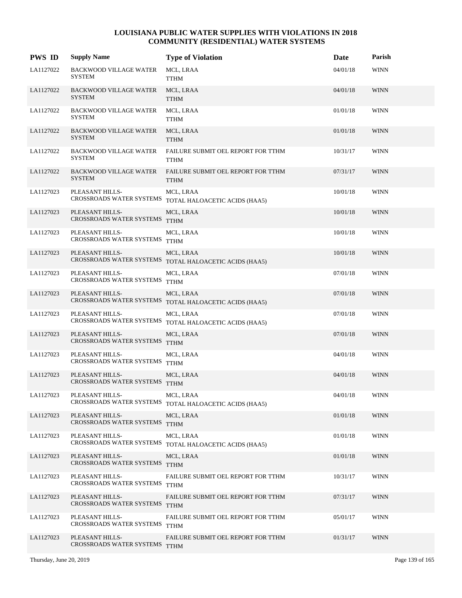| <b>PWS ID</b> | <b>Supply Name</b>                               | <b>Type of Violation</b>                                            | Date     | Parish      |
|---------------|--------------------------------------------------|---------------------------------------------------------------------|----------|-------------|
| LA1127022     | <b>BACKWOOD VILLAGE WATER</b><br><b>SYSTEM</b>   | MCL, LRAA<br><b>TTHM</b>                                            | 04/01/18 | <b>WINN</b> |
| LA1127022     | <b>BACKWOOD VILLAGE WATER</b><br><b>SYSTEM</b>   | MCL, LRAA<br><b>TTHM</b>                                            | 04/01/18 | <b>WINN</b> |
| LA1127022     | <b>BACKWOOD VILLAGE WATER</b><br><b>SYSTEM</b>   | MCL, LRAA<br><b>TTHM</b>                                            | 01/01/18 | <b>WINN</b> |
| LA1127022     | <b>BACKWOOD VILLAGE WATER</b><br><b>SYSTEM</b>   | MCL, LRAA<br><b>TTHM</b>                                            | 01/01/18 | <b>WINN</b> |
| LA1127022     | <b>BACKWOOD VILLAGE WATER</b><br><b>SYSTEM</b>   | FAILURE SUBMIT OEL REPORT FOR TTHM<br>TTHM                          | 10/31/17 | <b>WINN</b> |
| LA1127022     | <b>BACKWOOD VILLAGE WATER</b><br><b>SYSTEM</b>   | FAILURE SUBMIT OEL REPORT FOR TTHM<br><b>TTHM</b>                   | 07/31/17 | <b>WINN</b> |
| LA1127023     | PLEASANT HILLS-                                  | MCL, LRAA<br>CROSSROADS WATER SYSTEMS TOTAL HALOACETIC ACIDS (HAA5) | 10/01/18 | <b>WINN</b> |
| LA1127023     | PLEASANT HILLS-<br>CROSSROADS WATER SYSTEMS TTHM | MCL, LRAA                                                           | 10/01/18 | <b>WINN</b> |
| LA1127023     | PLEASANT HILLS-<br>CROSSROADS WATER SYSTEMS TTHM | MCL, LRAA                                                           | 10/01/18 | <b>WINN</b> |
| LA1127023     | PLEASANT HILLS-                                  | MCL, LRAA<br>CROSSROADS WATER SYSTEMS TOTAL HALOACETIC ACIDS (HAA5) | 10/01/18 | <b>WINN</b> |
| LA1127023     | PLEASANT HILLS-<br>CROSSROADS WATER SYSTEMS TTHM | MCL, LRAA                                                           | 07/01/18 | <b>WINN</b> |
| LA1127023     | PLEASANT HILLS-                                  | MCL, LRAA<br>CROSSROADS WATER SYSTEMS TOTAL HALOACETIC ACIDS (HAA5) | 07/01/18 | <b>WINN</b> |
| LA1127023     | PLEASANT HILLS-<br>CROSSROADS WATER SYSTEMS      | MCL, LRAA<br>TOTAL HALOACETIC ACIDS (HAA5)                          | 07/01/18 | <b>WINN</b> |
| LA1127023     | PLEASANT HILLS-<br>CROSSROADS WATER SYSTEMS TTHM | MCL, LRAA                                                           | 07/01/18 | <b>WINN</b> |
| LA1127023     | PLEASANT HILLS-<br>CROSSROADS WATER SYSTEMS TTHM | MCL, LRAA                                                           | 04/01/18 | <b>WINN</b> |
| LA1127023     | PLEASANT HILLS-<br>CROSSROADS WATER SYSTEMS TTHM | MCL, LRAA                                                           | 04/01/18 | <b>WINN</b> |
| LA1127023     | PLEASANT HILLS-                                  | MCL, LRAA<br>CROSSROADS WATER SYSTEMS TOTAL HALOACETIC ACIDS (HAA5) | 04/01/18 | <b>WINN</b> |
| LA1127023     | PLEASANT HILLS-<br>CROSSROADS WATER SYSTEMS TTHM | MCL, LRAA                                                           | 01/01/18 | <b>WINN</b> |
| LA1127023     | PLEASANT HILLS-                                  | MCL, LRAA<br>CROSSROADS WATER SYSTEMS TOTAL HALOACETIC ACIDS (HAA5) | 01/01/18 | <b>WINN</b> |
| LA1127023     | PLEASANT HILLS-<br>CROSSROADS WATER SYSTEMS TTHM | MCL, LRAA                                                           | 01/01/18 | <b>WINN</b> |
| LA1127023     | PLEASANT HILLS-<br>CROSSROADS WATER SYSTEMS      | FAILURE SUBMIT OEL REPORT FOR TTHM<br><b>TTHM</b>                   | 10/31/17 | <b>WINN</b> |
| LA1127023     | PLEASANT HILLS-<br>CROSSROADS WATER SYSTEMS TTHM | FAILURE SUBMIT OEL REPORT FOR TTHM                                  | 07/31/17 | <b>WINN</b> |
| LA1127023     | PLEASANT HILLS-<br>CROSSROADS WATER SYSTEMS      | FAILURE SUBMIT OEL REPORT FOR TTHM<br><b>TTHM</b>                   | 05/01/17 | <b>WINN</b> |
| LA1127023     | PLEASANT HILLS-<br>CROSSROADS WATER SYSTEMS      | FAILURE SUBMIT OEL REPORT FOR TTHM<br><b>TTHM</b>                   | 01/31/17 | <b>WINN</b> |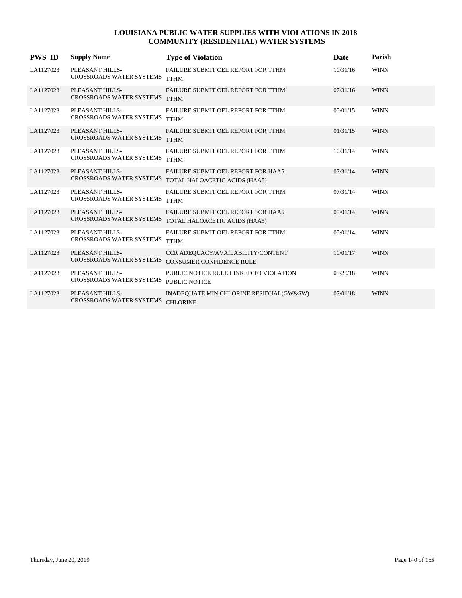| <b>PWS ID</b> | <b>Supply Name</b>                                 | <b>Type of Violation</b>                                                                     | Date     | Parish      |
|---------------|----------------------------------------------------|----------------------------------------------------------------------------------------------|----------|-------------|
| LA1127023     | PLEASANT HILLS-<br>CROSSROADS WATER SYSTEMS        | FAILURE SUBMIT OEL REPORT FOR TTHM<br><b>TTHM</b>                                            | 10/31/16 | <b>WINN</b> |
| LA1127023     | PLEASANT HILLS-<br><b>CROSSROADS WATER SYSTEMS</b> | FAILURE SUBMIT OEL REPORT FOR TTHM<br><b>TTHM</b>                                            | 07/31/16 | <b>WINN</b> |
| LA1127023     | PLEASANT HILLS-<br><b>CROSSROADS WATER SYSTEMS</b> | FAILURE SUBMIT OEL REPORT FOR TTHM<br><b>TTHM</b>                                            | 05/01/15 | <b>WINN</b> |
| LA1127023     | PLEASANT HILLS-<br><b>CROSSROADS WATER SYSTEMS</b> | FAILURE SUBMIT OEL REPORT FOR TTHM<br><b>TTHM</b>                                            | 01/31/15 | <b>WINN</b> |
| LA1127023     | PLEASANT HILLS-<br>CROSSROADS WATER SYSTEMS        | FAILURE SUBMIT OEL REPORT FOR TTHM<br><b>TTHM</b>                                            | 10/31/14 | <b>WINN</b> |
| LA1127023     | PLEASANT HILLS-<br><b>CROSSROADS WATER SYSTEMS</b> | <b>FAILURE SUBMIT OEL REPORT FOR HAA5</b><br>TOTAL HALOACETIC ACIDS (HAA5)                   | 07/31/14 | <b>WINN</b> |
| LA1127023     | PLEASANT HILLS-<br>CROSSROADS WATER SYSTEMS        | <b>FAILURE SUBMIT OEL REPORT FOR TTHM</b><br><b>TTHM</b>                                     | 07/31/14 | <b>WINN</b> |
| LA1127023     | PLEASANT HILLS-                                    | FAILURE SUBMIT OEL REPORT FOR HAA5<br>CROSSROADS WATER SYSTEMS TOTAL HALOACETIC ACIDS (HAA5) | 05/01/14 | <b>WINN</b> |
| LA1127023     | PLEASANT HILLS-<br><b>CROSSROADS WATER SYSTEMS</b> | FAILURE SUBMIT OEL REPORT FOR TTHM<br><b>TTHM</b>                                            | 05/01/14 | <b>WINN</b> |
| LA1127023     | PLEASANT HILLS-<br><b>CROSSROADS WATER SYSTEMS</b> | CCR ADEQUACY/AVAILABILITY/CONTENT<br><b>CONSUMER CONFIDENCE RULE</b>                         | 10/01/17 | <b>WINN</b> |
| LA1127023     | PLEASANT HILLS-<br><b>CROSSROADS WATER SYSTEMS</b> | PUBLIC NOTICE RULE LINKED TO VIOLATION<br><b>PUBLIC NOTICE</b>                               | 03/20/18 | <b>WINN</b> |
| LA1127023     | PLEASANT HILLS-<br><b>CROSSROADS WATER SYSTEMS</b> | INADEQUATE MIN CHLORINE RESIDUAL(GW&SW)<br><b>CHLORINE</b>                                   | 07/01/18 | <b>WINN</b> |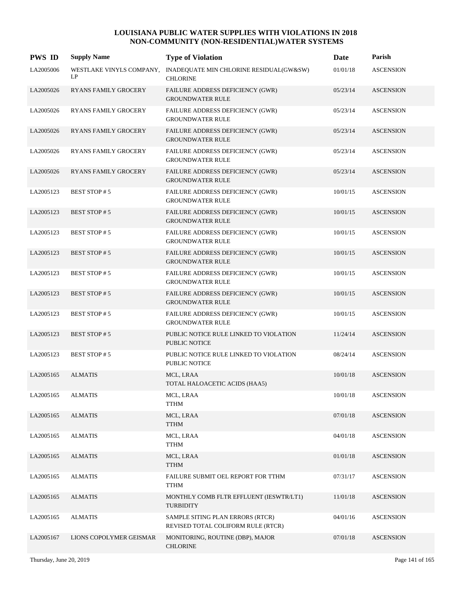| <b>PWS ID</b> | <b>Supply Name</b>             | <b>Type of Violation</b>                                               | Date     | Parish           |
|---------------|--------------------------------|------------------------------------------------------------------------|----------|------------------|
| LA2005006     | WESTLAKE VINYLS COMPANY,<br>LP | INADEQUATE MIN CHLORINE RESIDUAL(GW&SW)<br><b>CHLORINE</b>             | 01/01/18 | <b>ASCENSION</b> |
| LA2005026     | <b>RYANS FAMILY GROCERY</b>    | FAILURE ADDRESS DEFICIENCY (GWR)<br><b>GROUNDWATER RULE</b>            | 05/23/14 | <b>ASCENSION</b> |
| LA2005026     | <b>RYANS FAMILY GROCERY</b>    | FAILURE ADDRESS DEFICIENCY (GWR)<br><b>GROUNDWATER RULE</b>            | 05/23/14 | <b>ASCENSION</b> |
| LA2005026     | <b>RYANS FAMILY GROCERY</b>    | FAILURE ADDRESS DEFICIENCY (GWR)<br><b>GROUNDWATER RULE</b>            | 05/23/14 | <b>ASCENSION</b> |
| LA2005026     | <b>RYANS FAMILY GROCERY</b>    | FAILURE ADDRESS DEFICIENCY (GWR)<br><b>GROUNDWATER RULE</b>            | 05/23/14 | <b>ASCENSION</b> |
| LA2005026     | <b>RYANS FAMILY GROCERY</b>    | <b>FAILURE ADDRESS DEFICIENCY (GWR)</b><br><b>GROUNDWATER RULE</b>     | 05/23/14 | <b>ASCENSION</b> |
| LA2005123     | BEST STOP #5                   | <b>FAILURE ADDRESS DEFICIENCY (GWR)</b><br><b>GROUNDWATER RULE</b>     | 10/01/15 | <b>ASCENSION</b> |
| LA2005123     | <b>BEST STOP#5</b>             | FAILURE ADDRESS DEFICIENCY (GWR)<br><b>GROUNDWATER RULE</b>            | 10/01/15 | <b>ASCENSION</b> |
| LA2005123     | <b>BEST STOP#5</b>             | FAILURE ADDRESS DEFICIENCY (GWR)<br><b>GROUNDWATER RULE</b>            | 10/01/15 | <b>ASCENSION</b> |
| LA2005123     | <b>BEST STOP#5</b>             | FAILURE ADDRESS DEFICIENCY (GWR)<br><b>GROUNDWATER RULE</b>            | 10/01/15 | <b>ASCENSION</b> |
| LA2005123     | <b>BEST STOP#5</b>             | FAILURE ADDRESS DEFICIENCY (GWR)<br><b>GROUNDWATER RULE</b>            | 10/01/15 | <b>ASCENSION</b> |
| LA2005123     | <b>BEST STOP#5</b>             | FAILURE ADDRESS DEFICIENCY (GWR)<br><b>GROUNDWATER RULE</b>            | 10/01/15 | <b>ASCENSION</b> |
| LA2005123     | <b>BEST STOP#5</b>             | FAILURE ADDRESS DEFICIENCY (GWR)<br><b>GROUNDWATER RULE</b>            | 10/01/15 | <b>ASCENSION</b> |
| LA2005123     | <b>BEST STOP#5</b>             | PUBLIC NOTICE RULE LINKED TO VIOLATION<br><b>PUBLIC NOTICE</b>         | 11/24/14 | <b>ASCENSION</b> |
| LA2005123     | <b>BEST STOP#5</b>             | PUBLIC NOTICE RULE LINKED TO VIOLATION<br><b>PUBLIC NOTICE</b>         | 08/24/14 | <b>ASCENSION</b> |
| LA2005165     | <b>ALMATIS</b>                 | MCL, LRAA<br>TOTAL HALOACETIC ACIDS (HAA5)                             | 10/01/18 | <b>ASCENSION</b> |
| LA2005165     | <b>ALMATIS</b>                 | MCL, LRAA<br><b>TTHM</b>                                               | 10/01/18 | <b>ASCENSION</b> |
| LA2005165     | <b>ALMATIS</b>                 | MCL, LRAA<br><b>TTHM</b>                                               | 07/01/18 | <b>ASCENSION</b> |
| LA2005165     | <b>ALMATIS</b>                 | MCL, LRAA<br><b>TTHM</b>                                               | 04/01/18 | <b>ASCENSION</b> |
| LA2005165     | <b>ALMATIS</b>                 | MCL, LRAA<br><b>TTHM</b>                                               | 01/01/18 | <b>ASCENSION</b> |
| LA2005165     | <b>ALMATIS</b>                 | FAILURE SUBMIT OEL REPORT FOR TTHM<br><b>TTHM</b>                      | 07/31/17 | <b>ASCENSION</b> |
| LA2005165     | <b>ALMATIS</b>                 | MONTHLY COMB FLTR EFFLUENT (IESWTR/LT1)<br>TURBIDITY                   | 11/01/18 | <b>ASCENSION</b> |
| LA2005165     | <b>ALMATIS</b>                 | SAMPLE SITING PLAN ERRORS (RTCR)<br>REVISED TOTAL COLIFORM RULE (RTCR) | 04/01/16 | <b>ASCENSION</b> |
| LA2005167     | LIONS COPOLYMER GEISMAR        | MONITORING, ROUTINE (DBP), MAJOR<br><b>CHLORINE</b>                    | 07/01/18 | <b>ASCENSION</b> |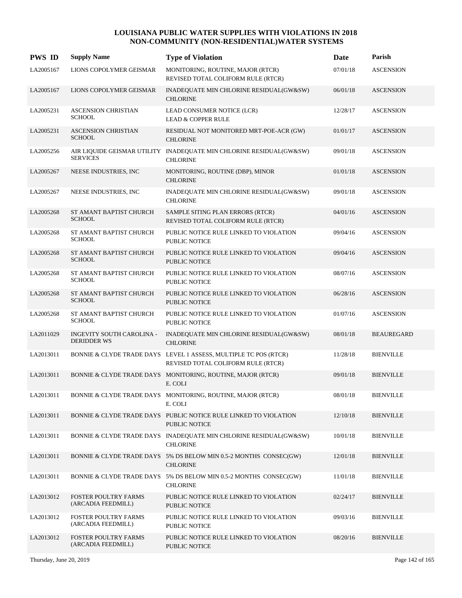| <b>PWS ID</b> | <b>Supply Name</b>                                | <b>Type of Violation</b>                                                                               | Date     | Parish            |
|---------------|---------------------------------------------------|--------------------------------------------------------------------------------------------------------|----------|-------------------|
| LA2005167     | LIONS COPOLYMER GEISMAR                           | MONITORING, ROUTINE, MAJOR (RTCR)<br>REVISED TOTAL COLIFORM RULE (RTCR)                                | 07/01/18 | <b>ASCENSION</b>  |
| LA2005167     | LIONS COPOLYMER GEISMAR                           | INADEQUATE MIN CHLORINE RESIDUAL(GW&SW)<br><b>CHLORINE</b>                                             | 06/01/18 | <b>ASCENSION</b>  |
| LA2005231     | <b>ASCENSION CHRISTIAN</b><br><b>SCHOOL</b>       | LEAD CONSUMER NOTICE (LCR)<br><b>LEAD &amp; COPPER RULE</b>                                            | 12/28/17 | <b>ASCENSION</b>  |
| LA2005231     | <b>ASCENSION CHRISTIAN</b><br><b>SCHOOL</b>       | RESIDUAL NOT MONITORED MRT-POE-ACR (GW)<br><b>CHLORINE</b>                                             | 01/01/17 | <b>ASCENSION</b>  |
| LA2005256     | <b>SERVICES</b>                                   | AIR LIQUIDE GEISMAR UTILITY INADEQUATE MIN CHLORINE RESIDUAL(GW&SW)<br><b>CHLORINE</b>                 | 09/01/18 | <b>ASCENSION</b>  |
| LA2005267     | NEESE INDUSTRIES, INC                             | MONITORING, ROUTINE (DBP), MINOR<br><b>CHLORINE</b>                                                    | 01/01/18 | <b>ASCENSION</b>  |
| LA2005267     | NEESE INDUSTRIES, INC                             | INADEQUATE MIN CHLORINE RESIDUAL(GW&SW)<br><b>CHLORINE</b>                                             | 09/01/18 | <b>ASCENSION</b>  |
| LA2005268     | ST AMANT BAPTIST CHURCH<br><b>SCHOOL</b>          | SAMPLE SITING PLAN ERRORS (RTCR)<br>REVISED TOTAL COLIFORM RULE (RTCR)                                 | 04/01/16 | <b>ASCENSION</b>  |
| LA2005268     | ST AMANT BAPTIST CHURCH<br><b>SCHOOL</b>          | PUBLIC NOTICE RULE LINKED TO VIOLATION<br><b>PUBLIC NOTICE</b>                                         | 09/04/16 | <b>ASCENSION</b>  |
| LA2005268     | ST AMANT BAPTIST CHURCH<br><b>SCHOOL</b>          | PUBLIC NOTICE RULE LINKED TO VIOLATION<br><b>PUBLIC NOTICE</b>                                         | 09/04/16 | <b>ASCENSION</b>  |
| LA2005268     | ST AMANT BAPTIST CHURCH<br><b>SCHOOL</b>          | PUBLIC NOTICE RULE LINKED TO VIOLATION<br><b>PUBLIC NOTICE</b>                                         | 08/07/16 | <b>ASCENSION</b>  |
| LA2005268     | ST AMANT BAPTIST CHURCH<br><b>SCHOOL</b>          | PUBLIC NOTICE RULE LINKED TO VIOLATION<br><b>PUBLIC NOTICE</b>                                         | 06/28/16 | <b>ASCENSION</b>  |
| LA2005268     | ST AMANT BAPTIST CHURCH<br><b>SCHOOL</b>          | PUBLIC NOTICE RULE LINKED TO VIOLATION<br><b>PUBLIC NOTICE</b>                                         | 01/07/16 | <b>ASCENSION</b>  |
| LA2011029     | INGEVITY SOUTH CAROLINA -<br><b>DERIDDER WS</b>   | INADEQUATE MIN CHLORINE RESIDUAL(GW&SW)<br><b>CHLORINE</b>                                             | 08/01/18 | <b>BEAUREGARD</b> |
| LA2013011     |                                                   | BONNIE & CLYDE TRADE DAYS LEVEL 1 ASSESS, MULTIPLE TC POS (RTCR)<br>REVISED TOTAL COLIFORM RULE (RTCR) | 11/28/18 | <b>BIENVILLE</b>  |
| LA2013011     |                                                   | BONNIE & CLYDE TRADE DAYS MONITORING, ROUTINE, MAJOR (RTCR)<br>E. COLI                                 | 09/01/18 | <b>BIENVILLE</b>  |
| LA2013011     |                                                   | BONNIE & CLYDE TRADE DAYS MONITORING, ROUTINE, MAJOR (RTCR)<br>E. COLI                                 | 08/01/18 | <b>BIENVILLE</b>  |
| LA2013011     |                                                   | BONNIE & CLYDE TRADE DAYS PUBLIC NOTICE RULE LINKED TO VIOLATION<br><b>PUBLIC NOTICE</b>               | 12/10/18 | <b>BIENVILLE</b>  |
| LA2013011     |                                                   | BONNIE & CLYDE TRADE DAYS INADEQUATE MIN CHLORINE RESIDUAL(GW&SW)<br><b>CHLORINE</b>                   | 10/01/18 | <b>BIENVILLE</b>  |
| LA2013011     |                                                   | BONNIE & CLYDE TRADE DAYS 5% DS BELOW MIN 0.5-2 MONTHS CONSEC(GW)<br><b>CHLORINE</b>                   | 12/01/18 | <b>BIENVILLE</b>  |
| LA2013011     |                                                   | BONNIE & CLYDE TRADE DAYS 5% DS BELOW MIN 0.5-2 MONTHS CONSEC(GW)<br><b>CHLORINE</b>                   | 11/01/18 | <b>BIENVILLE</b>  |
| LA2013012     | <b>FOSTER POULTRY FARMS</b><br>(ARCADIA FEEDMILL) | PUBLIC NOTICE RULE LINKED TO VIOLATION<br><b>PUBLIC NOTICE</b>                                         | 02/24/17 | <b>BIENVILLE</b>  |
| LA2013012     | FOSTER POULTRY FARMS<br>(ARCADIA FEEDMILL)        | PUBLIC NOTICE RULE LINKED TO VIOLATION<br>PUBLIC NOTICE                                                | 09/03/16 | <b>BIENVILLE</b>  |
| LA2013012     | <b>FOSTER POULTRY FARMS</b><br>(ARCADIA FEEDMILL) | PUBLIC NOTICE RULE LINKED TO VIOLATION<br>PUBLIC NOTICE                                                | 08/20/16 | <b>BIENVILLE</b>  |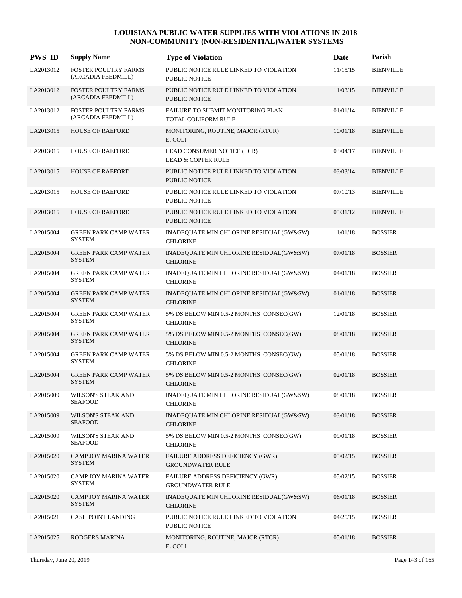| <b>PWS ID</b> | <b>Supply Name</b>                                | <b>Type of Violation</b>                                       | <b>Date</b> | Parish           |
|---------------|---------------------------------------------------|----------------------------------------------------------------|-------------|------------------|
| LA2013012     | <b>FOSTER POULTRY FARMS</b><br>(ARCADIA FEEDMILL) | PUBLIC NOTICE RULE LINKED TO VIOLATION<br><b>PUBLIC NOTICE</b> | 11/15/15    | <b>BIENVILLE</b> |
| LA2013012     | <b>FOSTER POULTRY FARMS</b><br>(ARCADIA FEEDMILL) | PUBLIC NOTICE RULE LINKED TO VIOLATION<br><b>PUBLIC NOTICE</b> | 11/03/15    | <b>BIENVILLE</b> |
| LA2013012     | FOSTER POULTRY FARMS<br>(ARCADIA FEEDMILL)        | FAILURE TO SUBMIT MONITORING PLAN<br>TOTAL COLIFORM RULE       | 01/01/14    | <b>BIENVILLE</b> |
| LA2013015     | <b>HOUSE OF RAEFORD</b>                           | MONITORING, ROUTINE, MAJOR (RTCR)<br>E. COLI                   | 10/01/18    | <b>BIENVILLE</b> |
| LA2013015     | <b>HOUSE OF RAEFORD</b>                           | LEAD CONSUMER NOTICE (LCR)<br><b>LEAD &amp; COPPER RULE</b>    | 03/04/17    | <b>BIENVILLE</b> |
| LA2013015     | <b>HOUSE OF RAEFORD</b>                           | PUBLIC NOTICE RULE LINKED TO VIOLATION<br><b>PUBLIC NOTICE</b> | 03/03/14    | <b>BIENVILLE</b> |
| LA2013015     | HOUSE OF RAEFORD                                  | PUBLIC NOTICE RULE LINKED TO VIOLATION<br><b>PUBLIC NOTICE</b> | 07/10/13    | <b>BIENVILLE</b> |
| LA2013015     | <b>HOUSE OF RAEFORD</b>                           | PUBLIC NOTICE RULE LINKED TO VIOLATION<br><b>PUBLIC NOTICE</b> | 05/31/12    | <b>BIENVILLE</b> |
| LA2015004     | <b>GREEN PARK CAMP WATER</b><br><b>SYSTEM</b>     | INADEQUATE MIN CHLORINE RESIDUAL(GW&SW)<br><b>CHLORINE</b>     | 11/01/18    | <b>BOSSIER</b>   |
| LA2015004     | <b>GREEN PARK CAMP WATER</b><br><b>SYSTEM</b>     | INADEQUATE MIN CHLORINE RESIDUAL(GW&SW)<br><b>CHLORINE</b>     | 07/01/18    | <b>BOSSIER</b>   |
| LA2015004     | <b>GREEN PARK CAMP WATER</b><br><b>SYSTEM</b>     | INADEQUATE MIN CHLORINE RESIDUAL(GW&SW)<br><b>CHLORINE</b>     | 04/01/18    | <b>BOSSIER</b>   |
| LA2015004     | <b>GREEN PARK CAMP WATER</b><br><b>SYSTEM</b>     | INADEQUATE MIN CHLORINE RESIDUAL(GW&SW)<br><b>CHLORINE</b>     | 01/01/18    | <b>BOSSIER</b>   |
| LA2015004     | <b>GREEN PARK CAMP WATER</b><br><b>SYSTEM</b>     | 5% DS BELOW MIN 0.5-2 MONTHS CONSEC(GW)<br><b>CHLORINE</b>     | 12/01/18    | <b>BOSSIER</b>   |
| LA2015004     | <b>GREEN PARK CAMP WATER</b><br><b>SYSTEM</b>     | 5% DS BELOW MIN 0.5-2 MONTHS CONSEC(GW)<br><b>CHLORINE</b>     | 08/01/18    | <b>BOSSIER</b>   |
| LA2015004     | <b>GREEN PARK CAMP WATER</b><br><b>SYSTEM</b>     | 5% DS BELOW MIN 0.5-2 MONTHS CONSEC(GW)<br><b>CHLORINE</b>     | 05/01/18    | <b>BOSSIER</b>   |
| LA2015004     | <b>GREEN PARK CAMP WATER</b><br><b>SYSTEM</b>     | 5% DS BELOW MIN 0.5-2 MONTHS CONSEC(GW)<br><b>CHLORINE</b>     | 02/01/18    | <b>BOSSIER</b>   |
| LA2015009     | WILSON'S STEAK AND<br><b>SEAFOOD</b>              | INADEQUATE MIN CHLORINE RESIDUAL(GW&SW)<br><b>CHLORINE</b>     | 08/01/18    | <b>BOSSIER</b>   |
| LA2015009     | WILSON'S STEAK AND<br><b>SEAFOOD</b>              | INADEQUATE MIN CHLORINE RESIDUAL(GW&SW)<br><b>CHLORINE</b>     | 03/01/18    | <b>BOSSIER</b>   |
| LA2015009     | WILSON'S STEAK AND<br><b>SEAFOOD</b>              | 5% DS BELOW MIN 0.5-2 MONTHS CONSEC(GW)<br><b>CHLORINE</b>     | 09/01/18    | <b>BOSSIER</b>   |
| LA2015020     | CAMP JOY MARINA WATER<br><b>SYSTEM</b>            | FAILURE ADDRESS DEFICIENCY (GWR)<br><b>GROUNDWATER RULE</b>    | 05/02/15    | <b>BOSSIER</b>   |
| LA2015020     | CAMP JOY MARINA WATER<br><b>SYSTEM</b>            | FAILURE ADDRESS DEFICIENCY (GWR)<br><b>GROUNDWATER RULE</b>    | 05/02/15    | <b>BOSSIER</b>   |
| LA2015020     | CAMP JOY MARINA WATER<br><b>SYSTEM</b>            | INADEQUATE MIN CHLORINE RESIDUAL(GW&SW)<br><b>CHLORINE</b>     | 06/01/18    | <b>BOSSIER</b>   |
| LA2015021     | CASH POINT LANDING                                | PUBLIC NOTICE RULE LINKED TO VIOLATION<br><b>PUBLIC NOTICE</b> | 04/25/15    | <b>BOSSIER</b>   |
| LA2015025     | RODGERS MARINA                                    | MONITORING, ROUTINE, MAJOR (RTCR)<br>E. COLI                   | 05/01/18    | <b>BOSSIER</b>   |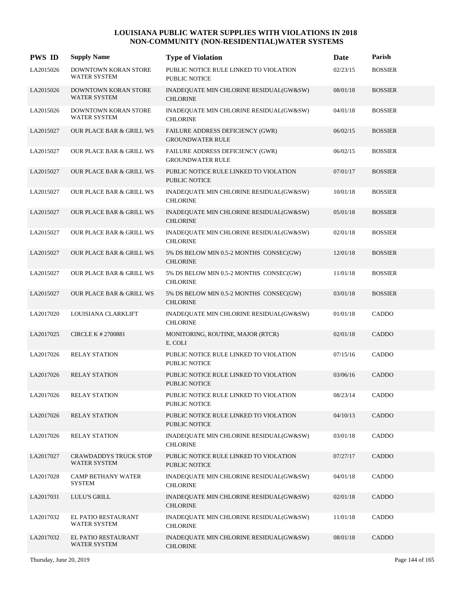| <b>PWS ID</b> | <b>Supply Name</b>                           | <b>Type of Violation</b>                                       | <b>Date</b> | Parish         |
|---------------|----------------------------------------------|----------------------------------------------------------------|-------------|----------------|
| LA2015026     | DOWNTOWN KORAN STORE<br>WATER SYSTEM         | PUBLIC NOTICE RULE LINKED TO VIOLATION<br><b>PUBLIC NOTICE</b> | 02/23/15    | <b>BOSSIER</b> |
| LA2015026     | DOWNTOWN KORAN STORE<br><b>WATER SYSTEM</b>  | INADEQUATE MIN CHLORINE RESIDUAL(GW&SW)<br><b>CHLORINE</b>     | 08/01/18    | <b>BOSSIER</b> |
| LA2015026     | DOWNTOWN KORAN STORE<br><b>WATER SYSTEM</b>  | INADEQUATE MIN CHLORINE RESIDUAL(GW&SW)<br><b>CHLORINE</b>     | 04/01/18    | <b>BOSSIER</b> |
| LA2015027     | <b>OUR PLACE BAR &amp; GRILL WS</b>          | FAILURE ADDRESS DEFICIENCY (GWR)<br><b>GROUNDWATER RULE</b>    | 06/02/15    | <b>BOSSIER</b> |
| LA2015027     | <b>OUR PLACE BAR &amp; GRILL WS</b>          | FAILURE ADDRESS DEFICIENCY (GWR)<br><b>GROUNDWATER RULE</b>    | 06/02/15    | <b>BOSSIER</b> |
| LA2015027     | OUR PLACE BAR & GRILL WS                     | PUBLIC NOTICE RULE LINKED TO VIOLATION<br><b>PUBLIC NOTICE</b> | 07/01/17    | <b>BOSSIER</b> |
| LA2015027     | OUR PLACE BAR & GRILL WS                     | INADEQUATE MIN CHLORINE RESIDUAL(GW&SW)<br><b>CHLORINE</b>     | 10/01/18    | <b>BOSSIER</b> |
| LA2015027     | <b>OUR PLACE BAR &amp; GRILL WS</b>          | INADEQUATE MIN CHLORINE RESIDUAL(GW&SW)<br><b>CHLORINE</b>     | 05/01/18    | <b>BOSSIER</b> |
| LA2015027     | <b>OUR PLACE BAR &amp; GRILL WS</b>          | INADEQUATE MIN CHLORINE RESIDUAL(GW&SW)<br><b>CHLORINE</b>     | 02/01/18    | <b>BOSSIER</b> |
| LA2015027     | OUR PLACE BAR & GRILL WS                     | 5% DS BELOW MIN 0.5-2 MONTHS CONSEC(GW)<br><b>CHLORINE</b>     | 12/01/18    | <b>BOSSIER</b> |
| LA2015027     | OUR PLACE BAR & GRILL WS                     | 5% DS BELOW MIN 0.5-2 MONTHS CONSEC(GW)<br><b>CHLORINE</b>     | 11/01/18    | <b>BOSSIER</b> |
| LA2015027     | <b>OUR PLACE BAR &amp; GRILL WS</b>          | 5% DS BELOW MIN 0.5-2 MONTHS CONSEC(GW)<br><b>CHLORINE</b>     | 03/01/18    | <b>BOSSIER</b> |
| LA2017020     | LOUISIANA CLARKLIFT                          | INADEQUATE MIN CHLORINE RESIDUAL(GW&SW)<br><b>CHLORINE</b>     | 01/01/18    | CADDO          |
| LA2017025     | <b>CIRCLE K # 2700881</b>                    | MONITORING, ROUTINE, MAJOR (RTCR)<br>E. COLI                   | 02/01/18    | CADDO          |
| LA2017026     | <b>RELAY STATION</b>                         | PUBLIC NOTICE RULE LINKED TO VIOLATION<br><b>PUBLIC NOTICE</b> | 07/15/16    | CADDO          |
| LA2017026     | <b>RELAY STATION</b>                         | PUBLIC NOTICE RULE LINKED TO VIOLATION<br><b>PUBLIC NOTICE</b> | 03/06/16    | CADDO          |
| LA2017026     | <b>RELAY STATION</b>                         | PUBLIC NOTICE RULE LINKED TO VIOLATION<br>PUBLIC NOTICE        | 08/23/14    | CADDO          |
| LA2017026     | <b>RELAY STATION</b>                         | PUBLIC NOTICE RULE LINKED TO VIOLATION<br><b>PUBLIC NOTICE</b> | 04/10/13    | CADDO          |
| LA2017026     | <b>RELAY STATION</b>                         | INADEQUATE MIN CHLORINE RESIDUAL(GW&SW)<br><b>CHLORINE</b>     | 03/01/18    | CADDO          |
| LA2017027     | <b>CRAWDADDYS TRUCK STOP</b><br>WATER SYSTEM | PUBLIC NOTICE RULE LINKED TO VIOLATION<br>PUBLIC NOTICE        | 07/27/17    | CADDO          |
| LA2017028     | <b>CAMP BETHANY WATER</b><br><b>SYSTEM</b>   | INADEQUATE MIN CHLORINE RESIDUAL(GW&SW)<br><b>CHLORINE</b>     | 04/01/18    | CADDO          |
| LA2017031     | LULU'S GRILL                                 | INADEQUATE MIN CHLORINE RESIDUAL(GW&SW)<br><b>CHLORINE</b>     | 02/01/18    | CADDO          |
| LA2017032     | EL PATIO RESTAURANT<br>WATER SYSTEM          | INADEQUATE MIN CHLORINE RESIDUAL(GW&SW)<br><b>CHLORINE</b>     | 11/01/18    | CADDO          |
| LA2017032     | EL PATIO RESTAURANT<br>WATER SYSTEM          | INADEQUATE MIN CHLORINE RESIDUAL(GW&SW)<br><b>CHLORINE</b>     | 08/01/18    | CADDO          |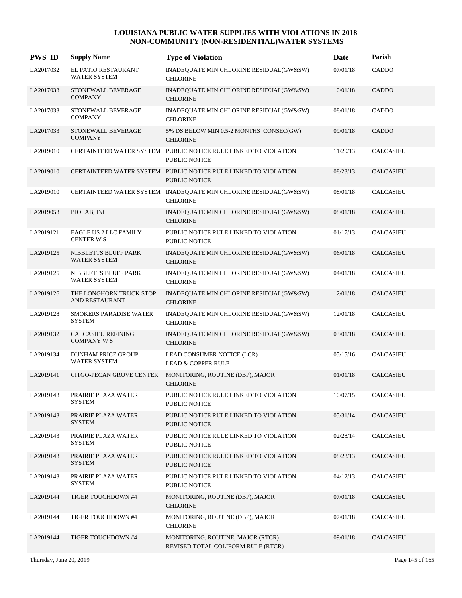| <b>PWS ID</b> | <b>Supply Name</b>                                | <b>Type of Violation</b>                                                                | Date     | Parish           |
|---------------|---------------------------------------------------|-----------------------------------------------------------------------------------------|----------|------------------|
| LA2017032     | EL PATIO RESTAURANT<br><b>WATER SYSTEM</b>        | INADEQUATE MIN CHLORINE RESIDUAL(GW&SW)<br><b>CHLORINE</b>                              | 07/01/18 | CADDO            |
| LA2017033     | STONEWALL BEVERAGE<br><b>COMPANY</b>              | INADEQUATE MIN CHLORINE RESIDUAL(GW&SW)<br><b>CHLORINE</b>                              | 10/01/18 | CADDO            |
| LA2017033     | STONEWALL BEVERAGE<br><b>COMPANY</b>              | INADEQUATE MIN CHLORINE RESIDUAL(GW&SW)<br><b>CHLORINE</b>                              | 08/01/18 | CADDO            |
| LA2017033     | STONEWALL BEVERAGE<br><b>COMPANY</b>              | 5% DS BELOW MIN 0.5-2 MONTHS CONSEC(GW)<br><b>CHLORINE</b>                              | 09/01/18 | CADDO            |
| LA2019010     |                                                   | CERTAINTEED WATER SYSTEM PUBLIC NOTICE RULE LINKED TO VIOLATION<br><b>PUBLIC NOTICE</b> | 11/29/13 | CALCASIEU        |
| LA2019010     |                                                   | CERTAINTEED WATER SYSTEM PUBLIC NOTICE RULE LINKED TO VIOLATION<br><b>PUBLIC NOTICE</b> | 08/23/13 | CALCASIEU        |
| LA2019010     |                                                   | CERTAINTEED WATER SYSTEM INADEQUATE MIN CHLORINE RESIDUAL(GW&SW)<br><b>CHLORINE</b>     | 08/01/18 | CALCASIEU        |
| LA2019053     | BIOLAB, INC                                       | INADEQUATE MIN CHLORINE RESIDUAL(GW&SW)<br><b>CHLORINE</b>                              | 08/01/18 | <b>CALCASIEU</b> |
| LA2019121     | <b>EAGLE US 2 LLC FAMILY</b><br><b>CENTER W S</b> | PUBLIC NOTICE RULE LINKED TO VIOLATION<br><b>PUBLIC NOTICE</b>                          | 01/17/13 | CALCASIEU        |
| LA2019125     | NIBBLETTS BLUFF PARK<br><b>WATER SYSTEM</b>       | INADEQUATE MIN CHLORINE RESIDUAL(GW&SW)<br><b>CHLORINE</b>                              | 06/01/18 | CALCASIEU        |
| LA2019125     | NIBBLETTS BLUFF PARK<br><b>WATER SYSTEM</b>       | INADEQUATE MIN CHLORINE RESIDUAL(GW&SW)<br><b>CHLORINE</b>                              | 04/01/18 | <b>CALCASIEU</b> |
| LA2019126     | THE LONGHORN TRUCK STOP<br>AND RESTAURANT         | INADEQUATE MIN CHLORINE RESIDUAL(GW&SW)<br><b>CHLORINE</b>                              | 12/01/18 | <b>CALCASIEU</b> |
| LA2019128     | <b>SMOKERS PARADISE WATER</b><br><b>SYSTEM</b>    | INADEQUATE MIN CHLORINE RESIDUAL(GW&SW)<br><b>CHLORINE</b>                              | 12/01/18 | CALCASIEU        |
| LA2019132     | CALCASIEU REFINING<br><b>COMPANY W S</b>          | INADEQUATE MIN CHLORINE RESIDUAL(GW&SW)<br><b>CHLORINE</b>                              | 03/01/18 | CALCASIEU        |
| LA2019134     | <b>DUNHAM PRICE GROUP</b><br><b>WATER SYSTEM</b>  | LEAD CONSUMER NOTICE (LCR)<br><b>LEAD &amp; COPPER RULE</b>                             | 05/15/16 | <b>CALCASIEU</b> |
| LA2019141     | CITGO-PECAN GROVE CENTER                          | MONITORING, ROUTINE (DBP), MAJOR<br><b>CHLORINE</b>                                     | 01/01/18 | <b>CALCASIEU</b> |
| LA2019143     | PRAIRIE PLAZA WATER<br><b>SYSTEM</b>              | PUBLIC NOTICE RULE LINKED TO VIOLATION<br>PUBLIC NOTICE                                 | 10/07/15 | <b>CALCASIEU</b> |
| LA2019143     | PRAIRIE PLAZA WATER<br><b>SYSTEM</b>              | PUBLIC NOTICE RULE LINKED TO VIOLATION<br><b>PUBLIC NOTICE</b>                          | 05/31/14 | <b>CALCASIEU</b> |
| LA2019143     | PRAIRIE PLAZA WATER<br>SYSTEM                     | PUBLIC NOTICE RULE LINKED TO VIOLATION<br><b>PUBLIC NOTICE</b>                          | 02/28/14 | CALCASIEU        |
| LA2019143     | PRAIRIE PLAZA WATER<br><b>SYSTEM</b>              | PUBLIC NOTICE RULE LINKED TO VIOLATION<br>PUBLIC NOTICE                                 | 08/23/13 | <b>CALCASIEU</b> |
| LA2019143     | PRAIRIE PLAZA WATER<br><b>SYSTEM</b>              | PUBLIC NOTICE RULE LINKED TO VIOLATION<br>PUBLIC NOTICE                                 | 04/12/13 | CALCASIEU        |
| LA2019144     | TIGER TOUCHDOWN #4                                | MONITORING, ROUTINE (DBP), MAJOR<br><b>CHLORINE</b>                                     | 07/01/18 | CALCASIEU        |
| LA2019144     | TIGER TOUCHDOWN #4                                | MONITORING, ROUTINE (DBP), MAJOR<br><b>CHLORINE</b>                                     | 07/01/18 | CALCASIEU        |
| LA2019144     | TIGER TOUCHDOWN #4                                | MONITORING, ROUTINE, MAJOR (RTCR)<br>REVISED TOTAL COLIFORM RULE (RTCR)                 | 09/01/18 | CALCASIEU        |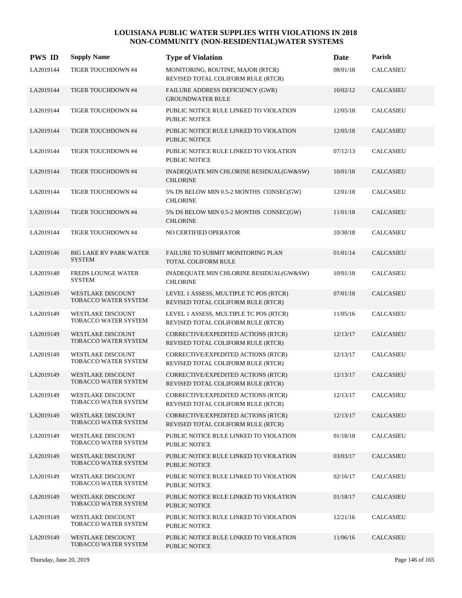| <b>PWS ID</b> | <b>Supply Name</b>                               | <b>Type of Violation</b>                                                     | Date     | Parish           |
|---------------|--------------------------------------------------|------------------------------------------------------------------------------|----------|------------------|
| LA2019144     | TIGER TOUCHDOWN #4                               | MONITORING, ROUTINE, MAJOR (RTCR)<br>REVISED TOTAL COLIFORM RULE (RTCR)      | 08/01/18 | <b>CALCASIEU</b> |
| LA2019144     | TIGER TOUCHDOWN #4                               | FAILURE ADDRESS DEFICIENCY (GWR)<br><b>GROUNDWATER RULE</b>                  | 10/02/12 | <b>CALCASIEU</b> |
| LA2019144     | TIGER TOUCHDOWN #4                               | PUBLIC NOTICE RULE LINKED TO VIOLATION<br>PUBLIC NOTICE                      | 12/05/18 | CALCASIEU        |
| LA2019144     | TIGER TOUCHDOWN #4                               | PUBLIC NOTICE RULE LINKED TO VIOLATION<br><b>PUBLIC NOTICE</b>               | 12/05/18 | <b>CALCASIEU</b> |
| LA2019144     | TIGER TOUCHDOWN #4                               | PUBLIC NOTICE RULE LINKED TO VIOLATION<br><b>PUBLIC NOTICE</b>               | 07/12/13 | <b>CALCASIEU</b> |
| LA2019144     | TIGER TOUCHDOWN #4                               | INADEQUATE MIN CHLORINE RESIDUAL(GW&SW)<br><b>CHLORINE</b>                   | 10/01/18 | <b>CALCASIEU</b> |
| LA2019144     | TIGER TOUCHDOWN #4                               | 5% DS BELOW MIN 0.5-2 MONTHS CONSEC(GW)<br><b>CHLORINE</b>                   | 12/01/18 | <b>CALCASIEU</b> |
| LA2019144     | TIGER TOUCHDOWN #4                               | 5% DS BELOW MIN 0.5-2 MONTHS CONSEC(GW)<br><b>CHLORINE</b>                   | 11/01/18 | <b>CALCASIEU</b> |
| LA2019144     | TIGER TOUCHDOWN #4                               | NO CERTIFIED OPERATOR                                                        | 10/30/18 | <b>CALCASIEU</b> |
| LA2019146     | <b>BIG LAKE RV PARK WATER</b><br><b>SYSTEM</b>   | FAILURE TO SUBMIT MONITORING PLAN<br><b>TOTAL COLIFORM RULE</b>              | 01/01/14 | CALCASIEU        |
| LA2019148     | <b>FREDS LOUNGE WATER</b><br><b>SYSTEM</b>       | INADEQUATE MIN CHLORINE RESIDUAL(GW&SW)<br><b>CHLORINE</b>                   | 10/01/18 | <b>CALCASIEU</b> |
| LA2019149     | <b>WESTLAKE DISCOUNT</b><br>TOBACCO WATER SYSTEM | LEVEL 1 ASSESS, MULTIPLE TC POS (RTCR)<br>REVISED TOTAL COLIFORM RULE (RTCR) | 07/01/18 | <b>CALCASIEU</b> |
| LA2019149     | WESTLAKE DISCOUNT<br>TOBACCO WATER SYSTEM        | LEVEL 1 ASSESS, MULTIPLE TC POS (RTCR)<br>REVISED TOTAL COLIFORM RULE (RTCR) | 11/05/16 | CALCASIEU        |
| LA2019149     | <b>WESTLAKE DISCOUNT</b><br>TOBACCO WATER SYSTEM | CORRECTIVE/EXPEDITED ACTIONS (RTCR)<br>REVISED TOTAL COLIFORM RULE (RTCR)    | 12/13/17 | <b>CALCASIEU</b> |
| LA2019149     | <b>WESTLAKE DISCOUNT</b><br>TOBACCO WATER SYSTEM | CORRECTIVE/EXPEDITED ACTIONS (RTCR)<br>REVISED TOTAL COLIFORM RULE (RTCR)    | 12/13/17 | <b>CALCASIEU</b> |
| LA2019149     | <b>WESTLAKE DISCOUNT</b><br>TOBACCO WATER SYSTEM | CORRECTIVE/EXPEDITED ACTIONS (RTCR)<br>REVISED TOTAL COLIFORM RULE (RTCR)    | 12/13/17 | <b>CALCASIEU</b> |
| LA2019149     | <b>WESTLAKE DISCOUNT</b><br>TOBACCO WATER SYSTEM | CORRECTIVE/EXPEDITED ACTIONS (RTCR)<br>REVISED TOTAL COLIFORM RULE (RTCR)    | 12/13/17 | CALCASIEU        |
| LA2019149     | <b>WESTLAKE DISCOUNT</b><br>TOBACCO WATER SYSTEM | CORRECTIVE/EXPEDITED ACTIONS (RTCR)<br>REVISED TOTAL COLIFORM RULE (RTCR)    | 12/13/17 | <b>CALCASIEU</b> |
| LA2019149     | WESTLAKE DISCOUNT<br>TOBACCO WATER SYSTEM        | PUBLIC NOTICE RULE LINKED TO VIOLATION<br><b>PUBLIC NOTICE</b>               | 01/18/18 | CALCASIEU        |
| LA2019149     | WESTLAKE DISCOUNT<br>TOBACCO WATER SYSTEM        | PUBLIC NOTICE RULE LINKED TO VIOLATION<br>PUBLIC NOTICE                      | 03/03/17 | CALCASIEU        |
| LA2019149     | WESTLAKE DISCOUNT<br>TOBACCO WATER SYSTEM        | PUBLIC NOTICE RULE LINKED TO VIOLATION<br>PUBLIC NOTICE                      | 02/16/17 | CALCASIEU        |
| LA2019149     | <b>WESTLAKE DISCOUNT</b><br>TOBACCO WATER SYSTEM | PUBLIC NOTICE RULE LINKED TO VIOLATION<br>PUBLIC NOTICE                      | 01/18/17 | CALCASIEU        |
| LA2019149     | WESTLAKE DISCOUNT<br>TOBACCO WATER SYSTEM        | PUBLIC NOTICE RULE LINKED TO VIOLATION<br>PUBLIC NOTICE                      | 12/21/16 | CALCASIEU        |
| LA2019149     | <b>WESTLAKE DISCOUNT</b><br>TOBACCO WATER SYSTEM | PUBLIC NOTICE RULE LINKED TO VIOLATION<br>PUBLIC NOTICE                      | 11/06/16 | CALCASIEU        |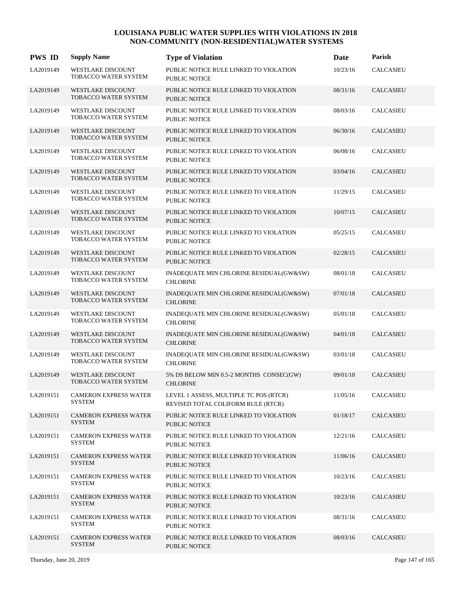| <b>PWS ID</b> | <b>Supply Name</b>                                      | <b>Type of Violation</b>                                                     | Date     | Parish           |
|---------------|---------------------------------------------------------|------------------------------------------------------------------------------|----------|------------------|
| LA2019149     | WESTLAKE DISCOUNT<br>TOBACCO WATER SYSTEM               | PUBLIC NOTICE RULE LINKED TO VIOLATION<br>PUBLIC NOTICE                      | 10/23/16 | CALCASIEU        |
| LA2019149     | <b>WESTLAKE DISCOUNT</b><br>TOBACCO WATER SYSTEM        | PUBLIC NOTICE RULE LINKED TO VIOLATION<br><b>PUBLIC NOTICE</b>               | 08/31/16 | <b>CALCASIEU</b> |
| LA2019149     | <b>WESTLAKE DISCOUNT</b><br>TOBACCO WATER SYSTEM        | PUBLIC NOTICE RULE LINKED TO VIOLATION<br><b>PUBLIC NOTICE</b>               | 08/03/16 | <b>CALCASIEU</b> |
| LA2019149     | <b>WESTLAKE DISCOUNT</b><br>TOBACCO WATER SYSTEM        | PUBLIC NOTICE RULE LINKED TO VIOLATION<br><b>PUBLIC NOTICE</b>               | 06/30/16 | <b>CALCASIEU</b> |
| LA2019149     | WESTLAKE DISCOUNT<br>TOBACCO WATER SYSTEM               | PUBLIC NOTICE RULE LINKED TO VIOLATION<br><b>PUBLIC NOTICE</b>               | 06/08/16 | CALCASIEU        |
| LA2019149     | <b>WESTLAKE DISCOUNT</b><br>TOBACCO WATER SYSTEM        | PUBLIC NOTICE RULE LINKED TO VIOLATION<br><b>PUBLIC NOTICE</b>               | 03/04/16 | <b>CALCASIEU</b> |
| LA2019149     | <b>WESTLAKE DISCOUNT</b><br>TOBACCO WATER SYSTEM        | PUBLIC NOTICE RULE LINKED TO VIOLATION<br><b>PUBLIC NOTICE</b>               | 11/29/15 | CALCASIEU        |
| LA2019149     | <b>WESTLAKE DISCOUNT</b><br>TOBACCO WATER SYSTEM        | PUBLIC NOTICE RULE LINKED TO VIOLATION<br><b>PUBLIC NOTICE</b>               | 10/07/15 | <b>CALCASIEU</b> |
| LA2019149     | WESTLAKE DISCOUNT<br>TOBACCO WATER SYSTEM               | PUBLIC NOTICE RULE LINKED TO VIOLATION<br><b>PUBLIC NOTICE</b>               | 05/25/15 | <b>CALCASIEU</b> |
| LA2019149     | <b>WESTLAKE DISCOUNT</b><br>TOBACCO WATER SYSTEM        | PUBLIC NOTICE RULE LINKED TO VIOLATION<br><b>PUBLIC NOTICE</b>               | 02/28/15 | <b>CALCASIEU</b> |
| LA2019149     | <b>WESTLAKE DISCOUNT</b><br>TOBACCO WATER SYSTEM        | INADEQUATE MIN CHLORINE RESIDUAL(GW&SW)<br><b>CHLORINE</b>                   | 08/01/18 | <b>CALCASIEU</b> |
| LA2019149     | <b>WESTLAKE DISCOUNT</b><br>TOBACCO WATER SYSTEM        | INADEQUATE MIN CHLORINE RESIDUAL(GW&SW)<br><b>CHLORINE</b>                   | 07/01/18 | <b>CALCASIEU</b> |
| LA2019149     | WESTLAKE DISCOUNT<br>TOBACCO WATER SYSTEM               | INADEQUATE MIN CHLORINE RESIDUAL(GW&SW)<br><b>CHLORINE</b>                   | 05/01/18 | CALCASIEU        |
| LA2019149     | <b>WESTLAKE DISCOUNT</b><br>TOBACCO WATER SYSTEM        | INADEQUATE MIN CHLORINE RESIDUAL(GW&SW)<br><b>CHLORINE</b>                   | 04/01/18 | <b>CALCASIEU</b> |
| LA2019149     | <b>WESTLAKE DISCOUNT</b><br>TOBACCO WATER SYSTEM        | INADEQUATE MIN CHLORINE RESIDUAL(GW&SW)<br><b>CHLORINE</b>                   | 03/01/18 | CALCASIEU        |
| LA2019149     | <b>WESTLAKE DISCOUNT</b><br><b>TOBACCO WATER SYSTEM</b> | 5% DS BELOW MIN 0.5-2 MONTHS CONSEC(GW)<br><b>CHLORINE</b>                   | 09/01/18 | <b>CALCASIEU</b> |
| LA2019151     | <b>CAMERON EXPRESS WATER</b><br><b>SYSTEM</b>           | LEVEL 1 ASSESS, MULTIPLE TC POS (RTCR)<br>REVISED TOTAL COLIFORM RULE (RTCR) | 11/05/16 | CALCASIEU        |
| LA2019151     | <b>CAMERON EXPRESS WATER</b><br>SYSTEM                  | PUBLIC NOTICE RULE LINKED TO VIOLATION<br><b>PUBLIC NOTICE</b>               | 01/18/17 | <b>CALCASIEU</b> |
| LA2019151     | <b>CAMERON EXPRESS WATER</b><br><b>SYSTEM</b>           | PUBLIC NOTICE RULE LINKED TO VIOLATION<br><b>PUBLIC NOTICE</b>               | 12/21/16 | <b>CALCASIEU</b> |
| LA2019151     | <b>CAMERON EXPRESS WATER</b><br><b>SYSTEM</b>           | PUBLIC NOTICE RULE LINKED TO VIOLATION<br><b>PUBLIC NOTICE</b>               | 11/06/16 | <b>CALCASIEU</b> |
| LA2019151     | <b>CAMERON EXPRESS WATER</b><br><b>SYSTEM</b>           | PUBLIC NOTICE RULE LINKED TO VIOLATION<br>PUBLIC NOTICE                      | 10/23/16 | <b>CALCASIEU</b> |
| LA2019151     | <b>CAMERON EXPRESS WATER</b><br><b>SYSTEM</b>           | PUBLIC NOTICE RULE LINKED TO VIOLATION<br><b>PUBLIC NOTICE</b>               | 10/23/16 | <b>CALCASIEU</b> |
| LA2019151     | <b>CAMERON EXPRESS WATER</b><br><b>SYSTEM</b>           | PUBLIC NOTICE RULE LINKED TO VIOLATION<br><b>PUBLIC NOTICE</b>               | 08/31/16 | CALCASIEU        |
| LA2019151     | <b>CAMERON EXPRESS WATER</b><br><b>SYSTEM</b>           | PUBLIC NOTICE RULE LINKED TO VIOLATION<br><b>PUBLIC NOTICE</b>               | 08/03/16 | <b>CALCASIEU</b> |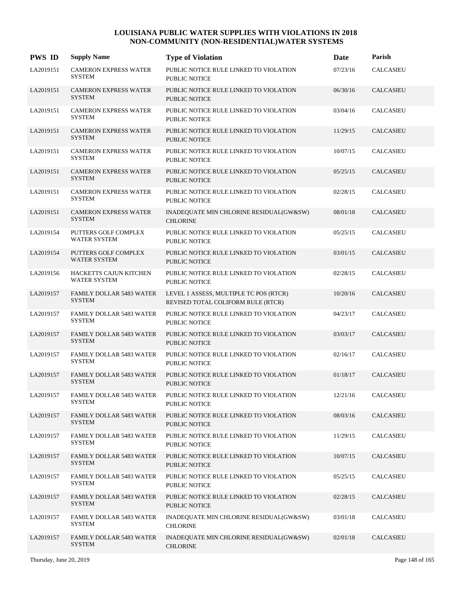| <b>PWS ID</b> | <b>Supply Name</b>                               | <b>Type of Violation</b>                                                     | Date     | Parish               |
|---------------|--------------------------------------------------|------------------------------------------------------------------------------|----------|----------------------|
| LA2019151     | <b>CAMERON EXPRESS WATER</b><br><b>SYSTEM</b>    | PUBLIC NOTICE RULE LINKED TO VIOLATION<br><b>PUBLIC NOTICE</b>               | 07/23/16 | <b>CALCASIEU</b>     |
| LA2019151     | <b>CAMERON EXPRESS WATER</b><br><b>SYSTEM</b>    | PUBLIC NOTICE RULE LINKED TO VIOLATION<br><b>PUBLIC NOTICE</b>               | 06/30/16 | <b>CALCASIEU</b>     |
| LA2019151     | <b>CAMERON EXPRESS WATER</b><br><b>SYSTEM</b>    | PUBLIC NOTICE RULE LINKED TO VIOLATION<br><b>PUBLIC NOTICE</b>               | 03/04/16 | <b>CALCASIEU</b>     |
| LA2019151     | <b>CAMERON EXPRESS WATER</b><br><b>SYSTEM</b>    | PUBLIC NOTICE RULE LINKED TO VIOLATION<br><b>PUBLIC NOTICE</b>               | 11/29/15 | <b>CALCASIEU</b>     |
| LA2019151     | <b>CAMERON EXPRESS WATER</b><br><b>SYSTEM</b>    | PUBLIC NOTICE RULE LINKED TO VIOLATION<br><b>PUBLIC NOTICE</b>               | 10/07/15 | <b>CALCASIEU</b>     |
| LA2019151     | <b>CAMERON EXPRESS WATER</b><br><b>SYSTEM</b>    | PUBLIC NOTICE RULE LINKED TO VIOLATION<br><b>PUBLIC NOTICE</b>               | 05/25/15 | CALCASIEU            |
| LA2019151     | <b>CAMERON EXPRESS WATER</b><br><b>SYSTEM</b>    | PUBLIC NOTICE RULE LINKED TO VIOLATION<br><b>PUBLIC NOTICE</b>               | 02/28/15 | <b>CALCASIEU</b>     |
| LA2019151     | <b>CAMERON EXPRESS WATER</b><br><b>SYSTEM</b>    | INADEQUATE MIN CHLORINE RESIDUAL(GW&SW)<br><b>CHLORINE</b>                   | 08/01/18 | <b>CALCASIEU</b>     |
| LA2019154     | PUTTERS GOLF COMPLEX<br><b>WATER SYSTEM</b>      | PUBLIC NOTICE RULE LINKED TO VIOLATION<br><b>PUBLIC NOTICE</b>               | 05/25/15 | CALCASIEU            |
| LA2019154     | PUTTERS GOLF COMPLEX<br><b>WATER SYSTEM</b>      | PUBLIC NOTICE RULE LINKED TO VIOLATION<br><b>PUBLIC NOTICE</b>               | 03/01/15 | CALCASIEU            |
| LA2019156     | HACKETTS CAJUN KITCHEN<br><b>WATER SYSTEM</b>    | PUBLIC NOTICE RULE LINKED TO VIOLATION<br><b>PUBLIC NOTICE</b>               | 02/28/15 | CALCASIEU            |
| LA2019157     | <b>FAMILY DOLLAR 5483 WATER</b><br><b>SYSTEM</b> | LEVEL 1 ASSESS, MULTIPLE TC POS (RTCR)<br>REVISED TOTAL COLIFORM RULE (RTCR) | 10/20/16 | CALCASIEU            |
| LA2019157     | <b>FAMILY DOLLAR 5483 WATER</b><br><b>SYSTEM</b> | PUBLIC NOTICE RULE LINKED TO VIOLATION<br><b>PUBLIC NOTICE</b>               | 04/23/17 | <b>CALCASIEU</b>     |
| LA2019157     | <b>FAMILY DOLLAR 5483 WATER</b><br><b>SYSTEM</b> | PUBLIC NOTICE RULE LINKED TO VIOLATION<br><b>PUBLIC NOTICE</b>               | 03/03/17 | CALCASIEU            |
| LA2019157     | <b>FAMILY DOLLAR 5483 WATER</b><br><b>SYSTEM</b> | PUBLIC NOTICE RULE LINKED TO VIOLATION<br>PUBLIC NOTICE                      | 02/16/17 | CALCASIEU            |
| LA2019157     | <b>FAMILY DOLLAR 5483 WATER</b><br><b>SYSTEM</b> | PUBLIC NOTICE RULE LINKED TO VIOLATION<br><b>PUBLIC NOTICE</b>               | 01/18/17 | <b>CALCASIEU</b>     |
| LA2019157     | <b>FAMILY DOLLAR 5483 WATER</b><br><b>SYSTEM</b> | PUBLIC NOTICE RULE LINKED TO VIOLATION<br>PUBLIC NOTICE                      | 12/21/16 | CALCASIEU            |
| LA2019157     | <b>FAMILY DOLLAR 5483 WATER</b><br><b>SYSTEM</b> | PUBLIC NOTICE RULE LINKED TO VIOLATION<br>PUBLIC NOTICE                      | 08/03/16 | <b>CALCASIEU</b>     |
| LA2019157     | <b>FAMILY DOLLAR 5483 WATER</b><br><b>SYSTEM</b> | PUBLIC NOTICE RULE LINKED TO VIOLATION<br>PUBLIC NOTICE                      | 11/29/15 | $\mathsf{CALCASIEU}$ |
| LA2019157     | <b>FAMILY DOLLAR 5483 WATER</b><br><b>SYSTEM</b> | PUBLIC NOTICE RULE LINKED TO VIOLATION<br>PUBLIC NOTICE                      | 10/07/15 | CALCASIEU            |
| LA2019157     | FAMILY DOLLAR 5483 WATER<br><b>SYSTEM</b>        | PUBLIC NOTICE RULE LINKED TO VIOLATION<br>PUBLIC NOTICE                      | 05/25/15 | CALCASIEU            |
| LA2019157     | <b>FAMILY DOLLAR 5483 WATER</b><br><b>SYSTEM</b> | PUBLIC NOTICE RULE LINKED TO VIOLATION<br>PUBLIC NOTICE                      | 02/28/15 | CALCASIEU            |
| LA2019157     | <b>FAMILY DOLLAR 5483 WATER</b><br><b>SYSTEM</b> | INADEQUATE MIN CHLORINE RESIDUAL(GW&SW)<br><b>CHLORINE</b>                   | 03/01/18 | CALCASIEU            |
| LA2019157     | <b>FAMILY DOLLAR 5483 WATER</b><br><b>SYSTEM</b> | INADEQUATE MIN CHLORINE RESIDUAL(GW&SW)<br><b>CHLORINE</b>                   | 02/01/18 | CALCASIEU            |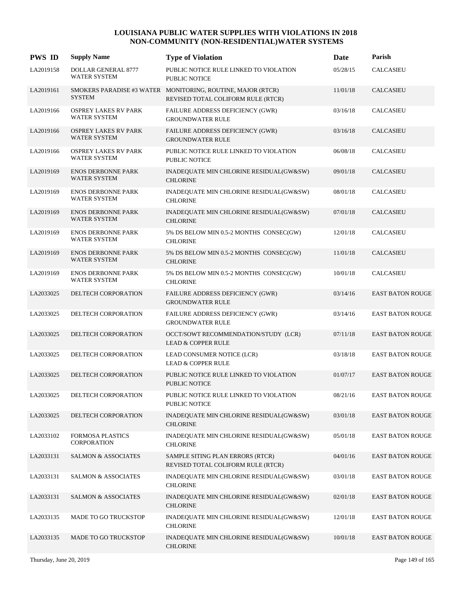| <b>PWS ID</b> | <b>Supply Name</b>                                 | <b>Type of Violation</b>                                                                          | Date     | Parish                  |
|---------------|----------------------------------------------------|---------------------------------------------------------------------------------------------------|----------|-------------------------|
| LA2019158     | <b>DOLLAR GENERAL 8777</b><br><b>WATER SYSTEM</b>  | PUBLIC NOTICE RULE LINKED TO VIOLATION<br>PUBLIC NOTICE                                           | 05/28/15 | <b>CALCASIEU</b>        |
| LA2019161     | <b>SYSTEM</b>                                      | SMOKERS PARADISE #3 WATER MONITORING, ROUTINE, MAJOR (RTCR)<br>REVISED TOTAL COLIFORM RULE (RTCR) | 11/01/18 | <b>CALCASIEU</b>        |
| LA2019166     | <b>OSPREY LAKES RV PARK</b><br><b>WATER SYSTEM</b> | FAILURE ADDRESS DEFICIENCY (GWR)<br><b>GROUNDWATER RULE</b>                                       | 03/16/18 | <b>CALCASIEU</b>        |
| LA2019166     | <b>OSPREY LAKES RV PARK</b><br>WATER SYSTEM        | FAILURE ADDRESS DEFICIENCY (GWR)<br><b>GROUNDWATER RULE</b>                                       | 03/16/18 | <b>CALCASIEU</b>        |
| LA2019166     | <b>OSPREY LAKES RV PARK</b><br><b>WATER SYSTEM</b> | PUBLIC NOTICE RULE LINKED TO VIOLATION<br>PUBLIC NOTICE                                           | 06/08/18 | CALCASIEU               |
| LA2019169     | <b>ENOS DERBONNE PARK</b><br>WATER SYSTEM          | INADEQUATE MIN CHLORINE RESIDUAL(GW&SW)<br><b>CHLORINE</b>                                        | 09/01/18 | <b>CALCASIEU</b>        |
| LA2019169     | <b>ENOS DERBONNE PARK</b><br><b>WATER SYSTEM</b>   | INADEQUATE MIN CHLORINE RESIDUAL(GW&SW)<br><b>CHLORINE</b>                                        | 08/01/18 | CALCASIEU               |
| LA2019169     | <b>ENOS DERBONNE PARK</b><br>WATER SYSTEM          | INADEQUATE MIN CHLORINE RESIDUAL(GW&SW)<br><b>CHLORINE</b>                                        | 07/01/18 | <b>CALCASIEU</b>        |
| LA2019169     | <b>ENOS DERBONNE PARK</b><br>WATER SYSTEM          | 5% DS BELOW MIN 0.5-2 MONTHS CONSEC(GW)<br><b>CHLORINE</b>                                        | 12/01/18 | CALCASIEU               |
| LA2019169     | <b>ENOS DERBONNE PARK</b><br><b>WATER SYSTEM</b>   | 5% DS BELOW MIN 0.5-2 MONTHS CONSEC(GW)<br><b>CHLORINE</b>                                        | 11/01/18 | <b>CALCASIEU</b>        |
| LA2019169     | <b>ENOS DERBONNE PARK</b><br><b>WATER SYSTEM</b>   | 5% DS BELOW MIN 0.5-2 MONTHS CONSEC(GW)<br><b>CHLORINE</b>                                        | 10/01/18 | <b>CALCASIEU</b>        |
| LA2033025     | DELTECH CORPORATION                                | FAILURE ADDRESS DEFICIENCY (GWR)<br><b>GROUNDWATER RULE</b>                                       | 03/14/16 | <b>EAST BATON ROUGE</b> |
| LA2033025     | DELTECH CORPORATION                                | FAILURE ADDRESS DEFICIENCY (GWR)<br><b>GROUNDWATER RULE</b>                                       | 03/14/16 | <b>EAST BATON ROUGE</b> |
| LA2033025     | DELTECH CORPORATION                                | OCCT/SOWT RECOMMENDATION/STUDY (LCR)<br><b>LEAD &amp; COPPER RULE</b>                             | 07/11/18 | <b>EAST BATON ROUGE</b> |
| LA2033025     | DELTECH CORPORATION                                | LEAD CONSUMER NOTICE (LCR)<br><b>LEAD &amp; COPPER RULE</b>                                       | 03/18/18 | <b>EAST BATON ROUGE</b> |
| LA2033025     | DELTECH CORPORATION                                | PUBLIC NOTICE RULE LINKED TO VIOLATION<br><b>PUBLIC NOTICE</b>                                    | 01/07/17 | <b>EAST BATON ROUGE</b> |
| LA2033025     | DELTECH CORPORATION                                | PUBLIC NOTICE RULE LINKED TO VIOLATION<br><b>PUBLIC NOTICE</b>                                    | 08/21/16 | <b>EAST BATON ROUGE</b> |
| LA2033025     | DELTECH CORPORATION                                | INADEQUATE MIN CHLORINE RESIDUAL(GW&SW)<br><b>CHLORINE</b>                                        | 03/01/18 | <b>EAST BATON ROUGE</b> |
| LA2033102     | FORMOSA PLASTICS<br><b>CORPORATION</b>             | INADEQUATE MIN CHLORINE RESIDUAL(GW&SW)<br><b>CHLORINE</b>                                        | 05/01/18 | <b>EAST BATON ROUGE</b> |
| LA2033131     | <b>SALMON &amp; ASSOCIATES</b>                     | SAMPLE SITING PLAN ERRORS (RTCR)<br>REVISED TOTAL COLIFORM RULE (RTCR)                            | 04/01/16 | <b>EAST BATON ROUGE</b> |
| LA2033131     | <b>SALMON &amp; ASSOCIATES</b>                     | INADEQUATE MIN CHLORINE RESIDUAL(GW&SW)<br><b>CHLORINE</b>                                        | 03/01/18 | <b>EAST BATON ROUGE</b> |
| LA2033131     | <b>SALMON &amp; ASSOCIATES</b>                     | INADEQUATE MIN CHLORINE RESIDUAL(GW&SW)<br><b>CHLORINE</b>                                        | 02/01/18 | <b>EAST BATON ROUGE</b> |
| LA2033135     | MADE TO GO TRUCKSTOP                               | INADEQUATE MIN CHLORINE RESIDUAL(GW&SW)<br><b>CHLORINE</b>                                        | 12/01/18 | <b>EAST BATON ROUGE</b> |
| LA2033135     | MADE TO GO TRUCKSTOP                               | INADEQUATE MIN CHLORINE RESIDUAL(GW&SW)<br><b>CHLORINE</b>                                        | 10/01/18 | <b>EAST BATON ROUGE</b> |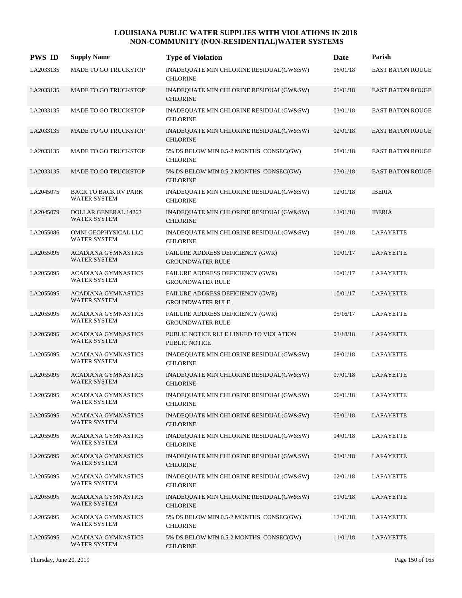| <b>PWS ID</b> | <b>Supply Name</b>                                 | <b>Type of Violation</b>                                           | Date     | Parish                  |
|---------------|----------------------------------------------------|--------------------------------------------------------------------|----------|-------------------------|
| LA2033135     | MADE TO GO TRUCKSTOP                               | INADEQUATE MIN CHLORINE RESIDUAL(GW&SW)<br><b>CHLORINE</b>         | 06/01/18 | EAST BATON ROUGE        |
| LA2033135     | MADE TO GO TRUCKSTOP                               | INADEQUATE MIN CHLORINE RESIDUAL(GW&SW)<br><b>CHLORINE</b>         | 05/01/18 | <b>EAST BATON ROUGE</b> |
| LA2033135     | MADE TO GO TRUCKSTOP                               | INADEQUATE MIN CHLORINE RESIDUAL(GW&SW)<br><b>CHLORINE</b>         | 03/01/18 | <b>EAST BATON ROUGE</b> |
| LA2033135     | MADE TO GO TRUCKSTOP                               | INADEQUATE MIN CHLORINE RESIDUAL(GW&SW)<br><b>CHLORINE</b>         | 02/01/18 | <b>EAST BATON ROUGE</b> |
| LA2033135     | <b>MADE TO GO TRUCKSTOP</b>                        | 5% DS BELOW MIN 0.5-2 MONTHS CONSEC(GW)<br><b>CHLORINE</b>         | 08/01/18 | <b>EAST BATON ROUGE</b> |
| LA2033135     | MADE TO GO TRUCKSTOP                               | 5% DS BELOW MIN 0.5-2 MONTHS CONSEC(GW)<br><b>CHLORINE</b>         | 07/01/18 | <b>EAST BATON ROUGE</b> |
| LA2045075     | <b>BACK TO BACK RV PARK</b><br><b>WATER SYSTEM</b> | INADEQUATE MIN CHLORINE RESIDUAL(GW&SW)<br><b>CHLORINE</b>         | 12/01/18 | <b>IBERIA</b>           |
| LA2045079     | <b>DOLLAR GENERAL 14262</b><br><b>WATER SYSTEM</b> | INADEQUATE MIN CHLORINE RESIDUAL(GW&SW)<br><b>CHLORINE</b>         | 12/01/18 | <b>IBERIA</b>           |
| LA2055086     | OMNI GEOPHYSICAL LLC<br>WATER SYSTEM               | INADEQUATE MIN CHLORINE RESIDUAL(GW&SW)<br><b>CHLORINE</b>         | 08/01/18 | <b>LAFAYETTE</b>        |
| LA2055095     | <b>ACADIANA GYMNASTICS</b><br><b>WATER SYSTEM</b>  | FAILURE ADDRESS DEFICIENCY (GWR)<br><b>GROUNDWATER RULE</b>        | 10/01/17 | LAFAYETTE               |
| LA2055095     | <b>ACADIANA GYMNASTICS</b><br><b>WATER SYSTEM</b>  | FAILURE ADDRESS DEFICIENCY (GWR)<br><b>GROUNDWATER RULE</b>        | 10/01/17 | <b>LAFAYETTE</b>        |
| LA2055095     | <b>ACADIANA GYMNASTICS</b><br><b>WATER SYSTEM</b>  | FAILURE ADDRESS DEFICIENCY (GWR)<br><b>GROUNDWATER RULE</b>        | 10/01/17 | LAFAYETTE               |
| LA2055095     | ACADIANA GYMNASTICS<br>WATER SYSTEM                | <b>FAILURE ADDRESS DEFICIENCY (GWR)</b><br><b>GROUNDWATER RULE</b> | 05/16/17 | <b>LAFAYETTE</b>        |
| LA2055095     | <b>ACADIANA GYMNASTICS</b><br><b>WATER SYSTEM</b>  | PUBLIC NOTICE RULE LINKED TO VIOLATION<br><b>PUBLIC NOTICE</b>     | 03/18/18 | LAFAYETTE               |
| LA2055095     | <b>ACADIANA GYMNASTICS</b><br><b>WATER SYSTEM</b>  | INADEQUATE MIN CHLORINE RESIDUAL(GW&SW)<br><b>CHLORINE</b>         | 08/01/18 | <b>LAFAYETTE</b>        |
| LA2055095     | <b>ACADIANA GYMNASTICS</b><br><b>WATER SYSTEM</b>  | INADEQUATE MIN CHLORINE RESIDUAL(GW&SW)<br><b>CHLORINE</b>         | 07/01/18 | LAFAYETTE               |
| LA2055095     | <b>ACADIANA GYMNASTICS</b><br>WATER SYSTEM         | INADEQUATE MIN CHLORINE RESIDUAL(GW&SW)<br><b>CHLORINE</b>         | 06/01/18 | <b>LAFAYETTE</b>        |
| LA2055095     | <b>ACADIANA GYMNASTICS</b><br>WATER SYSTEM         | INADEQUATE MIN CHLORINE RESIDUAL(GW&SW)<br><b>CHLORINE</b>         | 05/01/18 | LAFAYETTE               |
| LA2055095     | <b>ACADIANA GYMNASTICS</b><br>WATER SYSTEM         | INADEQUATE MIN CHLORINE RESIDUAL(GW&SW)<br><b>CHLORINE</b>         | 04/01/18 | LAFAYETTE               |
| LA2055095     | <b>ACADIANA GYMNASTICS</b><br>WATER SYSTEM         | INADEQUATE MIN CHLORINE RESIDUAL(GW&SW)<br><b>CHLORINE</b>         | 03/01/18 | <b>LAFAYETTE</b>        |
| LA2055095     | <b>ACADIANA GYMNASTICS</b><br>WATER SYSTEM         | INADEQUATE MIN CHLORINE RESIDUAL(GW&SW)<br><b>CHLORINE</b>         | 02/01/18 | LAFAYETTE               |
| LA2055095     | <b>ACADIANA GYMNASTICS</b><br>WATER SYSTEM         | INADEQUATE MIN CHLORINE RESIDUAL(GW&SW)<br><b>CHLORINE</b>         | 01/01/18 | LAFAYETTE               |
| LA2055095     | <b>ACADIANA GYMNASTICS</b><br>WATER SYSTEM         | 5% DS BELOW MIN 0.5-2 MONTHS CONSEC(GW)<br><b>CHLORINE</b>         | 12/01/18 | LAFAYETTE               |
| LA2055095     | ACADIANA GYMNASTICS<br>WATER SYSTEM                | 5% DS BELOW MIN 0.5-2 MONTHS CONSEC(GW)<br><b>CHLORINE</b>         | 11/01/18 | LAFAYETTE               |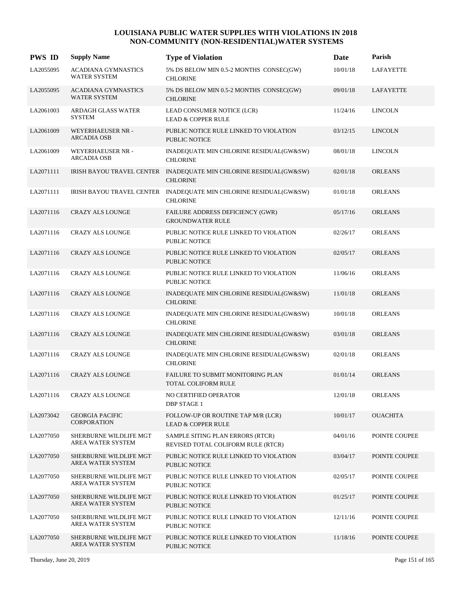| <b>PWS ID</b> | <b>Supply Name</b>                                | <b>Type of Violation</b>                                                             | Date     | Parish           |
|---------------|---------------------------------------------------|--------------------------------------------------------------------------------------|----------|------------------|
| LA2055095     | ACADIANA GYMNASTICS<br><b>WATER SYSTEM</b>        | 5% DS BELOW MIN 0.5-2 MONTHS CONSEC(GW)<br><b>CHLORINE</b>                           | 10/01/18 | <b>LAFAYETTE</b> |
| LA2055095     | <b>ACADIANA GYMNASTICS</b><br><b>WATER SYSTEM</b> | 5% DS BELOW MIN 0.5-2 MONTHS CONSEC(GW)<br><b>CHLORINE</b>                           | 09/01/18 | LAFAYETTE        |
| LA2061003     | ARDAGH GLASS WATER<br><b>SYSTEM</b>               | LEAD CONSUMER NOTICE (LCR)<br><b>LEAD &amp; COPPER RULE</b>                          | 11/24/16 | <b>LINCOLN</b>   |
| LA2061009     | WEYERHAEUSER NR -<br><b>ARCADIA OSB</b>           | PUBLIC NOTICE RULE LINKED TO VIOLATION<br><b>PUBLIC NOTICE</b>                       | 03/12/15 | <b>LINCOLN</b>   |
| LA2061009     | WEYERHAEUSER NR -<br><b>ARCADIA OSB</b>           | INADEQUATE MIN CHLORINE RESIDUAL(GW&SW)<br><b>CHLORINE</b>                           | 08/01/18 | <b>LINCOLN</b>   |
| LA2071111     |                                                   | IRISH BAYOU TRAVEL CENTER INADEQUATE MIN CHLORINE RESIDUAL(GW&SW)<br><b>CHLORINE</b> | 02/01/18 | <b>ORLEANS</b>   |
| LA2071111     | IRISH BAYOU TRAVEL CENTER                         | INADEQUATE MIN CHLORINE RESIDUAL(GW&SW)<br><b>CHLORINE</b>                           | 01/01/18 | <b>ORLEANS</b>   |
| LA2071116     | <b>CRAZY ALS LOUNGE</b>                           | FAILURE ADDRESS DEFICIENCY (GWR)<br><b>GROUNDWATER RULE</b>                          | 05/17/16 | <b>ORLEANS</b>   |
| LA2071116     | <b>CRAZY ALS LOUNGE</b>                           | PUBLIC NOTICE RULE LINKED TO VIOLATION<br><b>PUBLIC NOTICE</b>                       | 02/26/17 | <b>ORLEANS</b>   |
| LA2071116     | <b>CRAZY ALS LOUNGE</b>                           | PUBLIC NOTICE RULE LINKED TO VIOLATION<br><b>PUBLIC NOTICE</b>                       | 02/05/17 | <b>ORLEANS</b>   |
| LA2071116     | <b>CRAZY ALS LOUNGE</b>                           | PUBLIC NOTICE RULE LINKED TO VIOLATION<br><b>PUBLIC NOTICE</b>                       | 11/06/16 | <b>ORLEANS</b>   |
| LA2071116     | <b>CRAZY ALS LOUNGE</b>                           | INADEQUATE MIN CHLORINE RESIDUAL(GW&SW)<br><b>CHLORINE</b>                           | 11/01/18 | <b>ORLEANS</b>   |
| LA2071116     | <b>CRAZY ALS LOUNGE</b>                           | INADEQUATE MIN CHLORINE RESIDUAL(GW&SW)<br><b>CHLORINE</b>                           | 10/01/18 | <b>ORLEANS</b>   |
| LA2071116     | <b>CRAZY ALS LOUNGE</b>                           | INADEQUATE MIN CHLORINE RESIDUAL(GW&SW)<br><b>CHLORINE</b>                           | 03/01/18 | <b>ORLEANS</b>   |
| LA2071116     | CRAZY ALS LOUNGE                                  | INADEQUATE MIN CHLORINE RESIDUAL(GW&SW)<br><b>CHLORINE</b>                           | 02/01/18 | <b>ORLEANS</b>   |
| LA2071116     | <b>CRAZY ALS LOUNGE</b>                           | FAILURE TO SUBMIT MONITORING PLAN<br>TOTAL COLIFORM RULE                             | 01/01/14 | <b>ORLEANS</b>   |
| LA2071116     | <b>CRAZY ALS LOUNGE</b>                           | NO CERTIFIED OPERATOR<br><b>DBP STAGE 1</b>                                          | 12/01/18 | <b>ORLEANS</b>   |
| LA2073042     | <b>GEORGIA PACIFIC</b><br><b>CORPORATION</b>      | FOLLOW-UP OR ROUTINE TAP M/R (LCR)<br><b>LEAD &amp; COPPER RULE</b>                  | 10/01/17 | <b>OUACHITA</b>  |
| LA2077050     | SHERBURNE WILDLIFE MGT<br>AREA WATER SYSTEM       | SAMPLE SITING PLAN ERRORS (RTCR)<br>REVISED TOTAL COLIFORM RULE (RTCR)               | 04/01/16 | POINTE COUPEE    |
| LA2077050     | SHERBURNE WILDLIFE MGT<br>AREA WATER SYSTEM       | PUBLIC NOTICE RULE LINKED TO VIOLATION<br>PUBLIC NOTICE                              | 03/04/17 | POINTE COUPEE    |
| LA2077050     | SHERBURNE WILDLIFE MGT<br>AREA WATER SYSTEM       | PUBLIC NOTICE RULE LINKED TO VIOLATION<br>PUBLIC NOTICE                              | 02/05/17 | POINTE COUPEE    |
| LA2077050     | SHERBURNE WILDLIFE MGT<br>AREA WATER SYSTEM       | PUBLIC NOTICE RULE LINKED TO VIOLATION<br>PUBLIC NOTICE                              | 01/25/17 | POINTE COUPEE    |
| LA2077050     | SHERBURNE WILDLIFE MGT<br>AREA WATER SYSTEM       | PUBLIC NOTICE RULE LINKED TO VIOLATION<br>PUBLIC NOTICE                              | 12/11/16 | POINTE COUPEE    |
| LA2077050     | SHERBURNE WILDLIFE MGT<br>AREA WATER SYSTEM       | PUBLIC NOTICE RULE LINKED TO VIOLATION<br>PUBLIC NOTICE                              | 11/18/16 | POINTE COUPEE    |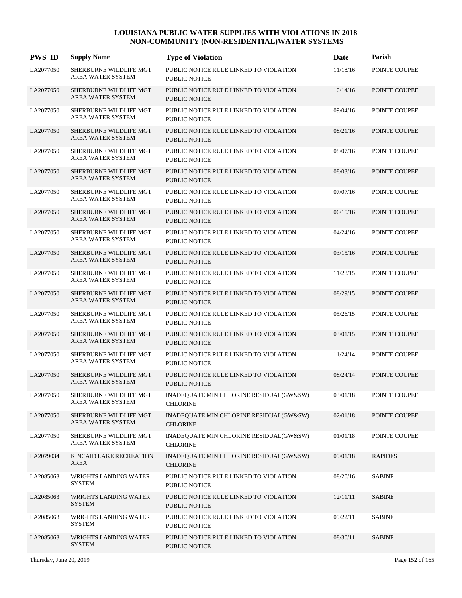| <b>PWS ID</b> | <b>Supply Name</b>                                 | <b>Type of Violation</b>                                       | Date     | Parish         |
|---------------|----------------------------------------------------|----------------------------------------------------------------|----------|----------------|
| LA2077050     | SHERBURNE WILDLIFE MGT<br>AREA WATER SYSTEM        | PUBLIC NOTICE RULE LINKED TO VIOLATION<br><b>PUBLIC NOTICE</b> | 11/18/16 | POINTE COUPEE  |
| LA2077050     | SHERBURNE WILDLIFE MGT<br><b>AREA WATER SYSTEM</b> | PUBLIC NOTICE RULE LINKED TO VIOLATION<br><b>PUBLIC NOTICE</b> | 10/14/16 | POINTE COUPEE  |
| LA2077050     | SHERBURNE WILDLIFE MGT<br>AREA WATER SYSTEM        | PUBLIC NOTICE RULE LINKED TO VIOLATION<br><b>PUBLIC NOTICE</b> | 09/04/16 | POINTE COUPEE  |
| LA2077050     | SHERBURNE WILDLIFE MGT<br>AREA WATER SYSTEM        | PUBLIC NOTICE RULE LINKED TO VIOLATION<br><b>PUBLIC NOTICE</b> | 08/21/16 | POINTE COUPEE  |
| LA2077050     | SHERBURNE WILDLIFE MGT<br><b>AREA WATER SYSTEM</b> | PUBLIC NOTICE RULE LINKED TO VIOLATION<br><b>PUBLIC NOTICE</b> | 08/07/16 | POINTE COUPEE  |
| LA2077050     | SHERBURNE WILDLIFE MGT<br>AREA WATER SYSTEM        | PUBLIC NOTICE RULE LINKED TO VIOLATION<br><b>PUBLIC NOTICE</b> | 08/03/16 | POINTE COUPEE  |
| LA2077050     | SHERBURNE WILDLIFE MGT<br>AREA WATER SYSTEM        | PUBLIC NOTICE RULE LINKED TO VIOLATION<br><b>PUBLIC NOTICE</b> | 07/07/16 | POINTE COUPEE  |
| LA2077050     | SHERBURNE WILDLIFE MGT<br>AREA WATER SYSTEM        | PUBLIC NOTICE RULE LINKED TO VIOLATION<br><b>PUBLIC NOTICE</b> | 06/15/16 | POINTE COUPEE  |
| LA2077050     | SHERBURNE WILDLIFE MGT<br>AREA WATER SYSTEM        | PUBLIC NOTICE RULE LINKED TO VIOLATION<br><b>PUBLIC NOTICE</b> | 04/24/16 | POINTE COUPEE  |
| LA2077050     | SHERBURNE WILDLIFE MGT<br><b>AREA WATER SYSTEM</b> | PUBLIC NOTICE RULE LINKED TO VIOLATION<br><b>PUBLIC NOTICE</b> | 03/15/16 | POINTE COUPEE  |
| LA2077050     | SHERBURNE WILDLIFE MGT<br>AREA WATER SYSTEM        | PUBLIC NOTICE RULE LINKED TO VIOLATION<br><b>PUBLIC NOTICE</b> | 11/28/15 | POINTE COUPEE  |
| LA2077050     | SHERBURNE WILDLIFE MGT<br>AREA WATER SYSTEM        | PUBLIC NOTICE RULE LINKED TO VIOLATION<br><b>PUBLIC NOTICE</b> | 08/29/15 | POINTE COUPEE  |
| LA2077050     | SHERBURNE WILDLIFE MGT<br>AREA WATER SYSTEM        | PUBLIC NOTICE RULE LINKED TO VIOLATION<br><b>PUBLIC NOTICE</b> | 05/26/15 | POINTE COUPEE  |
| LA2077050     | SHERBURNE WILDLIFE MGT<br><b>AREA WATER SYSTEM</b> | PUBLIC NOTICE RULE LINKED TO VIOLATION<br><b>PUBLIC NOTICE</b> | 03/01/15 | POINTE COUPEE  |
| LA2077050     | SHERBURNE WILDLIFE MGT<br><b>AREA WATER SYSTEM</b> | PUBLIC NOTICE RULE LINKED TO VIOLATION<br><b>PUBLIC NOTICE</b> | 11/24/14 | POINTE COUPEE  |
| LA2077050     | SHERBURNE WILDLIFE MGT<br><b>AREA WATER SYSTEM</b> | PUBLIC NOTICE RULE LINKED TO VIOLATION<br><b>PUBLIC NOTICE</b> | 08/24/14 | POINTE COUPEE  |
| LA2077050     | SHERBURNE WILDLIFE MGT<br>AREA WATER SYSTEM        | INADEQUATE MIN CHLORINE RESIDUAL(GW&SW)<br><b>CHLORINE</b>     | 03/01/18 | POINTE COUPEE  |
| LA2077050     | SHERBURNE WILDLIFE MGT<br>AREA WATER SYSTEM        | INADEQUATE MIN CHLORINE RESIDUAL(GW&SW)<br><b>CHLORINE</b>     | 02/01/18 | POINTE COUPEE  |
| LA2077050     | SHERBURNE WILDLIFE MGT<br>AREA WATER SYSTEM        | INADEQUATE MIN CHLORINE RESIDUAL(GW&SW)<br><b>CHLORINE</b>     | 01/01/18 | POINTE COUPEE  |
| LA2079034     | KINCAID LAKE RECREATION<br>AREA                    | INADEQUATE MIN CHLORINE RESIDUAL(GW&SW)<br><b>CHLORINE</b>     | 09/01/18 | <b>RAPIDES</b> |
| LA2085063     | WRIGHTS LANDING WATER<br><b>SYSTEM</b>             | PUBLIC NOTICE RULE LINKED TO VIOLATION<br>PUBLIC NOTICE        | 08/20/16 | <b>SABINE</b>  |
| LA2085063     | WRIGHTS LANDING WATER<br><b>SYSTEM</b>             | PUBLIC NOTICE RULE LINKED TO VIOLATION<br>PUBLIC NOTICE        | 12/11/11 | <b>SABINE</b>  |
| LA2085063     | WRIGHTS LANDING WATER<br><b>SYSTEM</b>             | PUBLIC NOTICE RULE LINKED TO VIOLATION<br>PUBLIC NOTICE        | 09/22/11 | <b>SABINE</b>  |
| LA2085063     | WRIGHTS LANDING WATER<br><b>SYSTEM</b>             | PUBLIC NOTICE RULE LINKED TO VIOLATION<br>PUBLIC NOTICE        | 08/30/11 | <b>SABINE</b>  |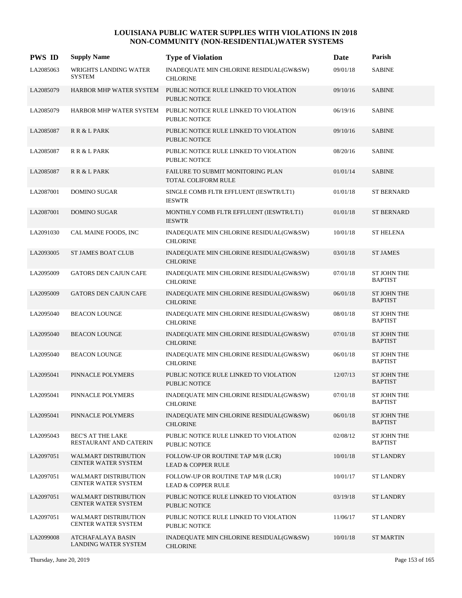| <b>PWS ID</b> | <b>Supply Name</b>                                 | <b>Type of Violation</b>                                                        | <b>Date</b> | Parish                               |
|---------------|----------------------------------------------------|---------------------------------------------------------------------------------|-------------|--------------------------------------|
| LA2085063     | WRIGHTS LANDING WATER<br><b>SYSTEM</b>             | INADEQUATE MIN CHLORINE RESIDUAL(GW&SW)<br><b>CHLORINE</b>                      | 09/01/18    | <b>SABINE</b>                        |
| LA2085079     |                                                    | HARBOR MHP WATER SYSTEM PUBLIC NOTICE RULE LINKED TO VIOLATION<br>PUBLIC NOTICE | 09/10/16    | <b>SABINE</b>                        |
| LA2085079     | HARBOR MHP WATER SYSTEM                            | PUBLIC NOTICE RULE LINKED TO VIOLATION<br>PUBLIC NOTICE                         | 06/19/16    | <b>SABINE</b>                        |
| LA2085087     | R R & L PARK                                       | PUBLIC NOTICE RULE LINKED TO VIOLATION<br><b>PUBLIC NOTICE</b>                  | 09/10/16    | <b>SABINE</b>                        |
| LA2085087     | R R & L PARK                                       | PUBLIC NOTICE RULE LINKED TO VIOLATION<br><b>PUBLIC NOTICE</b>                  | 08/20/16    | <b>SABINE</b>                        |
| LA2085087     | R R & L PARK                                       | FAILURE TO SUBMIT MONITORING PLAN<br>TOTAL COLIFORM RULE                        | 01/01/14    | <b>SABINE</b>                        |
| LA2087001     | <b>DOMINO SUGAR</b>                                | SINGLE COMB FLTR EFFLUENT (IESWTR/LT1)<br><b>IESWTR</b>                         | 01/01/18    | <b>ST BERNARD</b>                    |
| LA2087001     | <b>DOMINO SUGAR</b>                                | MONTHLY COMB FLTR EFFLUENT (IESWTR/LT1)<br><b>IESWTR</b>                        | 01/01/18    | <b>ST BERNARD</b>                    |
| LA2091030     | CAL MAINE FOODS, INC                               | INADEQUATE MIN CHLORINE RESIDUAL(GW&SW)<br><b>CHLORINE</b>                      | 10/01/18    | <b>ST HELENA</b>                     |
| LA2093005     | <b>ST JAMES BOAT CLUB</b>                          | INADEQUATE MIN CHLORINE RESIDUAL(GW&SW)<br><b>CHLORINE</b>                      | 03/01/18    | <b>ST JAMES</b>                      |
| LA2095009     | <b>GATORS DEN CAJUN CAFE</b>                       | INADEQUATE MIN CHLORINE RESIDUAL(GW&SW)<br><b>CHLORINE</b>                      | 07/01/18    | <b>ST JOHN THE</b><br><b>BAPTIST</b> |
| LA2095009     | <b>GATORS DEN CAJUN CAFE</b>                       | INADEQUATE MIN CHLORINE RESIDUAL(GW&SW)<br><b>CHLORINE</b>                      | 06/01/18    | <b>ST JOHN THE</b><br><b>BAPTIST</b> |
| LA2095040     | <b>BEACON LOUNGE</b>                               | INADEQUATE MIN CHLORINE RESIDUAL(GW&SW)<br><b>CHLORINE</b>                      | 08/01/18    | <b>ST JOHN THE</b><br><b>BAPTIST</b> |
| LA2095040     | <b>BEACON LOUNGE</b>                               | INADEQUATE MIN CHLORINE RESIDUAL(GW&SW)<br><b>CHLORINE</b>                      | 07/01/18    | <b>ST JOHN THE</b><br><b>BAPTIST</b> |
| LA2095040     | <b>BEACON LOUNGE</b>                               | INADEQUATE MIN CHLORINE RESIDUAL(GW&SW)<br><b>CHLORINE</b>                      | 06/01/18    | <b>ST JOHN THE</b><br><b>BAPTIST</b> |
| LA2095041     | PINNACLE POLYMERS                                  | PUBLIC NOTICE RULE LINKED TO VIOLATION<br><b>PUBLIC NOTICE</b>                  | 12/07/13    | <b>ST JOHN THE</b><br><b>BAPTIST</b> |
| LA2095041     | PINNACLE POLYMERS                                  | INADEQUATE MIN CHLORINE RESIDUAL(GW&SW)<br><b>CHLORINE</b>                      | 07/01/18    | <b>ST JOHN THE</b><br><b>BAPTIST</b> |
| LA2095041     | PINNACLE POLYMERS                                  | INADEQUATE MIN CHLORINE RESIDUAL(GW&SW)<br><b>CHLORINE</b>                      | 06/01/18    | ST JOHN THE<br><b>BAPTIST</b>        |
| LA2095043     | <b>BEC'S AT THE LAKE</b><br>RESTAURANT AND CATERIN | PUBLIC NOTICE RULE LINKED TO VIOLATION<br><b>PUBLIC NOTICE</b>                  | 02/08/12    | ST JOHN THE<br><b>BAPTIST</b>        |
| LA2097051     | <b>WALMART DISTRIBUTION</b><br>CENTER WATER SYSTEM | FOLLOW-UP OR ROUTINE TAP M/R (LCR)<br><b>LEAD &amp; COPPER RULE</b>             | 10/01/18    | <b>ST LANDRY</b>                     |
| LA2097051     | <b>WALMART DISTRIBUTION</b><br>CENTER WATER SYSTEM | FOLLOW-UP OR ROUTINE TAP M/R (LCR)<br><b>LEAD &amp; COPPER RULE</b>             | 10/01/17    | <b>ST LANDRY</b>                     |
| LA2097051     | <b>WALMART DISTRIBUTION</b><br>CENTER WATER SYSTEM | PUBLIC NOTICE RULE LINKED TO VIOLATION<br>PUBLIC NOTICE                         | 03/19/18    | <b>ST LANDRY</b>                     |
| LA2097051     | <b>WALMART DISTRIBUTION</b><br>CENTER WATER SYSTEM | PUBLIC NOTICE RULE LINKED TO VIOLATION<br><b>PUBLIC NOTICE</b>                  | 11/06/17    | <b>ST LANDRY</b>                     |
| LA2099008     | ATCHAFALAYA BASIN<br><b>LANDING WATER SYSTEM</b>   | INADEQUATE MIN CHLORINE RESIDUAL(GW&SW)<br><b>CHLORINE</b>                      | 10/01/18    | <b>ST MARTIN</b>                     |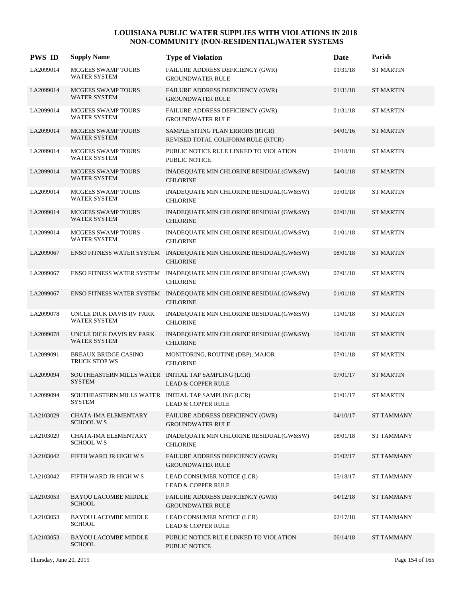| <b>PWS ID</b> | <b>Supply Name</b>                                                   | <b>Type of Violation</b>                                                             | Date     | Parish            |
|---------------|----------------------------------------------------------------------|--------------------------------------------------------------------------------------|----------|-------------------|
| LA2099014     | MCGEES SWAMP TOURS<br>WATER SYSTEM                                   | FAILURE ADDRESS DEFICIENCY (GWR)<br><b>GROUNDWATER RULE</b>                          | 01/31/18 | <b>ST MARTIN</b>  |
| LA2099014     | <b>MCGEES SWAMP TOURS</b><br><b>WATER SYSTEM</b>                     | FAILURE ADDRESS DEFICIENCY (GWR)<br><b>GROUNDWATER RULE</b>                          | 01/31/18 | <b>ST MARTIN</b>  |
| LA2099014     | MCGEES SWAMP TOURS<br><b>WATER SYSTEM</b>                            | FAILURE ADDRESS DEFICIENCY (GWR)<br><b>GROUNDWATER RULE</b>                          | 01/31/18 | ST MARTIN         |
| LA2099014     | MCGEES SWAMP TOURS<br><b>WATER SYSTEM</b>                            | SAMPLE SITING PLAN ERRORS (RTCR)<br>REVISED TOTAL COLIFORM RULE (RTCR)               | 04/01/16 | <b>ST MARTIN</b>  |
| LA2099014     | MCGEES SWAMP TOURS<br>WATER SYSTEM                                   | PUBLIC NOTICE RULE LINKED TO VIOLATION<br>PUBLIC NOTICE                              | 03/18/18 | <b>ST MARTIN</b>  |
| LA2099014     | MCGEES SWAMP TOURS<br><b>WATER SYSTEM</b>                            | INADEQUATE MIN CHLORINE RESIDUAL(GW&SW)<br><b>CHLORINE</b>                           | 04/01/18 | <b>ST MARTIN</b>  |
| LA2099014     | MCGEES SWAMP TOURS<br><b>WATER SYSTEM</b>                            | INADEQUATE MIN CHLORINE RESIDUAL(GW&SW)<br><b>CHLORINE</b>                           | 03/01/18 | <b>ST MARTIN</b>  |
| LA2099014     | <b>MCGEES SWAMP TOURS</b><br><b>WATER SYSTEM</b>                     | INADEQUATE MIN CHLORINE RESIDUAL(GW&SW)<br><b>CHLORINE</b>                           | 02/01/18 | <b>ST MARTIN</b>  |
| LA2099014     | MCGEES SWAMP TOURS<br><b>WATER SYSTEM</b>                            | INADEQUATE MIN CHLORINE RESIDUAL(GW&SW)<br><b>CHLORINE</b>                           | 01/01/18 | <b>ST MARTIN</b>  |
| LA2099067     |                                                                      | ENSO FITNESS WATER SYSTEM INADEQUATE MIN CHLORINE RESIDUAL(GW&SW)<br><b>CHLORINE</b> | 08/01/18 | <b>ST MARTIN</b>  |
| LA2099067     |                                                                      | ENSO FITNESS WATER SYSTEM INADEQUATE MIN CHLORINE RESIDUAL(GW&SW)<br><b>CHLORINE</b> | 07/01/18 | <b>ST MARTIN</b>  |
| LA2099067     |                                                                      | ENSO FITNESS WATER SYSTEM INADEQUATE MIN CHLORINE RESIDUAL(GW&SW)<br><b>CHLORINE</b> | 01/01/18 | <b>ST MARTIN</b>  |
| LA2099078     | UNCLE DICK DAVIS RV PARK<br><b>WATER SYSTEM</b>                      | INADEQUATE MIN CHLORINE RESIDUAL(GW&SW)<br><b>CHLORINE</b>                           | 11/01/18 | <b>ST MARTIN</b>  |
| LA2099078     | UNCLE DICK DAVIS RV PARK<br><b>WATER SYSTEM</b>                      | INADEQUATE MIN CHLORINE RESIDUAL(GW&SW)<br><b>CHLORINE</b>                           | 10/01/18 | <b>ST MARTIN</b>  |
| LA2099091     | <b>BREAUX BRIDGE CASINO</b><br>TRUCK STOP WS                         | MONITORING, ROUTINE (DBP), MAJOR<br><b>CHLORINE</b>                                  | 07/01/18 | <b>ST MARTIN</b>  |
| LA2099094     | SOUTHEASTERN MILLS WATER INITIAL TAP SAMPLING (LCR)<br><b>SYSTEM</b> | <b>LEAD &amp; COPPER RULE</b>                                                        | 07/01/17 | <b>ST MARTIN</b>  |
| LA2099094     | SOUTHEASTERN MILLS WATER INITIAL TAP SAMPLING (LCR)<br><b>SYSTEM</b> | <b>LEAD &amp; COPPER RULE</b>                                                        | 01/01/17 | <b>ST MARTIN</b>  |
| LA2103029     | CHATA-IMA ELEMENTARY<br><b>SCHOOL WS</b>                             | FAILURE ADDRESS DEFICIENCY (GWR)<br><b>GROUNDWATER RULE</b>                          | 04/10/17 | <b>ST TAMMANY</b> |
| LA2103029     | CHATA-IMA ELEMENTARY<br><b>SCHOOL WS</b>                             | INADEQUATE MIN CHLORINE RESIDUAL(GW&SW)<br><b>CHLORINE</b>                           | 08/01/18 | <b>ST TAMMANY</b> |
| LA2103042     | FIFTH WARD JR HIGH W S                                               | FAILURE ADDRESS DEFICIENCY (GWR)<br><b>GROUNDWATER RULE</b>                          | 05/02/17 | <b>ST TAMMANY</b> |
| LA2103042     | FIFTH WARD JR HIGH W S                                               | LEAD CONSUMER NOTICE (LCR)<br><b>LEAD &amp; COPPER RULE</b>                          | 05/18/17 | <b>ST TAMMANY</b> |
| LA2103053     | <b>BAYOU LACOMBE MIDDLE</b><br><b>SCHOOL</b>                         | FAILURE ADDRESS DEFICIENCY (GWR)<br><b>GROUNDWATER RULE</b>                          | 04/12/18 | <b>ST TAMMANY</b> |
| LA2103053     | <b>BAYOU LACOMBE MIDDLE</b><br><b>SCHOOL</b>                         | LEAD CONSUMER NOTICE (LCR)<br><b>LEAD &amp; COPPER RULE</b>                          | 02/17/18 | <b>ST TAMMANY</b> |
| LA2103053     | <b>BAYOU LACOMBE MIDDLE</b><br><b>SCHOOL</b>                         | PUBLIC NOTICE RULE LINKED TO VIOLATION<br>PUBLIC NOTICE                              | 06/14/18 | <b>ST TAMMANY</b> |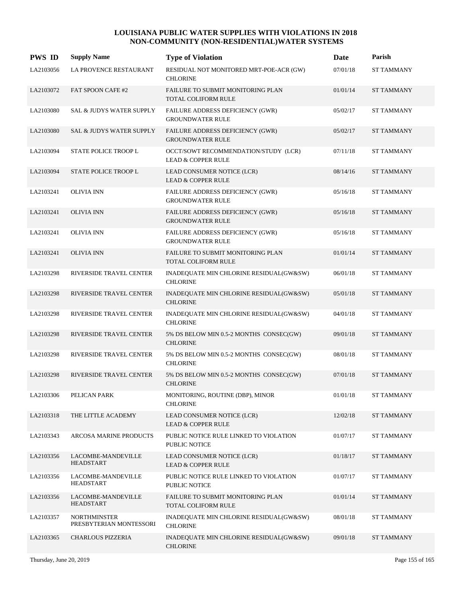| <b>PWS ID</b> | <b>Supply Name</b>                             | <b>Type of Violation</b>                                              | Date     | Parish            |
|---------------|------------------------------------------------|-----------------------------------------------------------------------|----------|-------------------|
| LA2103056     | LA PROVENCE RESTAURANT                         | RESIDUAL NOT MONITORED MRT-POE-ACR (GW)<br><b>CHLORINE</b>            | 07/01/18 | ST TAMMANY        |
| LA2103072     | FAT SPOON CAFE #2                              | FAILURE TO SUBMIT MONITORING PLAN<br>TOTAL COLIFORM RULE              | 01/01/14 | <b>ST TAMMANY</b> |
| LA2103080     | SAL & JUDYS WATER SUPPLY                       | <b>FAILURE ADDRESS DEFICIENCY (GWR)</b><br><b>GROUNDWATER RULE</b>    | 05/02/17 | <b>ST TAMMANY</b> |
| LA2103080     | <b>SAL &amp; JUDYS WATER SUPPLY</b>            | FAILURE ADDRESS DEFICIENCY (GWR)<br><b>GROUNDWATER RULE</b>           | 05/02/17 | <b>ST TAMMANY</b> |
| LA2103094     | STATE POLICE TROOP L                           | OCCT/SOWT RECOMMENDATION/STUDY (LCR)<br><b>LEAD &amp; COPPER RULE</b> | 07/11/18 | <b>ST TAMMANY</b> |
| LA2103094     | STATE POLICE TROOP L                           | LEAD CONSUMER NOTICE (LCR)<br><b>LEAD &amp; COPPER RULE</b>           | 08/14/16 | <b>ST TAMMANY</b> |
| LA2103241     | <b>OLIVIA INN</b>                              | FAILURE ADDRESS DEFICIENCY (GWR)<br><b>GROUNDWATER RULE</b>           | 05/16/18 | <b>ST TAMMANY</b> |
| LA2103241     | <b>OLIVIA INN</b>                              | FAILURE ADDRESS DEFICIENCY (GWR)<br><b>GROUNDWATER RULE</b>           | 05/16/18 | <b>ST TAMMANY</b> |
| LA2103241     | <b>OLIVIA INN</b>                              | FAILURE ADDRESS DEFICIENCY (GWR)<br><b>GROUNDWATER RULE</b>           | 05/16/18 | <b>ST TAMMANY</b> |
| LA2103241     | <b>OLIVIA INN</b>                              | FAILURE TO SUBMIT MONITORING PLAN<br><b>TOTAL COLIFORM RULE</b>       | 01/01/14 | <b>ST TAMMANY</b> |
| LA2103298     | RIVERSIDE TRAVEL CENTER                        | INADEQUATE MIN CHLORINE RESIDUAL(GW&SW)<br><b>CHLORINE</b>            | 06/01/18 | <b>ST TAMMANY</b> |
| LA2103298     | RIVERSIDE TRAVEL CENTER                        | INADEQUATE MIN CHLORINE RESIDUAL(GW&SW)<br><b>CHLORINE</b>            | 05/01/18 | <b>ST TAMMANY</b> |
| LA2103298     | RIVERSIDE TRAVEL CENTER                        | INADEQUATE MIN CHLORINE RESIDUAL(GW&SW)<br><b>CHLORINE</b>            | 04/01/18 | <b>ST TAMMANY</b> |
| LA2103298     | RIVERSIDE TRAVEL CENTER                        | 5% DS BELOW MIN 0.5-2 MONTHS CONSEC(GW)<br><b>CHLORINE</b>            | 09/01/18 | <b>ST TAMMANY</b> |
| LA2103298     | RIVERSIDE TRAVEL CENTER                        | $5\%$ DS BELOW MIN 0.5-2 MONTHS $\rm CONSEC (GW)$<br><b>CHLORINE</b>  | 08/01/18 | <b>ST TAMMANY</b> |
| LA2103298     | RIVERSIDE TRAVEL CENTER                        | 5% DS BELOW MIN 0.5-2 MONTHS CONSEC(GW)<br><b>CHLORINE</b>            | 07/01/18 | <b>ST TAMMANY</b> |
| LA2103306     | PELICAN PARK                                   | MONITORING, ROUTINE (DBP), MINOR<br><b>CHLORINE</b>                   | 01/01/18 | <b>ST TAMMANY</b> |
| LA2103318     | THE LITTLE ACADEMY                             | LEAD CONSUMER NOTICE (LCR)<br><b>LEAD &amp; COPPER RULE</b>           | 12/02/18 | <b>ST TAMMANY</b> |
| LA2103343     | ARCOSA MARINE PRODUCTS                         | PUBLIC NOTICE RULE LINKED TO VIOLATION<br>PUBLIC NOTICE               | 01/07/17 | <b>ST TAMMANY</b> |
| LA2103356     | LACOMBE-MANDEVILLE<br><b>HEADSTART</b>         | LEAD CONSUMER NOTICE (LCR)<br><b>LEAD &amp; COPPER RULE</b>           | 01/18/17 | <b>ST TAMMANY</b> |
| LA2103356     | LACOMBE-MANDEVILLE<br><b>HEADSTART</b>         | PUBLIC NOTICE RULE LINKED TO VIOLATION<br>PUBLIC NOTICE               | 01/07/17 | <b>ST TAMMANY</b> |
| LA2103356     | LACOMBE-MANDEVILLE<br><b>HEADSTART</b>         | FAILURE TO SUBMIT MONITORING PLAN<br>TOTAL COLIFORM RULE              | 01/01/14 | <b>ST TAMMANY</b> |
| LA2103357     | <b>NORTHMINSTER</b><br>PRESBYTERIAN MONTESSORI | INADEQUATE MIN CHLORINE RESIDUAL(GW&SW)<br><b>CHLORINE</b>            | 08/01/18 | <b>ST TAMMANY</b> |
| LA2103365     | <b>CHARLOUS PIZZERIA</b>                       | INADEQUATE MIN CHLORINE RESIDUAL(GW&SW)<br><b>CHLORINE</b>            | 09/01/18 | <b>ST TAMMANY</b> |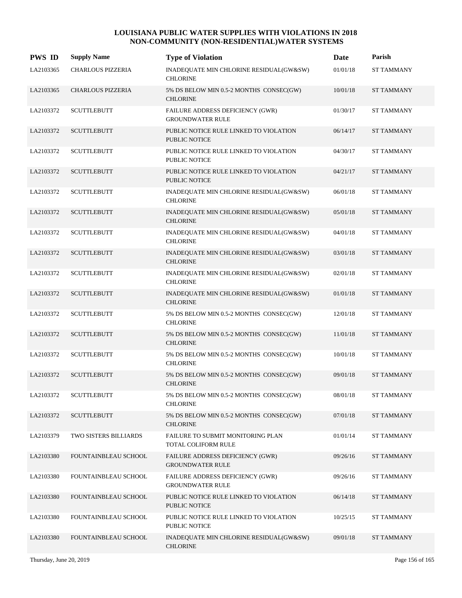| <b>PWS ID</b> | <b>Supply Name</b>       | <b>Type of Violation</b>                                       | Date     | Parish            |
|---------------|--------------------------|----------------------------------------------------------------|----------|-------------------|
| LA2103365     | CHARLOUS PIZZERIA        | INADEQUATE MIN CHLORINE RESIDUAL(GW&SW)<br><b>CHLORINE</b>     | 01/01/18 | <b>ST TAMMANY</b> |
| LA2103365     | <b>CHARLOUS PIZZERIA</b> | 5% DS BELOW MIN 0.5-2 MONTHS CONSEC(GW)<br><b>CHLORINE</b>     | 10/01/18 | <b>ST TAMMANY</b> |
| LA2103372     | <b>SCUTTLEBUTT</b>       | FAILURE ADDRESS DEFICIENCY (GWR)<br><b>GROUNDWATER RULE</b>    | 01/30/17 | <b>ST TAMMANY</b> |
| LA2103372     | <b>SCUTTLEBUTT</b>       | PUBLIC NOTICE RULE LINKED TO VIOLATION<br><b>PUBLIC NOTICE</b> | 06/14/17 | <b>ST TAMMANY</b> |
| LA2103372     | <b>SCUTTLEBUTT</b>       | PUBLIC NOTICE RULE LINKED TO VIOLATION<br><b>PUBLIC NOTICE</b> | 04/30/17 | <b>ST TAMMANY</b> |
| LA2103372     | <b>SCUTTLEBUTT</b>       | PUBLIC NOTICE RULE LINKED TO VIOLATION<br><b>PUBLIC NOTICE</b> | 04/21/17 | <b>ST TAMMANY</b> |
| LA2103372     | <b>SCUTTLEBUTT</b>       | INADEQUATE MIN CHLORINE RESIDUAL(GW&SW)<br><b>CHLORINE</b>     | 06/01/18 | <b>ST TAMMANY</b> |
| LA2103372     | <b>SCUTTLEBUTT</b>       | INADEQUATE MIN CHLORINE RESIDUAL(GW&SW)<br><b>CHLORINE</b>     | 05/01/18 | <b>ST TAMMANY</b> |
| LA2103372     | <b>SCUTTLEBUTT</b>       | INADEQUATE MIN CHLORINE RESIDUAL(GW&SW)<br><b>CHLORINE</b>     | 04/01/18 | <b>ST TAMMANY</b> |
| LA2103372     | <b>SCUTTLEBUTT</b>       | INADEQUATE MIN CHLORINE RESIDUAL(GW&SW)<br><b>CHLORINE</b>     | 03/01/18 | <b>ST TAMMANY</b> |
| LA2103372     | <b>SCUTTLEBUTT</b>       | INADEQUATE MIN CHLORINE RESIDUAL(GW&SW)<br><b>CHLORINE</b>     | 02/01/18 | <b>ST TAMMANY</b> |
| LA2103372     | <b>SCUTTLEBUTT</b>       | INADEQUATE MIN CHLORINE RESIDUAL(GW&SW)<br><b>CHLORINE</b>     | 01/01/18 | <b>ST TAMMANY</b> |
| LA2103372     | <b>SCUTTLEBUTT</b>       | 5% DS BELOW MIN 0.5-2 MONTHS CONSEC(GW)<br><b>CHLORINE</b>     | 12/01/18 | <b>ST TAMMANY</b> |
| LA2103372     | <b>SCUTTLEBUTT</b>       | 5% DS BELOW MIN 0.5-2 MONTHS CONSEC(GW)<br><b>CHLORINE</b>     | 11/01/18 | <b>ST TAMMANY</b> |
| LA2103372     | <b>SCUTTLEBUTT</b>       | 5% DS BELOW MIN 0.5-2 MONTHS CONSEC(GW)<br><b>CHLORINE</b>     | 10/01/18 | <b>ST TAMMANY</b> |
| LA2103372     | <b>SCUTTLEBUTT</b>       | 5% DS BELOW MIN 0.5-2 MONTHS CONSEC(GW)<br><b>CHLORINE</b>     | 09/01/18 | <b>ST TAMMANY</b> |
| LA2103372     | <b>SCUTTLEBUTT</b>       | 5% DS BELOW MIN 0.5-2 MONTHS CONSEC(GW)<br><b>CHLORINE</b>     | 08/01/18 | <b>ST TAMMANY</b> |
| LA2103372     | <b>SCUTTLEBUTT</b>       | 5% DS BELOW MIN 0.5-2 MONTHS CONSEC(GW)<br><b>CHLORINE</b>     | 07/01/18 | <b>ST TAMMANY</b> |
| LA2103379     | TWO SISTERS BILLIARDS    | FAILURE TO SUBMIT MONITORING PLAN<br>TOTAL COLIFORM RULE       | 01/01/14 | <b>ST TAMMANY</b> |
| LA2103380     | FOUNTAINBLEAU SCHOOL     | FAILURE ADDRESS DEFICIENCY (GWR)<br><b>GROUNDWATER RULE</b>    | 09/26/16 | <b>ST TAMMANY</b> |
| LA2103380     | FOUNTAINBLEAU SCHOOL     | FAILURE ADDRESS DEFICIENCY (GWR)<br><b>GROUNDWATER RULE</b>    | 09/26/16 | <b>ST TAMMANY</b> |
| LA2103380     | FOUNTAINBLEAU SCHOOL     | PUBLIC NOTICE RULE LINKED TO VIOLATION<br>PUBLIC NOTICE        | 06/14/18 | <b>ST TAMMANY</b> |
| LA2103380     | FOUNTAINBLEAU SCHOOL     | PUBLIC NOTICE RULE LINKED TO VIOLATION<br>PUBLIC NOTICE        | 10/25/15 | <b>ST TAMMANY</b> |
| LA2103380     | FOUNTAINBLEAU SCHOOL     | INADEQUATE MIN CHLORINE RESIDUAL(GW&SW)<br><b>CHLORINE</b>     | 09/01/18 | <b>ST TAMMANY</b> |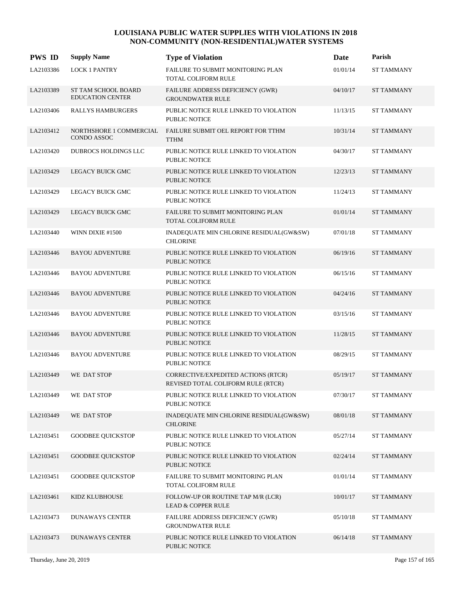| <b>PWS ID</b> | <b>Supply Name</b>                                    | <b>Type of Violation</b>                                                  | Date     | Parish            |
|---------------|-------------------------------------------------------|---------------------------------------------------------------------------|----------|-------------------|
| LA2103386     | <b>LOCK 1 PANTRY</b>                                  | FAILURE TO SUBMIT MONITORING PLAN<br>TOTAL COLIFORM RULE                  | 01/01/14 | ST TAMMANY        |
| LA2103389     | <b>ST TAM SCHOOL BOARD</b><br><b>EDUCATION CENTER</b> | FAILURE ADDRESS DEFICIENCY (GWR)<br><b>GROUNDWATER RULE</b>               | 04/10/17 | <b>ST TAMMANY</b> |
| LA2103406     | RALLYS HAMBURGERS                                     | PUBLIC NOTICE RULE LINKED TO VIOLATION<br>PUBLIC NOTICE                   | 11/13/15 | <b>ST TAMMANY</b> |
| LA2103412     | NORTHSHORE 1 COMMERCIAL<br>CONDO ASSOC                | FAILURE SUBMIT OEL REPORT FOR TTHM<br><b>TTHM</b>                         | 10/31/14 | <b>ST TAMMANY</b> |
| LA2103420     | <b>DUBROCS HOLDINGS LLC</b>                           | PUBLIC NOTICE RULE LINKED TO VIOLATION<br><b>PUBLIC NOTICE</b>            | 04/30/17 | <b>ST TAMMANY</b> |
| LA2103429     | LEGACY BUICK GMC                                      | PUBLIC NOTICE RULE LINKED TO VIOLATION<br><b>PUBLIC NOTICE</b>            | 12/23/13 | <b>ST TAMMANY</b> |
| LA2103429     | LEGACY BUICK GMC                                      | PUBLIC NOTICE RULE LINKED TO VIOLATION<br><b>PUBLIC NOTICE</b>            | 11/24/13 | <b>ST TAMMANY</b> |
| LA2103429     | LEGACY BUICK GMC                                      | FAILURE TO SUBMIT MONITORING PLAN<br>TOTAL COLIFORM RULE                  | 01/01/14 | <b>ST TAMMANY</b> |
| LA2103440     | WINN DIXIE #1500                                      | INADEQUATE MIN CHLORINE RESIDUAL(GW&SW)<br><b>CHLORINE</b>                | 07/01/18 | <b>ST TAMMANY</b> |
| LA2103446     | <b>BAYOU ADVENTURE</b>                                | PUBLIC NOTICE RULE LINKED TO VIOLATION<br><b>PUBLIC NOTICE</b>            | 06/19/16 | <b>ST TAMMANY</b> |
| LA2103446     | <b>BAYOU ADVENTURE</b>                                | PUBLIC NOTICE RULE LINKED TO VIOLATION<br><b>PUBLIC NOTICE</b>            | 06/15/16 | <b>ST TAMMANY</b> |
| LA2103446     | <b>BAYOU ADVENTURE</b>                                | PUBLIC NOTICE RULE LINKED TO VIOLATION<br><b>PUBLIC NOTICE</b>            | 04/24/16 | <b>ST TAMMANY</b> |
| LA2103446     | <b>BAYOU ADVENTURE</b>                                | PUBLIC NOTICE RULE LINKED TO VIOLATION<br><b>PUBLIC NOTICE</b>            | 03/15/16 | <b>ST TAMMANY</b> |
| LA2103446     | <b>BAYOU ADVENTURE</b>                                | PUBLIC NOTICE RULE LINKED TO VIOLATION<br><b>PUBLIC NOTICE</b>            | 11/28/15 | <b>ST TAMMANY</b> |
| LA2103446     | <b>BAYOU ADVENTURE</b>                                | PUBLIC NOTICE RULE LINKED TO VIOLATION<br><b>PUBLIC NOTICE</b>            | 08/29/15 | <b>ST TAMMANY</b> |
| LA2103449     | WE DAT STOP                                           | CORRECTIVE/EXPEDITED ACTIONS (RTCR)<br>REVISED TOTAL COLIFORM RULE (RTCR) | 05/19/17 | <b>ST TAMMANY</b> |
| LA2103449     | WE DAT STOP                                           | PUBLIC NOTICE RULE LINKED TO VIOLATION<br>PUBLIC NOTICE                   | 07/30/17 | <b>ST TAMMANY</b> |
| LA2103449     | WE DAT STOP                                           | INADEQUATE MIN CHLORINE RESIDUAL(GW&SW)<br><b>CHLORINE</b>                | 08/01/18 | <b>ST TAMMANY</b> |
| LA2103451     | <b>GOODBEE QUICKSTOP</b>                              | PUBLIC NOTICE RULE LINKED TO VIOLATION<br>PUBLIC NOTICE                   | 05/27/14 | <b>ST TAMMANY</b> |
| LA2103451     | <b>GOODBEE QUICKSTOP</b>                              | PUBLIC NOTICE RULE LINKED TO VIOLATION<br>PUBLIC NOTICE                   | 02/24/14 | <b>ST TAMMANY</b> |
| LA2103451     | <b>GOODBEE QUICKSTOP</b>                              | FAILURE TO SUBMIT MONITORING PLAN<br>TOTAL COLIFORM RULE                  | 01/01/14 | <b>ST TAMMANY</b> |
| LA2103461     | KIDZ KLUBHOUSE                                        | FOLLOW-UP OR ROUTINE TAP M/R (LCR)<br><b>LEAD &amp; COPPER RULE</b>       | 10/01/17 | <b>ST TAMMANY</b> |
| LA2103473     | <b>DUNAWAYS CENTER</b>                                | FAILURE ADDRESS DEFICIENCY (GWR)<br><b>GROUNDWATER RULE</b>               | 05/10/18 | <b>ST TAMMANY</b> |
| LA2103473     | DUNAWAYS CENTER                                       | PUBLIC NOTICE RULE LINKED TO VIOLATION<br>PUBLIC NOTICE                   | 06/14/18 | <b>ST TAMMANY</b> |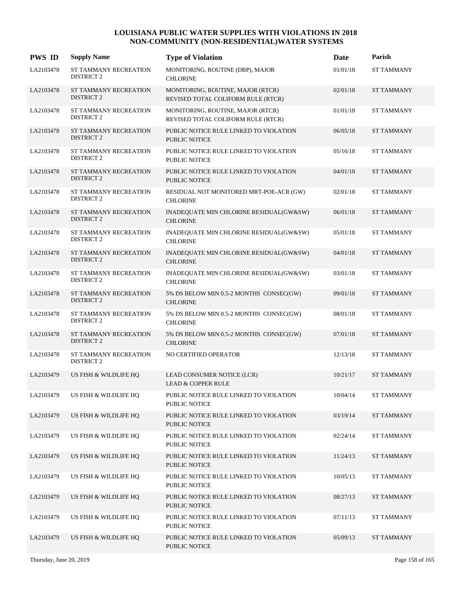| <b>PWS ID</b> | <b>Supply Name</b>                         | <b>Type of Violation</b>                                                | Date     | Parish            |
|---------------|--------------------------------------------|-------------------------------------------------------------------------|----------|-------------------|
| LA2103478     | ST TAMMANY RECREATION<br><b>DISTRICT 2</b> | MONITORING, ROUTINE (DBP), MAJOR<br><b>CHLORINE</b>                     | 01/01/18 | <b>ST TAMMANY</b> |
| LA2103478     | ST TAMMANY RECREATION<br><b>DISTRICT 2</b> | MONITORING, ROUTINE, MAJOR (RTCR)<br>REVISED TOTAL COLIFORM RULE (RTCR) | 02/01/18 | <b>ST TAMMANY</b> |
| LA2103478     | ST TAMMANY RECREATION<br><b>DISTRICT 2</b> | MONITORING, ROUTINE, MAJOR (RTCR)<br>REVISED TOTAL COLIFORM RULE (RTCR) | 01/01/18 | <b>ST TAMMANY</b> |
| LA2103478     | ST TAMMANY RECREATION<br><b>DISTRICT 2</b> | PUBLIC NOTICE RULE LINKED TO VIOLATION<br><b>PUBLIC NOTICE</b>          | 06/05/18 | <b>ST TAMMANY</b> |
| LA2103478     | ST TAMMANY RECREATION<br><b>DISTRICT 2</b> | PUBLIC NOTICE RULE LINKED TO VIOLATION<br><b>PUBLIC NOTICE</b>          | 05/16/18 | <b>ST TAMMANY</b> |
| LA2103478     | ST TAMMANY RECREATION<br><b>DISTRICT 2</b> | PUBLIC NOTICE RULE LINKED TO VIOLATION<br><b>PUBLIC NOTICE</b>          | 04/01/18 | <b>ST TAMMANY</b> |
| LA2103478     | ST TAMMANY RECREATION<br><b>DISTRICT 2</b> | RESIDUAL NOT MONITORED MRT-POE-ACR (GW)<br><b>CHLORINE</b>              | 02/01/18 | <b>ST TAMMANY</b> |
| LA2103478     | ST TAMMANY RECREATION<br><b>DISTRICT 2</b> | INADEQUATE MIN CHLORINE RESIDUAL(GW&SW)<br><b>CHLORINE</b>              | 06/01/18 | <b>ST TAMMANY</b> |
| LA2103478     | ST TAMMANY RECREATION<br><b>DISTRICT 2</b> | INADEQUATE MIN CHLORINE RESIDUAL(GW&SW)<br><b>CHLORINE</b>              | 05/01/18 | <b>ST TAMMANY</b> |
| LA2103478     | ST TAMMANY RECREATION<br><b>DISTRICT 2</b> | INADEQUATE MIN CHLORINE RESIDUAL(GW&SW)<br><b>CHLORINE</b>              | 04/01/18 | <b>ST TAMMANY</b> |
| LA2103478     | ST TAMMANY RECREATION<br><b>DISTRICT 2</b> | INADEQUATE MIN CHLORINE RESIDUAL(GW&SW)<br><b>CHLORINE</b>              | 03/01/18 | <b>ST TAMMANY</b> |
| LA2103478     | ST TAMMANY RECREATION<br><b>DISTRICT 2</b> | 5% DS BELOW MIN 0.5-2 MONTHS CONSEC(GW)<br><b>CHLORINE</b>              | 09/01/18 | <b>ST TAMMANY</b> |
| LA2103478     | ST TAMMANY RECREATION<br><b>DISTRICT 2</b> | 5% DS BELOW MIN 0.5-2 MONTHS CONSEC(GW)<br><b>CHLORINE</b>              | 08/01/18 | <b>ST TAMMANY</b> |
| LA2103478     | ST TAMMANY RECREATION<br><b>DISTRICT 2</b> | 5% DS BELOW MIN 0.5-2 MONTHS CONSEC(GW)<br><b>CHLORINE</b>              | 07/01/18 | <b>ST TAMMANY</b> |
| LA2103478     | ST TAMMANY RECREATION<br><b>DISTRICT 2</b> | NO CERTIFIED OPERATOR                                                   | 12/13/18 | <b>ST TAMMANY</b> |
| LA2103479     | US FISH & WILDLIFE HQ                      | LEAD CONSUMER NOTICE (LCR)<br><b>LEAD &amp; COPPER RULE</b>             | 10/21/17 | <b>ST TAMMANY</b> |
| LA2103479     | US FISH & WILDLIFE HQ                      | PUBLIC NOTICE RULE LINKED TO VIOLATION<br>PUBLIC NOTICE                 | 10/04/14 | <b>ST TAMMANY</b> |
| LA2103479     | US FISH & WILDLIFE HQ                      | PUBLIC NOTICE RULE LINKED TO VIOLATION<br><b>PUBLIC NOTICE</b>          | 03/19/14 | <b>ST TAMMANY</b> |
| LA2103479     | US FISH & WILDLIFE HQ                      | PUBLIC NOTICE RULE LINKED TO VIOLATION<br>PUBLIC NOTICE                 | 02/24/14 | ST TAMMANY        |
| LA2103479     | US FISH & WILDLIFE HQ                      | PUBLIC NOTICE RULE LINKED TO VIOLATION<br><b>PUBLIC NOTICE</b>          | 11/24/13 | ST TAMMANY        |
| LA2103479     | US FISH & WILDLIFE HQ                      | PUBLIC NOTICE RULE LINKED TO VIOLATION<br>PUBLIC NOTICE                 | 10/05/13 | ST TAMMANY        |
| LA2103479     | US FISH & WILDLIFE HQ                      | PUBLIC NOTICE RULE LINKED TO VIOLATION<br>PUBLIC NOTICE                 | 08/27/13 | <b>ST TAMMANY</b> |
| LA2103479     | US FISH & WILDLIFE HQ                      | PUBLIC NOTICE RULE LINKED TO VIOLATION<br>PUBLIC NOTICE                 | 07/11/13 | ST TAMMANY        |
| LA2103479     | US FISH & WILDLIFE HQ                      | PUBLIC NOTICE RULE LINKED TO VIOLATION<br>PUBLIC NOTICE                 | 05/09/13 | ST TAMMANY        |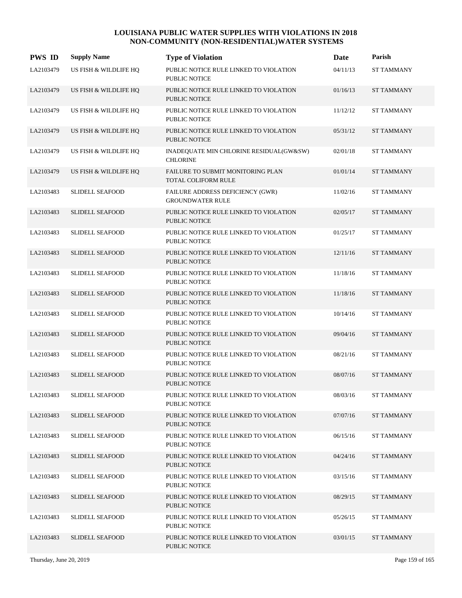| <b>PWS ID</b> | <b>Supply Name</b>     | <b>Type of Violation</b>                                       | Date     | Parish            |
|---------------|------------------------|----------------------------------------------------------------|----------|-------------------|
| LA2103479     | US FISH & WILDLIFE HQ  | PUBLIC NOTICE RULE LINKED TO VIOLATION<br>PUBLIC NOTICE        | 04/11/13 | <b>ST TAMMANY</b> |
| LA2103479     | US FISH & WILDLIFE HQ  | PUBLIC NOTICE RULE LINKED TO VIOLATION<br>PUBLIC NOTICE        | 01/16/13 | <b>ST TAMMANY</b> |
| LA2103479     | US FISH & WILDLIFE HQ  | PUBLIC NOTICE RULE LINKED TO VIOLATION<br>PUBLIC NOTICE        | 11/12/12 | <b>ST TAMMANY</b> |
| LA2103479     | US FISH & WILDLIFE HQ  | PUBLIC NOTICE RULE LINKED TO VIOLATION<br><b>PUBLIC NOTICE</b> | 05/31/12 | <b>ST TAMMANY</b> |
| LA2103479     | US FISH & WILDLIFE HQ  | INADEQUATE MIN CHLORINE RESIDUAL(GW&SW)<br><b>CHLORINE</b>     | 02/01/18 | <b>ST TAMMANY</b> |
| LA2103479     | US FISH & WILDLIFE HQ  | FAILURE TO SUBMIT MONITORING PLAN<br>TOTAL COLIFORM RULE       | 01/01/14 | <b>ST TAMMANY</b> |
| LA2103483     | <b>SLIDELL SEAFOOD</b> | FAILURE ADDRESS DEFICIENCY (GWR)<br><b>GROUNDWATER RULE</b>    | 11/02/16 | <b>ST TAMMANY</b> |
| LA2103483     | <b>SLIDELL SEAFOOD</b> | PUBLIC NOTICE RULE LINKED TO VIOLATION<br><b>PUBLIC NOTICE</b> | 02/05/17 | <b>ST TAMMANY</b> |
| LA2103483     | <b>SLIDELL SEAFOOD</b> | PUBLIC NOTICE RULE LINKED TO VIOLATION<br>PUBLIC NOTICE        | 01/25/17 | <b>ST TAMMANY</b> |
| LA2103483     | <b>SLIDELL SEAFOOD</b> | PUBLIC NOTICE RULE LINKED TO VIOLATION<br><b>PUBLIC NOTICE</b> | 12/11/16 | <b>ST TAMMANY</b> |
| LA2103483     | <b>SLIDELL SEAFOOD</b> | PUBLIC NOTICE RULE LINKED TO VIOLATION<br>PUBLIC NOTICE        | 11/18/16 | <b>ST TAMMANY</b> |
| LA2103483     | <b>SLIDELL SEAFOOD</b> | PUBLIC NOTICE RULE LINKED TO VIOLATION<br><b>PUBLIC NOTICE</b> | 11/18/16 | <b>ST TAMMANY</b> |
| LA2103483     | <b>SLIDELL SEAFOOD</b> | PUBLIC NOTICE RULE LINKED TO VIOLATION<br><b>PUBLIC NOTICE</b> | 10/14/16 | <b>ST TAMMANY</b> |
| LA2103483     | <b>SLIDELL SEAFOOD</b> | PUBLIC NOTICE RULE LINKED TO VIOLATION<br><b>PUBLIC NOTICE</b> | 09/04/16 | <b>ST TAMMANY</b> |
| LA2103483     | <b>SLIDELL SEAFOOD</b> | PUBLIC NOTICE RULE LINKED TO VIOLATION<br><b>PUBLIC NOTICE</b> | 08/21/16 | <b>ST TAMMANY</b> |
| LA2103483     | <b>SLIDELL SEAFOOD</b> | PUBLIC NOTICE RULE LINKED TO VIOLATION<br><b>PUBLIC NOTICE</b> | 08/07/16 | <b>ST TAMMANY</b> |
| LA2103483     | <b>SLIDELL SEAFOOD</b> | PUBLIC NOTICE RULE LINKED TO VIOLATION<br>PUBLIC NOTICE        | 08/03/16 | <b>ST TAMMANY</b> |
| LA2103483     | <b>SLIDELL SEAFOOD</b> | PUBLIC NOTICE RULE LINKED TO VIOLATION<br>PUBLIC NOTICE        | 07/07/16 | <b>ST TAMMANY</b> |
| LA2103483     | <b>SLIDELL SEAFOOD</b> | PUBLIC NOTICE RULE LINKED TO VIOLATION<br>PUBLIC NOTICE        | 06/15/16 | <b>ST TAMMANY</b> |
| LA2103483     | <b>SLIDELL SEAFOOD</b> | PUBLIC NOTICE RULE LINKED TO VIOLATION<br>PUBLIC NOTICE        | 04/24/16 | <b>ST TAMMANY</b> |
| LA2103483     | <b>SLIDELL SEAFOOD</b> | PUBLIC NOTICE RULE LINKED TO VIOLATION<br>PUBLIC NOTICE        | 03/15/16 | <b>ST TAMMANY</b> |
| LA2103483     | <b>SLIDELL SEAFOOD</b> | PUBLIC NOTICE RULE LINKED TO VIOLATION<br>PUBLIC NOTICE        | 08/29/15 | <b>ST TAMMANY</b> |
| LA2103483     | <b>SLIDELL SEAFOOD</b> | PUBLIC NOTICE RULE LINKED TO VIOLATION<br>PUBLIC NOTICE        | 05/26/15 | <b>ST TAMMANY</b> |
| LA2103483     | <b>SLIDELL SEAFOOD</b> | PUBLIC NOTICE RULE LINKED TO VIOLATION<br>PUBLIC NOTICE        | 03/01/15 | <b>ST TAMMANY</b> |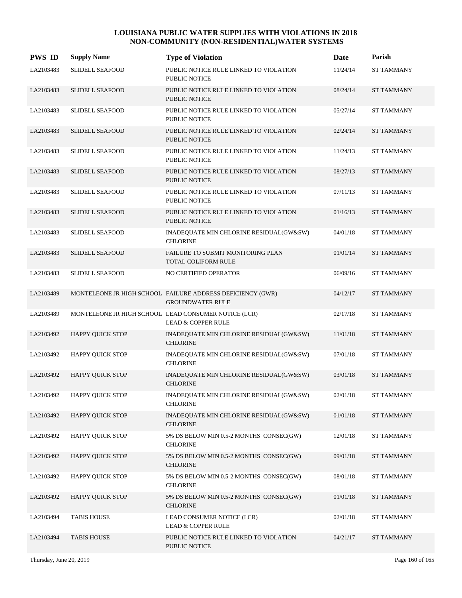| <b>PWS ID</b> | <b>Supply Name</b>      | <b>Type of Violation</b>                                                              | Date     | Parish            |
|---------------|-------------------------|---------------------------------------------------------------------------------------|----------|-------------------|
| LA2103483     | <b>SLIDELL SEAFOOD</b>  | PUBLIC NOTICE RULE LINKED TO VIOLATION<br>PUBLIC NOTICE                               | 11/24/14 | <b>ST TAMMANY</b> |
| LA2103483     | <b>SLIDELL SEAFOOD</b>  | PUBLIC NOTICE RULE LINKED TO VIOLATION<br><b>PUBLIC NOTICE</b>                        | 08/24/14 | <b>ST TAMMANY</b> |
| LA2103483     | <b>SLIDELL SEAFOOD</b>  | PUBLIC NOTICE RULE LINKED TO VIOLATION<br>PUBLIC NOTICE                               | 05/27/14 | <b>ST TAMMANY</b> |
| LA2103483     | <b>SLIDELL SEAFOOD</b>  | PUBLIC NOTICE RULE LINKED TO VIOLATION<br><b>PUBLIC NOTICE</b>                        | 02/24/14 | <b>ST TAMMANY</b> |
| LA2103483     | <b>SLIDELL SEAFOOD</b>  | PUBLIC NOTICE RULE LINKED TO VIOLATION<br>PUBLIC NOTICE                               | 11/24/13 | <b>ST TAMMANY</b> |
| LA2103483     | <b>SLIDELL SEAFOOD</b>  | PUBLIC NOTICE RULE LINKED TO VIOLATION<br><b>PUBLIC NOTICE</b>                        | 08/27/13 | <b>ST TAMMANY</b> |
| LA2103483     | <b>SLIDELL SEAFOOD</b>  | PUBLIC NOTICE RULE LINKED TO VIOLATION<br>PUBLIC NOTICE                               | 07/11/13 | <b>ST TAMMANY</b> |
| LA2103483     | <b>SLIDELL SEAFOOD</b>  | PUBLIC NOTICE RULE LINKED TO VIOLATION<br><b>PUBLIC NOTICE</b>                        | 01/16/13 | <b>ST TAMMANY</b> |
| LA2103483     | <b>SLIDELL SEAFOOD</b>  | INADEQUATE MIN CHLORINE RESIDUAL(GW&SW)<br><b>CHLORINE</b>                            | 04/01/18 | <b>ST TAMMANY</b> |
| LA2103483     | <b>SLIDELL SEAFOOD</b>  | FAILURE TO SUBMIT MONITORING PLAN<br><b>TOTAL COLIFORM RULE</b>                       | 01/01/14 | <b>ST TAMMANY</b> |
| LA2103483     | <b>SLIDELL SEAFOOD</b>  | NO CERTIFIED OPERATOR                                                                 | 06/09/16 | <b>ST TAMMANY</b> |
| LA2103489     |                         | MONTELEONE JR HIGH SCHOOL FAILURE ADDRESS DEFICIENCY (GWR)<br><b>GROUNDWATER RULE</b> | 04/12/17 | <b>ST TAMMANY</b> |
| LA2103489     |                         | MONTELEONE JR HIGH SCHOOL LEAD CONSUMER NOTICE (LCR)<br><b>LEAD &amp; COPPER RULE</b> | 02/17/18 | <b>ST TAMMANY</b> |
| LA2103492     | HAPPY QUICK STOP        | INADEQUATE MIN CHLORINE RESIDUAL(GW&SW)<br><b>CHLORINE</b>                            | 11/01/18 | <b>ST TAMMANY</b> |
| LA2103492     | HAPPY QUICK STOP        | INADEQUATE MIN CHLORINE RESIDUAL(GW&SW)<br><b>CHLORINE</b>                            | 07/01/18 | ST TAMMANY        |
| LA2103492     | <b>HAPPY QUICK STOP</b> | INADEQUATE MIN CHLORINE RESIDUAL(GW&SW)<br><b>CHLORINE</b>                            | 03/01/18 | <b>ST TAMMANY</b> |
| LA2103492     | HAPPY QUICK STOP        | INADEQUATE MIN CHLORINE RESIDUAL(GW&SW)<br><b>CHLORINE</b>                            | 02/01/18 | <b>ST TAMMANY</b> |
| LA2103492     | <b>HAPPY QUICK STOP</b> | INADEQUATE MIN CHLORINE RESIDUAL(GW&SW)<br><b>CHLORINE</b>                            | 01/01/18 | <b>ST TAMMANY</b> |
| LA2103492     | <b>HAPPY QUICK STOP</b> | 5% DS BELOW MIN 0.5-2 MONTHS CONSEC(GW)<br><b>CHLORINE</b>                            | 12/01/18 | ST TAMMANY        |
| LA2103492     | <b>HAPPY QUICK STOP</b> | 5% DS BELOW MIN 0.5-2 MONTHS CONSEC(GW)<br><b>CHLORINE</b>                            | 09/01/18 | <b>ST TAMMANY</b> |
| LA2103492     | <b>HAPPY OUICK STOP</b> | 5% DS BELOW MIN 0.5-2 MONTHS CONSEC(GW)<br><b>CHLORINE</b>                            | 08/01/18 | <b>ST TAMMANY</b> |
| LA2103492     | <b>HAPPY QUICK STOP</b> | 5% DS BELOW MIN 0.5-2 MONTHS CONSEC(GW)<br><b>CHLORINE</b>                            | 01/01/18 | <b>ST TAMMANY</b> |
| LA2103494     | <b>TABIS HOUSE</b>      | LEAD CONSUMER NOTICE (LCR)<br>LEAD & COPPER RULE                                      | 02/01/18 | <b>ST TAMMANY</b> |
| LA2103494     | <b>TABIS HOUSE</b>      | PUBLIC NOTICE RULE LINKED TO VIOLATION<br>PUBLIC NOTICE                               | 04/21/17 | <b>ST TAMMANY</b> |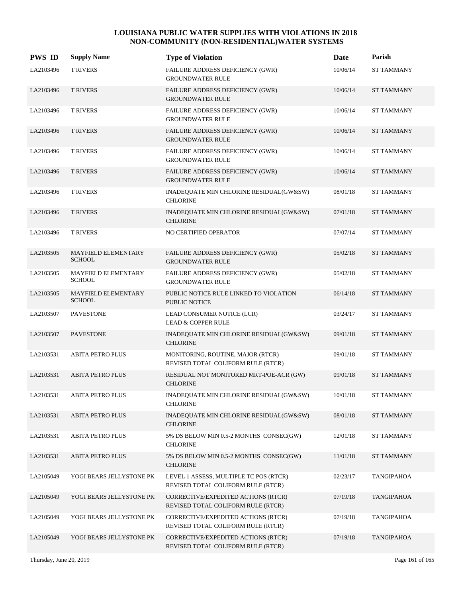| <b>PWS ID</b> | <b>Supply Name</b>                          | <b>Type of Violation</b>                                                     | Date     | Parish            |
|---------------|---------------------------------------------|------------------------------------------------------------------------------|----------|-------------------|
| LA2103496     | <b>T RIVERS</b>                             | FAILURE ADDRESS DEFICIENCY (GWR)<br><b>GROUNDWATER RULE</b>                  | 10/06/14 | <b>ST TAMMANY</b> |
| LA2103496     | <b>T RIVERS</b>                             | FAILURE ADDRESS DEFICIENCY (GWR)<br><b>GROUNDWATER RULE</b>                  | 10/06/14 | <b>ST TAMMANY</b> |
| LA2103496     | <b>T RIVERS</b>                             | FAILURE ADDRESS DEFICIENCY (GWR)<br><b>GROUNDWATER RULE</b>                  | 10/06/14 | ST TAMMANY        |
| LA2103496     | <b>T RIVERS</b>                             | FAILURE ADDRESS DEFICIENCY (GWR)<br><b>GROUNDWATER RULE</b>                  | 10/06/14 | <b>ST TAMMANY</b> |
| LA2103496     | <b>T RIVERS</b>                             | FAILURE ADDRESS DEFICIENCY (GWR)<br><b>GROUNDWATER RULE</b>                  | 10/06/14 | <b>ST TAMMANY</b> |
| LA2103496     | <b>T RIVERS</b>                             | FAILURE ADDRESS DEFICIENCY (GWR)<br><b>GROUNDWATER RULE</b>                  | 10/06/14 | <b>ST TAMMANY</b> |
| LA2103496     | <b>T RIVERS</b>                             | INADEQUATE MIN CHLORINE RESIDUAL(GW&SW)<br><b>CHLORINE</b>                   | 08/01/18 | <b>ST TAMMANY</b> |
| LA2103496     | <b>T RIVERS</b>                             | INADEQUATE MIN CHLORINE RESIDUAL(GW&SW)<br><b>CHLORINE</b>                   | 07/01/18 | <b>ST TAMMANY</b> |
| LA2103496     | <b>T RIVERS</b>                             | NO CERTIFIED OPERATOR                                                        | 07/07/14 | <b>ST TAMMANY</b> |
| LA2103505     | MAYFIELD ELEMENTARY<br><b>SCHOOL</b>        | FAILURE ADDRESS DEFICIENCY (GWR)<br><b>GROUNDWATER RULE</b>                  | 05/02/18 | <b>ST TAMMANY</b> |
| LA2103505     | MAYFIELD ELEMENTARY<br><b>SCHOOL</b>        | FAILURE ADDRESS DEFICIENCY (GWR)<br><b>GROUNDWATER RULE</b>                  | 05/02/18 | <b>ST TAMMANY</b> |
| LA2103505     | <b>MAYFIELD ELEMENTARY</b><br><b>SCHOOL</b> | PUBLIC NOTICE RULE LINKED TO VIOLATION<br><b>PUBLIC NOTICE</b>               | 06/14/18 | <b>ST TAMMANY</b> |
| LA2103507     | <b>PAVESTONE</b>                            | LEAD CONSUMER NOTICE (LCR)<br><b>LEAD &amp; COPPER RULE</b>                  | 03/24/17 | <b>ST TAMMANY</b> |
| LA2103507     | <b>PAVESTONE</b>                            | INADEQUATE MIN CHLORINE RESIDUAL(GW&SW)<br><b>CHLORINE</b>                   | 09/01/18 | <b>ST TAMMANY</b> |
| LA2103531     | <b>ABITA PETRO PLUS</b>                     | MONITORING, ROUTINE, MAJOR (RTCR)<br>REVISED TOTAL COLIFORM RULE (RTCR)      | 09/01/18 | <b>ST TAMMANY</b> |
| LA2103531     | <b>ABITA PETRO PLUS</b>                     | RESIDUAL NOT MONITORED MRT-POE-ACR (GW)<br><b>CHLORINE</b>                   | 09/01/18 | <b>ST TAMMANY</b> |
| LA2103531     | <b>ABITA PETRO PLUS</b>                     | INADEQUATE MIN CHLORINE RESIDUAL(GW&SW)<br><b>CHLORINE</b>                   | 10/01/18 | <b>ST TAMMANY</b> |
| LA2103531     | <b>ABITA PETRO PLUS</b>                     | INADEQUATE MIN CHLORINE RESIDUAL(GW&SW)<br><b>CHLORINE</b>                   | 08/01/18 | <b>ST TAMMANY</b> |
| LA2103531     | <b>ABITA PETRO PLUS</b>                     | 5% DS BELOW MIN 0.5-2 MONTHS CONSEC(GW)<br><b>CHLORINE</b>                   | 12/01/18 | ST TAMMANY        |
| LA2103531     | <b>ABITA PETRO PLUS</b>                     | 5% DS BELOW MIN 0.5-2 MONTHS CONSEC(GW)<br><b>CHLORINE</b>                   | 11/01/18 | <b>ST TAMMANY</b> |
| LA2105049     | YOGI BEARS JELLYSTONE PK                    | LEVEL 1 ASSESS, MULTIPLE TC POS (RTCR)<br>REVISED TOTAL COLIFORM RULE (RTCR) | 02/23/17 | <b>TANGIPAHOA</b> |
| LA2105049     | YOGI BEARS JELLYSTONE PK                    | CORRECTIVE/EXPEDITED ACTIONS (RTCR)<br>REVISED TOTAL COLIFORM RULE (RTCR)    | 07/19/18 | <b>TANGIPAHOA</b> |
| LA2105049     | YOGI BEARS JELLYSTONE PK                    | CORRECTIVE/EXPEDITED ACTIONS (RTCR)<br>REVISED TOTAL COLIFORM RULE (RTCR)    | 07/19/18 | <b>TANGIPAHOA</b> |
| LA2105049     | YOGI BEARS JELLYSTONE PK                    | CORRECTIVE/EXPEDITED ACTIONS (RTCR)<br>REVISED TOTAL COLIFORM RULE (RTCR)    | 07/19/18 | <b>TANGIPAHOA</b> |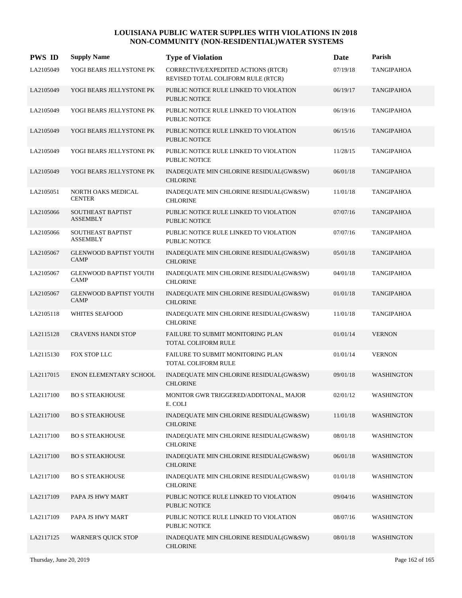| <b>PWS ID</b> | <b>Supply Name</b>                           | <b>Type of Violation</b>                                                  | Date     | Parish            |
|---------------|----------------------------------------------|---------------------------------------------------------------------------|----------|-------------------|
| LA2105049     | YOGI BEARS JELLYSTONE PK                     | CORRECTIVE/EXPEDITED ACTIONS (RTCR)<br>REVISED TOTAL COLIFORM RULE (RTCR) | 07/19/18 | <b>TANGIPAHOA</b> |
| LA2105049     | YOGI BEARS JELLYSTONE PK                     | PUBLIC NOTICE RULE LINKED TO VIOLATION<br><b>PUBLIC NOTICE</b>            | 06/19/17 | <b>TANGIPAHOA</b> |
| LA2105049     | YOGI BEARS JELLYSTONE PK                     | PUBLIC NOTICE RULE LINKED TO VIOLATION<br>PUBLIC NOTICE                   | 06/19/16 | TANGIPAHOA        |
| LA2105049     | YOGI BEARS JELLYSTONE PK                     | PUBLIC NOTICE RULE LINKED TO VIOLATION<br><b>PUBLIC NOTICE</b>            | 06/15/16 | <b>TANGIPAHOA</b> |
| LA2105049     | YOGI BEARS JELLYSTONE PK                     | PUBLIC NOTICE RULE LINKED TO VIOLATION<br>PUBLIC NOTICE                   | 11/28/15 | TANGIPAHOA        |
| LA2105049     | YOGI BEARS JELLYSTONE PK                     | INADEQUATE MIN CHLORINE RESIDUAL(GW&SW)<br><b>CHLORINE</b>                | 06/01/18 | <b>TANGIPAHOA</b> |
| LA2105051     | NORTH OAKS MEDICAL<br><b>CENTER</b>          | INADEQUATE MIN CHLORINE RESIDUAL(GW&SW)<br><b>CHLORINE</b>                | 11/01/18 | TANGIPAHOA        |
| LA2105066     | <b>SOUTHEAST BAPTIST</b><br><b>ASSEMBLY</b>  | PUBLIC NOTICE RULE LINKED TO VIOLATION<br><b>PUBLIC NOTICE</b>            | 07/07/16 | <b>TANGIPAHOA</b> |
| LA2105066     | <b>SOUTHEAST BAPTIST</b><br><b>ASSEMBLY</b>  | PUBLIC NOTICE RULE LINKED TO VIOLATION<br>PUBLIC NOTICE                   | 07/07/16 | <b>TANGIPAHOA</b> |
| LA2105067     | <b>GLENWOOD BAPTIST YOUTH</b><br><b>CAMP</b> | INADEQUATE MIN CHLORINE RESIDUAL(GW&SW)<br><b>CHLORINE</b>                | 05/01/18 | <b>TANGIPAHOA</b> |
| LA2105067     | <b>GLENWOOD BAPTIST YOUTH</b><br><b>CAMP</b> | INADEQUATE MIN CHLORINE RESIDUAL(GW&SW)<br><b>CHLORINE</b>                | 04/01/18 | <b>TANGIPAHOA</b> |
| LA2105067     | <b>GLENWOOD BAPTIST YOUTH</b><br><b>CAMP</b> | INADEQUATE MIN CHLORINE RESIDUAL(GW&SW)<br><b>CHLORINE</b>                | 01/01/18 | <b>TANGIPAHOA</b> |
| LA2105118     | <b>WHITES SEAFOOD</b>                        | INADEQUATE MIN CHLORINE RESIDUAL(GW&SW)<br><b>CHLORINE</b>                | 11/01/18 | <b>TANGIPAHOA</b> |
| LA2115128     | <b>CRAVENS HANDI STOP</b>                    | FAILURE TO SUBMIT MONITORING PLAN<br>TOTAL COLIFORM RULE                  | 01/01/14 | <b>VERNON</b>     |
| LA2115130     | FOX STOP LLC                                 | FAILURE TO SUBMIT MONITORING PLAN<br>TOTAL COLIFORM RULE                  | 01/01/14 | <b>VERNON</b>     |
| LA2117015     | ENON ELEMENTARY SCHOOL                       | INADEQUATE MIN CHLORINE RESIDUAL(GW&SW)<br><b>CHLORINE</b>                | 09/01/18 | <b>WASHINGTON</b> |
| LA2117100     | <b>BO S STEAKHOUSE</b>                       | MONITOR GWR TRIGGERED/ADDITONAL, MAJOR<br>E. COLI                         | 02/01/12 | WASHINGTON        |
| LA2117100     | <b>BO S STEAKHOUSE</b>                       | INADEQUATE MIN CHLORINE RESIDUAL(GW&SW)<br><b>CHLORINE</b>                | 11/01/18 | <b>WASHINGTON</b> |
| LA2117100     | <b>BO S STEAKHOUSE</b>                       | INADEQUATE MIN CHLORINE RESIDUAL(GW&SW)<br><b>CHLORINE</b>                | 08/01/18 | WASHINGTON        |
| LA2117100     | <b>BO S STEAKHOUSE</b>                       | INADEQUATE MIN CHLORINE RESIDUAL(GW&SW)<br><b>CHLORINE</b>                | 06/01/18 | WASHINGTON        |
| LA2117100     | <b>BO S STEAKHOUSE</b>                       | INADEQUATE MIN CHLORINE RESIDUAL(GW&SW)<br><b>CHLORINE</b>                | 01/01/18 | <b>WASHINGTON</b> |
| LA2117109     | PAPA JS HWY MART                             | PUBLIC NOTICE RULE LINKED TO VIOLATION<br>PUBLIC NOTICE                   | 09/04/16 | <b>WASHINGTON</b> |
| LA2117109     | PAPA JS HWY MART                             | PUBLIC NOTICE RULE LINKED TO VIOLATION<br>PUBLIC NOTICE                   | 08/07/16 | WASHINGTON        |
| LA2117125     | <b>WARNER'S QUICK STOP</b>                   | INADEQUATE MIN CHLORINE RESIDUAL(GW&SW)<br><b>CHLORINE</b>                | 08/01/18 | <b>WASHINGTON</b> |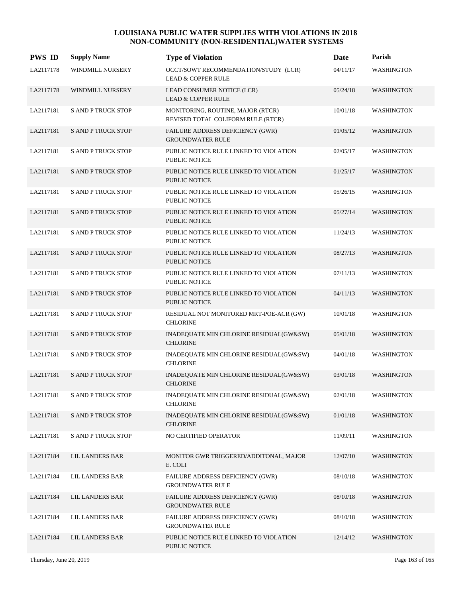| <b>PWS ID</b> | <b>Supply Name</b>        | <b>Type of Violation</b>                                                | Date     | Parish            |
|---------------|---------------------------|-------------------------------------------------------------------------|----------|-------------------|
| LA2117178     | WINDMILL NURSERY          | OCCT/SOWT RECOMMENDATION/STUDY (LCR)<br><b>LEAD &amp; COPPER RULE</b>   | 04/11/17 | <b>WASHINGTON</b> |
| LA2117178     | <b>WINDMILL NURSERY</b>   | LEAD CONSUMER NOTICE (LCR)<br><b>LEAD &amp; COPPER RULE</b>             | 05/24/18 | <b>WASHINGTON</b> |
| LA2117181     | <b>S AND P TRUCK STOP</b> | MONITORING, ROUTINE, MAJOR (RTCR)<br>REVISED TOTAL COLIFORM RULE (RTCR) | 10/01/18 | <b>WASHINGTON</b> |
| LA2117181     | <b>S AND P TRUCK STOP</b> | FAILURE ADDRESS DEFICIENCY (GWR)<br><b>GROUNDWATER RULE</b>             | 01/05/12 | <b>WASHINGTON</b> |
| LA2117181     | <b>S AND P TRUCK STOP</b> | PUBLIC NOTICE RULE LINKED TO VIOLATION<br><b>PUBLIC NOTICE</b>          | 02/05/17 | <b>WASHINGTON</b> |
| LA2117181     | <b>S AND P TRUCK STOP</b> | PUBLIC NOTICE RULE LINKED TO VIOLATION<br><b>PUBLIC NOTICE</b>          | 01/25/17 | <b>WASHINGTON</b> |
| LA2117181     | <b>S AND P TRUCK STOP</b> | PUBLIC NOTICE RULE LINKED TO VIOLATION<br><b>PUBLIC NOTICE</b>          | 05/26/15 | <b>WASHINGTON</b> |
| LA2117181     | <b>S AND P TRUCK STOP</b> | PUBLIC NOTICE RULE LINKED TO VIOLATION<br><b>PUBLIC NOTICE</b>          | 05/27/14 | <b>WASHINGTON</b> |
| LA2117181     | <b>S AND P TRUCK STOP</b> | PUBLIC NOTICE RULE LINKED TO VIOLATION<br><b>PUBLIC NOTICE</b>          | 11/24/13 | <b>WASHINGTON</b> |
| LA2117181     | <b>S AND P TRUCK STOP</b> | PUBLIC NOTICE RULE LINKED TO VIOLATION<br><b>PUBLIC NOTICE</b>          | 08/27/13 | <b>WASHINGTON</b> |
| LA2117181     | <b>S AND P TRUCK STOP</b> | PUBLIC NOTICE RULE LINKED TO VIOLATION<br><b>PUBLIC NOTICE</b>          | 07/11/13 | WASHINGTON        |
| LA2117181     | <b>S AND P TRUCK STOP</b> | PUBLIC NOTICE RULE LINKED TO VIOLATION<br><b>PUBLIC NOTICE</b>          | 04/11/13 | <b>WASHINGTON</b> |
| LA2117181     | <b>S AND P TRUCK STOP</b> | RESIDUAL NOT MONITORED MRT-POE-ACR (GW)<br><b>CHLORINE</b>              | 10/01/18 | WASHINGTON        |
| LA2117181     | <b>S AND P TRUCK STOP</b> | INADEQUATE MIN CHLORINE RESIDUAL(GW&SW)<br><b>CHLORINE</b>              | 05/01/18 | <b>WASHINGTON</b> |
| LA2117181     | <b>S AND P TRUCK STOP</b> | INADEQUATE MIN CHLORINE RESIDUAL(GW&SW)<br><b>CHLORINE</b>              | 04/01/18 | WASHINGTON        |
| LA2117181     | <b>S AND P TRUCK STOP</b> | INADEQUATE MIN CHLORINE RESIDUAL(GW&SW)<br><b>CHLORINE</b>              | 03/01/18 | WASHINGTON        |
| LA2117181     | <b>S AND P TRUCK STOP</b> | INADEQUATE MIN CHLORINE RESIDUAL(GW&SW)<br><b>CHLORINE</b>              | 02/01/18 | WASHINGTON        |
| LA2117181     | <b>S AND P TRUCK STOP</b> | INADEQUATE MIN CHLORINE RESIDUAL(GW&SW)<br><b>CHLORINE</b>              | 01/01/18 | <b>WASHINGTON</b> |
| LA2117181     | <b>S AND P TRUCK STOP</b> | NO CERTIFIED OPERATOR                                                   | 11/09/11 | WASHINGTON        |
| LA2117184     | LIL LANDERS BAR           | MONITOR GWR TRIGGERED/ADDITONAL, MAJOR<br>E. COLI                       | 12/07/10 | <b>WASHINGTON</b> |
| LA2117184     | <b>LIL LANDERS BAR</b>    | FAILURE ADDRESS DEFICIENCY (GWR)<br><b>GROUNDWATER RULE</b>             | 08/10/18 | WASHINGTON        |
| LA2117184     | LIL LANDERS BAR           | FAILURE ADDRESS DEFICIENCY (GWR)<br><b>GROUNDWATER RULE</b>             | 08/10/18 | <b>WASHINGTON</b> |
| LA2117184     | LIL LANDERS BAR           | FAILURE ADDRESS DEFICIENCY (GWR)<br><b>GROUNDWATER RULE</b>             | 08/10/18 | <b>WASHINGTON</b> |
| LA2117184     | LIL LANDERS BAR           | PUBLIC NOTICE RULE LINKED TO VIOLATION<br>PUBLIC NOTICE                 | 12/14/12 | <b>WASHINGTON</b> |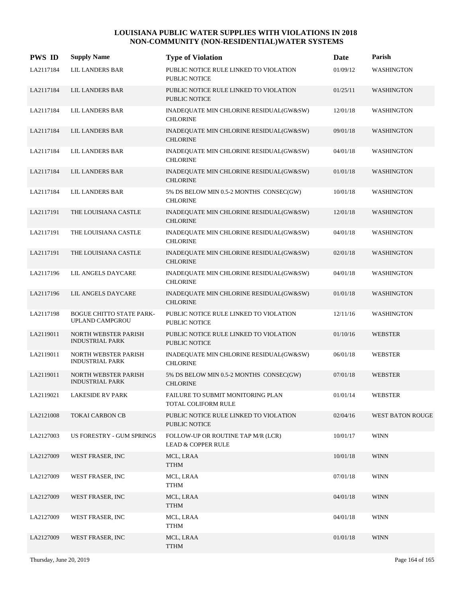| <b>PWS ID</b> | <b>Supply Name</b>                                    | <b>Type of Violation</b>                                            | <b>Date</b> | Parish            |
|---------------|-------------------------------------------------------|---------------------------------------------------------------------|-------------|-------------------|
| LA2117184     | <b>LIL LANDERS BAR</b>                                | PUBLIC NOTICE RULE LINKED TO VIOLATION<br><b>PUBLIC NOTICE</b>      | 01/09/12    | WASHINGTON        |
| LA2117184     | LIL LANDERS BAR                                       | PUBLIC NOTICE RULE LINKED TO VIOLATION<br><b>PUBLIC NOTICE</b>      | 01/25/11    | <b>WASHINGTON</b> |
| LA2117184     | LIL LANDERS BAR                                       | INADEQUATE MIN CHLORINE RESIDUAL(GW&SW)<br><b>CHLORINE</b>          | 12/01/18    | <b>WASHINGTON</b> |
| LA2117184     | <b>LIL LANDERS BAR</b>                                | INADEQUATE MIN CHLORINE RESIDUAL(GW&SW)<br><b>CHLORINE</b>          | 09/01/18    | <b>WASHINGTON</b> |
| LA2117184     | <b>LIL LANDERS BAR</b>                                | INADEQUATE MIN CHLORINE RESIDUAL(GW&SW)<br><b>CHLORINE</b>          | 04/01/18    | <b>WASHINGTON</b> |
| LA2117184     | LIL LANDERS BAR                                       | INADEQUATE MIN CHLORINE RESIDUAL(GW&SW)<br><b>CHLORINE</b>          | 01/01/18    | <b>WASHINGTON</b> |
| LA2117184     | <b>LIL LANDERS BAR</b>                                | 5% DS BELOW MIN 0.5-2 MONTHS CONSEC(GW)<br><b>CHLORINE</b>          | 10/01/18    | <b>WASHINGTON</b> |
| LA2117191     | THE LOUISIANA CASTLE                                  | INADEQUATE MIN CHLORINE RESIDUAL(GW&SW)<br><b>CHLORINE</b>          | 12/01/18    | <b>WASHINGTON</b> |
| LA2117191     | THE LOUISIANA CASTLE                                  | INADEQUATE MIN CHLORINE RESIDUAL(GW&SW)<br><b>CHLORINE</b>          | 04/01/18    | <b>WASHINGTON</b> |
| LA2117191     | THE LOUISIANA CASTLE                                  | INADEQUATE MIN CHLORINE RESIDUAL(GW&SW)<br><b>CHLORINE</b>          | 02/01/18    | <b>WASHINGTON</b> |
| LA2117196     | LIL ANGELS DAYCARE                                    | INADEQUATE MIN CHLORINE RESIDUAL(GW&SW)<br><b>CHLORINE</b>          | 04/01/18    | <b>WASHINGTON</b> |
| LA2117196     | LIL ANGELS DAYCARE                                    | INADEQUATE MIN CHLORINE RESIDUAL(GW&SW)<br><b>CHLORINE</b>          | 01/01/18    | <b>WASHINGTON</b> |
| LA2117198     | <b>BOGUE CHITTO STATE PARK-</b><br>UPLAND CAMPGROU    | PUBLIC NOTICE RULE LINKED TO VIOLATION<br><b>PUBLIC NOTICE</b>      | 12/11/16    | <b>WASHINGTON</b> |
| LA2119011     | <b>NORTH WEBSTER PARISH</b><br><b>INDUSTRIAL PARK</b> | PUBLIC NOTICE RULE LINKED TO VIOLATION<br><b>PUBLIC NOTICE</b>      | 01/10/16    | <b>WEBSTER</b>    |
| LA2119011     | <b>NORTH WEBSTER PARISH</b><br><b>INDUSTRIAL PARK</b> | INADEQUATE MIN CHLORINE RESIDUAL(GW&SW)<br><b>CHLORINE</b>          | 06/01/18    | <b>WEBSTER</b>    |
| LA2119011     | <b>NORTH WEBSTER PARISH</b><br><b>INDUSTRIAL PARK</b> | 5% DS BELOW MIN 0.5-2 MONTHS CONSEC(GW)<br><b>CHLORINE</b>          | 07/01/18    | <b>WEBSTER</b>    |
| LA2119021     | <b>LAKESIDE RV PARK</b>                               | FAILURE TO SUBMIT MONITORING PLAN<br>TOTAL COLIFORM RULE            | 01/01/14    | <b>WEBSTER</b>    |
| LA2121008     | <b>TOKAI CARBON CB</b>                                | PUBLIC NOTICE RULE LINKED TO VIOLATION<br><b>PUBLIC NOTICE</b>      | 02/04/16    | WEST BATON ROUGE  |
| LA2127003     | US FORESTRY - GUM SPRINGS                             | FOLLOW-UP OR ROUTINE TAP M/R (LCR)<br><b>LEAD &amp; COPPER RULE</b> | 10/01/17    | <b>WINN</b>       |
| LA2127009     | WEST FRASER, INC                                      | MCL, LRAA<br><b>TTHM</b>                                            | 10/01/18    | <b>WINN</b>       |
| LA2127009     | WEST FRASER, INC                                      | MCL, LRAA<br>${\sf TTHM}$                                           | 07/01/18    | <b>WINN</b>       |
| LA2127009     | WEST FRASER, INC                                      | MCL, LRAA<br><b>TTHM</b>                                            | 04/01/18    | <b>WINN</b>       |
| LA2127009     | WEST FRASER, INC                                      | MCL, LRAA<br><b>TTHM</b>                                            | 04/01/18    | <b>WINN</b>       |
| LA2127009     | WEST FRASER, INC                                      | MCL, LRAA<br><b>TTHM</b>                                            | 01/01/18    | <b>WINN</b>       |